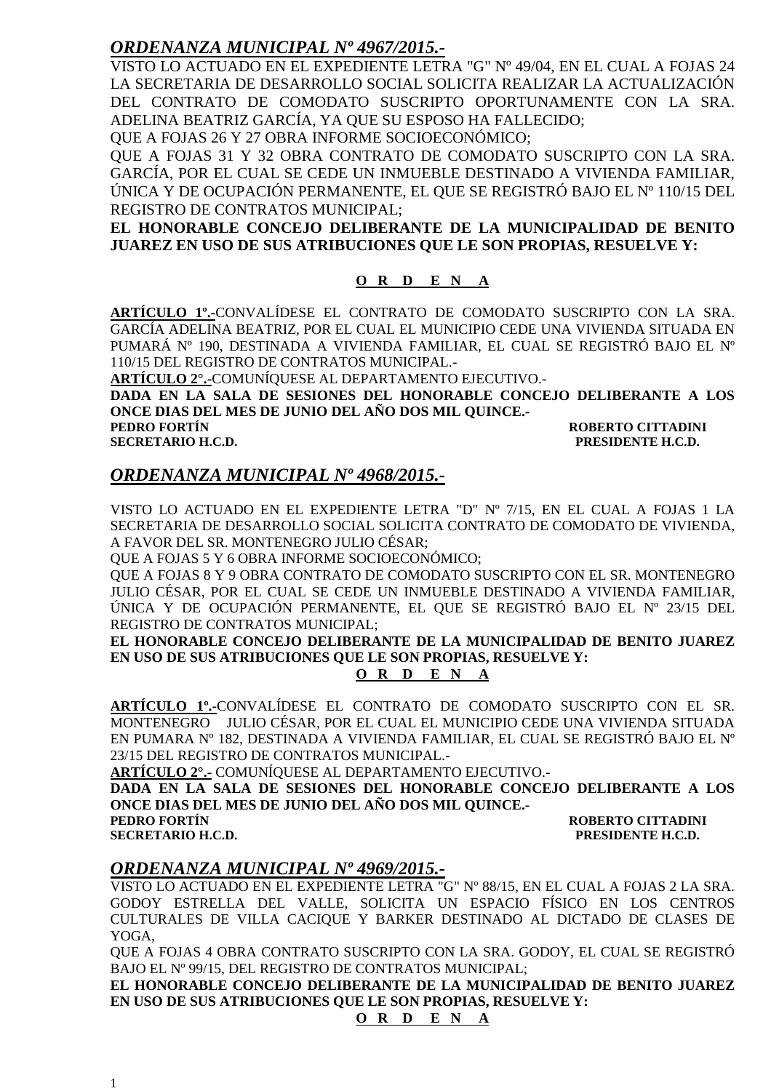### *ORDENANZA MUNICIPAL Nº 4967/2015.-*

VISTO LO ACTUADO EN EL EXPEDIENTE LETRA "G" Nº 49/04, EN EL CUAL A FOJAS 24 LA SECRETARIA DE DESARROLLO SOCIAL SOLICITA REALIZAR LA ACTUALIZACIÓN DEL CONTRATO DE COMODATO SUSCRIPTO OPORTUNAMENTE CON LA SRA. ADELINA BEATRIZ GARCÍA, YA QUE SU ESPOSO HA FALLECIDO;

QUE A FOJAS 26 Y 27 OBRA INFORME SOCIOECONÓMICO;

QUE A FOJAS 31 Y 32 OBRA CONTRATO DE COMODATO SUSCRIPTO CON LA SRA. GARCÍA, POR EL CUAL SE CEDE UN INMUEBLE DESTINADO A VIVIENDA FAMILIAR, ÚNICA Y DE OCUPACIÓN PERMANENTE, EL QUE SE REGISTRÓ BAJO EL Nº 110/15 DEL REGISTRO DE CONTRATOS MUNICIPAL;

**EL HONORABLE CONCEJO DELIBERANTE DE LA MUNICIPALIDAD DE BENITO JUAREZ EN USO DE SUS ATRIBUCIONES QUE LE SON PROPIAS, RESUELVE Y:** 

#### **O R D E N A**

**ARTÍCULO 1º.-**CONVALÍDESE EL CONTRATO DE COMODATO SUSCRIPTO CON LA SRA. GARCÍA ADELINA BEATRIZ, POR EL CUAL EL MUNICIPIO CEDE UNA VIVIENDA SITUADA EN PUMARÁ Nº 190, DESTINADA A VIVIENDA FAMILIAR, EL CUAL SE REGISTRÓ BAJO EL Nº 110/15 DEL REGISTRO DE CONTRATOS MUNICIPAL.-

**ARTÍCULO 2°.-**COMUNÍQUESE AL DEPARTAMENTO EJECUTIVO.-

**DADA EN LA SALA DE SESIONES DEL HONORABLE CONCEJO DELIBERANTE A LOS ONCE DIAS DEL MES DE JUNIO DEL AÑO DOS MIL QUINCE.-**

**PEDRO FORTÍN ROBERTO CITTADINI SECRETARIO H.C.D. PRESIDENTE H.C.D.** 

### *ORDENANZA MUNICIPAL Nº 4968/2015.-*

VISTO LO ACTUADO EN EL EXPEDIENTE LETRA "D" Nº 7/15, EN EL CUAL A FOJAS 1 LA SECRETARIA DE DESARROLLO SOCIAL SOLICITA CONTRATO DE COMODATO DE VIVIENDA, A FAVOR DEL SR. MONTENEGRO JULIO CÉSAR;

QUE A FOJAS 5 Y 6 OBRA INFORME SOCIOECONÓMICO;

QUE A FOJAS 8 Y 9 OBRA CONTRATO DE COMODATO SUSCRIPTO CON EL SR. MONTENEGRO JULIO CÉSAR, POR EL CUAL SE CEDE UN INMUEBLE DESTINADO A VIVIENDA FAMILIAR, ÚNICA Y DE OCUPACIÓN PERMANENTE, EL QUE SE REGISTRÓ BAJO EL Nº 23/15 DEL REGISTRO DE CONTRATOS MUNICIPAL;

**EL HONORABLE CONCEJO DELIBERANTE DE LA MUNICIPALIDAD DE BENITO JUAREZ EN USO DE SUS ATRIBUCIONES QUE LE SON PROPIAS, RESUELVE Y:** 

**O R D E N A**

**ARTÍCULO 1º.-**CONVALÍDESE EL CONTRATO DE COMODATO SUSCRIPTO CON EL SR. MONTENEGRO JULIO CÉSAR, POR EL CUAL EL MUNICIPIO CEDE UNA VIVIENDA SITUADA EN PUMARA Nº 182, DESTINADA A VIVIENDA FAMILIAR, EL CUAL SE REGISTRÓ BAJO EL Nº 23/15 DEL REGISTRO DE CONTRATOS MUNICIPAL.-

**ARTÍCULO 2°.-** COMUNÍQUESE AL DEPARTAMENTO EJECUTIVO.-

**DADA EN LA SALA DE SESIONES DEL HONORABLE CONCEJO DELIBERANTE A LOS ONCE DIAS DEL MES DE JUNIO DEL AÑO DOS MIL QUINCE.-**

**PEDRO FORTÍN ROBERTO CITTADINI SECRETARIO H.C.D. PRESIDENTE H.C.D.** 

### *ORDENANZA MUNICIPAL Nº 4969/2015.-*

VISTO LO ACTUADO EN EL EXPEDIENTE LETRA "G" Nº 88/15, EN EL CUAL A FOJAS 2 LA SRA. GODOY ESTRELLA DEL VALLE, SOLICITA UN ESPACIO FÍSICO EN LOS CENTROS CULTURALES DE VILLA CACIQUE Y BARKER DESTINADO AL DICTADO DE CLASES DE YOGA,

QUE A FOJAS 4 OBRA CONTRATO SUSCRIPTO CON LA SRA. GODOY, EL CUAL SE REGISTRÓ BAJO EL Nº 99/15, DEL REGISTRO DE CONTRATOS MUNICIPAL;

**EL HONORABLE CONCEJO DELIBERANTE DE LA MUNICIPALIDAD DE BENITO JUAREZ EN USO DE SUS ATRIBUCIONES QUE LE SON PROPIAS, RESUELVE Y:** 

#### **O R D E N A**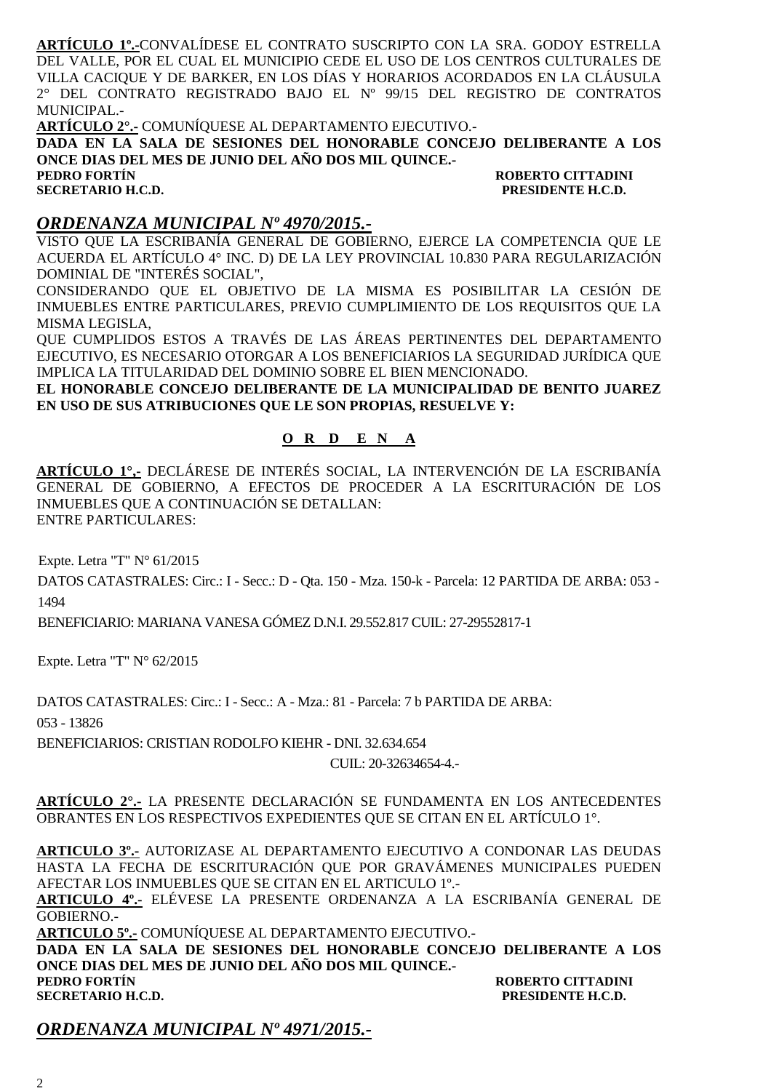**ARTÍCULO 1º.-**CONVALÍDESE EL CONTRATO SUSCRIPTO CON LA SRA. GODOY ESTRELLA DEL VALLE, POR EL CUAL EL MUNICIPIO CEDE EL USO DE LOS CENTROS CULTURALES DE VILLA CACIQUE Y DE BARKER, EN LOS DÍAS Y HORARIOS ACORDADOS EN LA CLÁUSULA 2° DEL CONTRATO REGISTRADO BAJO EL Nº 99/15 DEL REGISTRO DE CONTRATOS MUNICIPAL.-

**ARTÍCULO 2°.-** COMUNÍQUESE AL DEPARTAMENTO EJECUTIVO.-

**DADA EN LA SALA DE SESIONES DEL HONORABLE CONCEJO DELIBERANTE A LOS ONCE DIAS DEL MES DE JUNIO DEL AÑO DOS MIL QUINCE.-**

**SECRETARIO H.C.D.** 

**PEDRO FORTÍN ROBERTO CITTADINI** 

#### *ORDENANZA MUNICIPAL Nº 4970/2015.-*

VISTO QUE LA ESCRIBANÍA GENERAL DE GOBIERNO, EJERCE LA COMPETENCIA QUE LE ACUERDA EL ARTÍCULO 4° INC. D) DE LA LEY PROVINCIAL 10.830 PARA REGULARIZACIÓN DOMINIAL DE "INTERÉS SOCIAL",

CONSIDERANDO QUE EL OBJETIVO DE LA MISMA ES POSIBILITAR LA CESIÓN DE INMUEBLES ENTRE PARTICULARES, PREVIO CUMPLIMIENTO DE LOS REQUISITOS QUE LA MISMA LEGISLA,

QUE CUMPLIDOS ESTOS A TRAVÉS DE LAS ÁREAS PERTINENTES DEL DEPARTAMENTO EJECUTIVO, ES NECESARIO OTORGAR A LOS BENEFICIARIOS LA SEGURIDAD JURÍDICA QUE IMPLICA LA TITULARIDAD DEL DOMINIO SOBRE EL BIEN MENCIONADO.

**EL HONORABLE CONCEJO DELIBERANTE DE LA MUNICIPALIDAD DE BENITO JUAREZ EN USO DE SUS ATRIBUCIONES QUE LE SON PROPIAS, RESUELVE Y:** 

### **O R D E N A**

**ARTÍCULO 1°,-** DECLÁRESE DE INTERÉS SOCIAL, LA INTERVENCIÓN DE LA ESCRIBANÍA GENERAL DE GOBIERNO, A EFECTOS DE PROCEDER A LA ESCRITURACIÓN DE LOS INMUEBLES QUE A CONTINUACIÓN SE DETALLAN: ENTRE PARTICULARES:

Expte. Letra "T" N° 61/2015

DATOS CATASTRALES: Circ.: I - Secc.: D - Qta. 150 - Mza. 150-k - Parcela: 12 PARTIDA DE ARBA: 053 - 1494

BENEFICIARIO: MARIANA VANESA GÓMEZ D.N.I. 29.552.817 CUIL: 27-29552817-1

Expte. Letra "T" N° 62/2015

DATOS CATASTRALES: Circ.: I - Secc.: A - Mza.: 81 - Parcela: 7 b PARTIDA DE ARBA:

053 - 13826

BENEFICIARIOS: CRISTIAN RODOLFO KIEHR - DNI. 32.634.654

CUIL: 20-32634654-4.-

**ARTÍCULO 2°.-** LA PRESENTE DECLARACIÓN SE FUNDAMENTA EN LOS ANTECEDENTES OBRANTES EN LOS RESPECTIVOS EXPEDIENTES QUE SE CITAN EN EL ARTÍCULO 1°.

**ARTICULO 3º.-** AUTORIZASE AL DEPARTAMENTO EJECUTIVO A CONDONAR LAS DEUDAS HASTA LA FECHA DE ESCRITURACIÓN QUE POR GRAVÁMENES MUNICIPALES PUEDEN AFECTAR LOS INMUEBLES QUE SE CITAN EN EL ARTICULO 1º.-

**ARTICULO 4º.-** ELÉVESE LA PRESENTE ORDENANZA A LA ESCRIBANÍA GENERAL DE GOBIERNO.-

**ARTICULO 5º.-** COMUNÍQUESE AL DEPARTAMENTO EJECUTIVO.-

**DADA EN LA SALA DE SESIONES DEL HONORABLE CONCEJO DELIBERANTE A LOS ONCE DIAS DEL MES DE JUNIO DEL AÑO DOS MIL QUINCE.- PEDRO FORTÍN ROBERTO CITTADINI** 

**SECRETARIO H.C.D. PRESIDENTE H.C.D.** 

### *ORDENANZA MUNICIPAL Nº 4971/2015.-*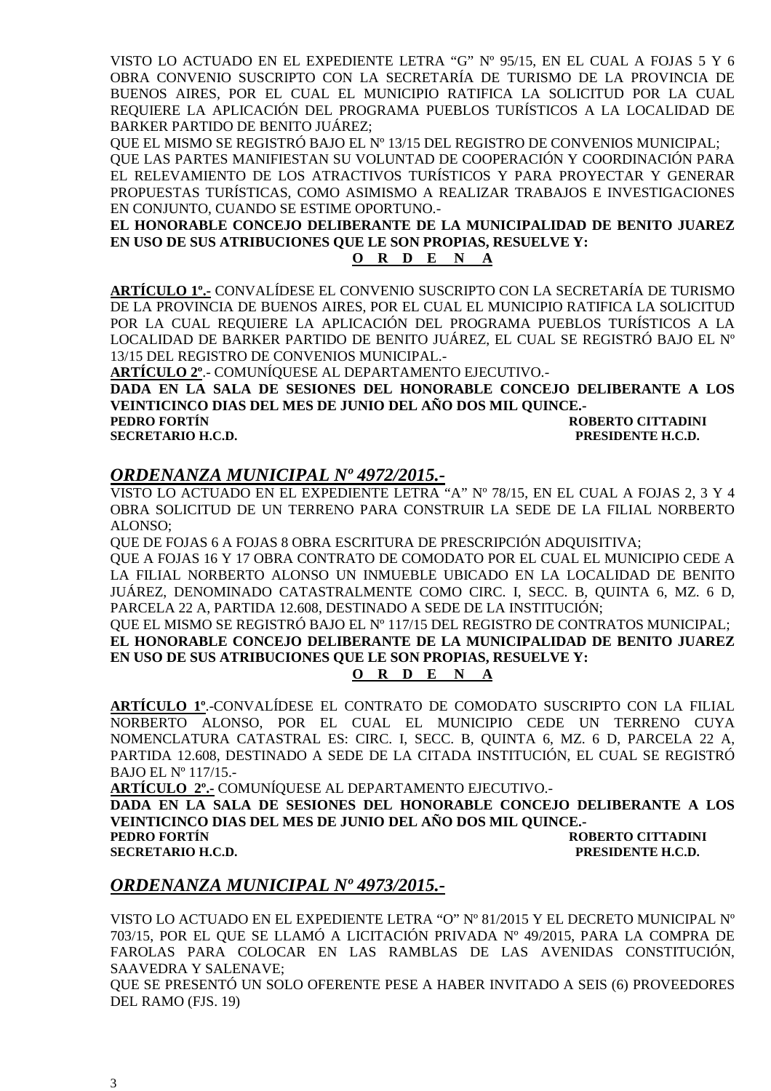VISTO LO ACTUADO EN EL EXPEDIENTE LETRA "G" Nº 95/15, EN EL CUAL A FOJAS 5 Y 6 OBRA CONVENIO SUSCRIPTO CON LA SECRETARÍA DE TURISMO DE LA PROVINCIA DE BUENOS AIRES, POR EL CUAL EL MUNICIPIO RATIFICA LA SOLICITUD POR LA CUAL REQUIERE LA APLICACIÓN DEL PROGRAMA PUEBLOS TURÍSTICOS A LA LOCALIDAD DE BARKER PARTIDO DE BENITO JUÁREZ;

QUE EL MISMO SE REGISTRÓ BAJO EL Nº 13/15 DEL REGISTRO DE CONVENIOS MUNICIPAL;

QUE LAS PARTES MANIFIESTAN SU VOLUNTAD DE COOPERACIÓN Y COORDINACIÓN PARA EL RELEVAMIENTO DE LOS ATRACTIVOS TURÍSTICOS Y PARA PROYECTAR Y GENERAR PROPUESTAS TURÍSTICAS, COMO ASIMISMO A REALIZAR TRABAJOS E INVESTIGACIONES EN CONJUNTO, CUANDO SE ESTIME OPORTUNO.-

**EL HONORABLE CONCEJO DELIBERANTE DE LA MUNICIPALIDAD DE BENITO JUAREZ EN USO DE SUS ATRIBUCIONES QUE LE SON PROPIAS, RESUELVE Y:** 

#### **O R D E N A**

**ARTÍCULO 1º.-** CONVALÍDESE EL CONVENIO SUSCRIPTO CON LA SECRETARÍA DE TURISMO DE LA PROVINCIA DE BUENOS AIRES, POR EL CUAL EL MUNICIPIO RATIFICA LA SOLICITUD POR LA CUAL REQUIERE LA APLICACIÓN DEL PROGRAMA PUEBLOS TURÍSTICOS A LA LOCALIDAD DE BARKER PARTIDO DE BENITO JUÁREZ, EL CUAL SE REGISTRÓ BAJO EL Nº 13/15 DEL REGISTRO DE CONVENIOS MUNICIPAL.-

**ARTÍCULO 2º**.- COMUNÍQUESE AL DEPARTAMENTO EJECUTIVO.-

**DADA EN LA SALA DE SESIONES DEL HONORABLE CONCEJO DELIBERANTE A LOS VEINTICINCO DIAS DEL MES DE JUNIO DEL AÑO DOS MIL QUINCE.-**

**ROBERTO CITTADINI SECRETARIO H.C.D. PRESIDENTE H.C.D.** 

### *ORDENANZA MUNICIPAL Nº 4972/2015.-*

VISTO LO ACTUADO EN EL EXPEDIENTE LETRA "A" Nº 78/15, EN EL CUAL A FOJAS 2, 3 Y 4 OBRA SOLICITUD DE UN TERRENO PARA CONSTRUIR LA SEDE DE LA FILIAL NORBERTO ALONSO;

QUE DE FOJAS 6 A FOJAS 8 OBRA ESCRITURA DE PRESCRIPCIÓN ADQUISITIVA;

QUE A FOJAS 16 Y 17 OBRA CONTRATO DE COMODATO POR EL CUAL EL MUNICIPIO CEDE A LA FILIAL NORBERTO ALONSO UN INMUEBLE UBICADO EN LA LOCALIDAD DE BENITO JUÁREZ, DENOMINADO CATASTRALMENTE COMO CIRC. I, SECC. B, QUINTA 6, MZ. 6 D, PARCELA 22 A, PARTIDA 12.608, DESTINADO A SEDE DE LA INSTITUCIÓN;

### QUE EL MISMO SE REGISTRÓ BAJO EL Nº 117/15 DEL REGISTRO DE CONTRATOS MUNICIPAL; **EL HONORABLE CONCEJO DELIBERANTE DE LA MUNICIPALIDAD DE BENITO JUAREZ EN USO DE SUS ATRIBUCIONES QUE LE SON PROPIAS, RESUELVE Y:**

**O R D E N A**

**ARTÍCULO 1º**.-CONVALÍDESE EL CONTRATO DE COMODATO SUSCRIPTO CON LA FILIAL NORBERTO ALONSO, POR EL CUAL EL MUNICIPIO CEDE UN TERRENO CUYA NOMENCLATURA CATASTRAL ES: CIRC. I, SECC. B, QUINTA 6, MZ. 6 D, PARCELA 22 A, PARTIDA 12.608, DESTINADO A SEDE DE LA CITADA INSTITUCIÓN, EL CUAL SE REGISTRÓ BAJO EL Nº 117/15.-

**ARTÍCULO 2º.-** COMUNÍQUESE AL DEPARTAMENTO EJECUTIVO.-

**DADA EN LA SALA DE SESIONES DEL HONORABLE CONCEJO DELIBERANTE A LOS VEINTICINCO DIAS DEL MES DE JUNIO DEL AÑO DOS MIL QUINCE.- PEDRO FORTÍN ROBERTO CITTADINI** 

**SECRETARIO H.C.D. PRESIDENTE H.C.D. PRESIDENTE H.C.D.** 

### *ORDENANZA MUNICIPAL Nº 4973/2015.-*

VISTO LO ACTUADO EN EL EXPEDIENTE LETRA "O" Nº 81/2015 Y EL DECRETO MUNICIPAL Nº 703/15, POR EL QUE SE LLAMÓ A LICITACIÓN PRIVADA Nº 49/2015, PARA LA COMPRA DE FAROLAS PARA COLOCAR EN LAS RAMBLAS DE LAS AVENIDAS CONSTITUCIÓN, SAAVEDRA Y SALENAVE;

QUE SE PRESENTÓ UN SOLO OFERENTE PESE A HABER INVITADO A SEIS (6) PROVEEDORES DEL RAMO (FJS. 19)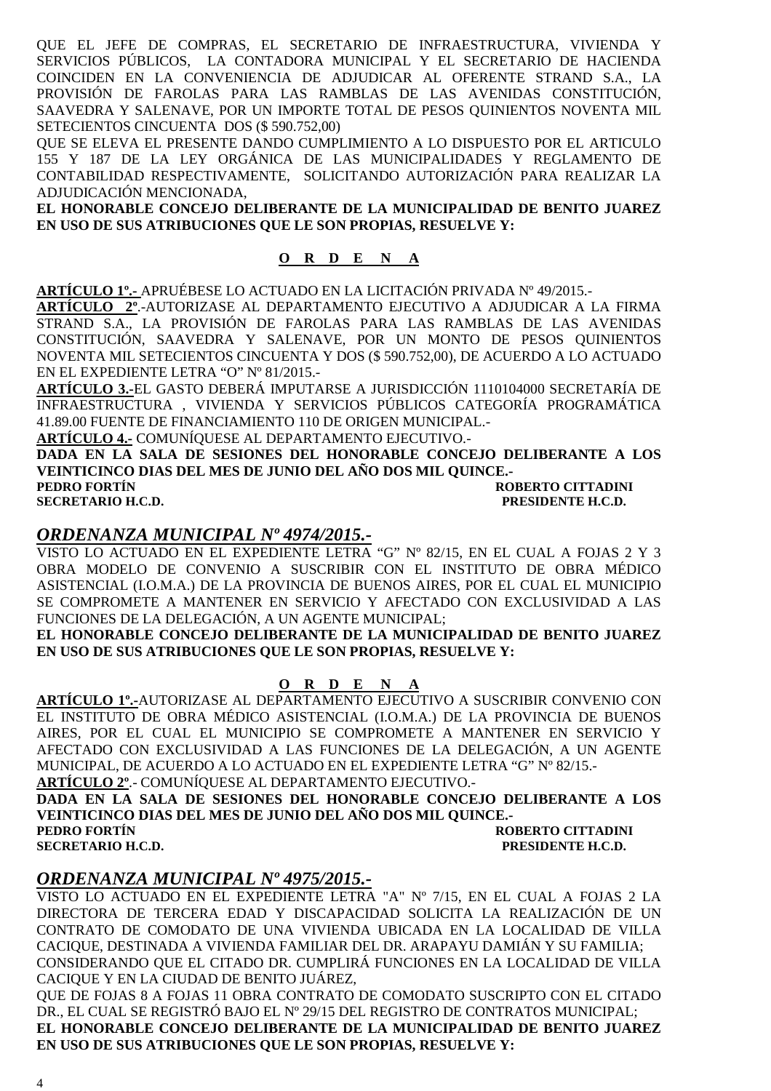QUE EL JEFE DE COMPRAS, EL SECRETARIO DE INFRAESTRUCTURA, VIVIENDA Y SERVICIOS PÚBLICOS, LA CONTADORA MUNICIPAL Y EL SECRETARIO DE HACIENDA COINCIDEN EN LA CONVENIENCIA DE ADJUDICAR AL OFERENTE STRAND S.A., LA PROVISIÓN DE FAROLAS PARA LAS RAMBLAS DE LAS AVENIDAS CONSTITUCIÓN, SAAVEDRA Y SALENAVE, POR UN IMPORTE TOTAL DE PESOS QUINIENTOS NOVENTA MIL SETECIENTOS CINCUENTA DOS (\$ 590.752,00)

QUE SE ELEVA EL PRESENTE DANDO CUMPLIMIENTO A LO DISPUESTO POR EL ARTICULO 155 Y 187 DE LA LEY ORGÁNICA DE LAS MUNICIPALIDADES Y REGLAMENTO DE CONTABILIDAD RESPECTIVAMENTE, SOLICITANDO AUTORIZACIÓN PARA REALIZAR LA ADJUDICACIÓN MENCIONADA,

**EL HONORABLE CONCEJO DELIBERANTE DE LA MUNICIPALIDAD DE BENITO JUAREZ EN USO DE SUS ATRIBUCIONES QUE LE SON PROPIAS, RESUELVE Y:** 

### **O R D E N A**

**ARTÍCULO 1º.-** APRUÉBESE LO ACTUADO EN LA LICITACIÓN PRIVADA Nº 49/2015.-

**ARTÍCULO 2º**.-AUTORIZASE AL DEPARTAMENTO EJECUTIVO A ADJUDICAR A LA FIRMA STRAND S.A., LA PROVISIÓN DE FAROLAS PARA LAS RAMBLAS DE LAS AVENIDAS CONSTITUCIÓN, SAAVEDRA Y SALENAVE, POR UN MONTO DE PESOS QUINIENTOS NOVENTA MIL SETECIENTOS CINCUENTA Y DOS (\$ 590.752,00), DE ACUERDO A LO ACTUADO EN EL EXPEDIENTE LETRA "O" Nº 81/2015.-

**ARTÍCULO 3.-**EL GASTO DEBERÁ IMPUTARSE A JURISDICCIÓN 1110104000 SECRETARÍA DE INFRAESTRUCTURA , VIVIENDA Y SERVICIOS PÚBLICOS CATEGORÍA PROGRAMÁTICA 41.89.00 FUENTE DE FINANCIAMIENTO 110 DE ORIGEN MUNICIPAL.-

**ARTÍCULO 4.-** COMUNÍQUESE AL DEPARTAMENTO EJECUTIVO.-

**DADA EN LA SALA DE SESIONES DEL HONORABLE CONCEJO DELIBERANTE A LOS VEINTICINCO DIAS DEL MES DE JUNIO DEL AÑO DOS MIL QUINCE.-**

**PEDRO FORTÍN ROBERTO CITTADINI SECRETARIO H.C.D. PRESIDENTE H.C.D.** 

### *ORDENANZA MUNICIPAL Nº 4974/2015.-*

VISTO LO ACTUADO EN EL EXPEDIENTE LETRA "G" Nº 82/15, EN EL CUAL A FOJAS 2 Y 3 OBRA MODELO DE CONVENIO A SUSCRIBIR CON EL INSTITUTO DE OBRA MÉDICO ASISTENCIAL (I.O.M.A.) DE LA PROVINCIA DE BUENOS AIRES, POR EL CUAL EL MUNICIPIO SE COMPROMETE A MANTENER EN SERVICIO Y AFECTADO CON EXCLUSIVIDAD A LAS FUNCIONES DE LA DELEGACIÓN, A UN AGENTE MUNICIPAL;

**EL HONORABLE CONCEJO DELIBERANTE DE LA MUNICIPALIDAD DE BENITO JUAREZ EN USO DE SUS ATRIBUCIONES QUE LE SON PROPIAS, RESUELVE Y:** 

#### **O R D E N A**

**ARTÍCULO 1º.-**AUTORIZASE AL DEPARTAMENTO EJECUTIVO A SUSCRIBIR CONVENIO CON EL INSTITUTO DE OBRA MÉDICO ASISTENCIAL (I.O.M.A.) DE LA PROVINCIA DE BUENOS AIRES, POR EL CUAL EL MUNICIPIO SE COMPROMETE A MANTENER EN SERVICIO Y AFECTADO CON EXCLUSIVIDAD A LAS FUNCIONES DE LA DELEGACIÓN, A UN AGENTE MUNICIPAL, DE ACUERDO A LO ACTUADO EN EL EXPEDIENTE LETRA "G" Nº 82/15.-

**ARTÍCULO 2º**.- COMUNÍQUESE AL DEPARTAMENTO EJECUTIVO.-

**DADA EN LA SALA DE SESIONES DEL HONORABLE CONCEJO DELIBERANTE A LOS VEINTICINCO DIAS DEL MES DE JUNIO DEL AÑO DOS MIL QUINCE.-**

#### **PEDRO FORTÍN ROBERTO CITTADINI SECRETARIO H.C.D. PRESIDENTE H.C.D.**

### *ORDENANZA MUNICIPAL Nº 4975/2015.-*

VISTO LO ACTUADO EN EL EXPEDIENTE LETRA "A" Nº 7/15, EN EL CUAL A FOJAS 2 LA DIRECTORA DE TERCERA EDAD Y DISCAPACIDAD SOLICITA LA REALIZACIÓN DE UN CONTRATO DE COMODATO DE UNA VIVIENDA UBICADA EN LA LOCALIDAD DE VILLA CACIQUE, DESTINADA A VIVIENDA FAMILIAR DEL DR. ARAPAYU DAMIÁN Y SU FAMILIA; CONSIDERANDO QUE EL CITADO DR. CUMPLIRÁ FUNCIONES EN LA LOCALIDAD DE VILLA CACIQUE Y EN LA CIUDAD DE BENITO JUÁREZ,

QUE DE FOJAS 8 A FOJAS 11 OBRA CONTRATO DE COMODATO SUSCRIPTO CON EL CITADO DR., EL CUAL SE REGISTRÓ BAJO EL Nº 29/15 DEL REGISTRO DE CONTRATOS MUNICIPAL; **EL HONORABLE CONCEJO DELIBERANTE DE LA MUNICIPALIDAD DE BENITO JUAREZ EN USO DE SUS ATRIBUCIONES QUE LE SON PROPIAS, RESUELVE Y:**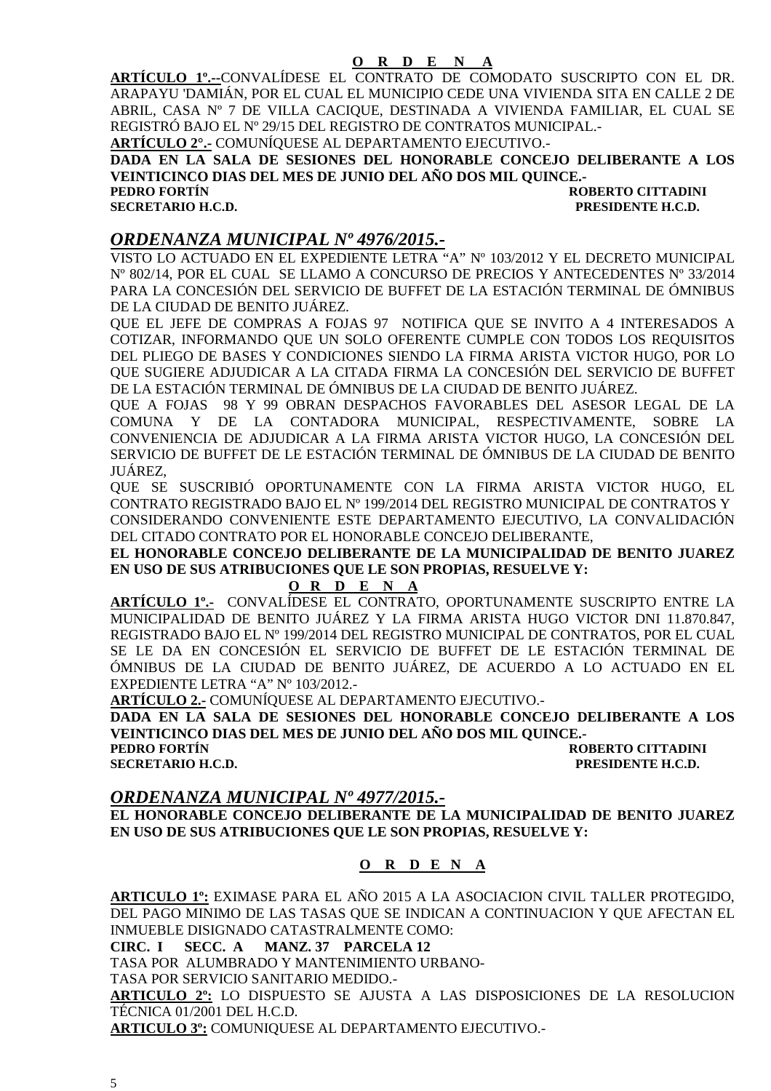**ARTÍCULO 1º.--**CONVALÍDESE EL CONTRATO DE COMODATO SUSCRIPTO CON EL DR. ARAPAYU 'DAMIÁN, POR EL CUAL EL MUNICIPIO CEDE UNA VIVIENDA SITA EN CALLE 2 DE ABRIL, CASA Nº 7 DE VILLA CACIQUE, DESTINADA A VIVIENDA FAMILIAR, EL CUAL SE REGISTRÓ BAJO EL Nº 29/15 DEL REGISTRO DE CONTRATOS MUNICIPAL.-

**ARTÍCULO 2°.-** COMUNÍQUESE AL DEPARTAMENTO EJECUTIVO.-

**DADA EN LA SALA DE SESIONES DEL HONORABLE CONCEJO DELIBERANTE A LOS VEINTICINCO DIAS DEL MES DE JUNIO DEL AÑO DOS MIL QUINCE.-** 

**ROBERTO CITTADINI SECRETARIO H.C.D. PRESIDENTE H.C.D.** 

### *ORDENANZA MUNICIPAL Nº 4976/2015.-*

VISTO LO ACTUADO EN EL EXPEDIENTE LETRA "A" Nº 103/2012 Y EL DECRETO MUNICIPAL Nº 802/14, POR EL CUAL SE LLAMO A CONCURSO DE PRECIOS Y ANTECEDENTES Nº 33/2014 PARA LA CONCESIÓN DEL SERVICIO DE BUFFET DE LA ESTACIÓN TERMINAL DE ÓMNIBUS DE LA CIUDAD DE BENITO JUÁREZ.

QUE EL JEFE DE COMPRAS A FOJAS 97 NOTIFICA QUE SE INVITO A 4 INTERESADOS A COTIZAR, INFORMANDO QUE UN SOLO OFERENTE CUMPLE CON TODOS LOS REQUISITOS DEL PLIEGO DE BASES Y CONDICIONES SIENDO LA FIRMA ARISTA VICTOR HUGO, POR LO QUE SUGIERE ADJUDICAR A LA CITADA FIRMA LA CONCESIÓN DEL SERVICIO DE BUFFET DE LA ESTACIÓN TERMINAL DE ÓMNIBUS DE LA CIUDAD DE BENITO JUÁREZ.

QUE A FOJAS 98 Y 99 OBRAN DESPACHOS FAVORABLES DEL ASESOR LEGAL DE LA COMUNA Y DE LA CONTADORA MUNICIPAL, RESPECTIVAMENTE, SOBRE LA CONVENIENCIA DE ADJUDICAR A LA FIRMA ARISTA VICTOR HUGO, LA CONCESIÓN DEL SERVICIO DE BUFFET DE LE ESTACIÓN TERMINAL DE ÓMNIBUS DE LA CIUDAD DE BENITO JUÁREZ,

QUE SE SUSCRIBIÓ OPORTUNAMENTE CON LA FIRMA ARISTA VICTOR HUGO, EL CONTRATO REGISTRADO BAJO EL Nº 199/2014 DEL REGISTRO MUNICIPAL DE CONTRATOS Y CONSIDERANDO CONVENIENTE ESTE DEPARTAMENTO EJECUTIVO, LA CONVALIDACIÓN DEL CITADO CONTRATO POR EL HONORABLE CONCEJO DELIBERANTE,

**EL HONORABLE CONCEJO DELIBERANTE DE LA MUNICIPALIDAD DE BENITO JUAREZ EN USO DE SUS ATRIBUCIONES QUE LE SON PROPIAS, RESUELVE Y:** 

#### **O R D E N A**

**ARTÍCULO 1º.-** CONVALÍDESE EL CONTRATO, OPORTUNAMENTE SUSCRIPTO ENTRE LA MUNICIPALIDAD DE BENITO JUÁREZ Y LA FIRMA ARISTA HUGO VICTOR DNI 11.870.847, REGISTRADO BAJO EL Nº 199/2014 DEL REGISTRO MUNICIPAL DE CONTRATOS, POR EL CUAL SE LE DA EN CONCESIÓN EL SERVICIO DE BUFFET DE LE ESTACIÓN TERMINAL DE ÓMNIBUS DE LA CIUDAD DE BENITO JUÁREZ, DE ACUERDO A LO ACTUADO EN EL EXPEDIENTE LETRA "A" Nº 103/2012.-

**ARTÍCULO 2.-** COMUNÍQUESE AL DEPARTAMENTO EJECUTIVO.-

**DADA EN LA SALA DE SESIONES DEL HONORABLE CONCEJO DELIBERANTE A LOS VEINTICINCO DIAS DEL MES DE JUNIO DEL AÑO DOS MIL QUINCE.-** 

**PEDRO FORTÍN ROBERTO CITTADINI SECRETARIO H.C.D. PRESIDENTE H.C.D.** 

#### *ORDENANZA MUNICIPAL Nº 4977/2015.-*

**EL HONORABLE CONCEJO DELIBERANTE DE LA MUNICIPALIDAD DE BENITO JUAREZ EN USO DE SUS ATRIBUCIONES QUE LE SON PROPIAS, RESUELVE Y:** 

#### **O R D E N A**

**ARTICULO 1º:** EXIMASE PARA EL AÑO 2015 A LA ASOCIACION CIVIL TALLER PROTEGIDO, DEL PAGO MINIMO DE LAS TASAS QUE SE INDICAN A CONTINUACION Y QUE AFECTAN EL INMUEBLE DISIGNADO CATASTRALMENTE COMO:

**CIRC. I SECC. A MANZ. 37 PARCELA 12** 

TASA POR ALUMBRADO Y MANTENIMIENTO URBANO-

TASA POR SERVICIO SANITARIO MEDIDO.-

**ARTICULO 2º:** LO DISPUESTO SE AJUSTA A LAS DISPOSICIONES DE LA RESOLUCION TÉCNICA 01/2001 DEL H.C.D.

**ARTICULO 3º:** COMUNIQUESE AL DEPARTAMENTO EJECUTIVO.-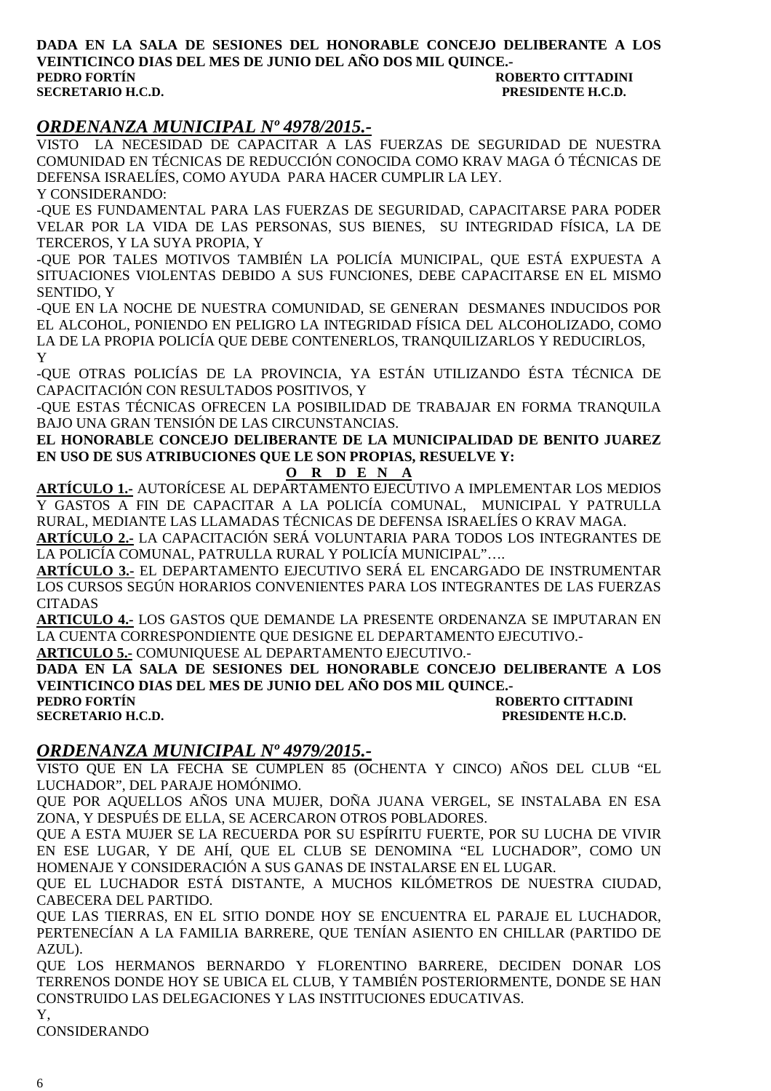#### **DADA EN LA SALA DE SESIONES DEL HONORABLE CONCEJO DELIBERANTE A LOS VEINTICINCO DIAS DEL MES DE JUNIO DEL AÑO DOS MIL QUINCE.- ROBERTO CITTADINI SECRETARIO H.C.D. PRESIDENTE H.C.D.**

### *ORDENANZA MUNICIPAL Nº 4978/2015.-*

VISTO LA NECESIDAD DE CAPACITAR A LAS FUERZAS DE SEGURIDAD DE NUESTRA COMUNIDAD EN TÉCNICAS DE REDUCCIÓN CONOCIDA COMO KRAV MAGA Ó TÉCNICAS DE DEFENSA ISRAELÍES, COMO AYUDA PARA HACER CUMPLIR LA LEY. Y CONSIDERANDO:

-QUE ES FUNDAMENTAL PARA LAS FUERZAS DE SEGURIDAD, CAPACITARSE PARA PODER VELAR POR LA VIDA DE LAS PERSONAS, SUS BIENES, SU INTEGRIDAD FÍSICA, LA DE TERCEROS, Y LA SUYA PROPIA, Y

-QUE POR TALES MOTIVOS TAMBIÉN LA POLICÍA MUNICIPAL, QUE ESTÁ EXPUESTA A SITUACIONES VIOLENTAS DEBIDO A SUS FUNCIONES, DEBE CAPACITARSE EN EL MISMO SENTIDO, Y

-QUE EN LA NOCHE DE NUESTRA COMUNIDAD, SE GENERAN DESMANES INDUCIDOS POR EL ALCOHOL, PONIENDO EN PELIGRO LA INTEGRIDAD FÍSICA DEL ALCOHOLIZADO, COMO LA DE LA PROPIA POLICÍA QUE DEBE CONTENERLOS, TRANQUILIZARLOS Y REDUCIRLOS, Y

-QUE OTRAS POLICÍAS DE LA PROVINCIA, YA ESTÁN UTILIZANDO ÉSTA TÉCNICA DE CAPACITACIÓN CON RESULTADOS POSITIVOS, Y

-QUE ESTAS TÉCNICAS OFRECEN LA POSIBILIDAD DE TRABAJAR EN FORMA TRANQUILA BAJO UNA GRAN TENSIÓN DE LAS CIRCUNSTANCIAS.

**EL HONORABLE CONCEJO DELIBERANTE DE LA MUNICIPALIDAD DE BENITO JUAREZ EN USO DE SUS ATRIBUCIONES QUE LE SON PROPIAS, RESUELVE Y:** 

#### **O R D E N A**

**ARTÍCULO 1.-** AUTORÍCESE AL DEPARTAMENTO EJECUTIVO A IMPLEMENTAR LOS MEDIOS Y GASTOS A FIN DE CAPACITAR A LA POLICÍA COMUNAL, MUNICIPAL Y PATRULLA RURAL, MEDIANTE LAS LLAMADAS TÉCNICAS DE DEFENSA ISRAELÍES O KRAV MAGA.

**ARTÍCULO 2.-** LA CAPACITACIÓN SERÁ VOLUNTARIA PARA TODOS LOS INTEGRANTES DE LA POLICÍA COMUNAL, PATRULLA RURAL Y POLICÍA MUNICIPAL"….

**ARTÍCULO 3.-** EL DEPARTAMENTO EJECUTIVO SERÁ EL ENCARGADO DE INSTRUMENTAR LOS CURSOS SEGÚN HORARIOS CONVENIENTES PARA LOS INTEGRANTES DE LAS FUERZAS CITADAS

**ARTICULO 4.-** LOS GASTOS QUE DEMANDE LA PRESENTE ORDENANZA SE IMPUTARAN EN LA CUENTA CORRESPONDIENTE QUE DESIGNE EL DEPARTAMENTO EJECUTIVO.-

**ARTICULO 5.-** COMUNIQUESE AL DEPARTAMENTO EJECUTIVO.-

**DADA EN LA SALA DE SESIONES DEL HONORABLE CONCEJO DELIBERANTE A LOS VEINTICINCO DIAS DEL MES DE JUNIO DEL AÑO DOS MIL QUINCE.-** 

**ROBERTO CITTADINI SECRETARIO H.C.D. PRESIDENTE H.C.D.** 

#### *ORDENANZA MUNICIPAL Nº 4979/2015.-*

VISTO QUE EN LA FECHA SE CUMPLEN 85 (OCHENTA Y CINCO) AÑOS DEL CLUB "EL LUCHADOR", DEL PARAJE HOMÓNIMO.

QUE POR AQUELLOS AÑOS UNA MUJER, DOÑA JUANA VERGEL, SE INSTALABA EN ESA ZONA, Y DESPUÉS DE ELLA, SE ACERCARON OTROS POBLADORES.

QUE A ESTA MUJER SE LA RECUERDA POR SU ESPÍRITU FUERTE, POR SU LUCHA DE VIVIR EN ESE LUGAR, Y DE AHÍ, QUE EL CLUB SE DENOMINA "EL LUCHADOR", COMO UN HOMENAJE Y CONSIDERACIÓN A SUS GANAS DE INSTALARSE EN EL LUGAR.

QUE EL LUCHADOR ESTÁ DISTANTE, A MUCHOS KILÓMETROS DE NUESTRA CIUDAD, CABECERA DEL PARTIDO.

QUE LAS TIERRAS, EN EL SITIO DONDE HOY SE ENCUENTRA EL PARAJE EL LUCHADOR, PERTENECÍAN A LA FAMILIA BARRERE, QUE TENÍAN ASIENTO EN CHILLAR (PARTIDO DE AZUL).

QUE LOS HERMANOS BERNARDO Y FLORENTINO BARRERE, DECIDEN DONAR LOS TERRENOS DONDE HOY SE UBICA EL CLUB, Y TAMBIÉN POSTERIORMENTE, DONDE SE HAN CONSTRUIDO LAS DELEGACIONES Y LAS INSTITUCIONES EDUCATIVAS.

Y,

CONSIDERANDO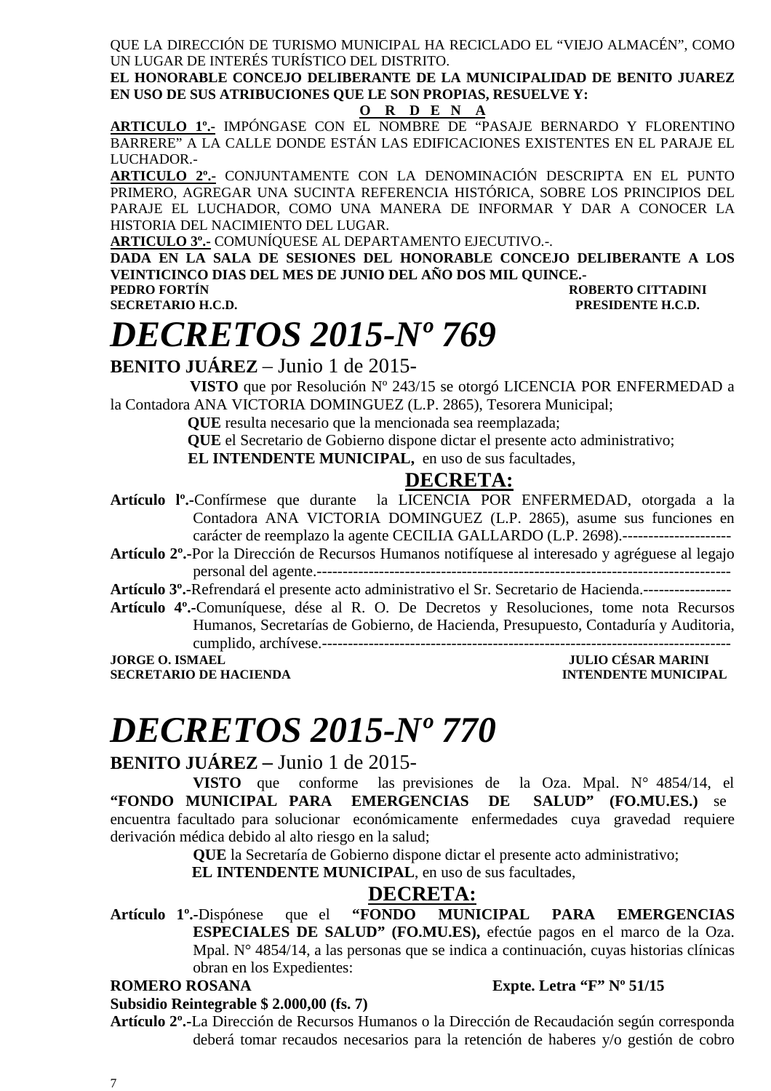QUE LA DIRECCIÓN DE TURISMO MUNICIPAL HA RECICLADO EL "VIEJO ALMACÉN", COMO UN LUGAR DE INTERÉS TURÍSTICO DEL DISTRITO.

**EL HONORABLE CONCEJO DELIBERANTE DE LA MUNICIPALIDAD DE BENITO JUAREZ EN USO DE SUS ATRIBUCIONES QUE LE SON PROPIAS, RESUELVE Y:** 

#### **O R D E N A**

**ARTICULO 1º.-** IMPÓNGASE CON EL NOMBRE DE "PASAJE BERNARDO Y FLORENTINO BARRERE" A LA CALLE DONDE ESTÁN LAS EDIFICACIONES EXISTENTES EN EL PARAJE EL LUCHADOR.-

**ARTICULO 2º.-** CONJUNTAMENTE CON LA DENOMINACIÓN DESCRIPTA EN EL PUNTO PRIMERO, AGREGAR UNA SUCINTA REFERENCIA HISTÓRICA, SOBRE LOS PRINCIPIOS DEL PARAJE EL LUCHADOR, COMO UNA MANERA DE INFORMAR Y DAR A CONOCER LA HISTORIA DEL NACIMIENTO DEL LUGAR.

**ARTICULO 3º.-** COMUNÍQUESE AL DEPARTAMENTO EJECUTIVO.-.

**DADA EN LA SALA DE SESIONES DEL HONORABLE CONCEJO DELIBERANTE A LOS VEINTICINCO DIAS DEL MES DE JUNIO DEL AÑO DOS MIL QUINCE.-** 

**PEDRO FORTÍN ROBERTO CITTADINI**  PRESIDENTE **H.C.D.** 

# *DECRETOS 2015-Nº 769*

**BENITO JUÁREZ** – Junio 1 de 2015-

 **VISTO** que por Resolución Nº 243/15 se otorgó LICENCIA POR ENFERMEDAD a la Contadora ANA VICTORIA DOMINGUEZ (L.P. 2865), Tesorera Municipal;

 **QUE** resulta necesario que la mencionada sea reemplazada;

 **QUE** el Secretario de Gobierno dispone dictar el presente acto administrativo; **EL INTENDENTE MUNICIPAL,** en uso de sus facultades,

### **DECRETA:**

**Artículo lº.-**Confírmese que durante la LICENCIA POR ENFERMEDAD, otorgada a la Contadora ANA VICTORIA DOMINGUEZ (L.P. 2865), asume sus funciones en carácter de reemplazo la agente CECILIA GALLARDO (L.P. 2698).---------------------

**Artículo 2º.-**Por la Dirección de Recursos Humanos notifíquese al interesado y agréguese al legajo personal del agente.--------------------------------------------------------------------------------

**Artículo 3º.-**Refrendará el presente acto administrativo el Sr. Secretario de Hacienda.-----------------

**Artículo 4º.-**Comuníquese, dése al R. O. De Decretos y Resoluciones, tome nota Recursos Humanos, Secretarías de Gobierno, de Hacienda, Presupuesto, Contaduría y Auditoria,

cumplido, archívese.-------------------------------------------------------------------------------

**SECRETARIO DE HACIENDA** 

**JULIO CÉSAR MARINI<br>INTENDENTE MUNICIPAL** 

# *DECRETOS 2015-Nº 770*

### **BENITO JUÁREZ –** Junio 1 de 2015-

**VISTO** que conforme las previsiones de la Oza. Mpal. N° 4854/14, el **"FONDO MUNICIPAL PARA EMERGENCIAS DE SALUD" (FO.MU.ES.)** se encuentra facultado para solucionar económicamente enfermedades cuya gravedad requiere derivación médica debido al alto riesgo en la salud;

**QUE** la Secretaría de Gobierno dispone dictar el presente acto administrativo;

**EL INTENDENTE MUNICIPAL**, en uso de sus facultades,

### **DECRETA:**

**Artículo 1º.-**Dispónese que el **"FONDO MUNICIPAL PARA EMERGENCIAS ESPECIALES DE SALUD" (FO.MU.ES),** efectúe pagos en el marco de la Oza. Mpal. N° 4854/14, a las personas que se indica a continuación, cuyas historias clínicas obran en los Expedientes:

#### **ROMERO ROSANA Expte. Letra "F" Nº 51/15**

**Subsidio Reintegrable \$ 2.000,00 (fs. 7)** 

**Artículo 2º.-**La Dirección de Recursos Humanos o la Dirección de Recaudación según corresponda deberá tomar recaudos necesarios para la retención de haberes y/o gestión de cobro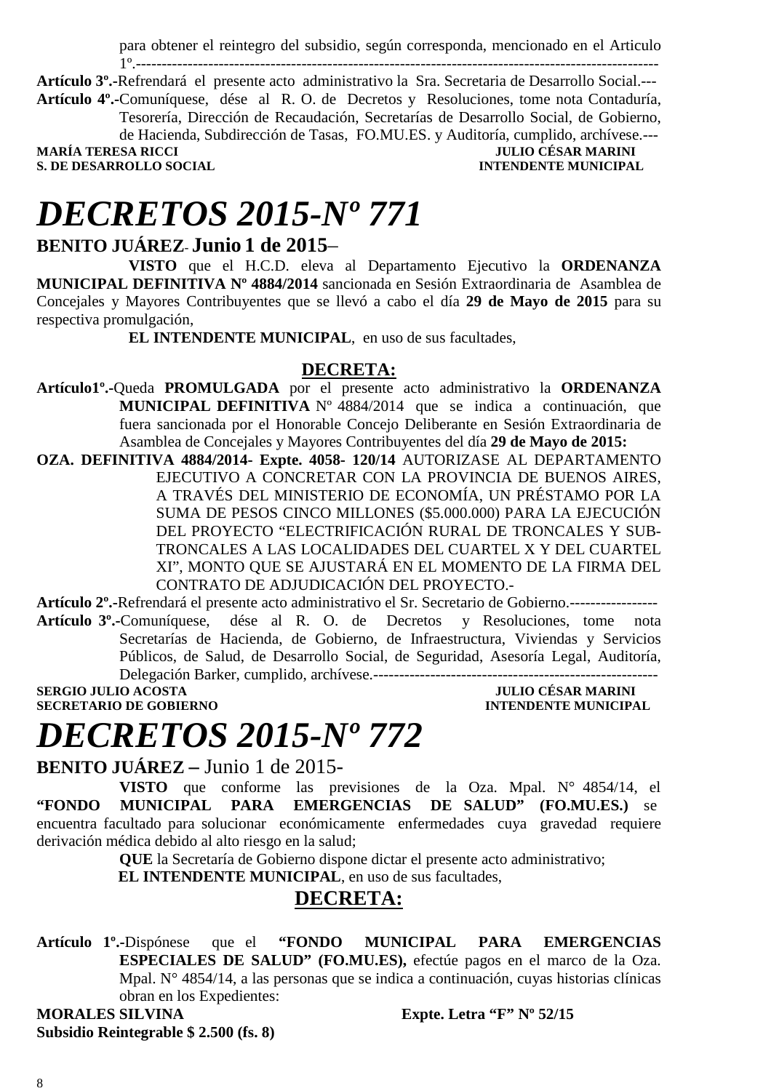para obtener el reintegro del subsidio, según corresponda, mencionado en el Articulo 1º.-----------------------------------------------------------------------------------------------------

**Artículo 3º.-**Refrendará el presente acto administrativo la Sra. Secretaria de Desarrollo Social.--- **Artículo 4º.-**Comuníquese, dése al R. O. de Decretos y Resoluciones, tome nota Contaduría, Tesorería, Dirección de Recaudación, Secretarías de Desarrollo Social, de Gobierno,

de Hacienda, Subdirección de Tasas, FO.MU.ES. y Auditoría, cumplido, archívese.--- **MARÍA TERESA RICCI JULIO CÉSAR MARINI S. DE DESARROLLO SOCIAL** 

# *DECRETOS 2015-Nº 771*

### **BENITO JUÁREZ**- **Junio 1 de 2015**–

**VISTO** que el H.C.D. eleva al Departamento Ejecutivo la **ORDENANZA MUNICIPAL DEFINITIVA Nº 4884/2014** sancionada en Sesión Extraordinaria de Asamblea de Concejales y Mayores Contribuyentes que se llevó a cabo el día **29 de Mayo de 2015** para su respectiva promulgación,

**EL INTENDENTE MUNICIPAL**, en uso de sus facultades,

### **DECRETA:**

**Artículo1º.-**Queda **PROMULGADA** por el presente acto administrativo la **ORDENANZA MUNICIPAL DEFINITIVA** Nº 4884/2014 que se indica a continuación, que fuera sancionada por el Honorable Concejo Deliberante en Sesión Extraordinaria de Asamblea de Concejales y Mayores Contribuyentes del día **29 de Mayo de 2015:** 

**OZA. DEFINITIVA 4884/2014- Expte. 4058- 120/14** AUTORIZASE AL DEPARTAMENTO EJECUTIVO A CONCRETAR CON LA PROVINCIA DE BUENOS AIRES, A TRAVÉS DEL MINISTERIO DE ECONOMÍA, UN PRÉSTAMO POR LA SUMA DE PESOS CINCO MILLONES (\$5.000.000) PARA LA EJECUCIÓN DEL PROYECTO "ELECTRIFICACIÓN RURAL DE TRONCALES Y SUB-TRONCALES A LAS LOCALIDADES DEL CUARTEL X Y DEL CUARTEL XI", MONTO QUE SE AJUSTARÁ EN EL MOMENTO DE LA FIRMA DEL CONTRATO DE ADJUDICACIÓN DEL PROYECTO.-

**Artículo 2º.-**Refrendará el presente acto administrativo el Sr. Secretario de Gobierno.-----------------

**Artículo 3º.-**Comuníquese, dése al R. O. de Decretos y Resoluciones, tome nota Secretarías de Hacienda, de Gobierno, de Infraestructura, Viviendas y Servicios Públicos, de Salud, de Desarrollo Social, de Seguridad, Asesoría Legal, Auditoría, Delegación Barker, cumplido, archívese.-------------------------------------------------------

**SERGIO JULIO ACOSTA JULIO CÉSAR MARINI SECRETARIO DE GOBIERNO INTENDENTE MUNICIPAL** 

# *DECRETOS 2015-Nº 772*

**BENITO JUÁREZ –** Junio 1 de 2015-

**VISTO** que conforme las previsiones de la Oza. Mpal. N° 4854/14, el **"FONDO MUNICIPAL PARA EMERGENCIAS DE SALUD" (FO.MU.ES.)** se encuentra facultado para solucionar económicamente enfermedades cuya gravedad requiere derivación médica debido al alto riesgo en la salud;

**QUE** la Secretaría de Gobierno dispone dictar el presente acto administrativo;

**EL INTENDENTE MUNICIPAL**, en uso de sus facultades,

### **DECRETA:**

**Artículo 1º.-**Dispónese que el **"FONDO MUNICIPAL PARA EMERGENCIAS ESPECIALES DE SALUD" (FO.MU.ES),** efectúe pagos en el marco de la Oza. Mpal. N° 4854/14, a las personas que se indica a continuación, cuyas historias clínicas obran en los Expedientes:

**MORALES SILVINA Expte. Letra "F" Nº 52/15 Subsidio Reintegrable \$ 2.500 (fs. 8)**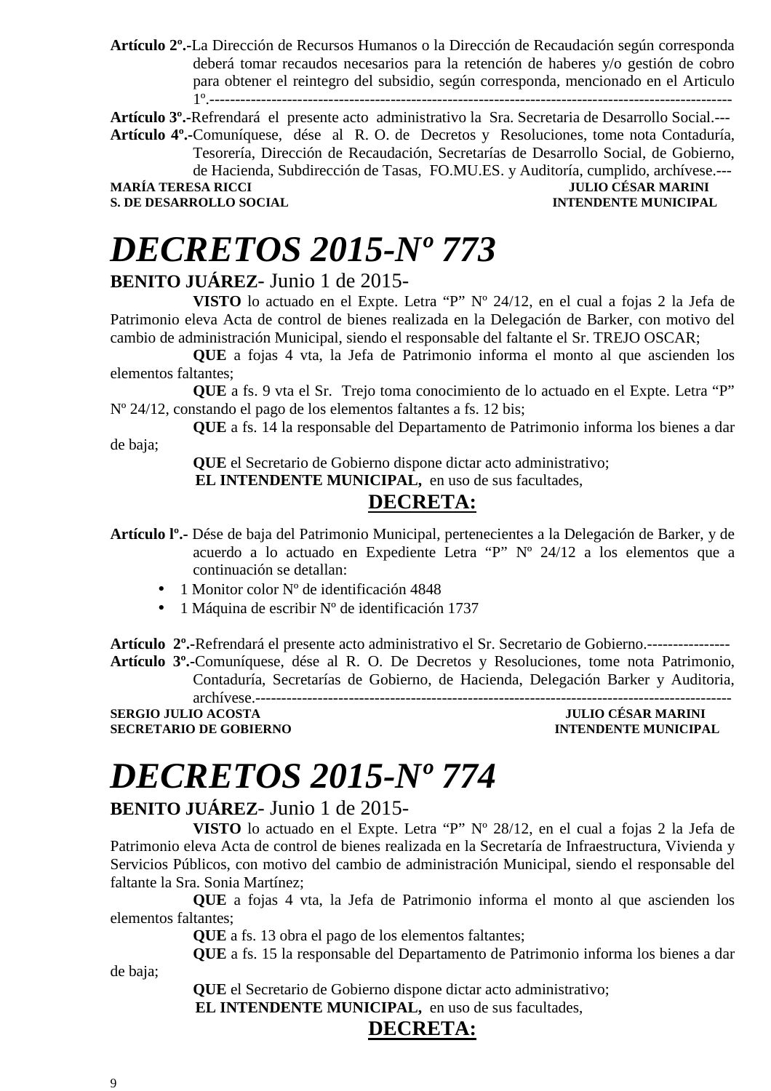**Artículo 2º.-**La Dirección de Recursos Humanos o la Dirección de Recaudación según corresponda deberá tomar recaudos necesarios para la retención de haberes y/o gestión de cobro para obtener el reintegro del subsidio, según corresponda, mencionado en el Articulo 1º.-----------------------------------------------------------------------------------------------------

**Artículo 3º.-**Refrendará el presente acto administrativo la Sra. Secretaria de Desarrollo Social.---

**Artículo 4º.-**Comuníquese, dése al R. O. de Decretos y Resoluciones, tome nota Contaduría, Tesorería, Dirección de Recaudación, Secretarías de Desarrollo Social, de Gobierno, de Hacienda, Subdirección de Tasas, FO.MU.ES. y Auditoría, cumplido, archívese.---<br>IULIO CÉSAR MARINI **JULIO CÉSAR MARINI S. DE DESARROLLO SOCIAL INTENDENTE MUNICIPAL** 

# *DECRETOS 2015-Nº 773*

### **BENITO JUÁREZ**- Junio 1 de 2015-

**VISTO** lo actuado en el Expte. Letra "P" Nº 24/12, en el cual a fojas 2 la Jefa de Patrimonio eleva Acta de control de bienes realizada en la Delegación de Barker, con motivo del cambio de administración Municipal, siendo el responsable del faltante el Sr. TREJO OSCAR;

**QUE** a fojas 4 vta, la Jefa de Patrimonio informa el monto al que ascienden los elementos faltantes;

**QUE** a fs. 9 vta el Sr. Trejo toma conocimiento de lo actuado en el Expte. Letra "P" Nº 24/12, constando el pago de los elementos faltantes a fs. 12 bis;

**QUE** a fs. 14 la responsable del Departamento de Patrimonio informa los bienes a dar de baja;

 **QUE** el Secretario de Gobierno dispone dictar acto administrativo;

 **EL INTENDENTE MUNICIPAL,** en uso de sus facultades,

## **DECRETA:**

**Artículo lº.-** Dése de baja del Patrimonio Municipal, pertenecientes a la Delegación de Barker, y de acuerdo a lo actuado en Expediente Letra "P" Nº 24/12 a los elementos que a continuación se detallan:

- 1 Monitor color N° de identificación 4848
- 1 Máquina de escribir Nº de identificación 1737

**Artículo 2º.-**Refrendará el presente acto administrativo el Sr. Secretario de Gobierno.---------------- **Artículo 3º.-**Comuníquese, dése al R. O. De Decretos y Resoluciones, tome nota Patrimonio, Contaduría, Secretarías de Gobierno, de Hacienda, Delegación Barker y Auditoria,

archívese.--------------------------------------------------------------------------------------------

**SERGIO JULIO ACOSTA JULIO CÉSAR MARINI SECRETARIO DE GOBIERNO** 

# *DECRETOS 2015-Nº 774*

### **BENITO JUÁREZ**- Junio 1 de 2015-

**VISTO** lo actuado en el Expte. Letra "P" Nº 28/12, en el cual a fojas 2 la Jefa de Patrimonio eleva Acta de control de bienes realizada en la Secretaría de Infraestructura, Vivienda y Servicios Públicos, con motivo del cambio de administración Municipal, siendo el responsable del faltante la Sra. Sonia Martínez;

**QUE** a fojas 4 vta, la Jefa de Patrimonio informa el monto al que ascienden los elementos faltantes;

**QUE** a fs. 13 obra el pago de los elementos faltantes;

**QUE** a fs. 15 la responsable del Departamento de Patrimonio informa los bienes a dar

 **QUE** el Secretario de Gobierno dispone dictar acto administrativo;

 **EL INTENDENTE MUNICIPAL,** en uso de sus facultades,

## **DECRETA:**

de baja;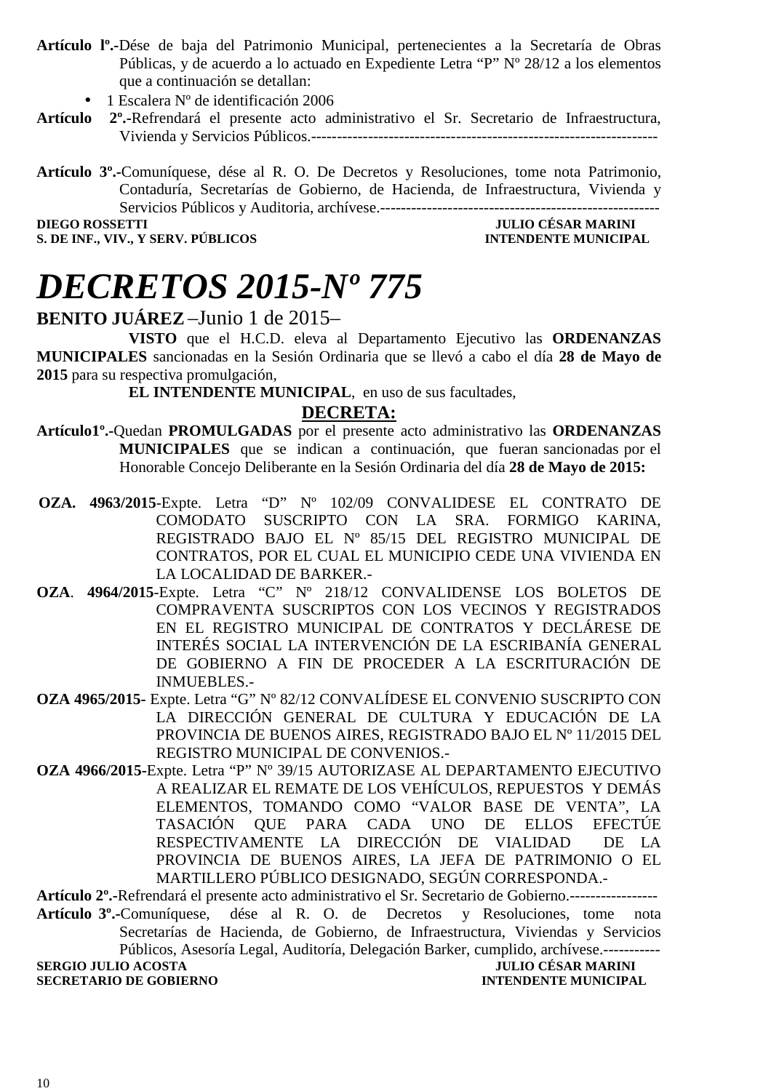- **Artículo lº.-**Dése de baja del Patrimonio Municipal, pertenecientes a la Secretaría de Obras Públicas, y de acuerdo a lo actuado en Expediente Letra "P" Nº 28/12 a los elementos que a continuación se detallan:
	- 1 Escalera Nº de identificación 2006
- **Artículo 2º.-**Refrendará el presente acto administrativo el Sr. Secretario de Infraestructura, Vivienda y Servicios Públicos.-------------------------------------------------------------------
- **Artículo 3º.-**Comuníquese, dése al R. O. De Decretos y Resoluciones, tome nota Patrimonio, Contaduría, Secretarías de Gobierno, de Hacienda, de Infraestructura, Vivienda y Servicios Públicos y Auditoria, archívese.------------------------------------------------------

**DIEGO ROSSETTI** JULIO CÉSAR MARINI **S. DE INF., VIV., Y SERV. PÚBLICOS INTENDENTE MUNICIPAL** 

# *DECRETOS 2015-Nº 775*

### **BENITO JUÁREZ** –Junio 1 de 2015–

**VISTO** que el H.C.D. eleva al Departamento Ejecutivo las **ORDENANZAS MUNICIPALES** sancionadas en la Sesión Ordinaria que se llevó a cabo el día **28 de Mayo de 2015** para su respectiva promulgación,

**EL INTENDENTE MUNICIPAL**, en uso de sus facultades,

### **DECRETA:**

- **Artículo1º.-**Quedan **PROMULGADAS** por el presente acto administrativo las **ORDENANZAS MUNICIPALES** que se indican a continuación, que fueran sancionadas por el Honorable Concejo Deliberante en la Sesión Ordinaria del día **28 de Mayo de 2015:**
- **OZA. 4963/2015**-Expte. Letra "D" Nº 102/09 CONVALIDESE EL CONTRATO DE COMODATO SUSCRIPTO CON LA SRA. FORMIGO KARINA, REGISTRADO BAJO EL Nº 85/15 DEL REGISTRO MUNICIPAL DE CONTRATOS, POR EL CUAL EL MUNICIPIO CEDE UNA VIVIENDA EN LA LOCALIDAD DE BARKER.-
- **OZA**. **4964/2015**-Expte. Letra "C" Nº 218/12 CONVALIDENSE LOS BOLETOS DE COMPRAVENTA SUSCRIPTOS CON LOS VECINOS Y REGISTRADOS EN EL REGISTRO MUNICIPAL DE CONTRATOS Y DECLÁRESE DE INTERÉS SOCIAL LA INTERVENCIÓN DE LA ESCRIBANÍA GENERAL DE GOBIERNO A FIN DE PROCEDER A LA ESCRITURACIÓN DE INMUEBLES.-
- **OZA 4965/2015-** Expte. Letra "G" Nº 82/12 CONVALÍDESE EL CONVENIO SUSCRIPTO CON LA DIRECCIÓN GENERAL DE CULTURA Y EDUCACIÓN DE LA PROVINCIA DE BUENOS AIRES, REGISTRADO BAJO EL Nº 11/2015 DEL REGISTRO MUNICIPAL DE CONVENIOS.-
- **OZA 4966/2015-**Expte. Letra "P" Nº 39/15 AUTORIZASE AL DEPARTAMENTO EJECUTIVO A REALIZAR EL REMATE DE LOS VEHÍCULOS, REPUESTOS Y DEMÁS ELEMENTOS, TOMANDO COMO "VALOR BASE DE VENTA", LA TASACIÓN QUE PARA CADA UNO DE ELLOS EFECTÚE RESPECTIVAMENTE LA DIRECCIÓN DE VIALIDAD DE LA PROVINCIA DE BUENOS AIRES, LA JEFA DE PATRIMONIO O EL MARTILLERO PÚBLICO DESIGNADO, SEGÚN CORRESPONDA.-

**Artículo 2º.-**Refrendará el presente acto administrativo el Sr. Secretario de Gobierno.-----------------

**Artículo 3º.-**Comuníquese, dése al R. O. de Decretos y Resoluciones, tome nota Secretarías de Hacienda, de Gobierno, de Infraestructura, Viviendas y Servicios Públicos, Asesoría Legal, Auditoría, Delegación Barker, cumplido, archívese.----------- **SERGIO JULIO ACOSTA JULIO CÉSAR MARINI SECRETARIO DE GOBIERNO INTENDENTE MUNICIPAL**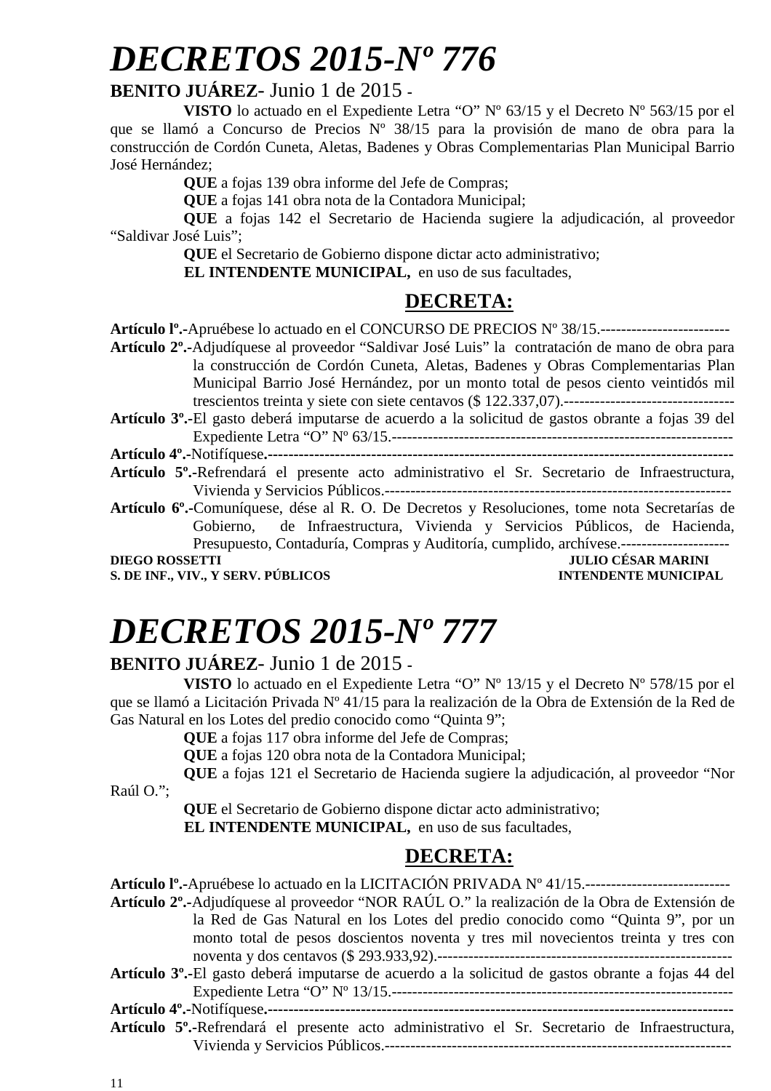### **BENITO JUÁREZ**- Junio 1 de 2015 **-**

**VISTO** lo actuado en el Expediente Letra "O" Nº 63/15 y el Decreto Nº 563/15 por el que se llamó a Concurso de Precios Nº 38/15 para la provisión de mano de obra para la construcción de Cordón Cuneta, Aletas, Badenes y Obras Complementarias Plan Municipal Barrio José Hernández;

**QUE** a fojas 139 obra informe del Jefe de Compras;

**QUE** a fojas 141 obra nota de la Contadora Municipal;

**QUE** a fojas 142 el Secretario de Hacienda sugiere la adjudicación, al proveedor "Saldivar José Luis";

**QUE** el Secretario de Gobierno dispone dictar acto administrativo;

**EL INTENDENTE MUNICIPAL,** en uso de sus facultades,

## **DECRETA:**

**S. DE INF., VIV., Y SERV. PÚBLICOS INTENDENTE MUNICIPAL** 

# *DECRETOS 2015-Nº 777*

### **BENITO JUÁREZ**- Junio 1 de 2015 **-**

**VISTO** lo actuado en el Expediente Letra "O" Nº 13/15 y el Decreto Nº 578/15 por el que se llamó a Licitación Privada Nº 41/15 para la realización de la Obra de Extensión de la Red de Gas Natural en los Lotes del predio conocido como "Quinta 9";

**QUE** a fojas 117 obra informe del Jefe de Compras;

**QUE** a fojas 120 obra nota de la Contadora Municipal;

**QUE** a fojas 121 el Secretario de Hacienda sugiere la adjudicación, al proveedor "Nor

Raúl O.";

**QUE** el Secretario de Gobierno dispone dictar acto administrativo;

**EL INTENDENTE MUNICIPAL,** en uso de sus facultades,

## **DECRETA:**

| <b>Artículo I°.-</b> Apruébese lo actuado en la LICITACIÓN PRIVADA Nº 41/15.----------------------------   |
|------------------------------------------------------------------------------------------------------------|
| Artículo 2 <sup>°</sup> .-Adjudíquese al proveedor "NOR RAÚL O." la realización de la Obra de Extensión de |
| la Red de Gas Natural en los Lotes del predio conocido como "Quinta 9", por un                             |
| monto total de pesos doscientos noventa y tres mil novecientos treinta y tres con                          |
|                                                                                                            |
| <b>Artículo 3°.-El</b> gasto deberá imputarse de acuerdo a la solicitud de gastos obrante a fojas 44 del   |
|                                                                                                            |
|                                                                                                            |
| Artículo 5 <sup>°</sup> .-Refrendará el presente acto administrativo el Sr. Secretario de Infraestructura, |
| Vivienda y Servicios Públicos.---                                                                          |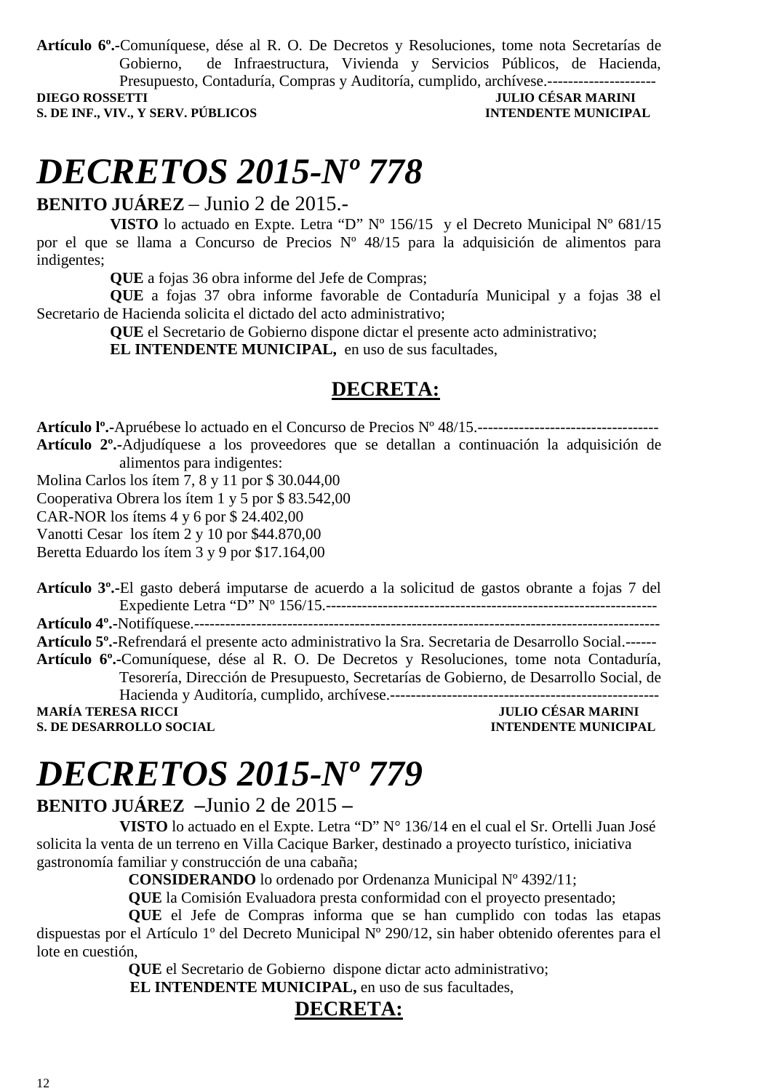**Artículo 6º.-**Comuníquese, dése al R. O. De Decretos y Resoluciones, tome nota Secretarías de Gobierno, de Infraestructura, Vivienda y Servicios Públicos, de Hacienda, Presupuesto, Contaduría, Compras y Auditoría, cumplido, archívese.---------------------

**S. DE INF., VIV., Y SERV. PÚBLICOS INTENDENTE MUNICIPAL** 

# **JULIO CÉSAR MARINI**

# *DECRETOS 2015-Nº 778*

**BENITO JUÁREZ** – Junio 2 de 2015.-

**VISTO** lo actuado en Expte. Letra "D" Nº 156/15 y el Decreto Municipal Nº 681/15 por el que se llama a Concurso de Precios Nº 48/15 para la adquisición de alimentos para indigentes;

**QUE** a fojas 36 obra informe del Jefe de Compras;

**QUE** a fojas 37 obra informe favorable de Contaduría Municipal y a fojas 38 el Secretario de Hacienda solicita el dictado del acto administrativo;

**QUE** el Secretario de Gobierno dispone dictar el presente acto administrativo;

**EL INTENDENTE MUNICIPAL,** en uso de sus facultades,

### **DECRETA:**

**Artículo lº.-**Apruébese lo actuado en el Concurso de Precios Nº 48/15.----------------------------------- **Artículo 2º.-**Adjudíquese a los proveedores que se detallan a continuación la adquisición de alimentos para indigentes:

Molina Carlos los ítem 7, 8 y 11 por \$ 30.044,00

Cooperativa Obrera los ítem 1 y 5 por \$ 83.542,00

CAR-NOR los ítems 4 y 6 por \$ 24.402,00

Vanotti Cesar los ítem 2 y 10 por \$44.870,00

Beretta Eduardo los ítem 3 y 9 por \$17.164,00

**Artículo 3º.-**El gasto deberá imputarse de acuerdo a la solicitud de gastos obrante a fojas 7 del Expediente Letra "D" Nº 156/15.---------------------------------------------------------------- **Artículo 4º.-**Notifíquese.------------------------------------------------------------------------------------------

**Artículo 5º.-**Refrendará el presente acto administrativo la Sra. Secretaria de Desarrollo Social.------ **Artículo 6º.-**Comuníquese, dése al R. O. De Decretos y Resoluciones, tome nota Contaduría, Tesorería, Dirección de Presupuesto, Secretarías de Gobierno, de Desarrollo Social, de Hacienda y Auditoría, cumplido, archívese.----------------------------------------------------

**JULIO CÉSAR MARINI S. DE DESARROLLO SOCIAL DESPETE MUNICIPAL SOCIAL DESARROLLO SOCIAL** 

# *DECRETOS 2015-Nº 779*

### **BENITO JUÁREZ –**Junio 2 de 2015 **–**

 **VISTO** lo actuado en el Expte. Letra "D" N° 136/14 en el cual el Sr. Ortelli Juan José solicita la venta de un terreno en Villa Cacique Barker, destinado a proyecto turístico, iniciativa gastronomía familiar y construcción de una cabaña;

**CONSIDERANDO** lo ordenado por Ordenanza Municipal Nº 4392/11;

**QUE** la Comisión Evaluadora presta conformidad con el proyecto presentado;

**QUE** el Jefe de Compras informa que se han cumplido con todas las etapas dispuestas por el Artículo 1º del Decreto Municipal Nº 290/12, sin haber obtenido oferentes para el lote en cuestión,

**QUE** el Secretario de Gobierno dispone dictar acto administrativo;

 **EL INTENDENTE MUNICIPAL,** en uso de sus facultades,

### **DECRETA:**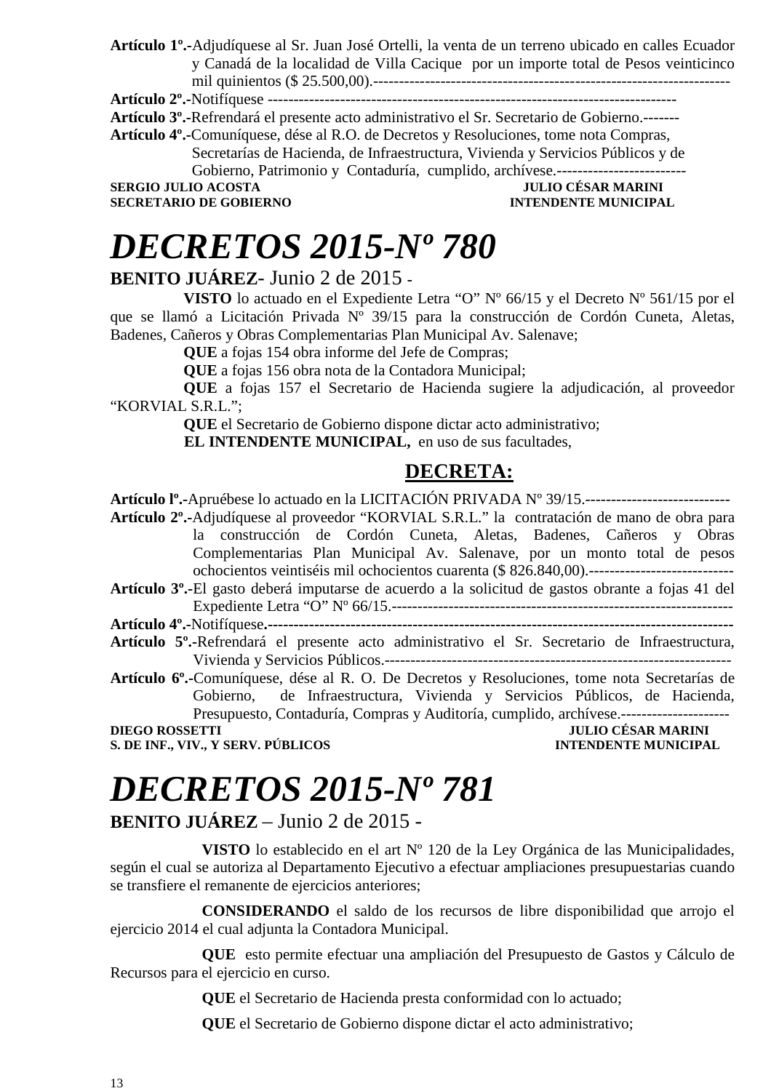**Artículo 1º.-**Adjudíquese al Sr. Juan José Ortelli, la venta de un terreno ubicado en calles Ecuador y Canadá de la localidad de Villa Cacique por un importe total de Pesos veinticinco mil quinientos (\$ 25.500,00).---------------------------------------------------------------------

**Artículo 2º.-**Notifíquese -------------------------------------------------------------------------------

**Artículo 3º.-**Refrendará el presente acto administrativo el Sr. Secretario de Gobierno.-------

**Artículo 4º.-**Comuníquese, dése al R.O. de Decretos y Resoluciones, tome nota Compras, Secretarías de Hacienda, de Infraestructura, Vivienda y Servicios Públicos y de Gobierno, Patrimonio y Contaduría, cumplido, archívese.-------------------------

**SERGIO JULIO ACOSTA JULIO CÉSAR MARINI** 

**SECRETARIO DE GOBIERNO INTENDENTE MUNICIPAL** 

# *DECRETOS 2015-Nº 780*

### **BENITO JUÁREZ**- Junio 2 de 2015 **-**

**VISTO** lo actuado en el Expediente Letra "O" Nº 66/15 y el Decreto Nº 561/15 por el que se llamó a Licitación Privada Nº 39/15 para la construcción de Cordón Cuneta, Aletas, Badenes, Cañeros y Obras Complementarias Plan Municipal Av. Salenave;

**QUE** a fojas 154 obra informe del Jefe de Compras;

**QUE** a fojas 156 obra nota de la Contadora Municipal;

**QUE** a fojas 157 el Secretario de Hacienda sugiere la adjudicación, al proveedor "KORVIAL S.R.L.";

**QUE** el Secretario de Gobierno dispone dictar acto administrativo;

**EL INTENDENTE MUNICIPAL,** en uso de sus facultades,

## **DECRETA:**

**Artículo lº.-**Apruébese lo actuado en la LICITACIÓN PRIVADA Nº 39/15.---------------------------- **Artículo 2º.-**Adjudíquese al proveedor "KORVIAL S.R.L." la contratación de mano de obra para la construcción de Cordón Cuneta, Aletas, Badenes, Cañeros y Obras Complementarias Plan Municipal Av. Salenave, por un monto total de pesos ochocientos veintiséis mil ochocientos cuarenta (\$ 826.840,00).---------------------------- **Artículo 3º.-**El gasto deberá imputarse de acuerdo a la solicitud de gastos obrante a fojas 41 del Expediente Letra "O" Nº 66/15.------------------------------------------------------------------ **Artículo 4º.-**Notifíquese**.------------------------------------------------------------------------------------------ Artículo 5º.-**Refrendará el presente acto administrativo el Sr. Secretario de Infraestructura, Vivienda y Servicios Públicos.------------------------------------------------------------------- **Artículo 6º.-**Comuníquese, dése al R. O. De Decretos y Resoluciones, tome nota Secretarías de Gobierno, de Infraestructura, Vivienda y Servicios Públicos, de Hacienda, Presupuesto, Contaduría, Compras y Auditoría, cumplido, archívese.--------------------- **DIEGO ROSSETTI** JULIO CÉSAR MARINI **S. DE INF., VIV., Y SERV. PÚBLICOS INTENDENTE MUNICIPAL** 

# *DECRETOS 2015-Nº 781*

**BENITO JUÁREZ** – Junio 2 de 2015 -

**VISTO** lo establecido en el art Nº 120 de la Ley Orgánica de las Municipalidades, según el cual se autoriza al Departamento Ejecutivo a efectuar ampliaciones presupuestarias cuando se transfiere el remanente de ejercicios anteriores;

**CONSIDERANDO** el saldo de los recursos de libre disponibilidad que arrojo el ejercicio 2014 el cual adjunta la Contadora Municipal.

**QUE** esto permite efectuar una ampliación del Presupuesto de Gastos y Cálculo de Recursos para el ejercicio en curso.

**QUE** el Secretario de Hacienda presta conformidad con lo actuado;

**QUE** el Secretario de Gobierno dispone dictar el acto administrativo;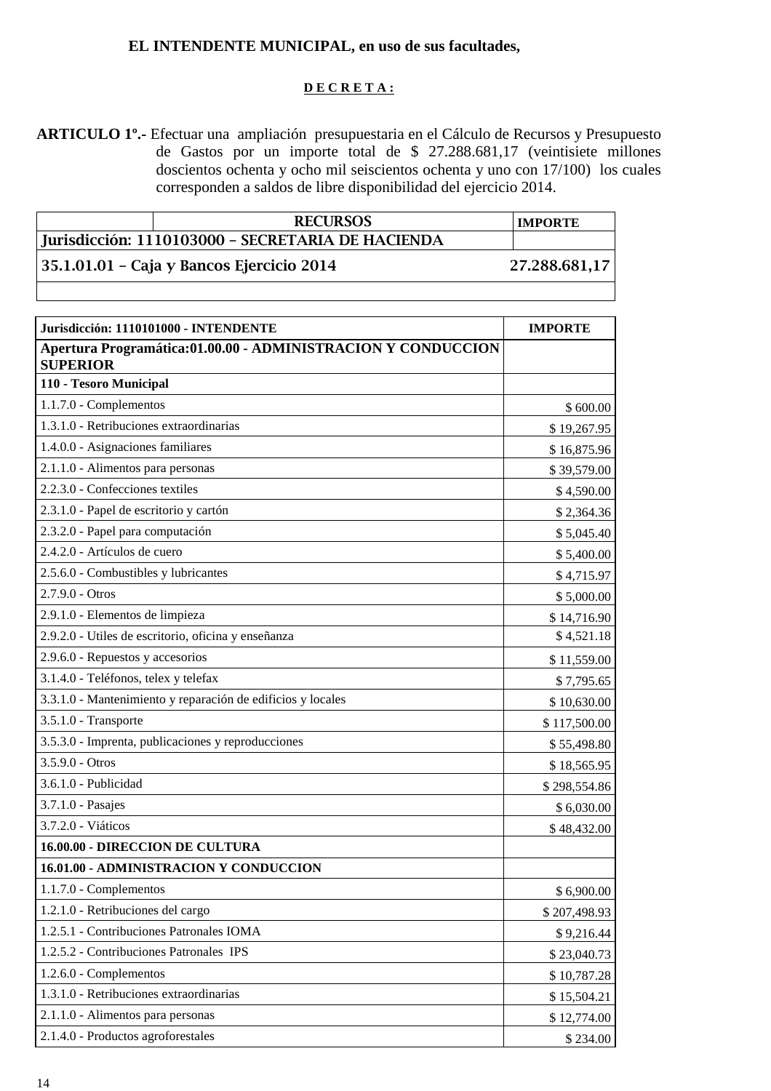### **EL INTENDENTE MUNICIPAL, en uso de sus facultades,**

#### **D E C R E T A :**

**ARTICULO 1º.-** Efectuar una ampliación presupuestaria en el Cálculo de Recursos y Presupuesto de Gastos por un importe total de \$ 27.288.681,17 (veintisiete millones doscientos ochenta y ocho mil seiscientos ochenta y uno con 17/100) los cuales corresponden a saldos de libre disponibilidad del ejercicio 2014.

| <b>RECURSOS</b>                                   | <b>IMPORTE</b> |
|---------------------------------------------------|----------------|
| Jurisdicción: 1110103000 - SECRETARIA DE HACIENDA |                |
| 35.1.01.01 – Caja y Bancos Ejercicio 2014         | 27.288.681,17  |
|                                                   |                |

| Jurisdicción: 1110101000 - INTENDENTE                                           | <b>IMPORTE</b> |
|---------------------------------------------------------------------------------|----------------|
| Apertura Programática:01.00.00 - ADMINISTRACION Y CONDUCCION<br><b>SUPERIOR</b> |                |
| 110 - Tesoro Municipal                                                          |                |
| 1.1.7.0 - Complementos                                                          | \$600.00       |
| 1.3.1.0 - Retribuciones extraordinarias                                         | \$19,267.95    |
| 1.4.0.0 - Asignaciones familiares                                               | \$16,875.96    |
| 2.1.1.0 - Alimentos para personas                                               | \$39,579.00    |
| 2.2.3.0 - Confecciones textiles                                                 | \$4,590.00     |
| 2.3.1.0 - Papel de escritorio y cartón                                          | \$2,364.36     |
| 2.3.2.0 - Papel para computación                                                | \$5,045.40     |
| 2.4.2.0 - Artículos de cuero                                                    | \$5,400.00     |
| 2.5.6.0 - Combustibles y lubricantes                                            | \$4,715.97     |
| $2.7.9.0 - Otros$                                                               | \$5,000.00     |
| 2.9.1.0 - Elementos de limpieza                                                 | \$14,716.90    |
| 2.9.2.0 - Utiles de escritorio, oficina y enseñanza                             | \$4,521.18     |
| 2.9.6.0 - Repuestos y accesorios                                                | \$11,559.00    |
| 3.1.4.0 - Teléfonos, telex y telefax                                            | \$7,795.65     |
| 3.3.1.0 - Mantenimiento y reparación de edificios y locales                     | \$10,630.00    |
| 3.5.1.0 - Transporte                                                            | \$117,500.00   |
| 3.5.3.0 - Imprenta, publicaciones y reproducciones                              | \$55,498.80    |
| $3.5.9.0 - Otros$                                                               | \$18,565.95    |
| 3.6.1.0 - Publicidad                                                            | \$298,554.86   |
| 3.7.1.0 - Pasajes                                                               | \$6,030.00     |
| 3.7.2.0 - Viáticos                                                              | \$48,432.00    |
| 16.00.00 - DIRECCION DE CULTURA                                                 |                |
| 16.01.00 - ADMINISTRACION Y CONDUCCION                                          |                |
| 1.1.7.0 - Complementos                                                          | \$6,900.00     |
| 1.2.1.0 - Retribuciones del cargo                                               | \$207,498.93   |
| 1.2.5.1 - Contribuciones Patronales IOMA                                        | \$9,216.44     |
| 1.2.5.2 - Contribuciones Patronales IPS                                         | \$23,040.73    |
| 1.2.6.0 - Complementos                                                          | \$10,787.28    |
| 1.3.1.0 - Retribuciones extraordinarias                                         | \$15,504.21    |
| 2.1.1.0 - Alimentos para personas                                               | \$12,774.00    |
| 2.1.4.0 - Productos agroforestales                                              | \$234.00       |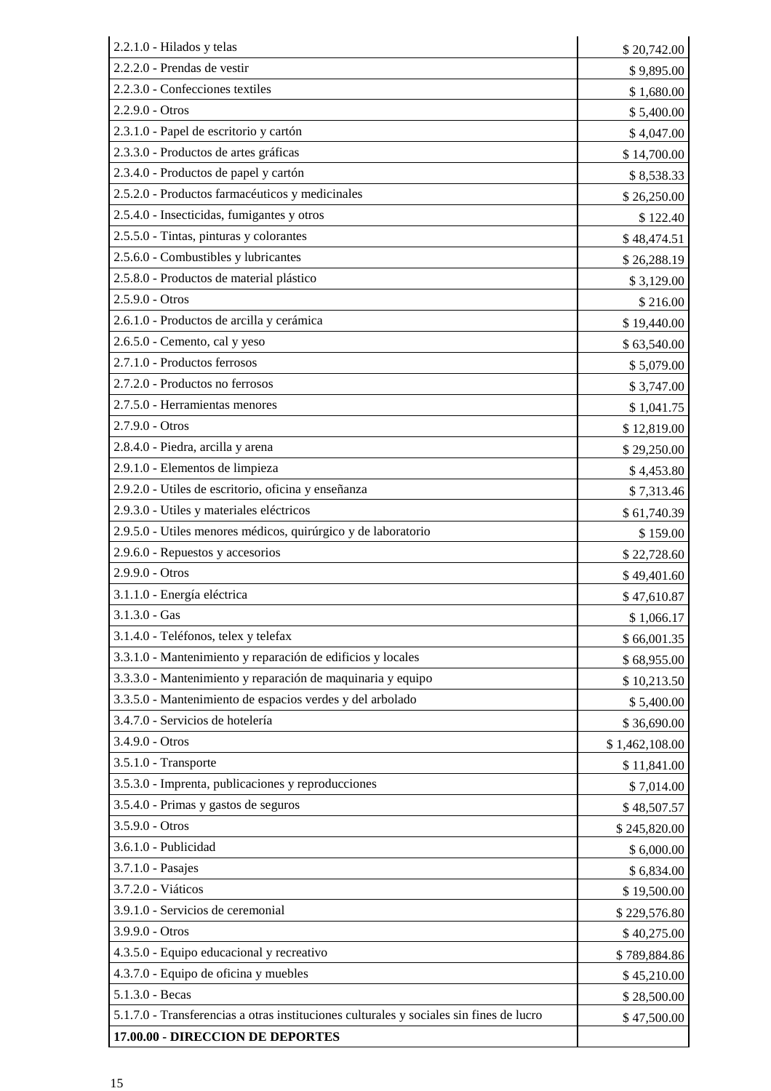| 2.2.1.0 - Hilados y telas                                                               | \$20,742.00    |
|-----------------------------------------------------------------------------------------|----------------|
| 2.2.2.0 - Prendas de vestir                                                             | \$9,895.00     |
| 2.2.3.0 - Confecciones textiles                                                         | \$1,680.00     |
| 2.2.9.0 - Otros                                                                         | \$5,400.00     |
| 2.3.1.0 - Papel de escritorio y cartón                                                  | \$4,047.00     |
| 2.3.3.0 - Productos de artes gráficas                                                   | \$14,700.00    |
| 2.3.4.0 - Productos de papel y cartón                                                   | \$8,538.33     |
| 2.5.2.0 - Productos farmacéuticos y medicinales                                         | \$26,250.00    |
| 2.5.4.0 - Insecticidas, fumigantes y otros                                              | \$122.40       |
| 2.5.5.0 - Tintas, pinturas y colorantes                                                 | \$48,474.51    |
| 2.5.6.0 - Combustibles y lubricantes                                                    | \$26,288.19    |
| 2.5.8.0 - Productos de material plástico                                                | \$3,129.00     |
| $2.5.9.0 - Otros$                                                                       | \$216.00       |
| 2.6.1.0 - Productos de arcilla y cerámica                                               | \$19,440.00    |
| 2.6.5.0 - Cemento, cal y yeso                                                           | \$63,540.00    |
| 2.7.1.0 - Productos ferrosos                                                            | \$5,079.00     |
| 2.7.2.0 - Productos no ferrosos                                                         | \$3,747.00     |
| 2.7.5.0 - Herramientas menores                                                          | \$1,041.75     |
| $2.7.9.0 - Otros$                                                                       | \$12,819.00    |
| 2.8.4.0 - Piedra, arcilla y arena                                                       | \$29,250.00    |
| 2.9.1.0 - Elementos de limpieza                                                         | \$4,453.80     |
| 2.9.2.0 - Utiles de escritorio, oficina y enseñanza                                     | \$7,313.46     |
| 2.9.3.0 - Utiles y materiales eléctricos                                                | \$61,740.39    |
| 2.9.5.0 - Utiles menores médicos, quirúrgico y de laboratorio                           | \$159.00       |
| 2.9.6.0 - Repuestos y accesorios                                                        | \$22,728.60    |
| 2.9.9.0 - Otros                                                                         | \$49,401.60    |
| 3.1.1.0 - Energía eléctrica                                                             | \$47,610.87    |
| $3.1.3.0 - Gas$                                                                         | \$1,066.17     |
| 3.1.4.0 - Teléfonos, telex y telefax                                                    | \$66,001.35    |
| 3.3.1.0 - Mantenimiento y reparación de edificios y locales                             | \$68,955.00    |
| 3.3.3.0 - Mantenimiento y reparación de maquinaria y equipo                             | \$10,213.50    |
| 3.3.5.0 - Mantenimiento de espacios verdes y del arbolado                               | \$5,400.00     |
| 3.4.7.0 - Servicios de hotelería                                                        | \$36,690.00    |
| 3.4.9.0 - Otros                                                                         | \$1,462,108.00 |
| 3.5.1.0 - Transporte                                                                    | \$11,841.00    |
| 3.5.3.0 - Imprenta, publicaciones y reproducciones                                      | \$7,014.00     |
| 3.5.4.0 - Primas y gastos de seguros                                                    | \$48,507.57    |
| 3.5.9.0 - Otros                                                                         | \$245,820.00   |
| 3.6.1.0 - Publicidad                                                                    | \$6,000.00     |
| 3.7.1.0 - Pasajes                                                                       | \$6,834.00     |
| 3.7.2.0 - Viáticos                                                                      | \$19,500.00    |
| 3.9.1.0 - Servicios de ceremonial                                                       | \$229,576.80   |
| 3.9.9.0 - Otros                                                                         | \$40,275.00    |
| 4.3.5.0 - Equipo educacional y recreativo                                               | \$789,884.86   |
| 4.3.7.0 - Equipo de oficina y muebles                                                   | \$45,210.00    |
| $5.1.3.0 - Becas$                                                                       | \$28,500.00    |
| 5.1.7.0 - Transferencias a otras instituciones culturales y sociales sin fines de lucro | \$47,500.00    |
| 17.00.00 - DIRECCION DE DEPORTES                                                        |                |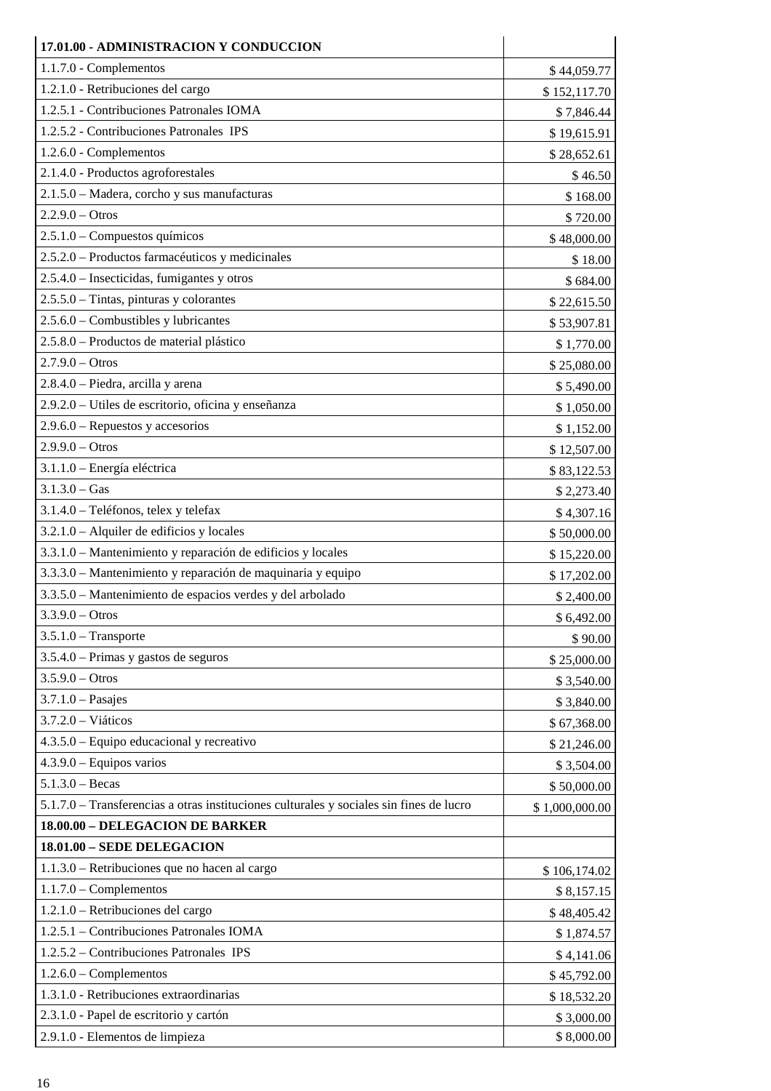| 17.01.00 - ADMINISTRACION Y CONDUCCION                                                  |                |
|-----------------------------------------------------------------------------------------|----------------|
| $1.1.7.0$ - Complementos                                                                | \$44,059.77    |
| 1.2.1.0 - Retribuciones del cargo                                                       | \$152,117.70   |
| 1.2.5.1 - Contribuciones Patronales IOMA                                                | \$7,846.44     |
| 1.2.5.2 - Contribuciones Patronales IPS                                                 | \$19,615.91    |
| 1.2.6.0 - Complementos                                                                  | \$28,652.61    |
| 2.1.4.0 - Productos agroforestales                                                      | \$46.50        |
| 2.1.5.0 - Madera, corcho y sus manufacturas                                             | \$168.00       |
| $2.2.9.0 - Otros$                                                                       | \$720.00       |
| 2.5.1.0 - Compuestos químicos                                                           | \$48,000.00    |
| 2.5.2.0 - Productos farmacéuticos y medicinales                                         | \$18.00        |
| 2.5.4.0 – Insecticidas, fumigantes y otros                                              | \$684.00       |
| $2.5.5.0$ – Tintas, pinturas y colorantes                                               | \$22,615.50    |
| 2.5.6.0 - Combustibles y lubricantes                                                    | \$53,907.81    |
| 2.5.8.0 – Productos de material plástico                                                | \$1,770.00     |
| $2.7.9.0 - Otros$                                                                       | \$25,080.00    |
| 2.8.4.0 - Piedra, arcilla y arena                                                       | \$5,490.00     |
| 2.9.2.0 – Utiles de escritorio, oficina y enseñanza                                     | \$1,050.00     |
| $2.9.6.0$ – Repuestos y accesorios                                                      | \$1,152.00     |
| $2.9.9.0 - Otros$                                                                       | \$12,507.00    |
| 3.1.1.0 - Energía eléctrica                                                             | \$83,122.53    |
| $3.1.3.0 - Gas$                                                                         | \$2,273.40     |
| 3.1.4.0 - Teléfonos, telex y telefax                                                    | \$4,307.16     |
| 3.2.1.0 - Alquiler de edificios y locales                                               | \$50,000.00    |
| 3.3.1.0 - Mantenimiento y reparación de edificios y locales                             | \$15,220.00    |
| 3.3.3.0 – Mantenimiento y reparación de maquinaria y equipo                             | \$17,202.00    |
| 3.3.5.0 – Mantenimiento de espacios verdes y del arbolado                               | \$2,400.00     |
| $3.3.9.0 - Otros$                                                                       | \$6,492.00     |
| $3.5.1.0$ – Transporte                                                                  | \$90.00        |
| $3.5.4.0$ – Primas y gastos de seguros                                                  | \$25,000.00    |
| $3.5.9.0 - Otros$                                                                       | \$3,540.00     |
| $3.7.1.0$ - Pasajes                                                                     | \$3,840.00     |
| $3.7.2.0 - Viáticos$                                                                    | \$67,368.00    |
| 4.3.5.0 – Equipo educacional y recreativo                                               | \$21,246.00    |
| $4.3.9.0 - Equipos$ varios                                                              | \$3,504.00     |
| $5.1.3.0 - Becas$                                                                       | \$50,000.00    |
| 5.1.7.0 - Transferencias a otras instituciones culturales y sociales sin fines de lucro | \$1,000,000.00 |
| 18.00.00 - DELEGACION DE BARKER                                                         |                |
| 18.01.00 - SEDE DELEGACION                                                              |                |
| 1.1.3.0 – Retribuciones que no hacen al cargo                                           | \$106,174.02   |
| $1.1.7.0$ – Complementos                                                                | \$8,157.15     |
| 1.2.1.0 - Retribuciones del cargo                                                       | \$48,405.42    |
| 1.2.5.1 - Contribuciones Patronales IOMA                                                | \$1,874.57     |
| 1.2.5.2 - Contribuciones Patronales IPS                                                 | \$4,141.06     |
| $1.2.6.0$ – Complementos                                                                | \$45,792.00    |
| 1.3.1.0 - Retribuciones extraordinarias                                                 | \$18,532.20    |
| 2.3.1.0 - Papel de escritorio y cartón                                                  | \$3,000.00     |
| 2.9.1.0 - Elementos de limpieza                                                         | \$8,000.00     |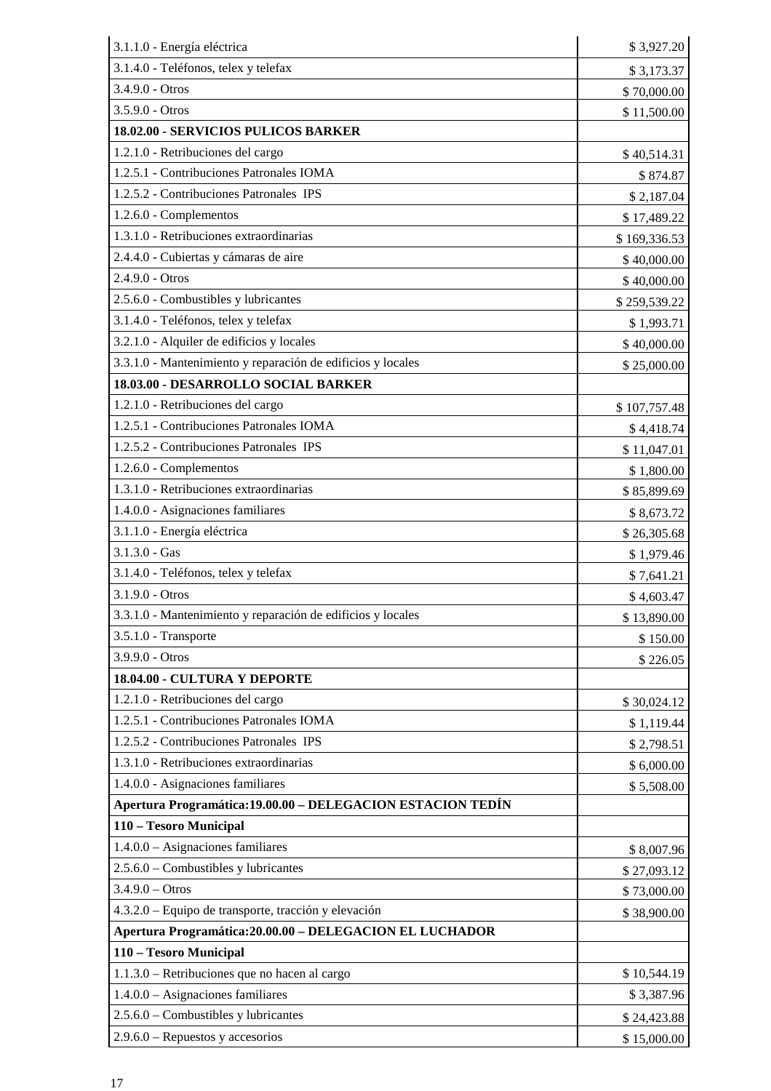| 3.1.1.0 - Energía eléctrica                                 | \$3,927.20   |
|-------------------------------------------------------------|--------------|
| 3.1.4.0 - Teléfonos, telex y telefax                        | \$3,173.37   |
| 3.4.9.0 - Otros                                             | \$70,000.00  |
| 3.5.9.0 - Otros                                             | \$11,500.00  |
| 18.02.00 - SERVICIOS PULICOS BARKER                         |              |
| 1.2.1.0 - Retribuciones del cargo                           | \$40,514.31  |
| 1.2.5.1 - Contribuciones Patronales IOMA                    | \$874.87     |
| 1.2.5.2 - Contribuciones Patronales IPS                     | \$2,187.04   |
| 1.2.6.0 - Complementos                                      | \$17,489.22  |
| 1.3.1.0 - Retribuciones extraordinarias                     | \$169,336.53 |
| 2.4.4.0 - Cubiertas y cámaras de aire                       | \$40,000.00  |
| 2.4.9.0 - Otros                                             | \$40,000.00  |
| 2.5.6.0 - Combustibles y lubricantes                        | \$259,539.22 |
| 3.1.4.0 - Teléfonos, telex y telefax                        | \$1,993.71   |
| 3.2.1.0 - Alquiler de edificios y locales                   | \$40,000.00  |
| 3.3.1.0 - Mantenimiento y reparación de edificios y locales | \$25,000.00  |
| 18.03.00 - DESARROLLO SOCIAL BARKER                         |              |
| 1.2.1.0 - Retribuciones del cargo                           | \$107,757.48 |
| 1.2.5.1 - Contribuciones Patronales IOMA                    | \$4,418.74   |
| 1.2.5.2 - Contribuciones Patronales IPS                     | \$11,047.01  |
| 1.2.6.0 - Complementos                                      | \$1,800.00   |
| 1.3.1.0 - Retribuciones extraordinarias                     | \$85,899.69  |
| 1.4.0.0 - Asignaciones familiares                           | \$8,673.72   |
| 3.1.1.0 - Energía eléctrica                                 | \$26,305.68  |
| $3.1.3.0 - Gas$                                             | \$1,979.46   |
| 3.1.4.0 - Teléfonos, telex y telefax                        | \$7,641.21   |
| 3.1.9.0 - Otros                                             | \$4,603.47   |
| 3.3.1.0 - Mantenimiento y reparación de edificios y locales | \$13,890.00  |
| 3.5.1.0 - Transporte                                        | \$150.00     |
| 3.9.9.0 - Otros                                             | \$226.05     |
| 18.04.00 - CULTURA Y DEPORTE                                |              |
| 1.2.1.0 - Retribuciones del cargo                           | \$30,024.12  |
| 1.2.5.1 - Contribuciones Patronales IOMA                    | \$1,119.44   |
| 1.2.5.2 - Contribuciones Patronales IPS                     | \$2,798.51   |
| 1.3.1.0 - Retribuciones extraordinarias                     | \$6,000.00   |
| 1.4.0.0 - Asignaciones familiares                           | \$5,508.00   |
| Apertura Programática: 19.00.00 - DELEGACION ESTACION TEDÍN |              |
| 110 - Tesoro Municipal                                      |              |
| $1.4.0.0 - Asignaciones familiares$                         | \$8,007.96   |
| $2.5.6.0$ – Combustibles y lubricantes                      | \$27,093.12  |
| $3.4.9.0 - Otros$                                           | \$73,000.00  |
| 4.3.2.0 – Equipo de transporte, tracción y elevación        | \$38,900.00  |
| Apertura Programática: 20.00.00 - DELEGACION EL LUCHADOR    |              |
| 110 - Tesoro Municipal                                      |              |
| 1.1.3.0 - Retribuciones que no hacen al cargo               | \$10,544.19  |
| $1.4.0.0 - Asignaciones familiares$                         | \$3,387.96   |
| $2.5.6.0$ – Combustibles y lubricantes                      | \$24,423.88  |
| $2.9.6.0$ – Repuestos y accesorios                          | \$15,000.00  |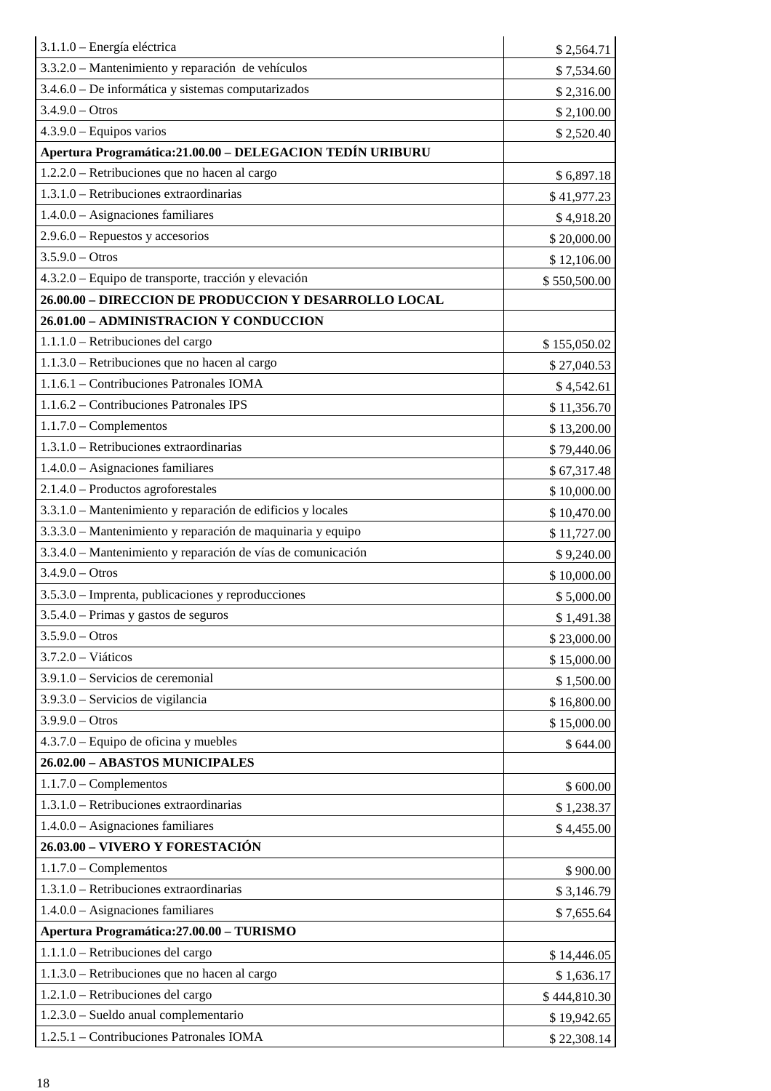| 3.1.1.0 - Energía eléctrica                                  | \$2,564.71   |
|--------------------------------------------------------------|--------------|
| 3.3.2.0 - Mantenimiento y reparación de vehículos            | \$7,534.60   |
| 3.4.6.0 – De informática y sistemas computarizados           | \$2,316.00   |
| $3.4.9.0 - Otros$                                            | \$2,100.00   |
| $4.3.9.0 - Equipos$ varios                                   | \$2,520.40   |
| Apertura Programática: 21.00.00 - DELEGACION TEDÍN URIBURU   |              |
| 1.2.2.0 – Retribuciones que no hacen al cargo                | \$6,897.18   |
| 1.3.1.0 - Retribuciones extraordinarias                      | \$41,977.23  |
| $1.4.0.0 - Asignaciones familiares$                          | \$4,918.20   |
| $2.9.6.0$ – Repuestos y accesorios                           | \$20,000.00  |
| $3.5.9.0 - Otros$                                            | \$12,106.00  |
| 4.3.2.0 - Equipo de transporte, tracción y elevación         | \$550,500.00 |
| 26.00.00 - DIRECCION DE PRODUCCION Y DESARROLLO LOCAL        |              |
| 26.01.00 - ADMINISTRACION Y CONDUCCION                       |              |
| 1.1.1.0 - Retribuciones del cargo                            | \$155,050.02 |
| 1.1.3.0 – Retribuciones que no hacen al cargo                | \$27,040.53  |
| 1.1.6.1 – Contribuciones Patronales IOMA                     | \$4,542.61   |
| 1.1.6.2 – Contribuciones Patronales IPS                      | \$11,356.70  |
| $1.1.7.0$ – Complementos                                     | \$13,200.00  |
| $1.3.1.0$ – Retribuciones extraordinarias                    | \$79,440.06  |
| $1.4.0.0 - \text{Asignaciones familiares}$                   | \$67,317.48  |
| $2.1.4.0$ – Productos agroforestales                         | \$10,000.00  |
| 3.3.1.0 - Mantenimiento y reparación de edificios y locales  | \$10,470.00  |
| 3.3.3.0 - Mantenimiento y reparación de maquinaria y equipo  | \$11,727.00  |
| 3.3.4.0 - Mantenimiento y reparación de vías de comunicación | \$9,240.00   |
| $3.4.9.0 - Otros$                                            | \$10,000.00  |
| $3.5.3.0$ – Imprenta, publicaciones y reproducciones         | \$5,000.00   |
| $3.5.4.0$ – Primas y gastos de seguros                       | \$1,491.38   |
| $3.5.9.0 - Otros$                                            | \$23,000.00  |
| $3.7.2.0 - Viáticos$                                         | \$15,000.00  |
| $3.9.1.0$ – Servicios de ceremonial                          | \$1,500.00   |
| 3.9.3.0 – Servicios de vigilancia                            | \$16,800.00  |
| $3.9.9.0 - Otros$                                            | \$15,000.00  |
| $4.3.7.0$ – Equipo de oficina y muebles                      | \$644.00     |
| 26.02.00 - ABASTOS MUNICIPALES                               |              |
| $1.1.7.0$ - Complementos                                     | \$600.00     |
| 1.3.1.0 – Retribuciones extraordinarias                      | \$1,238.37   |
| $1.4.0.0 - Asignaciones familiares$                          | \$4,455.00   |
| 26.03.00 - VIVERO Y FORESTACIÓN                              |              |
| $1.1.7.0$ – Complementos                                     | \$900.00     |
| 1.3.1.0 – Retribuciones extraordinarias                      | \$3,146.79   |
| $1.4.0.0 - \text{Asignaciones familiares}$                   | \$7,655.64   |
| Apertura Programática: 27.00.00 - TURISMO                    |              |
| 1.1.1.0 - Retribuciones del cargo                            | \$14,446.05  |
| 1.1.3.0 – Retribuciones que no hacen al cargo                | \$1,636.17   |
| 1.2.1.0 - Retribuciones del cargo                            | \$444,810.30 |
| $1.2.3.0$ – Sueldo anual complementario                      | \$19,942.65  |
| 1.2.5.1 - Contribuciones Patronales IOMA                     | \$22,308.14  |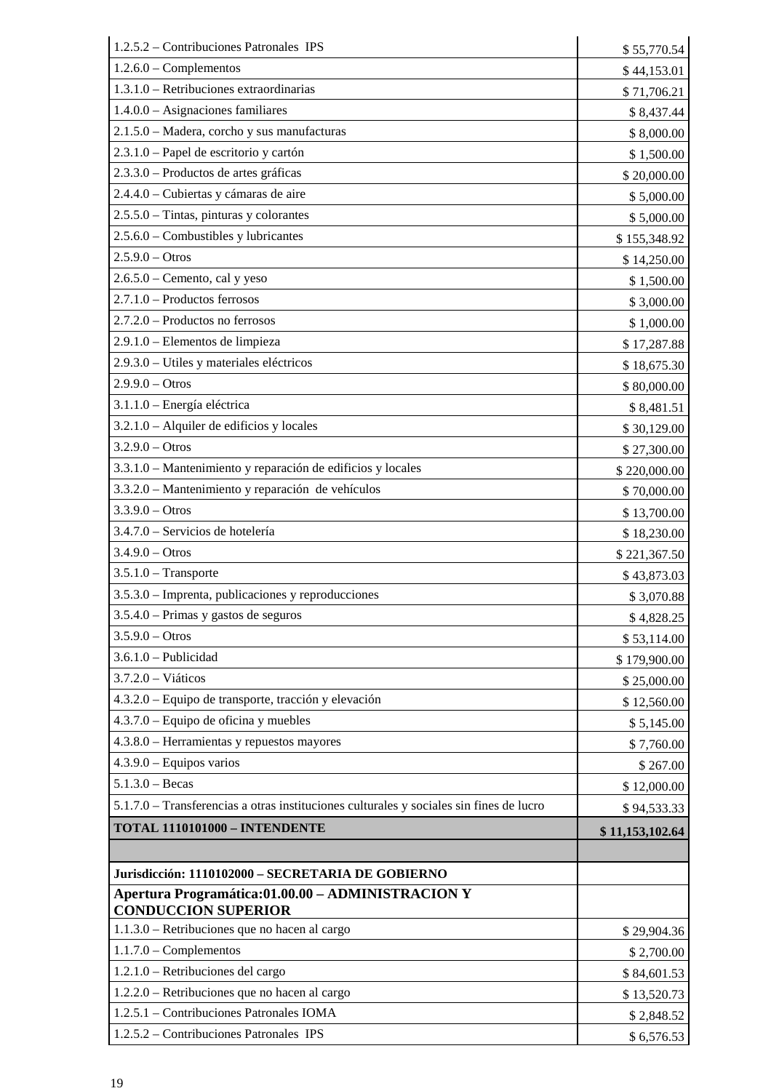| 1.2.5.2 – Contribuciones Patronales IPS                                                 | \$55,770.54     |
|-----------------------------------------------------------------------------------------|-----------------|
| $1.2.6.0$ – Complementos                                                                | \$44,153.01     |
| 1.3.1.0 - Retribuciones extraordinarias                                                 | \$71,706.21     |
| 1.4.0.0 - Asignaciones familiares                                                       | \$8,437.44      |
| 2.1.5.0 - Madera, corcho y sus manufacturas                                             | \$8,000.00      |
| 2.3.1.0 - Papel de escritorio y cartón                                                  | \$1,500.00      |
| 2.3.3.0 - Productos de artes gráficas                                                   | \$20,000.00     |
| 2.4.4.0 - Cubiertas y cámaras de aire                                                   | \$5,000.00      |
| $2.5.5.0$ – Tintas, pinturas y colorantes                                               | \$5,000.00      |
| 2.5.6.0 - Combustibles y lubricantes                                                    | \$155,348.92    |
| $2.5.9.0 - Otros$                                                                       | \$14,250.00     |
| $2.6.5.0$ – Cemento, cal y yeso                                                         | \$1,500.00      |
| 2.7.1.0 - Productos ferrosos                                                            | \$3,000.00      |
| 2.7.2.0 - Productos no ferrosos                                                         | \$1,000.00      |
| 2.9.1.0 - Elementos de limpieza                                                         | \$17,287.88     |
| 2.9.3.0 - Utiles y materiales eléctricos                                                | \$18,675.30     |
| $2.9.9.0 - Otros$                                                                       | \$80,000.00     |
| 3.1.1.0 - Energía eléctrica                                                             | \$8,481.51      |
| 3.2.1.0 - Alquiler de edificios y locales                                               | \$30,129.00     |
| $3.2.9.0 - Otros$                                                                       | \$27,300.00     |
| 3.3.1.0 - Mantenimiento y reparación de edificios y locales                             | \$220,000.00    |
| 3.3.2.0 - Mantenimiento y reparación de vehículos                                       | \$70,000.00     |
| $3.3.9.0 - Otros$                                                                       | \$13,700.00     |
| 3.4.7.0 - Servicios de hotelería                                                        | \$18,230.00     |
| $3.4.9.0 - Otros$                                                                       | \$221,367.50    |
| $3.5.1.0$ - Transporte                                                                  | \$43,873.03     |
| 3.5.3.0 - Imprenta, publicaciones y reproducciones                                      | \$3,070.88      |
| 3.5.4.0 - Primas y gastos de seguros                                                    | \$4,828.25      |
| $3.5.9.0 - Otros$                                                                       | \$53,114.00     |
| $3.6.1.0$ - Publicidad                                                                  | \$179,900.00    |
| $3.7.2.0 - Viáticos$                                                                    | \$25,000.00     |
| 4.3.2.0 – Equipo de transporte, tracción y elevación                                    | \$12,560.00     |
| $4.3.7.0$ – Equipo de oficina y muebles                                                 | \$5,145.00      |
| 4.3.8.0 - Herramientas y repuestos mayores                                              | \$7,760.00      |
| $4.3.9.0$ – Equipos varios                                                              | \$267.00        |
| $5.1.3.0 - Becas$                                                                       | \$12,000.00     |
| 5.1.7.0 - Transferencias a otras instituciones culturales y sociales sin fines de lucro | \$94,533.33     |
| <b>TOTAL 1110101000 - INTENDENTE</b>                                                    |                 |
|                                                                                         | \$11,153,102.64 |
| Jurisdicción: 1110102000 - SECRETARIA DE GOBIERNO                                       |                 |
| Apertura Programática: 01.00.00 - ADMINISTRACION Y                                      |                 |
| <b>CONDUCCION SUPERIOR</b>                                                              |                 |
| 1.1.3.0 - Retribuciones que no hacen al cargo                                           | \$29,904.36     |
| $1.1.7.0$ – Complementos                                                                | \$2,700.00      |
| 1.2.1.0 - Retribuciones del cargo                                                       | \$84,601.53     |
| 1.2.2.0 – Retribuciones que no hacen al cargo                                           | \$13,520.73     |
| 1.2.5.1 - Contribuciones Patronales IOMA                                                | \$2,848.52      |
| 1.2.5.2 - Contribuciones Patronales IPS                                                 | \$6,576.53      |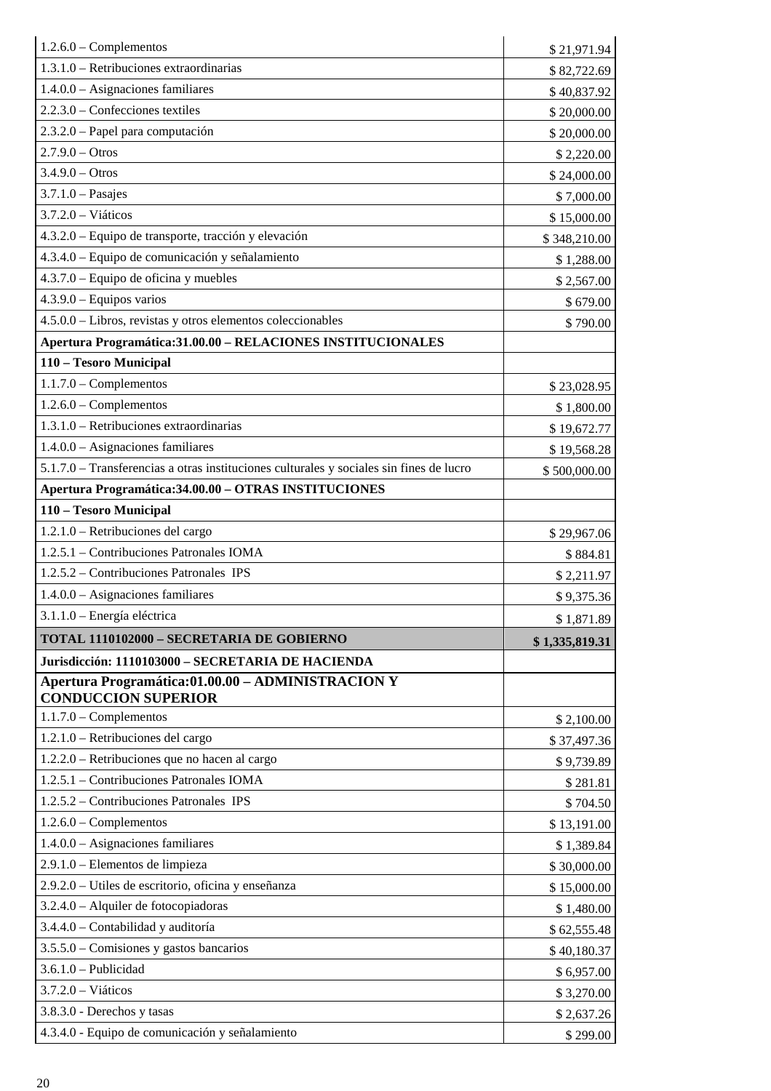| $1.2.6.0$ – Complementos                                                                | \$21,971.94    |
|-----------------------------------------------------------------------------------------|----------------|
| $1.3.1.0$ – Retribuciones extraordinarias                                               | \$82,722.69    |
| $1.4.0.0 - \text{Asignaciones familiares}$                                              | \$40,837.92    |
| $2.2.3.0$ – Confecciones textiles                                                       | \$20,000.00    |
| 2.3.2.0 – Papel para computación                                                        | \$20,000.00    |
| $2.7.9.0 - Otros$                                                                       | \$2,220.00     |
| $3.4.9.0 - Otros$                                                                       | \$24,000.00    |
| $3.7.1.0$ - Pasajes                                                                     | \$7,000.00     |
| $3.7.2.0 - Viáticos$                                                                    | \$15,000.00    |
| 4.3.2.0 – Equipo de transporte, tracción y elevación                                    | \$348,210.00   |
| 4.3.4.0 – Equipo de comunicación y señalamiento                                         | \$1,288.00     |
| 4.3.7.0 - Equipo de oficina y muebles                                                   | \$2,567.00     |
| $4.3.9.0 - Equipos$ varios                                                              | \$679.00       |
| 4.5.0.0 - Libros, revistas y otros elementos coleccionables                             | \$790.00       |
| Apertura Programática: 31.00.00 - RELACIONES INSTITUCIONALES                            |                |
| 110 - Tesoro Municipal                                                                  |                |
| $1.1.7.0$ – Complementos                                                                | \$23,028.95    |
| $1.2.6.0$ – Complementos                                                                | \$1,800.00     |
| 1.3.1.0 – Retribuciones extraordinarias                                                 | \$19,672.77    |
| $1.4.0.0 - \text{Asignaciones familiares}$                                              | \$19,568.28    |
| 5.1.7.0 - Transferencias a otras instituciones culturales y sociales sin fines de lucro | \$500,000.00   |
| Apertura Programática: 34.00.00 - OTRAS INSTITUCIONES                                   |                |
| 110 - Tesoro Municipal                                                                  |                |
| 1.2.1.0 - Retribuciones del cargo                                                       | \$29,967.06    |
|                                                                                         |                |
| 1.2.5.1 - Contribuciones Patronales IOMA                                                | \$884.81       |
| 1.2.5.2 – Contribuciones Patronales IPS                                                 | \$2,211.97     |
| $1.4.0.0 - \text{Asignaciones familiares}$                                              | \$9,375.36     |
| 3.1.1.0 - Energía eléctrica                                                             | \$1,871.89     |
| TOTAL 1110102000 - SECRETARIA DE GOBIERNO                                               | \$1,335,819.31 |
| Jurisdicción: 1110103000 - SECRETARIA DE HACIENDA                                       |                |
| Apertura Programática: 01.00.00 - ADMINISTRACION Y<br><b>CONDUCCION SUPERIOR</b>        |                |
| $1.1.7.0$ – Complementos                                                                | \$2,100.00     |
| 1.2.1.0 - Retribuciones del cargo                                                       | \$37,497.36    |
| 1.2.2.0 – Retribuciones que no hacen al cargo                                           | \$9,739.89     |
| 1.2.5.1 - Contribuciones Patronales IOMA                                                | \$281.81       |
| 1.2.5.2 – Contribuciones Patronales IPS                                                 | \$704.50       |
| $1.2.6.0$ – Complementos                                                                | \$13,191.00    |
| $1.4.0.0 - \text{Asignaciones familiares}$                                              | \$1,389.84     |
| 2.9.1.0 - Elementos de limpieza                                                         | \$30,000.00    |
| 2.9.2.0 – Utiles de escritorio, oficina y enseñanza                                     | \$15,000.00    |
| 3.2.4.0 - Alquiler de fotocopiadoras                                                    | \$1,480.00     |
| 3.4.4.0 - Contabilidad y auditoría                                                      | \$62,555.48    |
| $3.5.5.0$ – Comisiones y gastos bancarios                                               | \$40,180.37    |
| $3.6.1.0$ - Publicidad                                                                  | \$6,957.00     |
| $3.7.2.0 - Viáticos$                                                                    | \$3,270.00     |
| 3.8.3.0 - Derechos y tasas<br>4.3.4.0 - Equipo de comunicación y señalamiento           | \$2,637.26     |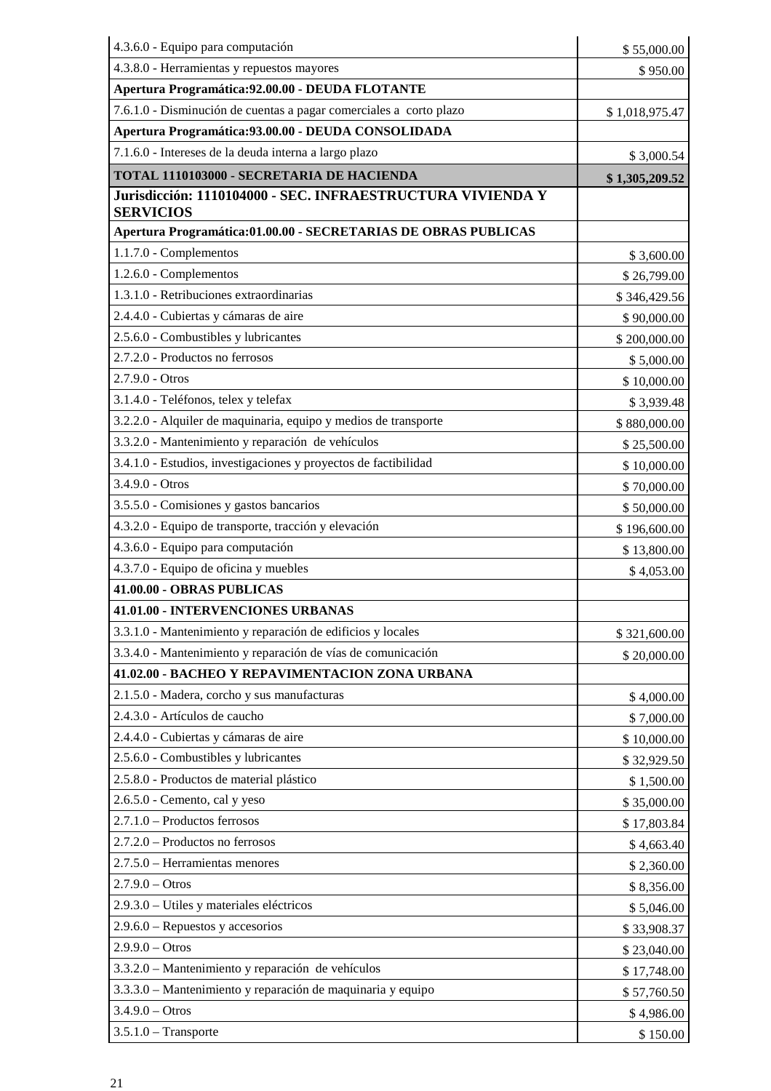| 4.3.6.0 - Equipo para computación                                              | \$55,000.00    |
|--------------------------------------------------------------------------------|----------------|
| 4.3.8.0 - Herramientas y repuestos mayores                                     | \$950.00       |
| Apertura Programática: 92.00.00 - DEUDA FLOTANTE                               |                |
| 7.6.1.0 - Disminución de cuentas a pagar comerciales a corto plazo             | \$1,018,975.47 |
| Apertura Programática: 93.00.00 - DEUDA CONSOLIDADA                            |                |
| 7.1.6.0 - Intereses de la deuda interna a largo plazo                          | \$3,000.54     |
| TOTAL 1110103000 - SECRETARIA DE HACIENDA                                      | \$1,305,209.52 |
| Jurisdicción: 1110104000 - SEC. INFRAESTRUCTURA VIVIENDA Y<br><b>SERVICIOS</b> |                |
| Apertura Programática:01.00.00 - SECRETARIAS DE OBRAS PUBLICAS                 |                |
| 1.1.7.0 - Complementos                                                         | \$3,600.00     |
| 1.2.6.0 - Complementos                                                         | \$26,799.00    |
| 1.3.1.0 - Retribuciones extraordinarias                                        | \$346,429.56   |
| 2.4.4.0 - Cubiertas y cámaras de aire                                          | \$90,000.00    |
| 2.5.6.0 - Combustibles y lubricantes                                           | \$200,000.00   |
| 2.7.2.0 - Productos no ferrosos                                                | \$5,000.00     |
| $2.7.9.0 - Otros$                                                              | \$10,000.00    |
| 3.1.4.0 - Teléfonos, telex y telefax                                           | \$3,939.48     |
| 3.2.2.0 - Alquiler de maquinaria, equipo y medios de transporte                | \$880,000.00   |
| 3.3.2.0 - Mantenimiento y reparación de vehículos                              | \$25,500.00    |
| 3.4.1.0 - Estudios, investigaciones y proyectos de factibilidad                | \$10,000.00    |
| $3.4.9.0 - Otros$                                                              | \$70,000.00    |
| 3.5.5.0 - Comisiones y gastos bancarios                                        | \$50,000.00    |
| 4.3.2.0 - Equipo de transporte, tracción y elevación                           | \$196,600.00   |
| 4.3.6.0 - Equipo para computación                                              | \$13,800.00    |
| 4.3.7.0 - Equipo de oficina y muebles                                          | \$4,053.00     |
| 41.00.00 - OBRAS PUBLICAS                                                      |                |
| 41.01.00 - INTERVENCIONES URBANAS                                              |                |
| 3.3.1.0 - Mantenimiento y reparación de edificios y locales                    | \$321,600.00   |
| 3.3.4.0 - Mantenimiento y reparación de vías de comunicación                   | \$20,000.00    |
| 41.02.00 - BACHEO Y REPAVIMENTACION ZONA URBANA                                |                |
| 2.1.5.0 - Madera, corcho y sus manufacturas                                    | \$4,000.00     |
| 2.4.3.0 - Artículos de caucho                                                  | \$7,000.00     |
| 2.4.4.0 - Cubiertas y cámaras de aire                                          | \$10,000.00    |
| 2.5.6.0 - Combustibles y lubricantes                                           | \$32,929.50    |
| 2.5.8.0 - Productos de material plástico                                       | \$1,500.00     |
| 2.6.5.0 - Cemento, cal y yeso                                                  | \$35,000.00    |
| 2.7.1.0 - Productos ferrosos                                                   | \$17,803.84    |
| 2.7.2.0 - Productos no ferrosos                                                | \$4,663.40     |
| 2.7.5.0 - Herramientas menores                                                 | \$2,360.00     |
| $2.7.9.0 - Otros$                                                              | \$8,356.00     |
| 2.9.3.0 - Utiles y materiales eléctricos                                       | \$5,046.00     |
| $2.9.6.0$ – Repuestos y accesorios                                             | \$33,908.37    |
| $2.9.9.0 - Otros$                                                              | \$23,040.00    |
| 3.3.2.0 - Mantenimiento y reparación de vehículos                              | \$17,748.00    |
| 3.3.3.0 - Mantenimiento y reparación de maquinaria y equipo                    | \$57,760.50    |
| $3.4.9.0 - Otros$                                                              | \$4,986.00     |
| $3.5.1.0$ - Transporte                                                         | \$150.00       |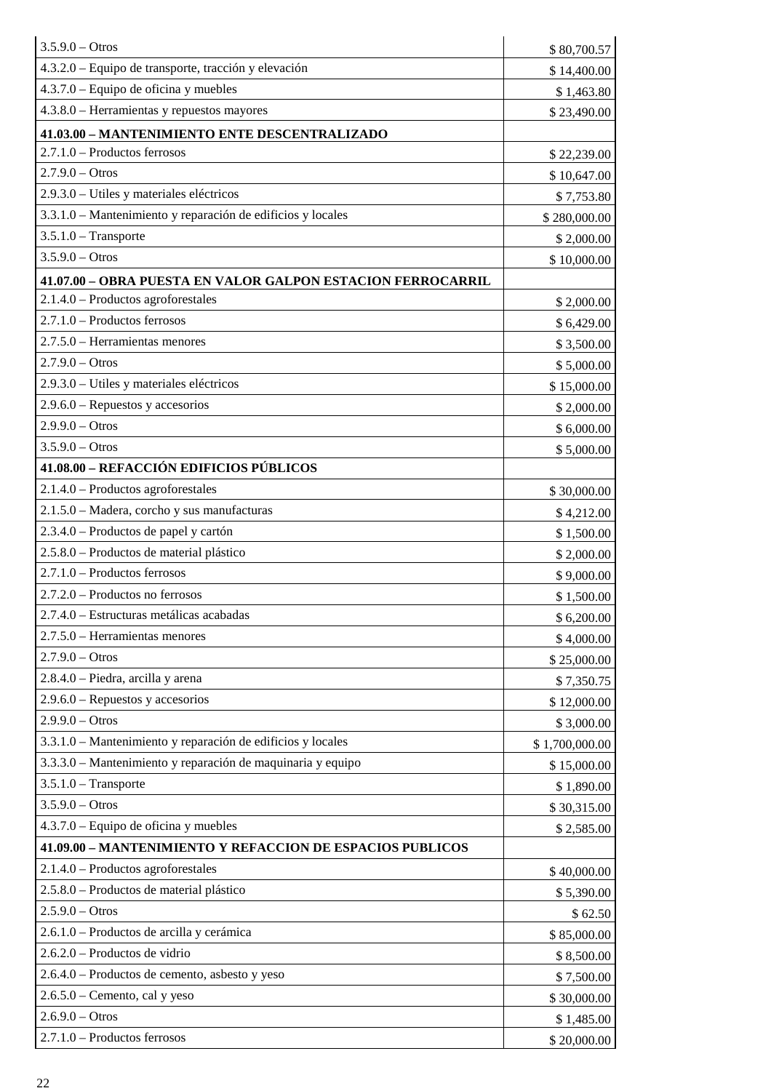| $3.5.9.0 - Otros$                                           | \$80,700.57    |
|-------------------------------------------------------------|----------------|
| 4.3.2.0 – Equipo de transporte, tracción y elevación        | \$14,400.00    |
| $4.3.7.0$ – Equipo de oficina y muebles                     | \$1,463.80     |
| $4.3.8.0$ – Herramientas y repuestos mayores                | \$23,490.00    |
| 41.03.00 - MANTENIMIENTO ENTE DESCENTRALIZADO               |                |
| $2.7.1.0 -$ Productos ferrosos                              | \$22,239.00    |
| $2.7.9.0 - Otros$                                           | \$10,647.00    |
| 2.9.3.0 – Utiles y materiales eléctricos                    | \$7,753.80     |
| 3.3.1.0 – Mantenimiento y reparación de edificios y locales | \$280,000.00   |
| $3.5.1.0$ - Transporte                                      | \$2,000.00     |
| $3.5.9.0 - Otros$                                           | \$10,000.00    |
| 41.07.00 - OBRA PUESTA EN VALOR GALPON ESTACION FERROCARRIL |                |
| $2.1.4.0$ – Productos agroforestales                        | \$2,000.00     |
| $2.7.1.0 -$ Productos ferrosos                              | \$6,429.00     |
| 2.7.5.0 – Herramientas menores                              | \$3,500.00     |
| $2.7.9.0 - Otros$                                           | \$5,000.00     |
| 2.9.3.0 – Utiles y materiales eléctricos                    | \$15,000.00    |
| $2.9.6.0$ – Repuestos y accesorios                          | \$2,000.00     |
| $2.9.9.0 - Otros$                                           | \$6,000.00     |
| $3.5.9.0 - Otros$                                           | \$5,000.00     |
| 41.08.00 - REFACCIÓN EDIFICIOS PÚBLICOS                     |                |
| 2.1.4.0 - Productos agroforestales                          | \$30,000.00    |
| 2.1.5.0 - Madera, corcho y sus manufacturas                 | \$4,212.00     |
| 2.3.4.0 – Productos de papel y cartón                       | \$1,500.00     |
| 2.5.8.0 – Productos de material plástico                    | \$2,000.00     |
| $2.7.1.0 -$ Productos ferrosos                              | \$9,000.00     |
| 2.7.2.0 - Productos no ferrosos                             | \$1,500.00     |
| 2.7.4.0 – Estructuras metálicas acabadas                    | \$6,200.00     |
| 2.7.5.0 - Herramientas menores                              | \$4,000.00     |
| $2.7.9.0 - Otros$                                           | \$25,000.00    |
| 2.8.4.0 - Piedra, arcilla y arena                           | \$7,350.75     |
| $2.9.6.0$ – Repuestos y accesorios                          | \$12,000.00    |
| $2.9.9.0 - Otros$                                           | \$3,000.00     |
| 3.3.1.0 – Mantenimiento y reparación de edificios y locales | \$1,700,000.00 |
| 3.3.3.0 – Mantenimiento y reparación de maquinaria y equipo | \$15,000.00    |
| $3.5.1.0$ – Transporte                                      | \$1,890.00     |
| $3.5.9.0 - Otros$                                           | \$30,315.00    |
| $4.3.7.0$ – Equipo de oficina y muebles                     | \$2,585.00     |
| 41.09.00 - MANTENIMIENTO Y REFACCION DE ESPACIOS PUBLICOS   |                |
| $2.1.4.0$ – Productos agroforestales                        | \$40,000.00    |
| 2.5.8.0 - Productos de material plástico                    | \$5,390.00     |
| $2.5.9.0 - Otros$                                           | \$62.50        |
| 2.6.1.0 - Productos de arcilla y cerámica                   | \$85,000.00    |
| 2.6.2.0 - Productos de vidrio                               | \$8,500.00     |
| 2.6.4.0 – Productos de cemento, asbesto y yeso              | \$7,500.00     |
| $2.6.5.0$ – Cemento, cal y yeso                             | \$30,000.00    |
| $2.6.9.0 - Otros$                                           | \$1,485.00     |
| 2.7.1.0 - Productos ferrosos                                | \$20,000.00    |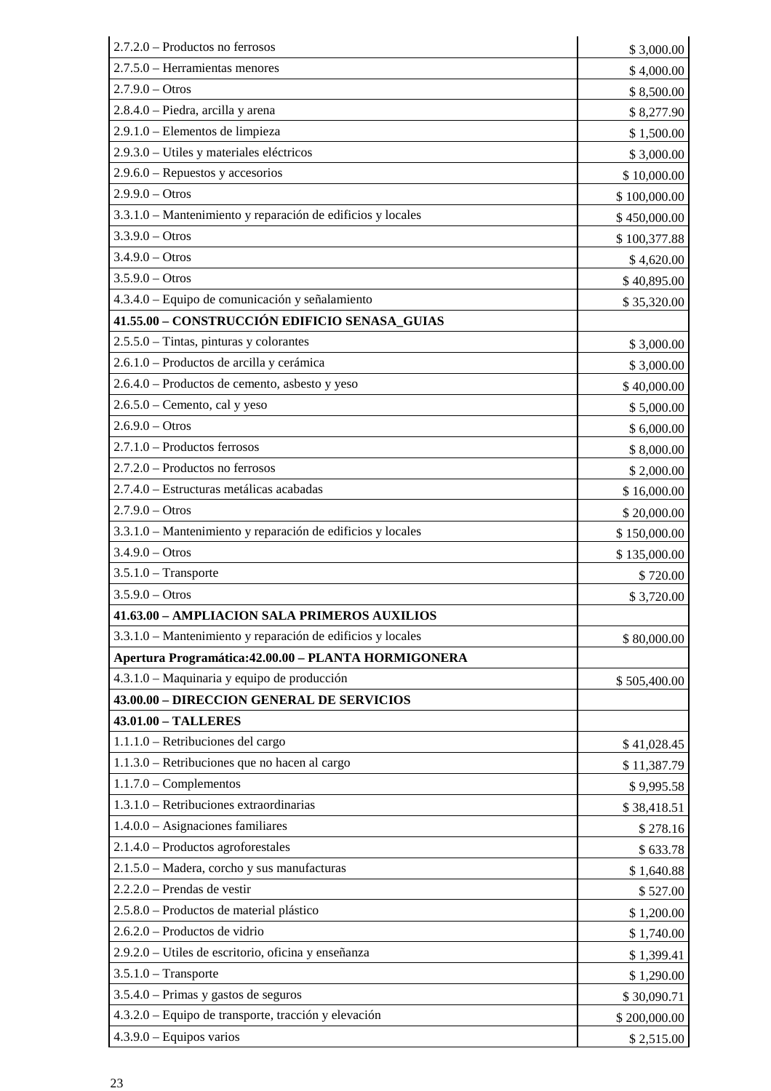| 2.7.2.0 - Productos no ferrosos                             | \$3,000.00   |
|-------------------------------------------------------------|--------------|
| 2.7.5.0 – Herramientas menores                              | \$4,000.00   |
| $2.7.9.0 - Otros$                                           | \$8,500.00   |
| 2.8.4.0 - Piedra, arcilla y arena                           | \$8,277.90   |
| 2.9.1.0 - Elementos de limpieza                             | \$1,500.00   |
| 2.9.3.0 - Utiles y materiales eléctricos                    | \$3,000.00   |
| $2.9.6.0$ – Repuestos y accesorios                          | \$10,000.00  |
| $2.9.9.0 - Otros$                                           | \$100,000.00 |
| 3.3.1.0 - Mantenimiento y reparación de edificios y locales | \$450,000.00 |
| $3.3.9.0 - Otros$                                           | \$100,377.88 |
| $3.4.9.0 - Otros$                                           | \$4,620.00   |
| $3.5.9.0 - Otros$                                           | \$40,895.00  |
| 4.3.4.0 - Equipo de comunicación y señalamiento             | \$35,320.00  |
| 41.55.00 - CONSTRUCCIÓN EDIFICIO SENASA_GUIAS               |              |
| $2.5.5.0$ – Tintas, pinturas y colorantes                   | \$3,000.00   |
| 2.6.1.0 - Productos de arcilla y cerámica                   | \$3,000.00   |
| 2.6.4.0 - Productos de cemento, asbesto y yeso              | \$40,000.00  |
| $2.6.5.0$ – Cemento, cal y yeso                             | \$5,000.00   |
| $2.6.9.0 - Otros$                                           | \$6,000.00   |
| $2.7.1.0 -$ Productos ferrosos                              | \$8,000.00   |
| 2.7.2.0 - Productos no ferrosos                             | \$2,000.00   |
| 2.7.4.0 - Estructuras metálicas acabadas                    | \$16,000.00  |
| $2.7.9.0 - Otros$                                           | \$20,000.00  |
| 3.3.1.0 - Mantenimiento y reparación de edificios y locales | \$150,000.00 |
| $3.4.9.0 - Otros$                                           | \$135,000.00 |
| $3.5.1.0$ - Transporte                                      | \$720.00     |
| $3.5.9.0 - Otros$                                           | \$3,720.00   |
| 41.63.00 - AMPLIACION SALA PRIMEROS AUXILIOS                |              |
| 3.3.1.0 – Mantenimiento y reparación de edificios y locales | \$80,000.00  |
| Apertura Programática: 42.00.00 - PLANTA HORMIGONERA        |              |
| 4.3.1.0 - Maquinaria y equipo de producción                 | \$505,400.00 |
| 43.00.00 - DIRECCION GENERAL DE SERVICIOS                   |              |
| 43.01.00 - TALLERES                                         |              |
| 1.1.1.0 - Retribuciones del cargo                           | \$41,028.45  |
| 1.1.3.0 – Retribuciones que no hacen al cargo               | \$11,387.79  |
| $1.1.7.0$ – Complementos                                    | \$9,995.58   |
| 1.3.1.0 - Retribuciones extraordinarias                     | \$38,418.51  |
| $1.4.0.0 - Asignaciones familiares$                         | \$278.16     |
| $2.1.4.0$ – Productos agroforestales                        | \$633.78     |
| 2.1.5.0 - Madera, corcho y sus manufacturas                 | \$1,640.88   |
| $2.2.2.0$ – Prendas de vestir                               | \$527.00     |
| 2.5.8.0 - Productos de material plástico                    | \$1,200.00   |
| $2.6.2.0$ – Productos de vidrio                             | \$1,740.00   |
| 2.9.2.0 - Utiles de escritorio, oficina y enseñanza         | \$1,399.41   |
| $3.5.1.0$ - Transporte                                      | \$1,290.00   |
| 3.5.4.0 – Primas y gastos de seguros                        | \$30,090.71  |
| 4.3.2.0 – Equipo de transporte, tracción y elevación        | \$200,000.00 |
| $4.3.9.0 - Equipos$ varios                                  | \$2,515.00   |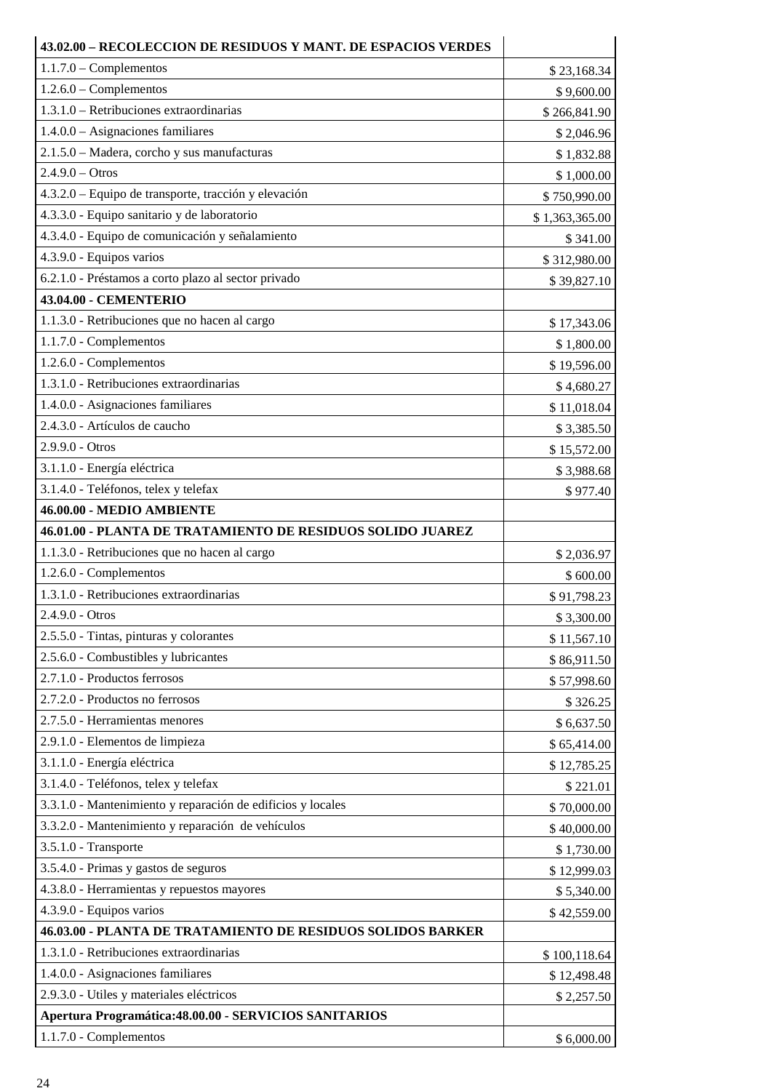| 43.02.00 – RECOLECCION DE RESIDUOS Y MANT. DE ESPACIOS VERDES |                |  |
|---------------------------------------------------------------|----------------|--|
| $1.1.7.0$ – Complementos                                      | \$23,168.34    |  |
| $1.2.6.0$ – Complementos                                      | \$9,600.00     |  |
| 1.3.1.0 – Retribuciones extraordinarias                       | \$266,841.90   |  |
| $1.4.0.0 - Asignaciones familiares$                           | \$2,046.96     |  |
| 2.1.5.0 - Madera, corcho y sus manufacturas                   | \$1,832.88     |  |
| $2.4.9.0 - Otros$                                             | \$1,000.00     |  |
| 4.3.2.0 – Equipo de transporte, tracción y elevación          | \$750,990.00   |  |
| 4.3.3.0 - Equipo sanitario y de laboratorio                   | \$1,363,365.00 |  |
| 4.3.4.0 - Equipo de comunicación y señalamiento               | \$341.00       |  |
| 4.3.9.0 - Equipos varios                                      | \$312,980.00   |  |
| 6.2.1.0 - Préstamos a corto plazo al sector privado           | \$39,827.10    |  |
| 43.04.00 - CEMENTERIO                                         |                |  |
| 1.1.3.0 - Retribuciones que no hacen al cargo                 | \$17,343.06    |  |
| $1.1.7.0$ - Complementos                                      | \$1,800.00     |  |
| 1.2.6.0 - Complementos                                        | \$19,596.00    |  |
| 1.3.1.0 - Retribuciones extraordinarias                       | \$4,680.27     |  |
| 1.4.0.0 - Asignaciones familiares                             | \$11,018.04    |  |
| 2.4.3.0 - Artículos de caucho                                 | \$3,385.50     |  |
| 2.9.9.0 - Otros                                               | \$15,572.00    |  |
| 3.1.1.0 - Energía eléctrica                                   | \$3,988.68     |  |
| 3.1.4.0 - Teléfonos, telex y telefax                          | \$977.40       |  |
| 46.00.00 - MEDIO AMBIENTE                                     |                |  |
| 46.01.00 - PLANTA DE TRATAMIENTO DE RESIDUOS SOLIDO JUAREZ    |                |  |
| 1.1.3.0 - Retribuciones que no hacen al cargo                 | \$2,036.97     |  |
| 1.2.6.0 - Complementos                                        | \$600.00       |  |
| 1.3.1.0 - Retribuciones extraordinarias                       | \$91,798.23    |  |
| 2.4.9.0 - Otros                                               | \$3,300.00     |  |
| 2.5.5.0 - Tintas, pinturas y colorantes                       | \$11,567.10    |  |
| 2.5.6.0 - Combustibles y lubricantes                          | \$86,911.50    |  |
| 2.7.1.0 - Productos ferrosos                                  | \$57,998.60    |  |
| 2.7.2.0 - Productos no ferrosos                               | \$326.25       |  |
| 2.7.5.0 - Herramientas menores                                | \$6,637.50     |  |
| 2.9.1.0 - Elementos de limpieza                               | \$65,414.00    |  |
| 3.1.1.0 - Energía eléctrica                                   | \$12,785.25    |  |
| 3.1.4.0 - Teléfonos, telex y telefax                          | \$221.01       |  |
| 3.3.1.0 - Mantenimiento y reparación de edificios y locales   | \$70,000.00    |  |
| 3.3.2.0 - Mantenimiento y reparación de vehículos             | \$40,000.00    |  |
| 3.5.1.0 - Transporte                                          | \$1,730.00     |  |
| 3.5.4.0 - Primas y gastos de seguros                          | \$12,999.03    |  |
| 4.3.8.0 - Herramientas y repuestos mayores                    | \$5,340.00     |  |
| 4.3.9.0 - Equipos varios                                      | \$42,559.00    |  |
| 46.03.00 - PLANTA DE TRATAMIENTO DE RESIDUOS SOLIDOS BARKER   |                |  |
| 1.3.1.0 - Retribuciones extraordinarias                       | \$100,118.64   |  |
| 1.4.0.0 - Asignaciones familiares                             | \$12,498.48    |  |
| 2.9.3.0 - Utiles y materiales eléctricos                      | \$2,257.50     |  |
| Apertura Programática: 48.00.00 - SERVICIOS SANITARIOS        |                |  |
| 1.1.7.0 - Complementos                                        | \$6,000.00     |  |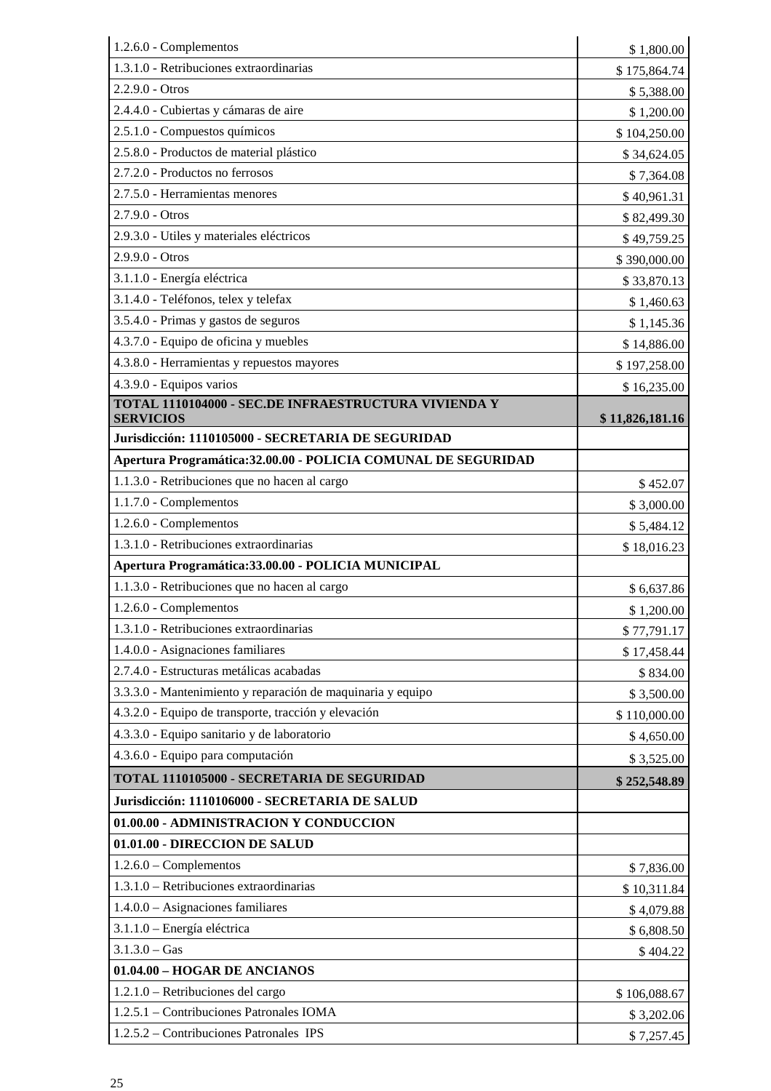| 1.2.6.0 - Complementos                                                   | \$1,800.00      |
|--------------------------------------------------------------------------|-----------------|
| 1.3.1.0 - Retribuciones extraordinarias                                  | \$175,864.74    |
| $2.2.9.0 - Otros$                                                        | \$5,388.00      |
| 2.4.4.0 - Cubiertas y cámaras de aire                                    | \$1,200.00      |
| 2.5.1.0 - Compuestos químicos                                            | \$104,250.00    |
| 2.5.8.0 - Productos de material plástico                                 | \$34,624.05     |
| 2.7.2.0 - Productos no ferrosos                                          | \$7,364.08      |
| 2.7.5.0 - Herramientas menores                                           | \$40,961.31     |
| $2.7.9.0 - Otros$                                                        | \$82,499.30     |
| 2.9.3.0 - Utiles y materiales eléctricos                                 | \$49,759.25     |
| $2.9.9.0 - Otros$                                                        | \$390,000.00    |
| 3.1.1.0 - Energía eléctrica                                              | \$33,870.13     |
| 3.1.4.0 - Teléfonos, telex y telefax                                     | \$1,460.63      |
| 3.5.4.0 - Primas y gastos de seguros                                     | \$1,145.36      |
| 4.3.7.0 - Equipo de oficina y muebles                                    | \$14,886.00     |
| 4.3.8.0 - Herramientas y repuestos mayores                               | \$197,258.00    |
| 4.3.9.0 - Equipos varios                                                 | \$16,235.00     |
| TOTAL 1110104000 - SEC.DE INFRAESTRUCTURA VIVIENDA Y<br><b>SERVICIOS</b> | \$11,826,181.16 |
| Jurisdicción: 1110105000 - SECRETARIA DE SEGURIDAD                       |                 |
| Apertura Programática: 32.00.00 - POLICIA COMUNAL DE SEGURIDAD           |                 |
| 1.1.3.0 - Retribuciones que no hacen al cargo                            | \$452.07        |
| 1.1.7.0 - Complementos                                                   | \$3,000.00      |
| 1.2.6.0 - Complementos                                                   | \$5,484.12      |
| 1.3.1.0 - Retribuciones extraordinarias                                  | \$18,016.23     |
| Apertura Programática: 33.00.00 - POLICIA MUNICIPAL                      |                 |
| 1.1.3.0 - Retribuciones que no hacen al cargo                            | \$6,637.86      |
| 1.2.6.0 - Complementos                                                   | \$1,200.00      |
| 1.3.1.0 - Retribuciones extraordinarias                                  | \$77,791.17     |
|                                                                          |                 |
| 1.4.0.0 - Asignaciones familiares                                        | \$17,458.44     |
| 2.7.4.0 - Estructuras metálicas acabadas                                 | \$834.00        |
| 3.3.3.0 - Mantenimiento y reparación de maquinaria y equipo              | \$3,500.00      |
| 4.3.2.0 - Equipo de transporte, tracción y elevación                     | \$110,000.00    |
| 4.3.3.0 - Equipo sanitario y de laboratorio                              | \$4,650.00      |
| 4.3.6.0 - Equipo para computación                                        | \$3,525.00      |
| TOTAL 1110105000 - SECRETARIA DE SEGURIDAD                               | \$252,548.89    |
| Jurisdicción: 1110106000 - SECRETARIA DE SALUD                           |                 |
| 01.00.00 - ADMINISTRACION Y CONDUCCION                                   |                 |
| 01.01.00 - DIRECCION DE SALUD                                            |                 |
| $1.2.6.0$ – Complementos                                                 | \$7,836.00      |
| 1.3.1.0 - Retribuciones extraordinarias                                  | \$10,311.84     |
| $1.4.0.0 - \text{Asignaciones familiares}$                               | \$4,079.88      |
| 3.1.1.0 - Energía eléctrica                                              | \$6,808.50      |
| $3.1.3.0 - Gas$                                                          | \$404.22        |
| 01.04.00 - HOGAR DE ANCIANOS                                             |                 |
| 1.2.1.0 - Retribuciones del cargo                                        | \$106,088.67    |
| 1.2.5.1 - Contribuciones Patronales IOMA                                 | \$3,202.06      |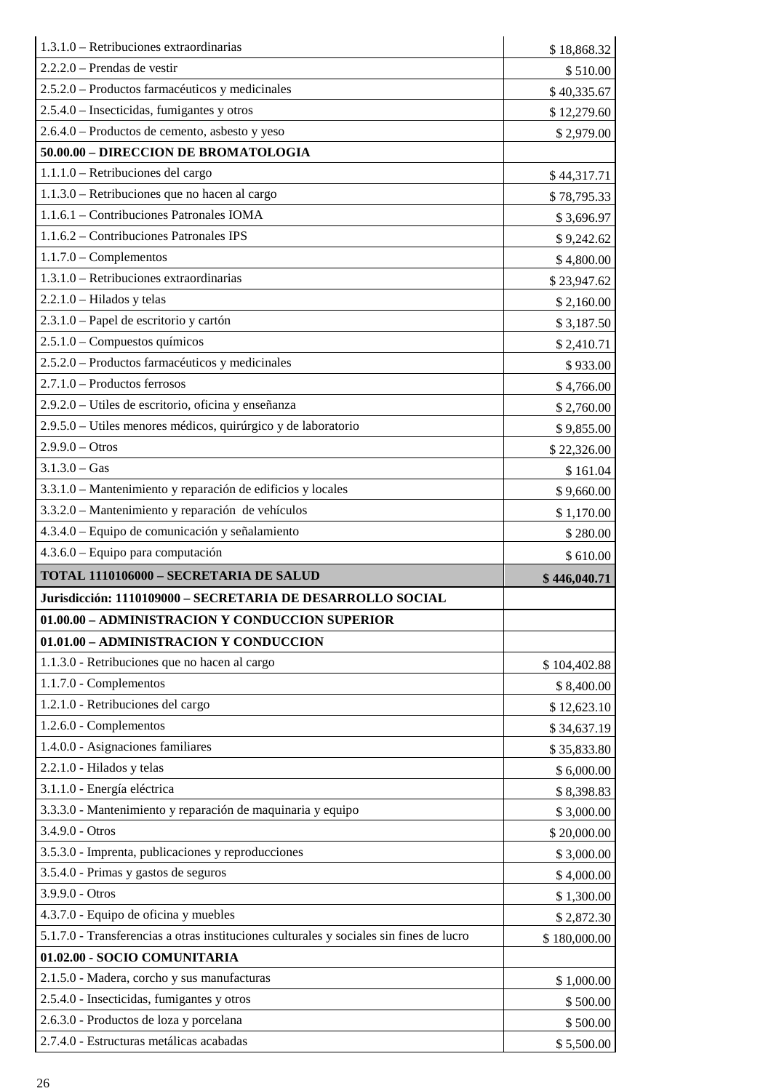| $1.3.1.0$ – Retribuciones extraordinarias                                               | \$18,868.32            |
|-----------------------------------------------------------------------------------------|------------------------|
| $2.2.2.0$ – Prendas de vestir                                                           | \$510.00               |
| 2.5.2.0 – Productos farmacéuticos y medicinales                                         | \$40,335.67            |
| 2.5.4.0 – Insecticidas, fumigantes y otros                                              | \$12,279.60            |
| 2.6.4.0 – Productos de cemento, asbesto y yeso                                          | \$2,979.00             |
| 50.00.00 - DIRECCION DE BROMATOLOGIA                                                    |                        |
| 1.1.1.0 - Retribuciones del cargo                                                       | \$44,317.71            |
| 1.1.3.0 – Retribuciones que no hacen al cargo                                           | \$78,795.33            |
| 1.1.6.1 – Contribuciones Patronales IOMA                                                | \$3,696.97             |
| 1.1.6.2 – Contribuciones Patronales IPS                                                 | \$9,242.62             |
| $1.1.7.0$ – Complementos                                                                | \$4,800.00             |
| 1.3.1.0 – Retribuciones extraordinarias                                                 | \$23,947.62            |
| $2.2.1.0$ – Hilados y telas                                                             | \$2,160.00             |
| 2.3.1.0 - Papel de escritorio y cartón                                                  | \$3,187.50             |
| 2.5.1.0 - Compuestos químicos                                                           | \$2,410.71             |
| 2.5.2.0 - Productos farmacéuticos y medicinales                                         | \$933.00               |
| $2.7.1.0$ – Productos ferrosos                                                          | \$4,766.00             |
| 2.9.2.0 – Utiles de escritorio, oficina y enseñanza                                     | \$2,760.00             |
| 2.9.5.0 – Utiles menores médicos, quirúrgico y de laboratorio                           | \$9,855.00             |
| $2.9.9.0 - Otros$                                                                       | \$22,326.00            |
| $3.1.3.0 - Gas$                                                                         | \$161.04               |
| 3.3.1.0 - Mantenimiento y reparación de edificios y locales                             | \$9,660.00             |
| 3.3.2.0 - Mantenimiento y reparación de vehículos                                       | \$1,170.00             |
| 4.3.4.0 – Equipo de comunicación y señalamiento                                         | \$280.00               |
|                                                                                         |                        |
|                                                                                         |                        |
| $4.3.6.0$ – Equipo para computación                                                     | \$610.00               |
| TOTAL 1110106000 - SECRETARIA DE SALUD                                                  | \$446,040.71           |
| Jurisdicción: 1110109000 - SECRETARIA DE DESARROLLO SOCIAL                              |                        |
| 01.00.00 - ADMINISTRACION Y CONDUCCION SUPERIOR                                         |                        |
| 01.01.00 - ADMINISTRACION Y CONDUCCION                                                  |                        |
| 1.1.3.0 - Retribuciones que no hacen al cargo                                           | \$104,402.88           |
| 1.1.7.0 - Complementos                                                                  | \$8,400.00             |
| 1.2.1.0 - Retribuciones del cargo                                                       | \$12,623.10            |
| 1.2.6.0 - Complementos                                                                  | \$34,637.19            |
| 1.4.0.0 - Asignaciones familiares                                                       | \$35,833.80            |
| 2.2.1.0 - Hilados y telas                                                               | \$6,000.00             |
| 3.1.1.0 - Energía eléctrica                                                             | \$8,398.83             |
| 3.3.3.0 - Mantenimiento y reparación de maquinaria y equipo                             | \$3,000.00             |
| 3.4.9.0 - Otros                                                                         | \$20,000.00            |
| 3.5.3.0 - Imprenta, publicaciones y reproducciones                                      | \$3,000.00             |
| 3.5.4.0 - Primas y gastos de seguros                                                    | \$4,000.00             |
| 3.9.9.0 - Otros                                                                         | \$1,300.00             |
| 4.3.7.0 - Equipo de oficina y muebles                                                   | \$2,872.30             |
| 5.1.7.0 - Transferencias a otras instituciones culturales y sociales sin fines de lucro | \$180,000.00           |
| 01.02.00 - SOCIO COMUNITARIA                                                            |                        |
| 2.1.5.0 - Madera, corcho y sus manufacturas                                             | \$1,000.00             |
| 2.5.4.0 - Insecticidas, fumigantes y otros                                              | \$500.00               |
| 2.6.3.0 - Productos de loza y porcelana<br>2.7.4.0 - Estructuras metálicas acabadas     | \$500.00<br>\$5,500.00 |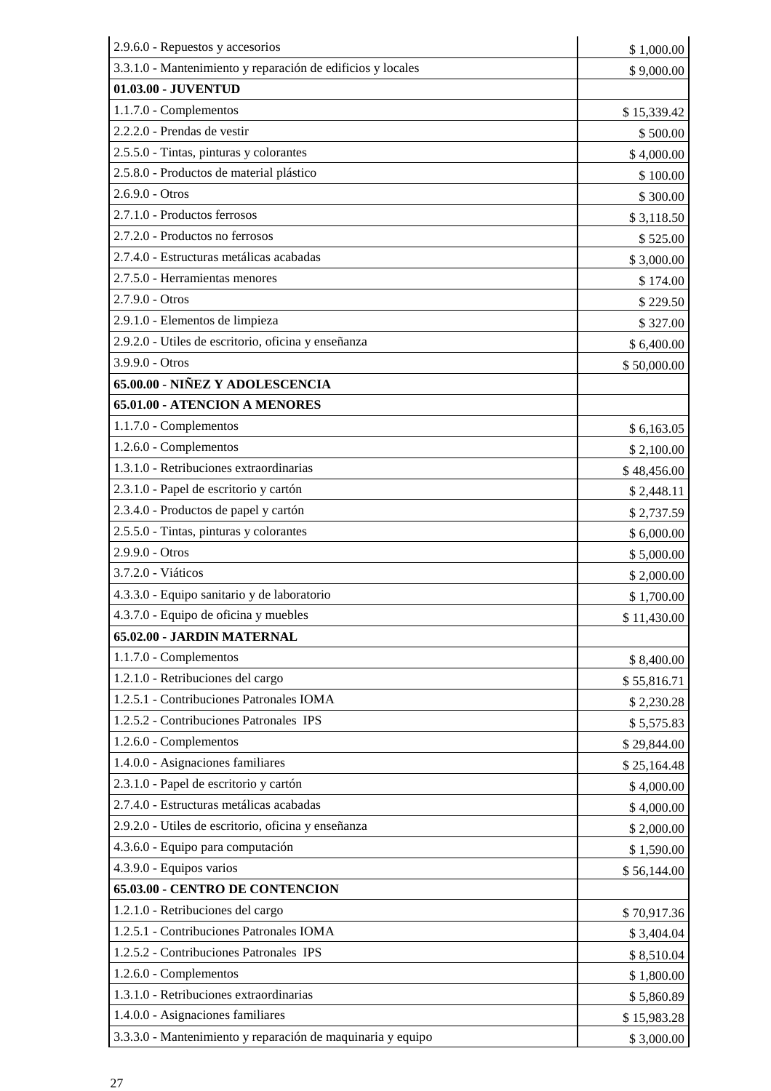| 2.9.6.0 - Repuestos y accesorios                            | \$1,000.00  |
|-------------------------------------------------------------|-------------|
| 3.3.1.0 - Mantenimiento y reparación de edificios y locales | \$9,000.00  |
| 01.03.00 - JUVENTUD                                         |             |
| 1.1.7.0 - Complementos                                      | \$15,339.42 |
| 2.2.2.0 - Prendas de vestir                                 | \$500.00    |
| 2.5.5.0 - Tintas, pinturas y colorantes                     | \$4,000.00  |
| 2.5.8.0 - Productos de material plástico                    | \$100.00    |
| $2.6.9.0 - Otros$                                           | \$300.00    |
| 2.7.1.0 - Productos ferrosos                                | \$3,118.50  |
| 2.7.2.0 - Productos no ferrosos                             | \$525.00    |
| 2.7.4.0 - Estructuras metálicas acabadas                    | \$3,000.00  |
| 2.7.5.0 - Herramientas menores                              | \$174.00    |
| 2.7.9.0 - Otros                                             | \$229.50    |
| 2.9.1.0 - Elementos de limpieza                             | \$327.00    |
| 2.9.2.0 - Utiles de escritorio, oficina y enseñanza         | \$6,400.00  |
| 3.9.9.0 - Otros                                             | \$50,000.00 |
| 65.00.00 - NIÑEZ Y ADOLESCENCIA                             |             |
| 65.01.00 - ATENCION A MENORES                               |             |
| 1.1.7.0 - Complementos                                      | \$6,163.05  |
| 1.2.6.0 - Complementos                                      | \$2,100.00  |
| 1.3.1.0 - Retribuciones extraordinarias                     | \$48,456.00 |
| 2.3.1.0 - Papel de escritorio y cartón                      | \$2,448.11  |
| 2.3.4.0 - Productos de papel y cartón                       | \$2,737.59  |
| 2.5.5.0 - Tintas, pinturas y colorantes                     | \$6,000.00  |
| 2.9.9.0 - Otros                                             | \$5,000.00  |
| 3.7.2.0 - Viáticos                                          | \$2,000.00  |
| 4.3.3.0 - Equipo sanitario y de laboratorio                 | \$1,700.00  |
| 4.3.7.0 - Equipo de oficina y muebles                       | \$11,430.00 |
| 65.02.00 - JARDIN MATERNAL                                  |             |
| 1.1.7.0 - Complementos                                      | \$8,400.00  |
| 1.2.1.0 - Retribuciones del cargo                           | \$55,816.71 |
| 1.2.5.1 - Contribuciones Patronales IOMA                    | \$2,230.28  |
| 1.2.5.2 - Contribuciones Patronales IPS                     | \$5,575.83  |
| 1.2.6.0 - Complementos                                      | \$29,844.00 |
| 1.4.0.0 - Asignaciones familiares                           | \$25,164.48 |
| 2.3.1.0 - Papel de escritorio y cartón                      | \$4,000.00  |
| 2.7.4.0 - Estructuras metálicas acabadas                    | \$4,000.00  |
| 2.9.2.0 - Utiles de escritorio, oficina y enseñanza         | \$2,000.00  |
| 4.3.6.0 - Equipo para computación                           | \$1,590.00  |
| 4.3.9.0 - Equipos varios                                    | \$56,144.00 |
| 65.03.00 - CENTRO DE CONTENCION                             |             |
| 1.2.1.0 - Retribuciones del cargo                           | \$70,917.36 |
| 1.2.5.1 - Contribuciones Patronales IOMA                    | \$3,404.04  |
| 1.2.5.2 - Contribuciones Patronales IPS                     | \$8,510.04  |
| 1.2.6.0 - Complementos                                      | \$1,800.00  |
| 1.3.1.0 - Retribuciones extraordinarias                     | \$5,860.89  |
| 1.4.0.0 - Asignaciones familiares                           | \$15,983.28 |
| 3.3.3.0 - Mantenimiento y reparación de maquinaria y equipo | \$3,000.00  |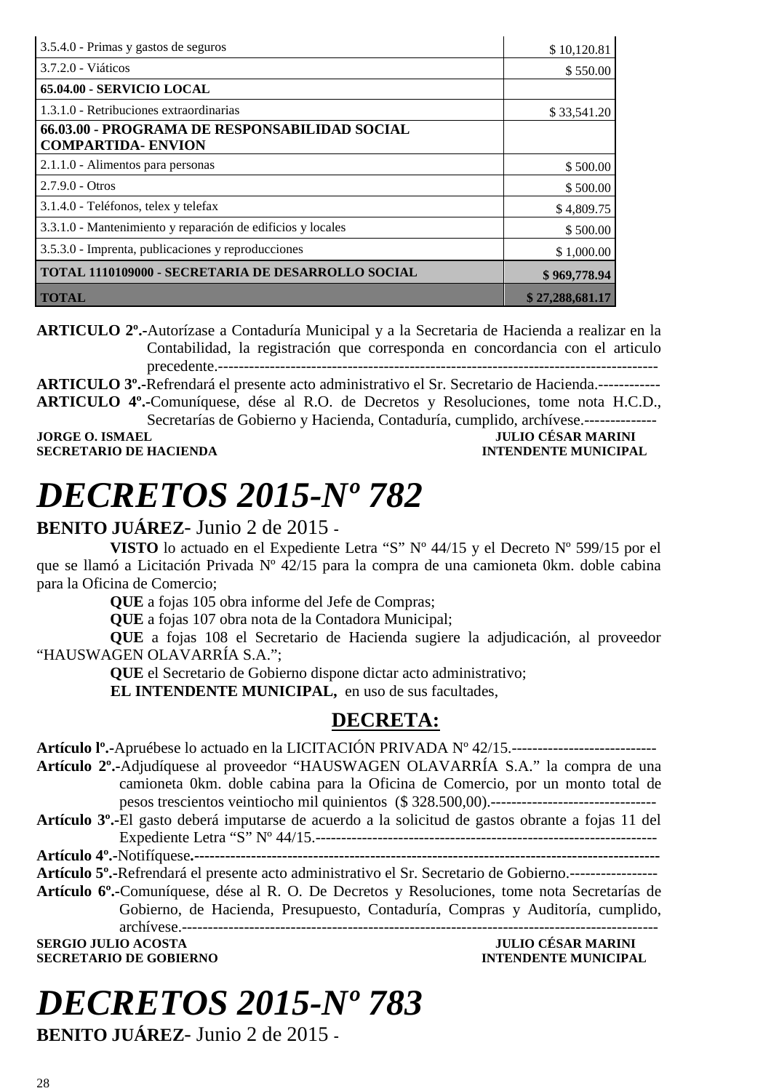| 3.5.4.0 - Primas y gastos de seguros                        | \$10,120.81     |
|-------------------------------------------------------------|-----------------|
| 3.7.2.0 - Viáticos                                          | \$550.00        |
| 65.04.00 - SERVICIO LOCAL                                   |                 |
| 1.3.1.0 - Retribuciones extraordinarias                     | \$33,541.20     |
| 66.03.00 - PROGRAMA DE RESPONSABILIDAD SOCIAL               |                 |
| <b>COMPARTIDA- ENVION</b>                                   |                 |
| 2.1.1.0 - Alimentos para personas                           | \$500.00        |
| $2.7.9.0 - O$                                               | \$500.00        |
| 3.1.4.0 - Teléfonos, telex y telefax                        | \$4,809.75      |
| 3.3.1.0 - Mantenimiento y reparación de edificios y locales | \$500.00        |
| 3.5.3.0 - Imprenta, publicaciones y reproducciones          | \$1,000.00      |
| TOTAL 1110109000 - SECRETARIA DE DESARROLLO SOCIAL          | \$969,778.94    |
| <b>TOTAL</b>                                                | \$27,288,681.17 |

**ARTICULO 2º.-**Autorízase a Contaduría Municipal y a la Secretaria de Hacienda a realizar en la Contabilidad, la registración que corresponda en concordancia con el articulo precedente.-------------------------------------------------------------------------------------

**ARTICULO 3º.-**Refrendará el presente acto administrativo el Sr. Secretario de Hacienda.------------ **ARTICULO 4º.-**Comuníquese, dése al R.O. de Decretos y Resoluciones, tome nota H.C.D., Secretarías de Gobierno y Hacienda, Contaduría, cumplido, archívese.---------------

**JORGE O. ISMAEL SERVICE SERVICE SERVICE SOLUTION CESAR MARINI SECRETARIO DE HACIENDA INTENDENTE MUNICIPAL** 

# *DECRETOS 2015-Nº 782*

### **BENITO JUÁREZ**- Junio 2 de 2015 **-**

**VISTO** lo actuado en el Expediente Letra "S" Nº 44/15 y el Decreto Nº 599/15 por el que se llamó a Licitación Privada Nº 42/15 para la compra de una camioneta 0km. doble cabina para la Oficina de Comercio;

**QUE** a fojas 105 obra informe del Jefe de Compras;

**QUE** a fojas 107 obra nota de la Contadora Municipal;

**QUE** a fojas 108 el Secretario de Hacienda sugiere la adjudicación, al proveedor "HAUSWAGEN OLAVARRÍA S.A.";

**QUE** el Secretario de Gobierno dispone dictar acto administrativo;

**EL INTENDENTE MUNICIPAL,** en uso de sus facultades,

### **DECRETA:**

**Artículo lº.-**Apruébese lo actuado en la LICITACIÓN PRIVADA Nº 42/15.----------------------------

- **Artículo 2º.-**Adjudíquese al proveedor "HAUSWAGEN OLAVARRÍA S.A." la compra de una camioneta 0km. doble cabina para la Oficina de Comercio, por un monto total de pesos trescientos veintiocho mil quinientos (\$ 328.500,00).--------------------------------
- **Artículo 3º.-**El gasto deberá imputarse de acuerdo a la solicitud de gastos obrante a fojas 11 del Expediente Letra "S" Nº 44/15.------------------------------------------------------------------

**Artículo 4º.-**Notifíquese**.------------------------------------------------------------------------------------------** 

**Artículo 5º.-**Refrendará el presente acto administrativo el Sr. Secretario de Gobierno.-----------------

**Artículo 6º.-**Comuníquese, dése al R. O. De Decretos y Resoluciones, tome nota Secretarías de Gobierno, de Hacienda, Presupuesto, Contaduría, Compras y Auditoría, cumplido, archívese.--------------------------------------------------------------------------------------------

**SERGIO JULIO ACOSTA JULIO CÉSAR MARINI SECRETARIO DE GOBIERNO** 

# *DECRETOS 2015-Nº 783*

**BENITO JUÁREZ**- Junio 2 de 2015 **-**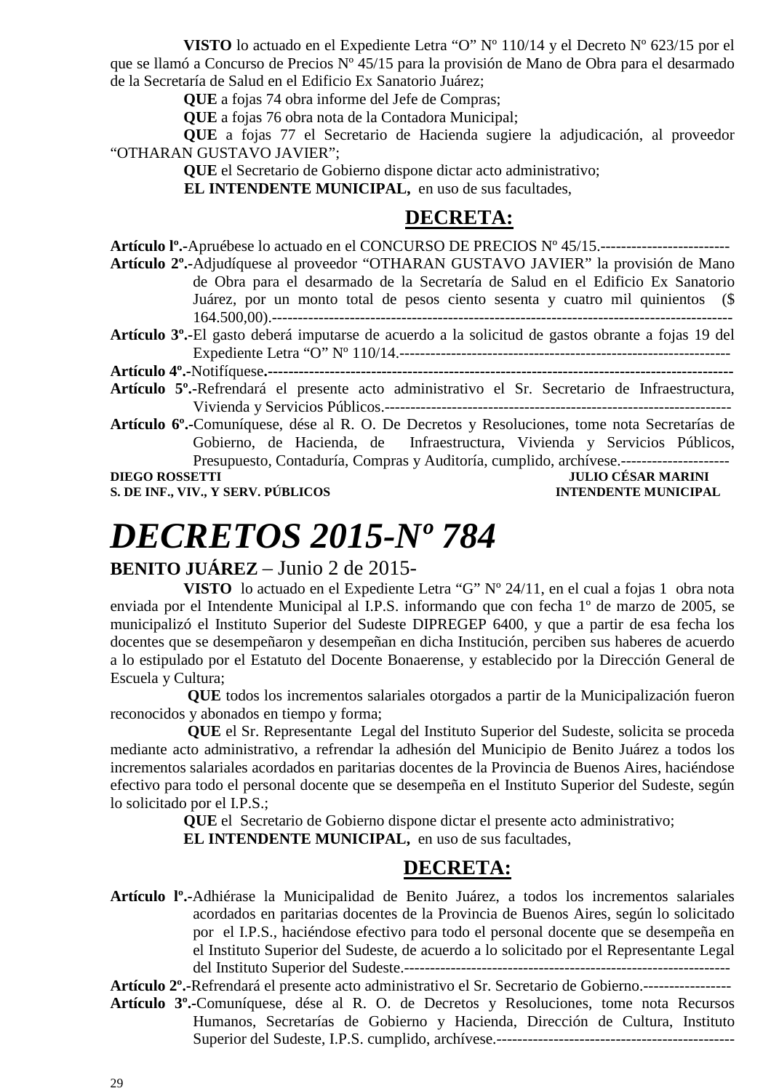**VISTO** lo actuado en el Expediente Letra "O" Nº 110/14 y el Decreto Nº 623/15 por el que se llamó a Concurso de Precios Nº 45/15 para la provisión de Mano de Obra para el desarmado de la Secretaría de Salud en el Edificio Ex Sanatorio Juárez;

**QUE** a fojas 74 obra informe del Jefe de Compras;

**QUE** a fojas 76 obra nota de la Contadora Municipal;

**QUE** a fojas 77 el Secretario de Hacienda sugiere la adjudicación, al proveedor "OTHARAN GUSTAVO JAVIER";

**QUE** el Secretario de Gobierno dispone dictar acto administrativo;

**EL INTENDENTE MUNICIPAL,** en uso de sus facultades,

### **DECRETA:**

**Artículo lº.-**Apruébese lo actuado en el CONCURSO DE PRECIOS Nº 45/15.-------------------------

**Artículo 2º.-**Adjudíquese al proveedor "OTHARAN GUSTAVO JAVIER" la provisión de Mano de Obra para el desarmado de la Secretaría de Salud en el Edificio Ex Sanatorio Juárez, por un monto total de pesos ciento sesenta y cuatro mil quinientos (\$ 164.500,00).-----------------------------------------------------------------------------------------

**Artículo 3º.-**El gasto deberá imputarse de acuerdo a la solicitud de gastos obrante a fojas 19 del Expediente Letra "O" Nº 110/14.----------------------------------------------------------------

**Artículo 4º.-**Notifíquese**.------------------------------------------------------------------------------------------** 

- **Artículo 5º.-**Refrendará el presente acto administrativo el Sr. Secretario de Infraestructura, Vivienda y Servicios Públicos.-------------------------------------------------------------------
- **Artículo 6º.-**Comuníquese, dése al R. O. De Decretos y Resoluciones, tome nota Secretarías de Gobierno, de Hacienda, de Infraestructura, Vivienda y Servicios Públicos, Presupuesto, Contaduría, Compras y Auditoría, cumplido, archívese.--------------------- **DIEGO ROSSETTI JULIO CÉSAR MARINI**

**S. DE INF., VIV., Y SERV. PÚBLICOS INTENDENTE MUNICIPAL** 

# *DECRETOS 2015-Nº 784*

### **BENITO JUÁREZ** – Junio 2 de 2015-

**VISTO** lo actuado en el Expediente Letra "G" Nº 24/11, en el cual a fojas 1 obra nota enviada por el Intendente Municipal al I.P.S. informando que con fecha 1º de marzo de 2005, se municipalizó el Instituto Superior del Sudeste DIPREGEP 6400, y que a partir de esa fecha los docentes que se desempeñaron y desempeñan en dicha Institución, perciben sus haberes de acuerdo a lo estipulado por el Estatuto del Docente Bonaerense, y establecido por la Dirección General de Escuela y Cultura;

 **QUE** todos los incrementos salariales otorgados a partir de la Municipalización fueron reconocidos y abonados en tiempo y forma;

**QUE** el Sr. Representante Legal del Instituto Superior del Sudeste, solicita se proceda mediante acto administrativo, a refrendar la adhesión del Municipio de Benito Juárez a todos los incrementos salariales acordados en paritarias docentes de la Provincia de Buenos Aires, haciéndose efectivo para todo el personal docente que se desempeña en el Instituto Superior del Sudeste, según lo solicitado por el I.P.S.;

> **QUE** el Secretario de Gobierno dispone dictar el presente acto administrativo; **EL INTENDENTE MUNICIPAL,** en uso de sus facultades,

### **DECRETA:**

**Artículo lº.-**Adhiérase la Municipalidad de Benito Juárez, a todos los incrementos salariales acordados en paritarias docentes de la Provincia de Buenos Aires, según lo solicitado por el I.P.S., haciéndose efectivo para todo el personal docente que se desempeña en el Instituto Superior del Sudeste, de acuerdo a lo solicitado por el Representante Legal del Instituto Superior del Sudeste.---------------------------------------------------------------

**Artículo 2º.-**Refrendará el presente acto administrativo el Sr. Secretario de Gobierno.-----------------

**Artículo 3º.-**Comuníquese, dése al R. O. de Decretos y Resoluciones, tome nota Recursos Humanos, Secretarías de Gobierno y Hacienda, Dirección de Cultura, Instituto Superior del Sudeste, I.P.S. cumplido, archívese.----------------------------------------------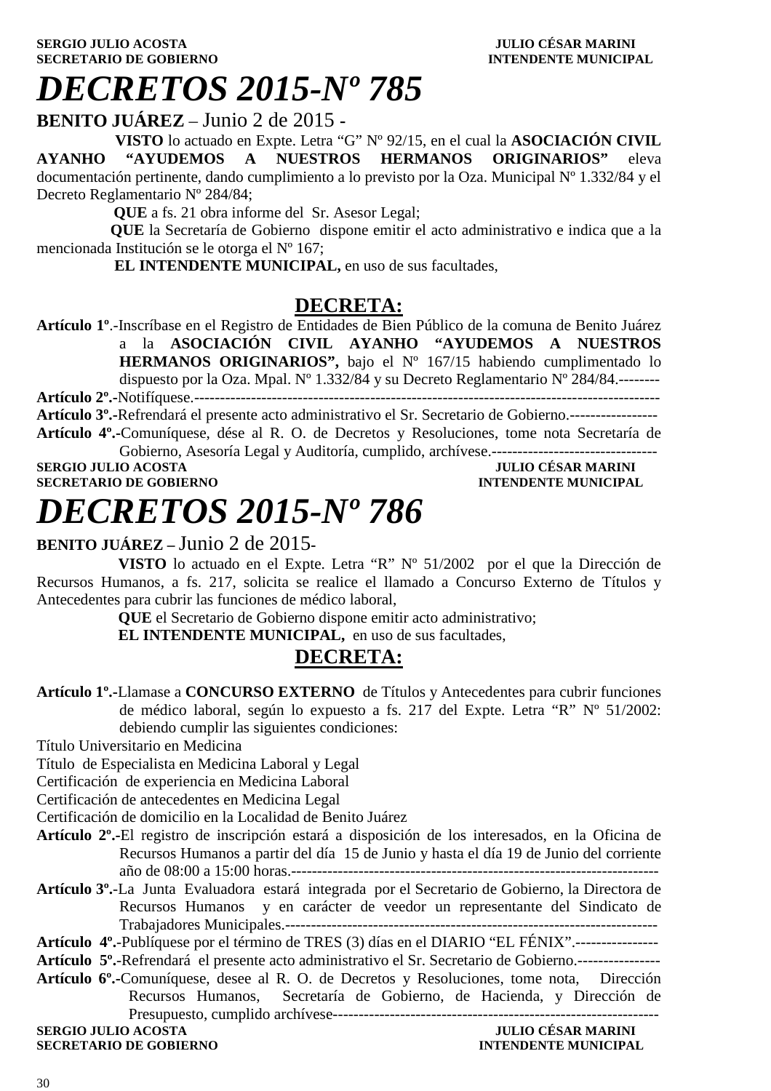**BENITO JUÁREZ** – Junio 2 de 2015 **-** 

 **VISTO** lo actuado en Expte. Letra "G" Nº 92/15, en el cual la **ASOCIACIÓN CIVIL AYANHO "AYUDEMOS A NUESTROS HERMANOS ORIGINARIOS"** eleva documentación pertinente, dando cumplimiento a lo previsto por la Oza. Municipal Nº 1.332/84 y el Decreto Reglamentario Nº 284/84;

 **QUE** a fs. 21 obra informe del Sr. Asesor Legal;

 **QUE** la Secretaría de Gobierno dispone emitir el acto administrativo e indica que a la mencionada Institución se le otorga el Nº 167;

 **EL INTENDENTE MUNICIPAL,** en uso de sus facultades,

## **DECRETA:**

**Artículo 1º**.-Inscríbase en el Registro de Entidades de Bien Público de la comuna de Benito Juárez a la **ASOCIACIÓN CIVIL AYANHO "AYUDEMOS A NUESTROS HERMANOS ORIGINARIOS",** bajo el Nº 167/15 habiendo cumplimentado lo dispuesto por la Oza. Mpal. Nº 1.332/84 y su Decreto Reglamentario Nº 284/84.--------

**Artículo 2º.-**Notifíquese.------------------------------------------------------------------------------------------

**Artículo 3º.-**Refrendará el presente acto administrativo el Sr. Secretario de Gobierno.----------------- **Artículo 4º.-**Comuníquese, dése al R. O. de Decretos y Resoluciones, tome nota Secretaría de Gobierno, Asesoría Legal y Auditoría, cumplido, archívese.--------------------------------

**SERGIO JULIO ACOSTA JULIO CÉSAR MARINI A SECRETARIO DE GOBIERNO DE LOS DE LOS DE LOS DE LOS DE LOS DE LOS DE LOS DE LOS DE LOS DE LOS DE LOS DE LOS DE LOS DE LOS DE LOS DE LOS DE LOS DE LOS DE LOS DE LOS DE LOS DE LOS DE SECRETARIO DE GOBIERNO** 

# *DECRETOS 2015-Nº 786*

### **BENITO JUÁREZ –** Junio 2 de 2015**-**

 **VISTO** lo actuado en el Expte. Letra "R" Nº 51/2002 por el que la Dirección de Recursos Humanos, a fs. 217, solicita se realice el llamado a Concurso Externo de Títulos y Antecedentes para cubrir las funciones de médico laboral,

**QUE** el Secretario de Gobierno dispone emitir acto administrativo;

 **EL INTENDENTE MUNICIPAL,** en uso de sus facultades,

## **DECRETA:**

**Artículo 1º.-**Llamase a **CONCURSO EXTERNO** de Títulos y Antecedentes para cubrir funciones de médico laboral, según lo expuesto a fs. 217 del Expte. Letra "R" Nº 51/2002: debiendo cumplir las siguientes condiciones:

Título Universitario en Medicina

Título de Especialista en Medicina Laboral y Legal

Certificación de experiencia en Medicina Laboral

Certificación de antecedentes en Medicina Legal

Certificación de domicilio en la Localidad de Benito Juárez

- **Artículo 2º.-**El registro de inscripción estará a disposición de los interesados, en la Oficina de Recursos Humanos a partir del día 15 de Junio y hasta el día 19 de Junio del corriente año de 08:00 a 15:00 horas.-----------------------------------------------------------------------
- **Artículo 3º.**-La Junta Evaluadora estará integrada por el Secretario de Gobierno, la Directora de Recursos Humanos y en carácter de veedor un representante del Sindicato de Trabajadores Municipales.------------------------------------------------------------------------

**Artículo 4º.**-Publíquese por el término de TRES (3) días en el DIARIO "EL FÉNIX".----------------

- **Artículo 5º.**-Refrendará el presente acto administrativo el Sr. Secretario de Gobierno.----------------
- **Artículo 6º.-**Comuníquese, desee al R. O. de Decretos y Resoluciones, tome nota, Dirección Recursos Humanos, Secretaría de Gobierno, de Hacienda, y Dirección de Presupuesto, cumplido archívese---------------------------------------------------------------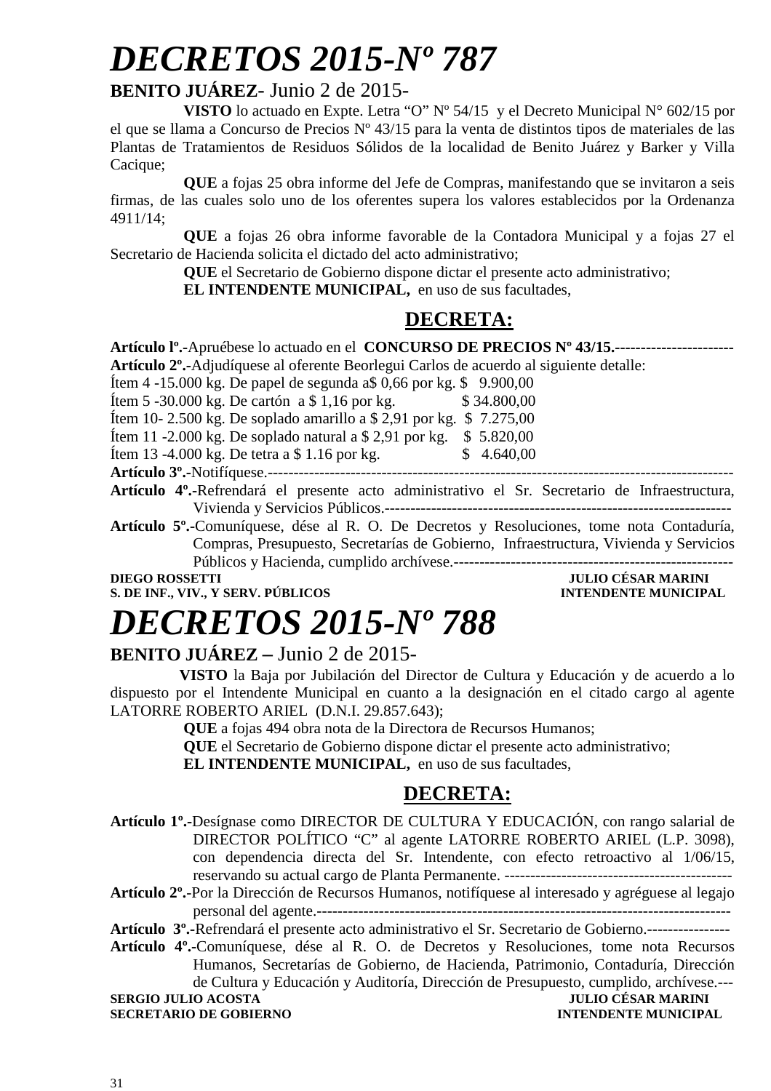### **BENITO JUÁREZ**- Junio 2 de 2015-

**VISTO** lo actuado en Expte. Letra "O" Nº 54/15 y el Decreto Municipal N° 602/15 por el que se llama a Concurso de Precios Nº 43/15 para la venta de distintos tipos de materiales de las Plantas de Tratamientos de Residuos Sólidos de la localidad de Benito Juárez y Barker y Villa Cacique;

**QUE** a fojas 25 obra informe del Jefe de Compras, manifestando que se invitaron a seis firmas, de las cuales solo uno de los oferentes supera los valores establecidos por la Ordenanza 4911/14;

**QUE** a fojas 26 obra informe favorable de la Contadora Municipal y a fojas 27 el Secretario de Hacienda solicita el dictado del acto administrativo;

**QUE** el Secretario de Gobierno dispone dictar el presente acto administrativo;

**EL INTENDENTE MUNICIPAL,** en uso de sus facultades,

## **DECRETA:**

| Artículo Iº.-Apruébese lo actuado en el CONCURSO DE PRECIOS Nº 43/15.------                                |
|------------------------------------------------------------------------------------------------------------|
| Artículo 2 <sup>o</sup> .-Adjudíquese al oferente Beorlegui Carlos de acuerdo al siguiente detalle:        |
| Item 4 -15.000 kg. De papel de segunda a\$ 0,66 por kg. \$ 9.900,00                                        |
| Item 5 -30.000 kg. De cartón a \$ 1,16 por kg.<br>\$34.800,00                                              |
| Item 10-2.500 kg. De soplado amarillo a \$ 2,91 por kg. \$ 7.275,00                                        |
| Item 11 -2.000 kg. De soplado natural a $$2,91$ por kg.<br>\$5.820,00                                      |
| Item 13 -4.000 kg. De tetra a $$1.16$ por kg.<br>\$4.640,00                                                |
| Artículo 3 <sup>°</sup> .-Notifíquese.--                                                                   |
| Artículo 4 <sup>°</sup> .-Refrendará el presente acto administrativo el Sr. Secretario de Infraestructura, |
| Vivienda y Servicios Públicos.--                                                                           |
| Artículo 5 <sup>°</sup> . Comuníquese, dése al R. O. De Decretos y Resoluciones, tome nota Contaduría,     |
| Compras, Presupuesto, Secretarías de Gobierno, Infraestructura, Vivienda y Servicios                       |

Públicos y Hacienda, cumplido archívese.------------------------------------------------------

**S. DE INF., VIV., Y SERV. PÚBLICOS INTENDENTE MUNICIPAL** 

# **DIEGO ROSSETTI JULIO CÉSAR MARINI**

# *DECRETOS 2015-Nº 788*

### **BENITO JUÁREZ –** Junio 2 de 2015-

 **VISTO** la Baja por Jubilación del Director de Cultura y Educación y de acuerdo a lo dispuesto por el Intendente Municipal en cuanto a la designación en el citado cargo al agente LATORRE ROBERTO ARIEL (D.N.I. 29.857.643);

**QUE** a fojas 494 obra nota de la Directora de Recursos Humanos;

**QUE** el Secretario de Gobierno dispone dictar el presente acto administrativo;

**EL INTENDENTE MUNICIPAL,** en uso de sus facultades,

## **DECRETA:**

**Artículo 1º.-**Desígnase como DIRECTOR DE CULTURA Y EDUCACIÓN, con rango salarial de DIRECTOR POLÍTICO "C" al agente LATORRE ROBERTO ARIEL (L.P. 3098), con dependencia directa del Sr. Intendente, con efecto retroactivo al 1/06/15, reservando su actual cargo de Planta Permanente. --------------------------------------------

**Artículo 2º.**-Por la Dirección de Recursos Humanos, notifíquese al interesado y agréguese al legajo personal del agente.--------------------------------------------------------------------------------

**Artículo 3º.-**Refrendará el presente acto administrativo el Sr. Secretario de Gobierno.----------------

**Artículo 4º.-**Comuníquese, dése al R. O. de Decretos y Resoluciones, tome nota Recursos Humanos, Secretarías de Gobierno, de Hacienda, Patrimonio, Contaduría, Dirección de Cultura y Educación y Auditoría, Dirección de Presupuesto, cumplido, archívese.--- **SERGIO JULIO ACOSTA SECRETARIO DE GOBIERNO INTENDENTE MUNICIPAL**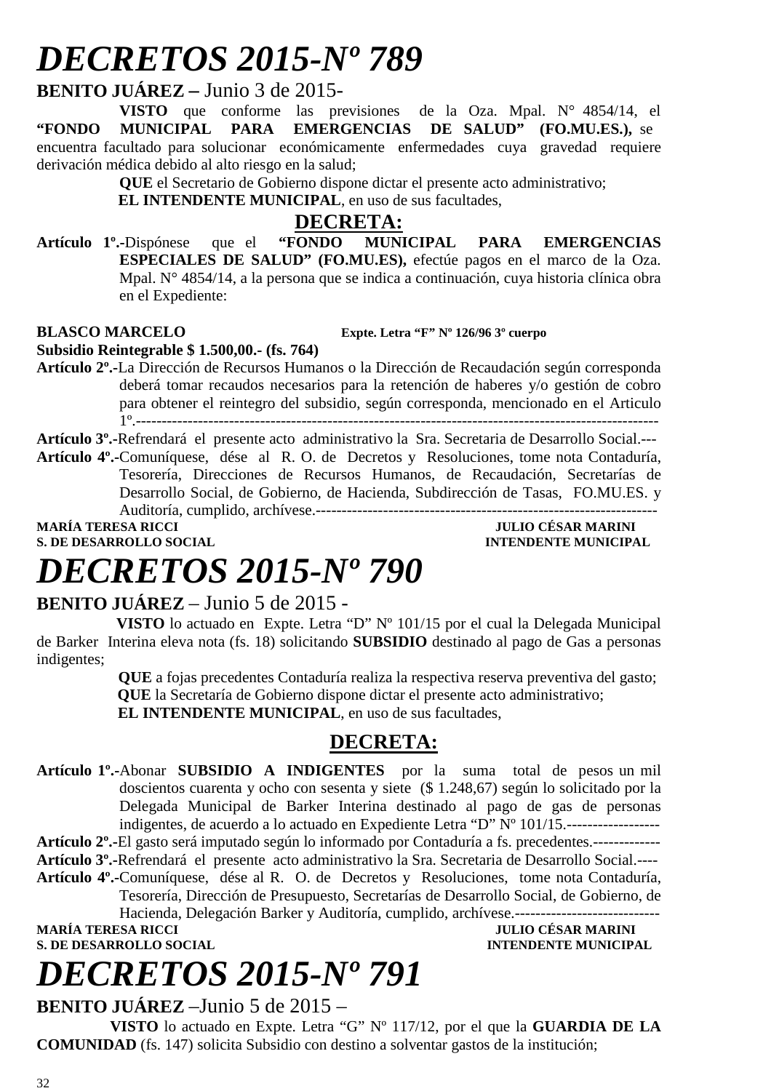### **BENITO JUÁREZ –** Junio 3 de 2015-

**VISTO** que conforme las previsiones de la Oza. Mpal. N° 4854/14, el **"FONDO MUNICIPAL PARA EMERGENCIAS DE SALUD" (FO.MU.ES.),** se encuentra facultado para solucionar económicamente enfermedades cuya gravedad requiere derivación médica debido al alto riesgo en la salud;

**QUE** el Secretario de Gobierno dispone dictar el presente acto administrativo;

 **EL INTENDENTE MUNICIPAL**, en uso de sus facultades,

### **DECRETA:**

**Artículo 1º.-**Dispónese que el **"FONDO MUNICIPAL PARA EMERGENCIAS ESPECIALES DE SALUD" (FO.MU.ES),** efectúe pagos en el marco de la Oza. Mpal. N° 4854/14, a la persona que se indica a continuación, cuya historia clínica obra en el Expediente:

#### **BLASCO MARCELO Expte. Letra "F" Nº 126/96 3º cuerpo**

**Subsidio Reintegrable \$ 1.500,00.- (fs. 764)** 

**Artículo 2º.-**La Dirección de Recursos Humanos o la Dirección de Recaudación según corresponda deberá tomar recaudos necesarios para la retención de haberes y/o gestión de cobro para obtener el reintegro del subsidio, según corresponda, mencionado en el Articulo 1º.-----------------------------------------------------------------------------------------------------

**Artículo 3º.-**Refrendará el presente acto administrativo la Sra. Secretaria de Desarrollo Social.--- **Artículo 4º.-**Comuníquese, dése al R. O. de Decretos y Resoluciones, tome nota Contaduría, Tesorería, Direcciones de Recursos Humanos, de Recaudación, Secretarías de Desarrollo Social, de Gobierno, de Hacienda, Subdirección de Tasas, FO.MU.ES. y

Auditoría, cumplido, archívese.------------------------------------------------------------------

**MARÍA TERESA RICCI JULIO CÉSAR MARINI S. DE DESARROLLO SOCIAL COMPUTE DESARROLLO SOCIAL COMPUTE SOCIAL COMPUTE DESARROLLO SOCIAL COMPUTE DESARROLLO SOCIAL** 

# *DECRETOS 2015-Nº 790*

### **BENITO JUÁREZ** – Junio 5 de 2015 -

 **VISTO** lo actuado en Expte. Letra "D" Nº 101/15 por el cual la Delegada Municipal de Barker Interina eleva nota (fs. 18) solicitando **SUBSIDIO** destinado al pago de Gas a personas indigentes;

 **QUE** a fojas precedentes Contaduría realiza la respectiva reserva preventiva del gasto;  **QUE** la Secretaría de Gobierno dispone dictar el presente acto administrativo;

**EL INTENDENTE MUNICIPAL**, en uso de sus facultades,

### **DECRETA:**

**Artículo 1º.-**Abonar **SUBSIDIO A INDIGENTES** por la suma total de pesos un mil doscientos cuarenta y ocho con sesenta y siete (\$ 1.248,67) según lo solicitado por la Delegada Municipal de Barker Interina destinado al pago de gas de personas indigentes, de acuerdo a lo actuado en Expediente Letra "D" Nº 101/15.------------------

**Artículo 2º.-**El gasto será imputado según lo informado por Contaduría a fs. precedentes.-------------

**Artículo 3º.-**Refrendará el presente acto administrativo la Sra. Secretaria de Desarrollo Social.----

**Artículo 4º.-**Comuníquese, dése al R. O. de Decretos y Resoluciones, tome nota Contaduría, Tesorería, Dirección de Presupuesto, Secretarías de Desarrollo Social, de Gobierno, de Hacienda, Delegación Barker y Auditoría, cumplido, archívese.----------------------------

**S. DE DESARROLLO SOCIAL** 

**MARÍA TERESA RICCI DE LOS EN EL DE LOS ENFORMADES DE DESAR MARINI S. DE DESARROLLO SOCIAL DE LOS ENTREDEDITABLES DE LOS ENFORMADES DE LOS ENFORMADES DE LOS ENFORMADES DE LOS ENFORMADES DE LOS ENFORMADES DE LOS ENFORMADES** 

# *DECRETOS 2015-Nº 791*

**BENITO JUÁREZ** –Junio 5 de 2015 –

**VISTO** lo actuado en Expte. Letra "G" Nº 117/12, por el que la **GUARDIA DE LA COMUNIDAD** (fs. 147) solicita Subsidio con destino a solventar gastos de la institución;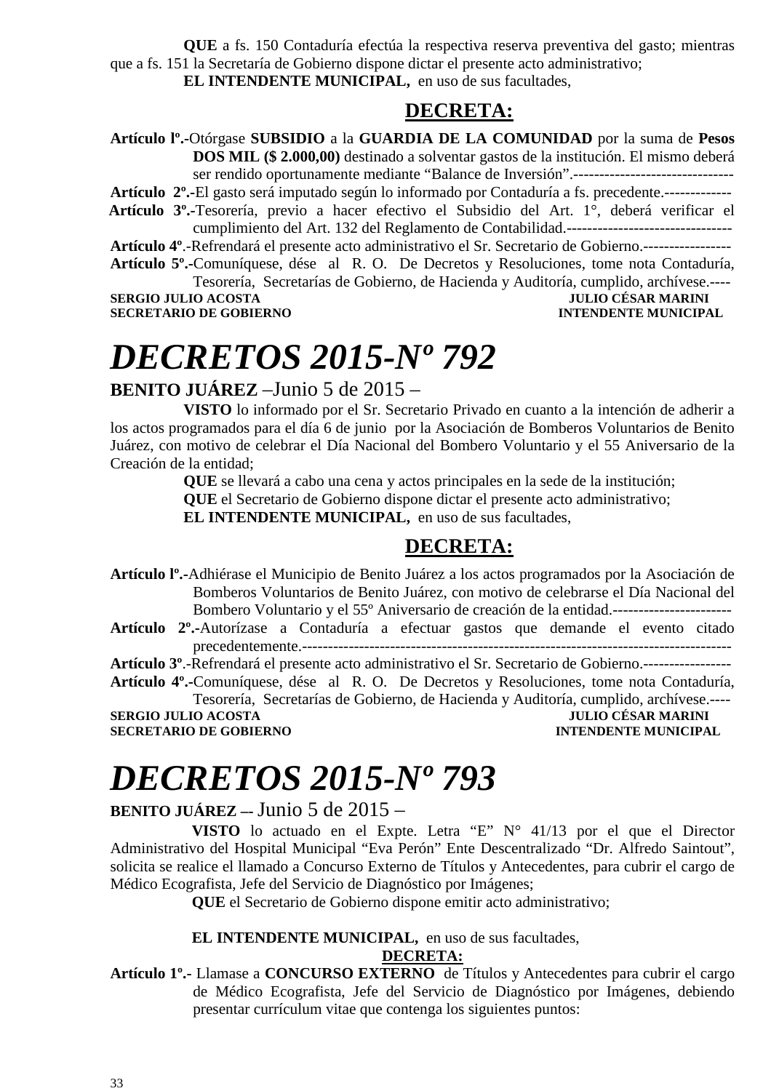**QUE** a fs. 150 Contaduría efectúa la respectiva reserva preventiva del gasto; mientras que a fs. 151 la Secretaría de Gobierno dispone dictar el presente acto administrativo; **EL INTENDENTE MUNICIPAL,** en uso de sus facultades,

**DECRETA:**

**Artículo lº.-**Otórgase **SUBSIDIO** a la **GUARDIA DE LA COMUNIDAD** por la suma de **Pesos DOS MIL (\$ 2.000,00)** destinado a solventar gastos de la institución. El mismo deberá ser rendido oportunamente mediante "Balance de Inversión".-------------------------------

**Artículo 2º.-**El gasto será imputado según lo informado por Contaduría a fs. precedente.-------------  **Artículo 3º.-**Tesorería, previo a hacer efectivo el Subsidio del Art. 1°, deberá verificar el cumplimiento del Art. 132 del Reglamento de Contabilidad.--------------------------------

**Artículo 4º**.-Refrendará el presente acto administrativo el Sr. Secretario de Gobierno.----------------- **Artículo 5º.-**Comuníquese, dése al R. O. De Decretos y Resoluciones, tome nota Contaduría,

Tesorería, Secretarías de Gobierno, de Hacienda y Auditoría, cumplido, archívese.---- **SERGIO JULIO ACOSTA JULIO CÉSAR MARINI** 

**SECRETARIO DE GOBIERNO INTENDENTE MUNICIPAL** 

# *DECRETOS 2015-Nº 792*

**BENITO JUÁREZ** –Junio 5 de 2015 –

**VISTO** lo informado por el Sr. Secretario Privado en cuanto a la intención de adherir a los actos programados para el día 6 de junio por la Asociación de Bomberos Voluntarios de Benito Juárez, con motivo de celebrar el Día Nacional del Bombero Voluntario y el 55 Aniversario de la Creación de la entidad;

**QUE** se llevará a cabo una cena y actos principales en la sede de la institución;

**QUE** el Secretario de Gobierno dispone dictar el presente acto administrativo;

**EL INTENDENTE MUNICIPAL,** en uso de sus facultades,

### **DECRETA:**

**Artículo lº.-**Adhiérase el Municipio de Benito Juárez a los actos programados por la Asociación de Bomberos Voluntarios de Benito Juárez, con motivo de celebrarse el Día Nacional del Bombero Voluntario y el 55º Aniversario de creación de la entidad.----------------------------------

**Artículo 2º.-**Autorízase a Contaduría a efectuar gastos que demande el evento citado precedentemente.-----------------------------------------------------------------------------------

**Artículo 3º**.-Refrendará el presente acto administrativo el Sr. Secretario de Gobierno.-----------------

**Artículo 4º.-**Comuníquese, dése al R. O. De Decretos y Resoluciones, tome nota Contaduría, Tesorería, Secretarías de Gobierno, de Hacienda y Auditoría, cumplido, archívese.----

**SERGIO JULIO ACOSTA JULIO CÉSAR MARINI SECRETARIO DE GOBIERNO INTENDENTE MUNICIPAL** 

# *DECRETOS 2015-Nº 793*

### **BENITO JUÁREZ –-** Junio 5 de 2015 –

 **VISTO** lo actuado en el Expte. Letra "E" N° 41/13 por el que el Director Administrativo del Hospital Municipal "Eva Perón" Ente Descentralizado "Dr. Alfredo Saintout", solicita se realice el llamado a Concurso Externo de Títulos y Antecedentes, para cubrir el cargo de Médico Ecografista, Jefe del Servicio de Diagnóstico por Imágenes;

**QUE** el Secretario de Gobierno dispone emitir acto administrativo;

### **EL INTENDENTE MUNICIPAL,** en uso de sus facultades,

#### **DECRETA:**

**Artículo 1º.-** Llamase a **CONCURSO EXTERNO** de Títulos y Antecedentes para cubrir el cargo de Médico Ecografista, Jefe del Servicio de Diagnóstico por Imágenes, debiendo presentar currículum vitae que contenga los siguientes puntos: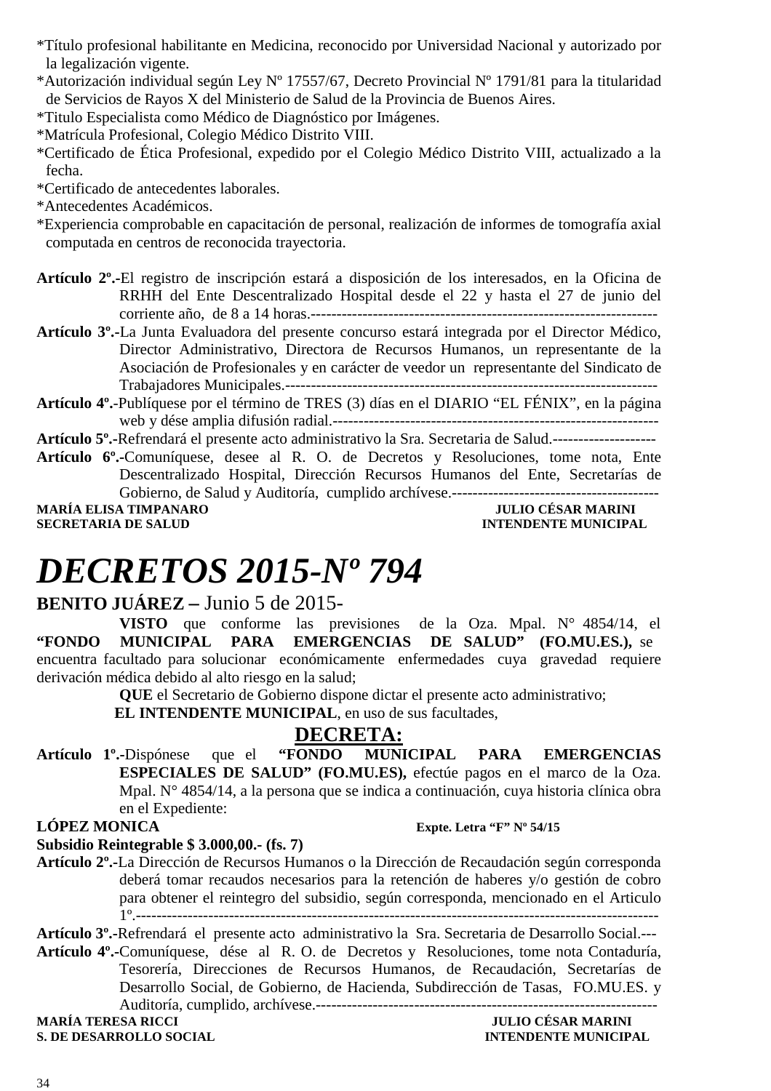- \*Título profesional habilitante en Medicina, reconocido por Universidad Nacional y autorizado por la legalización vigente.
- \*Autorización individual según Ley Nº 17557/67, Decreto Provincial Nº 1791/81 para la titularidad de Servicios de Rayos X del Ministerio de Salud de la Provincia de Buenos Aires.
- \*Titulo Especialista como Médico de Diagnóstico por Imágenes.
- \*Matrícula Profesional, Colegio Médico Distrito VIII.
- \*Certificado de Ética Profesional, expedido por el Colegio Médico Distrito VIII, actualizado a la fecha.

\*Certificado de antecedentes laborales.

\*Antecedentes Académicos.

- \*Experiencia comprobable en capacitación de personal, realización de informes de tomografía axial computada en centros de reconocida trayectoria.
- **Artículo 2º.-**El registro de inscripción estará a disposición de los interesados, en la Oficina de RRHH del Ente Descentralizado Hospital desde el 22 y hasta el 27 de junio del corriente año, de 8 a 14 horas.-------------------------------------------------------------------
- **Artículo 3º.-**La Junta Evaluadora del presente concurso estará integrada por el Director Médico, Director Administrativo, Directora de Recursos Humanos, un representante de la Asociación de Profesionales y en carácter de veedor un representante del Sindicato de Trabajadores Municipales.------------------------------------------------------------------------
- **Artículo 4º.**-Publíquese por el término de TRES (3) días en el DIARIO "EL FÉNIX", en la página web y dése amplia difusión radial.---------------------------------------------------------------

**Artículo 5º.-**Refrendará el presente acto administrativo la Sra. Secretaria de Salud.--------------------

**Artículo 6º.-**Comuníquese, desee al R. O. de Decretos y Resoluciones, tome nota, Ente Descentralizado Hospital, Dirección Recursos Humanos del Ente, Secretarías de Gobierno, de Salud y Auditoría, cumplido archívese.----------------------------------------

MARÍA ELISA TIMPANARO **de la contrata de la contrata de la contrata de la contrata de la contrata de la contrata de la contrata de la contrata de la contrata de la contrata de la contrata de la contrata de la contrata de l** 

**INTENDENTE MUNICIPAL** 

# *DECRETOS 2015-Nº 794*

### **BENITO JUÁREZ –** Junio 5 de 2015-

**VISTO** que conforme las previsiones de la Oza. Mpal. N° 4854/14, el **"FONDO MUNICIPAL PARA EMERGENCIAS DE SALUD" (FO.MU.ES.),** se encuentra facultado para solucionar económicamente enfermedades cuya gravedad requiere derivación médica debido al alto riesgo en la salud;

**QUE** el Secretario de Gobierno dispone dictar el presente acto administrativo;

 **EL INTENDENTE MUNICIPAL**, en uso de sus facultades,

## **DECRETA:**

**Artículo 1º.-**Dispónese que el **"FONDO MUNICIPAL PARA EMERGENCIAS ESPECIALES DE SALUD" (FO.MU.ES),** efectúe pagos en el marco de la Oza. Mpal. N° 4854/14, a la persona que se indica a continuación, cuya historia clínica obra en el Expediente:<br>LÓPEZ MONICA

#### **Expte. Letra "F" Nº 54/15**

#### **Subsidio Reintegrable \$ 3.000,00.- (fs. 7)**

**Artículo 2º.-**La Dirección de Recursos Humanos o la Dirección de Recaudación según corresponda deberá tomar recaudos necesarios para la retención de haberes y/o gestión de cobro para obtener el reintegro del subsidio, según corresponda, mencionado en el Articulo 1º.-----------------------------------------------------------------------------------------------------

**Artículo 3º.-**Refrendará el presente acto administrativo la Sra. Secretaria de Desarrollo Social.---

**Artículo 4º.-**Comuníquese, dése al R. O. de Decretos y Resoluciones, tome nota Contaduría, Tesorería, Direcciones de Recursos Humanos, de Recaudación, Secretarías de Desarrollo Social, de Gobierno, de Hacienda, Subdirección de Tasas, FO.MU.ES. y Auditoría, cumplido, archívese.------------------------------------------------------------------

**MARÍA TERESA RICCI JULIO CÉSAR MARINI** 

**S. DE DESARROLLO SOCIAL CONSUMING A LOCAL CONSUMING A LOCAL CONSUMING A LOCAL CONSUMING A LOCAL CONSUMING A LOCAL CONSUMING A LOCAL CONSUMING A LOCAL CONSUMING A LOCAL CONSUMING A LOCAL CONSUMING A LOCAL CONSUMING A LOCAL**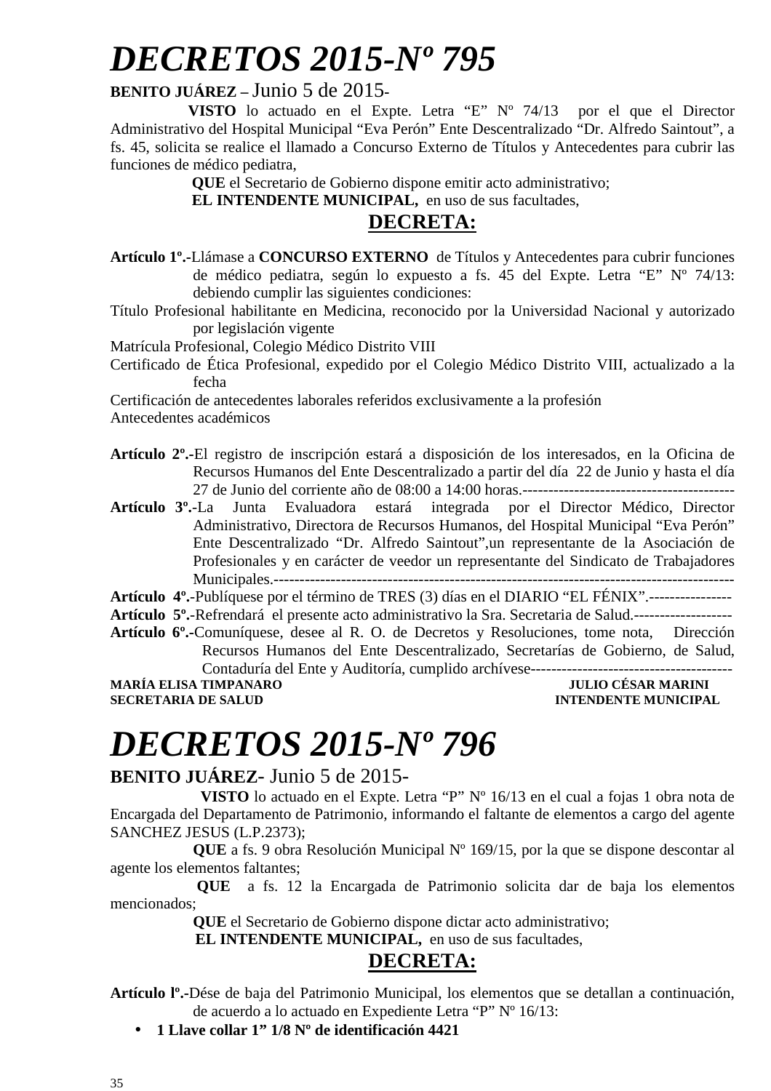### **BENITO JUÁREZ –** Junio 5 de 2015**-**

 **VISTO** lo actuado en el Expte. Letra "E" Nº 74/13 por el que el Director Administrativo del Hospital Municipal "Eva Perón" Ente Descentralizado "Dr. Alfredo Saintout", a fs. 45, solicita se realice el llamado a Concurso Externo de Títulos y Antecedentes para cubrir las funciones de médico pediatra,

**QUE** el Secretario de Gobierno dispone emitir acto administrativo;

 **EL INTENDENTE MUNICIPAL,** en uso de sus facultades,

### **DECRETA:**

- **Artículo 1º.-**Llámase a **CONCURSO EXTERNO** de Títulos y Antecedentes para cubrir funciones de médico pediatra, según lo expuesto a fs. 45 del Expte. Letra "E" Nº 74/13: debiendo cumplir las siguientes condiciones:
- Título Profesional habilitante en Medicina, reconocido por la Universidad Nacional y autorizado por legislación vigente
- Matrícula Profesional, Colegio Médico Distrito VIII
- Certificado de Ética Profesional, expedido por el Colegio Médico Distrito VIII, actualizado a la fecha

Certificación de antecedentes laborales referidos exclusivamente a la profesión

Antecedentes académicos

- **Artículo 2º.-**El registro de inscripción estará a disposición de los interesados, en la Oficina de Recursos Humanos del Ente Descentralizado a partir del día 22 de Junio y hasta el día 27 de Junio del corriente año de 08:00 a 14:00 horas.-----------------------------------------
- **Artículo 3º.**-La Junta Evaluadora estará integrada por el Director Médico, Director Administrativo, Directora de Recursos Humanos, del Hospital Municipal "Eva Perón" Ente Descentralizado "Dr. Alfredo Saintout",un representante de la Asociación de Profesionales y en carácter de veedor un representante del Sindicato de Trabajadores Municipales.-----------------------------------------------------------------------------------------

**Artículo 4º.**-Publíquese por el término de TRES (3) días en el DIARIO "EL FÉNIX".----------------

**Artículo 5º.**-Refrendará el presente acto administrativo la Sra. Secretaria de Salud.-------------------

**Artículo 6º.-**Comuníquese, desee al R. O. de Decretos y Resoluciones, tome nota, Dirección Recursos Humanos del Ente Descentralizado, Secretarías de Gobierno, de Salud, Contaduría del Ente y Auditoría, cumplido archívese---------------------------------------

**MARÍA ELISA TIMPANARO JULIO CÉSAR MARINI SECRETARIA DE SALUD INTENDENTE MUNICIPAL** 

# *DECRETOS 2015-Nº 796*

### **BENITO JUÁREZ**- Junio 5 de 2015-

 **VISTO** lo actuado en el Expte. Letra "P" Nº 16/13 en el cual a fojas 1 obra nota de Encargada del Departamento de Patrimonio, informando el faltante de elementos a cargo del agente SANCHEZ JESUS (L.P.2373);

**QUE** a fs. 9 obra Resolución Municipal Nº 169/15, por la que se dispone descontar al agente los elementos faltantes;

**QUE** a fs. 12 la Encargada de Patrimonio solicita dar de baja los elementos mencionados;

**QUE** el Secretario de Gobierno dispone dictar acto administrativo;

 **EL INTENDENTE MUNICIPAL,** en uso de sus facultades,

## **DECRETA:**

**Artículo lº.-**Dése de baja del Patrimonio Municipal, los elementos que se detallan a continuación, de acuerdo a lo actuado en Expediente Letra "P" Nº 16/13:

• **1 Llave collar 1" 1/8 Nº de identificación 4421**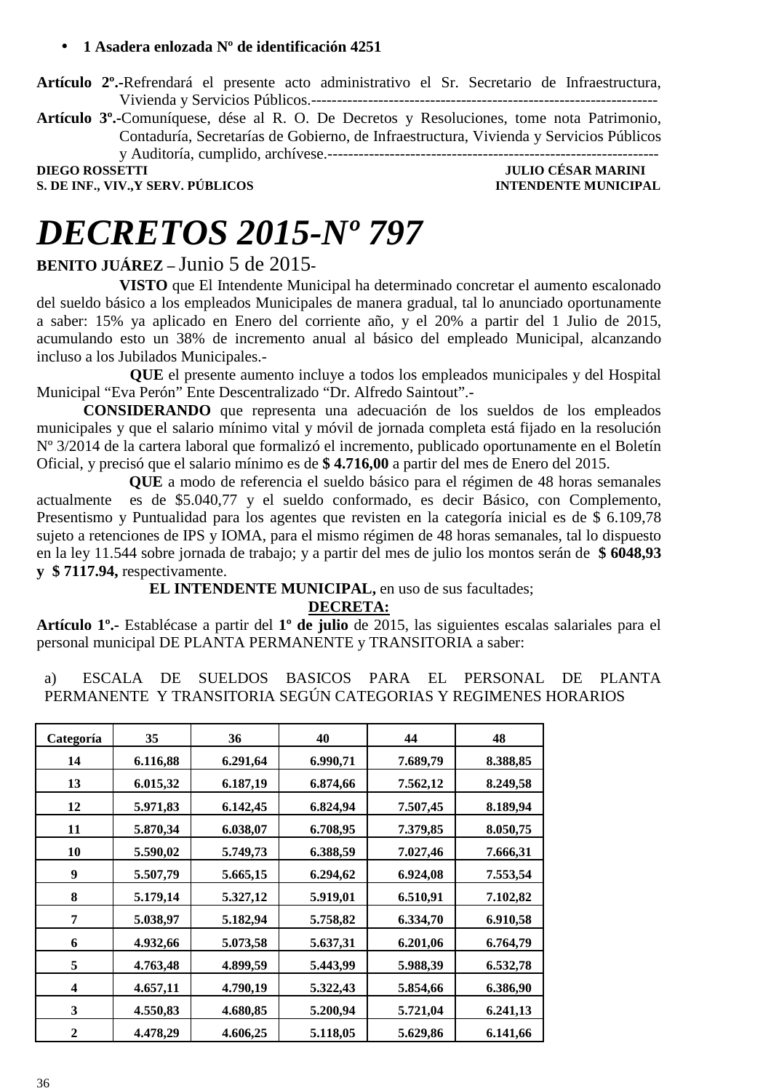#### • **1 Asadera enlozada Nº de identificación 4251**

**Artículo 2º.-**Refrendará el presente acto administrativo el Sr. Secretario de Infraestructura, Vivienda y Servicios Públicos.-------------------------------------------------------------------

**Artículo 3º.-**Comuníquese, dése al R. O. De Decretos y Resoluciones, tome nota Patrimonio, Contaduría, Secretarías de Gobierno, de Infraestructura, Vivienda y Servicios Públicos

y Auditoría, cumplido, archívese.----------------------------------------------------------------

**S. DE INF., VIV., Y SERV. PÚBLICOS** 

**DIEGO ROSSETTI JULIO CÉSAR MARINI** 

# *DECRETOS 2015-Nº 797*

### **BENITO JUÁREZ –** Junio 5 de 2015**-**

**VISTO** que El Intendente Municipal ha determinado concretar el aumento escalonado del sueldo básico a los empleados Municipales de manera gradual, tal lo anunciado oportunamente a saber: 15% ya aplicado en Enero del corriente año, y el 20% a partir del 1 Julio de 2015, acumulando esto un 38% de incremento anual al básico del empleado Municipal, alcanzando incluso a los Jubilados Municipales.-

 **QUE** el presente aumento incluye a todos los empleados municipales y del Hospital Municipal "Eva Perón" Ente Descentralizado "Dr. Alfredo Saintout".-

**CONSIDERANDO** que representa una adecuación de los sueldos de los empleados municipales y que el salario mínimo vital y móvil de jornada completa está fijado en la resolución Nº 3/2014 de la cartera laboral que formalizó el incremento, publicado oportunamente en el Boletín Oficial, y precisó que el salario mínimo es de **\$ 4.716,00** a partir del mes de Enero del 2015.

**QUE** a modo de referencia el sueldo básico para el régimen de 48 horas semanales actualmente es de \$5.040,77 y el sueldo conformado, es decir Básico, con Complemento, Presentismo y Puntualidad para los agentes que revisten en la categoría inicial es de \$ 6.109,78 sujeto a retenciones de IPS y IOMA, para el mismo régimen de 48 horas semanales, tal lo dispuesto en la ley 11.544 sobre jornada de trabajo; y a partir del mes de julio los montos serán de **\$ 6048,93 y \$ 7117.94,** respectivamente.

 **EL INTENDENTE MUNICIPAL,** en uso de sus facultades;

**DECRETA:**

**Artículo 1º.-** Establécase a partir del **1º de julio** de 2015, las siguientes escalas salariales para el personal municipal DE PLANTA PERMANENTE y TRANSITORIA a saber:

a) ESCALA DE SUELDOS BASICOS PARA EL PERSONAL DE PLANTA PERMANENTE Y TRANSITORIA SEGÚN CATEGORIAS Y REGIMENES HORARIOS

| Categoría               | 35       | 36       | 40       | 44       | 48       |
|-------------------------|----------|----------|----------|----------|----------|
| 14                      | 6.116,88 | 6.291,64 | 6.990,71 | 7.689,79 | 8.388,85 |
| 13                      | 6.015,32 | 6.187,19 | 6.874,66 | 7.562,12 | 8.249,58 |
| 12                      | 5.971,83 | 6.142,45 | 6.824,94 | 7.507,45 | 8.189,94 |
| 11                      | 5.870,34 | 6.038,07 | 6.708,95 | 7.379,85 | 8.050,75 |
| 10                      | 5.590,02 | 5.749,73 | 6.388,59 | 7.027,46 | 7.666,31 |
| 9                       | 5.507,79 | 5.665,15 | 6.294,62 | 6.924,08 | 7.553,54 |
| 8                       | 5.179,14 | 5.327,12 | 5.919,01 | 6.510,91 | 7.102,82 |
| 7                       | 5.038,97 | 5.182,94 | 5.758,82 | 6.334,70 | 6.910,58 |
| 6                       | 4.932,66 | 5.073,58 | 5.637,31 | 6.201,06 | 6.764,79 |
| 5                       | 4.763,48 | 4.899,59 | 5.443,99 | 5.988,39 | 6.532,78 |
| $\overline{\mathbf{4}}$ | 4.657,11 | 4.790,19 | 5.322,43 | 5.854,66 | 6.386,90 |
| 3                       | 4.550,83 | 4.680,85 | 5.200,94 | 5.721,04 | 6.241,13 |
| $\mathbf{2}$            | 4.478,29 | 4.606,25 | 5.118,05 | 5.629,86 | 6.141,66 |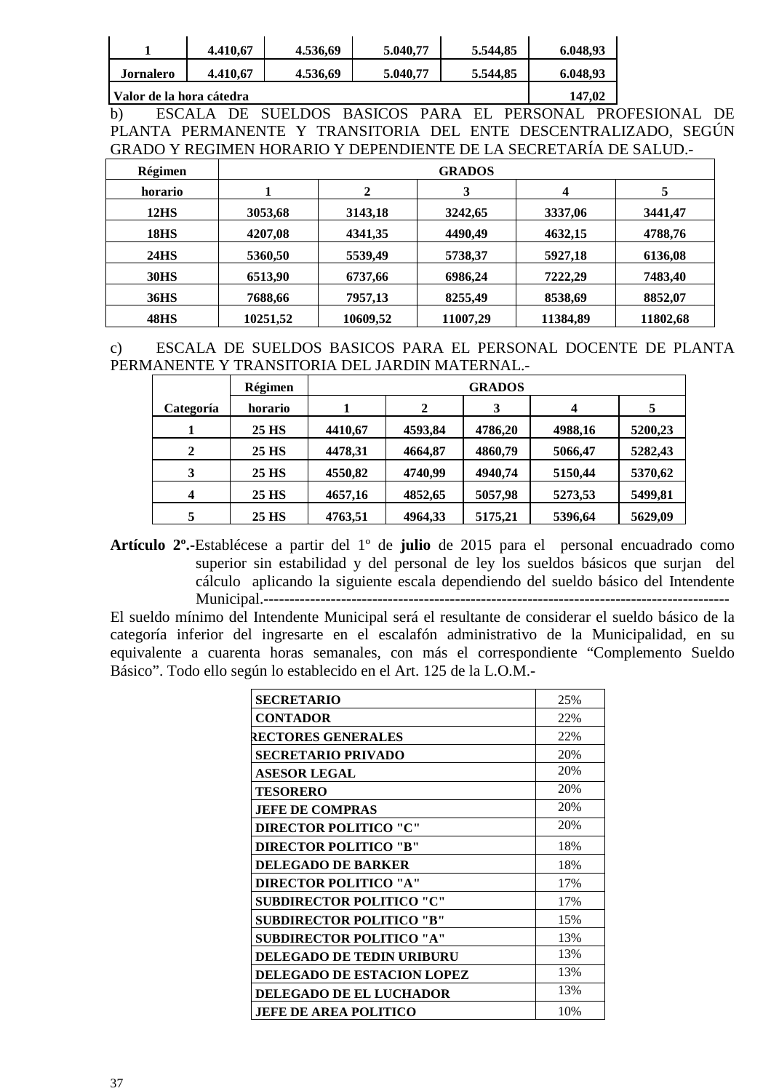|                          | 4.410.67 | 4.536.69 | 5.040.77 | 5.544.85 | 6.048.93 |
|--------------------------|----------|----------|----------|----------|----------|
| <b>Jornalero</b>         | 4.410.67 | 4.536.69 | 5.040.77 | 5.544.85 | 6.048.93 |
| Nalor de la hora cátedra | 147.02   |          |          |          |          |

b) ESCALA DE SUELDOS BASICOS PARA EL PERSONAL PROFESIONAL DE PLANTA PERMANENTE Y TRANSITORIA DEL ENTE DESCENTRALIZADO, SEGÚN GRADO Y REGIMEN HORARIO Y DEPENDIENTE DE LA SECRETARÍA DE SALUD.-

| Régimen           | <b>GRADOS</b> |          |          |          |          |
|-------------------|---------------|----------|----------|----------|----------|
| horario           |               | 2        | 3        | 4        | 5        |
| 12 <sub>H</sub> S | 3053,68       | 3143,18  | 3242,65  | 3337,06  | 3441,47  |
| <b>18HS</b>       | 4207,08       | 4341,35  | 4490,49  | 4632,15  | 4788,76  |
| <b>24HS</b>       | 5360,50       | 5539,49  | 5738,37  | 5927,18  | 6136,08  |
| <b>30HS</b>       | 6513,90       | 6737,66  | 6986,24  | 7222,29  | 7483,40  |
| <b>36HS</b>       | 7688,66       | 7957,13  | 8255,49  | 8538,69  | 8852,07  |
| <b>48HS</b>       | 10251,52      | 10609,52 | 11007,29 | 11384,89 | 11802,68 |

c) ESCALA DE SUELDOS BASICOS PARA EL PERSONAL DOCENTE DE PLANTA PERMANENTE Y TRANSITORIA DEL JARDIN MATERNAL.-

|              | Régimen | <b>GRADOS</b> |              |         |         |         |
|--------------|---------|---------------|--------------|---------|---------|---------|
| Categoría    | horario |               | $\mathbf{2}$ | 3       |         | 5       |
|              | 25 HS   | 4410,67       | 4593,84      | 4786,20 | 4988,16 | 5200,23 |
| $\mathbf{2}$ | 25 HS   | 4478,31       | 4664,87      | 4860,79 | 5066,47 | 5282,43 |
| 3            | 25 HS   | 4550,82       | 4740,99      | 4940,74 | 5150,44 | 5370,62 |
| 4            | 25 HS   | 4657,16       | 4852,65      | 5057,98 | 5273,53 | 5499,81 |
|              | 25 HS   | 4763,51       | 4964,33      | 5175,21 | 5396,64 | 5629,09 |

**Artículo 2º.-**Establécese a partir del 1º de **julio** de 2015 para el personal encuadrado como superior sin estabilidad y del personal de ley los sueldos básicos que surjan del cálculo aplicando la siguiente escala dependiendo del sueldo básico del Intendente Municipal.------------------------------------------------------------------------------------------

El sueldo mínimo del Intendente Municipal será el resultante de considerar el sueldo básico de la categoría inferior del ingresarte en el escalafón administrativo de la Municipalidad, en su equivalente a cuarenta horas semanales, con más el correspondiente "Complemento Sueldo Básico". Todo ello según lo establecido en el Art. 125 de la L.O.M.-

| <b>SECRETARIO</b>                 | 25% |
|-----------------------------------|-----|
| <b>CONTADOR</b>                   | 22% |
| <b>RECTORES GENERALES</b>         | 22% |
| <b>SECRETARIO PRIVADO</b>         | 20% |
| <b>ASESOR LEGAL</b>               | 20% |
| <b>TESORERO</b>                   | 20% |
| <b>JEFE DE COMPRAS</b>            | 20% |
| <b>DIRECTOR POLITICO "C"</b>      | 20% |
| <b>DIRECTOR POLITICO "B"</b>      | 18% |
| <b>DELEGADO DE BARKER</b>         | 18% |
| <b>DIRECTOR POLITICO "A"</b>      | 17% |
| <b>SUBDIRECTOR POLITICO "C"</b>   | 17% |
| <b>SUBDIRECTOR POLITICO "B"</b>   | 15% |
| <b>SUBDIRECTOR POLITICO "A"</b>   | 13% |
| <b>DELEGADO DE TEDIN URIBURU</b>  | 13% |
| <b>DELEGADO DE ESTACION LOPEZ</b> | 13% |
| <b>DELEGADO DE EL LUCHADOR</b>    | 13% |
| <b>JEFE DE AREA POLITICO</b>      | 10% |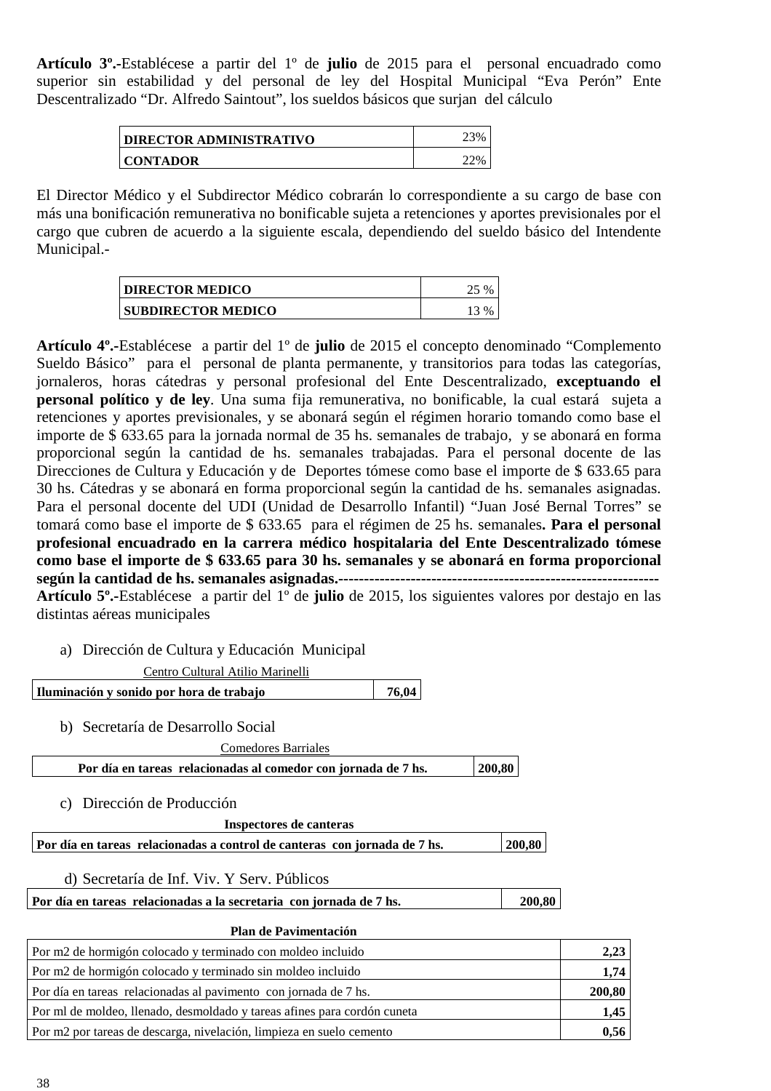**Artículo 3º.-**Establécese a partir del 1º de **julio** de 2015 para el personal encuadrado como superior sin estabilidad y del personal de ley del Hospital Municipal "Eva Perón" Ente Descentralizado "Dr. Alfredo Saintout", los sueldos básicos que surjan del cálculo

| <b>DIRECTOR ADMINISTRATIVO</b> | 23% |
|--------------------------------|-----|
| <b>CONTADOR</b>                |     |

El Director Médico y el Subdirector Médico cobrarán lo correspondiente a su cargo de base con más una bonificación remunerativa no bonificable sujeta a retenciones y aportes previsionales por el cargo que cubren de acuerdo a la siguiente escala, dependiendo del sueldo básico del Intendente Municipal.-

| <b>DIRECTOR MEDICO</b>    |  |
|---------------------------|--|
| <b>SUBDIRECTOR MEDICO</b> |  |

**Artículo 4º.-**Establécese a partir del 1º de **julio** de 2015 el concepto denominado "Complemento Sueldo Básico" para el personal de planta permanente, y transitorios para todas las categorías, jornaleros, horas cátedras y personal profesional del Ente Descentralizado, **exceptuando el personal político y de ley**. Una suma fija remunerativa, no bonificable, la cual estará sujeta a retenciones y aportes previsionales, y se abonará según el régimen horario tomando como base el importe de \$ 633.65 para la jornada normal de 35 hs. semanales de trabajo, y se abonará en forma proporcional según la cantidad de hs. semanales trabajadas. Para el personal docente de las Direcciones de Cultura y Educación y de Deportes tómese como base el importe de \$ 633.65 para 30 hs. Cátedras y se abonará en forma proporcional según la cantidad de hs. semanales asignadas. Para el personal docente del UDI (Unidad de Desarrollo Infantil) "Juan José Bernal Torres" se tomará como base el importe de \$ 633.65 para el régimen de 25 hs. semanales**. Para el personal profesional encuadrado en la carrera médico hospitalaria del Ente Descentralizado tómese como base el importe de \$ 633.65 para 30 hs. semanales y se abonará en forma proporcional según la cantidad de hs. semanales asignadas.-------------------------------------------------------------- Artículo 5º.-**Establécese a partir del 1º de **julio** de 2015, los siguientes valores por destajo en las

distintas aéreas municipales

a) Dirección de Cultura y Educación Municipal

| Centro Cultural Atilio Marinelli                                          |       |        |        |
|---------------------------------------------------------------------------|-------|--------|--------|
| Iluminación y sonido por hora de trabajo                                  | 76,04 |        |        |
| Secretaría de Desarrollo Social<br>b)                                     |       |        |        |
| Comedores Barriales                                                       |       |        |        |
| Por día en tareas relacionadas al comedor con jornada de 7 hs.            |       | 200,80 |        |
| Dirección de Producción<br>C)<br>Inspectores de canteras                  |       |        |        |
| Por día en tareas relacionadas a control de canteras con jornada de 7 hs. |       |        | 200,80 |
| d) Secretaría de Inf. Viv. Y Serv. Públicos                               |       |        |        |
| Por día en tareas relacionadas a la secretaria con jornada de 7 hs.       |       |        | 200,80 |
| <b>Plan de Pavimentación</b>                                              |       |        |        |
| $\Gamma$                                                                  |       |        |        |

| Por m2 de hormigón colocado y terminado con moldeo incluido              | 2,23   |
|--------------------------------------------------------------------------|--------|
| Por m2 de hormigón colocado y terminado sin moldeo incluido              | 1,74   |
| Por día en tareas relacionadas al pavimento con jornada de 7 hs.         | 200,80 |
| Por ml de moldeo, llenado, desmoldado y tareas afines para cordón cuneta | 1,45   |
| Por m2 por tareas de descarga, nivelación, limpieza en suelo cemento     | 0,56   |
|                                                                          |        |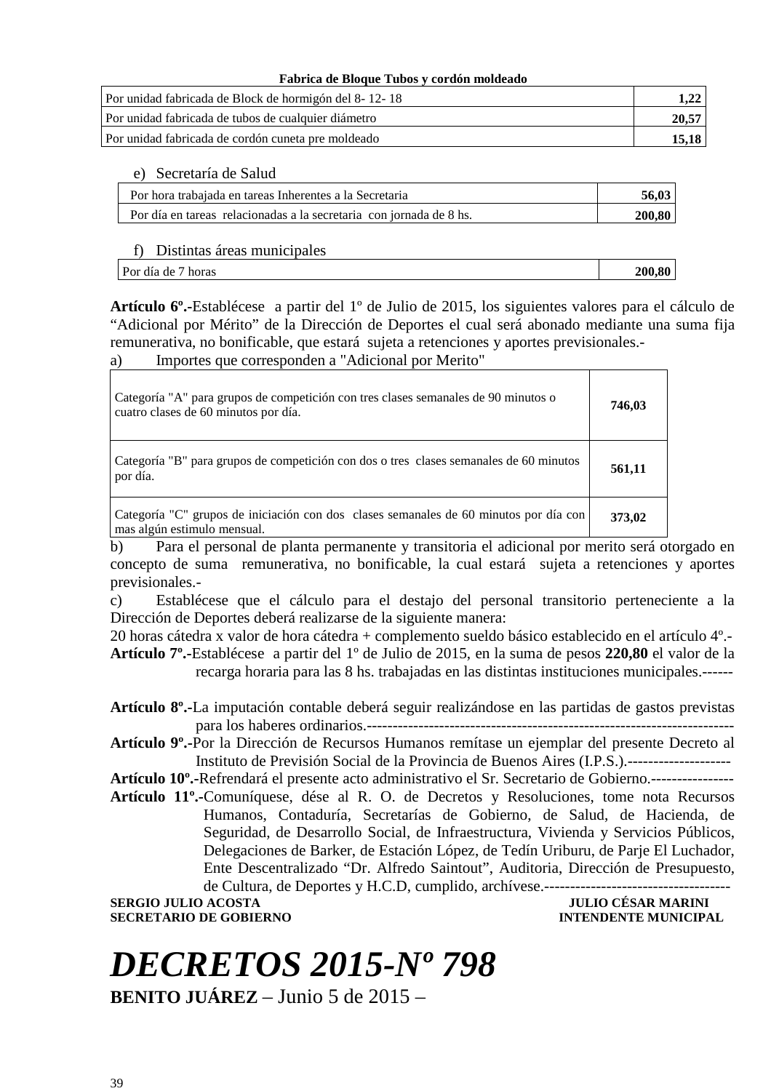#### **Fabrica de Bloque Tubos y cordón moldeado**

| Por unidad fabricada de Block de hormigón del 8-12-18 |       |
|-------------------------------------------------------|-------|
| Por unidad fabricada de tubos de cualquier diámetro   | 20.57 |
| Por unidad fabricada de cordón cuneta pre moldeado    | 15.18 |

e) Secretaría de Salud

| Por hora trabaiada en tareas Inherentes a la Secretaria             | 56.03  |
|---------------------------------------------------------------------|--------|
| Por día en tareas relacionadas a la secretaria con jornada de 8 hs. | 200.80 |

#### f) Distintas áreas municipales

| Por día de<br>horas | 200,80 |
|---------------------|--------|
|                     |        |

**Artículo 6º.-**Establécese a partir del 1º de Julio de 2015, los siguientes valores para el cálculo de "Adicional por Mérito" de la Dirección de Deportes el cual será abonado mediante una suma fija remunerativa, no bonificable, que estará sujeta a retenciones y aportes previsionales.-

a) Importes que corresponden a "Adicional por Merito"

| Categoría "A" para grupos de competición con tres clases semanales de 90 minutos o<br>cuatro clases de 60 minutos por día. | 746,03 |
|----------------------------------------------------------------------------------------------------------------------------|--------|
| Categoría "B" para grupos de competición con dos o tres clases semanales de 60 minutos<br>por día.                         | 561,11 |
| Categoría "C" grupos de iniciación con dos clases semanales de 60 minutos por día con<br>mas algún estimulo mensual.       | 373,02 |

b) Para el personal de planta permanente y transitoria el adicional por merito será otorgado en concepto de suma remunerativa, no bonificable, la cual estará sujeta a retenciones y aportes previsionales.-

c) Establécese que el cálculo para el destajo del personal transitorio perteneciente a la Dirección de Deportes deberá realizarse de la siguiente manera:

20 horas cátedra x valor de hora cátedra + complemento sueldo básico establecido en el artículo 4º.- **Artículo 7º.-**Establécese a partir del 1º de Julio de 2015, en la suma de pesos **220,80** el valor de la recarga horaria para las 8 hs. trabajadas en las distintas instituciones municipales.------

**Artículo 8º.-**La imputación contable deberá seguir realizándose en las partidas de gastos previstas para los haberes ordinarios.-----------------------------------------------------------------------

**Artículo 9º.-**Por la Dirección de Recursos Humanos remítase un ejemplar del presente Decreto al Instituto de Previsión Social de la Provincia de Buenos Aires (I.P.S.).--------------------

**Artículo 10º.-**Refrendará el presente acto administrativo el Sr. Secretario de Gobierno.----------------

**Artículo 11º.-**Comuníquese, dése al R. O. de Decretos y Resoluciones, tome nota Recursos Humanos, Contaduría, Secretarías de Gobierno, de Salud, de Hacienda, de Seguridad, de Desarrollo Social, de Infraestructura, Vivienda y Servicios Públicos, Delegaciones de Barker, de Estación López, de Tedín Uriburu, de Parje El Luchador, Ente Descentralizado "Dr. Alfredo Saintout", Auditoria, Dirección de Presupuesto, de Cultura, de Deportes y H.C.D, cumplido, archívese.------------------------------------

**SERGIO JULIO ACOSTA JULIO CÉSAR MARINI SECRETARIO DE GOBIERNO INTENDENTE MUNICIPAL** 

# *DECRETOS 2015-Nº 798*

**BENITO JUÁREZ** – Junio 5 de 2015 –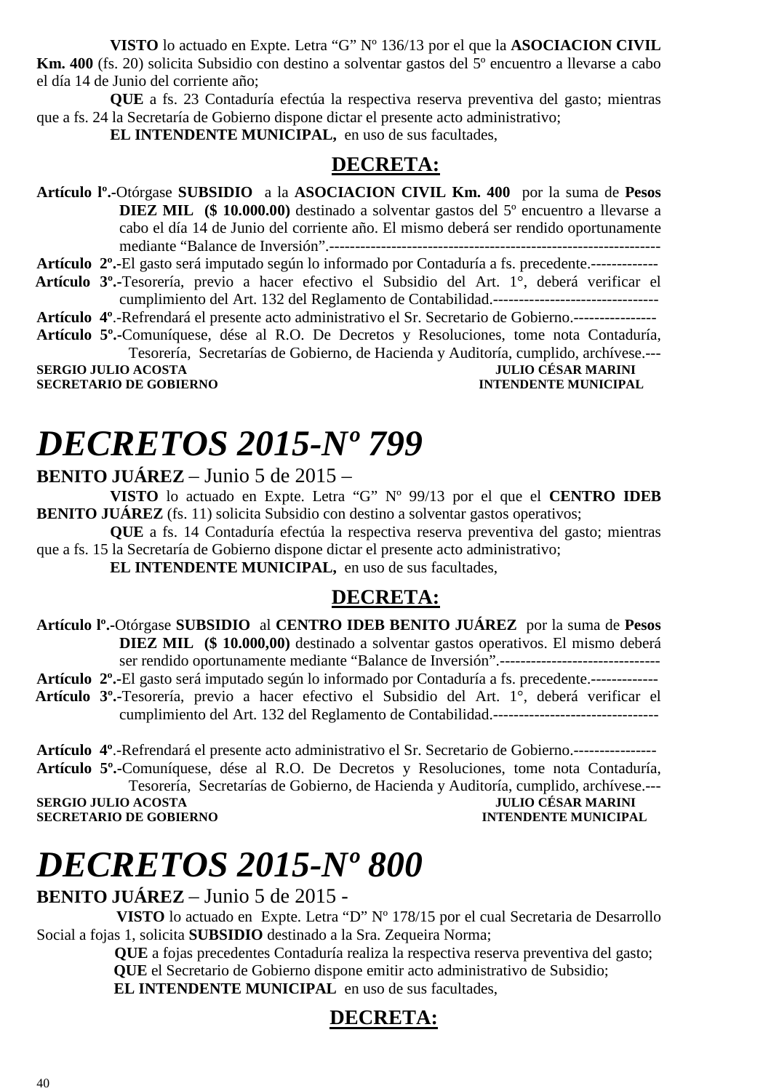**VISTO** lo actuado en Expte. Letra "G" Nº 136/13 por el que la **ASOCIACION CIVIL** 

**Km. 400** (fs. 20) solicita Subsidio con destino a solventar gastos del 5º encuentro a llevarse a cabo el día 14 de Junio del corriente año;

**QUE** a fs. 23 Contaduría efectúa la respectiva reserva preventiva del gasto; mientras que a fs. 24 la Secretaría de Gobierno dispone dictar el presente acto administrativo;

**EL INTENDENTE MUNICIPAL,** en uso de sus facultades,

### **DECRETA:**

**Artículo lº.-**Otórgase **SUBSIDIO** a la **ASOCIACION CIVIL Km. 400** por la suma de **Pesos DIEZ MIL (\$ 10.000.00)** destinado a solventar gastos del 5º encuentro a llevarse a cabo el día 14 de Junio del corriente año. El mismo deberá ser rendido oportunamente mediante "Balance de Inversión".----------------------------------------------------------------

**Artículo 2º.-**El gasto será imputado según lo informado por Contaduría a fs. precedente.-------------

 **Artículo 3º.-**Tesorería, previo a hacer efectivo el Subsidio del Art. 1°, deberá verificar el cumplimiento del Art. 132 del Reglamento de Contabilidad.--------------------------------

**Artículo 4º**.-Refrendará el presente acto administrativo el Sr. Secretario de Gobierno.----------------

**Artículo 5º.-**Comuníquese, dése al R.O. De Decretos y Resoluciones, tome nota Contaduría, Tesorería, Secretarías de Gobierno, de Hacienda y Auditoría, cumplido, archívese.---

**SERGIO JULIO ACOSTA SECRETARIO DE GOBIERNO INTENDENTE MUNICIPAL** 

# *DECRETOS 2015-Nº 799*

#### **BENITO JUÁREZ** – Junio 5 de 2015 –

**VISTO** lo actuado en Expte. Letra "G" Nº 99/13 por el que el **CENTRO IDEB BENITO JUÁREZ** (fs. 11) solicita Subsidio con destino a solventar gastos operativos;

**QUE** a fs. 14 Contaduría efectúa la respectiva reserva preventiva del gasto; mientras que a fs. 15 la Secretaría de Gobierno dispone dictar el presente acto administrativo;

**EL INTENDENTE MUNICIPAL,** en uso de sus facultades,

### **DECRETA:**

**Artículo lº.-**Otórgase **SUBSIDIO** al **CENTRO IDEB BENITO JUÁREZ** por la suma de **Pesos DIEZ MIL (\$ 10.000,00)** destinado a solventar gastos operativos. El mismo deberá ser rendido oportunamente mediante "Balance de Inversión".-------------------------------

**Artículo 2º.-**El gasto será imputado según lo informado por Contaduría a fs. precedente.-------------

- **Artículo 3º.-**Tesorería, previo a hacer efectivo el Subsidio del Art. 1°, deberá verificar el cumplimiento del Art. 132 del Reglamento de Contabilidad.--------------------------------
- **Artículo 4º**.-Refrendará el presente acto administrativo el Sr. Secretario de Gobierno.---------------- **Artículo 5º.-**Comuníquese, dése al R.O. De Decretos y Resoluciones, tome nota Contaduría, Tesorería, Secretarías de Gobierno, de Hacienda y Auditoría, cumplido, archívese.---

**SERGIO JULIO ACOSTA SECRETARIO DE GOBIERNO INTENDENTE MUNICIPAL** 

# *DECRETOS 2015-Nº 800*

**BENITO JUÁREZ** – Junio 5 de 2015 -

 **VISTO** lo actuado en Expte. Letra "D" Nº 178/15 por el cual Secretaria de Desarrollo Social a fojas 1, solicita **SUBSIDIO** destinado a la Sra. Zequeira Norma;

 **QUE** a fojas precedentes Contaduría realiza la respectiva reserva preventiva del gasto;  **QUE** el Secretario de Gobierno dispone emitir acto administrativo de Subsidio; **EL INTENDENTE MUNICIPAL** en uso de sus facultades,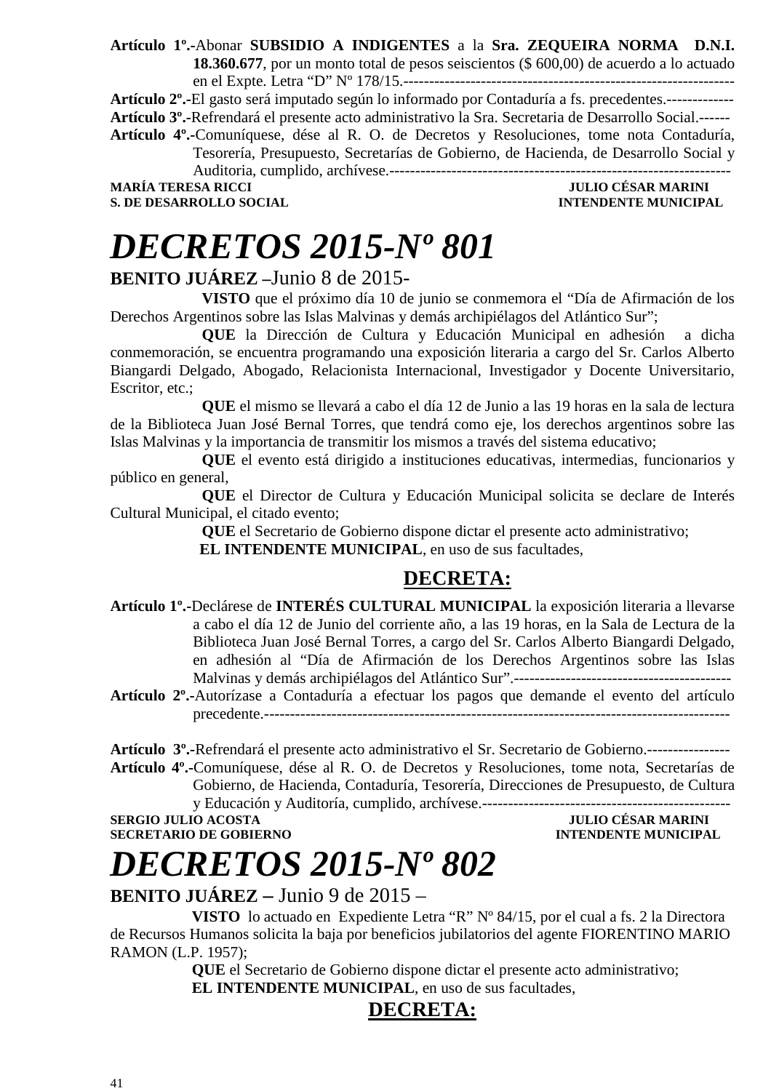**Artículo 1º.-**Abonar **SUBSIDIO A INDIGENTES** a la **Sra. ZEQUEIRA NORMA D.N.I. 18.360.677**, por un monto total de pesos seiscientos (\$ 600,00) de acuerdo a lo actuado en el Expte. Letra "D" Nº 178/15.----------------------------------------------------------------

**Artículo 2º.-**El gasto será imputado según lo informado por Contaduría a fs. precedentes.------------- **Artículo 3º.-**Refrendará el presente acto administrativo la Sra. Secretaria de Desarrollo Social.------ **Artículo 4º.-**Comuníquese, dése al R. O. de Decretos y Resoluciones, tome nota Contaduría, Tesorería, Presupuesto, Secretarías de Gobierno, de Hacienda, de Desarrollo Social y Auditoria, cumplido, archívese.------------------------------------------------------------------

**JULIO CÉSAR MARINI S. DE DESARROLLO SOCIAL DESARROLLO SOCIAL DESARROLLO SOCIAL DESARROLLO SOCIAL DESARROLLO SOCIAL DE SOCIAL DE SOCIAL DE SOCIAL DE SOCIAL DE SOCIAL DE SOCIAL DE SOCIAL DE SOCIAL DE SOCIAL DE SOCIAL DE SOCIAL DE SOCIAL DE SO** 

# *DECRETOS 2015-Nº 801*

### **BENITO JUÁREZ –**Junio 8 de 2015-

 **VISTO** que el próximo día 10 de junio se conmemora el "Día de Afirmación de los Derechos Argentinos sobre las Islas Malvinas y demás archipiélagos del Atlántico Sur";

**QUE** la Dirección de Cultura y Educación Municipal en adhesión a dicha conmemoración, se encuentra programando una exposición literaria a cargo del Sr. Carlos Alberto Biangardi Delgado, Abogado, Relacionista Internacional, Investigador y Docente Universitario, Escritor, etc.;

**QUE** el mismo se llevará a cabo el día 12 de Junio a las 19 horas en la sala de lectura de la Biblioteca Juan José Bernal Torres, que tendrá como eje, los derechos argentinos sobre las Islas Malvinas y la importancia de transmitir los mismos a través del sistema educativo;

**QUE** el evento está dirigido a instituciones educativas, intermedias, funcionarios y público en general,

**QUE** el Director de Cultura y Educación Municipal solicita se declare de Interés Cultural Municipal, el citado evento;

**QUE** el Secretario de Gobierno dispone dictar el presente acto administrativo;

 **EL INTENDENTE MUNICIPAL**, en uso de sus facultades,

### **DECRETA:**

- **Artículo 1º.-**Declárese de **INTERÉS CULTURAL MUNICIPAL** la exposición literaria a llevarse a cabo el día 12 de Junio del corriente año, a las 19 horas, en la Sala de Lectura de la Biblioteca Juan José Bernal Torres, a cargo del Sr. Carlos Alberto Biangardi Delgado, en adhesión al "Día de Afirmación de los Derechos Argentinos sobre las Islas Malvinas y demás archipiélagos del Atlántico Sur".------------------------------------------
- **Artículo 2º.-**Autorízase a Contaduría a efectuar los pagos que demande el evento del artículo precedente.------------------------------------------------------------------------------------------

**Artículo 3º.-**Refrendará el presente acto administrativo el Sr. Secretario de Gobierno.----------------

**Artículo 4º.-**Comuníquese, dése al R. O. de Decretos y Resoluciones, tome nota, Secretarías de Gobierno, de Hacienda, Contaduría, Tesorería, Direcciones de Presupuesto, de Cultura y Educación y Auditoría, cumplido, archívese.------------------------------------------------

### **SECRETARIO DE GOBIERNO**

**SULIO CÉSAR MARINI<br>INTENDENTE MUNICIPAL** 

# *DECRETOS 2015-Nº 802*

**BENITO JUÁREZ –** Junio 9 de 2015 –

 **VISTO** lo actuado en Expediente Letra "R" Nº 84/15, por el cual a fs. 2 la Directora de Recursos Humanos solicita la baja por beneficios jubilatorios del agente FIORENTINO MARIO RAMON (L.P. 1957);

 **QUE** el Secretario de Gobierno dispone dictar el presente acto administrativo;  **EL INTENDENTE MUNICIPAL**, en uso de sus facultades,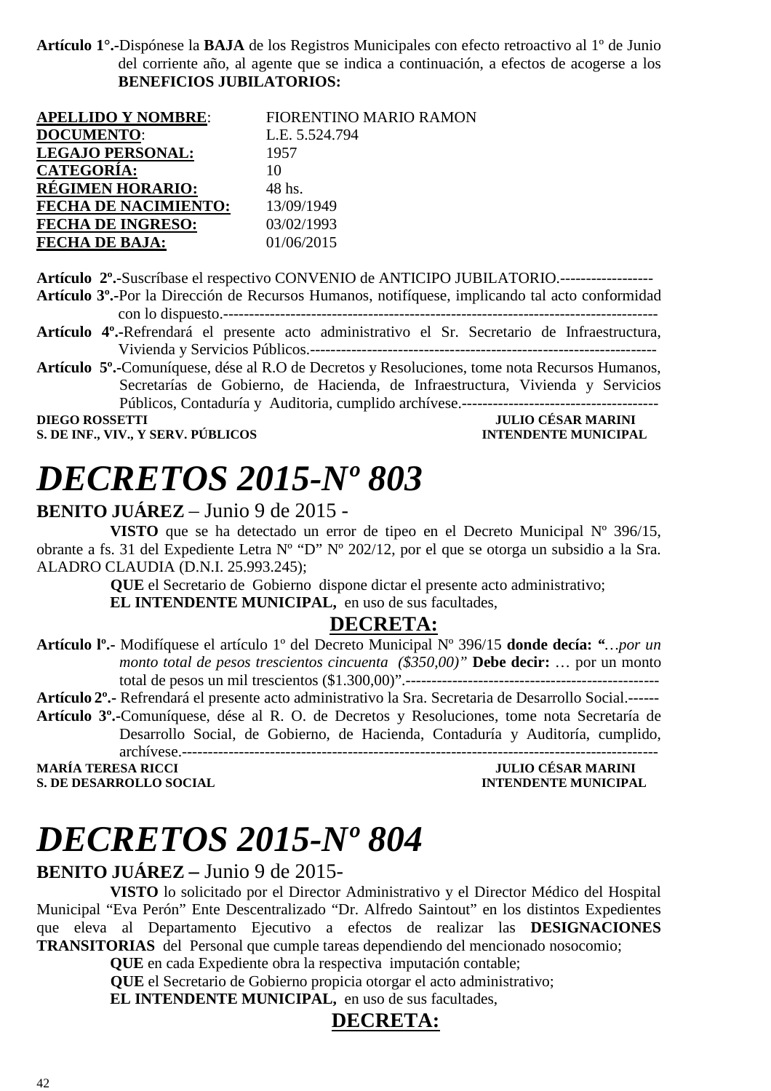**Artículo 1°.-**Dispónese la **BAJA** de los Registros Municipales con efecto retroactivo al 1º de Junio del corriente año, al agente que se indica a continuación, a efectos de acogerse a los **BENEFICIOS JUBILATORIOS:**

| <b>APELLIDO Y NOMBRE:</b>   | FIORENTINO MARIO RAMON |
|-----------------------------|------------------------|
| <b>DOCUMENTO:</b>           | L.E. 5.524.794         |
| <b>LEGAJO PERSONAL:</b>     | 1957                   |
| <b>CATEGORÍA:</b>           | 10                     |
| <b>REGIMEN HORARIO:</b>     | 48 hs.                 |
| <b>FECHA DE NACIMIENTO:</b> | 13/09/1949             |
| <b>FECHA DE INGRESO:</b>    | 03/02/1993             |
| <b>FECHA DE BAJA:</b>       | 01/06/2015             |

**Artículo 2º.-**Suscríbase el respectivo CONVENIO de ANTICIPO JUBILATORIO.------------------

**Artículo 3º.-**Por la Dirección de Recursos Humanos, notifíquese, implicando tal acto conformidad con lo dispuesto.------------------------------------------------------------------------------------

- **Artículo 4º.-**Refrendará el presente acto administrativo el Sr. Secretario de Infraestructura, Vivienda y Servicios Públicos.-------------------------------------------------------------------
- **Artículo 5º.-**Comuníquese, dése al R.O de Decretos y Resoluciones, tome nota Recursos Humanos, Secretarías de Gobierno, de Hacienda, de Infraestructura, Vivienda y Servicios Públicos, Contaduría y Auditoria, cumplido archívese.--------------------------------------

**S. DE INF., VIV., Y SERV. PÚBLICOS** 

### **DIEGO ROSSETTI JULIO CÉSAR MARINI**

# *DECRETOS 2015-Nº 803*

#### **BENITO JUÁREZ** – Junio 9 de 2015 -

**VISTO** que se ha detectado un error de tipeo en el Decreto Municipal Nº 396/15, obrante a fs. 31 del Expediente Letra Nº "D" Nº 202/12, por el que se otorga un subsidio a la Sra. ALADRO CLAUDIA (D.N.I. 25.993.245);

> **QUE** el Secretario de Gobierno dispone dictar el presente acto administrativo; **EL INTENDENTE MUNICIPAL,** en uso de sus facultades,

#### **DECRETA:**

**Artículo lº.-** Modifíquese el artículo 1º del Decreto Municipal Nº 396/15 **donde decía:** *"…por un monto total de pesos trescientos cincuenta (\$350,00)"* **Debe decir:** … por un monto total de pesos un mil trescientos (\$1.300,00)".-------------------------------------------------

**Artículo 2º.-** Refrendará el presente acto administrativo la Sra. Secretaria de Desarrollo Social.------

**Artículo 3º.-**Comuníquese, dése al R. O. de Decretos y Resoluciones, tome nota Secretaría de Desarrollo Social, de Gobierno, de Hacienda, Contaduría y Auditoría, cumplido,

archívese.-------------------------------------------------------------------------------------------- **S. DE DESARROLLO SOCIAL DESARROLLO SOCIAL DESARROLLO SOCIAL DESARROLLO SOCIAL DESARROLLO SOCIAL DE LA PERSONAL DE LA PERSONAL DE LA PERSONAL DE LA PERSONAL DE LA PERSONAL DE LA PERSONAL DE LA PERSONAL DE LA PERSONAL DE LA** 

**MULIO CÉSAR MARINI** 

# *DECRETOS 2015-Nº 804*

#### **BENITO JUÁREZ –** Junio 9 de 2015-

**VISTO** lo solicitado por el Director Administrativo y el Director Médico del Hospital Municipal "Eva Perón" Ente Descentralizado "Dr. Alfredo Saintout" en los distintos Expedientes que eleva al Departamento Ejecutivo a efectos de realizar las **DESIGNACIONES TRANSITORIAS** del Personal que cumple tareas dependiendo del mencionado nosocomio;

**QUE** en cada Expediente obra la respectiva imputación contable;

 **QUE** el Secretario de Gobierno propicia otorgar el acto administrativo;

**EL INTENDENTE MUNICIPAL,** en uso de sus facultades,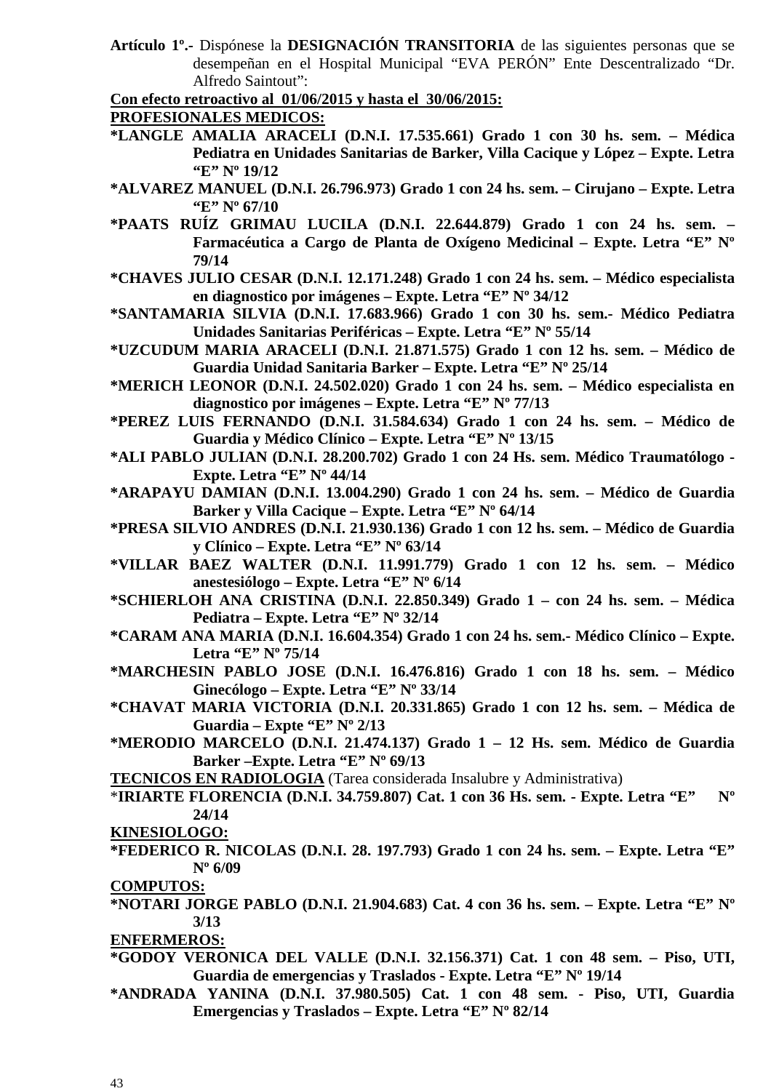- **Artículo 1º.-** Dispónese la **DESIGNACIÓN TRANSITORIA** de las siguientes personas que se desempeñan en el Hospital Municipal "EVA PERÓN" Ente Descentralizado "Dr. Alfredo Saintout":
- **Con efecto retroactivo al 01/06/2015 y hasta el 30/06/2015:**

#### **PROFESIONALES MEDICOS:**

- **\*LANGLE AMALIA ARACELI (D.N.I. 17.535.661) Grado 1 con 30 hs. sem. Médica Pediatra en Unidades Sanitarias de Barker, Villa Cacique y López – Expte. Letra "E" Nº 19/12**
- **\*ALVAREZ MANUEL (D.N.I. 26.796.973) Grado 1 con 24 hs. sem. Cirujano Expte. Letra "E" Nº 67/10**
- **\*PAATS RUÍZ GRIMAU LUCILA (D.N.I. 22.644.879) Grado 1 con 24 hs. sem. Farmacéutica a Cargo de Planta de Oxígeno Medicinal – Expte. Letra "E" Nº 79/14**
- **\*CHAVES JULIO CESAR (D.N.I. 12.171.248) Grado 1 con 24 hs. sem. Médico especialista en diagnostico por imágenes – Expte. Letra "E" Nº 34/12**
- **\*SANTAMARIA SILVIA (D.N.I. 17.683.966) Grado 1 con 30 hs. sem.- Médico Pediatra Unidades Sanitarias Periféricas – Expte. Letra "E" Nº 55/14**
- **\*UZCUDUM MARIA ARACELI (D.N.I. 21.871.575) Grado 1 con 12 hs. sem. Médico de Guardia Unidad Sanitaria Barker – Expte. Letra "E" Nº 25/14**
- **\*MERICH LEONOR (D.N.I. 24.502.020) Grado 1 con 24 hs. sem. Médico especialista en diagnostico por imágenes – Expte. Letra "E" Nº 77/13**
- **\*PEREZ LUIS FERNANDO (D.N.I. 31.584.634) Grado 1 con 24 hs. sem. Médico de Guardia y Médico Clínico – Expte. Letra "E" Nº 13/15**
- **\*ALI PABLO JULIAN (D.N.I. 28.200.702) Grado 1 con 24 Hs. sem. Médico Traumatólogo Expte. Letra "E" Nº 44/14**
- **\*ARAPAYU DAMIAN (D.N.I. 13.004.290) Grado 1 con 24 hs. sem. Médico de Guardia Barker y Villa Cacique – Expte. Letra "E" Nº 64/14**
- **\*PRESA SILVIO ANDRES (D.N.I. 21.930.136) Grado 1 con 12 hs. sem. Médico de Guardia y Clínico – Expte. Letra "E" Nº 63/14**
- **\*VILLAR BAEZ WALTER (D.N.I. 11.991.779) Grado 1 con 12 hs. sem. Médico anestesiólogo – Expte. Letra "E" Nº 6/14**
- **\*SCHIERLOH ANA CRISTINA (D.N.I. 22.850.349) Grado 1 con 24 hs. sem. Médica Pediatra – Expte. Letra "E" Nº 32/14**
- **\*CARAM ANA MARIA (D.N.I. 16.604.354) Grado 1 con 24 hs. sem.- Médico Clínico Expte. Letra "E" Nº 75/14**
- **\*MARCHESIN PABLO JOSE (D.N.I. 16.476.816) Grado 1 con 18 hs. sem. Médico Ginecólogo – Expte. Letra "E" Nº 33/14**
- **\*CHAVAT MARIA VICTORIA (D.N.I. 20.331.865) Grado 1 con 12 hs. sem. Médica de Guardia – Expte "E" Nº 2/13**
- **\*MERODIO MARCELO (D.N.I. 21.474.137) Grado 1 12 Hs. sem. Médico de Guardia Barker –Expte. Letra "E" Nº 69/13**
- **TECNICOS EN RADIOLOGIA** (Tarea considerada Insalubre y Administrativa)
- \***IRIARTE FLORENCIA (D.N.I. 34.759.807) Cat. 1 con 36 Hs. sem. Expte. Letra "E" Nº 24/14**
- **KINESIOLOGO:**
- **\*FEDERICO R. NICOLAS (D.N.I. 28. 197.793) Grado 1 con 24 hs. sem. Expte. Letra "E" Nº 6/09**
- **COMPUTOS:**
- **\*NOTARI JORGE PABLO (D.N.I. 21.904.683) Cat. 4 con 36 hs. sem. Expte. Letra "E" Nº 3/13**

**ENFERMEROS:**

- **\*GODOY VERONICA DEL VALLE (D.N.I. 32.156.371) Cat. 1 con 48 sem. Piso, UTI, Guardia de emergencias y Traslados - Expte. Letra "E" Nº 19/14**
- **\*ANDRADA YANINA (D.N.I. 37.980.505) Cat. 1 con 48 sem. Piso, UTI, Guardia Emergencias y Traslados – Expte. Letra "E" Nº 82/14**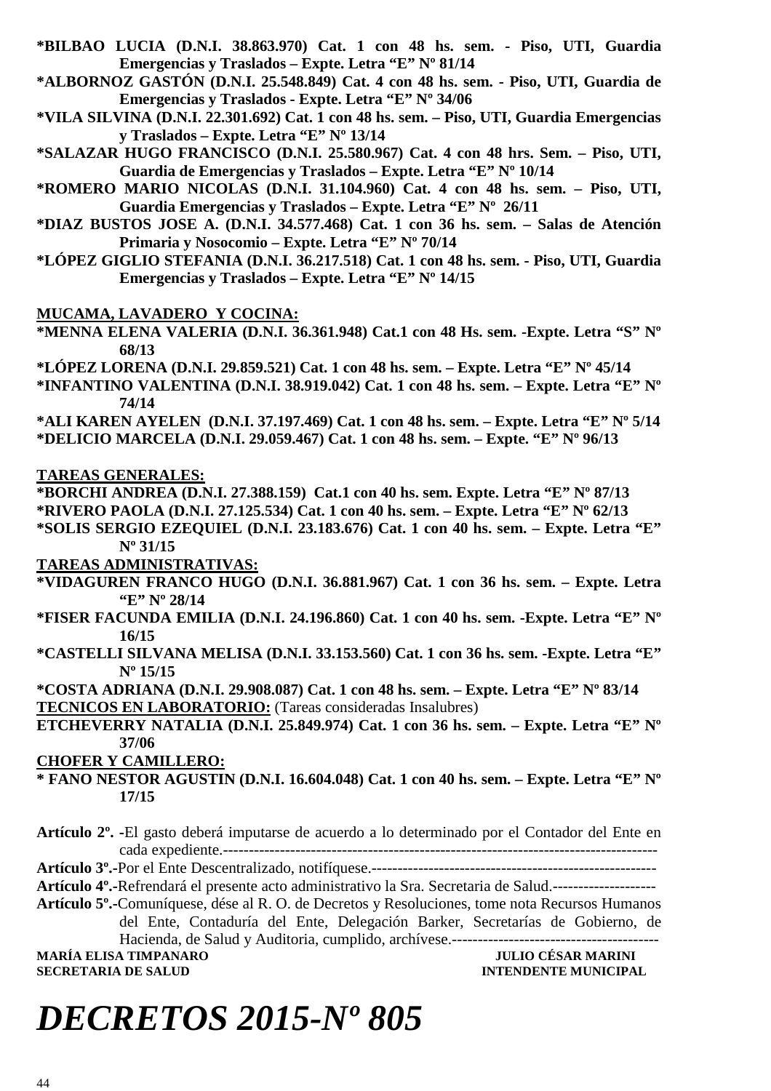- **\*BILBAO LUCIA (D.N.I. 38.863.970) Cat. 1 con 48 hs. sem. Piso, UTI, Guardia Emergencias y Traslados – Expte. Letra "E" Nº 81/14**
- **\*ALBORNOZ GASTÓN (D.N.I. 25.548.849) Cat. 4 con 48 hs. sem. Piso, UTI, Guardia de Emergencias y Traslados - Expte. Letra "E" Nº 34/06**
- **\*VILA SILVINA (D.N.I. 22.301.692) Cat. 1 con 48 hs. sem. Piso, UTI, Guardia Emergencias y Traslados – Expte. Letra "E" Nº 13/14**
- **\*SALAZAR HUGO FRANCISCO (D.N.I. 25.580.967) Cat. 4 con 48 hrs. Sem. Piso, UTI, Guardia de Emergencias y Traslados – Expte. Letra "E" Nº 10/14**
- **\*ROMERO MARIO NICOLAS (D.N.I. 31.104.960) Cat. 4 con 48 hs. sem. Piso, UTI, Guardia Emergencias y Traslados – Expte. Letra "E" Nº 26/11**
- **\*DIAZ BUSTOS JOSE A. (D.N.I. 34.577.468) Cat. 1 con 36 hs. sem. Salas de Atención Primaria y Nosocomio – Expte. Letra "E" Nº 70/14**
- **\*LÓPEZ GIGLIO STEFANIA (D.N.I. 36.217.518) Cat. 1 con 48 hs. sem. Piso, UTI, Guardia Emergencias y Traslados – Expte. Letra "E" Nº 14/15**

**MUCAMA, LAVADERO Y COCINA:**

- **\*MENNA ELENA VALERIA (D.N.I. 36.361.948) Cat.1 con 48 Hs. sem. -Expte. Letra "S" Nº 68/13**
- **\*LÓPEZ LORENA (D.N.I. 29.859.521) Cat. 1 con 48 hs. sem. Expte. Letra "E" Nº 45/14**
- **\*INFANTINO VALENTINA (D.N.I. 38.919.042) Cat. 1 con 48 hs. sem. Expte. Letra "E" Nº 74/14**

**\*ALI KAREN AYELEN (D.N.I. 37.197.469) Cat. 1 con 48 hs. sem. – Expte. Letra "E" Nº 5/14 \*DELICIO MARCELA (D.N.I. 29.059.467) Cat. 1 con 48 hs. sem. – Expte. "E" Nº 96/13** 

**TAREAS GENERALES:**

**\*BORCHI ANDREA (D.N.I. 27.388.159) Cat.1 con 40 hs. sem. Expte. Letra "E" Nº 87/13** 

**\*RIVERO PAOLA (D.N.I. 27.125.534) Cat. 1 con 40 hs. sem. – Expte. Letra "E" Nº 62/13** 

**\*SOLIS SERGIO EZEQUIEL (D.N.I. 23.183.676) Cat. 1 con 40 hs. sem. – Expte. Letra "E" Nº 31/15** 

**TAREAS ADMINISTRATIVAS:** 

- **\*VIDAGUREN FRANCO HUGO (D.N.I. 36.881.967) Cat. 1 con 36 hs. sem. Expte. Letra "E" Nº 28/14**
- **\*FISER FACUNDA EMILIA (D.N.I. 24.196.860) Cat. 1 con 40 hs. sem. -Expte. Letra "E" Nº 16/15**
- **\*CASTELLI SILVANA MELISA (D.N.I. 33.153.560) Cat. 1 con 36 hs. sem. -Expte. Letra "E" Nº 15/15**
- **\*COSTA ADRIANA (D.N.I. 29.908.087) Cat. 1 con 48 hs. sem. Expte. Letra "E" Nº 83/14 TECNICOS EN LABORATORIO:** (Tareas consideradas Insalubres)
- **ETCHEVERRY NATALIA (D.N.I. 25.849.974) Cat. 1 con 36 hs. sem. Expte. Letra "E" Nº 37/06**

**CHOFER Y CAMILLERO:** 

- **\* FANO NESTOR AGUSTIN (D.N.I. 16.604.048) Cat. 1 con 40 hs. sem. Expte. Letra "E" Nº 17/15**
- **Artículo 2º. -**El gasto deberá imputarse de acuerdo a lo determinado por el Contador del Ente en cada expediente.------------------------------------------------------------------------------------

**Artículo 3º.-**Por el Ente Descentralizado, notifíquese.-------------------------------------------------------

- **Artículo 4º.-**Refrendará el presente acto administrativo la Sra. Secretaria de Salud.--------------------
- **Artículo 5º.-**Comuníquese, dése al R. O. de Decretos y Resoluciones, tome nota Recursos Humanos del Ente, Contaduría del Ente, Delegación Barker, Secretarías de Gobierno, de Hacienda, de Salud y Auditoria, cumplido, archívese.---------------------------------------- **MARÍA ELISA TIMPANARO JULIO CÉSAR MARINI**

**SECRETARIA DE SALUD INTENDENTE MUNICIPAL** 

# *DECRETOS 2015-Nº 805*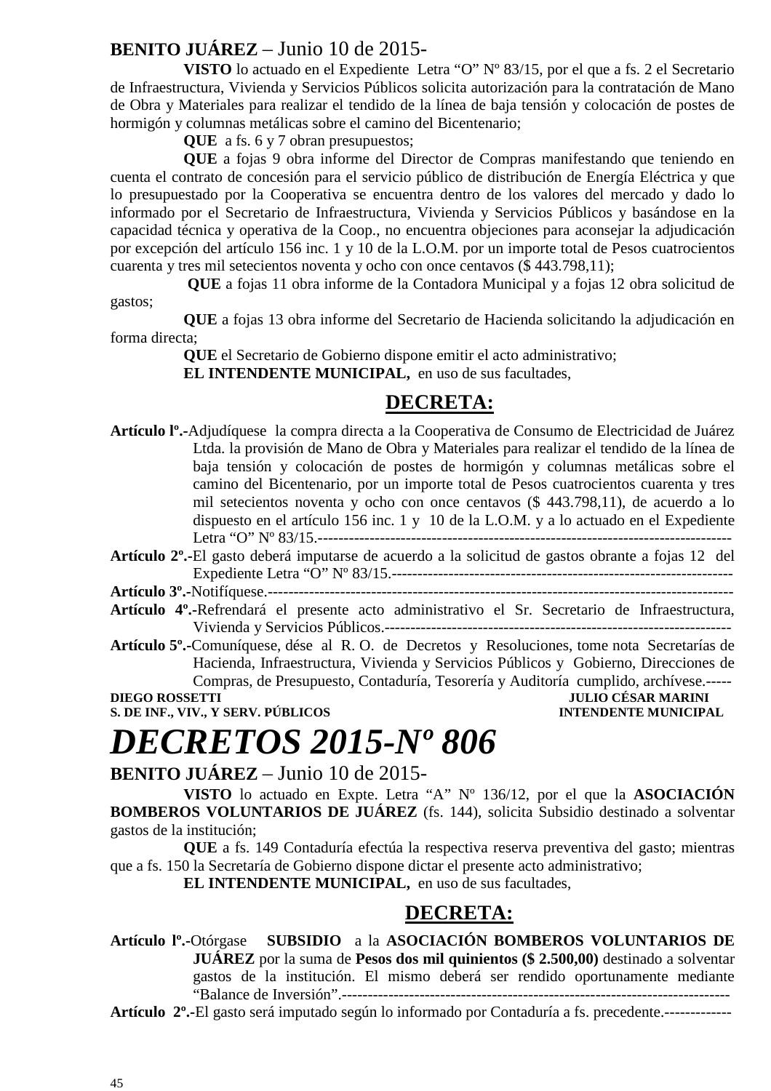### **BENITO JUÁREZ** – Junio 10 de 2015-

**VISTO** lo actuado en el Expediente Letra "O" Nº 83/15, por el que a fs. 2 el Secretario de Infraestructura, Vivienda y Servicios Públicos solicita autorización para la contratación de Mano de Obra y Materiales para realizar el tendido de la línea de baja tensión y colocación de postes de hormigón y columnas metálicas sobre el camino del Bicentenario;

**QUE** a fs. 6 y 7 obran presupuestos;

**QUE** a fojas 9 obra informe del Director de Compras manifestando que teniendo en cuenta el contrato de concesión para el servicio público de distribución de Energía Eléctrica y que lo presupuestado por la Cooperativa se encuentra dentro de los valores del mercado y dado lo informado por el Secretario de Infraestructura, Vivienda y Servicios Públicos y basándose en la capacidad técnica y operativa de la Coop., no encuentra objeciones para aconsejar la adjudicación por excepción del artículo 156 inc. 1 y 10 de la L.O.M. por un importe total de Pesos cuatrocientos cuarenta y tres mil setecientos noventa y ocho con once centavos (\$ 443.798,11);

 **QUE** a fojas 11 obra informe de la Contadora Municipal y a fojas 12 obra solicitud de gastos;

**QUE** a fojas 13 obra informe del Secretario de Hacienda solicitando la adjudicación en forma directa;

**QUE** el Secretario de Gobierno dispone emitir el acto administrativo;

**EL INTENDENTE MUNICIPAL,** en uso de sus facultades,

### **DECRETA:**

- **Artículo lº.-**Adjudíquese la compra directa a la Cooperativa de Consumo de Electricidad de Juárez Ltda. la provisión de Mano de Obra y Materiales para realizar el tendido de la línea de baja tensión y colocación de postes de hormigón y columnas metálicas sobre el camino del Bicentenario, por un importe total de Pesos cuatrocientos cuarenta y tres mil setecientos noventa y ocho con once centavos (\$ 443.798,11), de acuerdo a lo dispuesto en el artículo 156 inc. 1 y 10 de la L.O.M. y a lo actuado en el Expediente Letra "O" Nº 83/15.--------------------------------------------------------------------------------
- **Artículo 2º.-**El gasto deberá imputarse de acuerdo a la solicitud de gastos obrante a fojas 12 del Expediente Letra "O" Nº 83/15.------------------------------------------------------------------

**Artículo 3º.-**Notifíquese.------------------------------------------------------------------------------------------

- **Artículo 4º.-**Refrendará el presente acto administrativo el Sr. Secretario de Infraestructura, Vivienda y Servicios Públicos.-------------------------------------------------------------------
- **Artículo 5º.-**Comuníquese, dése al R. O. de Decretos y Resoluciones, tome nota Secretarías de Hacienda, Infraestructura, Vivienda y Servicios Públicos y Gobierno, Direcciones de Compras, de Presupuesto, Contaduría, Tesorería y Auditoría cumplido, archívese.-----

**DIEGO ROSSETTI DIEGO ROSSETTI** *DIEGO ROSSETTI DIEGO ROSSETTI DIEGO ROSSETTI* 

**S. DE INF., VIV., Y SERV. PÚBLICOS INTENDENTE MUNICIPAL** 

# *DECRETOS 2015-Nº 806*

**BENITO JUÁREZ** – Junio 10 de 2015-

**VISTO** lo actuado en Expte. Letra "A" Nº 136/12, por el que la **ASOCIACIÓN BOMBEROS VOLUNTARIOS DE JUÁREZ** (fs. 144), solicita Subsidio destinado a solventar gastos de la institución;

**QUE** a fs. 149 Contaduría efectúa la respectiva reserva preventiva del gasto; mientras que a fs. 150 la Secretaría de Gobierno dispone dictar el presente acto administrativo;

**EL INTENDENTE MUNICIPAL,** en uso de sus facultades,

### **DECRETA:**

**Artículo lº.-**Otórgase **SUBSIDIO** a la **ASOCIACIÓN BOMBEROS VOLUNTARIOS DE JUÁREZ** por la suma de **Pesos dos mil quinientos (\$ 2.500,00)** destinado a solventar gastos de la institución. El mismo deberá ser rendido oportunamente mediante "Balance de Inversión".---------------------------------------------------------------------------

**Artículo 2º.-**El gasto será imputado según lo informado por Contaduría a fs. precedente.-------------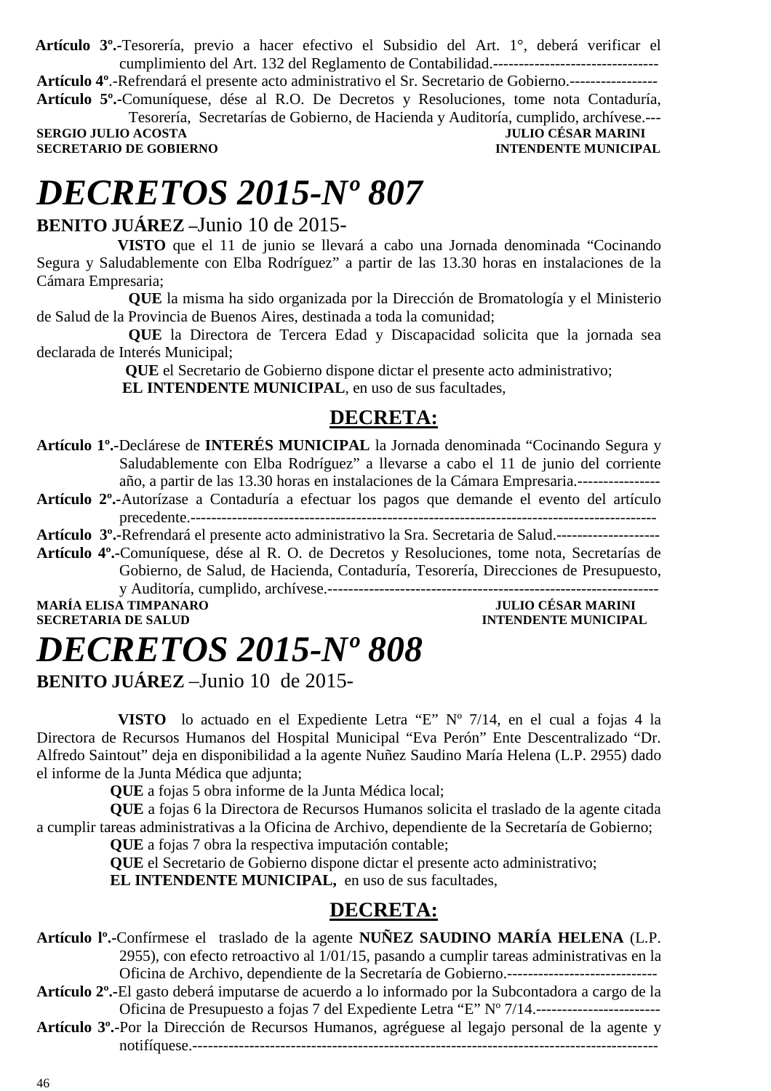**Artículo 3º.-**Tesorería, previo a hacer efectivo el Subsidio del Art. 1°, deberá verificar el cumplimiento del Art. 132 del Reglamento de Contabilidad.--------------------------------

**Artículo 4º**.-Refrendará el presente acto administrativo el Sr. Secretario de Gobierno.-----------------

**Artículo 5º.-**Comuníquese, dése al R.O. De Decretos y Resoluciones, tome nota Contaduría, Tesorería, Secretarías de Gobierno, de Hacienda y Auditoría, cumplido, archívese.---

**SERGIO JULIO ACOSTA DE CONVERTS DE CONVERTS DE CONVERTS DE CONVERTS DE CONVERTS DE CONVERTS DE CONVERTS DE CO<br>SECRETARIO DE GOBIERNO DE CONVERTS DE CONVERTS DE CONVERTS DE CONVERTS DE CONVERTS DE CONVERTS DE CONVERTS DE SECRETARIO DE GOBIERNO** 

# *DECRETOS 2015-Nº 807*

### **BENITO JUÁREZ –**Junio 10 de 2015-

 **VISTO** que el 11 de junio se llevará a cabo una Jornada denominada "Cocinando Segura y Saludablemente con Elba Rodríguez" a partir de las 13.30 horas en instalaciones de la Cámara Empresaria;

**QUE** la misma ha sido organizada por la Dirección de Bromatología y el Ministerio de Salud de la Provincia de Buenos Aires, destinada a toda la comunidad;

 **QUE** la Directora de Tercera Edad y Discapacidad solicita que la jornada sea declarada de Interés Municipal;

 **QUE** el Secretario de Gobierno dispone dictar el presente acto administrativo;  **EL INTENDENTE MUNICIPAL**, en uso de sus facultades,

### **DECRETA:**

- **Artículo 1º.-**Declárese de **INTERÉS MUNICIPAL** la Jornada denominada "Cocinando Segura y Saludablemente con Elba Rodríguez" a llevarse a cabo el 11 de junio del corriente año, a partir de las 13.30 horas en instalaciones de la Cámara Empresaria.----------------
- **Artículo 2º.-**Autorízase a Contaduría a efectuar los pagos que demande el evento del artículo precedente.------------------------------------------------------------------------------------------
- **Artículo 3º.-**Refrendará el presente acto administrativo la Sra. Secretaria de Salud.--------------------
- **Artículo 4º.-**Comuníquese, dése al R. O. de Decretos y Resoluciones, tome nota, Secretarías de Gobierno, de Salud, de Hacienda, Contaduría, Tesorería, Direcciones de Presupuesto, y Auditoría, cumplido, archívese.----------------------------------------------------------------

**MARÍA ELISA TIMPANARO<br>SECRETARIA DE SALUD** 

### **INTENDENTE MUNICIPAL**

# *DECRETOS 2015-Nº 808*

**BENITO JUÁREZ** –Junio 10 de 2015-

 **VISTO** lo actuado en el Expediente Letra "E" Nº 7/14, en el cual a fojas 4 la Directora de Recursos Humanos del Hospital Municipal "Eva Perón" Ente Descentralizado "Dr. Alfredo Saintout" deja en disponibilidad a la agente Nuñez Saudino María Helena (L.P. 2955) dado el informe de la Junta Médica que adjunta;

**QUE** a fojas 5 obra informe de la Junta Médica local;

**QUE** a fojas 6 la Directora de Recursos Humanos solicita el traslado de la agente citada a cumplir tareas administrativas a la Oficina de Archivo, dependiente de la Secretaría de Gobierno;

**QUE** a fojas 7 obra la respectiva imputación contable;

**QUE** el Secretario de Gobierno dispone dictar el presente acto administrativo;

**EL INTENDENTE MUNICIPAL,** en uso de sus facultades,

- **Artículo lº.-**Confírmese el traslado de la agente **NUÑEZ SAUDINO MARÍA HELENA** (L.P. 2955), con efecto retroactivo al 1/01/15, pasando a cumplir tareas administrativas en la Oficina de Archivo, dependiente de la Secretaría de Gobierno.-----------------------------
- **Artículo 2º.-**El gasto deberá imputarse de acuerdo a lo informado por la Subcontadora a cargo de la Oficina de Presupuesto a fojas 7 del Expediente Letra "E" Nº 7/14.------------------------
- **Artículo 3º.-**Por la Dirección de Recursos Humanos, agréguese al legajo personal de la agente y notifíquese.------------------------------------------------------------------------------------------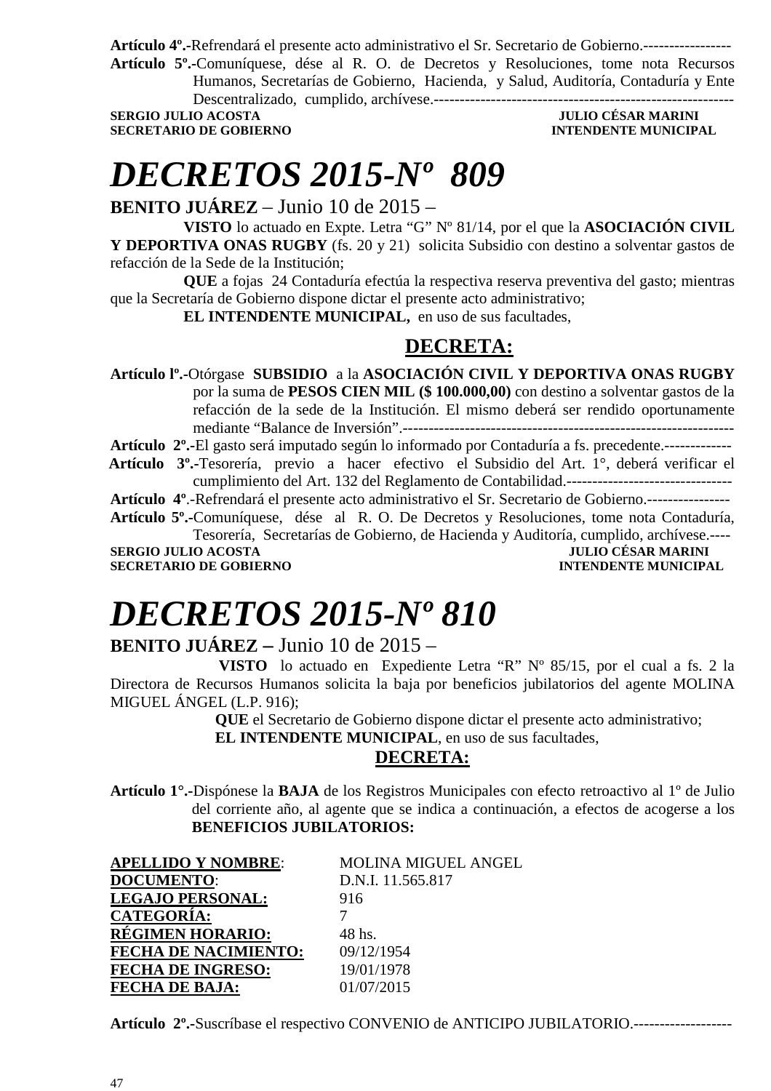**Artículo 4º.-**Refrendará el presente acto administrativo el Sr. Secretario de Gobierno.-----------------

**Artículo 5º.-**Comuníquese, dése al R. O. de Decretos y Resoluciones, tome nota Recursos Humanos, Secretarías de Gobierno, Hacienda, y Salud, Auditoría, Contaduría y Ente

Descentralizado, cumplido, archívese.----------------------------------------------------------

**SERGIO JULIO ACOSTA JULIO CÉSAR MARINI SECRETARIO DE GOBIERNO INTENDENTE MUNICIPAL** 

# *DECRETOS 2015-Nº 809*

**BENITO JUÁREZ** – Junio 10 de 2015 –

**VISTO** lo actuado en Expte. Letra "G" Nº 81/14, por el que la **ASOCIACIÓN CIVIL Y DEPORTIVA ONAS RUGBY** (fs. 20 y 21) solicita Subsidio con destino a solventar gastos de refacción de la Sede de la Institución;

**QUE** a fojas 24 Contaduría efectúa la respectiva reserva preventiva del gasto; mientras que la Secretaría de Gobierno dispone dictar el presente acto administrativo;

**EL INTENDENTE MUNICIPAL,** en uso de sus facultades,

### **DECRETA:**

**Artículo lº.-**Otórgase **SUBSIDIO** a la **ASOCIACIÓN CIVIL Y DEPORTIVA ONAS RUGBY**  por la suma de **PESOS CIEN MIL (\$ 100.000,00)** con destino a solventar gastos de la refacción de la sede de la Institución. El mismo deberá ser rendido oportunamente mediante "Balance de Inversión".----------------------------------------------------------------

**Artículo 2º.-**El gasto será imputado según lo informado por Contaduría a fs. precedente.-------------

 **Artículo 3º.-**Tesorería, previo a hacer efectivo el Subsidio del Art. 1°, deberá verificar el cumplimiento del Art. 132 del Reglamento de Contabilidad.--------------------------------

**Artículo 4º**.-Refrendará el presente acto administrativo el Sr. Secretario de Gobierno.----------------

**Artículo 5º.-**Comuníquese, dése al R. O. De Decretos y Resoluciones, tome nota Contaduría, Tesorería, Secretarías de Gobierno, de Hacienda y Auditoría, cumplido, archívese.----

**SECRETARIO DE GOBIERNO INTENDENTE MUNICIPAL** 

**JULIO CÉSAR MARINI** 

# *DECRETOS 2015-Nº 810*

### **BENITO JUÁREZ –** Junio 10 de 2015 –

 **VISTO** lo actuado en Expediente Letra "R" Nº 85/15, por el cual a fs. 2 la Directora de Recursos Humanos solicita la baja por beneficios jubilatorios del agente MOLINA MIGUEL ÁNGEL (L.P. 916);

**QUE** el Secretario de Gobierno dispone dictar el presente acto administrativo;

 **EL INTENDENTE MUNICIPAL**, en uso de sus facultades,

#### **DECRETA:**

**Artículo 1°.-**Dispónese la **BAJA** de los Registros Municipales con efecto retroactivo al 1º de Julio del corriente año, al agente que se indica a continuación, a efectos de acogerse a los **BENEFICIOS JUBILATORIOS:**

| <b>APELLIDO Y NOMBRE:</b>   | MOLINA MIGUEL ANGEL |
|-----------------------------|---------------------|
| <b>DOCUMENTO:</b>           | D.N.I. 11.565.817   |
| <b>LEGAJO PERSONAL:</b>     | 916                 |
| <b>CATEGORÍA:</b>           |                     |
| <u>RÉGIMEN HORARIO:</u>     | 48 hs.              |
| <b>FECHA DE NACIMIENTO:</b> | 09/12/1954          |
| <b>FECHA DE INGRESO:</b>    | 19/01/1978          |
| <b>FECHA DE BAJA:</b>       | 01/07/2015          |

**Artículo 2º.-**Suscríbase el respectivo CONVENIO de ANTICIPO JUBILATORIO.-------------------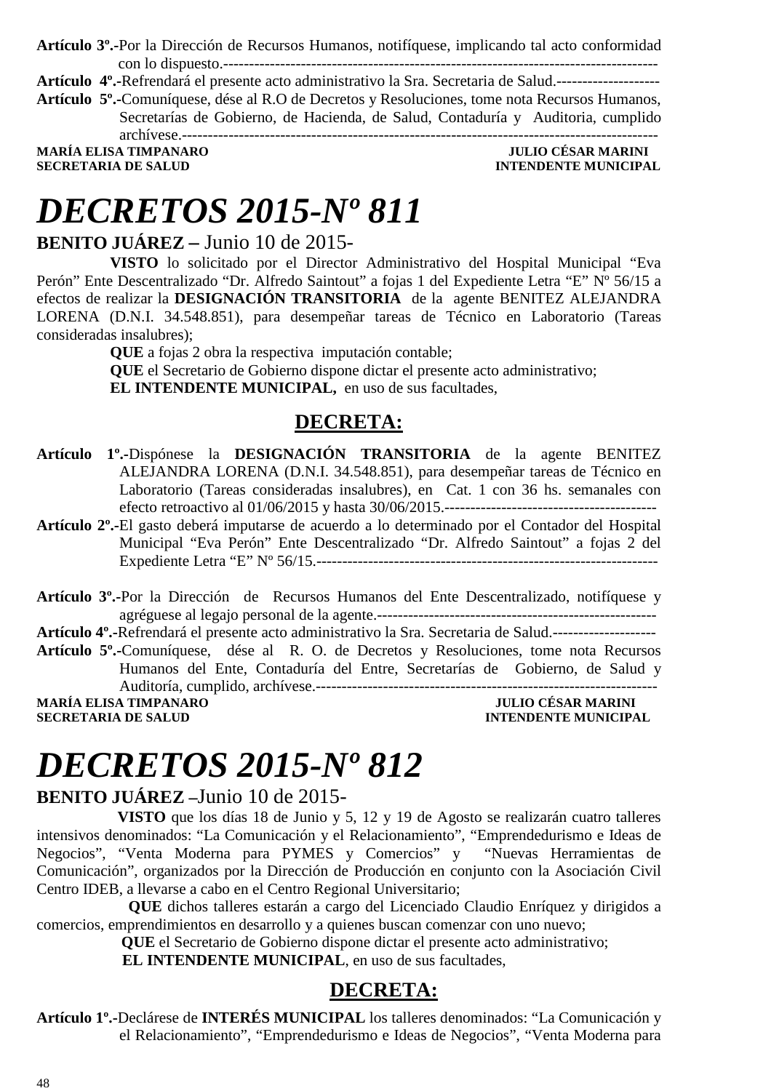**Artículo 3º.-**Por la Dirección de Recursos Humanos, notifíquese, implicando tal acto conformidad con lo dispuesto.------------------------------------------------------------------------------------

**Artículo 4º.-**Refrendará el presente acto administrativo la Sra. Secretaria de Salud.--------------------

**Artículo 5º.-**Comuníquese, dése al R.O de Decretos y Resoluciones, tome nota Recursos Humanos, Secretarías de Gobierno, de Hacienda, de Salud, Contaduría y Auditoria, cumplido archívese.--------------------------------------------------------------------------------------------

**MARÍA ELISA TIMPANARO JULIO CÉSAR MARINI** 

**INTENDENTE MUNICIPAL** 

# *DECRETOS 2015-Nº 811*

#### **BENITO JUÁREZ –** Junio 10 de 2015-

**VISTO** lo solicitado por el Director Administrativo del Hospital Municipal "Eva Perón" Ente Descentralizado "Dr. Alfredo Saintout" a fojas 1 del Expediente Letra "E" Nº 56/15 a efectos de realizar la **DESIGNACIÓN TRANSITORIA** de la agente BENITEZ ALEJANDRA LORENA (D.N.I. 34.548.851), para desempeñar tareas de Técnico en Laboratorio (Tareas consideradas insalubres);

> **QUE** a fojas 2 obra la respectiva imputación contable; **QUE** el Secretario de Gobierno dispone dictar el presente acto administrativo;

**EL INTENDENTE MUNICIPAL,** en uso de sus facultades,

### **DECRETA:**

- **Artículo 1º.-**Dispónese la **DESIGNACIÓN TRANSITORIA** de la agente BENITEZ ALEJANDRA LORENA (D.N.I. 34.548.851), para desempeñar tareas de Técnico en Laboratorio (Tareas consideradas insalubres), en Cat. 1 con 36 hs. semanales con efecto retroactivo al 01/06/2015 y hasta 30/06/2015.-----------------------------------------
- **Artículo 2º.-**El gasto deberá imputarse de acuerdo a lo determinado por el Contador del Hospital Municipal "Eva Perón" Ente Descentralizado "Dr. Alfredo Saintout" a fojas 2 del Expediente Letra "E" Nº 56/15.------------------------------------------------------------------

**Artículo 3º.-**Por la Dirección de Recursos Humanos del Ente Descentralizado, notifíquese y agréguese al legajo personal de la agente.------------------------------------------------------ **Artículo 4º.-**Refrendará el presente acto administrativo la Sra. Secretaria de Salud.-------------------- **Artículo 5º.-**Comuníquese, dése al R. O. de Decretos y Resoluciones, tome nota Recursos Humanos del Ente, Contaduría del Entre, Secretarías de Gobierno, de Salud y Auditoría, cumplido, archívese.------------------------------------------------------------------ **MARÍA ELISA TIMPANARO<br>SECRETARIA DE SALUD INTENDENTE MUNICIPAL** 

## *DECRETOS 2015-Nº 812*

#### **BENITO JUÁREZ –**Junio 10 de 2015-

 **VISTO** que los días 18 de Junio y 5, 12 y 19 de Agosto se realizarán cuatro talleres intensivos denominados: "La Comunicación y el Relacionamiento", "Emprendedurismo e Ideas de Negocios", "Venta Moderna para PYMES y Comercios" y "Nuevas Herramientas de Comunicación", organizados por la Dirección de Producción en conjunto con la Asociación Civil Centro IDEB, a llevarse a cabo en el Centro Regional Universitario;

**QUE** dichos talleres estarán a cargo del Licenciado Claudio Enríquez y dirigidos a comercios, emprendimientos en desarrollo y a quienes buscan comenzar con uno nuevo;

**QUE** el Secretario de Gobierno dispone dictar el presente acto administrativo;

 **EL INTENDENTE MUNICIPAL**, en uso de sus facultades,

#### **DECRETA:**

**Artículo 1º.-**Declárese de **INTERÉS MUNICIPAL** los talleres denominados: "La Comunicación y el Relacionamiento", "Emprendedurismo e Ideas de Negocios", "Venta Moderna para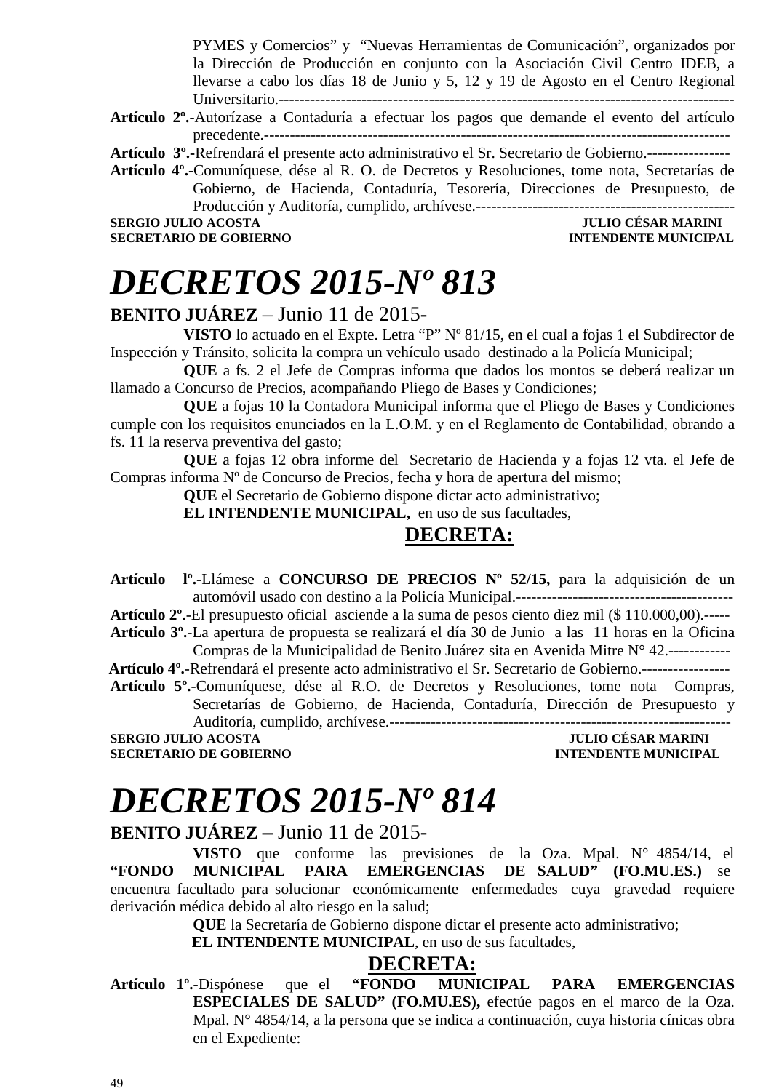PYMES y Comercios" y "Nuevas Herramientas de Comunicación", organizados por la Dirección de Producción en conjunto con la Asociación Civil Centro IDEB, a llevarse a cabo los días 18 de Junio y 5, 12 y 19 de Agosto en el Centro Regional Universitario.----------------------------------------------------------------------------------------

- **Artículo 2º.-**Autorízase a Contaduría a efectuar los pagos que demande el evento del artículo precedente.------------------------------------------------------------------------------------------
- **Artículo 3º.-**Refrendará el presente acto administrativo el Sr. Secretario de Gobierno.----------------
- **Artículo 4º.-**Comuníquese, dése al R. O. de Decretos y Resoluciones, tome nota, Secretarías de Gobierno, de Hacienda, Contaduría, Tesorería, Direcciones de Presupuesto, de Producción y Auditoría, cumplido, archívese.--------------------------------------------------

**SECRETARIO DE GOBIERNO** 

### **SERGIO JULIO ACOSTA DE CONVERTE DE L'ALGE DE CONVERTE DE L'ALGE DE L'ALGE DE L'ALGE DE CONVERTE DE L'ALGE DE CO<br>ACOSTA DE L'ALGE DE CONVERTE DE L'ALGE DE L'ALGE DE L'ALGE DE L'ALGE DE L'ALGE DE L'ALGE DE L'ALGE DE L'ALGE**

## *DECRETOS 2015-Nº 813*

#### **BENITO JUÁREZ** – Junio 11 de 2015-

**VISTO** lo actuado en el Expte. Letra "P" Nº 81/15, en el cual a fojas 1 el Subdirector de Inspección y Tránsito, solicita la compra un vehículo usado destinado a la Policía Municipal;

**QUE** a fs. 2 el Jefe de Compras informa que dados los montos se deberá realizar un llamado a Concurso de Precios, acompañando Pliego de Bases y Condiciones;

**QUE** a fojas 10 la Contadora Municipal informa que el Pliego de Bases y Condiciones cumple con los requisitos enunciados en la L.O.M. y en el Reglamento de Contabilidad, obrando a fs. 11 la reserva preventiva del gasto;

**QUE** a fojas 12 obra informe del Secretario de Hacienda y a fojas 12 vta. el Jefe de Compras informa Nº de Concurso de Precios, fecha y hora de apertura del mismo;

**QUE** el Secretario de Gobierno dispone dictar acto administrativo;

**EL INTENDENTE MUNICIPAL,** en uso de sus facultades,

### **DECRETA:**

**Artículo lº.-**Llámese a **CONCURSO DE PRECIOS Nº 52/15,** para la adquisición de un automóvil usado con destino a la Policía Municipal.------------------------------------------

**Artículo 2º.**-El presupuesto oficial asciende a la suma de pesos ciento diez mil (\$ 110.000,00).-----

**Artículo 3º.**-La apertura de propuesta se realizará el día 30 de Junio a las 11 horas en la Oficina Compras de la Municipalidad de Benito Juárez sita en Avenida Mitre N° 42.------------

 **Artículo 4º.**-Refrendará el presente acto administrativo el Sr. Secretario de Gobierno.-----------------

**Artículo 5º.**-Comuníquese, dése al R.O. de Decretos y Resoluciones, tome nota Compras, Secretarías de Gobierno, de Hacienda, Contaduría, Dirección de Presupuesto y Auditoría, cumplido, archívese.------------------------------------------------------------------

**SECRETARIO DE GOBIERNO INTENDENTE MUNICIPAL** 

**SERGIO JULIO ACOSTA JULIO CÉSAR MARINI** 

# *DECRETOS 2015-Nº 814*

### **BENITO JUÁREZ –** Junio 11 de 2015-

**VISTO** que conforme las previsiones de la Oza. Mpal. N° 4854/14, el **"FONDO MUNICIPAL PARA EMERGENCIAS DE SALUD" (FO.MU.ES.)** se encuentra facultado para solucionar económicamente enfermedades cuya gravedad requiere derivación médica debido al alto riesgo en la salud;

**QUE** la Secretaría de Gobierno dispone dictar el presente acto administrativo;

**EL INTENDENTE MUNICIPAL**, en uso de sus facultades,

#### **DECRETA:**

**Artículo 1º.-**Dispónese que el **"FONDO MUNICIPAL PARA EMERGENCIAS ESPECIALES DE SALUD" (FO.MU.ES),** efectúe pagos en el marco de la Oza. Mpal. N° 4854/14, a la persona que se indica a continuación, cuya historia cínicas obra en el Expediente: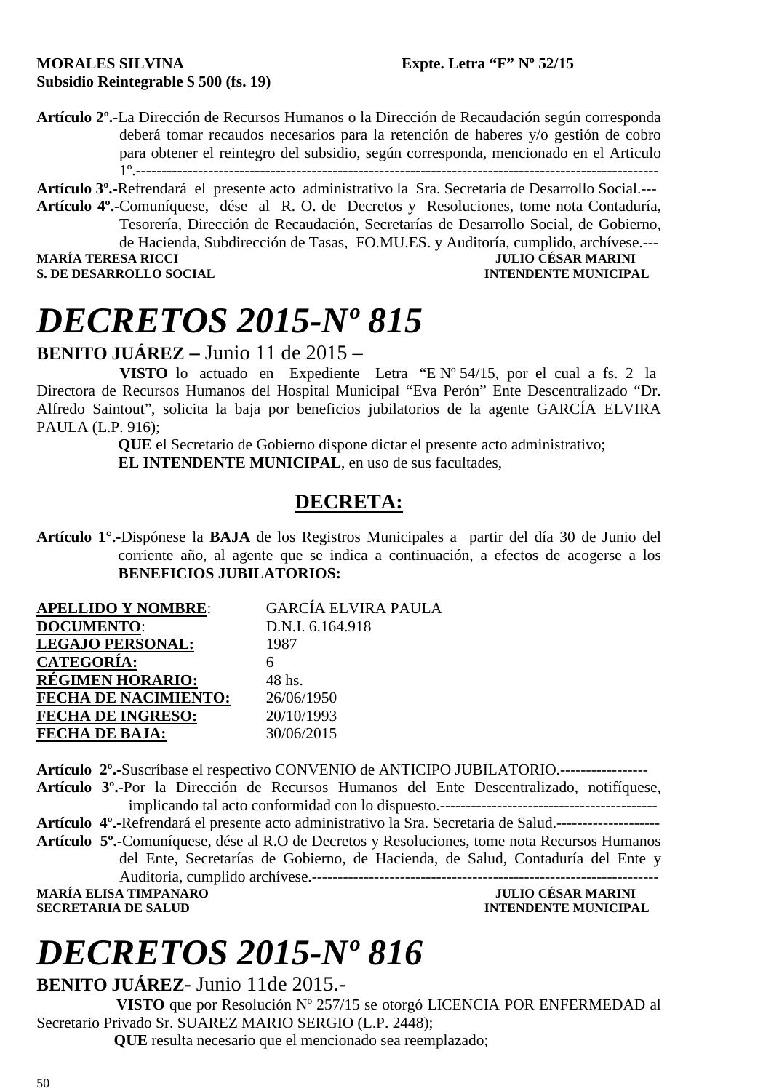#### **MORALES SILVINA Expte. Letra "F" Nº 52/15 Subsidio Reintegrable \$ 500 (fs. 19)**

**Artículo 2º.-**La Dirección de Recursos Humanos o la Dirección de Recaudación según corresponda deberá tomar recaudos necesarios para la retención de haberes y/o gestión de cobro para obtener el reintegro del subsidio, según corresponda, mencionado en el Articulo 1º.-----------------------------------------------------------------------------------------------------

**Artículo 3º.-**Refrendará el presente acto administrativo la Sra. Secretaria de Desarrollo Social.--- **Artículo 4º.-**Comuníquese, dése al R. O. de Decretos y Resoluciones, tome nota Contaduría, Tesorería, Dirección de Recaudación, Secretarías de Desarrollo Social, de Gobierno, de Hacienda, Subdirección de Tasas, FO.MU.ES. y Auditoría, cumplido, archívese.--- **MARÍA TERESA RICCI JULIO CÉSAR MARINI** 

### **S. DE DESARROLLO SOCIAL CONSUMING A LOCAL CONSUMING A LOCAL CONSUMING A LOCAL CONSUMING A LOCAL CONSUMING A LOCAL CONSUMING A LOCAL CONSUMING A LOCAL CONSUMING A LOCAL CONSUMING A LOCAL CONSUMING A LOCAL CONSUMING A LOCAL**

# *DECRETOS 2015-Nº 815*

**BENITO JUÁREZ –** Junio 11 de 2015 –

 **VISTO** lo actuado en Expediente Letra "E Nº 54/15, por el cual a fs. 2 la Directora de Recursos Humanos del Hospital Municipal "Eva Perón" Ente Descentralizado "Dr. Alfredo Saintout", solicita la baja por beneficios jubilatorios de la agente GARCÍA ELVIRA PAULA (L.P. 916);

 **QUE** el Secretario de Gobierno dispone dictar el presente acto administrativo;  **EL INTENDENTE MUNICIPAL**, en uso de sus facultades,

### **DECRETA:**

**Artículo 1°.-**Dispónese la **BAJA** de los Registros Municipales a partir del día 30 de Junio del corriente año, al agente que se indica a continuación, a efectos de acogerse a los **BENEFICIOS JUBILATORIOS:**

| <b>APELLIDO Y NOMBRE:</b>   | <b>GARCÍA ELVIRA PAULA</b> |
|-----------------------------|----------------------------|
| <b>DOCUMENTO:</b>           | D.N.I. 6.164.918           |
| <b>LEGAJO PERSONAL:</b>     | 1987                       |
| <b>CATEGORÍA:</b>           |                            |
| <b>RÉGIMEN HORARIO:</b>     | 48 hs.                     |
| <b>FECHA DE NACIMIENTO:</b> | 26/06/1950                 |
| <b>FECHA DE INGRESO:</b>    | 20/10/1993                 |
| <b>FECHA DE BAJA:</b>       | 30/06/2015                 |

**Artículo 2º.-**Suscríbase el respectivo CONVENIO de ANTICIPO JUBILATORIO.----------------- **Artículo 3º.-**Por la Dirección de Recursos Humanos del Ente Descentralizado, notifíquese, implicando tal acto conformidad con lo dispuesto.------------------------------------------ **Artículo 4º.-**Refrendará el presente acto administrativo la Sra. Secretaria de Salud.-------------------- **Artículo 5º.-**Comuníquese, dése al R.O de Decretos y Resoluciones, tome nota Recursos Humanos del Ente, Secretarías de Gobierno, de Hacienda, de Salud, Contaduría del Ente y Auditoria, cumplido archívese.------------------------------------------------------------------- **MARÍA ELISA TIMPANARO<br>SECRETARIA DE SALUD INTENDENTE MUNICIPAL** 

# *DECRETOS 2015-Nº 816*

**BENITO JUÁREZ**- Junio 11de 2015.-

 **VISTO** que por Resolución Nº 257/15 se otorgó LICENCIA POR ENFERMEDAD al Secretario Privado Sr. SUAREZ MARIO SERGIO (L.P. 2448);

 **QUE** resulta necesario que el mencionado sea reemplazado;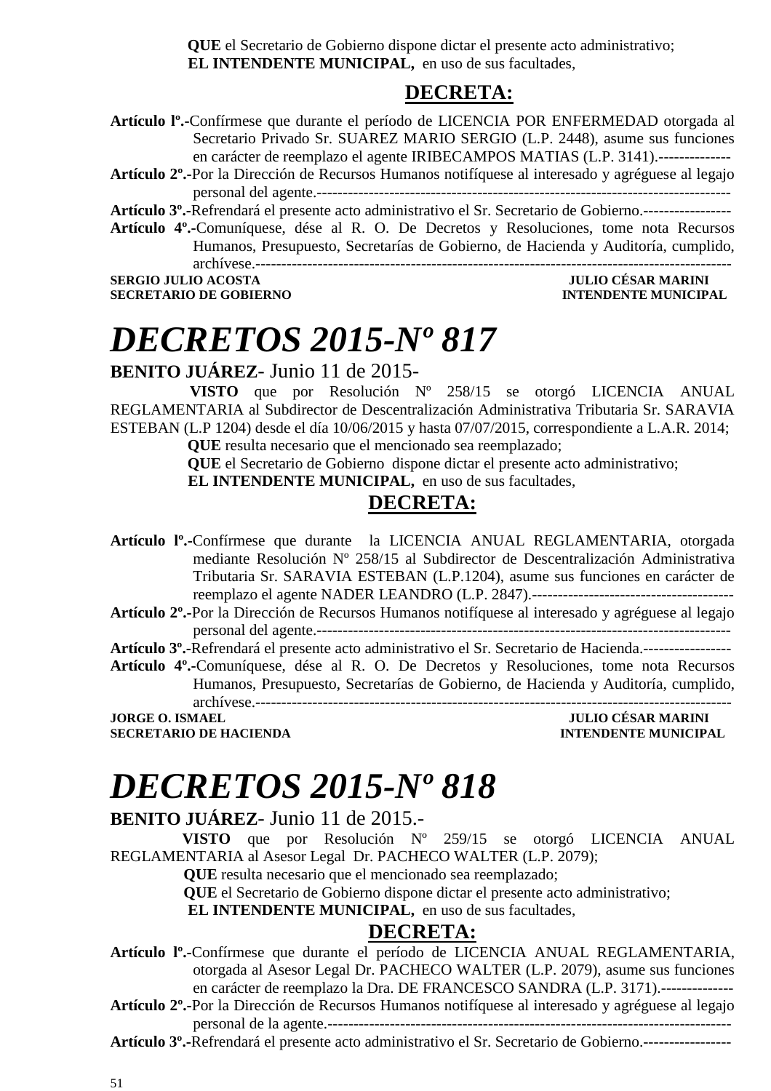**QUE** el Secretario de Gobierno dispone dictar el presente acto administrativo; **EL INTENDENTE MUNICIPAL,** en uso de sus facultades,

### **DECRETA:**

- **Artículo lº.-**Confírmese que durante el período de LICENCIA POR ENFERMEDAD otorgada al Secretario Privado Sr. SUAREZ MARIO SERGIO (L.P. 2448), asume sus funciones en carácter de reemplazo el agente IRIBECAMPOS MATIAS (L.P. 3141).--------------
- **Artículo 2º.-**Por la Dirección de Recursos Humanos notifíquese al interesado y agréguese al legajo personal del agente.--------------------------------------------------------------------------------

**Artículo 3º.-**Refrendará el presente acto administrativo el Sr. Secretario de Gobierno.-----------------

**Artículo 4º.-**Comuníquese, dése al R. O. De Decretos y Resoluciones, tome nota Recursos Humanos, Presupuesto, Secretarías de Gobierno, de Hacienda y Auditoría, cumplido, archívese.--------------------------------------------------------------------------------------------

**SECRETARIO DE GOBIERNO INTENDENTE MUNICIPAL** 

### **SERGIO JULIO ACOSTA JULIO CÉSAR MARINI**

# *DECRETOS 2015-Nº 817*

**BENITO JUÁREZ**- Junio 11 de 2015-

 **VISTO** que por Resolución Nº 258/15 se otorgó LICENCIA ANUAL REGLAMENTARIA al Subdirector de Descentralización Administrativa Tributaria Sr. SARAVIA ESTEBAN (L.P 1204) desde el día 10/06/2015 y hasta 07/07/2015, correspondiente a L.A.R. 2014;

 **QUE** resulta necesario que el mencionado sea reemplazado;

 **QUE** el Secretario de Gobierno dispone dictar el presente acto administrativo;

**EL INTENDENTE MUNICIPAL,** en uso de sus facultades,

### **DECRETA:**

- **Artículo lº.-**Confírmese que durante la LICENCIA ANUAL REGLAMENTARIA, otorgada mediante Resolución Nº 258/15 al Subdirector de Descentralización Administrativa Tributaria Sr. SARAVIA ESTEBAN (L.P.1204), asume sus funciones en carácter de reemplazo el agente NADER LEANDRO (L.P. 2847).---------------------------------------
- **Artículo 2º.-**Por la Dirección de Recursos Humanos notifíquese al interesado y agréguese al legajo personal del agente.--------------------------------------------------------------------------------
- **Artículo 3º.-**Refrendará el presente acto administrativo el Sr. Secretario de Hacienda.-----------------
- **Artículo 4º.-**Comuníquese, dése al R. O. De Decretos y Resoluciones, tome nota Recursos Humanos, Presupuesto, Secretarías de Gobierno, de Hacienda y Auditoría, cumplido, archívese.--------------------------------------------------------------------------------------------

**SECRETARIO DE HACIENDA INTENDENTE MUNICIPAL** 

### **JORGE O. ISMAEL JULIO CÉSAR MARINI**

# *DECRETOS 2015-Nº 818*

### **BENITO JUÁREZ**- Junio 11 de 2015.-

 **VISTO** que por Resolución Nº 259/15 se otorgó LICENCIA ANUAL REGLAMENTARIA al Asesor Legal Dr. PACHECO WALTER (L.P. 2079);

**QUE** resulta necesario que el mencionado sea reemplazado;

**QUE** el Secretario de Gobierno dispone dictar el presente acto administrativo;

**EL INTENDENTE MUNICIPAL,** en uso de sus facultades,

- **Artículo lº.-**Confírmese que durante el período de LICENCIA ANUAL REGLAMENTARIA, otorgada al Asesor Legal Dr. PACHECO WALTER (L.P. 2079), asume sus funciones en carácter de reemplazo la Dra. DE FRANCESCO SANDRA (L.P. 3171).--------------
- **Artículo 2º.-**Por la Dirección de Recursos Humanos notifíquese al interesado y agréguese al legajo personal de la agente.------------------------------------------------------------------------------
- **Artículo 3º.-**Refrendará el presente acto administrativo el Sr. Secretario de Gobierno.-----------------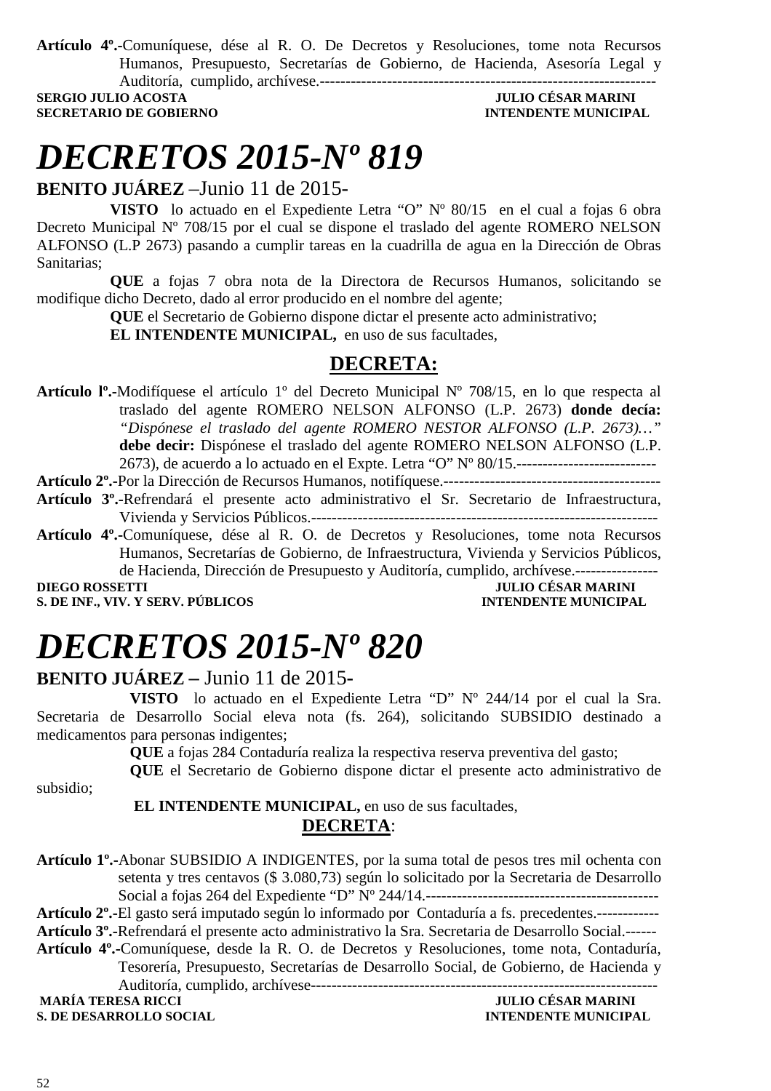**Artículo 4º.-**Comuníquese, dése al R. O. De Decretos y Resoluciones, tome nota Recursos Humanos, Presupuesto, Secretarías de Gobierno, de Hacienda, Asesoría Legal y Auditoría, cumplido, archívese.-----------------------------------------------------------------

**SECRETARIO DE GOBIERNO INTENDENTE MUNICIPAL** 

### **SERGIO JULIO ACOSTA JULIO CÉSAR MARINI**

# *DECRETOS 2015-Nº 819*

**BENITO JUÁREZ** –Junio 11 de 2015-

**VISTO** lo actuado en el Expediente Letra "O" Nº 80/15 en el cual a fojas 6 obra Decreto Municipal Nº 708/15 por el cual se dispone el traslado del agente ROMERO NELSON ALFONSO (L.P 2673) pasando a cumplir tareas en la cuadrilla de agua en la Dirección de Obras Sanitarias;

**QUE** a fojas 7 obra nota de la Directora de Recursos Humanos, solicitando se modifique dicho Decreto, dado al error producido en el nombre del agente;

**QUE** el Secretario de Gobierno dispone dictar el presente acto administrativo;

**EL INTENDENTE MUNICIPAL,** en uso de sus facultades,

### **DECRETA:**

**Artículo lº.-**Modifíquese el artículo 1º del Decreto Municipal Nº 708/15, en lo que respecta al traslado del agente ROMERO NELSON ALFONSO (L.P. 2673) **donde decía:** *"Dispónese el traslado del agente ROMERO NESTOR ALFONSO (L.P. 2673)…"* **debe decir:** Dispónese el traslado del agente ROMERO NELSON ALFONSO (L.P. 2673), de acuerdo a lo actuado en el Expte. Letra "O" Nº 80/15.---------------------------

**Artículo 2º.-**Por la Dirección de Recursos Humanos, notifíquese.------------------------------------------

- **Artículo 3º.-**Refrendará el presente acto administrativo el Sr. Secretario de Infraestructura, Vivienda y Servicios Públicos.-------------------------------------------------------------------
- **Artículo 4º.-**Comuníquese, dése al R. O. de Decretos y Resoluciones, tome nota Recursos Humanos, Secretarías de Gobierno, de Infraestructura, Vivienda y Servicios Públicos, de Hacienda, Dirección de Presupuesto y Auditoría, cumplido, archívese.----------------

**S. DE INF., VIV. Y SERV. PÚBLICOS** 

**DIEGO DE SAR MARINI<br>INTENDENTE MUNICIPAL** 

# *DECRETOS 2015-Nº 820*

**BENITO JUÁREZ –** Junio 11 de 2015**-** 

**VISTO** lo actuado en el Expediente Letra "D" Nº 244/14 por el cual la Sra. Secretaria de Desarrollo Social eleva nota (fs. 264), solicitando SUBSIDIO destinado a medicamentos para personas indigentes;

**QUE** a fojas 284 Contaduría realiza la respectiva reserva preventiva del gasto;

**QUE** el Secretario de Gobierno dispone dictar el presente acto administrativo de subsidio;

> **EL INTENDENTE MUNICIPAL,** en uso de sus facultades, **DECRETA**:

**Artículo 1º.-**Abonar SUBSIDIO A INDIGENTES, por la suma total de pesos tres mil ochenta con setenta y tres centavos (\$ 3.080,73) según lo solicitado por la Secretaria de Desarrollo Social a fojas 264 del Expediente "D" Nº 244/14.--------------------------------------------- **Artículo 2º.-**El gasto será imputado según lo informado por Contaduría a fs. precedentes.------------ **Artículo 3º.-**Refrendará el presente acto administrativo la Sra. Secretaria de Desarrollo Social.------ **Artículo 4º.-**Comuníquese, desde la R. O. de Decretos y Resoluciones, tome nota, Contaduría, Tesorería, Presupuesto, Secretarías de Desarrollo Social, de Gobierno, de Hacienda y Auditoría, cumplido, archívese-------------------------------------------------------------------  **JULIO CÉSAR MARINI<br>INTENDENTE MUNICIPAL S. DE DESARROLLO SOCIAL**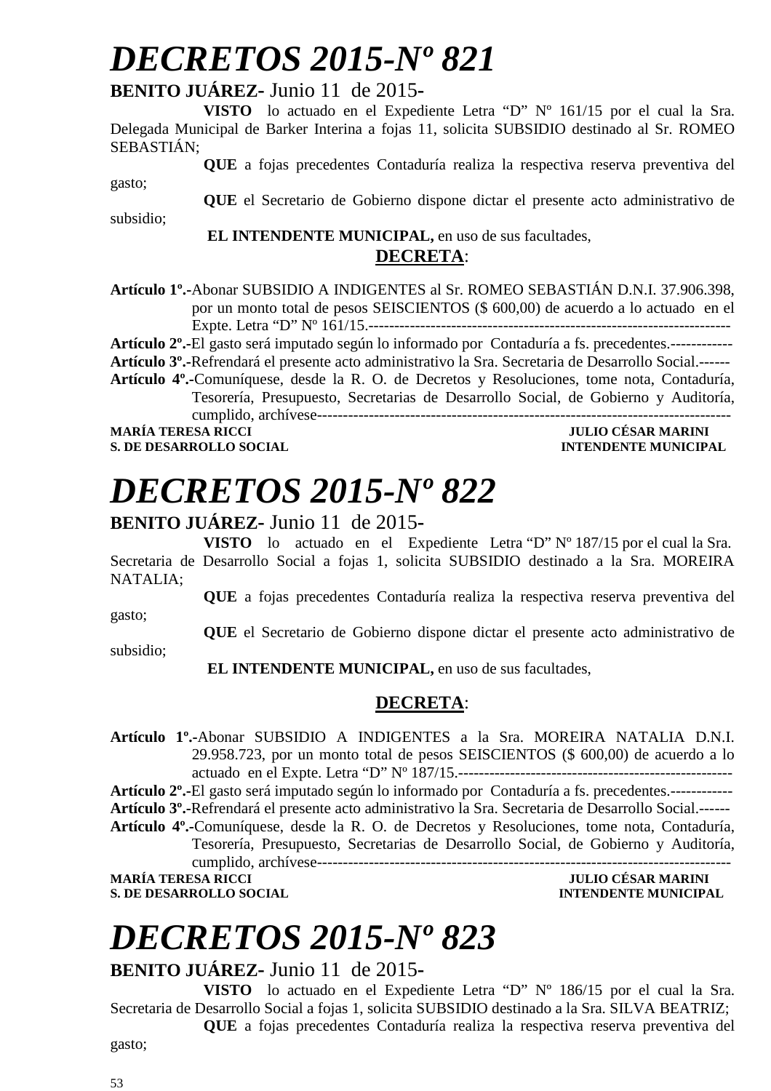# *DECRETOS 2015-Nº 821*

### **BENITO JUÁREZ-** Junio 11 de 2015**-**

**VISTO** lo actuado en el Expediente Letra "D" Nº 161/15 por el cual la Sra. Delegada Municipal de Barker Interina a fojas 11, solicita SUBSIDIO destinado al Sr. ROMEO SEBASTIÁN;

**QUE** a fojas precedentes Contaduría realiza la respectiva reserva preventiva del gasto;

**QUE** el Secretario de Gobierno dispone dictar el presente acto administrativo de subsidio;

### **EL INTENDENTE MUNICIPAL,** en uso de sus facultades,

**DECRETA**:

**Artículo 1º.-**Abonar SUBSIDIO A INDIGENTES al Sr. ROMEO SEBASTIÁN D.N.I. 37.906.398, por un monto total de pesos SEISCIENTOS (\$ 600,00) de acuerdo a lo actuado en el Expte. Letra "D" Nº 161/15.----------------------------------------------------------------------

**Artículo 2º.-**El gasto será imputado según lo informado por Contaduría a fs. precedentes.------------

**Artículo 3º.-**Refrendará el presente acto administrativo la Sra. Secretaria de Desarrollo Social.------

**Artículo 4º.-**Comuníquese, desde la R. O. de Decretos y Resoluciones, tome nota, Contaduría, Tesorería, Presupuesto, Secretarias de Desarrollo Social, de Gobierno y Auditoría, cumplido, archívese--------------------------------------------------------------------------------

**S. DE DESARROLLO SOCIAL** *INTENDENTE MUNICIPAL* 

**JULIO CÉSAR MARINI** 

# *DECRETOS 2015-Nº 822*

### **BENITO JUÁREZ-** Junio 11 de 2015**-**

**VISTO** lo actuado en el Expediente Letra "D" Nº 187/15 por el cual la Sra. Secretaria de Desarrollo Social a fojas 1, solicita SUBSIDIO destinado a la Sra. MOREIRA NATALIA;

**QUE** a fojas precedentes Contaduría realiza la respectiva reserva preventiva del

gasto;

**QUE** el Secretario de Gobierno dispone dictar el presente acto administrativo de

subsidio;

 **EL INTENDENTE MUNICIPAL,** en uso de sus facultades,

### **DECRETA**:

**Artículo 1º.-**Abonar SUBSIDIO A INDIGENTES a la Sra. MOREIRA NATALIA D.N.I. 29.958.723, por un monto total de pesos SEISCIENTOS (\$ 600,00) de acuerdo a lo actuado en el Expte. Letra "D" Nº 187/15.-----------------------------------------------------

**Artículo 2º.-**El gasto será imputado según lo informado por Contaduría a fs. precedentes.------------ **Artículo 3º.-**Refrendará el presente acto administrativo la Sra. Secretaria de Desarrollo Social.------

**Artículo 4º.-**Comuníquese, desde la R. O. de Decretos y Resoluciones, tome nota, Contaduría, Tesorería, Presupuesto, Secretarias de Desarrollo Social, de Gobierno y Auditoría, cumplido, archívese--------------------------------------------------------------------------------

**MARÍA TERESA RICCI JULIO CÉSAR MARINI INTENDENTE MUNICIPAL** 

# *DECRETOS 2015-Nº 823*

#### **BENITO JUÁREZ-** Junio 11 de 2015**-**

**VISTO** lo actuado en el Expediente Letra "D" Nº 186/15 por el cual la Sra. Secretaria de Desarrollo Social a fojas 1, solicita SUBSIDIO destinado a la Sra. SILVA BEATRIZ;

**QUE** a fojas precedentes Contaduría realiza la respectiva reserva preventiva del

gasto;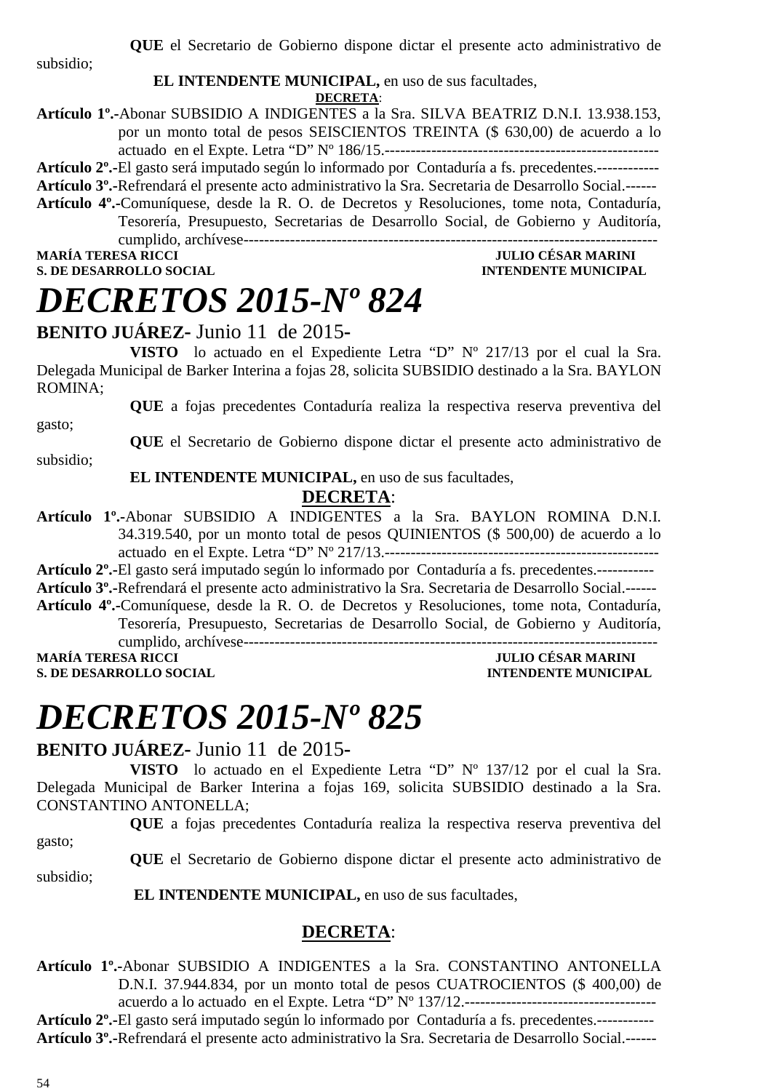subsidio;

#### **EL INTENDENTE MUNICIPAL,** en uso de sus facultades,

**DECRETA**:

**Artículo 1º.-**Abonar SUBSIDIO A INDIGENTES a la Sra. SILVA BEATRIZ D.N.I. 13.938.153, por un monto total de pesos SEISCIENTOS TREINTA (\$ 630,00) de acuerdo a lo actuado en el Expte. Letra "D" Nº 186/15.-----------------------------------------------------

**Artículo 2º.-**El gasto será imputado según lo informado por Contaduría a fs. precedentes.------------ **Artículo 3º.-**Refrendará el presente acto administrativo la Sra. Secretaria de Desarrollo Social.------

**Artículo 4º.-**Comuníquese, desde la R. O. de Decretos y Resoluciones, tome nota, Contaduría, Tesorería, Presupuesto, Secretarias de Desarrollo Social, de Gobierno y Auditoría, cumplido, archívese--------------------------------------------------------------------------------

**S. DE DESARROLLO SOCIAL DESARROLLO SOCIAL DESARROLLO SOCIAL DESARROLLO SOCIAL DESARROLLO SOCIAL DE SOCIAL DE SOCIAL DE SOCIAL DE SOCIAL DE SOCIAL DE SOCIAL DE SOCIAL DE SOCIAL DE SOCIAL DE SOCIAL DE SOCIAL DE SOCIAL DE SO** 

### **MULIO CÉSAR MARINI**

# *DECRETOS 2015-Nº 824*

### **BENITO JUÁREZ-** Junio 11 de 2015**-**

**VISTO** lo actuado en el Expediente Letra "D" Nº 217/13 por el cual la Sra. Delegada Municipal de Barker Interina a fojas 28, solicita SUBSIDIO destinado a la Sra. BAYLON ROMINA;

**QUE** a fojas precedentes Contaduría realiza la respectiva reserva preventiva del gasto;

**QUE** el Secretario de Gobierno dispone dictar el presente acto administrativo de

subsidio;

#### **EL INTENDENTE MUNICIPAL,** en uso de sus facultades,

#### **DECRETA**:

**Artículo 1º.-**Abonar SUBSIDIO A INDIGENTES a la Sra. BAYLON ROMINA D.N.I. 34.319.540, por un monto total de pesos QUINIENTOS (\$ 500,00) de acuerdo a lo actuado en el Expte. Letra "D" Nº 217/13.-----------------------------------------------------

**Artículo 2º.-**El gasto será imputado según lo informado por Contaduría a fs. precedentes.-----------

**Artículo 3º.-**Refrendará el presente acto administrativo la Sra. Secretaria de Desarrollo Social.------

**Artículo 4º.-**Comuníquese, desde la R. O. de Decretos y Resoluciones, tome nota, Contaduría, Tesorería, Presupuesto, Secretarias de Desarrollo Social, de Gobierno y Auditoría, cumplido, archívese--------------------------------------------------------------------------------

**JULIO CÉSAR MARINI S. DE DESARROLLO SOCIAL** *INTENDENTE MUNICIPAL* 

# *DECRETOS 2015-Nº 825*

### **BENITO JUÁREZ-** Junio 11 de 2015**-**

**VISTO** lo actuado en el Expediente Letra "D" Nº 137/12 por el cual la Sra. Delegada Municipal de Barker Interina a fojas 169, solicita SUBSIDIO destinado a la Sra. CONSTANTINO ANTONELLA;

**QUE** a fojas precedentes Contaduría realiza la respectiva reserva preventiva del

gasto;

**QUE** el Secretario de Gobierno dispone dictar el presente acto administrativo de subsidio;

 **EL INTENDENTE MUNICIPAL,** en uso de sus facultades,

### **DECRETA**:

**Artículo 1º.-**Abonar SUBSIDIO A INDIGENTES a la Sra. CONSTANTINO ANTONELLA D.N.I. 37.944.834, por un monto total de pesos CUATROCIENTOS (\$ 400,00) de

acuerdo a lo actuado en el Expte. Letra "D" Nº 137/12.-------------------------------------

**Artículo 2º.-**El gasto será imputado según lo informado por Contaduría a fs. precedentes.-----------

**Artículo 3º.-**Refrendará el presente acto administrativo la Sra. Secretaria de Desarrollo Social.------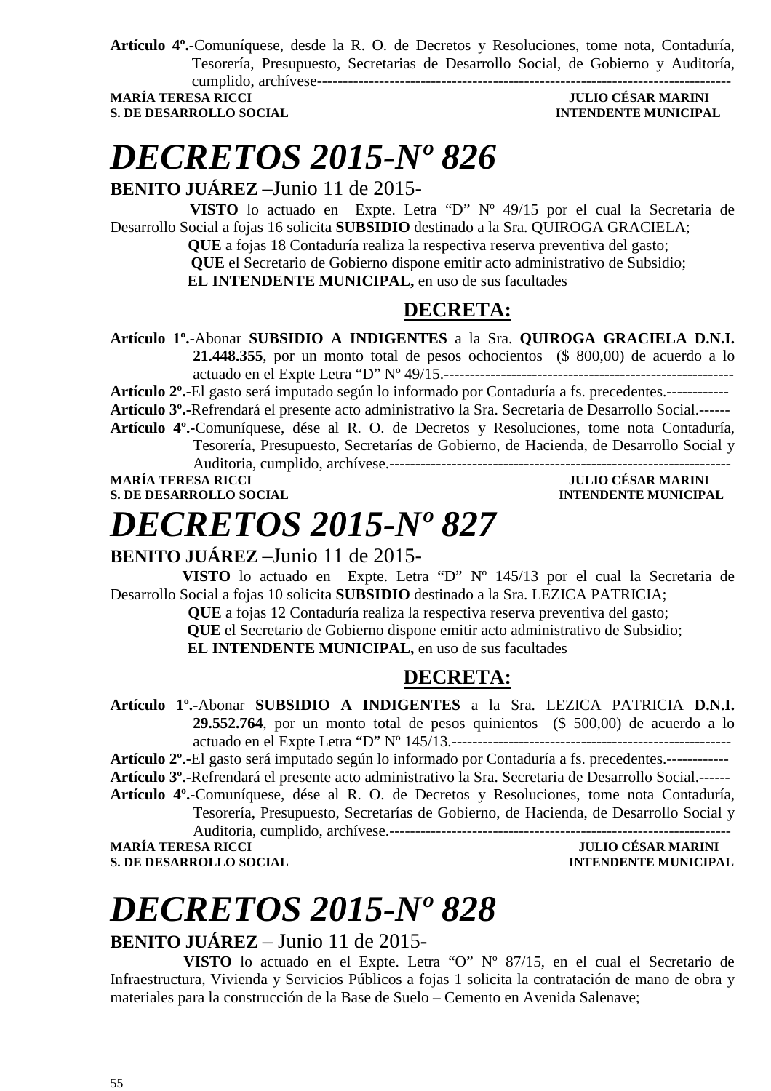**Artículo 4º.-**Comuníquese, desde la R. O. de Decretos y Resoluciones, tome nota, Contaduría, Tesorería, Presupuesto, Secretarias de Desarrollo Social, de Gobierno y Auditoría, cumplido, archívese--------------------------------------------------------------------------------

**MARÍA TERESA RICCI S. DE DESARROLLO SOCIAL DESARROLLO SOCIAL DESARROLLO SOCIAL DESARROLLO SOCIAL DESARROLLO SOCIAL DE LA PERIODICIPAL DE LA PERIODICIPAL DE LA PERIODICIPAL DE LA PERIODICIPAL DE LA PERIODICIPAL DE LA PERIODICIPAL DE LA PERIO** 

### *DECRETOS 2015-Nº 826*

**BENITO JUÁREZ** –Junio 11 de 2015-

 **VISTO** lo actuado en Expte. Letra "D" Nº 49/15 por el cual la Secretaria de Desarrollo Social a fojas 16 solicita **SUBSIDIO** destinado a la Sra. QUIROGA GRACIELA;

 **QUE** a fojas 18 Contaduría realiza la respectiva reserva preventiva del gasto;  **QUE** el Secretario de Gobierno dispone emitir acto administrativo de Subsidio;

 **EL INTENDENTE MUNICIPAL,** en uso de sus facultades

### **DECRETA:**

**Artículo 1º.-**Abonar **SUBSIDIO A INDIGENTES** a la Sra. **QUIROGA GRACIELA D.N.I. 21.448.355**, por un monto total de pesos ochocientos (\$ 800,00) de acuerdo a lo actuado en el Expte Letra "D" Nº 49/15.--------------------------------------------------------

**Artículo 2º.-**El gasto será imputado según lo informado por Contaduría a fs. precedentes.------------ **Artículo 3º.-**Refrendará el presente acto administrativo la Sra. Secretaria de Desarrollo Social.------

**Artículo 4º.-**Comuníquese, dése al R. O. de Decretos y Resoluciones, tome nota Contaduría, Tesorería, Presupuesto, Secretarías de Gobierno, de Hacienda, de Desarrollo Social y

Auditoria, cumplido, archívese.------------------------------------------------------------------

**MARÍA TERESA RICCI DE EN ENTRE EN ENTRE EN ENTRE EN ENTRE EN ENTRE EN ENTRE EN ENTRE EN ENTRE EN EN EN EN ENCI S. DE DESARROLLO SOCIAL DESARROLLO SOCIAL DE LA PERIODE DE LA PERIODE DE LA PERIODE DE LA PERIODE DE LA PERIODE DE LA PERIODE DE LA PERIODE DE LA PERIODE DE LA PERIODE DE LA PERIODE DE LA PERIODE DE LA PERIODE DE LA PERIO** 

# *DECRETOS 2015-Nº 827*

### **BENITO JUÁREZ** –Junio 11 de 2015-

 **VISTO** lo actuado en Expte. Letra "D" Nº 145/13 por el cual la Secretaria de Desarrollo Social a fojas 10 solicita **SUBSIDIO** destinado a la Sra. LEZICA PATRICIA;

 **QUE** a fojas 12 Contaduría realiza la respectiva reserva preventiva del gasto;

 **QUE** el Secretario de Gobierno dispone emitir acto administrativo de Subsidio;

 **EL INTENDENTE MUNICIPAL,** en uso de sus facultades

### **DECRETA:**

**Artículo 1º.-**Abonar **SUBSIDIO A INDIGENTES** a la Sra. LEZICA PATRICIA **D.N.I. 29.552.764**, por un monto total de pesos quinientos (\$ 500,00) de acuerdo a lo actuado en el Expte Letra "D" Nº 145/13.------------------------------------------------------

**Artículo 2º.-**El gasto será imputado según lo informado por Contaduría a fs. precedentes.------------ **Artículo 3º.-**Refrendará el presente acto administrativo la Sra. Secretaria de Desarrollo Social.------

**Artículo 4º.-**Comuníquese, dése al R. O. de Decretos y Resoluciones, tome nota Contaduría, Tesorería, Presupuesto, Secretarías de Gobierno, de Hacienda, de Desarrollo Social y

Auditoria, cumplido, archívese.------------------------------------------------------------------ **MARÍA TERESA RICCI JULIO CÉSAR MARINI** 

**S. DE DESARROLLO SOCIAL DESARROLLO SOCIAL DESARROLLO SOCIAL DESARROLLO SOCIAL DESARROLLO SOCIAL DE LA PERSONAL DE LA PERSONAL DE LA PERSONAL DE LA PERSONAL DE LA PERSONAL DE LA PERSONAL DE LA PERSONAL DE LA PERSONAL DE LA** 

# *DECRETOS 2015-Nº 828*

### **BENITO JUÁREZ** – Junio 11 de 2015-

**VISTO** lo actuado en el Expte. Letra "O" Nº 87/15, en el cual el Secretario de Infraestructura, Vivienda y Servicios Públicos a fojas 1 solicita la contratación de mano de obra y materiales para la construcción de la Base de Suelo – Cemento en Avenida Salenave;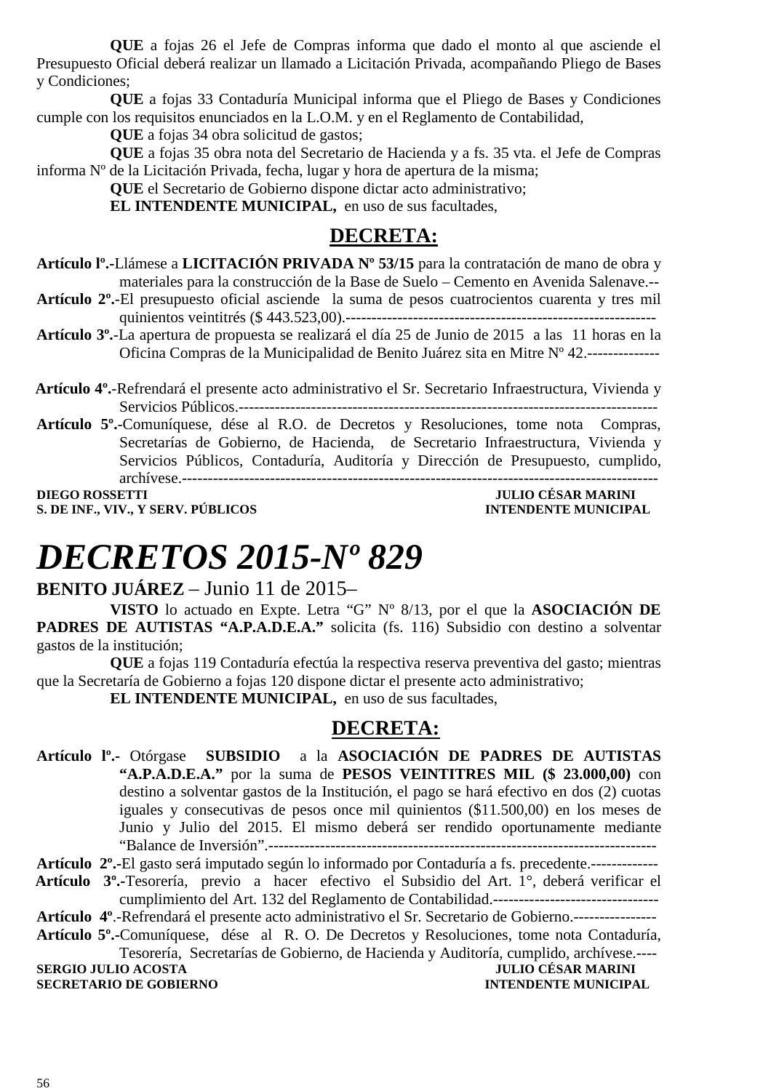**QUE** a fojas 26 el Jefe de Compras informa que dado el monto al que asciende el Presupuesto Oficial deberá realizar un llamado a Licitación Privada, acompañando Pliego de Bases y Condiciones;

**QUE** a fojas 33 Contaduría Municipal informa que el Pliego de Bases y Condiciones cumple con los requisitos enunciados en la L.O.M. y en el Reglamento de Contabilidad,

**QUE** a fojas 34 obra solicitud de gastos;

**QUE** a fojas 35 obra nota del Secretario de Hacienda y a fs. 35 vta. el Jefe de Compras informa Nº de la Licitación Privada, fecha, lugar y hora de apertura de la misma;

**QUE** el Secretario de Gobierno dispone dictar acto administrativo;

**EL INTENDENTE MUNICIPAL,** en uso de sus facultades,

### **DECRETA:**

- **Artículo lº.-**Llámese a **LICITACIÓN PRIVADA Nº 53/15** para la contratación de mano de obra y materiales para la construcción de la Base de Suelo – Cemento en Avenida Salenave.--
- **Artículo 2º.**-El presupuesto oficial asciende la suma de pesos cuatrocientos cuarenta y tres mil quinientos veintitrés (\$ 443.523,00).------------------------------------------------------------
- **Artículo 3º.**-La apertura de propuesta se realizará el día 25 de Junio de 2015 a las 11 horas en la Oficina Compras de la Municipalidad de Benito Juárez sita en Mitre Nº 42.--------------
- **Artículo 4º.**-Refrendará el presente acto administrativo el Sr. Secretario Infraestructura, Vivienda y Servicios Públicos.---------------------------------------------------------------------------------
- **Artículo 5º.**-Comuníquese, dése al R.O. de Decretos y Resoluciones, tome nota Compras, Secretarías de Gobierno, de Hacienda, de Secretario Infraestructura, Vivienda y Servicios Públicos, Contaduría, Auditoría y Dirección de Presupuesto, cumplido, archívese.--------------------------------------------------------------------------------------------

**DIEGO ROSSETTI JULIO CÉSAR MARINI S. DE INF., VIV., Y SERV. PÚBLICOS INTENDENTE MUNICIPAL** 

# *DECRETOS 2015-Nº 829*

#### **BENITO JUÁREZ** – Junio 11 de 2015–

**VISTO** lo actuado en Expte. Letra "G" Nº 8/13, por el que la **ASOCIACIÓN DE PADRES DE AUTISTAS "A.P.A.D.E.A."** solicita (fs. 116) Subsidio con destino a solventar gastos de la institución;

**QUE** a fojas 119 Contaduría efectúa la respectiva reserva preventiva del gasto; mientras que la Secretaría de Gobierno a fojas 120 dispone dictar el presente acto administrativo;

**EL INTENDENTE MUNICIPAL,** en uso de sus facultades,

#### **DECRETA:**

**Artículo lº.-** Otórgase **SUBSIDIO** a la **ASOCIACIÓN DE PADRES DE AUTISTAS "A.P.A.D.E.A."** por la suma de **PESOS VEINTITRES MIL (\$ 23.000,00)** con destino a solventar gastos de la Institución, el pago se hará efectivo en dos (2) cuotas iguales y consecutivas de pesos once mil quinientos (\$11.500,00) en los meses de Junio y Julio del 2015. El mismo deberá ser rendido oportunamente mediante "Balance de Inversión".---------------------------------------------------------------------------

**Artículo 2º.-**El gasto será imputado según lo informado por Contaduría a fs. precedente.-------------

 **Artículo 3º.-**Tesorería, previo a hacer efectivo el Subsidio del Art. 1°, deberá verificar el cumplimiento del Art. 132 del Reglamento de Contabilidad.--------------------------------

- **Artículo 4º**.-Refrendará el presente acto administrativo el Sr. Secretario de Gobierno.----------------
- **Artículo 5º.-**Comuníquese, dése al R. O. De Decretos y Resoluciones, tome nota Contaduría, Tesorería, Secretarías de Gobierno, de Hacienda y Auditoría, cumplido, archívese.----

**SECRETARIO DE GOBIERNO INTENDENTE MUNICIPAL** 

**SERGIO JULIO ACOSTA** JULIO CÉSAR MARINI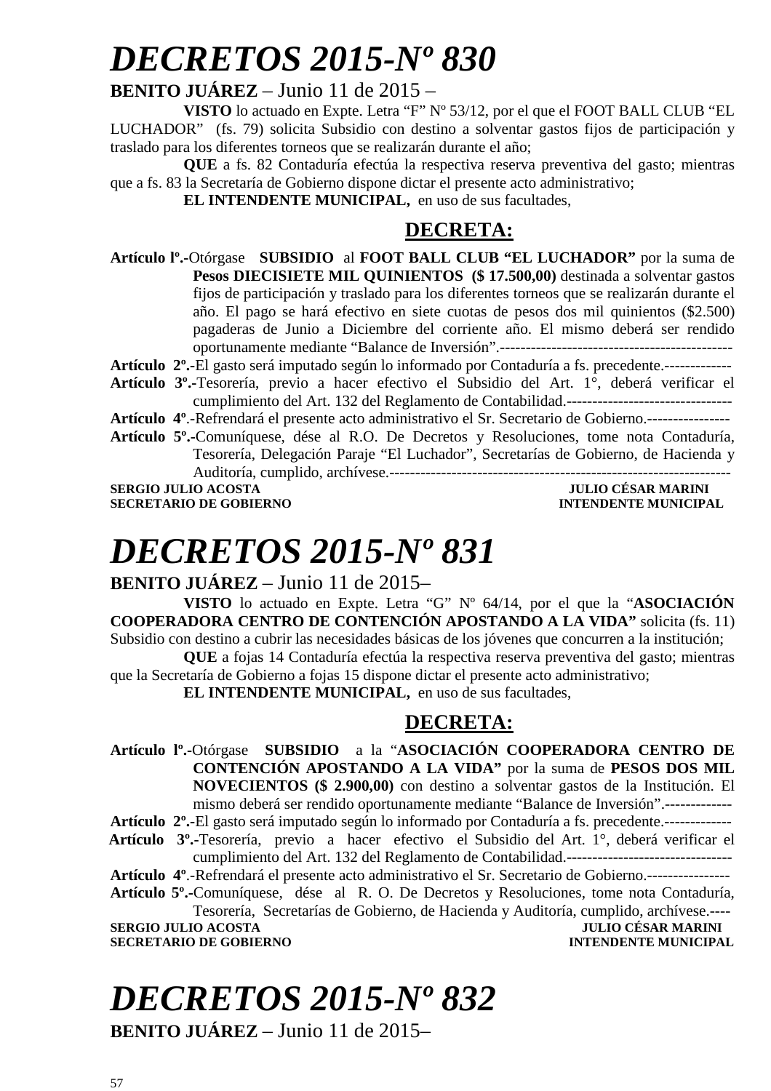# *DECRETOS 2015-Nº 830*

### **BENITO JUÁREZ** – Junio 11 de 2015 –

**VISTO** lo actuado en Expte. Letra "F" Nº 53/12, por el que el FOOT BALL CLUB "EL LUCHADOR" (fs. 79) solicita Subsidio con destino a solventar gastos fijos de participación y traslado para los diferentes torneos que se realizarán durante el año;

**QUE** a fs. 82 Contaduría efectúa la respectiva reserva preventiva del gasto; mientras que a fs. 83 la Secretaría de Gobierno dispone dictar el presente acto administrativo;

**EL INTENDENTE MUNICIPAL,** en uso de sus facultades,

### **DECRETA:**

**Artículo lº.-**Otórgase **SUBSIDIO** al **FOOT BALL CLUB "EL LUCHADOR"** por la suma de **Pesos DIECISIETE MIL QUINIENTOS (\$ 17.500,00)** destinada a solventar gastos fijos de participación y traslado para los diferentes torneos que se realizarán durante el año. El pago se hará efectivo en siete cuotas de pesos dos mil quinientos (\$2.500) pagaderas de Junio a Diciembre del corriente año. El mismo deberá ser rendido oportunamente mediante "Balance de Inversión".---------------------------------------------

**Artículo 2º.-**El gasto será imputado según lo informado por Contaduría a fs. precedente.-------------

**Artículo 3º.-**Tesorería, previo a hacer efectivo el Subsidio del Art. 1°, deberá verificar el cumplimiento del Art. 132 del Reglamento de Contabilidad.--------------------------------

**Artículo 4º**.-Refrendará el presente acto administrativo el Sr. Secretario de Gobierno.----------------

**Artículo 5º.-**Comuníquese, dése al R.O. De Decretos y Resoluciones, tome nota Contaduría, Tesorería, Delegación Paraje "El Luchador", Secretarías de Gobierno, de Hacienda y Auditoría, cumplido, archívese.------------------------------------------------------------------

**SECRETARIO DE GOBIERNO** 

**SERGIO JULIO ACOSTA JULIO CÉSAR MARINI AUNTENTE DE CONVERTE DE L'AUNE DE CONVERTE DE L'AUNE DE CONVERTE DE L'A<br>AUNTENTE DE L'AUNE DE CONVERTE DE L'AUNE DE L'AUNE DE L'AUNE DE L'AUNE DE L'AUNE DE L'AUNE DE L'AUNE DE L'AUNE** 

# *DECRETOS 2015-Nº 831*

**BENITO JUÁREZ** – Junio 11 de 2015–

**VISTO** lo actuado en Expte. Letra "G" Nº 64/14, por el que la "**ASOCIACIÓN COOPERADORA CENTRO DE CONTENCIÓN APOSTANDO A LA VIDA"** solicita (fs. 11) Subsidio con destino a cubrir las necesidades básicas de los jóvenes que concurren a la institución;

**QUE** a fojas 14 Contaduría efectúa la respectiva reserva preventiva del gasto; mientras que la Secretaría de Gobierno a fojas 15 dispone dictar el presente acto administrativo;

**EL INTENDENTE MUNICIPAL,** en uso de sus facultades,

### **DECRETA:**

**Artículo lº.-**Otórgase **SUBSIDIO** a la "**ASOCIACIÓN COOPERADORA CENTRO DE CONTENCIÓN APOSTANDO A LA VIDA"** por la suma de **PESOS DOS MIL NOVECIENTOS (\$ 2.900,00)** con destino a solventar gastos de la Institución. El mismo deberá ser rendido oportunamente mediante "Balance de Inversión".------------- **Artículo 2º.-**El gasto será imputado según lo informado por Contaduría a fs. precedente.-------------  **Artículo 3º.-**Tesorería, previo a hacer efectivo el Subsidio del Art. 1°, deberá verificar el cumplimiento del Art. 132 del Reglamento de Contabilidad.--------------------------------

**Artículo 4º**.-Refrendará el presente acto administrativo el Sr. Secretario de Gobierno.----------------

**Artículo 5º.-**Comuníquese, dése al R. O. De Decretos y Resoluciones, tome nota Contaduría,

Tesorería, Secretarías de Gobierno, de Hacienda y Auditoría, cumplido, archívese.---- **SULIO CÉSAR MARINI<br>INTENDENTE MUNICIPAL** 

**SECRETARIO DE GOBIERNO** 

# *DECRETOS 2015-Nº 832*

**BENITO JUÁREZ** – Junio 11 de 2015–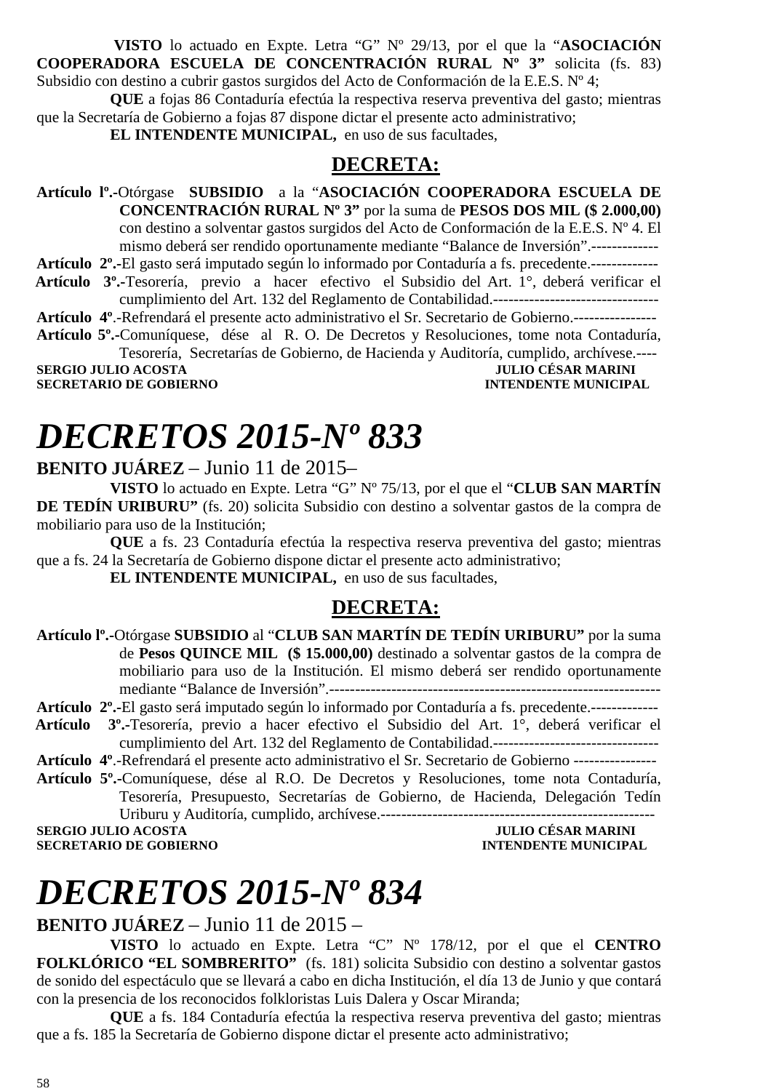**VISTO** lo actuado en Expte. Letra "G" Nº 29/13, por el que la "**ASOCIACIÓN COOPERADORA ESCUELA DE CONCENTRACIÓN RURAL Nº 3"** solicita (fs. 83) Subsidio con destino a cubrir gastos surgidos del Acto de Conformación de la E.E.S. Nº 4;

**QUE** a fojas 86 Contaduría efectúa la respectiva reserva preventiva del gasto; mientras que la Secretaría de Gobierno a fojas 87 dispone dictar el presente acto administrativo;

**EL INTENDENTE MUNICIPAL,** en uso de sus facultades,

#### **DECRETA:**

**Artículo lº.-**Otórgase **SUBSIDIO** a la "**ASOCIACIÓN COOPERADORA ESCUELA DE CONCENTRACIÓN RURAL Nº 3"** por la suma de **PESOS DOS MIL (\$ 2.000,00)**  con destino a solventar gastos surgidos del Acto de Conformación de la E.E.S. Nº 4. El mismo deberá ser rendido oportunamente mediante "Balance de Inversión".-------------

**Artículo 2º.-**El gasto será imputado según lo informado por Contaduría a fs. precedente.-------------

 **Artículo 3º.-**Tesorería, previo a hacer efectivo el Subsidio del Art. 1°, deberá verificar el cumplimiento del Art. 132 del Reglamento de Contabilidad.--------------------------------

**Artículo 4º**.-Refrendará el presente acto administrativo el Sr. Secretario de Gobierno.----------------

**Artículo 5º.-**Comuníquese, dése al R. O. De Decretos y Resoluciones, tome nota Contaduría, Tesorería, Secretarías de Gobierno, de Hacienda y Auditoría, cumplido, archívese.----

**SERGIO JULIO ACOSTA** 

**SECRETARIO DE GOBIERNO INTENDENTE MUNICIPAL** 

# *DECRETOS 2015-Nº 833*

**BENITO JUÁREZ** – Junio 11 de 2015–

**VISTO** lo actuado en Expte. Letra "G" Nº 75/13, por el que el "**CLUB SAN MARTÍN DE TEDÍN URIBURU"** (fs. 20) solicita Subsidio con destino a solventar gastos de la compra de mobiliario para uso de la Institución;

**QUE** a fs. 23 Contaduría efectúa la respectiva reserva preventiva del gasto; mientras que a fs. 24 la Secretaría de Gobierno dispone dictar el presente acto administrativo;

**EL INTENDENTE MUNICIPAL,** en uso de sus facultades,

### **DECRETA:**

**Artículo lº.-**Otórgase **SUBSIDIO** al "**CLUB SAN MARTÍN DE TEDÍN URIBURU"** por la suma de **Pesos QUINCE MIL (\$ 15.000,00)** destinado a solventar gastos de la compra de mobiliario para uso de la Institución. El mismo deberá ser rendido oportunamente mediante "Balance de Inversión".----------------------------------------------------------------

**Artículo 2º.-**El gasto será imputado según lo informado por Contaduría a fs. precedente.-------------

- **Artículo 3º.-**Tesorería, previo a hacer efectivo el Subsidio del Art. 1°, deberá verificar el cumplimiento del Art. 132 del Reglamento de Contabilidad.--------------------------------
- **Artículo 4º**.-Refrendará el presente acto administrativo el Sr. Secretario de Gobierno ----------------
- **Artículo 5º.-**Comuníquese, dése al R.O. De Decretos y Resoluciones, tome nota Contaduría, Tesorería, Presupuesto, Secretarías de Gobierno, de Hacienda, Delegación Tedín Uriburu y Auditoría, cumplido, archívese.-----------------------------------------------------

**SERGIO JULIO ACOSTA JULIO CÉSAR MARINI INTENDENTE MUNICIPAL** 

# *DECRETOS 2015-Nº 834*

**BENITO JUÁREZ** – Junio 11 de 2015 –

**VISTO** lo actuado en Expte. Letra "C" Nº 178/12, por el que el **CENTRO FOLKLÓRICO "EL SOMBRERITO"** (fs. 181) solicita Subsidio con destino a solventar gastos de sonido del espectáculo que se llevará a cabo en dicha Institución, el día 13 de Junio y que contará con la presencia de los reconocidos folkloristas Luis Dalera y Oscar Miranda;

**QUE** a fs. 184 Contaduría efectúa la respectiva reserva preventiva del gasto; mientras que a fs. 185 la Secretaría de Gobierno dispone dictar el presente acto administrativo;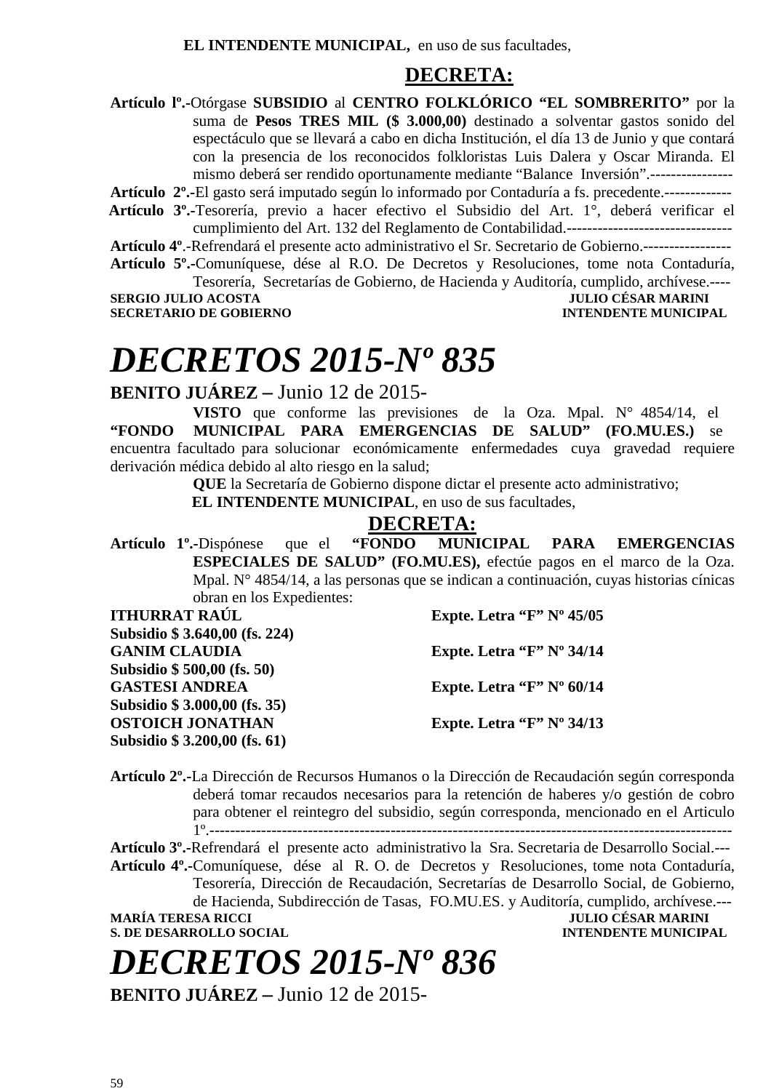**EL INTENDENTE MUNICIPAL,** en uso de sus facultades,

#### **DECRETA:**

**Artículo lº.-**Otórgase **SUBSIDIO** al **CENTRO FOLKLÓRICO "EL SOMBRERITO"** por la suma de **Pesos TRES MIL (\$ 3.000,00)** destinado a solventar gastos sonido del espectáculo que se llevará a cabo en dicha Institución, el día 13 de Junio y que contará con la presencia de los reconocidos folkloristas Luis Dalera y Oscar Miranda. El mismo deberá ser rendido oportunamente mediante "Balance Inversión".----------------

**Artículo 2º.-**El gasto será imputado según lo informado por Contaduría a fs. precedente.-------------

 **Artículo 3º.-**Tesorería, previo a hacer efectivo el Subsidio del Art. 1°, deberá verificar el cumplimiento del Art. 132 del Reglamento de Contabilidad.--------------------------------

**Artículo 4º**.-Refrendará el presente acto administrativo el Sr. Secretario de Gobierno.-----------------

**Artículo 5º.-**Comuníquese, dése al R.O. De Decretos y Resoluciones, tome nota Contaduría, Tesorería, Secretarías de Gobierno, de Hacienda y Auditoría, cumplido, archívese.----

**SECRETARIO DE GOBIERNO INTENDENTE MUNICIPAL** 

## **JULIO CÉSAR MARINI**

## *DECRETOS 2015-Nº 835*

**BENITO JUÁREZ –** Junio 12 de 2015-

**VISTO** que conforme las previsiones de la Oza. Mpal. N° 4854/14, el **"FONDO MUNICIPAL PARA EMERGENCIAS DE SALUD" (FO.MU.ES.)** se encuentra facultado para solucionar económicamente enfermedades cuya gravedad requiere derivación médica debido al alto riesgo en la salud;

**QUE** la Secretaría de Gobierno dispone dictar el presente acto administrativo;

**EL INTENDENTE MUNICIPAL**, en uso de sus facultades,

#### **DECRETA:**

**Artículo 1º.-**Dispónese que el **"FONDO MUNICIPAL PARA EMERGENCIAS ESPECIALES DE SALUD" (FO.MU.ES),** efectúe pagos en el marco de la Oza. Mpal. N° 4854/14, a las personas que se indican a continuación, cuyas historias cínicas obran en los Expedientes:

**ITHURRAT RAÚL Expte. Letra "F" Nº 45/05 Subsidio \$ 3.640,00 (fs. 224) GANIM CLAUDIA Expte. Letra "F" Nº 34/14 Subsidio \$ 500,00 (fs. 50)**  GASTESI ANDREA Expte. Letra "F" Nº 60/14 **Subsidio \$ 3.000,00 (fs. 35) OSTOICH JONATHAN Expte. Letra "F" Nº 34/13 Subsidio \$ 3.200,00 (fs. 61)** 

**Artículo 2º.-**La Dirección de Recursos Humanos o la Dirección de Recaudación según corresponda deberá tomar recaudos necesarios para la retención de haberes y/o gestión de cobro para obtener el reintegro del subsidio, según corresponda, mencionado en el Articulo

1º.-----------------------------------------------------------------------------------------------------

**Artículo 3º.-**Refrendará el presente acto administrativo la Sra. Secretaria de Desarrollo Social.--- **Artículo 4º.-**Comuníquese, dése al R. O. de Decretos y Resoluciones, tome nota Contaduría, Tesorería, Dirección de Recaudación, Secretarías de Desarrollo Social, de Gobierno, de Hacienda, Subdirección de Tasas, FO.MU.ES. y Auditoría, cumplido, archívese.--- **MARÍA TERESA RICCI JULIO CÉSAR MARINI** 

**S. DE DESARROLLO SOCIAL** 

# *DECRETOS 2015-Nº 836*

**BENITO JUÁREZ –** Junio 12 de 2015-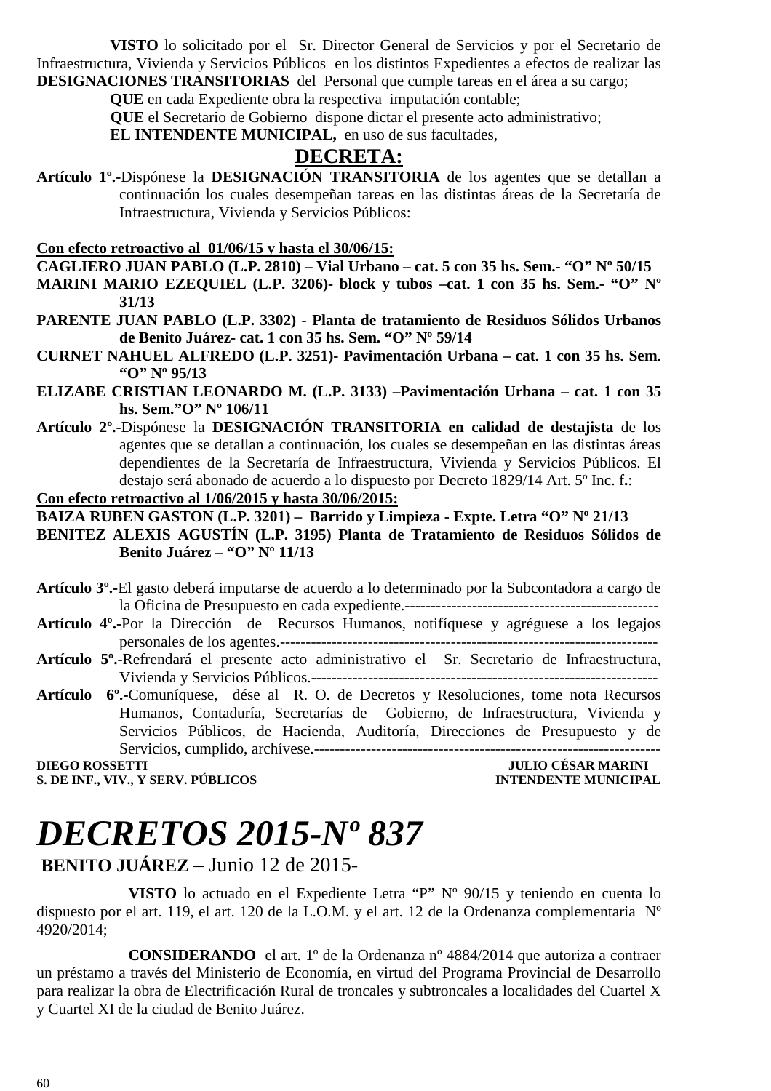**VISTO** lo solicitado por el Sr. Director General de Servicios y por el Secretario de Infraestructura, Vivienda y Servicios Públicos en los distintos Expedientes a efectos de realizar las **DESIGNACIONES TRANSITORIAS** del Personal que cumple tareas en el área a su cargo;

**QUE** en cada Expediente obra la respectiva imputación contable;

 **QUE** el Secretario de Gobierno dispone dictar el presente acto administrativo;

**EL INTENDENTE MUNICIPAL,** en uso de sus facultades,

### **DECRETA:**

**Artículo 1º.-**Dispónese la **DESIGNACIÓN TRANSITORIA** de los agentes que se detallan a continuación los cuales desempeñan tareas en las distintas áreas de la Secretaría de Infraestructura, Vivienda y Servicios Públicos:

**Con efecto retroactivo al 01/06/15 y hasta el 30/06/15:**

- **CAGLIERO JUAN PABLO (L.P. 2810) Vial Urbano cat. 5 con 35 hs. Sem.- "O" Nº 50/15 MARINI MARIO EZEQUIEL (L.P. 3206)- block y tubos –cat. 1 con 35 hs. Sem.- "O" Nº 31/13**
- **PARENTE JUAN PABLO (L.P. 3302) Planta de tratamiento de Residuos Sólidos Urbanos de Benito Juárez- cat. 1 con 35 hs. Sem. "O" Nº 59/14**
- **CURNET NAHUEL ALFREDO (L.P. 3251)- Pavimentación Urbana cat. 1 con 35 hs. Sem. "O" Nº 95/13**
- **ELIZABE CRISTIAN LEONARDO M. (L.P. 3133) –Pavimentación Urbana cat. 1 con 35 hs. Sem."O" Nº 106/11**
- **Artículo 2º.-**Dispónese la **DESIGNACIÓN TRANSITORIA en calidad de destajista** de los agentes que se detallan a continuación, los cuales se desempeñan en las distintas áreas dependientes de la Secretaría de Infraestructura, Vivienda y Servicios Públicos. El destajo será abonado de acuerdo a lo dispuesto por Decreto 1829/14 Art. 5º Inc. f**.**:

#### **Con efecto retroactivo al 1/06/2015 y hasta 30/06/2015:**

**BAIZA RUBEN GASTON (L.P. 3201) – Barrido y Limpieza - Expte. Letra "O" Nº 21/13** 

**BENITEZ ALEXIS AGUSTÍN (L.P. 3195) Planta de Tratamiento de Residuos Sólidos de Benito Juárez – "O" Nº 11/13** 

**Artículo 3º.-**El gasto deberá imputarse de acuerdo a lo determinado por la Subcontadora a cargo de la Oficina de Presupuesto en cada expediente.-------------------------------------------------

- **Artículo 4º.-**Por la Dirección de Recursos Humanos, notifíquese y agréguese a los legajos personales de los agentes.-------------------------------------------------------------------------
- **Artículo 5º.-**Refrendará el presente acto administrativo el Sr. Secretario de Infraestructura, Vivienda y Servicios Públicos.-------------------------------------------------------------------
- **Artículo 6º.-**Comuníquese, dése al R. O. de Decretos y Resoluciones, tome nota Recursos Humanos, Contaduría, Secretarías de Gobierno, de Infraestructura, Vivienda y Servicios Públicos, de Hacienda, Auditoría, Direcciones de Presupuesto y de Servicios, cumplido, archívese.-------------------------------------------------------------------

**S. DE INF., VIV., Y SERV. PÚBLICOS INTENDENTE MUNICIPAL** 

### **DIEGO ROSSETTI JULIO CÉSAR MARINI**

# *DECRETOS 2015-Nº 837*

### **BENITO JUÁREZ** – Junio 12 de 2015-

 **VISTO** lo actuado en el Expediente Letra "P" Nº 90/15 y teniendo en cuenta lo dispuesto por el art. 119, el art. 120 de la L.O.M. y el art. 12 de la Ordenanza complementaria Nº 4920/2014;

 **CONSIDERANDO** el art. 1º de la Ordenanza nº 4884/2014 que autoriza a contraer un préstamo a través del Ministerio de Economía, en virtud del Programa Provincial de Desarrollo para realizar la obra de Electrificación Rural de troncales y subtroncales a localidades del Cuartel X y Cuartel XI de la ciudad de Benito Juárez.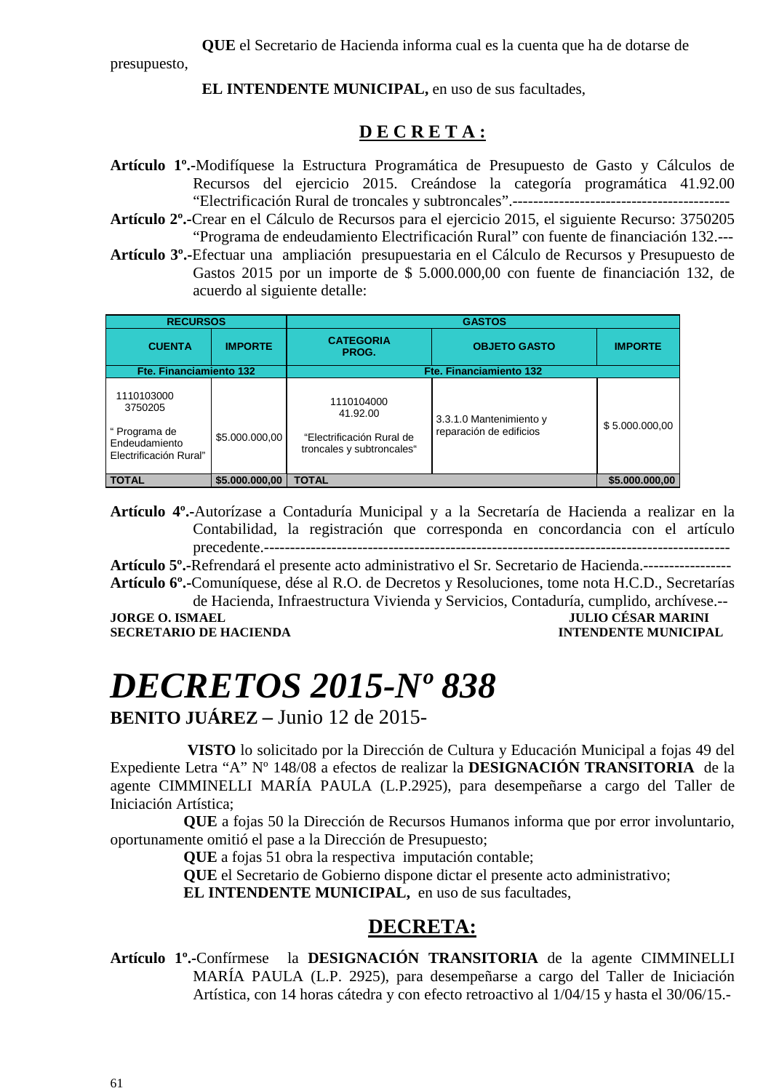**QUE** el Secretario de Hacienda informa cual es la cuenta que ha de dotarse de

presupuesto,

**EL INTENDENTE MUNICIPAL,** en uso de sus facultades,

#### **D E C R E T A :**

- **Artículo 1º.-**Modifíquese la Estructura Programática de Presupuesto de Gasto y Cálculos de Recursos del ejercicio 2015. Creándose la categoría programática 41.92.00 "Electrificación Rural de troncales y subtroncales".------------------------------------------
- **Artículo 2º.-**Crear en el Cálculo de Recursos para el ejercicio 2015, el siguiente Recurso: 3750205 "Programa de endeudamiento Electrificación Rural" con fuente de financiación 132.---
- **Artículo 3º.-**Efectuar una ampliación presupuestaria en el Cálculo de Recursos y Presupuesto de Gastos 2015 por un importe de \$ 5.000.000,00 con fuente de financiación 132, de acuerdo al siguiente detalle:

| <b>RECURSOS</b>                                                                   |                |                                                                                  | <b>GASTOS</b>                                      |                |
|-----------------------------------------------------------------------------------|----------------|----------------------------------------------------------------------------------|----------------------------------------------------|----------------|
| <b>CUENTA</b>                                                                     | <b>IMPORTE</b> | <b>CATEGORIA</b><br>PROG.                                                        | <b>OBJETO GASTO</b>                                | <b>IMPORTE</b> |
| Fte. Financiamiento 132                                                           |                |                                                                                  | Fte. Financiamiento 132                            |                |
| 1110103000<br>3750205<br>" Programa de<br>Endeudamiento<br>Electrificación Rural" | \$5.000.000,00 | 1110104000<br>41.92.00<br>"Electrificación Rural de<br>troncales y subtroncales" | 3.3.1.0 Mantenimiento y<br>reparación de edificios | \$5.000.000,00 |
| <b>TOTAL</b>                                                                      | \$5.000.000,00 | <b>TOTAL</b>                                                                     |                                                    | \$5.000.000,00 |

**Artículo 4º.-**Autorízase a Contaduría Municipal y a la Secretaría de Hacienda a realizar en la Contabilidad, la registración que corresponda en concordancia con el artículo precedente.------------------------------------------------------------------------------------------

**Artículo 5º.-**Refrendará el presente acto administrativo el Sr. Secretario de Hacienda.----------------- **Artículo 6º.-**Comuníquese, dése al R.O. de Decretos y Resoluciones, tome nota H.C.D., Secretarías

de Hacienda, Infraestructura Vivienda y Servicios, Contaduría, cumplido, archívese.-- **JULIO CÉSAR MARINI** 

**SECRETARIO DE HACIENDA INTENDENTE MUNICIPAL** 

# *DECRETOS 2015-Nº 838*

**BENITO JUÁREZ –** Junio 12 de 2015-

 **VISTO** lo solicitado por la Dirección de Cultura y Educación Municipal a fojas 49 del Expediente Letra "A" Nº 148/08 a efectos de realizar la **DESIGNACIÓN TRANSITORIA** de la agente CIMMINELLI MARÍA PAULA (L.P.2925), para desempeñarse a cargo del Taller de Iniciación Artística;

**QUE** a fojas 50 la Dirección de Recursos Humanos informa que por error involuntario, oportunamente omitió el pase a la Dirección de Presupuesto;

**QUE** a fojas 51 obra la respectiva imputación contable;

**QUE** el Secretario de Gobierno dispone dictar el presente acto administrativo;

**EL INTENDENTE MUNICIPAL,** en uso de sus facultades,

### **DECRETA:**

**Artículo 1º.-**Confírmese la **DESIGNACIÓN TRANSITORIA** de la agente CIMMINELLI MARÍA PAULA (L.P. 2925), para desempeñarse a cargo del Taller de Iniciación Artística, con 14 horas cátedra y con efecto retroactivo al 1/04/15 y hasta el 30/06/15.-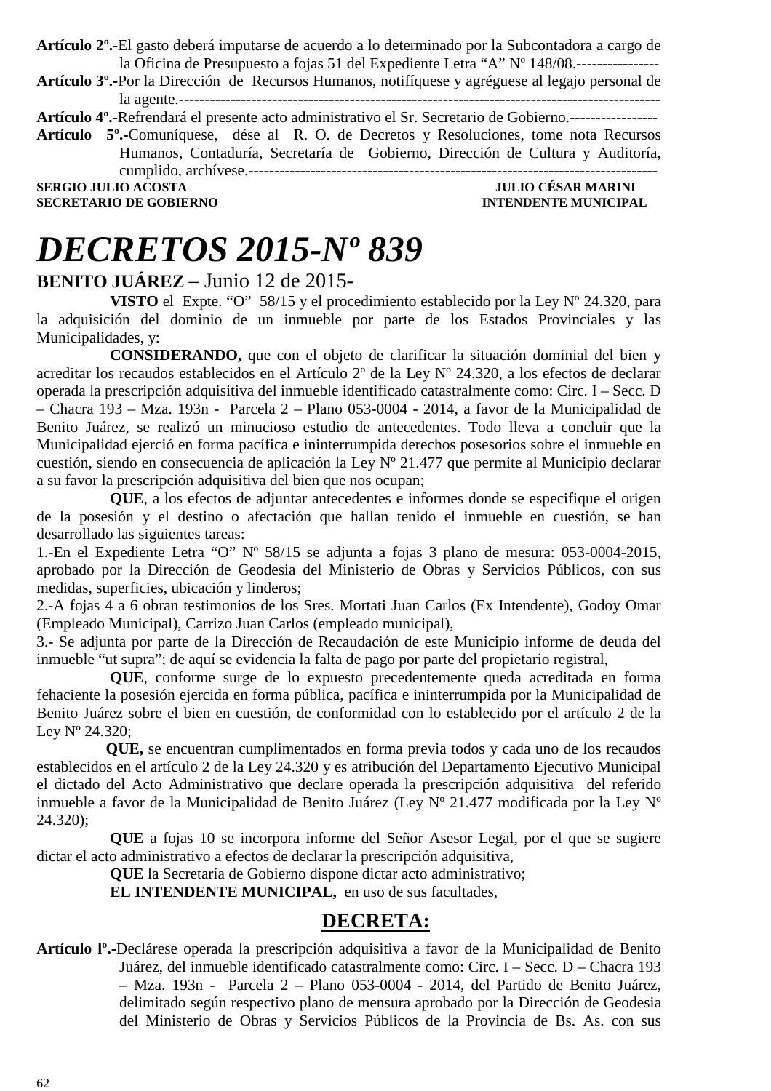**Artículo 2º.-**El gasto deberá imputarse de acuerdo a lo determinado por la Subcontadora a cargo de la Oficina de Presupuesto a fojas 51 del Expediente Letra "A" Nº 148/08.----------------

**Artículo 3º.-**Por la Dirección de Recursos Humanos, notifíquese y agréguese al legajo personal de la agente.---------------------------------------------------------------------------------------------

**Artículo 4º.-**Refrendará el presente acto administrativo el Sr. Secretario de Gobierno.-----------------

**Artículo 5º.-**Comuníquese, dése al R. O. de Decretos y Resoluciones, tome nota Recursos Humanos, Contaduría, Secretaría de Gobierno, Dirección de Cultura y Auditoría, cumplido, archívese.-------------------------------------------------------------------------------

**SERGIO JULIO ACOSTA JULIO CÉSAR MARINI** 

# *DECRETOS 2015-Nº 839*

#### **BENITO JUÁREZ** – Junio 12 de 2015-

**VISTO** el Expte. "O" 58/15 y el procedimiento establecido por la Ley Nº 24.320, para la adquisición del dominio de un inmueble por parte de los Estados Provinciales y las Municipalidades, y:

**CONSIDERANDO,** que con el objeto de clarificar la situación dominial del bien y acreditar los recaudos establecidos en el Artículo 2º de la Ley Nº 24.320, a los efectos de declarar operada la prescripción adquisitiva del inmueble identificado catastralmente como: Circ. I – Secc. D – Chacra 193 – Mza. 193n - Parcela 2 – Plano 053-0004 - 2014, a favor de la Municipalidad de Benito Juárez, se realizó un minucioso estudio de antecedentes. Todo lleva a concluir que la Municipalidad ejerció en forma pacífica e ininterrumpida derechos posesorios sobre el inmueble en cuestión, siendo en consecuencia de aplicación la Ley Nº 21.477 que permite al Municipio declarar a su favor la prescripción adquisitiva del bien que nos ocupan;

**QUE**, a los efectos de adjuntar antecedentes e informes donde se especifique el origen de la posesión y el destino o afectación que hallan tenido el inmueble en cuestión, se han desarrollado las siguientes tareas:

1.-En el Expediente Letra "O" Nº 58/15 se adjunta a fojas 3 plano de mesura: 053-0004-2015, aprobado por la Dirección de Geodesia del Ministerio de Obras y Servicios Públicos, con sus medidas, superficies, ubicación y linderos;

2.-A fojas 4 a 6 obran testimonios de los Sres. Mortati Juan Carlos (Ex Intendente), Godoy Omar (Empleado Municipal), Carrizo Juan Carlos (empleado municipal),

3.- Se adjunta por parte de la Dirección de Recaudación de este Municipio informe de deuda del inmueble "ut supra"; de aquí se evidencia la falta de pago por parte del propietario registral,

**QUE**, conforme surge de lo expuesto precedentemente queda acreditada en forma fehaciente la posesión ejercida en forma pública, pacífica e ininterrumpida por la Municipalidad de Benito Juárez sobre el bien en cuestión, de conformidad con lo establecido por el artículo 2 de la Ley Nº 24.320;

 **QUE,** se encuentran cumplimentados en forma previa todos y cada uno de los recaudos establecidos en el artículo 2 de la Ley 24.320 y es atribución del Departamento Ejecutivo Municipal el dictado del Acto Administrativo que declare operada la prescripción adquisitiva del referido inmueble a favor de la Municipalidad de Benito Juárez (Ley Nº 21.477 modificada por la Ley Nº 24.320);

**QUE** a fojas 10 se incorpora informe del Señor Asesor Legal, por el que se sugiere dictar el acto administrativo a efectos de declarar la prescripción adquisitiva,

**QUE** la Secretaría de Gobierno dispone dictar acto administrativo;

**EL INTENDENTE MUNICIPAL,** en uso de sus facultades,

#### **DECRETA:**

**Artículo lº.-**Declárese operada la prescripción adquisitiva a favor de la Municipalidad de Benito Juárez, del inmueble identificado catastralmente como: Circ. I – Secc. D – Chacra 193 – Mza. 193n - Parcela 2 – Plano 053-0004 - 2014, del Partido de Benito Juárez, delimitado según respectivo plano de mensura aprobado por la Dirección de Geodesia del Ministerio de Obras y Servicios Públicos de la Provincia de Bs. As. con sus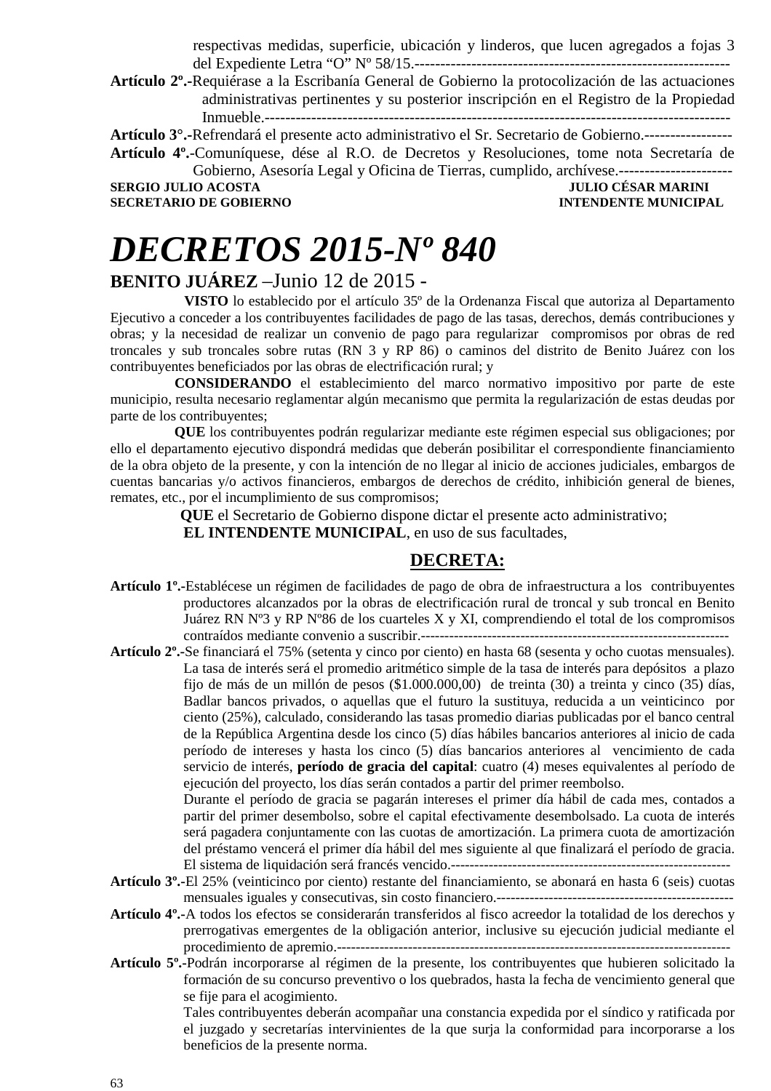respectivas medidas, superficie, ubicación y linderos, que lucen agregados a fojas 3 del Expediente Letra "O" Nº 58/15.-------------------------------------------------------------

**Artículo 2º.-**Requiérase a la Escribanía General de Gobierno la protocolización de las actuaciones administrativas pertinentes y su posterior inscripción en el Registro de la Propiedad Inmueble.------------------------------------------------------------------------------------------

**Artículo 3°.-**Refrendará el presente acto administrativo el Sr. Secretario de Gobierno.----------------- **Artículo 4º.**-Comuníquese, dése al R.O. de Decretos y Resoluciones, tome nota Secretaría de

Gobierno, Asesoría Legal y Oficina de Tierras, cumplido, archívese.---------------------- **SECRETARIO DE GOBIERNO** 

**SULIO CÉSAR MARINI<br>INTENDENTE MUNICIPAL** 

# *DECRETOS 2015-Nº 840*

### **BENITO JUÁREZ** –Junio 12 de 2015 -

 **VISTO** lo establecido por el artículo 35º de la Ordenanza Fiscal que autoriza al Departamento Ejecutivo a conceder a los contribuyentes facilidades de pago de las tasas, derechos, demás contribuciones y obras; y la necesidad de realizar un convenio de pago para regularizar compromisos por obras de red troncales y sub troncales sobre rutas (RN 3 y RP 86) o caminos del distrito de Benito Juárez con los contribuyentes beneficiados por las obras de electrificación rural; y

 **CONSIDERANDO** el establecimiento del marco normativo impositivo por parte de este municipio, resulta necesario reglamentar algún mecanismo que permita la regularización de estas deudas por parte de los contribuyentes;

 **QUE** los contribuyentes podrán regularizar mediante este régimen especial sus obligaciones; por ello el departamento ejecutivo dispondrá medidas que deberán posibilitar el correspondiente financiamiento de la obra objeto de la presente, y con la intención de no llegar al inicio de acciones judiciales, embargos de cuentas bancarias y/o activos financieros, embargos de derechos de crédito, inhibición general de bienes, remates, etc., por el incumplimiento de sus compromisos;

**QUE** el Secretario de Gobierno dispone dictar el presente acto administrativo;

**EL INTENDENTE MUNICIPAL**, en uso de sus facultades,

#### **DECRETA:**

- **Artículo 1º.-**Establécese un régimen de facilidades de pago de obra de infraestructura a los contribuyentes productores alcanzados por la obras de electrificación rural de troncal y sub troncal en Benito Juárez RN Nº3 y RP Nº86 de los cuarteles X y XI, comprendiendo el total de los compromisos contraídos mediante convenio a suscribir.-----------------------------------------------------------------
- **Artículo 2º.-**Se financiará el 75% (setenta y cinco por ciento) en hasta 68 (sesenta y ocho cuotas mensuales). La tasa de interés será el promedio aritmético simple de la tasa de interés para depósitos a plazo fijo de más de un millón de pesos (\$1.000.000,00) de treinta (30) a treinta y cinco (35) días, Badlar bancos privados, o aquellas que el futuro la sustituya, reducida a un veinticinco por ciento (25%), calculado, considerando las tasas promedio diarias publicadas por el banco central de la República Argentina desde los cinco (5) días hábiles bancarios anteriores al inicio de cada período de intereses y hasta los cinco (5) días bancarios anteriores al vencimiento de cada servicio de interés, **período de gracia del capital**: cuatro (4) meses equivalentes al período de ejecución del proyecto, los días serán contados a partir del primer reembolso. Durante el período de gracia se pagarán intereses el primer día hábil de cada mes, contados a

partir del primer desembolso, sobre el capital efectivamente desembolsado. La cuota de interés será pagadera conjuntamente con las cuotas de amortización. La primera cuota de amortización del préstamo vencerá el primer día hábil del mes siguiente al que finalizará el período de gracia. El sistema de liquidación será francés vencido.-----------------------------------------------------------

- **Artículo 3º.-**El 25% (veinticinco por ciento) restante del financiamiento, se abonará en hasta 6 (seis) cuotas mensuales iguales y consecutivas, sin costo financiero.--------------------------------------------------
- **Artículo 4º.-**A todos los efectos se considerarán transferidos al fisco acreedor la totalidad de los derechos y prerrogativas emergentes de la obligación anterior, inclusive su ejecución judicial mediante el procedimiento de apremio.-----------------------------------------------------------------------------------
- **Artículo 5º.-**Podrán incorporarse al régimen de la presente, los contribuyentes que hubieren solicitado la formación de su concurso preventivo o los quebrados, hasta la fecha de vencimiento general que se fije para el acogimiento.

Tales contribuyentes deberán acompañar una constancia expedida por el síndico y ratificada por el juzgado y secretarías intervinientes de la que surja la conformidad para incorporarse a los beneficios de la presente norma.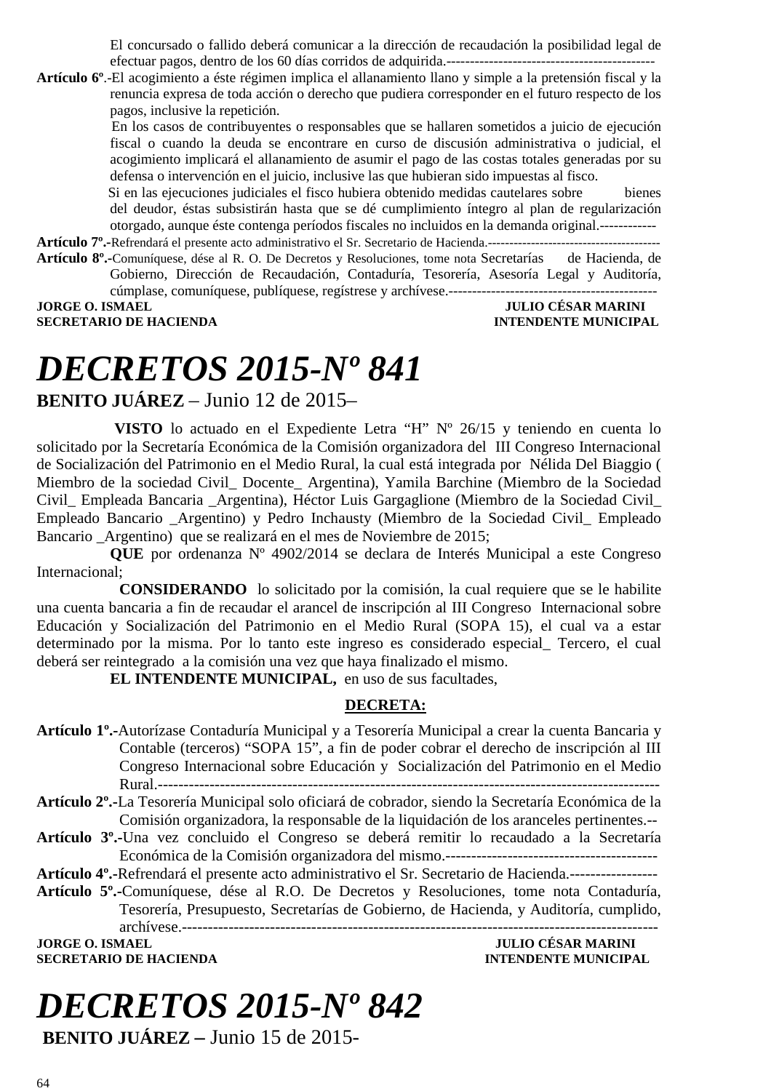El concursado o fallido deberá comunicar a la dirección de recaudación la posibilidad legal de efectuar pagos, dentro de los 60 días corridos de adquirida.--------------------------------------------

**Artículo 6º**.-El acogimiento a éste régimen implica el allanamiento llano y simple a la pretensión fiscal y la renuncia expresa de toda acción o derecho que pudiera corresponder en el futuro respecto de los pagos, inclusive la repetición.

 En los casos de contribuyentes o responsables que se hallaren sometidos a juicio de ejecución fiscal o cuando la deuda se encontrare en curso de discusión administrativa o judicial, el acogimiento implicará el allanamiento de asumir el pago de las costas totales generadas por su defensa o intervención en el juicio, inclusive las que hubieran sido impuestas al fisco.

 Si en las ejecuciones judiciales el fisco hubiera obtenido medidas cautelares sobre bienes del deudor, éstas subsistirán hasta que se dé cumplimiento íntegro al plan de regularización otorgado, aunque éste contenga períodos fiscales no incluidos en la demanda original.------------

**Artículo 7º.-**Refrendará el presente acto administrativo el Sr. Secretario de Hacienda.---------------------------------------- **Artículo 8º.-**Comuníquese, dése al R. O. De Decretos y Resoluciones, tome nota Secretarías de Hacienda, de Gobierno, Dirección de Recaudación, Contaduría, Tesorería, Asesoría Legal y Auditoría,

cúmplase, comuníquese, publíquese, regístrese y archívese.--------------------------------------------

**SECRETARIO DE HACIENDA** 

**JULIO CÉSAR MARINI<br>INTENDENTE MUNICIPAL** 

# *DECRETOS 2015-Nº 841*

**BENITO JUÁREZ** – Junio 12 de 2015–

 **VISTO** lo actuado en el Expediente Letra "H" Nº 26/15 y teniendo en cuenta lo solicitado por la Secretaría Económica de la Comisión organizadora del III Congreso Internacional de Socialización del Patrimonio en el Medio Rural, la cual está integrada por Nélida Del Biaggio ( Miembro de la sociedad Civil\_ Docente\_ Argentina), Yamila Barchine (Miembro de la Sociedad Civil\_ Empleada Bancaria \_Argentina), Héctor Luis Gargaglione (Miembro de la Sociedad Civil\_ Empleado Bancario \_Argentino) y Pedro Inchausty (Miembro de la Sociedad Civil\_ Empleado Bancario \_Argentino) que se realizará en el mes de Noviembre de 2015;

**QUE** por ordenanza Nº 4902/2014 se declara de Interés Municipal a este Congreso Internacional;

**CONSIDERANDO** lo solicitado por la comisión, la cual requiere que se le habilite una cuenta bancaria a fin de recaudar el arancel de inscripción al III Congreso Internacional sobre Educación y Socialización del Patrimonio en el Medio Rural (SOPA 15), el cual va a estar determinado por la misma. Por lo tanto este ingreso es considerado especial\_ Tercero, el cual deberá ser reintegrado a la comisión una vez que haya finalizado el mismo.

**EL INTENDENTE MUNICIPAL,** en uso de sus facultades,

#### **DECRETA:**

- **Artículo 1º.-**Autorízase Contaduría Municipal y a Tesorería Municipal a crear la cuenta Bancaria y Contable (terceros) "SOPA 15", a fin de poder cobrar el derecho de inscripción al III Congreso Internacional sobre Educación y Socialización del Patrimonio en el Medio Rural.-------------------------------------------------------------------------------------------------
- **Artículo 2º.-**La Tesorería Municipal solo oficiará de cobrador, siendo la Secretaría Económica de la Comisión organizadora, la responsable de la liquidación de los aranceles pertinentes.--
- **Artículo 3º.-**Una vez concluido el Congreso se deberá remitir lo recaudado a la Secretaría Económica de la Comisión organizadora del mismo.-----------------------------------------

**Artículo 4º.-**Refrendará el presente acto administrativo el Sr. Secretario de Hacienda.-----------------

**Artículo 5º.-**Comuníquese, dése al R.O. De Decretos y Resoluciones, tome nota Contaduría, Tesorería, Presupuesto, Secretarías de Gobierno, de Hacienda, y Auditoría, cumplido,

archívese.-------------------------------------------------------------------------------------------- **SECRETARIO DE HACIENDA** 

**JULIO CÉSAR MARINI<br>INTENDENTE MUNICIPAL** 

# *DECRETOS 2015-Nº 842*

**BENITO JUÁREZ –** Junio 15 de 2015-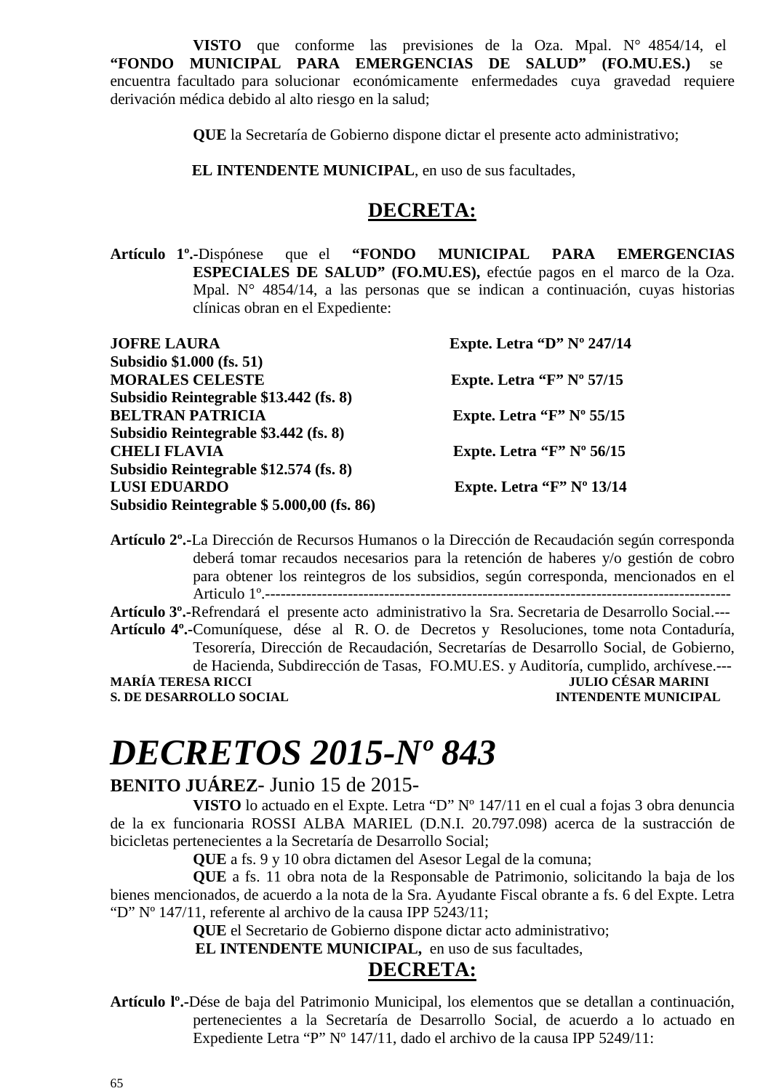**VISTO** que conforme las previsiones de la Oza. Mpal. N° 4854/14, el **"FONDO MUNICIPAL PARA EMERGENCIAS DE SALUD" (FO.MU.ES.)** se encuentra facultado para solucionar económicamente enfermedades cuya gravedad requiere derivación médica debido al alto riesgo en la salud;

**QUE** la Secretaría de Gobierno dispone dictar el presente acto administrativo;

**EL INTENDENTE MUNICIPAL**, en uso de sus facultades,

### **DECRETA:**

**Artículo 1º.-**Dispónese que el **"FONDO MUNICIPAL PARA EMERGENCIAS ESPECIALES DE SALUD" (FO.MU.ES),** efectúe pagos en el marco de la Oza. Mpal. N° 4854/14, a las personas que se indican a continuación, cuyas historias clínicas obran en el Expediente:

| <b>JOFRE LAURA</b>                        | Expte. Letra "D" $N^{\circ}$ 247/14 |
|-------------------------------------------|-------------------------------------|
| Subsidio \$1.000 (fs. 51)                 |                                     |
| <b>MORALES CELESTE</b>                    | Expte. Letra "F" $N^{\circ}$ 57/15  |
| Subsidio Reintegrable \$13.442 (fs. 8)    |                                     |
| <b>BELTRAN PATRICIA</b>                   | Expte. Letra "F" $N^{\circ}$ 55/15  |
| Subsidio Reintegrable \$3.442 (fs. 8)     |                                     |
| <b>CHELI FLAVIA</b>                       | Expte. Letra "F" $N^{\circ}$ 56/15  |
| Subsidio Reintegrable \$12.574 (fs. 8)    |                                     |
| <b>LUSI EDUARDO</b>                       | Expte. Letra " $F$ " N° 13/14       |
| Subsidio Reintegrable \$5.000,00 (fs. 86) |                                     |

**Artículo 2º.-**La Dirección de Recursos Humanos o la Dirección de Recaudación según corresponda deberá tomar recaudos necesarios para la retención de haberes y/o gestión de cobro para obtener los reintegros de los subsidios, según corresponda, mencionados en el Articulo 1º.------------------------------------------------------------------------------------------

**Artículo 3º.-**Refrendará el presente acto administrativo la Sra. Secretaria de Desarrollo Social.--- **Artículo 4º.-**Comuníquese, dése al R. O. de Decretos y Resoluciones, tome nota Contaduría, Tesorería, Dirección de Recaudación, Secretarías de Desarrollo Social, de Gobierno, de Hacienda, Subdirección de Tasas, FO.MU.ES. y Auditoría, cumplido, archívese.--- **MARÍA TERESA RICCI JULIO CÉSAR MARINI S. DE DESARROLLO SOCIAL** 

# *DECRETOS 2015-Nº 843*

#### **BENITO JUÁREZ**- Junio 15 de 2015-

**VISTO** lo actuado en el Expte. Letra "D" Nº 147/11 en el cual a fojas 3 obra denuncia de la ex funcionaria ROSSI ALBA MARIEL (D.N.I. 20.797.098) acerca de la sustracción de bicicletas pertenecientes a la Secretaría de Desarrollo Social;

**QUE** a fs. 9 y 10 obra dictamen del Asesor Legal de la comuna;

**QUE** a fs. 11 obra nota de la Responsable de Patrimonio, solicitando la baja de los bienes mencionados, de acuerdo a la nota de la Sra. Ayudante Fiscal obrante a fs. 6 del Expte. Letra "D" Nº 147/11, referente al archivo de la causa IPP 5243/11;

**QUE** el Secretario de Gobierno dispone dictar acto administrativo;

 **EL INTENDENTE MUNICIPAL,** en uso de sus facultades,

### **DECRETA:**

**Artículo lº.-**Dése de baja del Patrimonio Municipal, los elementos que se detallan a continuación, pertenecientes a la Secretaría de Desarrollo Social, de acuerdo a lo actuado en Expediente Letra "P" Nº 147/11, dado el archivo de la causa IPP 5249/11: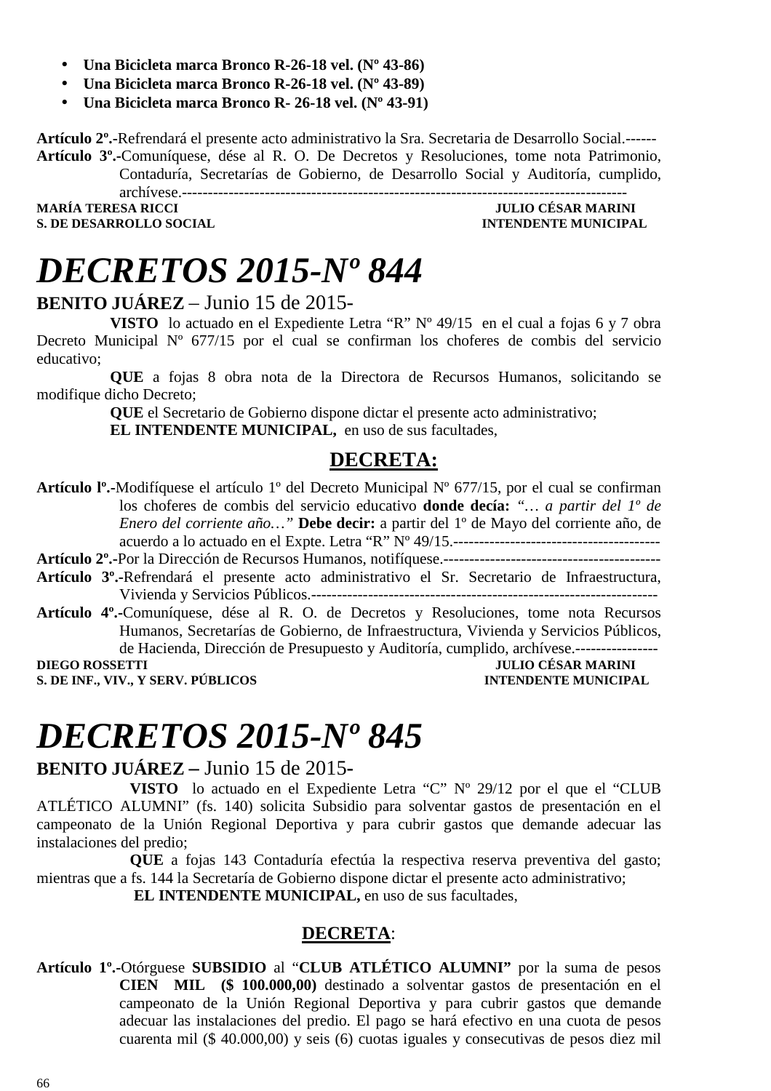- **Una Bicicleta marca Bronco R-26-18 vel. (Nº 43-86)**
- **Una Bicicleta marca Bronco R-26-18 vel. (Nº 43-89)**
- **Una Bicicleta marca Bronco R- 26-18 vel. (Nº 43-91)**

**Artículo 2º.-**Refrendará el presente acto administrativo la Sra. Secretaria de Desarrollo Social.------ **Artículo 3º.-**Comuníquese, dése al R. O. De Decretos y Resoluciones, tome nota Patrimonio,

Contaduría, Secretarías de Gobierno, de Desarrollo Social y Auditoría, cumplido, archívese.--------------------------------------------------------------------------------------

**S. DE DESARROLLO SOCIAL** 

**MULIO CÉSAR MARINI<br>INTENDENTE MUNICIPAL** 

# *DECRETOS 2015-Nº 844*

#### **BENITO JUÁREZ** – Junio 15 de 2015-

**VISTO** lo actuado en el Expediente Letra "R" Nº 49/15 en el cual a fojas 6 y 7 obra Decreto Municipal Nº 677/15 por el cual se confirman los choferes de combis del servicio educativo;

**QUE** a fojas 8 obra nota de la Directora de Recursos Humanos, solicitando se modifique dicho Decreto;

> **QUE** el Secretario de Gobierno dispone dictar el presente acto administrativo; **EL INTENDENTE MUNICIPAL,** en uso de sus facultades,

### **DECRETA:**

**Artículo lº.-**Modifíquese el artículo 1º del Decreto Municipal Nº 677/15, por el cual se confirman los choferes de combis del servicio educativo **donde decía:** *"… a partir del 1º de Enero del corriente año…"* **Debe decir:** a partir del 1º de Mayo del corriente año, de acuerdo a lo actuado en el Expte. Letra "R"  $N^{\circ}$  49/15. **Artículo 2º.-**Por la Dirección de Recursos Humanos, notifíquese.------------------------------------------

- **Artículo 3º.-**Refrendará el presente acto administrativo el Sr. Secretario de Infraestructura, Vivienda y Servicios Públicos.-------------------------------------------------------------------
- **Artículo 4º.-**Comuníquese, dése al R. O. de Decretos y Resoluciones, tome nota Recursos Humanos, Secretarías de Gobierno, de Infraestructura, Vivienda y Servicios Públicos, de Hacienda, Dirección de Presupuesto y Auditoría, cumplido, archívese.----------------

**S. DE INF., VIV., Y SERV. PÚBLICOS INTENDENTE MUNICIPAL** 

**DIEGO ROSSETTI DIEGO ROSSETTI JULIO CÉSAR MARINI** 

# *DECRETOS 2015-Nº 845*

### **BENITO JUÁREZ –** Junio 15 de 2015**-**

**VISTO** lo actuado en el Expediente Letra "C" Nº 29/12 por el que el "CLUB ATLÉTICO ALUMNI" (fs. 140) solicita Subsidio para solventar gastos de presentación en el campeonato de la Unión Regional Deportiva y para cubrir gastos que demande adecuar las instalaciones del predio;

**QUE** a fojas 143 Contaduría efectúa la respectiva reserva preventiva del gasto; mientras que a fs. 144 la Secretaría de Gobierno dispone dictar el presente acto administrativo;

 **EL INTENDENTE MUNICIPAL,** en uso de sus facultades,

#### **DECRETA**:

**Artículo 1º.-**Otórguese **SUBSIDIO** al "**CLUB ATLÉTICO ALUMNI"** por la suma de pesos **CIEN MIL (\$ 100.000,00)** destinado a solventar gastos de presentación en el campeonato de la Unión Regional Deportiva y para cubrir gastos que demande adecuar las instalaciones del predio. El pago se hará efectivo en una cuota de pesos cuarenta mil (\$ 40.000,00) y seis (6) cuotas iguales y consecutivas de pesos diez mil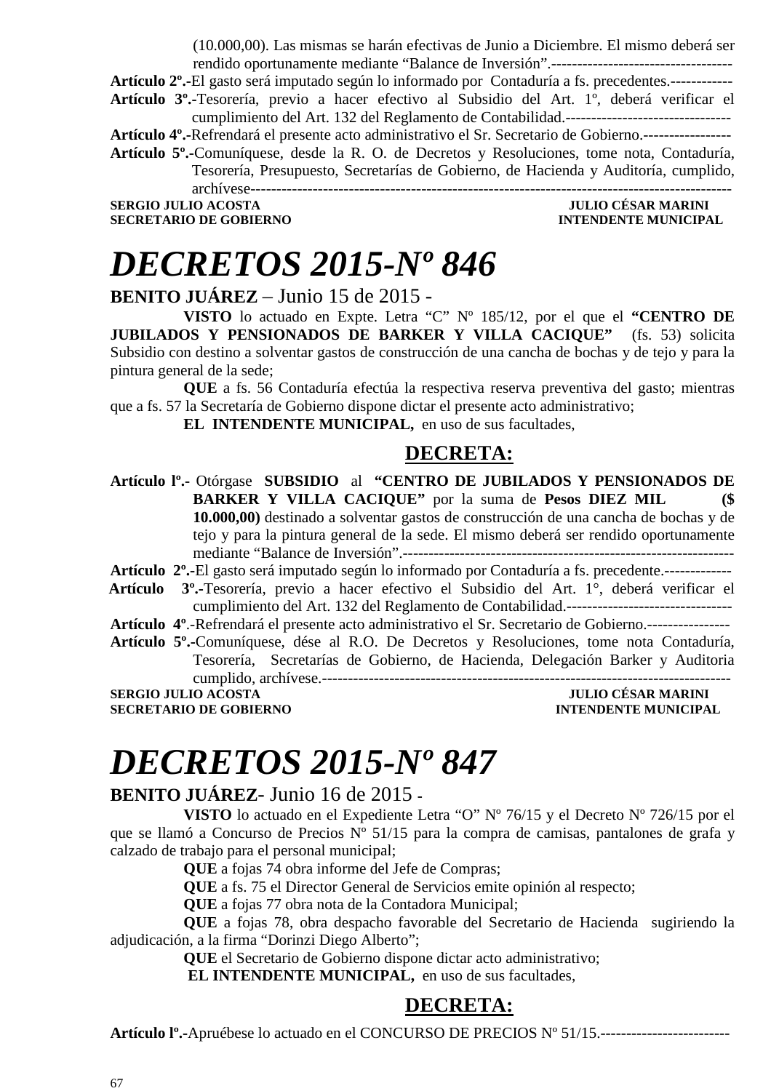(10.000,00). Las mismas se harán efectivas de Junio a Diciembre. El mismo deberá ser rendido oportunamente mediante "Balance de Inversión".-----------------------------------

**Artículo 2º.-**El gasto será imputado según lo informado por Contaduría a fs. precedentes.------------

**Artículo 3º.-**Tesorería, previo a hacer efectivo al Subsidio del Art. 1º, deberá verificar el cumplimiento del Art. 132 del Reglamento de Contabilidad.--------------------------------

**Artículo 4º.-**Refrendará el presente acto administrativo el Sr. Secretario de Gobierno.-----------------

**Artículo 5º.-**Comuníquese, desde la R. O. de Decretos y Resoluciones, tome nota, Contaduría, Tesorería, Presupuesto, Secretarías de Gobierno, de Hacienda y Auditoría, cumplido, archívese---------------------------------------------------------------------------------------------

**SERGIO JULIO ACOSTA JULIO CÉSAR MARINI SECRETARIO DE GOBIERNO** 

# *DECRETOS 2015-Nº 846*

**BENITO JUÁREZ** – Junio 15 de 2015 -

**VISTO** lo actuado en Expte. Letra "C" Nº 185/12, por el que el **"CENTRO DE JUBILADOS Y PENSIONADOS DE BARKER Y VILLA CACIQUE"** (fs. 53) solicita Subsidio con destino a solventar gastos de construcción de una cancha de bochas y de tejo y para la pintura general de la sede;

**QUE** a fs. 56 Contaduría efectúa la respectiva reserva preventiva del gasto; mientras que a fs. 57 la Secretaría de Gobierno dispone dictar el presente acto administrativo;

**EL INTENDENTE MUNICIPAL,** en uso de sus facultades,

### **DECRETA:**

**Artículo lº.-** Otórgase **SUBSIDIO** al **"CENTRO DE JUBILADOS Y PENSIONADOS DE BARKER Y VILLA CACIQUE"** por la suma de **Pesos DIEZ MIL (\$ 10.000,00)** destinado a solventar gastos de construcción de una cancha de bochas y de tejo y para la pintura general de la sede. El mismo deberá ser rendido oportunamente mediante "Balance de Inversión".----------------------------------------------------------------

**Artículo 2º.-**El gasto será imputado según lo informado por Contaduría a fs. precedente.-------------

- **Artículo 3º.-**Tesorería, previo a hacer efectivo el Subsidio del Art. 1°, deberá verificar el cumplimiento del Art. 132 del Reglamento de Contabilidad.--------------------------------
- **Artículo 4º**.-Refrendará el presente acto administrativo el Sr. Secretario de Gobierno.----------------
- **Artículo 5º.-**Comuníquese, dése al R.O. De Decretos y Resoluciones, tome nota Contaduría, Tesorería, Secretarías de Gobierno, de Hacienda, Delegación Barker y Auditoria cumplido, archívese.-------------------------------------------------------------------------------

**SERGIO JULIO ACOSTA** 

**SECRETARIO DE GOBIERNO INTENDENTE MUNICIPAL** 

# *DECRETOS 2015-Nº 847*

#### **BENITO JUÁREZ**- Junio 16 de 2015 **-**

**VISTO** lo actuado en el Expediente Letra "O" Nº 76/15 y el Decreto Nº 726/15 por el que se llamó a Concurso de Precios Nº 51/15 para la compra de camisas, pantalones de grafa y calzado de trabajo para el personal municipal;

**QUE** a fojas 74 obra informe del Jefe de Compras;

**QUE** a fs. 75 el Director General de Servicios emite opinión al respecto;

**QUE** a fojas 77 obra nota de la Contadora Municipal;

**QUE** a fojas 78, obra despacho favorable del Secretario de Hacienda sugiriendo la adjudicación, a la firma "Dorinzi Diego Alberto";

**QUE** el Secretario de Gobierno dispone dictar acto administrativo;

**EL INTENDENTE MUNICIPAL,** en uso de sus facultades,

### **DECRETA:**

**Artículo lº.-**Apruébese lo actuado en el CONCURSO DE PRECIOS Nº 51/15.-------------------------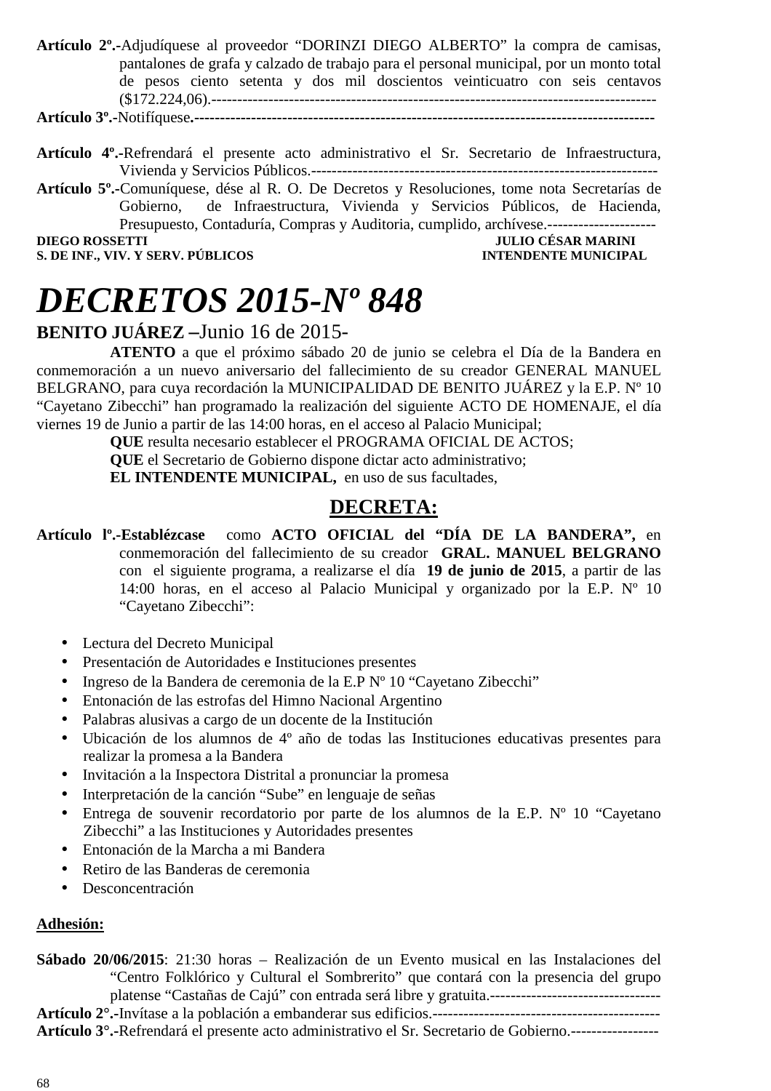**Artículo 2º.-**Adjudíquese al proveedor "DORINZI DIEGO ALBERTO" la compra de camisas, pantalones de grafa y calzado de trabajo para el personal municipal, por un monto total de pesos ciento setenta y dos mil doscientos veinticuatro con seis centavos (\$172.224,06).--------------------------------------------------------------------------------------

**Artículo 3º.-**Notifíquese**.-----------------------------------------------------------------------------------------** 

- **Artículo 4º.-**Refrendará el presente acto administrativo el Sr. Secretario de Infraestructura, Vivienda y Servicios Públicos.-------------------------------------------------------------------
- **Artículo 5º.-**Comuníquese, dése al R. O. De Decretos y Resoluciones, tome nota Secretarías de Gobierno, de Infraestructura, Vivienda y Servicios Públicos, de Hacienda, Presupuesto, Contaduría, Compras y Auditoria, cumplido, archívese.--------------------- **DIEGO ROSSETTI JULIO CÉSAR MARINI**

**S. DE INF., VIV. Y SERV. PÚBLICOS INTENDENTE MUNICIPAL** 

# *DECRETOS 2015-Nº 848*

### **BENITO JUÁREZ –**Junio 16 de 2015-

**ATENTO** a que el próximo sábado 20 de junio se celebra el Día de la Bandera en conmemoración a un nuevo aniversario del fallecimiento de su creador GENERAL MANUEL BELGRANO, para cuya recordación la MUNICIPALIDAD DE BENITO JUÁREZ y la E.P. Nº 10 "Cayetano Zibecchi" han programado la realización del siguiente ACTO DE HOMENAJE, el día viernes 19 de Junio a partir de las 14:00 horas, en el acceso al Palacio Municipal;

**QUE** resulta necesario establecer el PROGRAMA OFICIAL DE ACTOS;

**QUE** el Secretario de Gobierno dispone dictar acto administrativo;

**EL INTENDENTE MUNICIPAL,** en uso de sus facultades,

### **DECRETA:**

- **Artículo lº.-Establézcase** como **ACTO OFICIAL del "DÍA DE LA BANDERA",** en conmemoración del fallecimiento de su creador **GRAL. MANUEL BELGRANO**  con el siguiente programa, a realizarse el día **19 de junio de 2015**, a partir de las 14:00 horas, en el acceso al Palacio Municipal y organizado por la E.P.  $N^{\circ}$  10 "Cayetano Zibecchi":
	- Lectura del Decreto Municipal
	- Presentación de Autoridades e Instituciones presentes
	- Ingreso de la Bandera de ceremonia de la E.P Nº 10 "Cayetano Zibecchi"
	- Entonación de las estrofas del Himno Nacional Argentino
	- Palabras alusivas a cargo de un docente de la Institución
	- Ubicación de los alumnos de 4º año de todas las Instituciones educativas presentes para realizar la promesa a la Bandera
	- Invitación a la Inspectora Distrital a pronunciar la promesa
	- Interpretación de la canción "Sube" en lenguaje de señas
	- Entrega de souvenir recordatorio por parte de los alumnos de la E.P. Nº 10 "Cayetano Zibecchi" a las Instituciones y Autoridades presentes
	- Entonación de la Marcha a mi Bandera
	- Retiro de las Banderas de ceremonia
	- Desconcentración

#### **Adhesión:**

**Sábado 20/06/2015**: 21:30 horas – Realización de un Evento musical en las Instalaciones del "Centro Folklórico y Cultural el Sombrerito" que contará con la presencia del grupo platense "Castañas de Cajú" con entrada será libre y gratuita.---------------------------------

**Artículo 2°.-**Invítase a la población a embanderar sus edificios.--------------------------------------------

**Artículo 3°.-**Refrendará el presente acto administrativo el Sr. Secretario de Gobierno.-----------------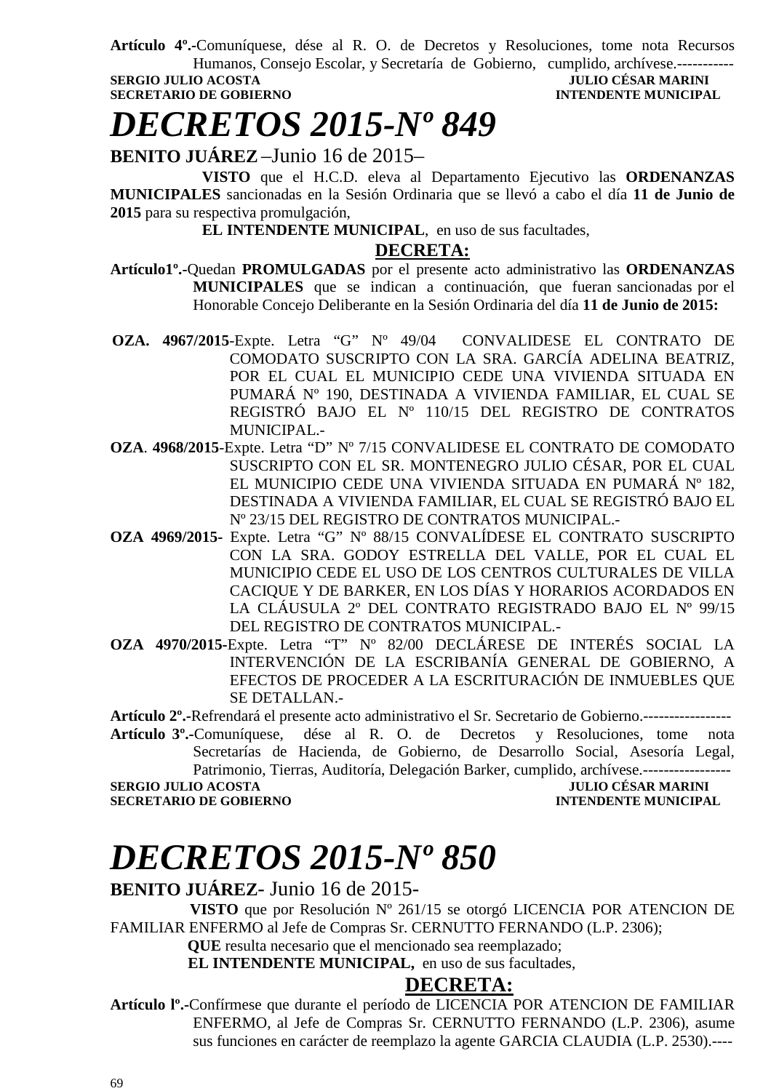**Artículo 4º.-**Comuníquese, dése al R. O. de Decretos y Resoluciones, tome nota Recursos Humanos, Consejo Escolar, y Secretaría de Gobierno, cumplido, archívese.----------- **SERGIO JULIO ACOSTA JULIO CÉSAR MARINI** 

**SECRETARIO DE GOBIERNO INTENDENTE MUNICIPAL** 

## *DECRETOS 2015-Nº 849*

**BENITO JUÁREZ** –Junio 16 de 2015–

**VISTO** que el H.C.D. eleva al Departamento Ejecutivo las **ORDENANZAS MUNICIPALES** sancionadas en la Sesión Ordinaria que se llevó a cabo el día **11 de Junio de 2015** para su respectiva promulgación,

**EL INTENDENTE MUNICIPAL**, en uso de sus facultades,

#### **DECRETA:**

- **Artículo1º.-**Quedan **PROMULGADAS** por el presente acto administrativo las **ORDENANZAS MUNICIPALES** que se indican a continuación, que fueran sancionadas por el Honorable Concejo Deliberante en la Sesión Ordinaria del día **11 de Junio de 2015:**
- **OZA. 4967/2015**-Expte. Letra "G" Nº 49/04 CONVALIDESE EL CONTRATO DE COMODATO SUSCRIPTO CON LA SRA. GARCÍA ADELINA BEATRIZ, POR EL CUAL EL MUNICIPIO CEDE UNA VIVIENDA SITUADA EN PUMARÁ Nº 190, DESTINADA A VIVIENDA FAMILIAR, EL CUAL SE REGISTRÓ BAJO EL Nº 110/15 DEL REGISTRO DE CONTRATOS MUNICIPAL.-
- **OZA**. **4968/2015**-Expte. Letra "D" Nº 7/15 CONVALIDESE EL CONTRATO DE COMODATO SUSCRIPTO CON EL SR. MONTENEGRO JULIO CÉSAR, POR EL CUAL EL MUNICIPIO CEDE UNA VIVIENDA SITUADA EN PUMARÁ Nº 182, DESTINADA A VIVIENDA FAMILIAR, EL CUAL SE REGISTRÓ BAJO EL Nº 23/15 DEL REGISTRO DE CONTRATOS MUNICIPAL.-
- **OZA 4969/2015-** Expte. Letra "G" Nº 88/15 CONVALÍDESE EL CONTRATO SUSCRIPTO CON LA SRA. GODOY ESTRELLA DEL VALLE, POR EL CUAL EL MUNICIPIO CEDE EL USO DE LOS CENTROS CULTURALES DE VILLA CACIQUE Y DE BARKER, EN LOS DÍAS Y HORARIOS ACORDADOS EN LA CLÁUSULA 2º DEL CONTRATO REGISTRADO BAJO EL Nº 99/15 DEL REGISTRO DE CONTRATOS MUNICIPAL.-
- **OZA 4970/2015-**Expte. Letra "T" Nº 82/00 DECLÁRESE DE INTERÉS SOCIAL LA INTERVENCIÓN DE LA ESCRIBANÍA GENERAL DE GOBIERNO, A EFECTOS DE PROCEDER A LA ESCRITURACIÓN DE INMUEBLES QUE SE DETALLAN.-

**Artículo 2º.-**Refrendará el presente acto administrativo el Sr. Secretario de Gobierno.-----------------

**Artículo 3º.-**Comuníquese, dése al R. O. de Decretos y Resoluciones, tome nota Secretarías de Hacienda, de Gobierno, de Desarrollo Social, Asesoría Legal, Patrimonio, Tierras, Auditoría, Delegación Barker, cumplido, archívese.-----------------

**SERGIO JULIO ACOSTA JULIO CÉSAR MARINI** 

**INTENDENTE MUNICIPAL** 

# *DECRETOS 2015-Nº 850*

### **BENITO JUÁREZ**- Junio 16 de 2015-

 **VISTO** que por Resolución Nº 261/15 se otorgó LICENCIA POR ATENCION DE FAMILIAR ENFERMO al Jefe de Compras Sr. CERNUTTO FERNANDO (L.P. 2306);

 **QUE** resulta necesario que el mencionado sea reemplazado;

**EL INTENDENTE MUNICIPAL,** en uso de sus facultades,

### **DECRETA:**

**Artículo lº.-**Confírmese que durante el período de LICENCIA POR ATENCION DE FAMILIAR ENFERMO, al Jefe de Compras Sr. CERNUTTO FERNANDO (L.P. 2306), asume sus funciones en carácter de reemplazo la agente GARCIA CLAUDIA (L.P. 2530).----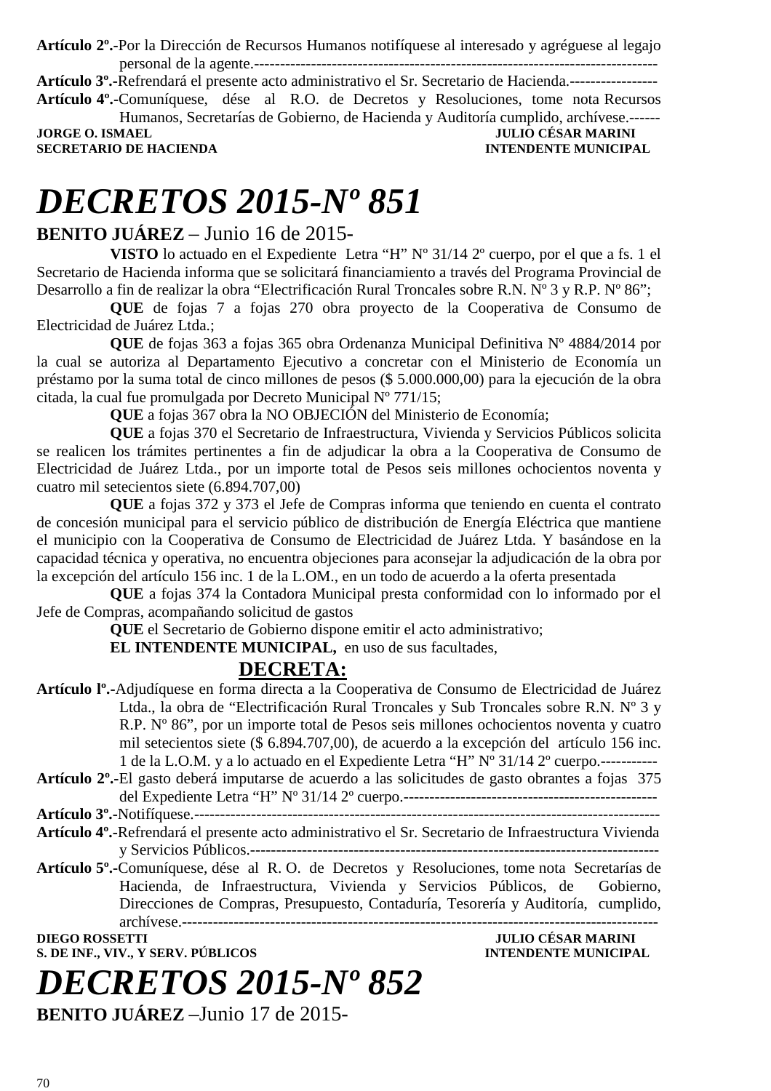**Artículo 2º.-**Por la Dirección de Recursos Humanos notifíquese al interesado y agréguese al legajo personal de la agente.------------------------------------------------------------------------------

**Artículo 3º.-**Refrendará el presente acto administrativo el Sr. Secretario de Hacienda.----------------- **Artículo 4º.-**Comuníquese, dése al R.O. de Decretos y Resoluciones, tome nota Recursos Humanos, Secretarías de Gobierno, de Hacienda y Auditoría cumplido, archívese.------

**JORGE O. ISMAEL JULIO CÉSAR MARINI SECRETARIO DE HACIENDA** 

# *DECRETOS 2015-Nº 851*

#### **BENITO JUÁREZ** – Junio 16 de 2015-

**VISTO** lo actuado en el Expediente Letra "H" Nº 31/14 2º cuerpo, por el que a fs. 1 el Secretario de Hacienda informa que se solicitará financiamiento a través del Programa Provincial de Desarrollo a fin de realizar la obra "Electrificación Rural Troncales sobre R.N. Nº 3 y R.P. Nº 86";

**QUE** de fojas 7 a fojas 270 obra proyecto de la Cooperativa de Consumo de Electricidad de Juárez Ltda.;

**QUE** de fojas 363 a fojas 365 obra Ordenanza Municipal Definitiva Nº 4884/2014 por la cual se autoriza al Departamento Ejecutivo a concretar con el Ministerio de Economía un préstamo por la suma total de cinco millones de pesos (\$ 5.000.000,00) para la ejecución de la obra citada, la cual fue promulgada por Decreto Municipal Nº 771/15;

**QUE** a fojas 367 obra la NO OBJECIÓN del Ministerio de Economía;

**QUE** a fojas 370 el Secretario de Infraestructura, Vivienda y Servicios Públicos solicita se realicen los trámites pertinentes a fin de adjudicar la obra a la Cooperativa de Consumo de Electricidad de Juárez Ltda., por un importe total de Pesos seis millones ochocientos noventa y cuatro mil setecientos siete (6.894.707,00)

**QUE** a fojas 372 y 373 el Jefe de Compras informa que teniendo en cuenta el contrato de concesión municipal para el servicio público de distribución de Energía Eléctrica que mantiene el municipio con la Cooperativa de Consumo de Electricidad de Juárez Ltda. Y basándose en la capacidad técnica y operativa, no encuentra objeciones para aconsejar la adjudicación de la obra por la excepción del artículo 156 inc. 1 de la L.OM., en un todo de acuerdo a la oferta presentada

**QUE** a fojas 374 la Contadora Municipal presta conformidad con lo informado por el Jefe de Compras, acompañando solicitud de gastos

**QUE** el Secretario de Gobierno dispone emitir el acto administrativo;

**EL INTENDENTE MUNICIPAL,** en uso de sus facultades,

### **DECRETA:**

- **Artículo lº.-**Adjudíquese en forma directa a la Cooperativa de Consumo de Electricidad de Juárez Ltda., la obra de "Electrificación Rural Troncales y Sub Troncales sobre R.N. Nº 3 y R.P. Nº 86", por un importe total de Pesos seis millones ochocientos noventa y cuatro mil setecientos siete (\$ 6.894.707,00), de acuerdo a la excepción del artículo 156 inc. 1 de la L.O.M. y a lo actuado en el Expediente Letra "H"  $N^{\circ}$  31/14 2° cuerpo.------------
- **Artículo 2º.-**El gasto deberá imputarse de acuerdo a las solicitudes de gasto obrantes a fojas 375 del Expediente Letra "H" Nº 31/14 2º cuerpo.-------------------------------------------------

**Artículo 3º.-**Notifíquese.------------------------------------------------------------------------------------------

- **Artículo 4º.-**Refrendará el presente acto administrativo el Sr. Secretario de Infraestructura Vivienda y Servicios Públicos.-------------------------------------------------------------------------------
- **Artículo 5º.-**Comuníquese, dése al R. O. de Decretos y Resoluciones, tome nota Secretarías de Hacienda, de Infraestructura, Vivienda y Servicios Públicos, de Gobierno, Direcciones de Compras, Presupuesto, Contaduría, Tesorería y Auditoría, cumplido, archívese.--------------------------------------------------------------------------------------------

**DIEGO ROSSETTI JULIO CÉSAR MARINI S. DE INF., VIV., Y SERV. PÚBLICOS INTENDENTE MUNICIPAL** 

### *DECRETOS 2015-Nº 852* **BENITO JUÁREZ** –Junio 17 de 2015-

70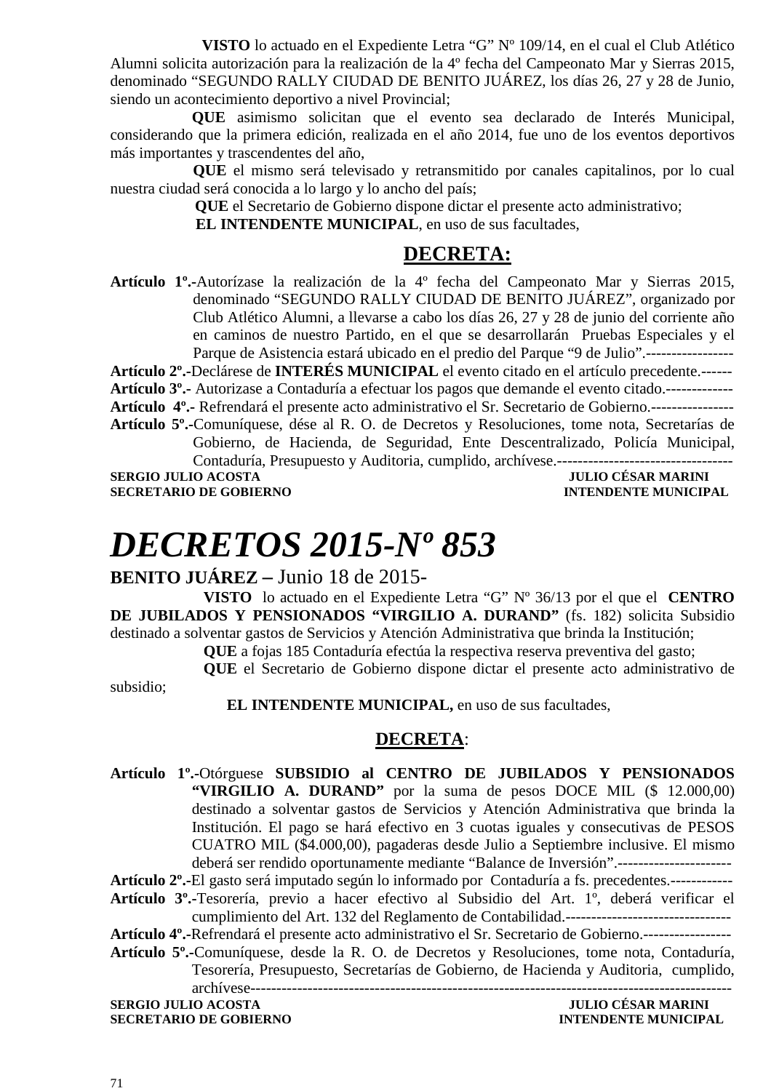**VISTO** lo actuado en el Expediente Letra "G" Nº 109/14, en el cual el Club Atlético Alumni solicita autorización para la realización de la 4º fecha del Campeonato Mar y Sierras 2015, denominado "SEGUNDO RALLY CIUDAD DE BENITO JUÁREZ, los días 26, 27 y 28 de Junio, siendo un acontecimiento deportivo a nivel Provincial;

 **QUE** asimismo solicitan que el evento sea declarado de Interés Municipal, considerando que la primera edición, realizada en el año 2014, fue uno de los eventos deportivos más importantes y trascendentes del año,

**QUE** el mismo será televisado y retransmitido por canales capitalinos, por lo cual nuestra ciudad será conocida a lo largo y lo ancho del país;

**QUE** el Secretario de Gobierno dispone dictar el presente acto administrativo;

 **EL INTENDENTE MUNICIPAL**, en uso de sus facultades,

### **DECRETA:**

**Artículo 1º.-**Autorízase la realización de la 4º fecha del Campeonato Mar y Sierras 2015, denominado "SEGUNDO RALLY CIUDAD DE BENITO JUÁREZ", organizado por Club Atlético Alumni, a llevarse a cabo los días 26, 27 y 28 de junio del corriente año en caminos de nuestro Partido, en el que se desarrollarán Pruebas Especiales y el Parque de Asistencia estará ubicado en el predio del Parque "9 de Julio".-----------------

**Artículo 2º.-**Declárese de **INTERÉS MUNICIPAL** el evento citado en el artículo precedente.------

**Artículo 3º.-** Autorizase a Contaduría a efectuar los pagos que demande el evento citado.-------------

**Artículo 4º.-** Refrendará el presente acto administrativo el Sr. Secretario de Gobierno.---------------- **Artículo 5º.-**Comuníquese, dése al R. O. de Decretos y Resoluciones, tome nota, Secretarías de

Gobierno, de Hacienda, de Seguridad, Ente Descentralizado, Policía Municipal, Contaduría, Presupuesto y Auditoria, cumplido, archívese.----------------------------------

**SERGIO JULIO ACOSTA JULIO CÉSAR MARINI SECRETARIO DE GOBIERNO INTENDENTE MUNICIPAL** 

# *DECRETOS 2015-Nº 853*

#### **BENITO JUÁREZ –** Junio 18 de 2015-

**VISTO** lo actuado en el Expediente Letra "G" Nº 36/13 por el que el **CENTRO DE JUBILADOS Y PENSIONADOS "VIRGILIO A. DURAND"** (fs. 182) solicita Subsidio destinado a solventar gastos de Servicios y Atención Administrativa que brinda la Institución;

**QUE** a fojas 185 Contaduría efectúa la respectiva reserva preventiva del gasto;

**QUE** el Secretario de Gobierno dispone dictar el presente acto administrativo de

 **EL INTENDENTE MUNICIPAL,** en uso de sus facultades,

#### **DECRETA**:

**Artículo 1º.-**Otórguese **SUBSIDIO al CENTRO DE JUBILADOS Y PENSIONADOS "VIRGILIO A. DURAND"** por la suma de pesos DOCE MIL (\$ 12.000,00) destinado a solventar gastos de Servicios y Atención Administrativa que brinda la Institución. El pago se hará efectivo en 3 cuotas iguales y consecutivas de PESOS CUATRO MIL (\$4.000,00), pagaderas desde Julio a Septiembre inclusive. El mismo deberá ser rendido oportunamente mediante "Balance de Inversión".---------------------- **Artículo 2º.-**El gasto será imputado según lo informado por Contaduría a fs. precedentes.------------ **Artículo 3º.-**Tesorería, previo a hacer efectivo al Subsidio del Art. 1º, deberá verificar el cumplimiento del Art. 132 del Reglamento de Contabilidad.-------------------------------- **Artículo 4º.-**Refrendará el presente acto administrativo el Sr. Secretario de Gobierno.----------------- **Artículo 5º.-**Comuníquese, desde la R. O. de Decretos y Resoluciones, tome nota, Contaduría, Tesorería, Presupuesto, Secretarías de Gobierno, de Hacienda y Auditoria, cumplido, archívese---------------------------------------------------------------------------------------------

**SERGIO JULIO ACOSTA JULIO CÉSAR MARINI SECRETARIO DE GOBIERNO INTENDENTE MUNICIPAL** 

subsidio;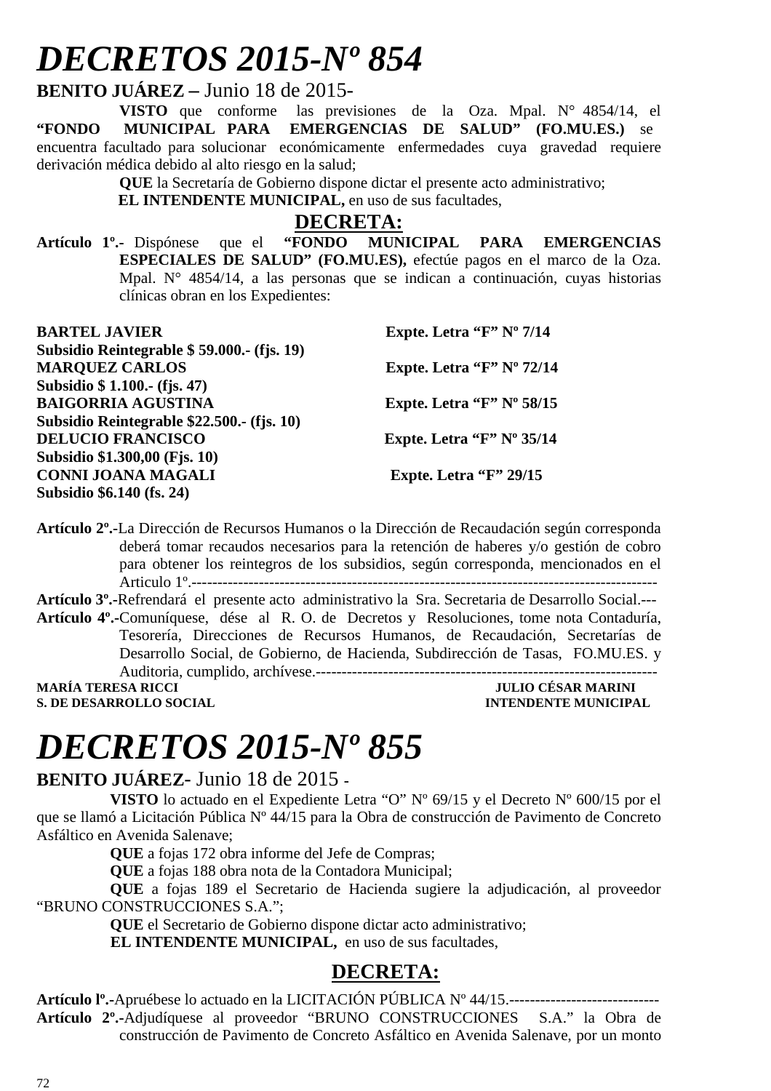# *DECRETOS 2015-Nº 854*

**BENITO JUÁREZ –** Junio 18 de 2015-

**VISTO** que conforme las previsiones de la Oza. Mpal. N° 4854/14, el **"FONDO MUNICIPAL PARA EMERGENCIAS DE SALUD" (FO.MU.ES.)** se encuentra facultado para solucionar económicamente enfermedades cuya gravedad requiere derivación médica debido al alto riesgo en la salud;

**QUE** la Secretaría de Gobierno dispone dictar el presente acto administrativo;

 **EL INTENDENTE MUNICIPAL,** en uso de sus facultades,

**DECRETA:**<br>"FONDO MUNICIPAL **Artículo 1º.-** Dispónese que el **"FONDO MUNICIPAL PARA EMERGENCIAS ESPECIALES DE SALUD" (FO.MU.ES),** efectúe pagos en el marco de la Oza. Mpal. N° 4854/14, a las personas que se indican a continuación, cuyas historias clínicas obran en los Expedientes:

| <b>BARTEL JAVIER</b>                       | Expte. Letra " $F$ " N° 7/14  |
|--------------------------------------------|-------------------------------|
| Subsidio Reintegrable \$59.000.- (fjs. 19) |                               |
| <b>MARQUEZ CARLOS</b>                      | Expte. Letra "F" Nº 72/14     |
| Subsidio \$ 1.100.- (fjs. 47)              |                               |
| <b>BAIGORRIA AGUSTINA</b>                  | Expte. Letra " $F$ " N° 58/15 |
| Subsidio Reintegrable \$22.500.- (fjs. 10) |                               |
| <b>DELUCIO FRANCISCO</b>                   | Expte. Letra " $F$ " N° 35/14 |
| Subsidio \$1.300,00 (Fjs. 10)              |                               |
| <b>CONNI JOANA MAGALI</b>                  | Expte. Letra " $F$ " 29/15    |
| Subsidio \$6.140 (fs. 24)                  |                               |

**Artículo 2º.-**La Dirección de Recursos Humanos o la Dirección de Recaudación según corresponda deberá tomar recaudos necesarios para la retención de haberes y/o gestión de cobro para obtener los reintegros de los subsidios, según corresponda, mencionados en el Articulo 1º.------------------------------------------------------------------------------------------

**Artículo 3º.-**Refrendará el presente acto administrativo la Sra. Secretaria de Desarrollo Social.--- **Artículo 4º.-**Comuníquese, dése al R. O. de Decretos y Resoluciones, tome nota Contaduría, Tesorería, Direcciones de Recursos Humanos, de Recaudación, Secretarías de Desarrollo Social, de Gobierno, de Hacienda, Subdirección de Tasas, FO.MU.ES. y Auditoria, cumplido, archívese.------------------------------------------------------------------ **MARÍA TERESA RICCI DE LOS DE LOS DE LOS DE LOS DE JULIO CÉSAR MARINI** 

**S. DE DESARROLLO SOCIAL CONSUMING A LOCAL CONSUMING A LOCAL CONSUMING A LOCAL CONSUMING A LOCAL CONSUMING A LOCAL CONSUMING A LOCAL CONSUMING A LOCAL CONSUMING A LOCAL CONSUMING A LOCAL CONSUMING A LOCAL CONSUMING A LOCAL** 

# *DECRETOS 2015-Nº 855*

### **BENITO JUÁREZ**- Junio 18 de 2015 **-**

**VISTO** lo actuado en el Expediente Letra "O" Nº 69/15 y el Decreto Nº 600/15 por el que se llamó a Licitación Pública Nº 44/15 para la Obra de construcción de Pavimento de Concreto Asfáltico en Avenida Salenave;

**QUE** a fojas 172 obra informe del Jefe de Compras;

**QUE** a fojas 188 obra nota de la Contadora Municipal;

**QUE** a fojas 189 el Secretario de Hacienda sugiere la adjudicación, al proveedor "BRUNO CONSTRUCCIONES S.A.";

**QUE** el Secretario de Gobierno dispone dictar acto administrativo;

**EL INTENDENTE MUNICIPAL,** en uso de sus facultades,

### **DECRETA:**

**Artículo lº.-**Apruébese lo actuado en la LICITACIÓN PÚBLICA Nº 44/15.----------------------------- **Artículo 2º.-**Adjudíquese al proveedor "BRUNO CONSTRUCCIONES S.A." la Obra de construcción de Pavimento de Concreto Asfáltico en Avenida Salenave, por un monto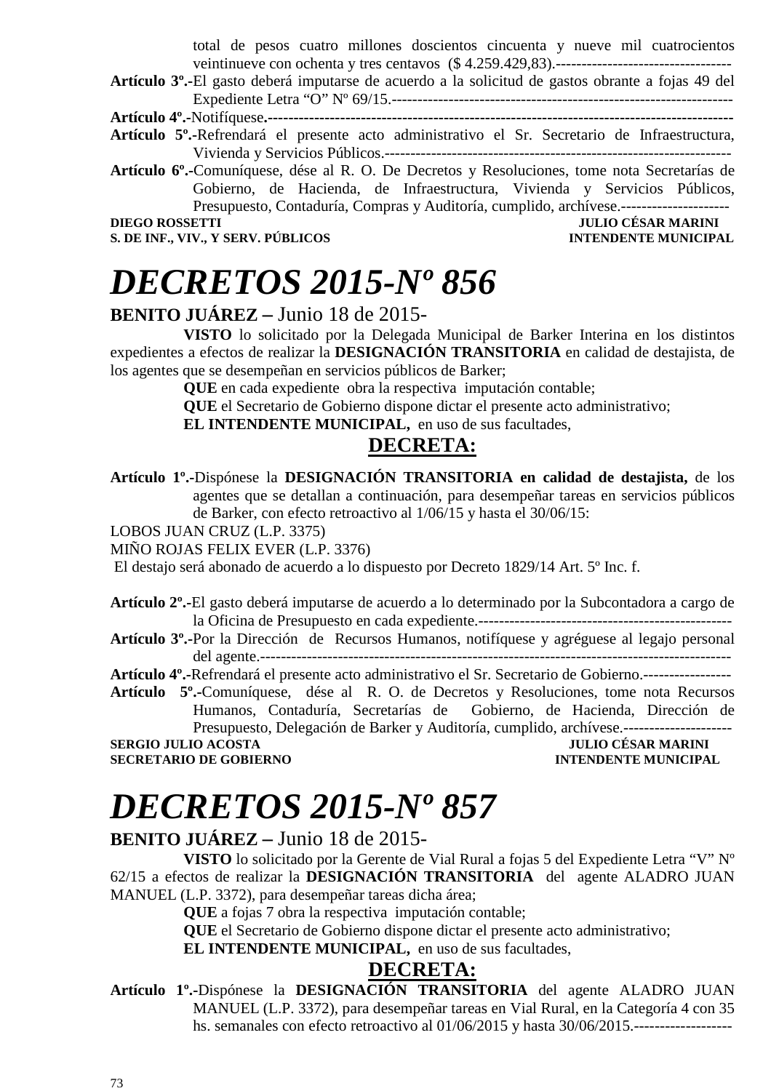total de pesos cuatro millones doscientos cincuenta y nueve mil cuatrocientos veintinueve con ochenta y tres centavos (\$ 4.259.429,83).----------------------------------

**Artículo 3º.-**El gasto deberá imputarse de acuerdo a la solicitud de gastos obrante a fojas 49 del Expediente Letra "O" Nº 69/15.------------------------------------------------------------------

**Artículo 4º.-**Notifíquese**.------------------------------------------------------------------------------------------** 

- **Artículo 5º.-**Refrendará el presente acto administrativo el Sr. Secretario de Infraestructura, Vivienda y Servicios Públicos.-------------------------------------------------------------------
- **Artículo 6º.-**Comuníquese, dése al R. O. De Decretos y Resoluciones, tome nota Secretarías de Gobierno, de Hacienda, de Infraestructura, Vivienda y Servicios Públicos, Presupuesto, Contaduría, Compras y Auditoría, cumplido, archívese.---------------------

**S. DE INF., VIV., Y SERV. PÚBLICOS** 

### **DIEGO CÉSAR MARINI<br>INTENDENTE MUNICIPAL**

### *DECRETOS 2015-Nº 856*

### **BENITO JUÁREZ –** Junio 18 de 2015-

**VISTO** lo solicitado por la Delegada Municipal de Barker Interina en los distintos expedientes a efectos de realizar la **DESIGNACIÓN TRANSITORIA** en calidad de destajista, de los agentes que se desempeñan en servicios públicos de Barker;

**QUE** en cada expedienteobra la respectiva imputación contable;

**QUE** el Secretario de Gobierno dispone dictar el presente acto administrativo;

**EL INTENDENTE MUNICIPAL,** en uso de sus facultades,

### **DECRETA:**

**Artículo 1º.-**Dispónese la **DESIGNACIÓN TRANSITORIA en calidad de destajista,** de los agentes que se detallan a continuación, para desempeñar tareas en servicios públicos de Barker, con efecto retroactivo al 1/06/15 y hasta el 30/06/15:

LOBOS JUAN CRUZ (L.P. 3375)

MIÑO ROJAS FELIX EVER (L.P. 3376)

El destajo será abonado de acuerdo a lo dispuesto por Decreto 1829/14 Art. 5º Inc. f.

**Artículo 2º.-**El gasto deberá imputarse de acuerdo a lo determinado por la Subcontadora a cargo de la Oficina de Presupuesto en cada expediente.-------------------------------------------------

**Artículo 3º.-**Por la Dirección de Recursos Humanos, notifíquese y agréguese al legajo personal del agente.-------------------------------------------------------------------------------------------

**Artículo 4º.-**Refrendará el presente acto administrativo el Sr. Secretario de Gobierno.-----------------

**Artículo 5º.-**Comuníquese, dése al R. O. de Decretos y Resoluciones, tome nota Recursos Humanos, Contaduría, Secretarías de Gobierno, de Hacienda, Dirección de Presupuesto, Delegación de Barker y Auditoría, cumplido, archívese.---------------------

**SERGIO JULIO ACOSTA SECRETARIO DE GOBIERNO INTENDENTE MUNICIPAL** 

### *DECRETOS 2015-Nº 857*

### **BENITO JUÁREZ –** Junio 18 de 2015-

**VISTO** lo solicitado por la Gerente de Vial Rural a fojas 5 del Expediente Letra "V" Nº 62/15 a efectos de realizar la **DESIGNACIÓN TRANSITORIA** del agente ALADRO JUAN MANUEL (L.P. 3372), para desempeñar tareas dicha área;

**QUE** a fojas 7 obra la respectiva imputación contable;

**QUE** el Secretario de Gobierno dispone dictar el presente acto administrativo;

**EL INTENDENTE MUNICIPAL,** en uso de sus facultades,

### **DECRETA:**

**Artículo 1º.-**Dispónese la **DESIGNACIÓN TRANSITORIA** del agente ALADRO JUAN MANUEL (L.P. 3372), para desempeñar tareas en Vial Rural, en la Categoría 4 con 35 hs. semanales con efecto retroactivo al 01/06/2015 y hasta 30/06/2015.-------------------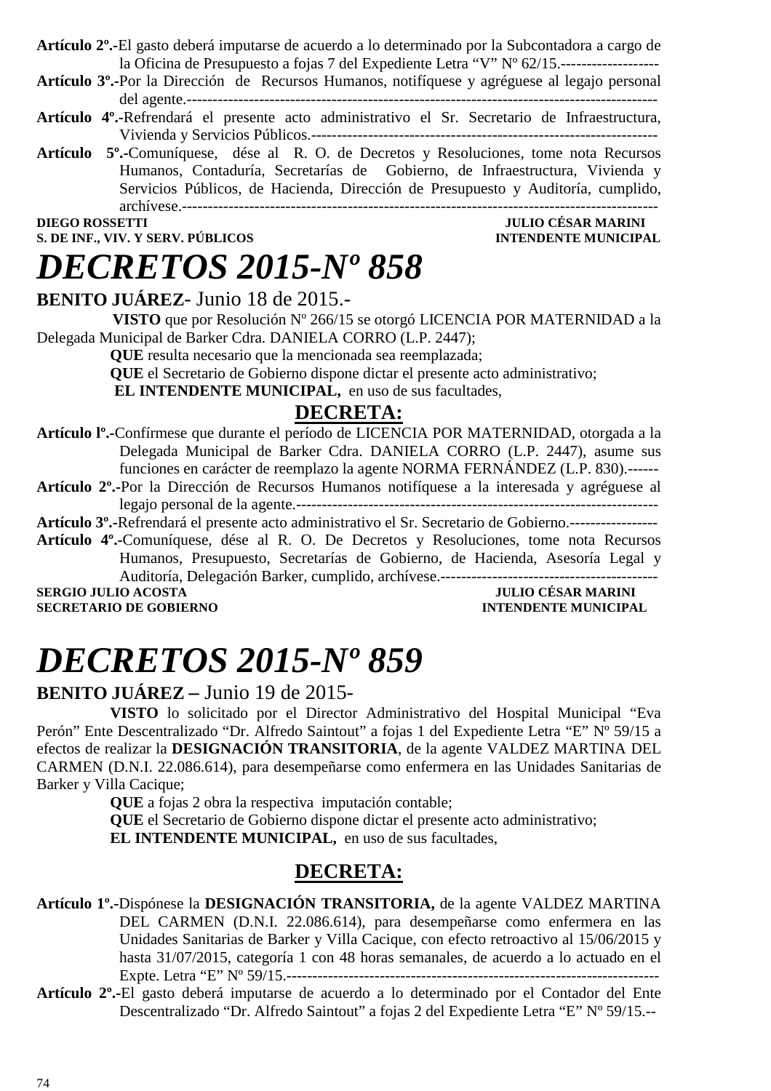**Artículo 2º.-**El gasto deberá imputarse de acuerdo a lo determinado por la Subcontadora a cargo de la Oficina de Presupuesto a fojas 7 del Expediente Letra "V" Nº 62/15.-------------------

**Artículo 3º.-**Por la Dirección de Recursos Humanos, notifíquese y agréguese al legajo personal del agente.-------------------------------------------------------------------------------------------

- **Artículo 4º.-**Refrendará el presente acto administrativo el Sr. Secretario de Infraestructura, Vivienda y Servicios Públicos.-------------------------------------------------------------------
- **Artículo 5º.-**Comuníquese, dése al R. O. de Decretos y Resoluciones, tome nota Recursos Humanos, Contaduría, Secretarías de Gobierno, de Infraestructura, Vivienda y Servicios Públicos, de Hacienda, Dirección de Presupuesto y Auditoría, cumplido, archívese.--------------------------------------------------------------------------------------------

#### **S. DE INF., VIV. Y SERV. PÚBLICOS**

### **DIEGO ROSSETTI JULIO CÉSAR MARINI**

### **BENITO JUÁREZ**- Junio 18 de 2015.-

*DECRETOS 2015-Nº 858* 

 **VISTO** que por Resolución Nº 266/15 se otorgó LICENCIA POR MATERNIDAD a la Delegada Municipal de Barker Cdra. DANIELA CORRO (L.P. 2447);

**QUE** resulta necesario que la mencionada sea reemplazada;

**QUE** el Secretario de Gobierno dispone dictar el presente acto administrativo;

**EL INTENDENTE MUNICIPAL,** en uso de sus facultades,

### **DECRETA:**

- **Artículo lº.-**Confírmese que durante el período de LICENCIA POR MATERNIDAD, otorgada a la Delegada Municipal de Barker Cdra. DANIELA CORRO (L.P. 2447), asume sus funciones en carácter de reemplazo la agente NORMA FERNÁNDEZ (L.P. 830).------
- **Artículo 2º.-**Por la Dirección de Recursos Humanos notifíquese a la interesada y agréguese al legajo personal de la agente.----------------------------------------------------------------------

**Artículo 3º.-**Refrendará el presente acto administrativo el Sr. Secretario de Gobierno.-----------------

**Artículo 4º.-**Comuníquese, dése al R. O. De Decretos y Resoluciones, tome nota Recursos Humanos, Presupuesto, Secretarías de Gobierno, de Hacienda, Asesoría Legal y Auditoría, Delegación Barker, cumplido, archívese.------------------------------------------

**SECRETARIO DE GOBIERNO INTENDENTE MUNICIPAL** 

### **SERGIO JULIO ACOSTA JULIO CÉSAR MARINI**

# *DECRETOS 2015-Nº 859*

### **BENITO JUÁREZ –** Junio 19 de 2015-

**VISTO** lo solicitado por el Director Administrativo del Hospital Municipal "Eva Perón" Ente Descentralizado "Dr. Alfredo Saintout" a fojas 1 del Expediente Letra "E" Nº 59/15 a efectos de realizar la **DESIGNACIÓN TRANSITORIA**, de la agente VALDEZ MARTINA DEL CARMEN (D.N.I. 22.086.614), para desempeñarse como enfermera en las Unidades Sanitarias de Barker y Villa Cacique;

**QUE** a fojas 2 obra la respectiva imputación contable;

**QUE** el Secretario de Gobierno dispone dictar el presente acto administrativo; **EL INTENDENTE MUNICIPAL,** en uso de sus facultades,

### **DECRETA:**

- **Artículo 1º.-**Dispónese la **DESIGNACIÓN TRANSITORIA,** de la agente VALDEZ MARTINA DEL CARMEN (D.N.I. 22.086.614), para desempeñarse como enfermera en las Unidades Sanitarias de Barker y Villa Cacique, con efecto retroactivo al 15/06/2015 y hasta 31/07/2015, categoría 1 con 48 horas semanales, de acuerdo a lo actuado en el Expte. Letra "E" Nº 59/15.------------------------------------------------------------------------
- **Artículo 2º.-**El gasto deberá imputarse de acuerdo a lo determinado por el Contador del Ente Descentralizado "Dr. Alfredo Saintout" a fojas 2 del Expediente Letra "E" Nº 59/15.--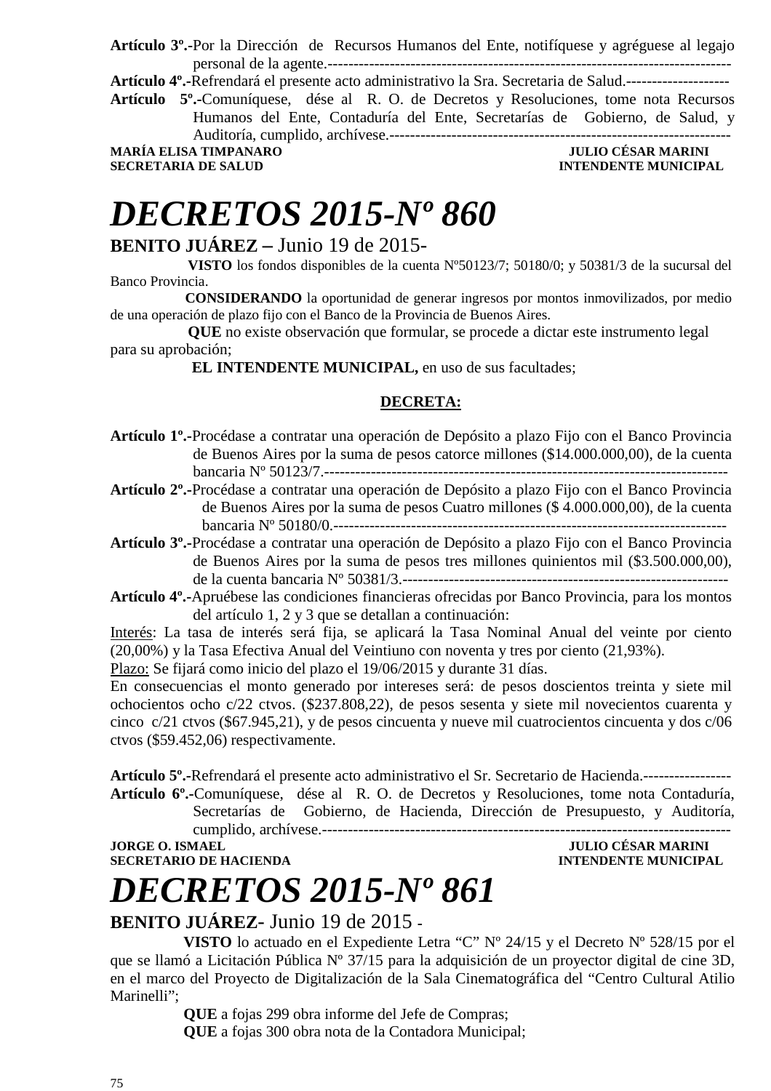**Artículo 3º.-**Por la Dirección de Recursos Humanos del Ente, notifíquese y agréguese al legajo personal de la agente.------------------------------------------------------------------------------

**Artículo 4º.-**Refrendará el presente acto administrativo la Sra. Secretaria de Salud.--------------------

**Artículo 5º.-**Comuníquese, dése al R. O. de Decretos y Resoluciones, tome nota Recursos Humanos del Ente, Contaduría del Ente, Secretarías de Gobierno, de Salud, y Auditoría, cumplido, archívese.------------------------------------------------------------------

MARÍA ELISA TIMPANARO <sup>–</sup> general de la contrasta de la contrasta de la contrasta de la contrasta de la contra<br>Intendente municipal

**INTENDENTE MUNICIPAL** 

# *DECRETOS 2015-Nº 860*

### **BENITO JUÁREZ –** Junio 19 de 2015-

 **VISTO** los fondos disponibles de la cuenta Nº50123/7; 50180/0; y 50381/3 de la sucursal del Banco Provincia.

 **CONSIDERANDO** la oportunidad de generar ingresos por montos inmovilizados, por medio de una operación de plazo fijo con el Banco de la Provincia de Buenos Aires.

 **QUE** no existe observación que formular, se procede a dictar este instrumento legal para su aprobación;

 **EL INTENDENTE MUNICIPAL,** en uso de sus facultades;

#### **DECRETA:**

**Artículo 1º.-**Procédase a contratar una operación de Depósito a plazo Fijo con el Banco Provincia de Buenos Aires por la suma de pesos catorce millones (\$14.000.000,00), de la cuenta bancaria Nº 50123/7.------------------------------------------------------------------------------

**Artículo 2º.-**Procédase a contratar una operación de Depósito a plazo Fijo con el Banco Provincia de Buenos Aires por la suma de pesos Cuatro millones (\$ 4.000.000,00), de la cuenta bancaria Nº 50180/0.----------------------------------------------------------------------------

**Artículo 3º.-**Procédase a contratar una operación de Depósito a plazo Fijo con el Banco Provincia de Buenos Aires por la suma de pesos tres millones quinientos mil (\$3.500.000,00), de la cuenta bancaria Nº 50381/3.---------------------------------------------------------------

**Artículo 4º.-**Apruébese las condiciones financieras ofrecidas por Banco Provincia, para los montos del artículo 1, 2 y 3 que se detallan a continuación:

Interés: La tasa de interés será fija, se aplicará la Tasa Nominal Anual del veinte por ciento (20,00%) y la Tasa Efectiva Anual del Veintiuno con noventa y tres por ciento (21,93%).

Plazo: Se fijará como inicio del plazo el 19/06/2015 y durante 31 días.

En consecuencias el monto generado por intereses será: de pesos doscientos treinta y siete mil ochocientos ocho c/22 ctvos. (\$237.808,22), de pesos sesenta y siete mil novecientos cuarenta y cinco c/21 ctvos (\$67.945,21), y de pesos cincuenta y nueve mil cuatrocientos cincuenta y dos c/06 ctvos (\$59.452,06) respectivamente.

**Artículo 5º.-**Refrendará el presente acto administrativo el Sr. Secretario de Hacienda.----------------- **Artículo 6º.-**Comuníquese, dése al R. O. de Decretos y Resoluciones, tome nota Contaduría, Secretarías de Gobierno, de Hacienda, Dirección de Presupuesto, y Auditoría, cumplido, archívese.-------------------------------------------------------------------------------

**SECRETARIO DE HACIENDA** 

### **JULIO CÉSAR MARINI<br>INTENDENTE MUNICIPAL**

## *DECRETOS 2015-Nº 861*

### **BENITO JUÁREZ**- Junio 19 de 2015 **-**

**VISTO** lo actuado en el Expediente Letra "C" Nº 24/15 y el Decreto Nº 528/15 por el que se llamó a Licitación Pública Nº 37/15 para la adquisición de un proyector digital de cine 3D, en el marco del Proyecto de Digitalización de la Sala Cinematográfica del "Centro Cultural Atilio Marinelli";

**QUE** a fojas 299 obra informe del Jefe de Compras;

**QUE** a fojas 300 obra nota de la Contadora Municipal;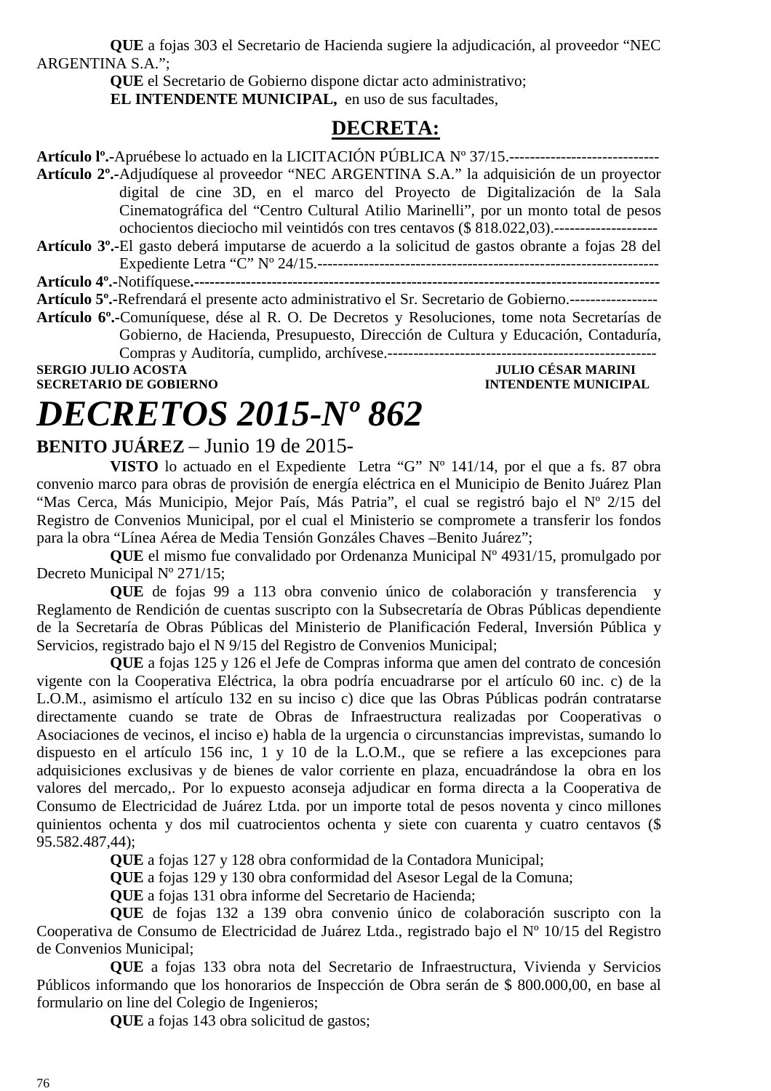**QUE** a fojas 303 el Secretario de Hacienda sugiere la adjudicación, al proveedor "NEC ARGENTINA S.A.";

**QUE** el Secretario de Gobierno dispone dictar acto administrativo;

**EL INTENDENTE MUNICIPAL,** en uso de sus facultades,

### **DECRETA:**

**Artículo lº.-**Apruébese lo actuado en la LICITACIÓN PÚBLICA Nº 37/15.----------------------------- **Artículo 2º.-**Adjudíquese al proveedor "NEC ARGENTINA S.A." la adquisición de un proyector digital de cine 3D, en el marco del Proyecto de Digitalización de la Sala Cinematográfica del "Centro Cultural Atilio Marinelli", por un monto total de pesos ochocientos dieciocho mil veintidós con tres centavos (\$ 818.022,03).--------------------

**Artículo 3º.-**El gasto deberá imputarse de acuerdo a la solicitud de gastos obrante a fojas 28 del Expediente Letra "C" Nº 24/15.------------------------------------------------------------------

**Artículo 4º.-**Notifíquese**.------------------------------------------------------------------------------------------** 

**Artículo 5º.-**Refrendará el presente acto administrativo el Sr. Secretario de Gobierno.-----------------

**Artículo 6º.-**Comuníquese, dése al R. O. De Decretos y Resoluciones, tome nota Secretarías de Gobierno, de Hacienda, Presupuesto, Dirección de Cultura y Educación, Contaduría, Compras y Auditoría, cumplido, archívese.----------------------------------------------------

**SECRETARIO DE GOBIERNO INTENDENTE MUNICIPAL** 

**SERGIO JULIO ACOSTA JULIO CÉSAR MARINI** 

# *DECRETOS 2015-Nº 862*

### **BENITO JUÁREZ** – Junio 19 de 2015-

**VISTO** lo actuado en el Expediente Letra "G" Nº 141/14, por el que a fs. 87 obra convenio marco para obras de provisión de energía eléctrica en el Municipio de Benito Juárez Plan "Mas Cerca, Más Municipio, Mejor País, Más Patria", el cual se registró bajo el Nº 2/15 del Registro de Convenios Municipal, por el cual el Ministerio se compromete a transferir los fondos para la obra "Línea Aérea de Media Tensión Gonzáles Chaves –Benito Juárez";

**QUE** el mismo fue convalidado por Ordenanza Municipal Nº 4931/15, promulgado por Decreto Municipal Nº 271/15;

**QUE** de fojas 99 a 113 obra convenio único de colaboración y transferencia y Reglamento de Rendición de cuentas suscripto con la Subsecretaría de Obras Públicas dependiente de la Secretaría de Obras Públicas del Ministerio de Planificación Federal, Inversión Pública y Servicios, registrado bajo el N 9/15 del Registro de Convenios Municipal;

**QUE** a fojas 125 y 126 el Jefe de Compras informa que amen del contrato de concesión vigente con la Cooperativa Eléctrica, la obra podría encuadrarse por el artículo 60 inc. c) de la L.O.M., asimismo el artículo 132 en su inciso c) dice que las Obras Públicas podrán contratarse directamente cuando se trate de Obras de Infraestructura realizadas por Cooperativas o Asociaciones de vecinos, el inciso e) habla de la urgencia o circunstancias imprevistas, sumando lo dispuesto en el artículo 156 inc, 1 y 10 de la L.O.M., que se refiere a las excepciones para adquisiciones exclusivas y de bienes de valor corriente en plaza, encuadrándose la obra en los valores del mercado,. Por lo expuesto aconseja adjudicar en forma directa a la Cooperativa de Consumo de Electricidad de Juárez Ltda. por un importe total de pesos noventa y cinco millones quinientos ochenta y dos mil cuatrocientos ochenta y siete con cuarenta y cuatro centavos (\$ 95.582.487,44);

**QUE** a fojas 127 y 128 obra conformidad de la Contadora Municipal;

**QUE** a fojas 129 y 130 obra conformidad del Asesor Legal de la Comuna;

**QUE** a fojas 131 obra informe del Secretario de Hacienda;

**QUE** de fojas 132 a 139 obra convenio único de colaboración suscripto con la Cooperativa de Consumo de Electricidad de Juárez Ltda., registrado bajo el Nº 10/15 del Registro de Convenios Municipal;

**QUE** a fojas 133 obra nota del Secretario de Infraestructura, Vivienda y Servicios Públicos informando que los honorarios de Inspección de Obra serán de \$ 800.000,00, en base al formulario on line del Colegio de Ingenieros;

**QUE** a fojas 143 obra solicitud de gastos;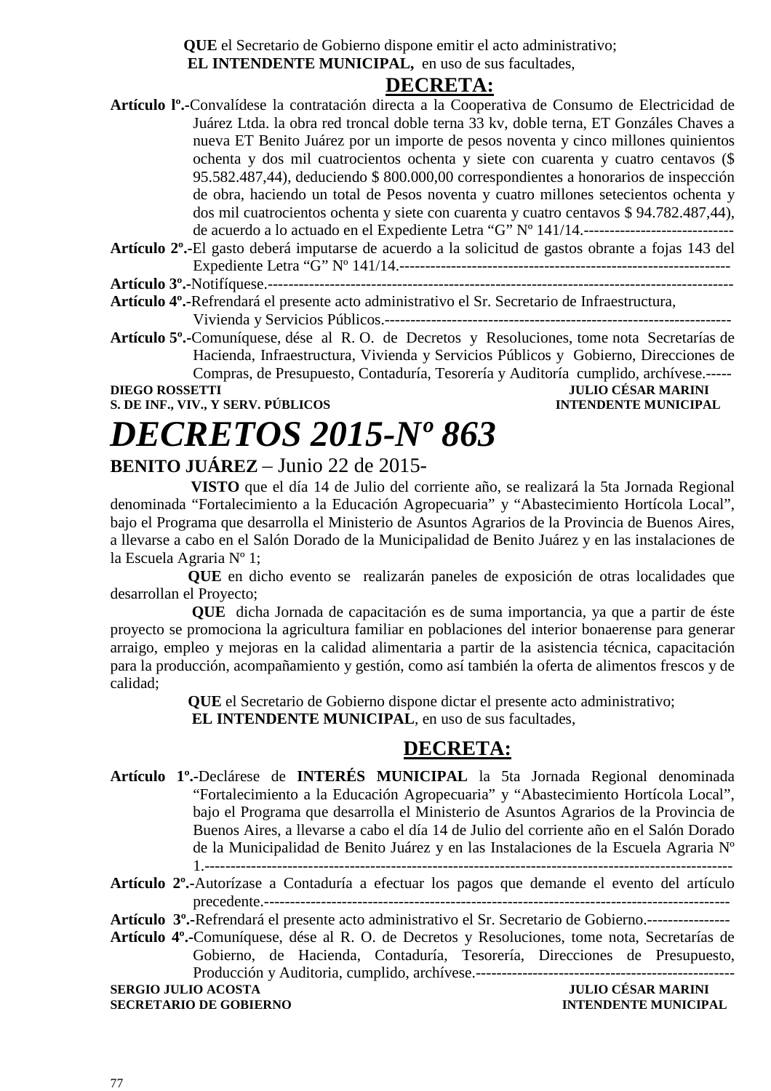**QUE** el Secretario de Gobierno dispone emitir el acto administrativo;  **EL INTENDENTE MUNICIPAL,** en uso de sus facultades,

#### **DECRETA:**

**Artículo lº.-**Convalídese la contratación directa a la Cooperativa de Consumo de Electricidad de Juárez Ltda. la obra red troncal doble terna 33 kv, doble terna, ET Gonzáles Chaves a nueva ET Benito Juárez por un importe de pesos noventa y cinco millones quinientos ochenta y dos mil cuatrocientos ochenta y siete con cuarenta y cuatro centavos (\$ 95.582.487,44), deduciendo \$ 800.000,00 correspondientes a honorarios de inspección de obra, haciendo un total de Pesos noventa y cuatro millones setecientos ochenta y dos mil cuatrocientos ochenta y siete con cuarenta y cuatro centavos \$ 94.782.487,44), de acuerdo a lo actuado en el Expediente Letra "G" Nº 141/14.-----------------------------

**Artículo 2º.-**El gasto deberá imputarse de acuerdo a la solicitud de gastos obrante a fojas 143 del Expediente Letra "G" Nº 141/14.----------------------------------------------------------------

**Artículo 3º.-**Notifíquese.------------------------------------------------------------------------------------------

**Artículo 4º.-**Refrendará el presente acto administrativo el Sr. Secretario de Infraestructura, Vivienda y Servicios Públicos.-------------------------------------------------------------------

**Artículo 5º.-**Comuníquese, dése al R. O. de Decretos y Resoluciones, tome nota Secretarías de Hacienda, Infraestructura, Vivienda y Servicios Públicos y Gobierno, Direcciones de Compras, de Presupuesto, Contaduría, Tesorería y Auditoría cumplido, archívese.-----

**S. DE INF., VIV., Y SERV. PÚBLICOS** 

### **DIEGO DE SAR MARINI<br>INTENDENTE MUNICIPAL**

# *DECRETOS 2015-Nº 863*

**BENITO JUÁREZ** – Junio 22 de 2015-

 **VISTO** que el día 14 de Julio del corriente año, se realizará la 5ta Jornada Regional denominada "Fortalecimiento a la Educación Agropecuaria" y "Abastecimiento Hortícola Local", bajo el Programa que desarrolla el Ministerio de Asuntos Agrarios de la Provincia de Buenos Aires, a llevarse a cabo en el Salón Dorado de la Municipalidad de Benito Juárez y en las instalaciones de la Escuela Agraria Nº 1;

 **QUE** en dicho evento se realizarán paneles de exposición de otras localidades que desarrollan el Proyecto;

 **QUE** dicha Jornada de capacitación es de suma importancia, ya que a partir de éste proyecto se promociona la agricultura familiar en poblaciones del interior bonaerense para generar arraigo, empleo y mejoras en la calidad alimentaria a partir de la asistencia técnica, capacitación para la producción, acompañamiento y gestión, como así también la oferta de alimentos frescos y de calidad;

> **QUE** el Secretario de Gobierno dispone dictar el presente acto administrativo;  **EL INTENDENTE MUNICIPAL**, en uso de sus facultades,

### **DECRETA:**

**Artículo 1º.-**Declárese de **INTERÉS MUNICIPAL** la 5ta Jornada Regional denominada "Fortalecimiento a la Educación Agropecuaria" y "Abastecimiento Hortícola Local", bajo el Programa que desarrolla el Ministerio de Asuntos Agrarios de la Provincia de Buenos Aires, a llevarse a cabo el día 14 de Julio del corriente año en el Salón Dorado de la Municipalidad de Benito Juárez y en las Instalaciones de la Escuela Agraria Nº 1.------------------------------------------------------------------------------------------------------

**Artículo 2º.-**Autorízase a Contaduría a efectuar los pagos que demande el evento del artículo precedente.------------------------------------------------------------------------------------------

**Artículo 3º.-**Refrendará el presente acto administrativo el Sr. Secretario de Gobierno.----------------

**Artículo 4º.-**Comuníquese, dése al R. O. de Decretos y Resoluciones, tome nota, Secretarías de Gobierno, de Hacienda, Contaduría, Tesorería, Direcciones de Presupuesto, Producción y Auditoria, cumplido, archívese.--------------------------------------------------

**SERGIO JULIO ACOSTA JULIO CÉSAR MARINI SECRETARIO DE GOBIERNO INTENDENTE MUNICIPAL**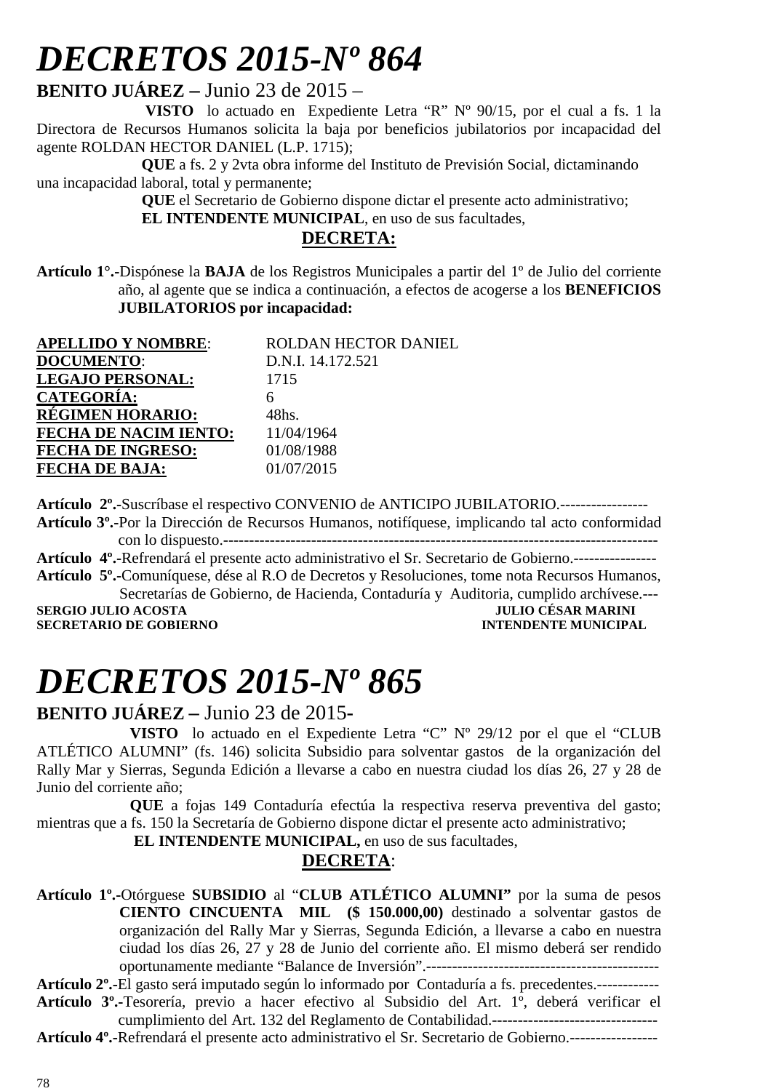**BENITO JUÁREZ –** Junio 23 de 2015 –

 **VISTO** lo actuado en Expediente Letra "R" Nº 90/15, por el cual a fs. 1 la Directora de Recursos Humanos solicita la baja por beneficios jubilatorios por incapacidad del agente ROLDAN HECTOR DANIEL (L.P. 1715);

 **QUE** a fs. 2 y 2vta obra informe del Instituto de Previsión Social, dictaminando una incapacidad laboral, total y permanente;

 **QUE** el Secretario de Gobierno dispone dictar el presente acto administrativo;  **EL INTENDENTE MUNICIPAL**, en uso de sus facultades,

### **DECRETA:**

**Artículo 1°.-**Dispónese la **BAJA** de los Registros Municipales a partir del 1º de Julio del corriente año, al agente que se indica a continuación, a efectos de acogerse a los **BENEFICIOS JUBILATORIOS por incapacidad:**

| <b>APELLIDO Y NOMBRE:</b>    | ROLDAN HECTOR DANIEL |
|------------------------------|----------------------|
| <b>DOCUMENTO:</b>            | D.N.I. 14.172.521    |
| <b>LEGAJO PERSONAL:</b>      | 1715                 |
| <b>CATEGORÍA:</b>            |                      |
| <b>RÉGIMEN HORARIO:</b>      | 48hs.                |
| <b>FECHA DE NACIM IENTO:</b> | 11/04/1964           |
| <b>FECHA DE INGRESO:</b>     | 01/08/1988           |
| <b>FECHA DE BAJA:</b>        | 01/07/2015           |
|                              |                      |

**Artículo 2º.-**Suscríbase el respectivo CONVENIO de ANTICIPO JUBILATORIO.----------------- **Artículo 3º.-**Por la Dirección de Recursos Humanos, notifíquese, implicando tal acto conformidad con lo dispuesto.------------------------------------------------------------------------------------

**Artículo 4º.-**Refrendará el presente acto administrativo el Sr. Secretario de Gobierno.----------------

**Artículo 5º.-**Comuníquese, dése al R.O de Decretos y Resoluciones, tome nota Recursos Humanos, Secretarías de Gobierno, de Hacienda, Contaduría y Auditoria, cumplido archívese.----<br>JULIO CÉSAR MARINI

**SERGIO JULIO ACOSTA JULIO CÉSAR MARINI SECRETARIO DE GOBIERNO** 

# *DECRETOS 2015-Nº 865*

**BENITO JUÁREZ –** Junio 23 de 2015**-** 

**VISTO** lo actuado en el Expediente Letra "C" Nº 29/12 por el que el "CLUB ATLÉTICO ALUMNI" (fs. 146) solicita Subsidio para solventar gastos de la organización del Rally Mar y Sierras, Segunda Edición a llevarse a cabo en nuestra ciudad los días 26, 27 y 28 de Junio del corriente año;

**QUE** a fojas 149 Contaduría efectúa la respectiva reserva preventiva del gasto; mientras que a fs. 150 la Secretaría de Gobierno dispone dictar el presente acto administrativo;

 **EL INTENDENTE MUNICIPAL,** en uso de sus facultades,

### **DECRETA**:

**Artículo 1º.-**Otórguese **SUBSIDIO** al "**CLUB ATLÉTICO ALUMNI"** por la suma de pesos **CIENTO CINCUENTA MIL (\$ 150.000,00)** destinado a solventar gastos de organización del Rally Mar y Sierras, Segunda Edición, a llevarse a cabo en nuestra ciudad los días 26, 27 y 28 de Junio del corriente año. El mismo deberá ser rendido oportunamente mediante "Balance de Inversión".---------------------------------------------

**Artículo 2º.-**El gasto será imputado según lo informado por Contaduría a fs. precedentes.------------ **Artículo 3º.-**Tesorería, previo a hacer efectivo al Subsidio del Art. 1º, deberá verificar el

cumplimiento del Art. 132 del Reglamento de Contabilidad.-------------------------------- **Artículo 4º.-**Refrendará el presente acto administrativo el Sr. Secretario de Gobierno.-----------------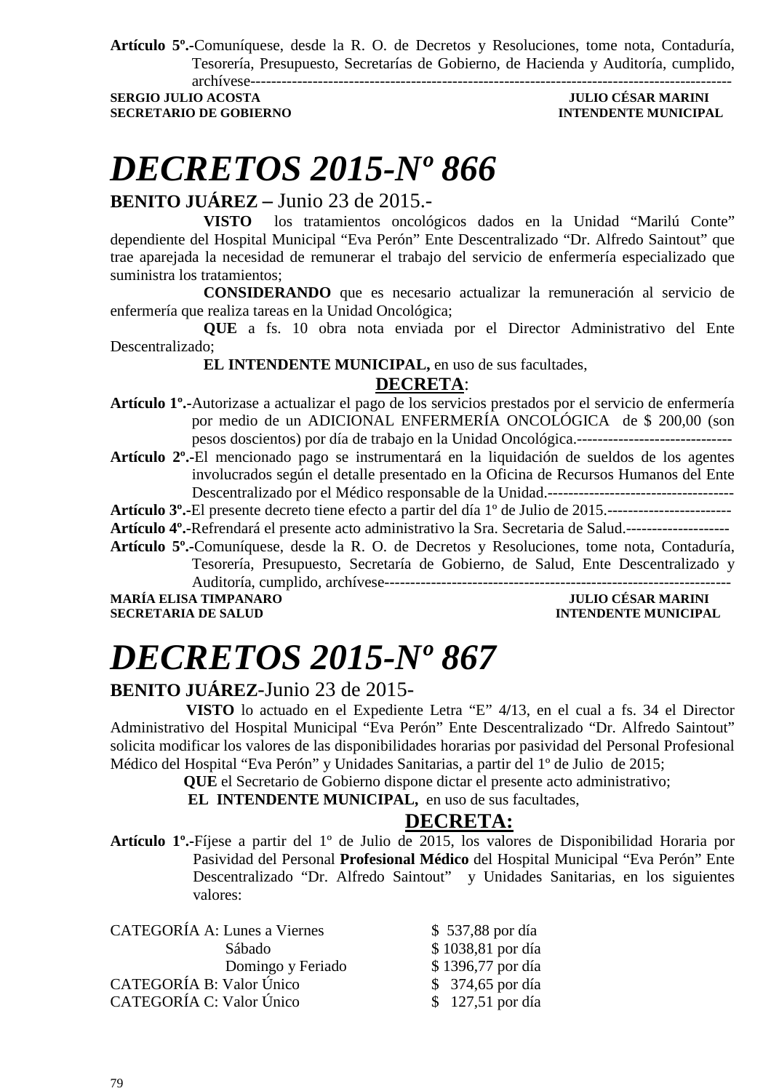**Artículo 5º.-**Comuníquese, desde la R. O. de Decretos y Resoluciones, tome nota, Contaduría, Tesorería, Presupuesto, Secretarías de Gobierno, de Hacienda y Auditoría, cumplido, archívese---------------------------------------------------------------------------------------------

**SERGIO JULIO ACOSTA JULIO CÉSAR MARINI SECRETARIO DE GOBIERNO INTENDENTE MUNICIPAL** 

## *DECRETOS 2015-Nº 866*

**BENITO JUÁREZ –** Junio 23 de 2015.-

**VISTO** los tratamientos oncológicos dados en la Unidad "Marilú Conte" dependiente del Hospital Municipal "Eva Perón" Ente Descentralizado "Dr. Alfredo Saintout" que trae aparejada la necesidad de remunerar el trabajo del servicio de enfermería especializado que suministra los tratamientos;

**CONSIDERANDO** que es necesario actualizar la remuneración al servicio de enfermería que realiza tareas en la Unidad Oncológica;

**QUE** a fs. 10 obra nota enviada por el Director Administrativo del Ente Descentralizado;

 **EL INTENDENTE MUNICIPAL,** en uso de sus facultades,

#### **DECRETA**:

- **Artículo 1º.-**Autorizase a actualizar el pago de los servicios prestados por el servicio de enfermería por medio de un ADICIONAL ENFERMERÍA ONCOLÓGICA de \$ 200,00 (son pesos doscientos) por día de trabajo en la Unidad Oncológica.------------------------------
- **Artículo 2º.-**El mencionado pago se instrumentará en la liquidación de sueldos de los agentes involucrados según el detalle presentado en la Oficina de Recursos Humanos del Ente Descentralizado por el Médico responsable de la Unidad.------------------------------------

**Artículo 3º.-**El presente decreto tiene efecto a partir del día 1º de Julio de 2015.------------------------

**Artículo 4º.-**Refrendará el presente acto administrativo la Sra. Secretaria de Salud.--------------------

**Artículo 5º.-**Comuníquese, desde la R. O. de Decretos y Resoluciones, tome nota, Contaduría, Tesorería, Presupuesto, Secretaría de Gobierno, de Salud, Ente Descentralizado y Auditoría, cumplido, archívese-------------------------------------------------------------------

**MARÍA ELISA TIMPANARO JULIO CÉSAR MARINI SECRETARIA DE SALUD INTENDENTE MUNICIPAL** 

# *DECRETOS 2015-Nº 867*

### **BENITO JUÁREZ**-Junio 23 de 2015-

 **VISTO** lo actuado en el Expediente Letra "E" 4**/**13, en el cual a fs. 34 el Director Administrativo del Hospital Municipal "Eva Perón" Ente Descentralizado "Dr. Alfredo Saintout" solicita modificar los valores de las disponibilidades horarias por pasividad del Personal Profesional Médico del Hospital "Eva Perón" y Unidades Sanitarias, a partir del 1º de Julio de 2015;

**QUE** el Secretario de Gobierno dispone dictar el presente acto administrativo;

**EL INTENDENTE MUNICIPAL,** en uso de sus facultades,

### **DECRETA:**

**Artículo 1º.-**Fíjese a partir del 1º de Julio de 2015, los valores de Disponibilidad Horaria por Pasividad del Personal **Profesional Médico** del Hospital Municipal "Eva Perón" Ente Descentralizado "Dr. Alfredo Saintout" y Unidades Sanitarias, en los siguientes valores:

| CATEGORÍA A: Lunes a Viernes | \$537,88 por día  |
|------------------------------|-------------------|
| Sábado                       | \$1038,81 por día |
| Domingo y Feriado            | \$1396,77 por día |
| CATEGORÍA B: Valor Único     | \$ 374,65 por día |
| CATEGORÍA C: Valor Único     | $$127,51$ por día |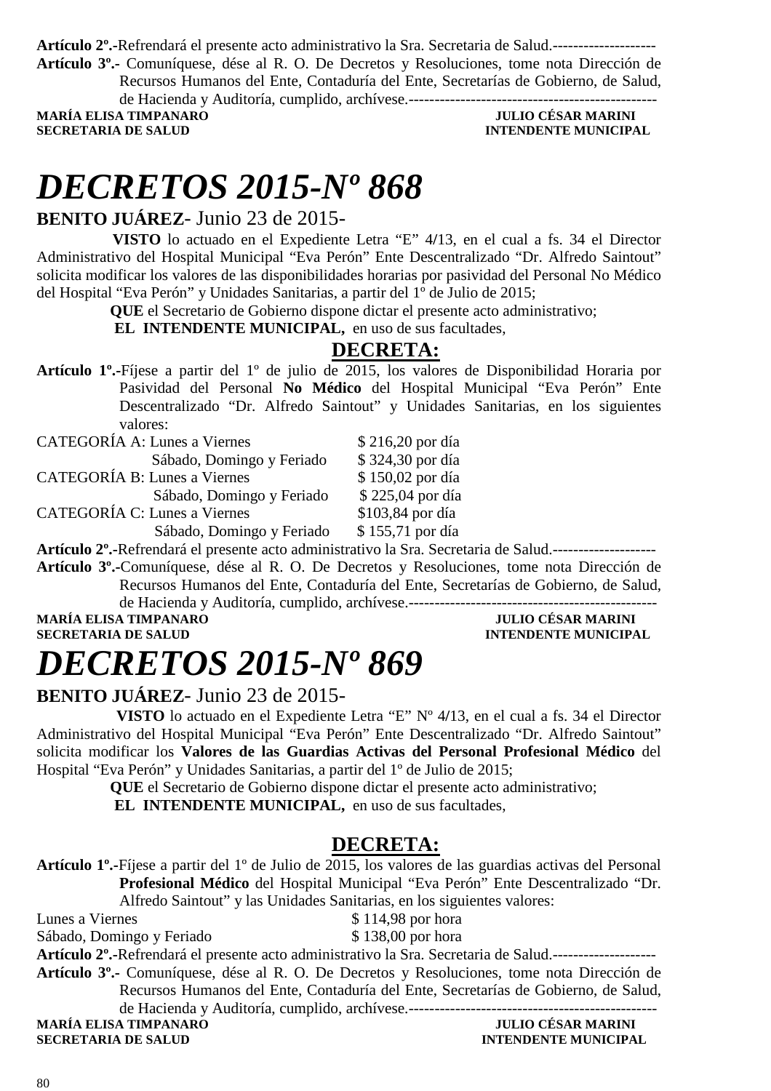**Artículo 2º.-**Refrendará el presente acto administrativo la Sra. Secretaria de Salud.--------------------

**Artículo 3º.-** Comuníquese, dése al R. O. De Decretos y Resoluciones, tome nota Dirección de Recursos Humanos del Ente, Contaduría del Ente, Secretarías de Gobierno, de Salud, de Hacienda y Auditoría, cumplido, archívese.------------------------------------------------

**MARÍA ELISA TIMPANARO JULIO CÉSAR MARINI SECRETARIA DE SALUD INTENDENTE MUNICIPAL** 

## *DECRETOS 2015-Nº 868*

### **BENITO JUÁREZ**- Junio 23 de 2015-

 **VISTO** lo actuado en el Expediente Letra "E" 4**/**13, en el cual a fs. 34 el Director Administrativo del Hospital Municipal "Eva Perón" Ente Descentralizado "Dr. Alfredo Saintout" solicita modificar los valores de las disponibilidades horarias por pasividad del Personal No Médico del Hospital "Eva Perón" y Unidades Sanitarias, a partir del 1º de Julio de 2015;

**QUE** el Secretario de Gobierno dispone dictar el presente acto administrativo;

**EL INTENDENTE MUNICIPAL,** en uso de sus facultades,

### **DECRETA:**

**Artículo 1º.-**Fíjese a partir del 1º de julio de 2015, los valores de Disponibilidad Horaria por Pasividad del Personal **No Médico** del Hospital Municipal "Eva Perón" Ente Descentralizado "Dr. Alfredo Saintout" y Unidades Sanitarias, en los siguientes valores:

| CATEGORÍA A: Lunes a Viernes        | \$216,20 por día |
|-------------------------------------|------------------|
| Sábado, Domingo y Feriado           | \$324,30 por día |
| <b>CATEGORÍA B: Lunes a Viernes</b> | \$150,02 por día |
| Sábado, Domingo y Feriado           | \$225,04 por día |
| <b>CATEGORÍA C: Lunes a Viernes</b> | \$103,84 por día |
| Sábado, Domingo y Feriado           | \$155,71 por día |

**Artículo 2º.-**Refrendará el presente acto administrativo la Sra. Secretaria de Salud.--------------------

**Artículo 3º.-**Comuníquese, dése al R. O. De Decretos y Resoluciones, tome nota Dirección de Recursos Humanos del Ente, Contaduría del Ente, Secretarías de Gobierno, de Salud, de Hacienda y Auditoría, cumplido, archívese.------------------------------------------------

**MARÍA ELISA TIMPANARO<br>SECRETARIA DE SALUD** 

**INTENDENTE MUNICIPAL** 

# *DECRETOS 2015-Nº 869*

### **BENITO JUÁREZ**- Junio 23 de 2015-

 **VISTO** lo actuado en el Expediente Letra "E" Nº 4**/**13, en el cual a fs. 34 el Director Administrativo del Hospital Municipal "Eva Perón" Ente Descentralizado "Dr. Alfredo Saintout" solicita modificar los **Valores de las Guardias Activas del Personal Profesional Médico** del Hospital "Eva Perón" y Unidades Sanitarias, a partir del 1º de Julio de 2015;

**QUE** el Secretario de Gobierno dispone dictar el presente acto administrativo;

**EL INTENDENTE MUNICIPAL,** en uso de sus facultades,

### **DECRETA:**

**Artículo 1º.-**Fíjese a partir del 1º de Julio de 2015, los valores de las guardias activas del Personal **Profesional Médico** del Hospital Municipal "Eva Perón" Ente Descentralizado "Dr. Alfredo Saintout" y las Unidades Sanitarias, en los siguientes valores: Lunes a Viernes  $$ 114.98$  por hora Sábado, Domingo y Feriado \$138,00 por hora **Artículo 2º.-**Refrendará el presente acto administrativo la Sra. Secretaria de Salud.-------------------- **Artículo 3º.-** Comuníquese, dése al R. O. De Decretos y Resoluciones, tome nota Dirección de Recursos Humanos del Ente, Contaduría del Ente, Secretarías de Gobierno, de Salud,

de Hacienda y Auditoría, cumplido, archívese.------------------------------------------------ **MARÍA ELISA TIMPANARO JULIO CÉSAR MARINI** 

**SECRETARIA DE SALUD INTENDENTE MUNICIPAL**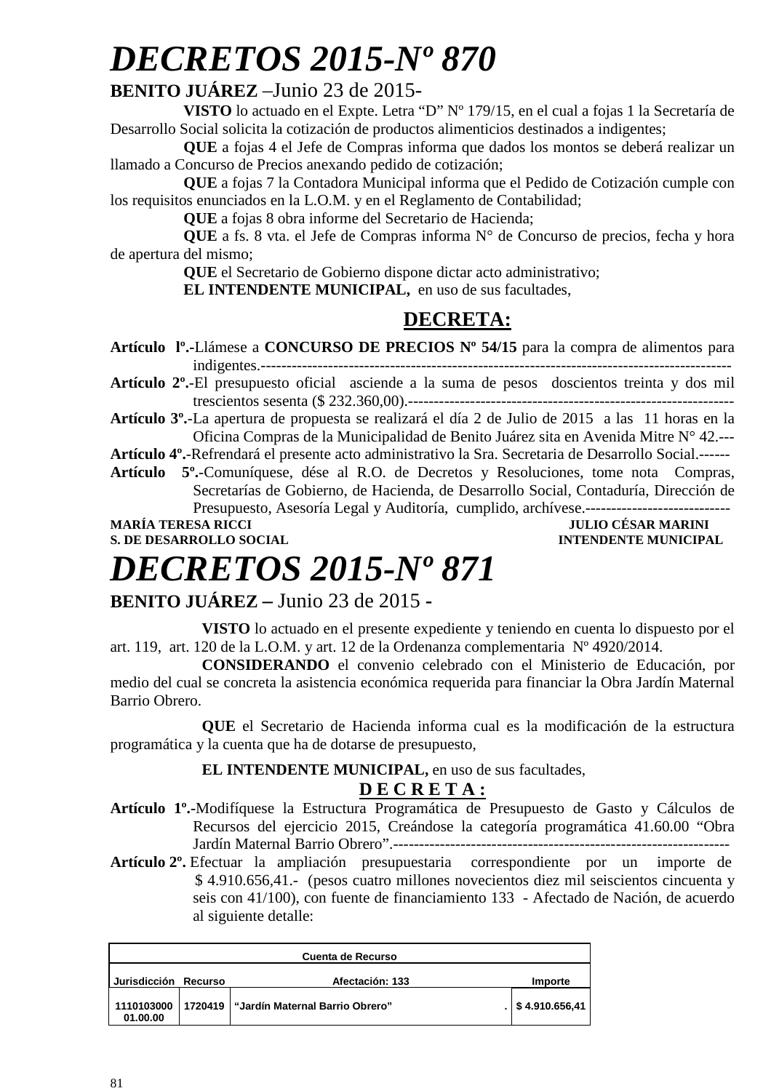### **BENITO JUÁREZ** –Junio 23 de 2015-

**VISTO** lo actuado en el Expte. Letra "D" Nº 179/15, en el cual a fojas 1 la Secretaría de Desarrollo Social solicita la cotización de productos alimenticios destinados a indigentes;

**QUE** a fojas 4 el Jefe de Compras informa que dados los montos se deberá realizar un llamado a Concurso de Precios anexando pedido de cotización;

**QUE** a fojas 7 la Contadora Municipal informa que el Pedido de Cotización cumple con los requisitos enunciados en la L.O.M. y en el Reglamento de Contabilidad;

**QUE** a fojas 8 obra informe del Secretario de Hacienda;

**QUE** a fs. 8 vta. el Jefe de Compras informa N° de Concurso de precios, fecha y hora de apertura del mismo;

**QUE** el Secretario de Gobierno dispone dictar acto administrativo;

**EL INTENDENTE MUNICIPAL,** en uso de sus facultades,

### **DECRETA:**

- **Artículo lº.-**Llámese a **CONCURSO DE PRECIOS Nº 54/15** para la compra de alimentos para indigentes.-------------------------------------------------------------------------------------------
- **Artículo 2º.**-El presupuesto oficial asciende a la suma de pesos doscientos treinta y dos mil trescientos sesenta (\$ 232.360,00).---------------------------------------------------------------
- **Artículo 3º.**-La apertura de propuesta se realizará el día 2 de Julio de 2015 a las 11 horas en la Oficina Compras de la Municipalidad de Benito Juárez sita en Avenida Mitre N° 42.---

**Artículo 4º.**-Refrendará el presente acto administrativo la Sra. Secretaria de Desarrollo Social.------

- **Artículo 5º.**-Comuníquese, dése al R.O. de Decretos y Resoluciones, tome nota Compras, Secretarías de Gobierno, de Hacienda, de Desarrollo Social, Contaduría, Dirección de Presupuesto, Asesoría Legal y Auditoría, cumplido, archívese.--------------------------**MARÍA TERESA RICCI JULIO CÉSAR MARINI**
- 

**S. DE DESARROLLO SOCIAL CONSUMING A LOCAL CONSUMING A LOCAL CONSUMING A LOCAL CONSUMING A LOCAL CONSUMING A LOCAL CONSUMING A LOCAL CONSUMING A LOCAL CONSUMING A LOCAL CONSUMING A LOCAL CONSUMING A LOCAL CONSUMING A LOCAL** 

# *DECRETOS 2015-Nº 871*

**BENITO JUÁREZ –** Junio 23 de 2015 **-** 

 **VISTO** lo actuado en el presente expediente y teniendo en cuenta lo dispuesto por el art. 119, art. 120 de la L.O.M. y art. 12 de la Ordenanza complementaria Nº 4920/2014.

**CONSIDERANDO** el convenio celebrado con el Ministerio de Educación, por medio del cual se concreta la asistencia económica requerida para financiar la Obra Jardín Maternal Barrio Obrero.

**QUE** el Secretario de Hacienda informa cual es la modificación de la estructura programática y la cuenta que ha de dotarse de presupuesto,

**EL INTENDENTE MUNICIPAL,** en uso de sus facultades,

### **D E C R E T A :**

- **Artículo 1º.-**Modifíquese la Estructura Programática de Presupuesto de Gasto y Cálculos de Recursos del ejercicio 2015, Creándose la categoría programática 41.60.00 "Obra Jardín Maternal Barrio Obrero".-----------------------------------------------------------------
- **Artículo 2º.** Efectuar la ampliación presupuestaria correspondiente por un importe de \$ 4.910.656,41.- (pesos cuatro millones novecientos diez mil seiscientos cincuenta y seis con 41/100), con fuente de financiamiento 133 - Afectado de Nación, de acuerdo al siguiente detalle:

| <b>Cuenta de Recurso</b> |  |                                           |                    |
|--------------------------|--|-------------------------------------------|--------------------|
| Jurisdicción Recurso     |  | Afectación: 133                           | Importe            |
| 1110103000<br>01.00.00   |  | 1720419   "Jardín Maternal Barrio Obrero" | $.$ \$4.910.656,41 |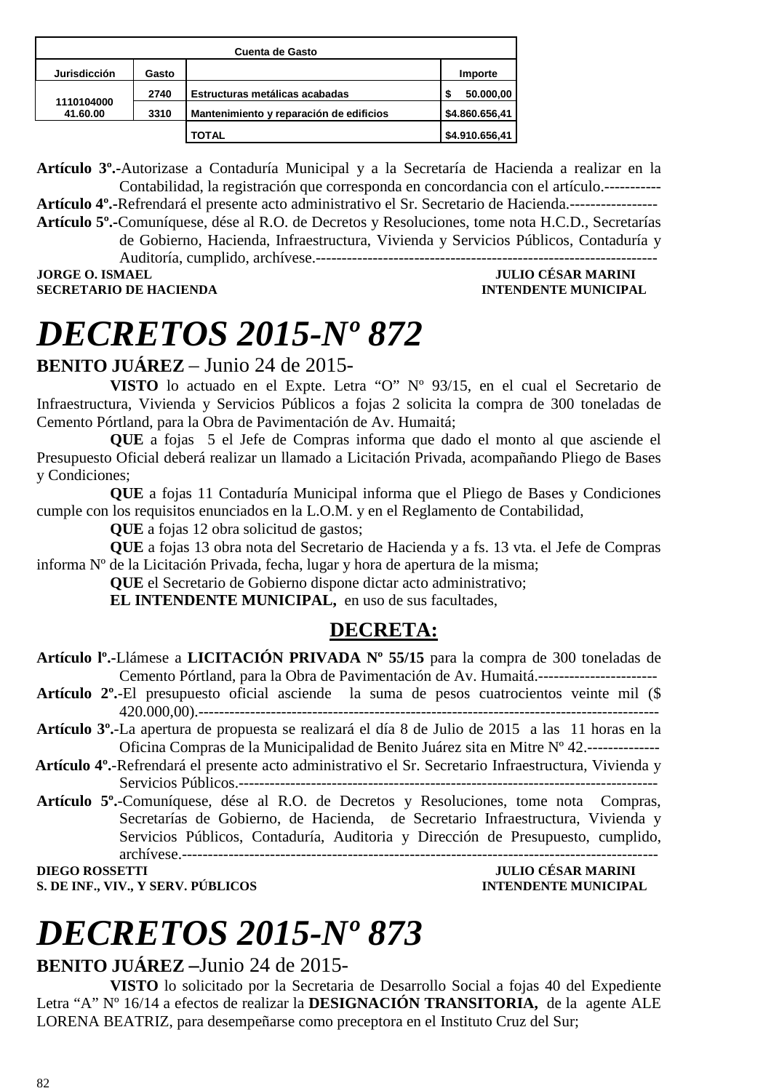| Cuenta de Gasto        |       |                                         |                |
|------------------------|-------|-----------------------------------------|----------------|
| <b>Jurisdicción</b>    | Gasto |                                         | Importe        |
|                        | 2740  | Estructuras metálicas acabadas          | 50.000,00      |
| 1110104000<br>41.60.00 | 3310  | Mantenimiento y reparación de edificios | \$4.860.656,41 |
|                        |       | <b>TOTAL</b>                            | \$4.910.656,41 |

**Artículo 3º.-**Autorizase a Contaduría Municipal y a la Secretaría de Hacienda a realizar en la Contabilidad, la registración que corresponda en concordancia con el artículo.----------- **Artículo 4º.-**Refrendará el presente acto administrativo el Sr. Secretario de Hacienda.----------------- **Artículo 5º.-**Comuníquese, dése al R.O. de Decretos y Resoluciones, tome nota H.C.D., Secretarías

de Gobierno, Hacienda, Infraestructura, Vivienda y Servicios Públicos, Contaduría y

Auditoría, cumplido, archívese.------------------------------------------------------------------

**SECRETARIO DE HACIENDA** 

### **JULIO CÉSAR MARINI<br>INTENDENTE MUNICIPAL**

# *DECRETOS 2015-Nº 872*

### **BENITO JUÁREZ** – Junio 24 de 2015-

**VISTO** lo actuado en el Expte. Letra "O" Nº 93/15, en el cual el Secretario de Infraestructura, Vivienda y Servicios Públicos a fojas 2 solicita la compra de 300 toneladas de Cemento Pórtland, para la Obra de Pavimentación de Av. Humaitá;

**QUE** a fojas 5 el Jefe de Compras informa que dado el monto al que asciende el Presupuesto Oficial deberá realizar un llamado a Licitación Privada, acompañando Pliego de Bases y Condiciones;

**QUE** a fojas 11 Contaduría Municipal informa que el Pliego de Bases y Condiciones cumple con los requisitos enunciados en la L.O.M. y en el Reglamento de Contabilidad,

**QUE** a fojas 12 obra solicitud de gastos;

**QUE** a fojas 13 obra nota del Secretario de Hacienda y a fs. 13 vta. el Jefe de Compras informa Nº de la Licitación Privada, fecha, lugar y hora de apertura de la misma;

**QUE** el Secretario de Gobierno dispone dictar acto administrativo;

**EL INTENDENTE MUNICIPAL,** en uso de sus facultades,

### **DECRETA:**

**Artículo 2º.**-El presupuesto oficial asciende la suma de pesos cuatrocientos veinte mil (\$ 420.000,00).-----------------------------------------------------------------------------------------

- **Artículo 3º.**-La apertura de propuesta se realizará el día 8 de Julio de 2015 a las 11 horas en la Oficina Compras de la Municipalidad de Benito Juárez sita en Mitre Nº 42.--------------
- **Artículo 4º.**-Refrendará el presente acto administrativo el Sr. Secretario Infraestructura, Vivienda y Servicios Públicos.---------------------------------------------------------------------------------
- **Artículo 5º.**-Comuníquese, dése al R.O. de Decretos y Resoluciones, tome nota Compras, Secretarías de Gobierno, de Hacienda, de Secretario Infraestructura, Vivienda y Servicios Públicos, Contaduría, Auditoria y Dirección de Presupuesto, cumplido, archívese.--------------------------------------------------------------------------------------------

**DIEGO ROSSETTI JULIO CÉSAR MARINI S. DE INF., VIV., Y SERV. PÚBLICOS** 

# *DECRETOS 2015-Nº 873*

### **BENITO JUÁREZ –**Junio 24 de 2015-

**VISTO** lo solicitado por la Secretaria de Desarrollo Social a fojas 40 del Expediente Letra "A" Nº 16/14 a efectos de realizar la **DESIGNACIÓN TRANSITORIA,** de la agente ALE LORENA BEATRIZ, para desempeñarse como preceptora en el Instituto Cruz del Sur;

**Artículo lº.-**Llámese a **LICITACIÓN PRIVADA Nº 55/15** para la compra de 300 toneladas de Cemento Pórtland, para la Obra de Pavimentación de Av. Humaitá.-----------------------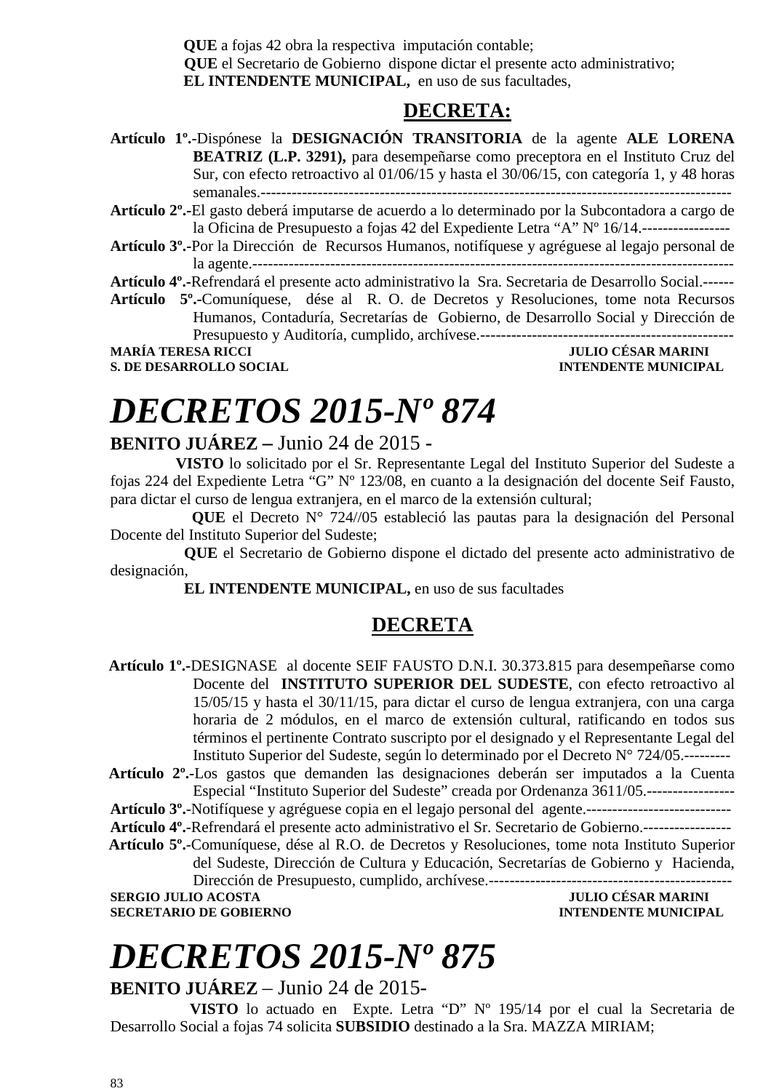**QUE** a fojas 42 obra la respectiva imputación contable;  **QUE** el Secretario de Gobierno dispone dictar el presente acto administrativo; **EL INTENDENTE MUNICIPAL,** en uso de sus facultades,

### **DECRETA:**

- **Artículo 1º.-**Dispónese la **DESIGNACIÓN TRANSITORIA** de la agente **ALE LORENA BEATRIZ (L.P. 3291),** para desempeñarse como preceptora en el Instituto Cruz del Sur, con efecto retroactivo al 01/06/15 y hasta el 30/06/15, con categoría 1, y 48 horas semanales.-------------------------------------------------------------------------------------------
- **Artículo 2º.-**El gasto deberá imputarse de acuerdo a lo determinado por la Subcontadora a cargo de la Oficina de Presupuesto a fojas 42 del Expediente Letra "A" Nº 16/14.-----------------
- **Artículo 3º.-**Por la Dirección de Recursos Humanos, notifíquese y agréguese al legajo personal de la agente.---------------------------------------------------------------------------------------------

**Artículo 4º.-**Refrendará el presente acto administrativo la Sra. Secretaria de Desarrollo Social.------

**Artículo 5º.-**Comuníquese, dése al R. O. de Decretos y Resoluciones, tome nota Recursos Humanos, Contaduría, Secretarías de Gobierno, de Desarrollo Social y Dirección de Presupuesto y Auditoría, cumplido, archívese.-------------------------------------------------

**MARÍA TERESA RICCI JULIO CÉSAR MARINI** 

**S. DE DESARROLLO SOCIAL CONSUMING A LOCAL CONSUMING A LOCAL CONSUMING A LOCAL CONSUMING A LOCAL CONSUMING A LOCAL CONSUMING A LOCAL CONSUMING A LOCAL CONSUMING A LOCAL CONSUMING A LOCAL CONSUMING A LOCAL CONSUMING A LOCAL** 

# *DECRETOS 2015-Nº 874*

### **BENITO JUÁREZ –** Junio 24 de 2015 **-**

 **VISTO** lo solicitado por el Sr. Representante Legal del Instituto Superior del Sudeste a fojas 224 del Expediente Letra "G" Nº 123/08, en cuanto a la designación del docente Seif Fausto, para dictar el curso de lengua extranjera, en el marco de la extensión cultural;

 **QUE** el Decreto N° 724//05 estableció las pautas para la designación del Personal Docente del Instituto Superior del Sudeste;

 **QUE** el Secretario de Gobierno dispone el dictado del presente acto administrativo de designación,

**EL INTENDENTE MUNICIPAL,** en uso de sus facultades

### **DECRETA**

- **Artículo 1º.-**DESIGNASE al docente SEIF FAUSTO D.N.I. 30.373.815 para desempeñarse como Docente del **INSTITUTO SUPERIOR DEL SUDESTE**, con efecto retroactivo al 15/05/15 y hasta el 30/11/15, para dictar el curso de lengua extranjera, con una carga horaria de 2 módulos, en el marco de extensión cultural, ratificando en todos sus términos el pertinente Contrato suscripto por el designado y el Representante Legal del Instituto Superior del Sudeste, según lo determinado por el Decreto N° 724/05.---------
- **Artículo 2º.-**Los gastos que demanden las designaciones deberán ser imputados a la Cuenta Especial "Instituto Superior del Sudeste" creada por Ordenanza 3611/05.-----------------

**Artículo 3º.**-Notifíquese y agréguese copia en el legajo personal del agente.----------------------------

**Artículo 4º.**-Refrendará el presente acto administrativo el Sr. Secretario de Gobierno.-----------------

 **Artículo 5º.**-Comuníquese, dése al R.O. de Decretos y Resoluciones, tome nota Instituto Superior del Sudeste, Dirección de Cultura y Educación, Secretarías de Gobierno y Hacienda,

Dirección de Presupuesto, cumplido, archívese.----------------------------------------------- **SERGIO JULIO ACOSTA** 

**SECRETARIO DE GOBIERNO INTENDENTE MUNICIPAL** 

# *DECRETOS 2015-Nº 875*

**BENITO JUÁREZ** – Junio 24 de 2015-

 **VISTO** lo actuado en Expte. Letra "D" Nº 195/14 por el cual la Secretaria de Desarrollo Social a fojas 74 solicita **SUBSIDIO** destinado a la Sra. MAZZA MIRIAM;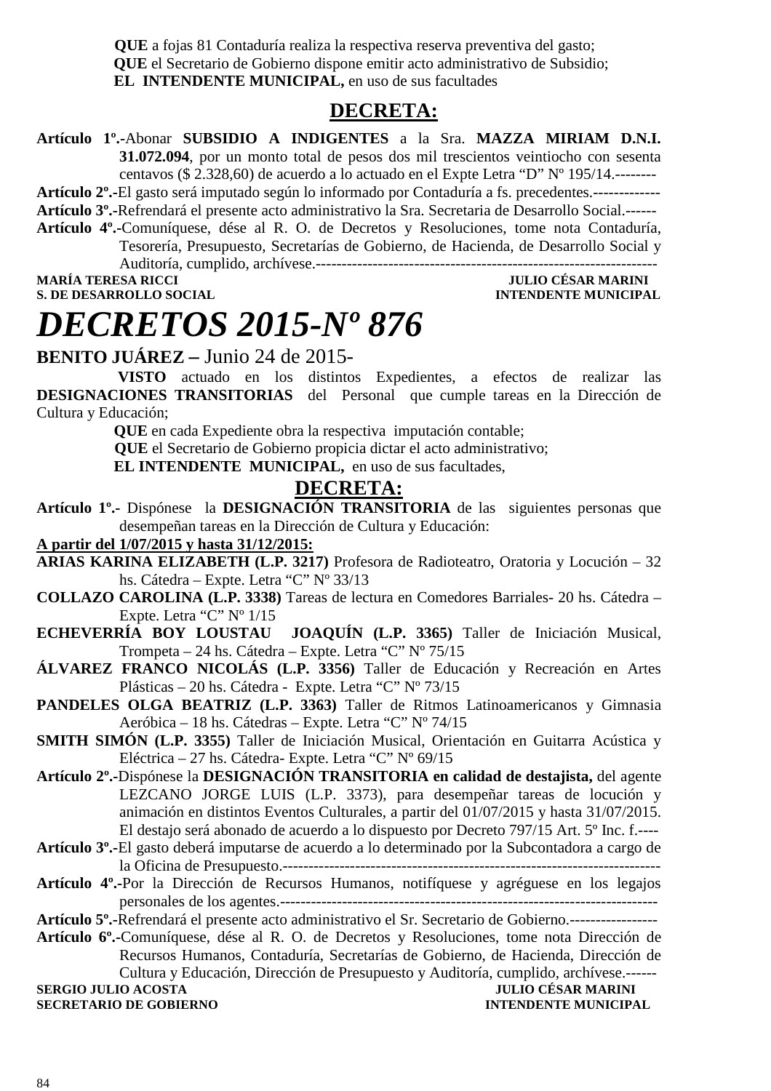**QUE** a fojas 81 Contaduría realiza la respectiva reserva preventiva del gasto;  **QUE** el Secretario de Gobierno dispone emitir acto administrativo de Subsidio;  **EL INTENDENTE MUNICIPAL,** en uso de sus facultades

### **DECRETA:**

**Artículo 1º.-**Abonar **SUBSIDIO A INDIGENTES** a la Sra. **MAZZA MIRIAM D.N.I. 31.072.094**, por un monto total de pesos dos mil trescientos veintiocho con sesenta centavos (\$ 2.328,60) de acuerdo a lo actuado en el Expte Letra "D" Nº 195/14.--------

**Artículo 2º.-**El gasto será imputado según lo informado por Contaduría a fs. precedentes.-------------

- **Artículo 3º.-**Refrendará el presente acto administrativo la Sra. Secretaria de Desarrollo Social.------
- **Artículo 4º.-**Comuníquese, dése al R. O. de Decretos y Resoluciones, tome nota Contaduría, Tesorería, Presupuesto, Secretarías de Gobierno, de Hacienda, de Desarrollo Social y Auditoría, cumplido, archívese.------------------------------------------------------------------

#### **MARÍA TERESA RICCI JULIO CÉSAR MARINI S. DE DESARROLLO SOCIAL INTENDENTE MUNICIPAL**

# *DECRETOS 2015-Nº 876*

**BENITO JUÁREZ –** Junio 24 de 2015-

 **VISTO** actuado en los distintos Expedientes, a efectos de realizar las **DESIGNACIONES TRANSITORIAS** del Personal que cumple tareas en la Dirección de Cultura y Educación;

 **QUE** en cada Expediente obra la respectiva imputación contable;

 **QUE** el Secretario de Gobierno propicia dictar el acto administrativo;

 **EL INTENDENTE MUNICIPAL,** en uso de sus facultades,

### **DECRETA:**

**Artículo 1º.-** Dispónese la **DESIGNACIÓN TRANSITORIA** de las siguientes personas que desempeñan tareas en la Dirección de Cultura y Educación:

### **A partir del 1/07/2015 y hasta 31/12/2015:**

- **ARIAS KARINA ELIZABETH (L.P. 3217)** Profesora de Radioteatro, Oratoria y Locución 32 hs. Cátedra – Expte. Letra "C" Nº 33/13
- **COLLAZO CAROLINA (L.P. 3338)** Tareas de lectura en Comedores Barriales- 20 hs. Cátedra Expte. Letra "C" Nº 1/15
- **ECHEVERRÍA BOY LOUSTAU JOAQUÍN (L.P. 3365)** Taller de Iniciación Musical, Trompeta – 24 hs. Cátedra – Expte. Letra "C" Nº 75/15
- **ÁLVAREZ FRANCO NICOLÁS (L.P. 3356)** Taller de Educación y Recreación en Artes Plásticas – 20 hs. Cátedra - Expte. Letra "C" Nº 73/15
- **PANDELES OLGA BEATRIZ (L.P. 3363)** Taller de Ritmos Latinoamericanos y Gimnasia Aeróbica – 18 hs. Cátedras – Expte. Letra "C" Nº 74/15
- **SMITH SIMÓN (L.P. 3355)** Taller de Iniciación Musical, Orientación en Guitarra Acústica y Eléctrica – 27 hs. Cátedra- Expte. Letra "C" Nº 69/15
- **Artículo 2º.-**Dispónese la **DESIGNACIÓN TRANSITORIA en calidad de destajista,** del agente LEZCANO JORGE LUIS (L.P. 3373), para desempeñar tareas de locución y animación en distintos Eventos Culturales, a partir del 01/07/2015 y hasta 31/07/2015. El destajo será abonado de acuerdo a lo dispuesto por Decreto 797/15 Art. 5º Inc. f.----
- **Artículo 3º.-**El gasto deberá imputarse de acuerdo a lo determinado por la Subcontadora a cargo de la Oficina de Presupuesto.-------------------------------------------------------------------------
- **Artículo 4º.-**Por la Dirección de Recursos Humanos, notifíquese y agréguese en los legajos personales de los agentes.-------------------------------------------------------------------------

**Artículo 5º.-**Refrendará el presente acto administrativo el Sr. Secretario de Gobierno.-----------------

**Artículo 6º.-**Comuníquese, dése al R. O. de Decretos y Resoluciones, tome nota Dirección de Recursos Humanos, Contaduría, Secretarías de Gobierno, de Hacienda, Dirección de Cultura y Educación, Dirección de Presupuesto y Auditoría, cumplido, archívese.------ **SERGIO JULIO ACOSTA JULIO CÉSAR MARINI** 

**SECRETARIO DE GOBIERNO INTENDENTE MUNICIPAL**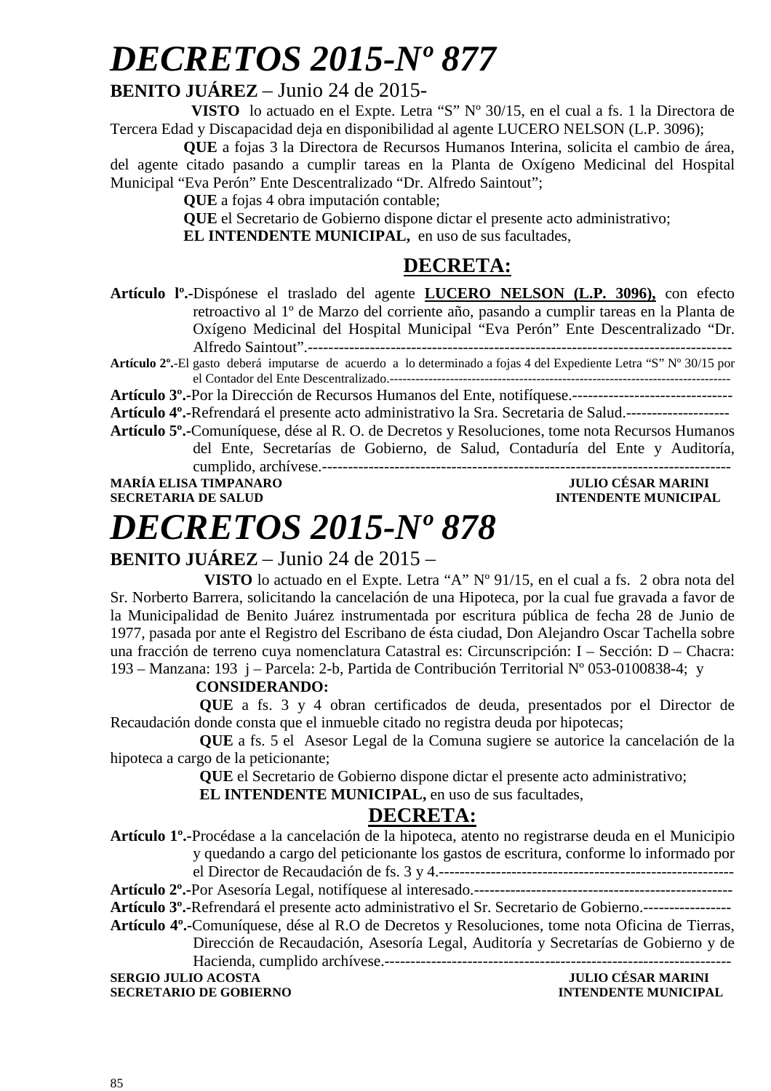### **BENITO JUÁREZ** – Junio 24 de 2015-

 **VISTO** lo actuado en el Expte. Letra "S" Nº 30/15, en el cual a fs. 1 la Directora de Tercera Edad y Discapacidad deja en disponibilidad al agente LUCERO NELSON (L.P. 3096);

**QUE** a fojas 3 la Directora de Recursos Humanos Interina, solicita el cambio de área, del agente citado pasando a cumplir tareas en la Planta de Oxígeno Medicinal del Hospital Municipal "Eva Perón" Ente Descentralizado "Dr. Alfredo Saintout";

**QUE** a fojas 4 obra imputación contable;

**QUE** el Secretario de Gobierno dispone dictar el presente acto administrativo;

**EL INTENDENTE MUNICIPAL,** en uso de sus facultades,

### **DECRETA:**

**Artículo lº.-**Dispónese el traslado del agente **LUCERO NELSON (L.P. 3096),** con efecto retroactivo al 1º de Marzo del corriente año, pasando a cumplir tareas en la Planta de Oxígeno Medicinal del Hospital Municipal "Eva Perón" Ente Descentralizado "Dr. Alfredo Saintout".---------------------------------------------------------------------------------- **Artículo 2º.**-El gasto deberá imputarse de acuerdo a lo determinado a fojas 4 del Expediente Letra "S" Nº 30/15 por

el Contador del Ente Descentralizado.-------------------------------------------------------------------------------

**Artículo 3º.-**Por la Dirección de Recursos Humanos del Ente, notifíquese.-------------------------------

**Artículo 4º.-**Refrendará el presente acto administrativo la Sra. Secretaria de Salud.--------------------

**Artículo 5º.-**Comuníquese, dése al R. O. de Decretos y Resoluciones, tome nota Recursos Humanos del Ente, Secretarías de Gobierno, de Salud, Contaduría del Ente y Auditoría, cumplido, archívese.-------------------------------------------------------------------------------

**MARÍA ELISA TIMPANARO JULIO CÉSAR MARINI SECRETARIA DE SALUD INTENDENTE MUNICIPAL** 

## *DECRETOS 2015-Nº 878*

### **BENITO JUÁREZ** – Junio 24 de 2015 –

 **VISTO** lo actuado en el Expte. Letra "A" Nº 91/15, en el cual a fs. 2 obra nota del Sr. Norberto Barrera, solicitando la cancelación de una Hipoteca, por la cual fue gravada a favor de la Municipalidad de Benito Juárez instrumentada por escritura pública de fecha 28 de Junio de 1977, pasada por ante el Registro del Escribano de ésta ciudad, Don Alejandro Oscar Tachella sobre una fracción de terreno cuya nomenclatura Catastral es: Circunscripción: I – Sección: D – Chacra: 193 – Manzana: 193 j – Parcela: 2-b, Partida de Contribución Territorial Nº 053-0100838-4; y

#### **CONSIDERANDO:**

 **QUE** a fs. 3 y 4 obran certificados de deuda, presentados por el Director de Recaudación donde consta que el inmueble citado no registra deuda por hipotecas;

 **QUE** a fs. 5 el Asesor Legal de la Comuna sugiere se autorice la cancelación de la hipoteca a cargo de la peticionante;

**QUE** el Secretario de Gobierno dispone dictar el presente acto administrativo;

 **EL INTENDENTE MUNICIPAL,** en uso de sus facultades,

### **DECRETA:**

**Artículo 1º.-**Procédase a la cancelación de la hipoteca, atento no registrarse deuda en el Municipio y quedando a cargo del peticionante los gastos de escritura, conforme lo informado por el Director de Recaudación de fs. 3 y 4.--------------------------------------------------------- **Artículo 2º.-**Por Asesoría Legal, notifíquese al interesado.--------------------------------------------------

**Artículo 3º.-**Refrendará el presente acto administrativo el Sr. Secretario de Gobierno.-----------------

**Artículo 4º.-**Comuníquese, dése al R.O de Decretos y Resoluciones, tome nota Oficina de Tierras,

Dirección de Recaudación, Asesoría Legal, Auditoría y Secretarías de Gobierno y de Hacienda, cumplido archívese.-------------------------------------------------------------------

**SERGIO JULIO ACOSTA JULIO CÉSAR MARINI** 

**SECRETARIO DE GOBIERNO INTENDENTE MUNICIPAL**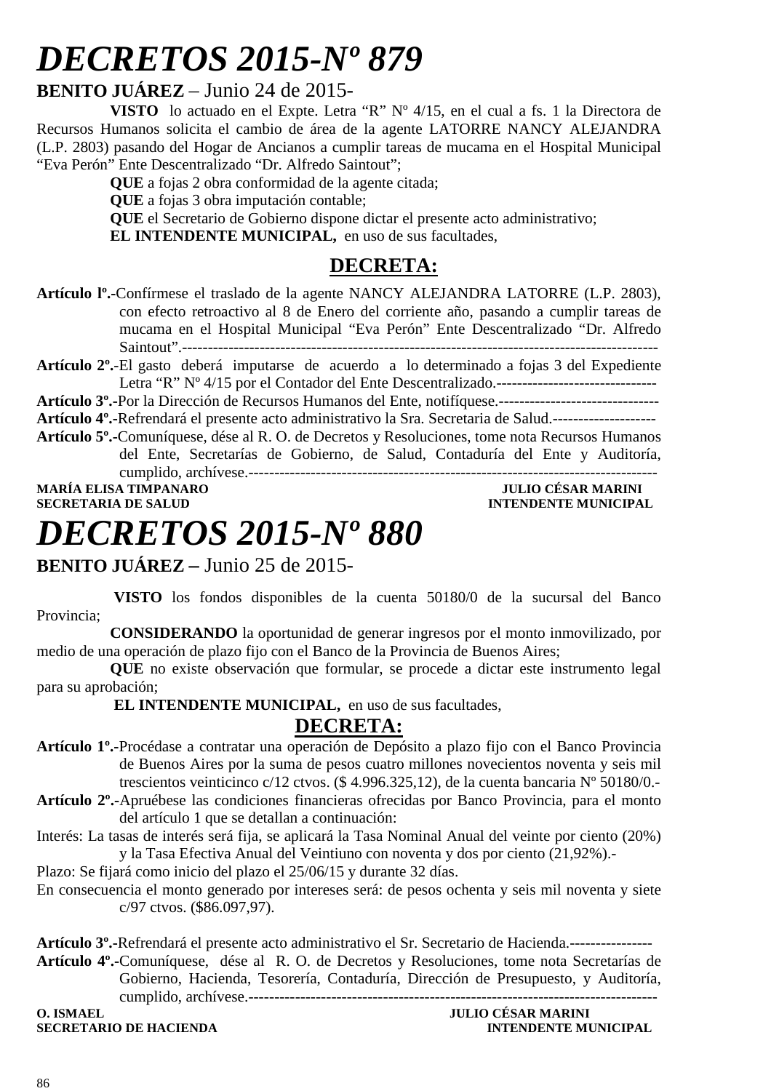### **BENITO JUÁREZ** – Junio 24 de 2015-

**VISTO** lo actuado en el Expte. Letra "R" Nº 4/15, en el cual a fs. 1 la Directora de Recursos Humanos solicita el cambio de área de la agente LATORRE NANCY ALEJANDRA (L.P. 2803) pasando del Hogar de Ancianos a cumplir tareas de mucama en el Hospital Municipal "Eva Perón" Ente Descentralizado "Dr. Alfredo Saintout";

**QUE** a fojas 2 obra conformidad de la agente citada;

**QUE** a fojas 3 obra imputación contable;

**QUE** el Secretario de Gobierno dispone dictar el presente acto administrativo;

**EL INTENDENTE MUNICIPAL,** en uso de sus facultades,

### **DECRETA:**

**Artículo lº.-**Confírmese el traslado de la agente NANCY ALEJANDRA LATORRE (L.P. 2803), con efecto retroactivo al 8 de Enero del corriente año, pasando a cumplir tareas de mucama en el Hospital Municipal "Eva Perón" Ente Descentralizado "Dr. Alfredo Saintout".--------------------------------------------------------------------------------------------

**Artículo 2º.**-El gasto deberá imputarse de acuerdo a lo determinado a fojas 3 del Expediente Letra "R" Nº 4/15 por el Contador del Ente Descentralizado.-------------------------------

**Artículo 3º.-**Por la Dirección de Recursos Humanos del Ente, notifíquese.-------------------------------

**Artículo 4º.-**Refrendará el presente acto administrativo la Sra. Secretaria de Salud.--------------------

**Artículo 5º.-**Comuníquese, dése al R. O. de Decretos y Resoluciones, tome nota Recursos Humanos del Ente, Secretarías de Gobierno, de Salud, Contaduría del Ente y Auditoría,

cumplido, archívese.------------------------------------------------------------------------------- **MARÍA ELISA TIMPANARO<br>SECRETARIA DE SALUD INTENDENTE MUNICIPAL** 

# *DECRETOS 2015-Nº 880*

### **BENITO JUÁREZ –** Junio 25 de 2015-

 **VISTO** los fondos disponibles de la cuenta 50180/0 de la sucursal del Banco Provincia;

**CONSIDERANDO** la oportunidad de generar ingresos por el monto inmovilizado, por medio de una operación de plazo fijo con el Banco de la Provincia de Buenos Aires;

**QUE** no existe observación que formular, se procede a dictar este instrumento legal para su aprobación;

 **EL INTENDENTE MUNICIPAL,** en uso de sus facultades,

### **DECRETA:**

- **Artículo 1º.-**Procédase a contratar una operación de Depósito a plazo fijo con el Banco Provincia de Buenos Aires por la suma de pesos cuatro millones novecientos noventa y seis mil trescientos veinticinco c/12 ctvos. (\$ 4.996.325,12), de la cuenta bancaria Nº 50180/0.-
- **Artículo 2º.-**Apruébese las condiciones financieras ofrecidas por Banco Provincia, para el monto del artículo 1 que se detallan a continuación:
- Interés: La tasas de interés será fija, se aplicará la Tasa Nominal Anual del veinte por ciento (20%) y la Tasa Efectiva Anual del Veintiuno con noventa y dos por ciento (21,92%).-

Plazo: Se fijará como inicio del plazo el 25/06/15 y durante 32 días.

En consecuencia el monto generado por intereses será: de pesos ochenta y seis mil noventa y siete c/97 ctvos. (\$86.097,97).

**Artículo 3º.-**Refrendará el presente acto administrativo el Sr. Secretario de Hacienda.----------------

**Artículo 4º.-**Comuníquese, dése al R. O. de Decretos y Resoluciones, tome nota Secretarías de Gobierno, Hacienda, Tesorería, Contaduría, Dirección de Presupuesto, y Auditoría, cumplido, archívese.-------------------------------------------------------------------------------

**O. ISMAEL JULIO CÉSAR MARINI**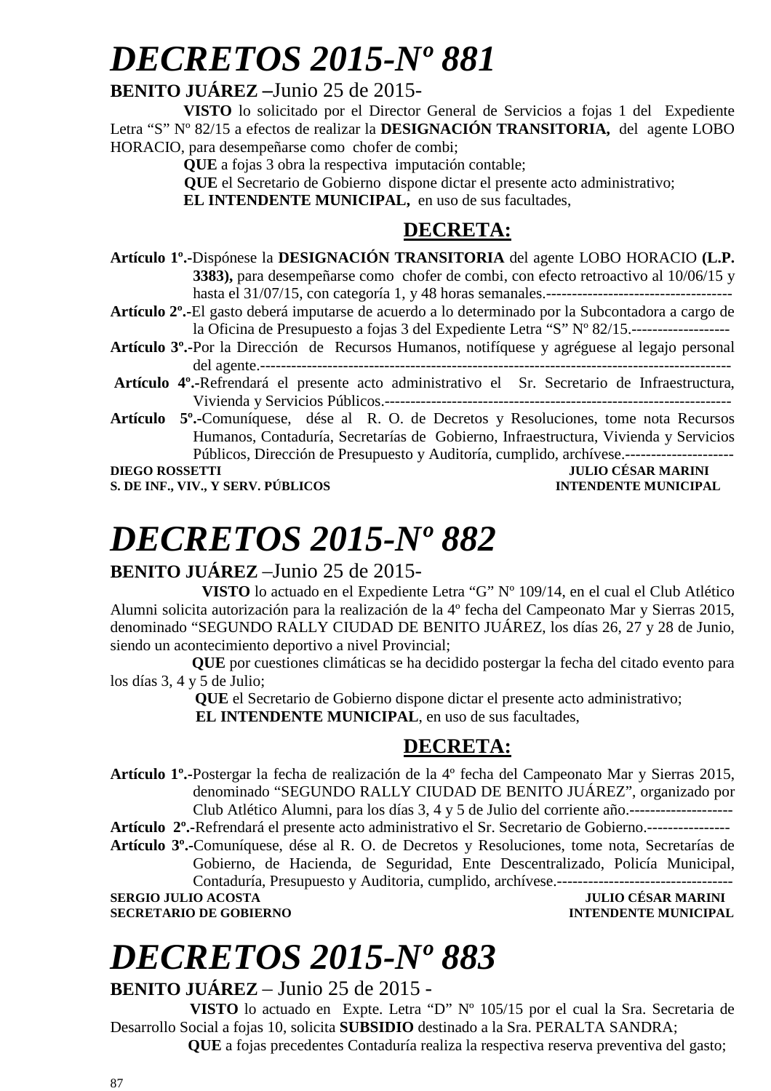### **BENITO JUÁREZ –**Junio 25 de 2015-

**VISTO** lo solicitado por el Director General de Servicios a fojas 1 del Expediente Letra "S" Nº 82/15 a efectos de realizar la **DESIGNACIÓN TRANSITORIA,** del agente LOBO HORACIO, para desempeñarse como chofer de combi;

**QUE** a fojas 3 obra la respectiva imputación contable;

 **QUE** el Secretario de Gobierno dispone dictar el presente acto administrativo;

**EL INTENDENTE MUNICIPAL,** en uso de sus facultades,

### **DECRETA:**

- **Artículo 1º.-**Dispónese la **DESIGNACIÓN TRANSITORIA** del agente LOBO HORACIO **(L.P. 3383),** para desempeñarse como chofer de combi, con efecto retroactivo al 10/06/15 y hasta el 31/07/15, con categoría 1, y 48 horas semanales.------------------------------------
- **Artículo 2º.-**El gasto deberá imputarse de acuerdo a lo determinado por la Subcontadora a cargo de la Oficina de Presupuesto a fojas 3 del Expediente Letra "S" Nº 82/15.-------------------
- **Artículo 3º.-**Por la Dirección de Recursos Humanos, notifíquese y agréguese al legajo personal del agente.-------------------------------------------------------------------------------------------
- **Artículo 4º.-**Refrendará el presente acto administrativo el Sr. Secretario de Infraestructura, Vivienda y Servicios Públicos.-------------------------------------------------------------------
- **Artículo 5º.-**Comuníquese, dése al R. O. de Decretos y Resoluciones, tome nota Recursos Humanos, Contaduría, Secretarías de Gobierno, Infraestructura, Vivienda y Servicios Públicos, Dirección de Presupuesto y Auditoría, cumplido, archívese.---------------------

**S. DE INF., VIV., Y SERV. PÚBLICOS INTENDENTE MUNICIPAL** 

**DIEGO ROSSETTI DIEGO ROSSETTI** *DIEGO ROSSETTI DIEGO ROSSETTI DIEGO ROSSETTI* 

# *DECRETOS 2015-Nº 882*

### **BENITO JUÁREZ** –Junio 25 de 2015-

 **VISTO** lo actuado en el Expediente Letra "G" Nº 109/14, en el cual el Club Atlético Alumni solicita autorización para la realización de la 4º fecha del Campeonato Mar y Sierras 2015, denominado "SEGUNDO RALLY CIUDAD DE BENITO JUÁREZ, los días 26, 27 y 28 de Junio, siendo un acontecimiento deportivo a nivel Provincial;

 **QUE** por cuestiones climáticas se ha decidido postergar la fecha del citado evento para los días 3, 4 y 5 de Julio;

 **QUE** el Secretario de Gobierno dispone dictar el presente acto administrativo;  **EL INTENDENTE MUNICIPAL**, en uso de sus facultades,

### **DECRETA:**

**Artículo 1º.-**Postergar la fecha de realización de la 4º fecha del Campeonato Mar y Sierras 2015, denominado "SEGUNDO RALLY CIUDAD DE BENITO JUÁREZ", organizado por Club Atlético Alumni, para los días 3, 4 y 5 de Julio del corriente año.--------------------

**Artículo 2º.-**Refrendará el presente acto administrativo el Sr. Secretario de Gobierno.----------------

**Artículo 3º.-**Comuníquese, dése al R. O. de Decretos y Resoluciones, tome nota, Secretarías de Gobierno, de Hacienda, de Seguridad, Ente Descentralizado, Policía Municipal, Contaduría, Presupuesto y Auditoria, cumplido, archívese.----------------------------------

**SERGIO JULIO ACOSTA** JULIO CÉSAR MARINI **SECRETARIO DE GOBIERNO INTENDENTE MUNICIPAL** 

# *DECRETOS 2015-Nº 883*

**BENITO JUÁREZ** – Junio 25 de 2015 -

 **VISTO** lo actuado en Expte. Letra "D" Nº 105/15 por el cual la Sra. Secretaria de Desarrollo Social a fojas 10, solicita **SUBSIDIO** destinado a la Sra. PERALTA SANDRA;

 **QUE** a fojas precedentes Contaduría realiza la respectiva reserva preventiva del gasto;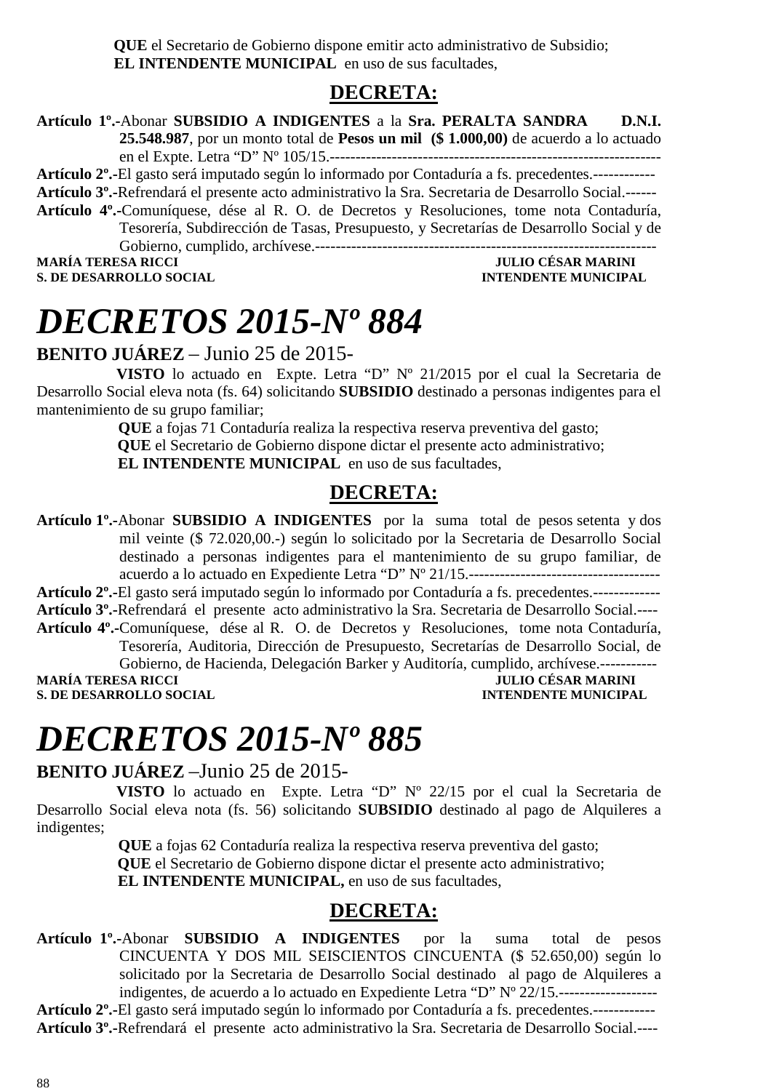**QUE** el Secretario de Gobierno dispone emitir acto administrativo de Subsidio;  **EL INTENDENTE MUNICIPAL** en uso de sus facultades,

### **DECRETA:**

**Artículo 1º.-**Abonar **SUBSIDIO A INDIGENTES** a la **Sra. PERALTA SANDRA D.N.I. 25.548.987**, por un monto total de **Pesos un mil (\$ 1.000,00)** de acuerdo a lo actuado en el Expte. Letra "D" Nº 105/15.----------------------------------------------------------------

**Artículo 2º.-**El gasto será imputado según lo informado por Contaduría a fs. precedentes.------------

**Artículo 3º.-**Refrendará el presente acto administrativo la Sra. Secretaria de Desarrollo Social.------

**Artículo 4º.-**Comuníquese, dése al R. O. de Decretos y Resoluciones, tome nota Contaduría, Tesorería, Subdirección de Tasas, Presupuesto, y Secretarías de Desarrollo Social y de Gobierno, cumplido, archívese.------------------------------------------------------------------

**MARÍA TERESA RICCI JULIO CÉSAR MARINI S. DE DESARROLLO SOCIAL** 

# *DECRETOS 2015-Nº 884*

### **BENITO JUÁREZ** – Junio 25 de 2015-

 **VISTO** lo actuado en Expte. Letra "D" Nº 21/2015 por el cual la Secretaria de Desarrollo Social eleva nota (fs. 64) solicitando **SUBSIDIO** destinado a personas indigentes para el mantenimiento de su grupo familiar;

> **QUE** a fojas 71 Contaduría realiza la respectiva reserva preventiva del gasto;  **QUE** el Secretario de Gobierno dispone dictar el presente acto administrativo;

**EL INTENDENTE MUNICIPAL** en uso de sus facultades,

### **DECRETA:**

**Artículo 1º.-**Abonar **SUBSIDIO A INDIGENTES** por la suma total de pesos setenta y dos mil veinte (\$ 72.020,00.-) según lo solicitado por la Secretaria de Desarrollo Social destinado a personas indigentes para el mantenimiento de su grupo familiar, de acuerdo a lo actuado en Expediente Letra "D" Nº 21/15.------------------------------------- **Artículo 2º.-**El gasto será imputado según lo informado por Contaduría a fs. precedentes.------------- **Artículo 3º.-**Refrendará el presente acto administrativo la Sra. Secretaria de Desarrollo Social.---- **Artículo 4º.-**Comuníquese, dése al R. O. de Decretos y Resoluciones, tome nota Contaduría,

Tesorería, Auditoria, Dirección de Presupuesto, Secretarías de Desarrollo Social, de Gobierno, de Hacienda, Delegación Barker y Auditoría, cumplido, archívese.------------<br>JULIO CÉSAR MARINI **JULIO CÉSAR MARINI S. DE DESARROLLO SOCIAL CONSUMING A LOCAL CONSUMING A LOCAL CONSUMING A LOCAL CONSUMING A LOCAL CONSUMING A LOCAL CONSUMING A LOCAL CONSUMING A LOCAL CONSUMING A LOCAL CONSUMING A LOCAL CONSUMING A LOCAL CONSUMING A LOCAL** 

# *DECRETOS 2015-Nº 885*

### **BENITO JUÁREZ** –Junio 25 de 2015-

 **VISTO** lo actuado en Expte. Letra "D" Nº 22/15 por el cual la Secretaria de Desarrollo Social eleva nota (fs. 56) solicitando **SUBSIDIO** destinado al pago de Alquileres a indigentes;

> **QUE** a fojas 62 Contaduría realiza la respectiva reserva preventiva del gasto;  **QUE** el Secretario de Gobierno dispone dictar el presente acto administrativo;  **EL INTENDENTE MUNICIPAL,** en uso de sus facultades,

### **DECRETA:**

**Artículo 1º.-**Abonar **SUBSIDIO A INDIGENTES** por la suma total de pesos CINCUENTA Y DOS MIL SEISCIENTOS CINCUENTA (\$ 52.650,00) según lo solicitado por la Secretaria de Desarrollo Social destinado al pago de Alquileres a indigentes, de acuerdo a lo actuado en Expediente Letra "D" Nº 22/15.-------------------

**Artículo 2º.-**El gasto será imputado según lo informado por Contaduría a fs. precedentes.------------ **Artículo 3º.-**Refrendará el presente acto administrativo la Sra. Secretaria de Desarrollo Social.----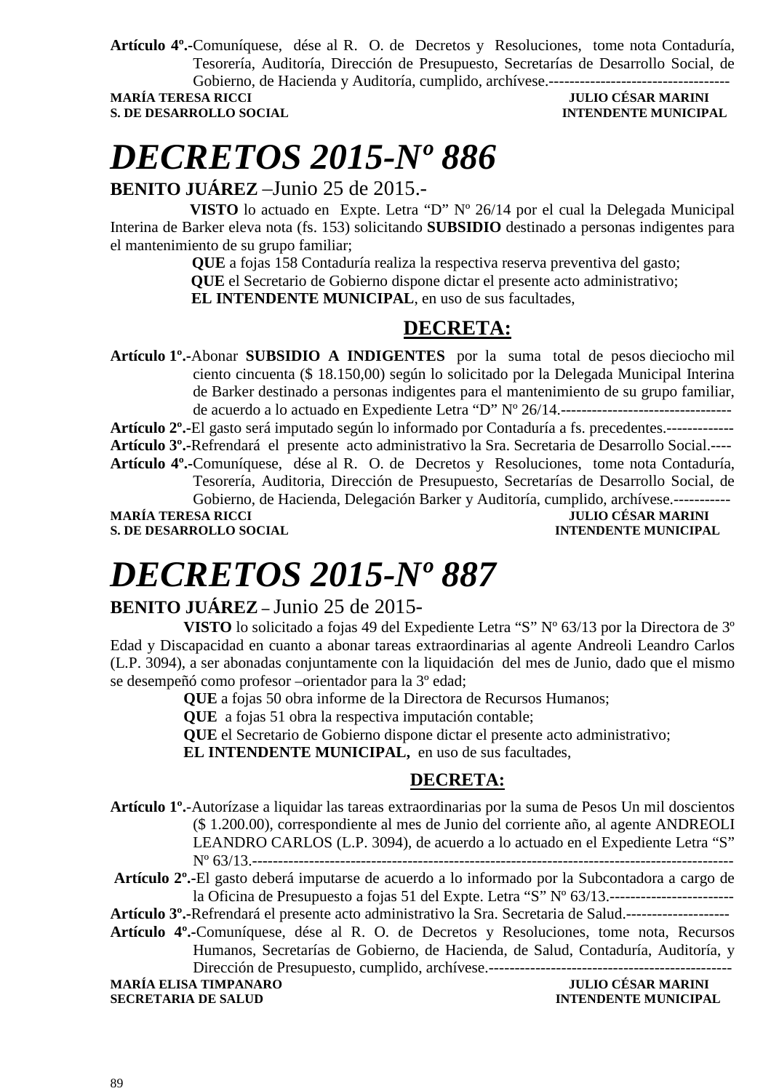**Artículo 4º.-**Comuníquese, dése al R. O. de Decretos y Resoluciones, tome nota Contaduría, Tesorería, Auditoría, Dirección de Presupuesto, Secretarías de Desarrollo Social, de Gobierno, de Hacienda y Auditoría, cumplido, archívese.-----------------------------------

#### **JULIO CÉSAR MARINI S. DE DESARROLLO SOCIAL** *INTENDENTE MUNICIPAL*

# *DECRETOS 2015-Nº 886*

### **BENITO JUÁREZ** –Junio 25 de 2015.-

 **VISTO** lo actuado en Expte. Letra "D" Nº 26/14 por el cual la Delegada Municipal Interina de Barker eleva nota (fs. 153) solicitando **SUBSIDIO** destinado a personas indigentes para el mantenimiento de su grupo familiar;

> **QUE** a fojas 158 Contaduría realiza la respectiva reserva preventiva del gasto;  **QUE** el Secretario de Gobierno dispone dictar el presente acto administrativo;  **EL INTENDENTE MUNICIPAL**, en uso de sus facultades,

### **DECRETA:**

**Artículo 1º.-**Abonar **SUBSIDIO A INDIGENTES** por la suma total de pesos dieciocho mil ciento cincuenta (\$ 18.150,00) según lo solicitado por la Delegada Municipal Interina de Barker destinado a personas indigentes para el mantenimiento de su grupo familiar, de acuerdo a lo actuado en Expediente Letra "D" Nº 26/14.---------------------------------

**Artículo 2º.-**El gasto será imputado según lo informado por Contaduría a fs. precedentes.------------- **Artículo 3º.-**Refrendará el presente acto administrativo la Sra. Secretaria de Desarrollo Social.---- **Artículo 4º.-**Comuníquese, dése al R. O. de Decretos y Resoluciones, tome nota Contaduría, Tesorería, Auditoria, Dirección de Presupuesto, Secretarías de Desarrollo Social, de

Gobierno, de Hacienda, Delegación Barker y Auditoría, cumplido, archívese.----------- **MARÍA TERESA RICCI JULIO CÉSAR MARINI S. DE DESARROLLO SOCIAL DESARROLLO SOCIAL DESARROLLO SOCIAL DESARROLLO SOCIAL DESARROLLO SOCIAL DE LA PERSONAL DE LA PERSONAL DE LA PERSONAL DE LA PERSONAL DE LA PERSONAL DE LA PERSONAL DE LA PERSONAL DE LA PERSONAL DE LA** 

# *DECRETOS 2015-Nº 887*

### **BENITO JUÁREZ –** Junio 25 de 2015-

**VISTO** lo solicitado a fojas 49 del Expediente Letra "S" Nº 63/13 por la Directora de 3º Edad y Discapacidad en cuanto a abonar tareas extraordinarias al agente Andreoli Leandro Carlos (L.P. 3094), a ser abonadas conjuntamente con la liquidación del mes de Junio, dado que el mismo se desempeñó como profesor –orientador para la 3º edad;

**QUE** a fojas 50 obra informe de la Directora de Recursos Humanos;

**QUE** a fojas 51 obra la respectiva imputación contable;

**QUE** el Secretario de Gobierno dispone dictar el presente acto administrativo;

**EL INTENDENTE MUNICIPAL,** en uso de sus facultades,

### **DECRETA:**

**Artículo 1º.**-Autorízase a liquidar las tareas extraordinarias por la suma de Pesos Un mil doscientos (\$ 1.200.00), correspondiente al mes de Junio del corriente año, al agente ANDREOLI LEANDRO CARLOS (L.P. 3094), de acuerdo a lo actuado en el Expediente Letra "S" Nº 63/13.---------------------------------------------------------------------------------------------

**Artículo 2º.-**El gasto deberá imputarse de acuerdo a lo informado por la Subcontadora a cargo de la Oficina de Presupuesto a fojas 51 del Expte. Letra "S" Nº 63/13.------------------------

**Artículo 3º.-**Refrendará el presente acto administrativo la Sra. Secretaria de Salud.--------------------

**Artículo 4º.-**Comuníquese, dése al R. O. de Decretos y Resoluciones, tome nota, Recursos Humanos, Secretarías de Gobierno, de Hacienda, de Salud, Contaduría, Auditoría, y Dirección de Presupuesto, cumplido, archívese.-----------------------------------------------

**MARÍA ELISA TIMPANARO JULIO CÉSAR MARINI SECRETARIA DE SALUD INTENDENTE MUNICIPAL**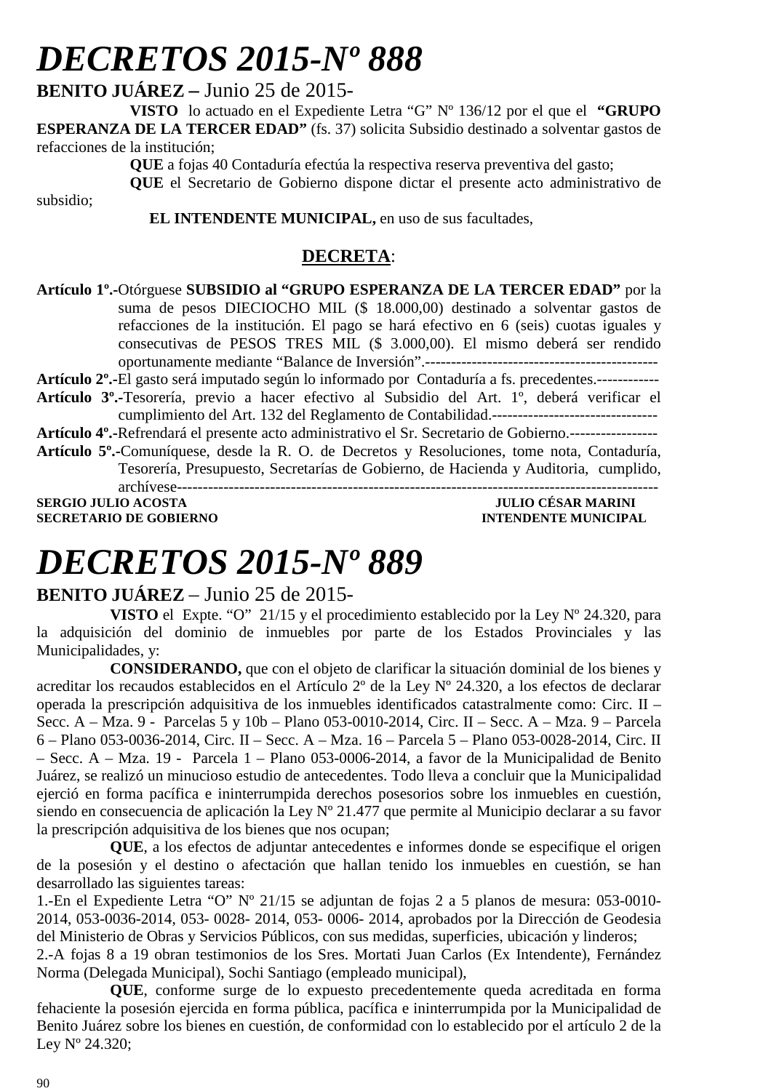**BENITO JUÁREZ –** Junio 25 de 2015-

**VISTO** lo actuado en el Expediente Letra "G" Nº 136/12 por el que el **"GRUPO ESPERANZA DE LA TERCER EDAD"** (fs. 37) solicita Subsidio destinado a solventar gastos de refacciones de la institución;

**QUE** a fojas 40 Contaduría efectúa la respectiva reserva preventiva del gasto;

**QUE** el Secretario de Gobierno dispone dictar el presente acto administrativo de

 **EL INTENDENTE MUNICIPAL,** en uso de sus facultades,

### **DECRETA**:

**Artículo 1º.-**Otórguese **SUBSIDIO al "GRUPO ESPERANZA DE LA TERCER EDAD"** por la suma de pesos DIECIOCHO MIL (\$ 18.000,00) destinado a solventar gastos de refacciones de la institución. El pago se hará efectivo en 6 (seis) cuotas iguales y consecutivas de PESOS TRES MIL (\$ 3.000,00). El mismo deberá ser rendido oportunamente mediante "Balance de Inversión".---------------------------------------------

**Artículo 2º.-**El gasto será imputado según lo informado por Contaduría a fs. precedentes.------------ **Artículo 3º.-**Tesorería, previo a hacer efectivo al Subsidio del Art. 1º, deberá verificar el

- cumplimiento del Art. 132 del Reglamento de Contabilidad.--------------------------------
- **Artículo 4º.-**Refrendará el presente acto administrativo el Sr. Secretario de Gobierno.-----------------
- **Artículo 5º.-**Comuníquese, desde la R. O. de Decretos y Resoluciones, tome nota, Contaduría, Tesorería, Presupuesto, Secretarías de Gobierno, de Hacienda y Auditoria, cumplido, archívese--------------------------------------------------------------------------------------------- **SERGIO JULIO ACOSTA DE CONVERTS DE CONVERTS DE CONVERTS DE CONVERTS DE CONVERTS DE CONVERTS DE CONVERTS DE CO<br>A SECRETARIO DE GOBIERNO DE CONVERTS DE L'ANGLE DE CONVERTS DE L'ANGLES DE L'ANGLES DE L'ANGLES DE L'ANGLES DE**

**SECRETARIO DE GOBIERNO** 

subsidio;

# *DECRETOS 2015-Nº 889*

### **BENITO JUÁREZ** – Junio 25 de 2015-

**VISTO** el Expte. "O" 21/15 y el procedimiento establecido por la Ley Nº 24.320, para la adquisición del dominio de inmuebles por parte de los Estados Provinciales y las Municipalidades, y:

**CONSIDERANDO,** que con el objeto de clarificar la situación dominial de los bienes y acreditar los recaudos establecidos en el Artículo 2º de la Ley Nº 24.320, a los efectos de declarar operada la prescripción adquisitiva de los inmuebles identificados catastralmente como: Circ. II – Secc. A – Mza. 9 - Parcelas 5 y 10b – Plano 053-0010-2014, Circ. II – Secc. A – Mza. 9 – Parcela 6 – Plano 053-0036-2014, Circ. II – Secc. A – Mza. 16 – Parcela 5 – Plano 053-0028-2014, Circ. II – Secc. A – Mza. 19 - Parcela 1 – Plano 053-0006-2014, a favor de la Municipalidad de Benito Juárez, se realizó un minucioso estudio de antecedentes. Todo lleva a concluir que la Municipalidad ejerció en forma pacífica e ininterrumpida derechos posesorios sobre los inmuebles en cuestión, siendo en consecuencia de aplicación la Ley Nº 21.477 que permite al Municipio declarar a su favor la prescripción adquisitiva de los bienes que nos ocupan;

**QUE**, a los efectos de adjuntar antecedentes e informes donde se especifique el origen de la posesión y el destino o afectación que hallan tenido los inmuebles en cuestión, se han desarrollado las siguientes tareas:

1.-En el Expediente Letra "O" Nº 21/15 se adjuntan de fojas 2 a 5 planos de mesura: 053-0010- 2014, 053-0036-2014, 053- 0028- 2014, 053- 0006- 2014, aprobados por la Dirección de Geodesia del Ministerio de Obras y Servicios Públicos, con sus medidas, superficies, ubicación y linderos;

2.-A fojas 8 a 19 obran testimonios de los Sres. Mortati Juan Carlos (Ex Intendente), Fernández Norma (Delegada Municipal), Sochi Santiago (empleado municipal),

**QUE**, conforme surge de lo expuesto precedentemente queda acreditada en forma fehaciente la posesión ejercida en forma pública, pacífica e ininterrumpida por la Municipalidad de Benito Juárez sobre los bienes en cuestión, de conformidad con lo establecido por el artículo 2 de la Ley Nº 24.320;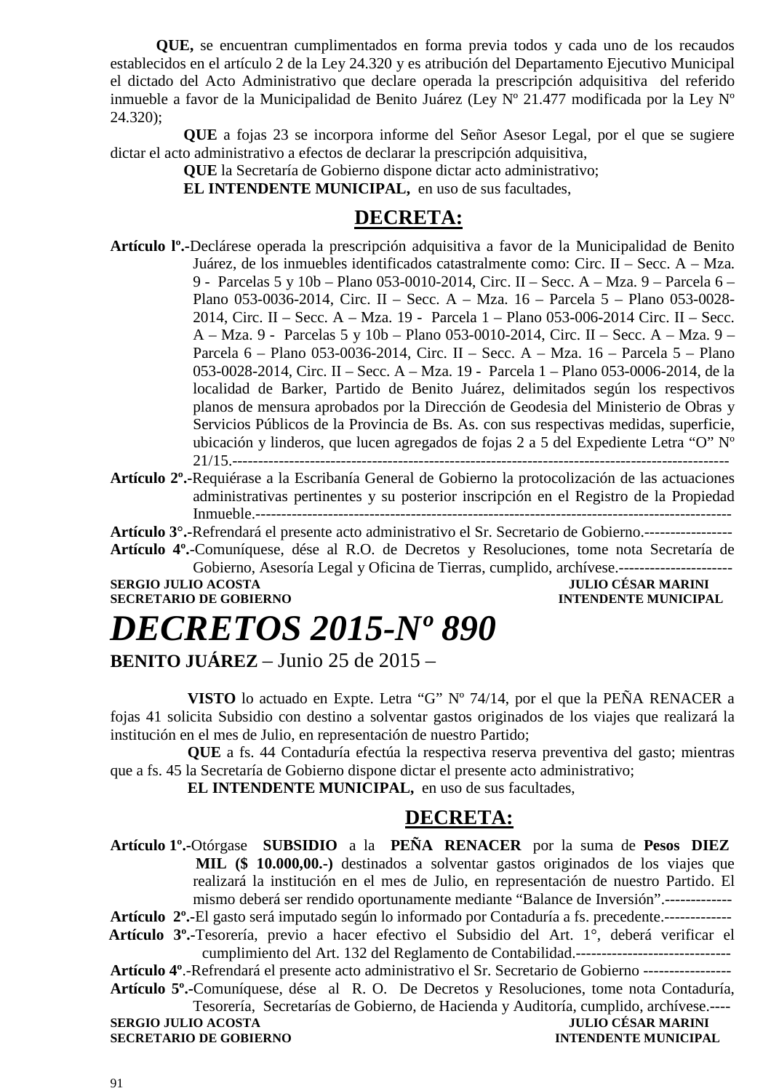**QUE,** se encuentran cumplimentados en forma previa todos y cada uno de los recaudos establecidos en el artículo 2 de la Ley 24.320 y es atribución del Departamento Ejecutivo Municipal el dictado del Acto Administrativo que declare operada la prescripción adquisitiva del referido inmueble a favor de la Municipalidad de Benito Juárez (Ley Nº 21.477 modificada por la Ley Nº 24.320);

**QUE** a fojas 23 se incorpora informe del Señor Asesor Legal, por el que se sugiere dictar el acto administrativo a efectos de declarar la prescripción adquisitiva,

**QUE** la Secretaría de Gobierno dispone dictar acto administrativo;

**EL INTENDENTE MUNICIPAL,** en uso de sus facultades,

### **DECRETA:**

- **Artículo lº.-**Declárese operada la prescripción adquisitiva a favor de la Municipalidad de Benito Juárez, de los inmuebles identificados catastralmente como: Circ. II – Secc. A – Mza. 9 - Parcelas 5 y 10b – Plano 053-0010-2014, Circ. II – Secc. A – Mza. 9 – Parcela 6 – Plano 053-0036-2014, Circ. II – Secc. A – Mza. 16 – Parcela 5 – Plano 053-0028- 2014, Circ. II – Secc. A – Mza. 19 - Parcela 1 – Plano 053-006-2014 Circ. II – Secc. A – Mza. 9 - Parcelas 5 y 10b – Plano 053-0010-2014, Circ. II – Secc. A – Mza. 9 – Parcela 6 – Plano 053-0036-2014, Circ. II – Secc. A – Mza. 16 – Parcela 5 – Plano 053-0028-2014, Circ. II – Secc. A – Mza. 19 - Parcela 1 – Plano 053-0006-2014, de la localidad de Barker, Partido de Benito Juárez, delimitados según los respectivos planos de mensura aprobados por la Dirección de Geodesia del Ministerio de Obras y Servicios Públicos de la Provincia de Bs. As. con sus respectivas medidas, superficie, ubicación y linderos, que lucen agregados de fojas 2 a 5 del Expediente Letra "O" Nº 21/15.------------------------------------------------------------------------------------------------
- **Artículo 2º.-**Requiérase a la Escribanía General de Gobierno la protocolización de las actuaciones administrativas pertinentes y su posterior inscripción en el Registro de la Propiedad Inmueble.--------------------------------------------------------------------------------------------

**Artículo 3°.-**Refrendará el presente acto administrativo el Sr. Secretario de Gobierno.-----------------

**Artículo 4º.**-Comuníquese, dése al R.O. de Decretos y Resoluciones, tome nota Secretaría de Gobierno, Asesoría Legal y Oficina de Tierras, cumplido, archívese.----------------------

**SERGIO JULIO ACOSTA JULIO CÉSAR MARINI SECRETARIO DE GOBIERNO INTENDENTE MUNICIPAL** 

### *DECRETOS 2015-Nº 890* **BENITO JUÁREZ** – Junio 25 de 2015 –

 **VISTO** lo actuado en Expte. Letra "G" Nº 74/14, por el que la PEÑA RENACER a fojas 41 solicita Subsidio con destino a solventar gastos originados de los viajes que realizará la institución en el mes de Julio, en representación de nuestro Partido;

 **QUE** a fs. 44 Contaduría efectúa la respectiva reserva preventiva del gasto; mientras que a fs. 45 la Secretaría de Gobierno dispone dictar el presente acto administrativo;

 **EL INTENDENTE MUNICIPAL,** en uso de sus facultades,

### **DECRETA:**

**Artículo 1º.-**Otórgase **SUBSIDIO** a la **PEÑA RENACER** por la suma de **Pesos DIEZ MIL (\$ 10.000,00.-)** destinados a solventar gastos originados de los viajes que realizará la institución en el mes de Julio, en representación de nuestro Partido. El mismo deberá ser rendido oportunamente mediante "Balance de Inversión".-------------

**Artículo 2º.-**El gasto será imputado según lo informado por Contaduría a fs. precedente.-------------

 **Artículo 3º.-**Tesorería, previo a hacer efectivo el Subsidio del Art. 1°, deberá verificar el cumplimiento del Art. 132 del Reglamento de Contabilidad.------------------------------

**Artículo 4º**.-Refrendará el presente acto administrativo el Sr. Secretario de Gobierno -----------------

**Artículo 5º.-**Comuníquese, dése al R. O. De Decretos y Resoluciones, tome nota Contaduría, Tesorería, Secretarías de Gobierno, de Hacienda y Auditoría, cumplido, archívese.----

**SERGIO JULIO ACOSTA JULIO CÉSAR MARINI SECRETARIO DE GOBIERNO INTENDENTE MUNICIPAL**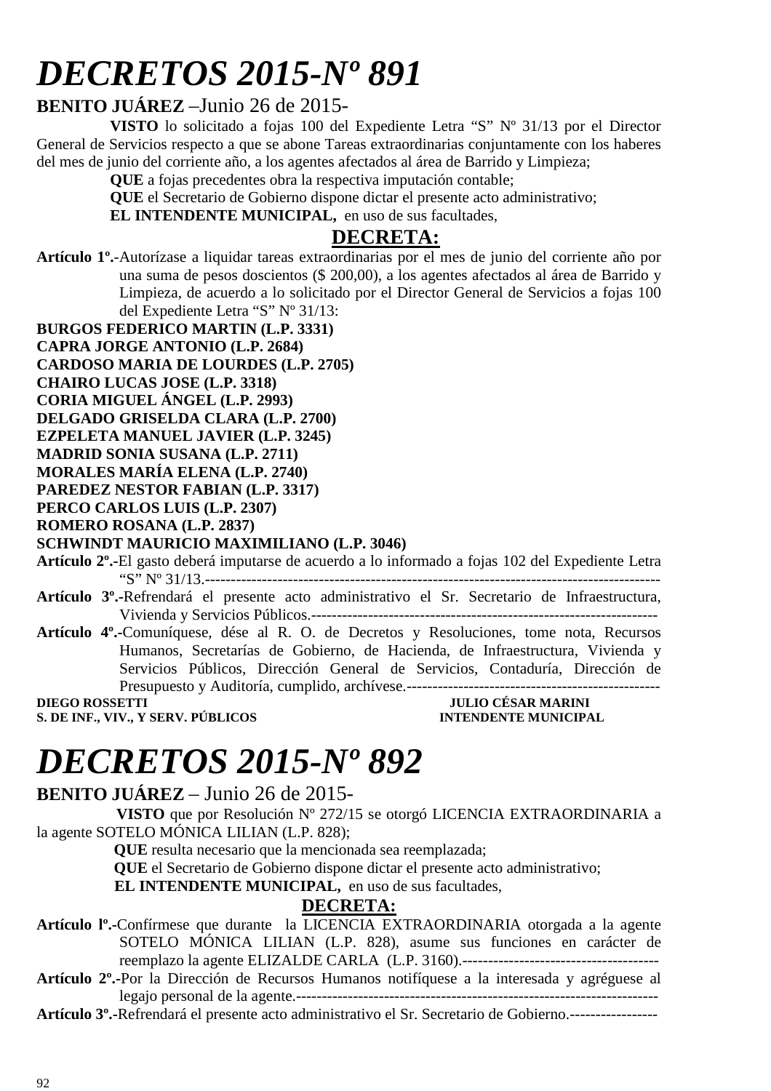### **BENITO JUÁREZ** –Junio 26 de 2015-

**VISTO** lo solicitado a fojas 100 del Expediente Letra "S" Nº 31/13 por el Director General de Servicios respecto a que se abone Tareas extraordinarias conjuntamente con los haberes del mes de junio del corriente año, a los agentes afectados al área de Barrido y Limpieza;

**QUE** a fojas precedentes obra la respectiva imputación contable;

**QUE** el Secretario de Gobierno dispone dictar el presente acto administrativo;

**EL INTENDENTE MUNICIPAL,** en uso de sus facultades,

### **DECRETA:**

**Artículo 1º.**-Autorízase a liquidar tareas extraordinarias por el mes de junio del corriente año por una suma de pesos doscientos (\$ 200,00), a los agentes afectados al área de Barrido y Limpieza, de acuerdo a lo solicitado por el Director General de Servicios a fojas 100 del Expediente Letra "S" Nº 31/13:

- **BURGOS FEDERICO MARTIN (L.P. 3331)**
- **CAPRA JORGE ANTONIO (L.P. 2684)**
- **CARDOSO MARIA DE LOURDES (L.P. 2705)**
- **CHAIRO LUCAS JOSE (L.P. 3318)**
- **CORIA MIGUEL ÁNGEL (L.P. 2993)**
- **DELGADO GRISELDA CLARA (L.P. 2700)**
- **EZPELETA MANUEL JAVIER (L.P. 3245)**
- **MADRID SONIA SUSANA (L.P. 2711)**
- **MORALES MARÍA ELENA (L.P. 2740)**
- **PAREDEZ NESTOR FABIAN (L.P. 3317)**
- **PERCO CARLOS LUIS (L.P. 2307)**

### **ROMERO ROSANA (L.P. 2837)**

#### **SCHWINDT MAURICIO MAXIMILIANO (L.P. 3046)**

**Artículo 2º.-**El gasto deberá imputarse de acuerdo a lo informado a fojas 102 del Expediente Letra "S" Nº 31/13.----------------------------------------------------------------------------------------

- **Artículo 3º.-**Refrendará el presente acto administrativo el Sr. Secretario de Infraestructura, Vivienda y Servicios Públicos.-------------------------------------------------------------------
- **Artículo 4º.-**Comuníquese, dése al R. O. de Decretos y Resoluciones, tome nota, Recursos Humanos, Secretarías de Gobierno, de Hacienda, de Infraestructura, Vivienda y Servicios Públicos, Dirección General de Servicios, Contaduría, Dirección de Presupuesto y Auditoría, cumplido, archívese.-------------------------------------------------

**S. DE INF., VIV., Y SERV. PÚBLICOS** 

**DIEGO DE SAR MARINI<br>INTENDENTE MUNICIPAL** 

## *DECRETOS 2015-Nº 892*

**BENITO JUÁREZ** – Junio 26 de 2015-

 **VISTO** que por Resolución Nº 272/15 se otorgó LICENCIA EXTRAORDINARIA a la agente SOTELO MÓNICA LILIAN (L.P. 828);

 **QUE** resulta necesario que la mencionada sea reemplazada;

 **QUE** el Secretario de Gobierno dispone dictar el presente acto administrativo;

**EL INTENDENTE MUNICIPAL,** en uso de sus facultades,

### **DECRETA:**

**Artículo lº.-**Confírmese que durante la LICENCIA EXTRAORDINARIA otorgada a la agente SOTELO MÓNICA LILIAN (L.P. 828), asume sus funciones en carácter de reemplazo la agente ELIZALDE CARLA (L.P. 3160).--------------------------------------

**Artículo 2º.-**Por la Dirección de Recursos Humanos notifíquese a la interesada y agréguese al legajo personal de la agente.----------------------------------------------------------------------

**Artículo 3º.-**Refrendará el presente acto administrativo el Sr. Secretario de Gobierno.-----------------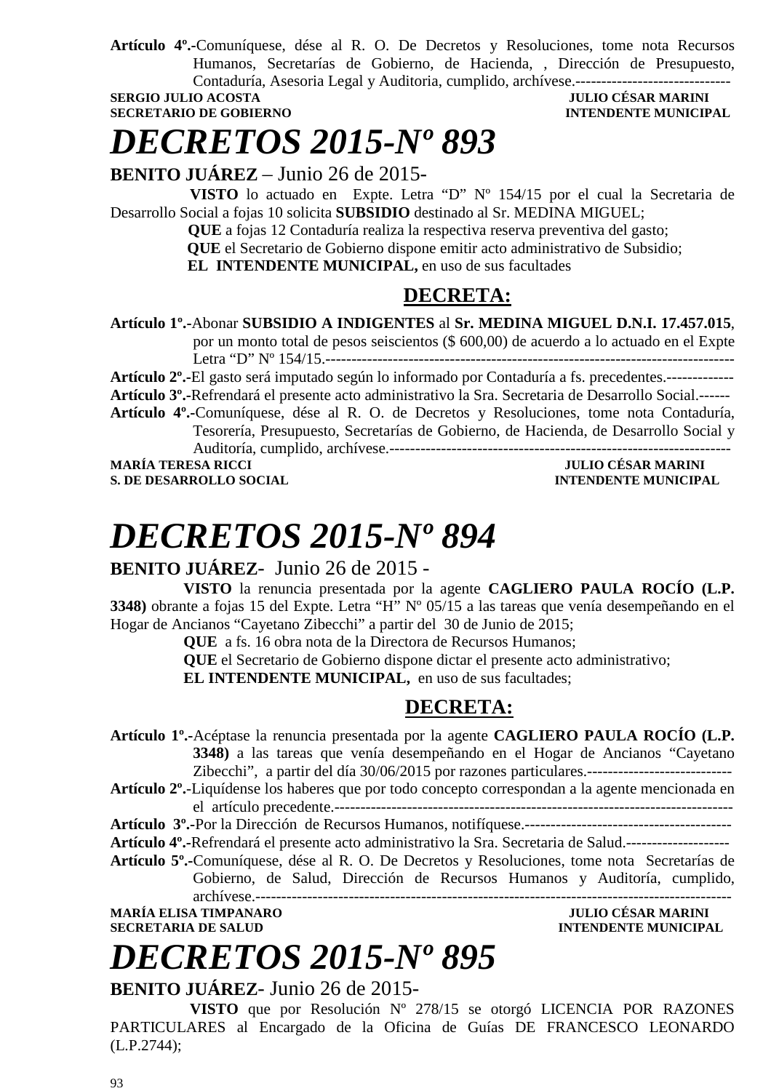**Artículo 4º.-**Comuníquese, dése al R. O. De Decretos y Resoluciones, tome nota Recursos Humanos, Secretarías de Gobierno, de Hacienda, , Dirección de Presupuesto, Contaduría, Asesoria Legal y Auditoria, cumplido, archívese.------------------------------

**SECRETARIO DE GOBIERNO INTENDENTE MUNICIPAL** 

### **SERGIO JULIO ACOSTA JULIO CÉSAR MARINI**

# *DECRETOS 2015-Nº 893*

**BENITO JUÁREZ** – Junio 26 de 2015-

 **VISTO** lo actuado en Expte. Letra "D" Nº 154/15 por el cual la Secretaria de Desarrollo Social a fojas 10 solicita **SUBSIDIO** destinado al Sr. MEDINA MIGUEL;

 **QUE** a fojas 12 Contaduría realiza la respectiva reserva preventiva del gasto;

 **QUE** el Secretario de Gobierno dispone emitir acto administrativo de Subsidio;

 **EL INTENDENTE MUNICIPAL,** en uso de sus facultades

### **DECRETA:**

**Artículo 1º.-**Abonar **SUBSIDIO A INDIGENTES** al **Sr. MEDINA MIGUEL D.N.I. 17.457.015**, por un monto total de pesos seiscientos (\$ 600,00) de acuerdo a lo actuado en el Expte

Letra "D" Nº 154/15.-------------------------------------------------------------------------------

**Artículo 2º.-**El gasto será imputado según lo informado por Contaduría a fs. precedentes.-------------

**Artículo 3º.-**Refrendará el presente acto administrativo la Sra. Secretaria de Desarrollo Social.------

**Artículo 4º.-**Comuníquese, dése al R. O. de Decretos y Resoluciones, tome nota Contaduría, Tesorería, Presupuesto, Secretarías de Gobierno, de Hacienda, de Desarrollo Social y

Auditoría, cumplido, archívese.------------------------------------------------------------------ **MARÍA TERESA RICCI JULIO CÉSAR MARINI** 

**S. DE DESARROLLO SOCIAL DESARROLLO SOCIAL DESARROLLO SOCIAL DESARROLLO SOCIAL DESARROLLO SOCIAL DE LA PERIODICIPAL DE LA PERIODICIPAL DE LA PERIODICIPAL DE LA PERIODICIPAL DE LA PERIODICIPAL DE LA PERIODICIPAL DE LA PERIO** 

# *DECRETOS 2015-Nº 894*

### **BENITO JUÁREZ**- Junio 26 de 2015 -

**VISTO** la renuncia presentada por la agente **CAGLIERO PAULA ROCÍO (L.P. 3348)** obrante a fojas 15 del Expte. Letra "H" Nº 05/15 a las tareas que venía desempeñando en el Hogar de Ancianos "Cayetano Zibecchi" a partir del 30 de Junio de 2015;

**QUE** a fs. 16 obra nota de la Directora de Recursos Humanos;

**QUE** el Secretario de Gobierno dispone dictar el presente acto administrativo;

**EL INTENDENTE MUNICIPAL,** en uso de sus facultades;

### **DECRETA:**

**Artículo 1º.-**Acéptase la renuncia presentada por la agente **CAGLIERO PAULA ROCÍO (L.P. 3348)** a las tareas que venía desempeñando en el Hogar de Ancianos "Cayetano

Zibecchi", a partir del día 30/06/2015 por razones particulares.----------------------------

**Artículo 2º.**-Liquídense los haberes que por todo concepto correspondan a la agente mencionada en el artículo precedente.-----------------------------------------------------------------------------

**Artículo 3º.-**Por la Dirección de Recursos Humanos, notifíquese.----------------------------------------

**Artículo 4º.-**Refrendará el presente acto administrativo la Sra. Secretaria de Salud.--------------------

**Artículo 5º.-**Comuníquese, dése al R. O. De Decretos y Resoluciones, tome nota Secretarías de Gobierno, de Salud, Dirección de Recursos Humanos y Auditoría, cumplido, archívese.--------------------------------------------------------------------------------------------

**MARÍA ELISA TIMPANARO JULIO CÉSAR MARINI** 

**INTENDENTE MUNICIPAL** 

# *DECRETOS 2015-Nº 895*

**BENITO JUÁREZ**- Junio 26 de 2015-

 **VISTO** que por Resolución Nº 278/15 se otorgó LICENCIA POR RAZONES PARTICULARES al Encargado de la Oficina de Guías DE FRANCESCO LEONARDO (L.P.2744);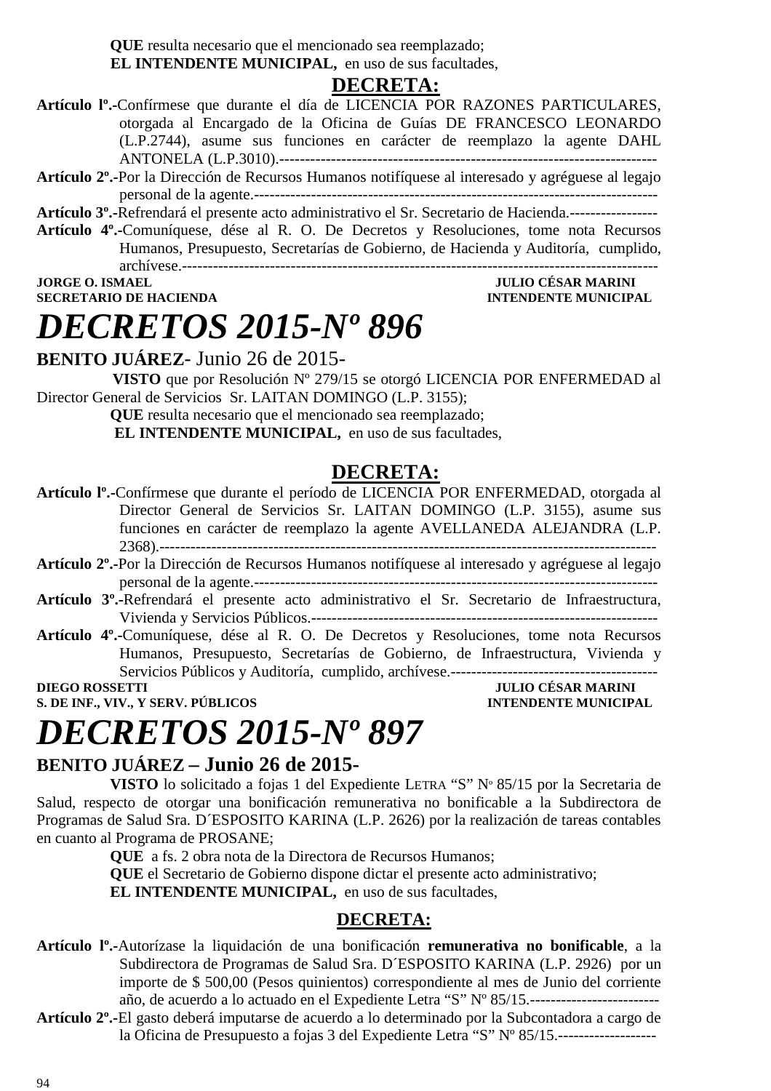**QUE** resulta necesario que el mencionado sea reemplazado;

**EL INTENDENTE MUNICIPAL,** en uso de sus facultades,

### **DECRETA:**

- **Artículo lº.-**Confírmese que durante el día de LICENCIA POR RAZONES PARTICULARES, otorgada al Encargado de la Oficina de Guías DE FRANCESCO LEONARDO (L.P.2744), asume sus funciones en carácter de reemplazo la agente DAHL ANTONELA (L.P.3010).-------------------------------------------------------------------------
- **Artículo 2º.-**Por la Dirección de Recursos Humanos notifíquese al interesado y agréguese al legajo personal de la agente.------------------------------------------------------------------------------

**Artículo 3º.-**Refrendará el presente acto administrativo el Sr. Secretario de Hacienda.-----------------

**Artículo 4º.-**Comuníquese, dése al R. O. De Decretos y Resoluciones, tome nota Recursos Humanos, Presupuesto, Secretarías de Gobierno, de Hacienda y Auditoría, cumplido, archívese.--------------------------------------------------------------------------------------------

**JORGE O. ISMAEL SECRETARIO DE HACIENDA INTENDENTE MUNICIPAL** 

**BENITO JUÁREZ**- Junio 26 de 2015-

*DECRETOS 2015-Nº 896* 

 **VISTO** que por Resolución Nº 279/15 se otorgó LICENCIA POR ENFERMEDAD al Director General de Servicios Sr. LAITAN DOMINGO (L.P. 3155);

> **QUE** resulta necesario que el mencionado sea reemplazado; **EL INTENDENTE MUNICIPAL,** en uso de sus facultades,

### **DECRETA:**

- **Artículo lº.-**Confírmese que durante el período de LICENCIA POR ENFERMEDAD, otorgada al Director General de Servicios Sr. LAITAN DOMINGO (L.P. 3155), asume sus funciones en carácter de reemplazo la agente AVELLANEDA ALEJANDRA (L.P. 2368).------------------------------------------------------------------------------------------------
- **Artículo 2º.-**Por la Dirección de Recursos Humanos notifíquese al interesado y agréguese al legajo personal de la agente.------------------------------------------------------------------------------
- **Artículo 3º.-**Refrendará el presente acto administrativo el Sr. Secretario de Infraestructura, Vivienda y Servicios Públicos.-------------------------------------------------------------------
- **Artículo 4º.-**Comuníquese, dése al R. O. De Decretos y Resoluciones, tome nota Recursos Humanos, Presupuesto, Secretarías de Gobierno, de Infraestructura, Vivienda y Servicios Públicos y Auditoría, cumplido, archívese.----------------------------------------

**DIEGO ROSSETTI DIEGO ROSSETTI DIEGO POSSETTI DIEGO POSSETTI DIEGO POSSETTI DIEGO POSSETTI DIEGO POSSETTI DIEGO POSSETTI DIEGO POSSETTI DIEGO POSSETTI DIEGO POSSETTI DIEGO POSSETTI DIEGO POSSETTI DIEGO POSSETTI DIEGO POSSE S. DE INF., VIV., Y SERV. PÚBLICOS INTENDENTE MUNICIPAL** 

## *DECRETOS 2015-Nº 897*

### **BENITO JUÁREZ – Junio 26 de 2015-**

**VISTO** lo solicitado a fojas 1 del Expediente LETRA "S" Nº 85/15 por la Secretaria de Salud, respecto de otorgar una bonificación remunerativa no bonificable a la Subdirectora de Programas de Salud Sra. D´ESPOSITO KARINA (L.P. 2626) por la realización de tareas contables en cuanto al Programa de PROSANE;

**QUE** a fs. 2 obra nota de la Directora de Recursos Humanos;

**QUE** el Secretario de Gobierno dispone dictar el presente acto administrativo;

**EL INTENDENTE MUNICIPAL,** en uso de sus facultades,

#### **DECRETA:**

- **Artículo lº.-**Autorízase la liquidación de una bonificación **remunerativa no bonificable**, a la Subdirectora de Programas de Salud Sra. D´ESPOSITO KARINA (L.P. 2926) por un importe de \$ 500,00 (Pesos quinientos) correspondiente al mes de Junio del corriente año, de acuerdo a lo actuado en el Expediente Letra "S" Nº 85/15.-------------------------
- **Artículo 2º.-**El gasto deberá imputarse de acuerdo a lo determinado por la Subcontadora a cargo de la Oficina de Presupuesto a fojas 3 del Expediente Letra "S" Nº 85/15.-------------------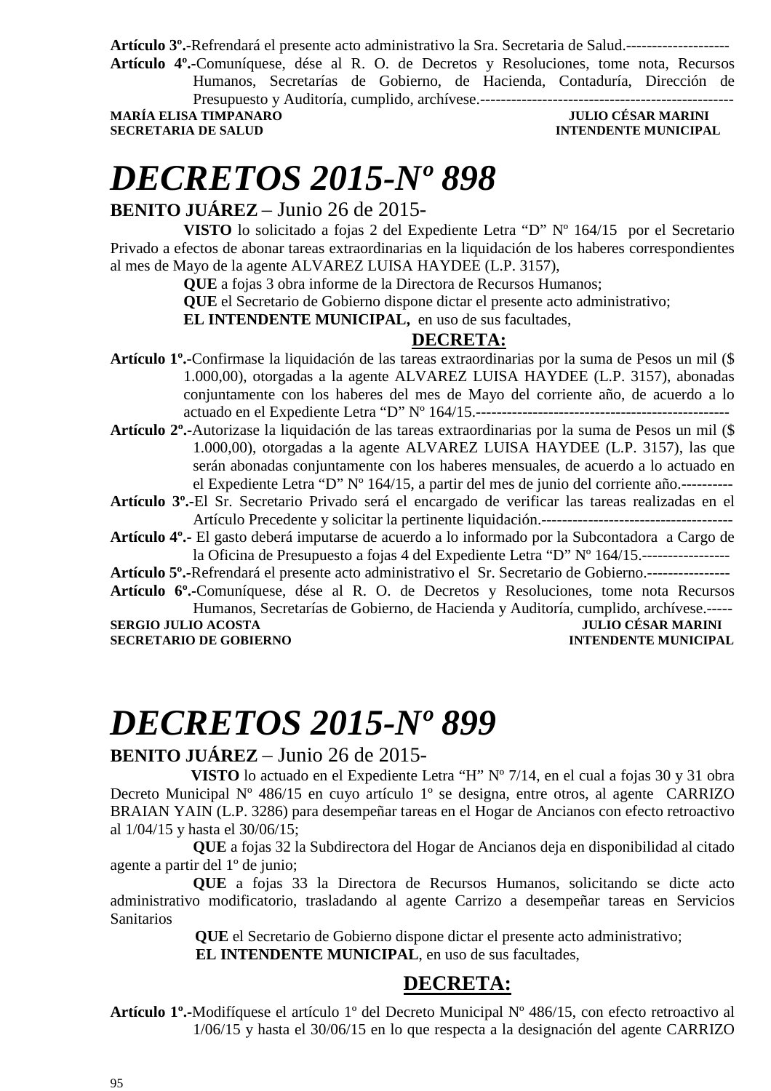**Artículo 3º.-**Refrendará el presente acto administrativo la Sra. Secretaria de Salud.--------------------

**Artículo 4º.-**Comuníquese, dése al R. O. de Decretos y Resoluciones, tome nota, Recursos Humanos, Secretarías de Gobierno, de Hacienda, Contaduría, Dirección de

Presupuesto y Auditoría, cumplido, archívese.-------------------------------------------------

**MARÍA ELISA TIMPANARO JULIO CÉSAR MARINI SECRETARIA DE SALUD INTENDENTE MUNICIPAL** 

### *DECRETOS 2015-Nº 898*

### **BENITO JUÁREZ** – Junio 26 de 2015-

**VISTO** lo solicitado a fojas 2 del Expediente Letra "D" Nº 164/15 por el Secretario Privado a efectos de abonar tareas extraordinarias en la liquidación de los haberes correspondientes al mes de Mayo de la agente ALVAREZ LUISA HAYDEE (L.P. 3157),

**QUE** a fojas 3 obra informe de la Directora de Recursos Humanos;

**QUE** el Secretario de Gobierno dispone dictar el presente acto administrativo;

**EL INTENDENTE MUNICIPAL,** en uso de sus facultades,

### **DECRETA:**

- **Artículo 1º.**-Confirmase la liquidación de las tareas extraordinarias por la suma de Pesos un mil (\$ 1.000,00), otorgadas a la agente ALVAREZ LUISA HAYDEE (L.P. 3157), abonadas conjuntamente con los haberes del mes de Mayo del corriente año, de acuerdo a lo actuado en el Expediente Letra "D" Nº 164/15.-------------------------------------------------
- **Artículo 2º.-**Autorizase la liquidación de las tareas extraordinarias por la suma de Pesos un mil (\$ 1.000,00), otorgadas a la agente ALVAREZ LUISA HAYDEE (L.P. 3157), las que serán abonadas conjuntamente con los haberes mensuales, de acuerdo a lo actuado en el Expediente Letra "D" Nº 164/15, a partir del mes de junio del corriente año.----------

**Artículo 3º.-**El Sr. Secretario Privado será el encargado de verificar las tareas realizadas en el Artículo Precedente y solicitar la pertinente liquidación.-------------------------------------

**Artículo 4º.-** El gasto deberá imputarse de acuerdo a lo informado por la Subcontadora a Cargo de la Oficina de Presupuesto a fojas 4 del Expediente Letra "D" Nº 164/15.------------------

**Artículo 5º.-**Refrendará el presente acto administrativo el Sr. Secretario de Gobierno.----------------

**Artículo 6º.-**Comuníquese, dése al R. O. de Decretos y Resoluciones, tome nota Recursos Humanos, Secretarías de Gobierno, de Hacienda y Auditoría, cumplido, archívese.----- **SERGIO JULIO ACOSTA JULIO CÉSAR MARINI** 

**SECRETARIO DE GOBIERNO INTENDENTE MUNICIPAL** 

## *DECRETOS 2015-Nº 899*

### **BENITO JUÁREZ** – Junio 26 de 2015-

 **VISTO** lo actuado en el Expediente Letra "H" Nº 7/14, en el cual a fojas 30 y 31 obra Decreto Municipal Nº 486/15 en cuyo artículo 1º se designa, entre otros, al agente CARRIZO BRAIAN YAIN (L.P. 3286) para desempeñar tareas en el Hogar de Ancianos con efecto retroactivo al 1/04/15 y hasta el 30/06/15;

**QUE** a fojas 32 la Subdirectora del Hogar de Ancianos deja en disponibilidad al citado agente a partir del 1º de junio;

**QUE** a fojas 33 la Directora de Recursos Humanos, solicitando se dicte acto administrativo modificatorio, trasladando al agente Carrizo a desempeñar tareas en Servicios **Sanitarios** 

**QUE** el Secretario de Gobierno dispone dictar el presente acto administrativo;

 **EL INTENDENTE MUNICIPAL**, en uso de sus facultades,

### **DECRETA:**

**Artículo 1º.-**Modifíquese el artículo 1º del Decreto Municipal Nº 486/15, con efecto retroactivo al 1/06/15 y hasta el 30/06/15 en lo que respecta a la designación del agente CARRIZO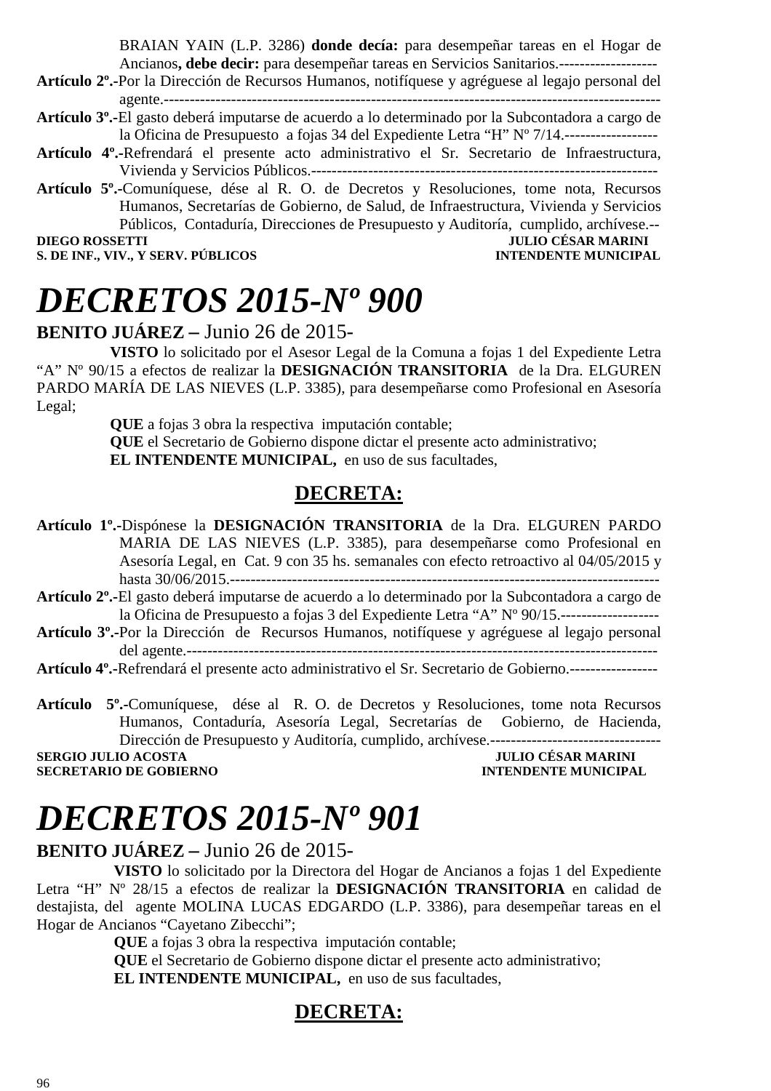BRAIAN YAIN (L.P. 3286) **donde decía:** para desempeñar tareas en el Hogar de Ancianos**, debe decir:** para desempeñar tareas en Servicios Sanitarios.-------------------

- **Artículo 2º.-**Por la Dirección de Recursos Humanos, notifíquese y agréguese al legajo personal del agente.------------------------------------------------------------------------------------------------
- **Artículo 3º.-**El gasto deberá imputarse de acuerdo a lo determinado por la Subcontadora a cargo de la Oficina de Presupuesto a fojas 34 del Expediente Letra "H" Nº 7/14.------------------
- **Artículo 4º.-**Refrendará el presente acto administrativo el Sr. Secretario de Infraestructura, Vivienda y Servicios Públicos.-------------------------------------------------------------------
- **Artículo 5º.-**Comuníquese, dése al R. O. de Decretos y Resoluciones, tome nota, Recursos Humanos, Secretarías de Gobierno, de Salud, de Infraestructura, Vivienda y Servicios Públicos, Contaduría, Direcciones de Presupuesto y Auditoría, cumplido, archívese.-- **JULIO CÉSAR MARINI**

**S. DE INF., VIV., Y SERV. PÚBLICOS INTENDENTE MUNICIPAL** 

# *DECRETOS 2015-Nº 900*

### **BENITO JUÁREZ –** Junio 26 de 2015-

**VISTO** lo solicitado por el Asesor Legal de la Comuna a fojas 1 del Expediente Letra "A" Nº 90/15 a efectos de realizar la **DESIGNACIÓN TRANSITORIA** de la Dra. ELGUREN PARDO MARÍA DE LAS NIEVES (L.P. 3385), para desempeñarse como Profesional en Asesoría Legal;

> **QUE** a fojas 3 obra la respectiva imputación contable; **QUE** el Secretario de Gobierno dispone dictar el presente acto administrativo; **EL INTENDENTE MUNICIPAL,** en uso de sus facultades,

### **DECRETA:**

**Artículo 1º.-**Dispónese la **DESIGNACIÓN TRANSITORIA** de la Dra. ELGUREN PARDO MARIA DE LAS NIEVES (L.P. 3385), para desempeñarse como Profesional en Asesoría Legal, en Cat. 9 con 35 hs. semanales con efecto retroactivo al 04/05/2015 y hasta 30/06/2015.-----------------------------------------------------------------------------------

**Artículo 2º.-**El gasto deberá imputarse de acuerdo a lo determinado por la Subcontadora a cargo de la Oficina de Presupuesto a fojas 3 del Expediente Letra "A" Nº 90/15.-------------------

**Artículo 3º.-**Por la Dirección de Recursos Humanos, notifíquese y agréguese al legajo personal del agente.-------------------------------------------------------------------------------------------

**Artículo 4º.-**Refrendará el presente acto administrativo el Sr. Secretario de Gobierno.-----------------

**Artículo 5º.-**Comuníquese, dése al R. O. de Decretos y Resoluciones, tome nota Recursos Humanos, Contaduría, Asesoría Legal, Secretarías de Gobierno, de Hacienda, Dirección de Presupuesto y Auditoría, cumplido, archívese.---------------------------------

**SECRETARIO DE GOBIERNO INTENDENTE MUNICIPAL** 

**SERGIO JULIO ACOSTA** JULIO CÉSAR MARINI

# *DECRETOS 2015-Nº 901*

### **BENITO JUÁREZ –** Junio 26 de 2015-

 **VISTO** lo solicitado por la Directora del Hogar de Ancianos a fojas 1 del Expediente Letra "H" Nº 28/15 a efectos de realizar la **DESIGNACIÓN TRANSITORIA** en calidad de destajista, del agente MOLINA LUCAS EDGARDO (L.P. 3386), para desempeñar tareas en el Hogar de Ancianos "Cayetano Zibecchi";

 **QUE** a fojas 3 obra la respectiva imputación contable;

**QUE** el Secretario de Gobierno dispone dictar el presente acto administrativo;  **EL INTENDENTE MUNICIPAL,** en uso de sus facultades,

### **DECRETA:**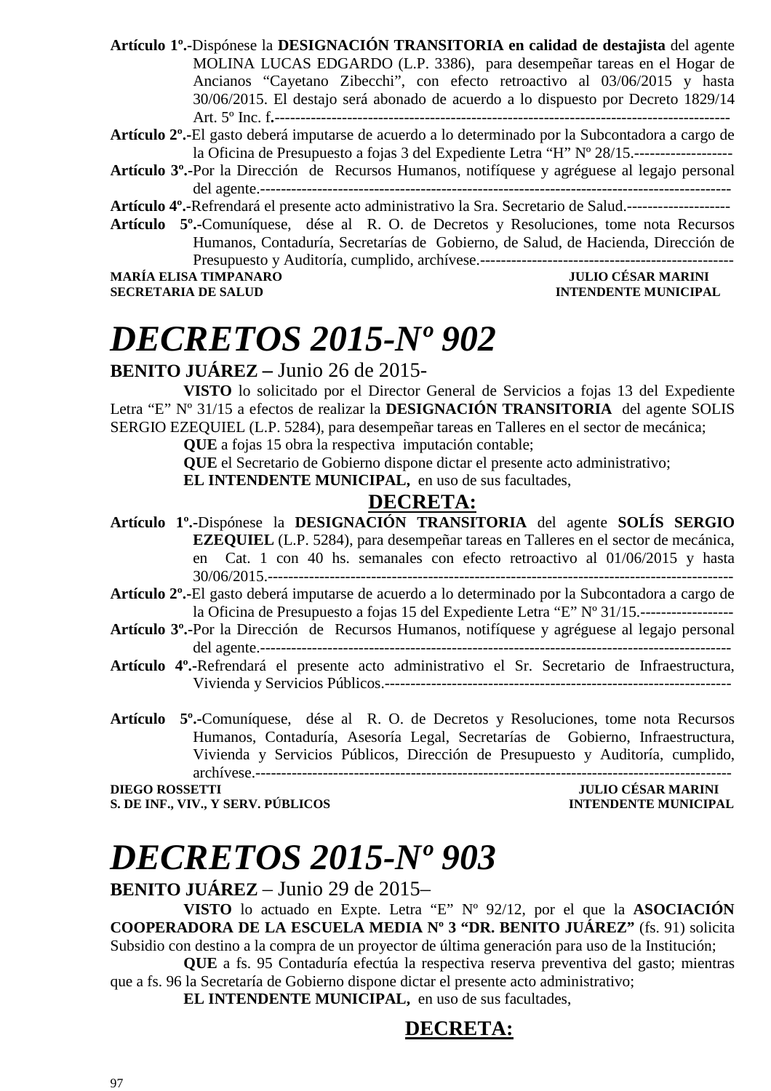**Artículo 1º.-**Dispónese la **DESIGNACIÓN TRANSITORIA en calidad de destajista** del agente MOLINA LUCAS EDGARDO (L.P. 3386), para desempeñar tareas en el Hogar de Ancianos "Cayetano Zibecchi", con efecto retroactivo al 03/06/2015 y hasta 30/06/2015. El destajo será abonado de acuerdo a lo dispuesto por Decreto 1829/14 Art. 5º Inc. f**.**----------------------------------------------------------------------------------------

**Artículo 2º.-**El gasto deberá imputarse de acuerdo a lo determinado por la Subcontadora a cargo de la Oficina de Presupuesto a fojas 3 del Expediente Letra "H" Nº 28/15.-------------------

**Artículo 3º.-**Por la Dirección de Recursos Humanos, notifíquese y agréguese al legajo personal del agente.-------------------------------------------------------------------------------------------

**Artículo 4º.-**Refrendará el presente acto administrativo la Sra. Secretario de Salud.--------------------

**Artículo 5º.-**Comuníquese, dése al R. O. de Decretos y Resoluciones, tome nota Recursos Humanos, Contaduría, Secretarías de Gobierno, de Salud, de Hacienda, Dirección de Presupuesto y Auditoría, cumplido, archívese.------------------------------------------------- **MARÍA ELISA TIMPANARO JULIO CÉSAR MARINI SECRETARIA DE SALUD CONTRADO DE LA CONTRADICIÓN DE SALUD DE LA CONTRADO DE LA CONTRADO DE LA CONTRADO DE LA CONTRADO DE LA CONTRADO DE LA CONTRADO DE LA CONTRADO DE LA CONTRADO DE** 

### **INTENDENTE MUNICIPAL**

## *DECRETOS 2015-Nº 902*

### **BENITO JUÁREZ –** Junio 26 de 2015-

**VISTO** lo solicitado por el Director General de Servicios a fojas 13 del Expediente Letra "E" Nº 31/15 a efectos de realizar la **DESIGNACIÓN TRANSITORIA** del agente SOLIS SERGIO EZEQUIEL (L.P. 5284), para desempeñar tareas en Talleres en el sector de mecánica;

**QUE** a fojas 15 obra la respectiva imputación contable;

**QUE** el Secretario de Gobierno dispone dictar el presente acto administrativo;

**EL INTENDENTE MUNICIPAL,** en uso de sus facultades,

### **DECRETA:**

- **Artículo 1º.-**Dispónese la **DESIGNACIÓN TRANSITORIA** del agente **SOLÍS SERGIO EZEQUIEL** (L.P. 5284), para desempeñar tareas en Talleres en el sector de mecánica, en Cat. 1 con 40 hs. semanales con efecto retroactivo al 01/06/2015 y hasta 30/06/2015.------------------------------------------------------------------------------------------
- **Artículo 2º.-**El gasto deberá imputarse de acuerdo a lo determinado por la Subcontadora a cargo de la Oficina de Presupuesto a fojas 15 del Expediente Letra "E" Nº 31/15.------------------
- **Artículo 3º.-**Por la Dirección de Recursos Humanos, notifíquese y agréguese al legajo personal del agente.-------------------------------------------------------------------------------------------
- **Artículo 4º.-**Refrendará el presente acto administrativo el Sr. Secretario de Infraestructura, Vivienda y Servicios Públicos.-------------------------------------------------------------------
- **Artículo 5º.-**Comuníquese, dése al R. O. de Decretos y Resoluciones, tome nota Recursos Humanos, Contaduría, Asesoría Legal, Secretarías de Gobierno, Infraestructura, Vivienda y Servicios Públicos, Dirección de Presupuesto y Auditoría, cumplido, archívese.--------------------------------------------------------------------------------------------

**DIEGO ROSSETTI JULIO CÉSAR MARINI** 

### **S. DE INF., VIV., Y SERV. PÚBLICOS INTENDENTE MUNICIPAL**

# *DECRETOS 2015-Nº 903*

**BENITO JUÁREZ** – Junio 29 de 2015–

**VISTO** lo actuado en Expte. Letra "E" Nº 92/12, por el que la **ASOCIACIÓN COOPERADORA DE LA ESCUELA MEDIA Nº 3 "DR. BENITO JUÁREZ"** (fs. 91) solicita Subsidio con destino a la compra de un proyector de última generación para uso de la Institución;

**QUE** a fs. 95 Contaduría efectúa la respectiva reserva preventiva del gasto; mientras que a fs. 96 la Secretaría de Gobierno dispone dictar el presente acto administrativo;

**EL INTENDENTE MUNICIPAL,** en uso de sus facultades,

### **DECRETA:**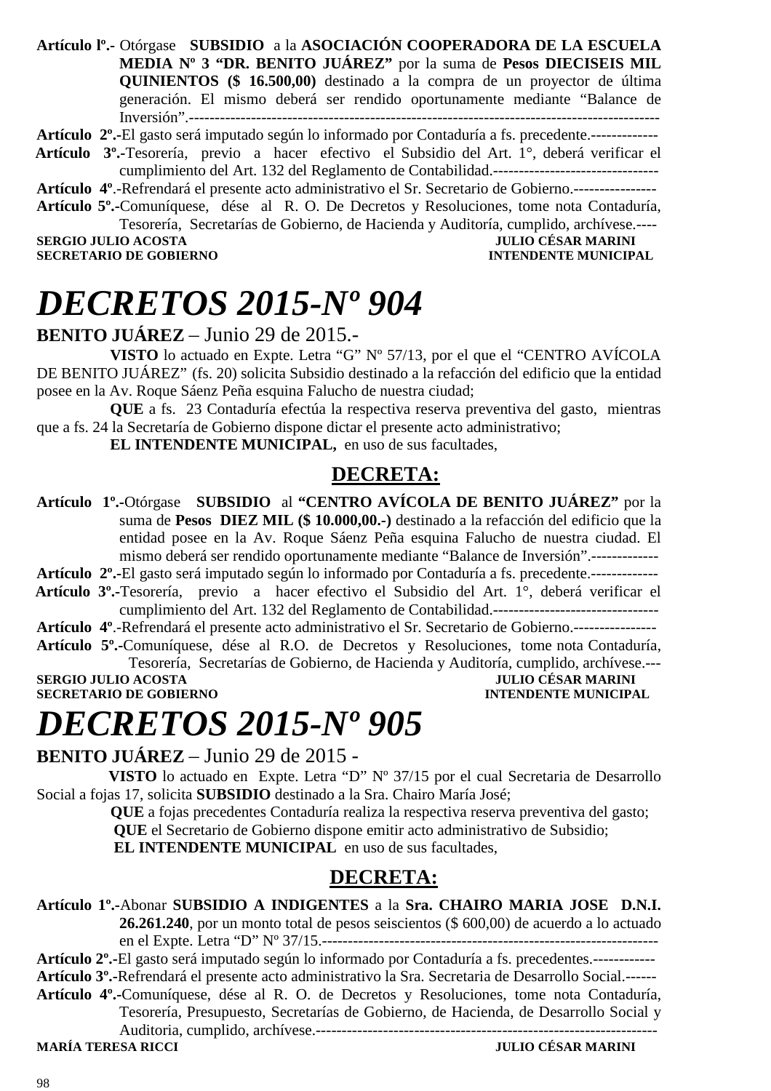**Artículo lº.-** Otórgase **SUBSIDIO** a la **ASOCIACIÓN COOPERADORA DE LA ESCUELA MEDIA Nº 3 "DR. BENITO JUÁREZ"** por la suma de **Pesos DIECISEIS MIL QUINIENTOS (\$ 16.500,00)** destinado a la compra de un proyector de última generación. El mismo deberá ser rendido oportunamente mediante "Balance de Inversión".-------------------------------------------------------------------------------------------

#### **Artículo 2º.-**El gasto será imputado según lo informado por Contaduría a fs. precedente.-------------

 **Artículo 3º.-**Tesorería, previo a hacer efectivo el Subsidio del Art. 1°, deberá verificar el cumplimiento del Art. 132 del Reglamento de Contabilidad.--------------------------------

**Artículo 4º**.-Refrendará el presente acto administrativo el Sr. Secretario de Gobierno.----------------

**Artículo 5º.-**Comuníquese, dése al R. O. De Decretos y Resoluciones, tome nota Contaduría, Tesorería, Secretarías de Gobierno, de Hacienda y Auditoría, cumplido, archívese.----

**SERGIO JULIO ACOSTA DE CONFERNO DE CONFERNO DE CONFERNO DE CONFERNO DE CONFERNO DE CONFERNO DE CONFERNO DE CONFERNO DE CONFERNO DE CONFERNO DE CONFERNO DE CONFERNO DE CONFERNO DE CONFERNO DE CONFERNO DE CONFERNO DE CONFER SECRETARIO DE GOBIERNO** 

## *DECRETOS 2015-Nº 904*

**BENITO JUÁREZ** – Junio 29 de 2015.-

**VISTO** lo actuado en Expte. Letra "G" Nº 57/13, por el que el "CENTRO AVÍCOLA DE BENITO JUÁREZ" (fs. 20) solicita Subsidio destinado a la refacción del edificio que la entidad posee en la Av. Roque Sáenz Peña esquina Falucho de nuestra ciudad;

**QUE** a fs. 23 Contaduría efectúa la respectiva reserva preventiva del gasto, mientras que a fs. 24 la Secretaría de Gobierno dispone dictar el presente acto administrativo;

**EL INTENDENTE MUNICIPAL,** en uso de sus facultades,

### **DECRETA:**

**Artículo 1º.-**Otórgase **SUBSIDIO** al **"CENTRO AVÍCOLA DE BENITO JUÁREZ"** por la suma de **Pesos DIEZ MIL (\$ 10.000,00.-)** destinado a la refacción del edificio que la entidad posee en la Av. Roque Sáenz Peña esquina Falucho de nuestra ciudad. El mismo deberá ser rendido oportunamente mediante "Balance de Inversión".-------------

**Artículo 2º.-**El gasto será imputado según lo informado por Contaduría a fs. precedente.-------------

 **Artículo 3º.-**Tesorería, previo a hacer efectivo el Subsidio del Art. 1°, deberá verificar el cumplimiento del Art. 132 del Reglamento de Contabilidad.--------------------------------

**Artículo 4º**.-Refrendará el presente acto administrativo el Sr. Secretario de Gobierno.---------------- **Artículo 5º.-**Comuníquese, dése al R.O. de Decretos y Resoluciones, tome nota Contaduría,

Tesorería, Secretarías de Gobierno, de Hacienda y Auditoría, cumplido, archívese.---

**SERGIO JULIO ACOSTA DE CONFINITAT DE LA COSTA DE CONFINITAT DE LA COSTA DE LA COSTA DE LA CONFINITAT DE LA CO<br>SECRETARIO DE GOBIERNO DE LA COSTA DE LA CONFINITAT DE LA CONFINITAT DE LA CONFINITAT DE LA CONFINITAT DE LA C SECRETARIO DE GOBIERNO** 

### *DECRETOS 2015-Nº 905*

**BENITO JUÁREZ** – Junio 29 de 2015 -

**VISTO** lo actuado en Expte. Letra "D" Nº 37/15 por el cual Secretaria de Desarrollo Social a fojas 17, solicita **SUBSIDIO** destinado a la Sra. Chairo María José;

> **QUE** a fojas precedentes Contaduría realiza la respectiva reserva preventiva del gasto;  **QUE** el Secretario de Gobierno dispone emitir acto administrativo de Subsidio;

**EL INTENDENTE MUNICIPAL** en uso de sus facultades,

### **DECRETA:**

**Artículo 1º.-**Abonar **SUBSIDIO A INDIGENTES** a la **Sra. CHAIRO MARIA JOSE D.N.I. 26.261.240**, por un monto total de pesos seiscientos (\$ 600,00) de acuerdo a lo actuado en el Expte. Letra "D" Nº 37/15.-----------------------------------------------------------------

**Artículo 2º.-**El gasto será imputado según lo informado por Contaduría a fs. precedentes.------------ **Artículo 3º.-**Refrendará el presente acto administrativo la Sra. Secretaria de Desarrollo Social.------

**Artículo 4º.-**Comuníquese, dése al R. O. de Decretos y Resoluciones, tome nota Contaduría, Tesorería, Presupuesto, Secretarías de Gobierno, de Hacienda, de Desarrollo Social y

Auditoria, cumplido, archívese.------------------------------------------------------------------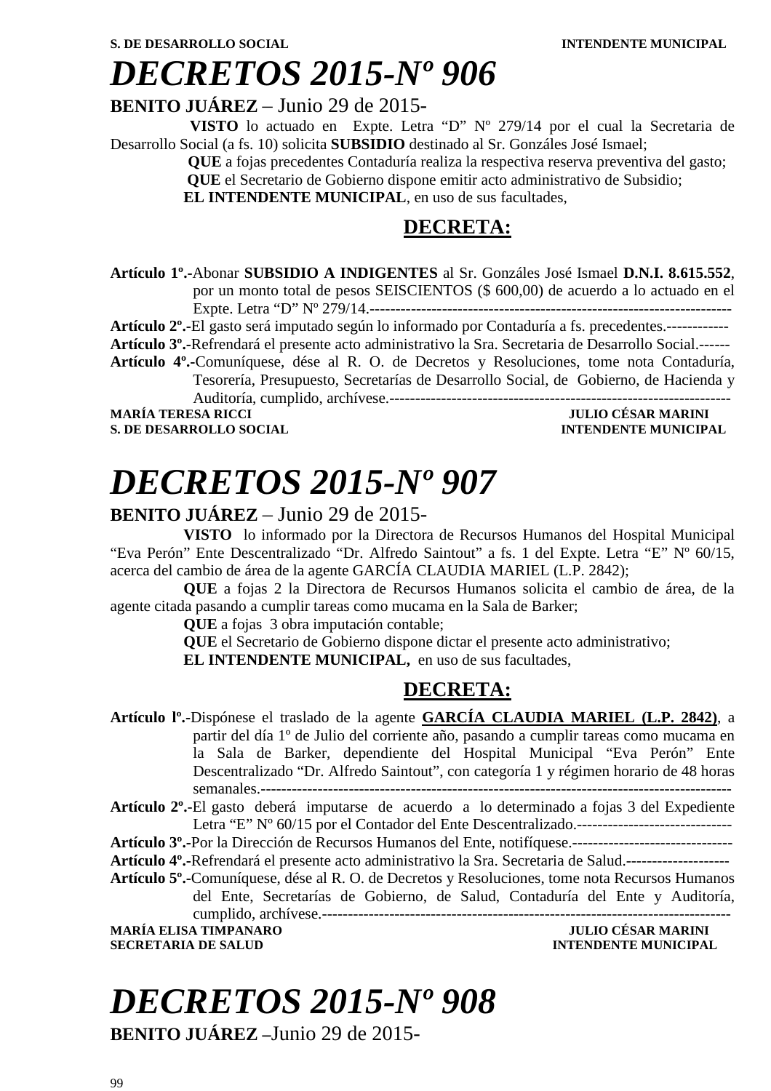**BENITO JUÁREZ** – Junio 29 de 2015-

 **VISTO** lo actuado en Expte. Letra "D" Nº 279/14 por el cual la Secretaria de Desarrollo Social (a fs. 10) solicita **SUBSIDIO** destinado al Sr. Gonzáles José Ismael;

 **QUE** a fojas precedentes Contaduría realiza la respectiva reserva preventiva del gasto;  **QUE** el Secretario de Gobierno dispone emitir acto administrativo de Subsidio;

**EL INTENDENTE MUNICIPAL**, en uso de sus facultades,

### **DECRETA:**

**Artículo 1º.-**Abonar **SUBSIDIO A INDIGENTES** al Sr. Gonzáles José Ismael **D.N.I. 8.615.552**, por un monto total de pesos SEISCIENTOS (\$ 600,00) de acuerdo a lo actuado en el Expte. Letra "D" Nº 279/14.----------------------------------------------------------------------

**Artículo 2º.-**El gasto será imputado según lo informado por Contaduría a fs. precedentes.------------

**Artículo 3º.-**Refrendará el presente acto administrativo la Sra. Secretaria de Desarrollo Social.------

**Artículo 4º.-**Comuníquese, dése al R. O. de Decretos y Resoluciones, tome nota Contaduría, Tesorería, Presupuesto, Secretarías de Desarrollo Social, de Gobierno, de Hacienda y Auditoría, cumplido, archívese.------------------------------------------------------------------

**S. DE DESARROLLO SOCIAL DESARROLLO SOCIAL DESARROLLO SOCIAL DESARROLLO SOCIAL DESARROLLO SOCIAL DE SOCIAL DE SOCIAL DE SOCIAL DE SOCIAL DE SOCIAL DE SOCIAL DE SOCIAL DE SOCIAL DE SOCIAL DE SOCIAL DE SOCIAL DE SOCIAL DE SO** 

**JULIO CÉSAR MARINI** 

### *DECRETOS 2015-Nº 907*

#### **BENITO JUÁREZ** – Junio 29 de 2015-

**VISTO** lo informado por la Directora de Recursos Humanos del Hospital Municipal "Eva Perón" Ente Descentralizado "Dr. Alfredo Saintout" a fs. 1 del Expte. Letra "E" Nº 60/15, acerca del cambio de área de la agente GARCÍA CLAUDIA MARIEL (L.P. 2842);

**QUE** a fojas 2 la Directora de Recursos Humanos solicita el cambio de área, de la agente citada pasando a cumplir tareas como mucama en la Sala de Barker;

**QUE** a fojas 3 obra imputación contable;

**QUE** el Secretario de Gobierno dispone dictar el presente acto administrativo;

**EL INTENDENTE MUNICIPAL,** en uso de sus facultades,

### **DECRETA:**

**Artículo lº.-**Dispónese el traslado de la agente **GARCÍA CLAUDIA MARIEL (L.P. 2842)**, a partir del día 1º de Julio del corriente año, pasando a cumplir tareas como mucama en la Sala de Barker, dependiente del Hospital Municipal "Eva Perón" Ente Descentralizado "Dr. Alfredo Saintout", con categoría 1 y régimen horario de 48 horas semanales.-------------------------------------------------------------------------------------------

**Artículo 2º.**-El gasto deberá imputarse de acuerdo a lo determinado a fojas 3 del Expediente Letra "E" Nº 60/15 por el Contador del Ente Descentralizado.------------------------------

**Artículo 3º.-**Por la Dirección de Recursos Humanos del Ente, notifíquese.-------------------------------

**Artículo 4º.-**Refrendará el presente acto administrativo la Sra. Secretaria de Salud.--------------------

**Artículo 5º.-**Comuníquese, dése al R. O. de Decretos y Resoluciones, tome nota Recursos Humanos del Ente, Secretarías de Gobierno, de Salud, Contaduría del Ente y Auditoría, cumplido, archívese.-------------------------------------------------------------------------------

**MARÍA ELISA TIMPANARO JULIO CÉSAR MARINI SECRETARIA DE SALUD INTENDENTE MUNICIPAL** 

# *DECRETOS 2015-Nº 908*

**BENITO JUÁREZ –**Junio 29 de 2015-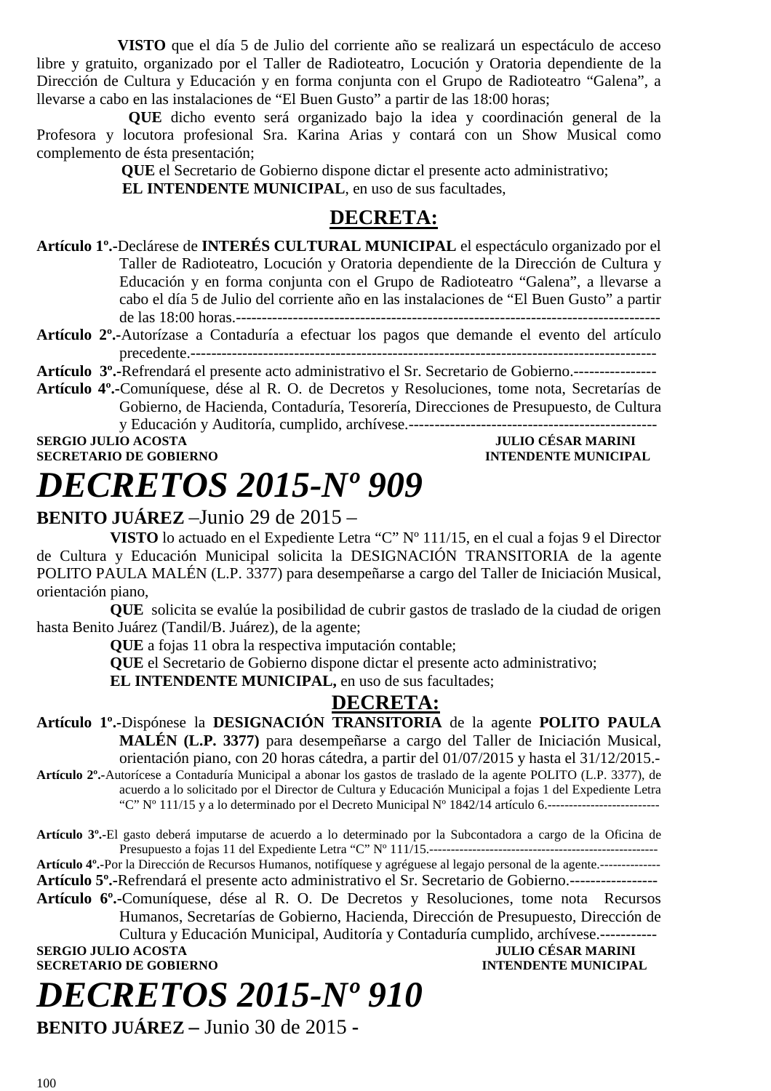**VISTO** que el día 5 de Julio del corriente año se realizará un espectáculo de acceso libre y gratuito, organizado por el Taller de Radioteatro, Locución y Oratoria dependiente de la Dirección de Cultura y Educación y en forma conjunta con el Grupo de Radioteatro "Galena", a llevarse a cabo en las instalaciones de "El Buen Gusto" a partir de las 18:00 horas;

**QUE** dicho evento será organizado bajo la idea y coordinación general de la Profesora y locutora profesional Sra. Karina Arias y contará con un Show Musical como complemento de ésta presentación;

 **QUE** el Secretario de Gobierno dispone dictar el presente acto administrativo;  **EL INTENDENTE MUNICIPAL**, en uso de sus facultades,

### **DECRETA:**

- **Artículo 1º.-**Declárese de **INTERÉS CULTURAL MUNICIPAL** el espectáculo organizado por el Taller de Radioteatro, Locución y Oratoria dependiente de la Dirección de Cultura y Educación y en forma conjunta con el Grupo de Radioteatro "Galena", a llevarse a cabo el día 5 de Julio del corriente año en las instalaciones de "El Buen Gusto" a partir de las 18:00 horas.----------------------------------------------------------------------------------
- **Artículo 2º.-**Autorízase a Contaduría a efectuar los pagos que demande el evento del artículo precedente.------------------------------------------------------------------------------------------
- **Artículo 3º.-**Refrendará el presente acto administrativo el Sr. Secretario de Gobierno.----------------
- **Artículo 4º.-**Comuníquese, dése al R. O. de Decretos y Resoluciones, tome nota, Secretarías de Gobierno, de Hacienda, Contaduría, Tesorería, Direcciones de Presupuesto, de Cultura y Educación y Auditoría, cumplido, archívese.------------------------------------------------

**SERGIO JULIO ACOSTA** JULIO CÉSAR MARINI

**SECRETARIO DE GOBIERNO INTENDENTE MUNICIPAL** 

# *DECRETOS 2015-Nº 909*

### **BENITO JUÁREZ** –Junio 29 de 2015 –

**VISTO** lo actuado en el Expediente Letra "C" Nº 111/15, en el cual a fojas 9 el Director de Cultura y Educación Municipal solicita la DESIGNACIÓN TRANSITORIA de la agente POLITO PAULA MALÉN (L.P. 3377) para desempeñarse a cargo del Taller de Iniciación Musical, orientación piano,

**QUE** solicita se evalúe la posibilidad de cubrir gastos de traslado de la ciudad de origen hasta Benito Juárez (Tandil/B. Juárez), de la agente;

**QUE** a fojas 11 obra la respectiva imputación contable;

**QUE** el Secretario de Gobierno dispone dictar el presente acto administrativo;

**EL INTENDENTE MUNICIPAL,** en uso de sus facultades;

### **DECRETA:**

**Artículo 1º.-**Dispónese la **DESIGNACIÓN TRANSITORIA** de la agente **POLITO PAULA MALÉN (L.P. 3377)** para desempeñarse a cargo del Taller de Iniciación Musical, orientación piano, con 20 horas cátedra, a partir del 01/07/2015 y hasta el 31/12/2015.- **Artículo 2º.-**Autorícese a Contaduría Municipal a abonar los gastos de traslado de la agente POLITO (L.P. 3377), de

acuerdo a lo solicitado por el Director de Cultura y Educación Municipal a fojas 1 del Expediente Letra "C" Nº 111/15 y a lo determinado por el Decreto Municipal Nº 1842/14 artículo 6.------------------------------

**Artículo 3º.-**El gasto deberá imputarse de acuerdo a lo determinado por la Subcontadora a cargo de la Oficina de Presupuesto a fojas 11 del Expediente Letra "C" Nº 111/15.-----------------------------------------------------

**Artículo 4º.-**Por la Dirección de Recursos Humanos, notifíquese y agréguese al legajo personal de la agente.--------------

**Artículo 5º.-**Refrendará el presente acto administrativo el Sr. Secretario de Gobierno.-----------------

**Artículo 6º.-**Comuníquese, dése al R. O. De Decretos y Resoluciones, tome nota Recursos Humanos, Secretarías de Gobierno, Hacienda, Dirección de Presupuesto, Dirección de

Cultura y Educación Municipal, Auditoría y Contaduría cumplido, archívese.----------- **SERGIO JULIO ACOSTA JULIO CÉSAR MARINI** 

### **SECRETARIO DE GOBIERNO INTENDENTE MUNICIPAL**

# *DECRETOS 2015-Nº 910*

**BENITO JUÁREZ –** Junio 30 de 2015 **-**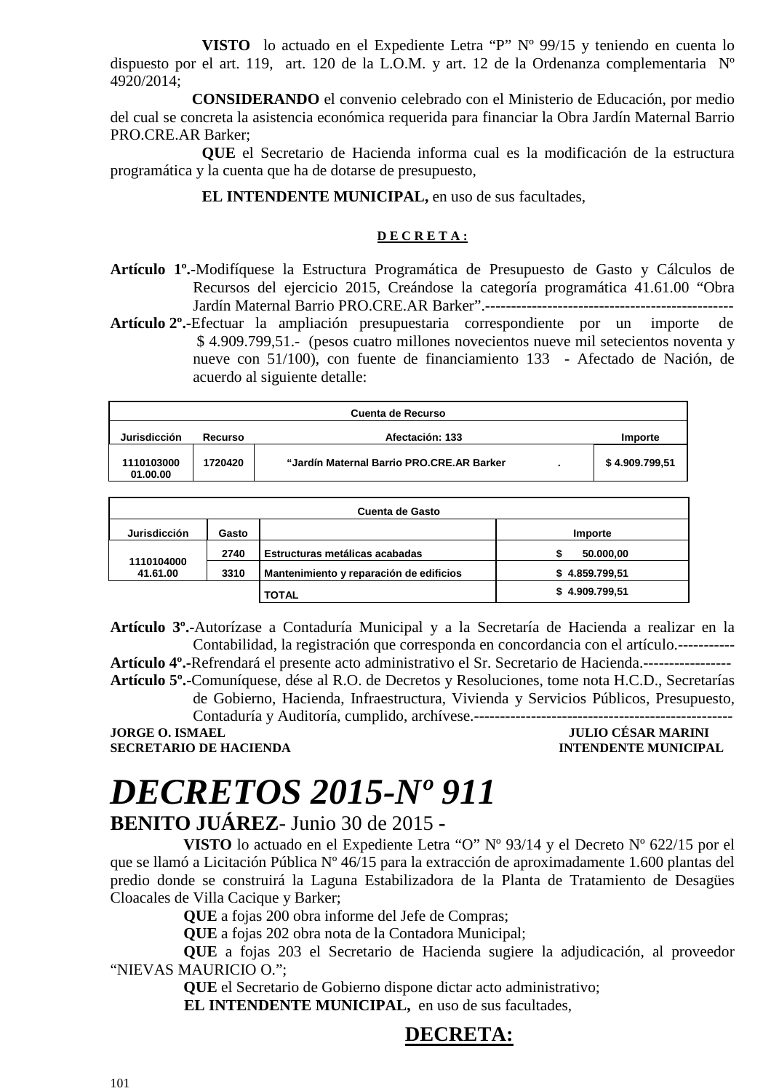**VISTO** lo actuado en el Expediente Letra "P" Nº 99/15 y teniendo en cuenta lo dispuesto por el art. 119, art. 120 de la L.O.M. y art. 12 de la Ordenanza complementaria Nº 4920/2014;

 **CONSIDERANDO** el convenio celebrado con el Ministerio de Educación, por medio del cual se concreta la asistencia económica requerida para financiar la Obra Jardín Maternal Barrio PRO.CRE.AR Barker;

**QUE** el Secretario de Hacienda informa cual es la modificación de la estructura programática y la cuenta que ha de dotarse de presupuesto,

#### **EL INTENDENTE MUNICIPAL, en uso de sus facultades,**

#### **D E C R E T A :**

- **Artículo 1º.-**Modifíquese la Estructura Programática de Presupuesto de Gasto y Cálculos de Recursos del ejercicio 2015, Creándose la categoría programática 41.61.00 "Obra Jardín Maternal Barrio PRO.CRE.AR Barker".------------------------------------------------
- **Artículo 2º.-**Efectuar la ampliación presupuestaria correspondiente por un importe de \$4.909.799,51.- (pesos cuatro millones novecientos nueve mil setecientos noventa y nueve con 51/100), con fuente de financiamiento 133 - Afectado de Nación, de acuerdo al siguiente detalle:

| Cuenta de Recurso      |         |                                           |  |                |
|------------------------|---------|-------------------------------------------|--|----------------|
| Jurisdicción           | Recurso | Afectación: 133                           |  | Importe        |
| 1110103000<br>01.00.00 | 1720420 | "Jardín Maternal Barrio PRO.CRE.AR Barker |  | \$4.909.799.51 |

| Cuenta de Gasto        |       |                                         |                |
|------------------------|-------|-----------------------------------------|----------------|
| Jurisdicción           | Gasto |                                         | Importe        |
| 1110104000<br>41.61.00 | 2740  | Estructuras metálicas acabadas          | 50.000,00      |
|                        | 3310  | Mantenimiento y reparación de edificios | \$4.859.799,51 |
|                        |       | <b>TOTAL</b>                            | \$4.909.799,51 |

**Artículo 3º.-**Autorízase a Contaduría Municipal y a la Secretaría de Hacienda a realizar en la Contabilidad, la registración que corresponda en concordancia con el artículo.-----------

**Artículo 4º.-**Refrendará el presente acto administrativo el Sr. Secretario de Hacienda.----------------- **Artículo 5º.-**Comuníquese, dése al R.O. de Decretos y Resoluciones, tome nota H.C.D., Secretarías

de Gobierno, Hacienda, Infraestructura, Vivienda y Servicios Públicos, Presupuesto, Contaduría y Auditoría, cumplido, archívese.--------------------------------------------------

**JORGE O. ISMAEL JULIO CÉSAR MARINI** 

**INTENDENTE MUNICIPAL** 

# *DECRETOS 2015-Nº 911*

### **BENITO JUÁREZ**- Junio 30 de 2015 **-**

**VISTO** lo actuado en el Expediente Letra "O" Nº 93/14 y el Decreto Nº 622/15 por el que se llamó a Licitación Pública Nº 46/15 para la extracción de aproximadamente 1.600 plantas del predio donde se construirá la Laguna Estabilizadora de la Planta de Tratamiento de Desagües Cloacales de Villa Cacique y Barker;

**QUE** a fojas 200 obra informe del Jefe de Compras;

**QUE** a fojas 202 obra nota de la Contadora Municipal;

**QUE** a fojas 203 el Secretario de Hacienda sugiere la adjudicación, al proveedor "NIEVAS MAURICIO O.";

> **QUE** el Secretario de Gobierno dispone dictar acto administrativo; **EL INTENDENTE MUNICIPAL,** en uso de sus facultades,

### **DECRETA:**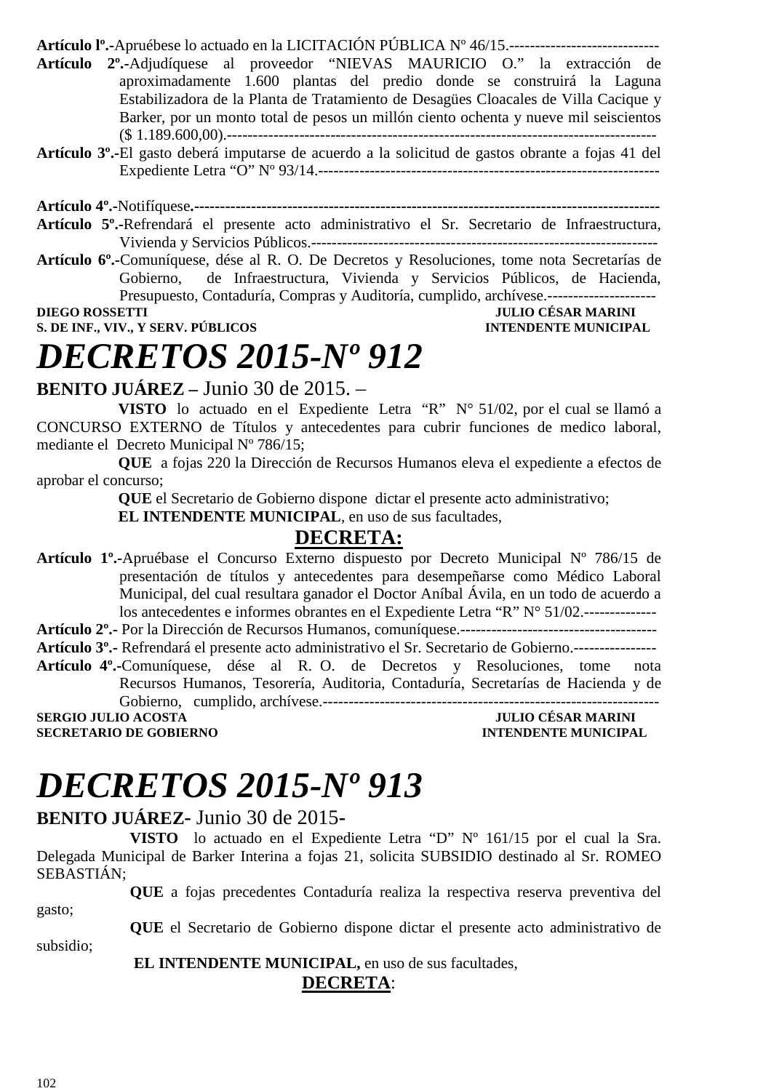**Artículo lº.-**Apruébese lo actuado en la LICITACIÓN PÚBLICA Nº 46/15.-----------------------------

- **Artículo 2º.-**Adjudíquese al proveedor "NIEVAS MAURICIO O." la extracción de aproximadamente 1.600 plantas del predio donde se construirá la Laguna Estabilizadora de la Planta de Tratamiento de Desagües Cloacales de Villa Cacique y Barker, por un monto total de pesos un millón ciento ochenta y nueve mil seiscientos (\$ 1.189.600,00).-----------------------------------------------------------------------------------
- **Artículo 3º.-**El gasto deberá imputarse de acuerdo a la solicitud de gastos obrante a fojas 41 del Expediente Letra "O" Nº 93/14.------------------------------------------------------------------

**Artículo 4º.-**Notifíquese**.------------------------------------------------------------------------------------------ Artículo 5º.-**Refrendará el presente acto administrativo el Sr. Secretario de Infraestructura,

Vivienda y Servicios Públicos.------------------------------------------------------------------- **Artículo 6º.-**Comuníquese, dése al R. O. De Decretos y Resoluciones, tome nota Secretarías de Gobierno, de Infraestructura, Vivienda y Servicios Públicos, de Hacienda, Presupuesto, Contaduría, Compras y Auditoría, cumplido, archívese.---------------------

#### **DIEGO ROSSETTI** JULIO CÉSAR MARINI **S. DE INF., VIV., Y SERV. PÚBLICOS INTENDENTE MUNICIPAL**

### *DECRETOS 2015-Nº 912*

**BENITO JUÁREZ –** Junio 30 de 2015. –

 **VISTO** lo actuado en el Expediente Letra "R" N° 51/02, por el cual se llamó a CONCURSO EXTERNO de Títulos y antecedentes para cubrir funciones de medico laboral, mediante el Decreto Municipal Nº 786/15;

 **QUE** a fojas 220 la Dirección de Recursos Humanos eleva el expediente a efectos de aprobar el concurso;

 **QUE** el Secretario de Gobierno dispone dictar el presente acto administrativo;

**EL INTENDENTE MUNICIPAL**, en uso de sus facultades,

### **DECRETA:**

**Artículo 1º.-**Apruébase el Concurso Externo dispuesto por Decreto Municipal Nº 786/15 de presentación de títulos y antecedentes para desempeñarse como Médico Laboral Municipal, del cual resultara ganador el Doctor Aníbal Ávila, en un todo de acuerdo a los antecedentes e informes obrantes en el Expediente Letra "R" N° 51/02.--------------

**Artículo 2º.-** Por la Dirección de Recursos Humanos, comuníquese.--------------------------------------

**Artículo 3º.-** Refrendará el presente acto administrativo el Sr. Secretario de Gobierno.---------------- **Artículo 4º.-**Comuníquese, dése al R. O. de Decretos y Resoluciones, tome nota

Recursos Humanos, Tesorería, Auditoria, Contaduría, Secretarías de Hacienda y de Gobierno, cumplido, archívese.-----------------------------------------------------------------

**SERGIO JULIO ACOSTA JULIO CÉSAR MARINI SECRETARIO DE GOBIERNO** 

# *DECRETOS 2015-Nº 913*

### **BENITO JUÁREZ-** Junio 30 de 2015**-**

**VISTO** lo actuado en el Expediente Letra "D" Nº 161/15 por el cual la Sra. Delegada Municipal de Barker Interina a fojas 21, solicita SUBSIDIO destinado al Sr. ROMEO SEBASTIÁN;

**QUE** a fojas precedentes Contaduría realiza la respectiva reserva preventiva del gasto;

**QUE** el Secretario de Gobierno dispone dictar el presente acto administrativo de subsidio;

 **EL INTENDENTE MUNICIPAL,** en uso de sus facultades,

**DECRETA**: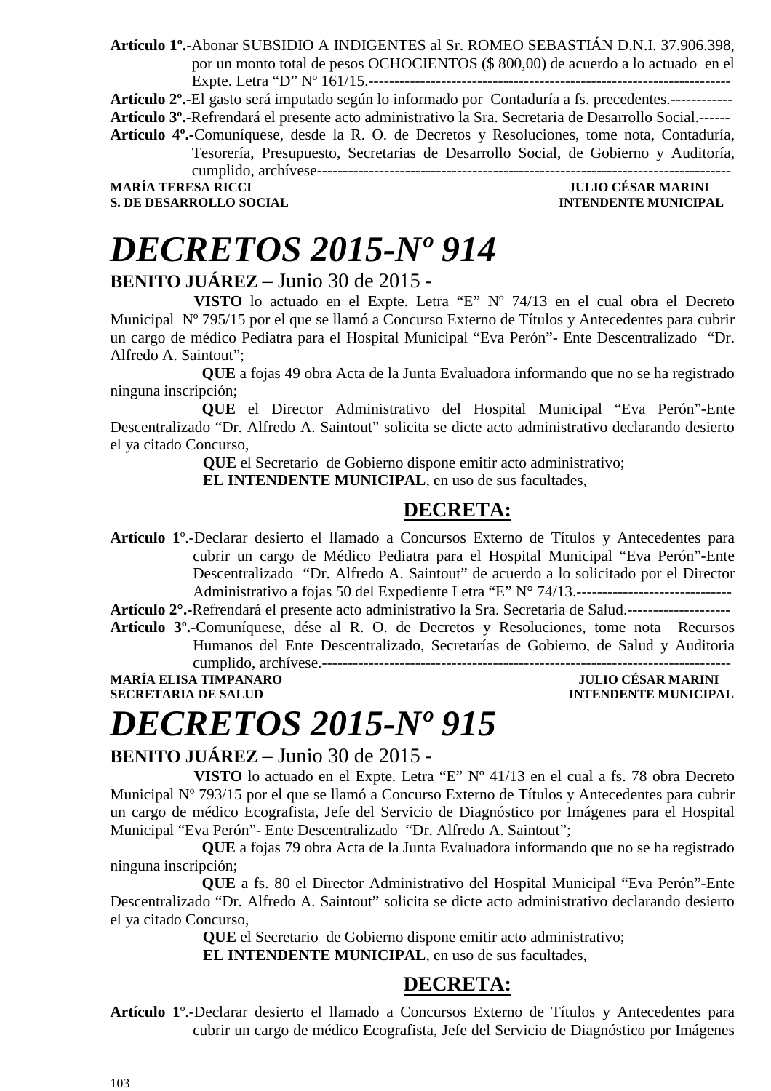**Artículo 1º.-**Abonar SUBSIDIO A INDIGENTES al Sr. ROMEO SEBASTIÁN D.N.I. 37.906.398, por un monto total de pesos OCHOCIENTOS (\$ 800,00) de acuerdo a lo actuado en el Expte. Letra "D" Nº 161/15.----------------------------------------------------------------------

**Artículo 2º.-**El gasto será imputado según lo informado por Contaduría a fs. precedentes.------------

**Artículo 3º.-**Refrendará el presente acto administrativo la Sra. Secretaria de Desarrollo Social.------ **Artículo 4º.-**Comuníquese, desde la R. O. de Decretos y Resoluciones, tome nota, Contaduría, Tesorería, Presupuesto, Secretarias de Desarrollo Social, de Gobierno y Auditoría, cumplido, archívese--------------------------------------------------------------------------------

**MARÍA TERESA RICCI S. DE DESARROLLO SOCIAL DESARROLLO SOCIAL DESARROLLO SOCIAL DESARROLLO SOCIAL DESARROLLO SOCIAL DE SOCIAL DE SOCIAL DE SOCIAL DE SOCIAL DE SOCIAL DE SOCIAL DE SOCIAL DE SOCIAL DE SOCIAL DE SOCIAL DE SOCIAL DE SOCIAL DE SO** 

## *DECRETOS 2015-Nº 914*

### **BENITO JUÁREZ** – Junio 30 de 2015 -

 **VISTO** lo actuado en el Expte. Letra "E" Nº 74/13 en el cual obra el Decreto Municipal Nº 795/15 por el que se llamó a Concurso Externo de Títulos y Antecedentes para cubrir un cargo de médico Pediatra para el Hospital Municipal "Eva Perón"- Ente Descentralizado "Dr. Alfredo A. Saintout";

**QUE** a fojas 49 obra Acta de la Junta Evaluadora informando que no se ha registrado ninguna inscripción;

**QUE** el Director Administrativo del Hospital Municipal "Eva Perón"-Ente Descentralizado "Dr. Alfredo A. Saintout" solicita se dicte acto administrativo declarando desierto el ya citado Concurso,

 **QUE** el Secretario de Gobierno dispone emitir acto administrativo;

 **EL INTENDENTE MUNICIPAL**, en uso de sus facultades,

### **DECRETA:**

**Artículo 1**º.-Declarar desierto el llamado a Concursos Externo de Títulos y Antecedentes para cubrir un cargo de Médico Pediatra para el Hospital Municipal "Eva Perón"-Ente Descentralizado "Dr. Alfredo A. Saintout" de acuerdo a lo solicitado por el Director Administrativo a fojas 50 del Expediente Letra "E" N° 74/13.------------------------------

**Artículo 2°.-**Refrendará el presente acto administrativo la Sra. Secretaria de Salud.-------------------- **Artículo 3º.-**Comuníquese, dése al R. O. de Decretos y Resoluciones, tome nota Recursos Humanos del Ente Descentralizado, Secretarías de Gobierno, de Salud y Auditoria

cumplido, archívese.-------------------------------------------------------------------------------

**MARÍA ELISA TIMPANARO JULIO CÉSAR MARINI** 

**INTENDENTE MUNICIPAL** 

# *DECRETOS 2015-Nº 915*

### **BENITO JUÁREZ** – Junio 30 de 2015 -

 **VISTO** lo actuado en el Expte. Letra "E" Nº 41/13 en el cual a fs. 78 obra Decreto Municipal Nº 793/15 por el que se llamó a Concurso Externo de Títulos y Antecedentes para cubrir un cargo de médico Ecografista, Jefe del Servicio de Diagnóstico por Imágenes para el Hospital Municipal "Eva Perón"- Ente Descentralizado "Dr. Alfredo A. Saintout";

**QUE** a fojas 79 obra Acta de la Junta Evaluadora informando que no se ha registrado ninguna inscripción;

**QUE** a fs. 80 el Director Administrativo del Hospital Municipal "Eva Perón"-Ente Descentralizado "Dr. Alfredo A. Saintout" solicita se dicte acto administrativo declarando desierto el ya citado Concurso,

**OUE** el Secretario de Gobierno dispone emitir acto administrativo;

 **EL INTENDENTE MUNICIPAL**, en uso de sus facultades,

### **DECRETA:**

**Artículo 1**º.-Declarar desierto el llamado a Concursos Externo de Títulos y Antecedentes para cubrir un cargo de médico Ecografista, Jefe del Servicio de Diagnóstico por Imágenes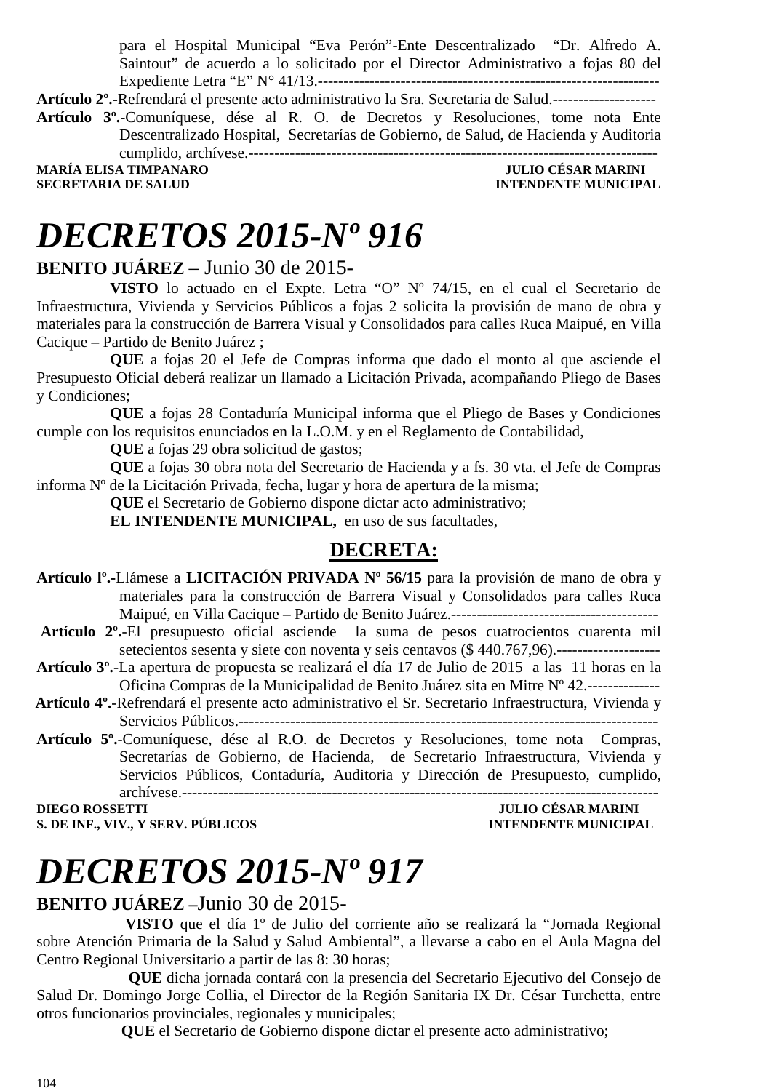para el Hospital Municipal "Eva Perón"-Ente Descentralizado "Dr. Alfredo A. Saintout" de acuerdo a lo solicitado por el Director Administrativo a fojas 80 del Expediente Letra "E" N° 41/13.------------------------------------------------------------------

**Artículo 2º.-**Refrendará el presente acto administrativo la Sra. Secretaria de Salud.--------------------

**Artículo 3º.-**Comuníquese, dése al R. O. de Decretos y Resoluciones, tome nota Ente Descentralizado Hospital, Secretarías de Gobierno, de Salud, de Hacienda y Auditoria cumplido, archívese.-------------------------------------------------------------------------------

MARÍA ELISA TIMPANARO **de la contrata de la contrata de la contrata de la contrata de la contrata de la contra<br>1990 - Secretaria de Salud SECRETARIA DE SALUD** 

# *DECRETOS 2015-Nº 916*

### **BENITO JUÁREZ** – Junio 30 de 2015-

**VISTO** lo actuado en el Expte. Letra "O" Nº 74/15, en el cual el Secretario de Infraestructura, Vivienda y Servicios Públicos a fojas 2 solicita la provisión de mano de obra y materiales para la construcción de Barrera Visual y Consolidados para calles Ruca Maipué, en Villa Cacique – Partido de Benito Juárez ;

**QUE** a fojas 20 el Jefe de Compras informa que dado el monto al que asciende el Presupuesto Oficial deberá realizar un llamado a Licitación Privada, acompañando Pliego de Bases y Condiciones;

**QUE** a fojas 28 Contaduría Municipal informa que el Pliego de Bases y Condiciones cumple con los requisitos enunciados en la L.O.M. y en el Reglamento de Contabilidad,

**QUE** a fojas 29 obra solicitud de gastos;

**QUE** a fojas 30 obra nota del Secretario de Hacienda y a fs. 30 vta. el Jefe de Compras informa Nº de la Licitación Privada, fecha, lugar y hora de apertura de la misma;

**QUE** el Secretario de Gobierno dispone dictar acto administrativo;

**EL INTENDENTE MUNICIPAL,** en uso de sus facultades,

### **DECRETA:**

- **Artículo lº.-**Llámese a **LICITACIÓN PRIVADA Nº 56/15** para la provisión de mano de obra y materiales para la construcción de Barrera Visual y Consolidados para calles Ruca Maipué, en Villa Cacique – Partido de Benito Juárez.----------------------------------------
- **Artículo 2º.**-El presupuesto oficial asciende la suma de pesos cuatrocientos cuarenta mil setecientos sesenta y siete con noventa y seis centavos (\$ 440.767,96).--------------------
- **Artículo 3º.**-La apertura de propuesta se realizará el día 17 de Julio de 2015 a las 11 horas en la Oficina Compras de la Municipalidad de Benito Juárez sita en Mitre Nº 42.--------------
- **Artículo 4º.**-Refrendará el presente acto administrativo el Sr. Secretario Infraestructura, Vivienda y Servicios Públicos.---------------------------------------------------------------------------------
- **Artículo 5º.**-Comuníquese, dése al R.O. de Decretos y Resoluciones, tome nota Compras, Secretarías de Gobierno, de Hacienda, de Secretario Infraestructura, Vivienda y Servicios Públicos, Contaduría, Auditoria y Dirección de Presupuesto, cumplido, archívese.--------------------------------------------------------------------------------------------

**DIEGO ROSSETTI JULIO CÉSAR MARINI** 

### **S. DE INF., VIV., Y SERV. PÚBLICOS INTENDENTE MUNICIPAL**

# *DECRETOS 2015-Nº 917*

### **BENITO JUÁREZ –**Junio 30 de 2015-

 **VISTO** que el día 1º de Julio del corriente año se realizará la "Jornada Regional sobre Atención Primaria de la Salud y Salud Ambiental", a llevarse a cabo en el Aula Magna del Centro Regional Universitario a partir de las 8: 30 horas;

**QUE** dicha jornada contará con la presencia del Secretario Ejecutivo del Consejo de Salud Dr. Domingo Jorge Collia, el Director de la Región Sanitaria IX Dr. César Turchetta, entre otros funcionarios provinciales, regionales y municipales;

**QUE** el Secretario de Gobierno dispone dictar el presente acto administrativo;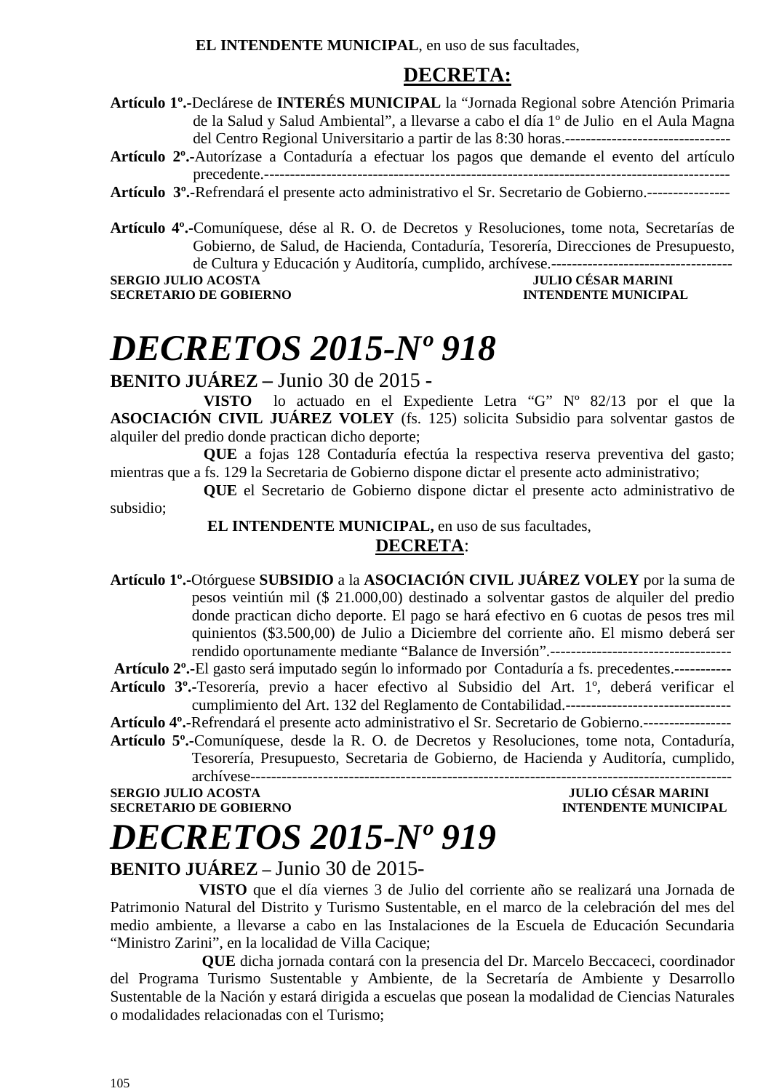**EL INTENDENTE MUNICIPAL**, en uso de sus facultades,

### **DECRETA:**

- **Artículo 1º.-**Declárese de **INTERÉS MUNICIPAL** la "Jornada Regional sobre Atención Primaria de la Salud y Salud Ambiental", a llevarse a cabo el día 1º de Julio en el Aula Magna del Centro Regional Universitario a partir de las 8:30 horas.--------------------------------
- **Artículo 2º.-**Autorízase a Contaduría a efectuar los pagos que demande el evento del artículo precedente.------------------------------------------------------------------------------------------
- **Artículo 3º.-**Refrendará el presente acto administrativo el Sr. Secretario de Gobierno.----------------

**Artículo 4º.-**Comuníquese, dése al R. O. de Decretos y Resoluciones, tome nota, Secretarías de Gobierno, de Salud, de Hacienda, Contaduría, Tesorería, Direcciones de Presupuesto, de Cultura y Educación y Auditoría, cumplido, archívese.-----------------------------------

**SERGIO JULIO ACOSTA** 

### **SECRETARIO DE GOBIERNO INTENDENTE MUNICIPAL**

### *DECRETOS 2015-Nº 918*

**BENITO JUÁREZ –** Junio 30 de 2015 **-** 

**VISTO** lo actuado en el Expediente Letra "G" Nº 82/13 por el que la **ASOCIACIÓN CIVIL JUÁREZ VOLEY** (fs. 125) solicita Subsidio para solventar gastos de alquiler del predio donde practican dicho deporte;

**QUE** a fojas 128 Contaduría efectúa la respectiva reserva preventiva del gasto; mientras que a fs. 129 la Secretaria de Gobierno dispone dictar el presente acto administrativo;

**QUE** el Secretario de Gobierno dispone dictar el presente acto administrativo de subsidio;

 **EL INTENDENTE MUNICIPAL,** en uso de sus facultades,

#### **DECRETA**:

**Artículo 1º.-**Otórguese **SUBSIDIO** a la **ASOCIACIÓN CIVIL JUÁREZ VOLEY** por la suma de pesos veintiún mil (\$ 21.000,00) destinado a solventar gastos de alquiler del predio donde practican dicho deporte. El pago se hará efectivo en 6 cuotas de pesos tres mil quinientos (\$3.500,00) de Julio a Diciembre del corriente año. El mismo deberá ser rendido oportunamente mediante "Balance de Inversión".-----------------------------------

**Artículo 2º.-**El gasto será imputado según lo informado por Contaduría a fs. precedentes.-----------

**Artículo 3º.-**Tesorería, previo a hacer efectivo al Subsidio del Art. 1º, deberá verificar el cumplimiento del Art. 132 del Reglamento de Contabilidad.--------------------------------

**Artículo 4º.-**Refrendará el presente acto administrativo el Sr. Secretario de Gobierno.-----------------

**Artículo 5º.-**Comuníquese, desde la R. O. de Decretos y Resoluciones, tome nota, Contaduría, Tesorería, Presupuesto, Secretaria de Gobierno, de Hacienda y Auditoría, cumplido,

archívese---------------------------------------------------------------------------------------------

**SECRETARIO DE GOBIERNO INTENDENTE MUNICIPAL** 

### **SERGIO JULIO ACOSTA JULIO CÉSAR MARINI**

**BENITO JUÁREZ –** Junio 30 de 2015-

*DECRETOS 2015-Nº 919* 

 **VISTO** que el día viernes 3 de Julio del corriente año se realizará una Jornada de Patrimonio Natural del Distrito y Turismo Sustentable, en el marco de la celebración del mes del medio ambiente, a llevarse a cabo en las Instalaciones de la Escuela de Educación Secundaria "Ministro Zarini", en la localidad de Villa Cacique;

**QUE** dicha jornada contará con la presencia del Dr. Marcelo Beccaceci, coordinador del Programa Turismo Sustentable y Ambiente, de la Secretaría de Ambiente y Desarrollo Sustentable de la Nación y estará dirigida a escuelas que posean la modalidad de Ciencias Naturales o modalidades relacionadas con el Turismo;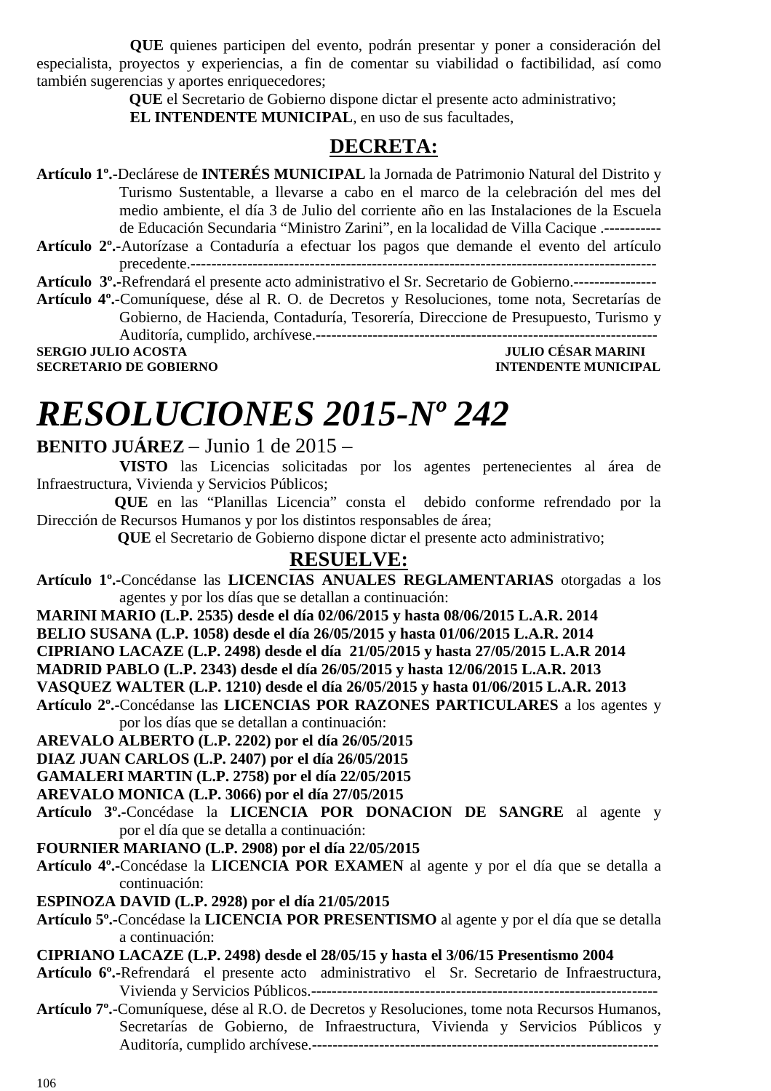**QUE** quienes participen del evento, podrán presentar y poner a consideración del especialista, proyectos y experiencias, a fin de comentar su viabilidad o factibilidad, así como también sugerencias y aportes enriquecedores;

 **QUE** el Secretario de Gobierno dispone dictar el presente acto administrativo;  **EL INTENDENTE MUNICIPAL**, en uso de sus facultades,

### **DECRETA:**

**Artículo 1º.-**Declárese de **INTERÉS MUNICIPAL** la Jornada de Patrimonio Natural del Distrito y Turismo Sustentable, a llevarse a cabo en el marco de la celebración del mes del medio ambiente, el día 3 de Julio del corriente año en las Instalaciones de la Escuela de Educación Secundaria "Ministro Zarini", en la localidad de Villa Cacique .-----------

**Artículo 2º.-**Autorízase a Contaduría a efectuar los pagos que demande el evento del artículo precedente.------------------------------------------------------------------------------------------

**Artículo 3º.-**Refrendará el presente acto administrativo el Sr. Secretario de Gobierno.----------------

**Artículo 4º.-**Comuníquese, dése al R. O. de Decretos y Resoluciones, tome nota, Secretarías de Gobierno, de Hacienda, Contaduría, Tesorería, Direccione de Presupuesto, Turismo y Auditoría, cumplido, archívese.------------------------------------------------------------------

**SERGIO JULIO ACOSTA JULIO CÉSAR MARINI** 

**SECRETARIO DE GOBIERNO INTENDENTE MUNICIPAL** 

# *RESOLUCIONES 2015-Nº 242*

### **BENITO JUÁREZ** – Junio 1 de 2015 –

 **VISTO** las Licencias solicitadas por los agentes pertenecientes al área de Infraestructura, Vivienda y Servicios Públicos;

 **QUE** en las "Planillas Licencia" consta el debido conforme refrendado por la Dirección de Recursos Humanos y por los distintos responsables de área;

 **QUE** el Secretario de Gobierno dispone dictar el presente acto administrativo;

### **RESUELVE:**

**Artículo 1º.-**Concédanse las **LICENCIAS ANUALES REGLAMENTARIAS** otorgadas a los agentes y por los días que se detallan a continuación:

**MARINI MARIO (L.P. 2535) desde el día 02/06/2015 y hasta 08/06/2015 L.A.R. 2014** 

**BELIO SUSANA (L.P. 1058) desde el día 26/05/2015 y hasta 01/06/2015 L.A.R. 2014** 

**CIPRIANO LACAZE (L.P. 2498) desde el día 21/05/2015 y hasta 27/05/2015 L.A.R 2014** 

**MADRID PABLO (L.P. 2343) desde el día 26/05/2015 y hasta 12/06/2015 L.A.R. 2013** 

**VASQUEZ WALTER (L.P. 1210) desde el día 26/05/2015 y hasta 01/06/2015 L.A.R. 2013** 

**Artículo 2º.-**Concédanse las **LICENCIAS POR RAZONES PARTICULARES** a los agentes y por los días que se detallan a continuación:

**AREVALO ALBERTO (L.P. 2202) por el día 26/05/2015** 

**DIAZ JUAN CARLOS (L.P. 2407) por el día 26/05/2015** 

**GAMALERI MARTIN (L.P. 2758) por el día 22/05/2015** 

**AREVALO MONICA (L.P. 3066) por el día 27/05/2015** 

- **Artículo 3º.-**Concédase la **LICENCIA POR DONACION DE SANGRE** al agente y por el día que se detalla a continuación:
- **FOURNIER MARIANO (L.P. 2908) por el día 22/05/2015**
- **Artículo 4º.-**Concédase la **LICENCIA POR EXAMEN** al agente y por el día que se detalla a continuación:
- **ESPINOZA DAVID (L.P. 2928) por el día 21/05/2015**
- **Artículo 5º.-**Concédase la **LICENCIA POR PRESENTISMO** al agente y por el día que se detalla a continuación:

#### **CIPRIANO LACAZE (L.P. 2498) desde el 28/05/15 y hasta el 3/06/15 Presentismo 2004**

- **Artículo 6º.-**Refrendará el presente acto administrativo el Sr. Secretario de Infraestructura, Vivienda y Servicios Públicos.-------------------------------------------------------------------
- **Artículo 7º.**-Comuníquese, dése al R.O. de Decretos y Resoluciones, tome nota Recursos Humanos, Secretarías de Gobierno, de Infraestructura, Vivienda y Servicios Públicos y Auditoría, cumplido archívese.-------------------------------------------------------------------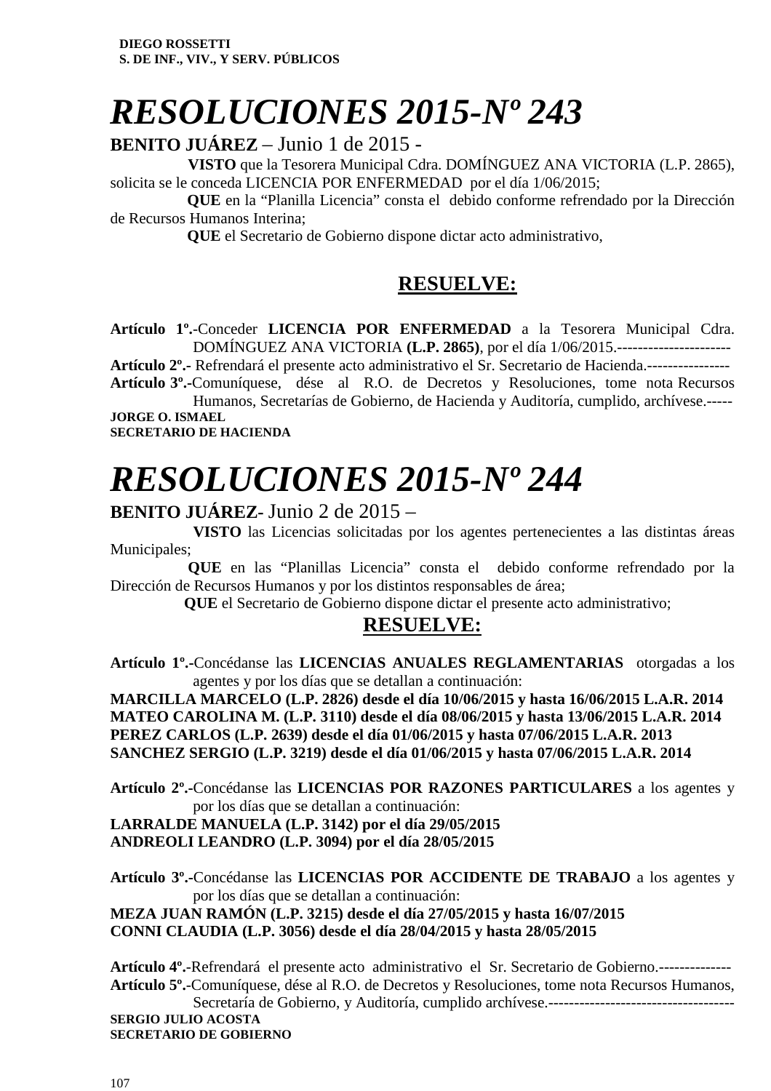# *RESOLUCIONES 2015-Nº 243*

**BENITO JUÁREZ** – Junio 1 de 2015 -

 **VISTO** que la Tesorera Municipal Cdra. DOMÍNGUEZ ANA VICTORIA (L.P. 2865), solicita se le conceda LICENCIA POR ENFERMEDAD por el día 1/06/2015;

 **QUE** en la "Planilla Licencia" consta el debido conforme refrendado por la Dirección de Recursos Humanos Interina;

 **QUE** el Secretario de Gobierno dispone dictar acto administrativo,

### **RESUELVE:**

**Artículo 1º.**-Conceder **LICENCIA POR ENFERMEDAD** a la Tesorera Municipal Cdra. DOMÍNGUEZ ANA VICTORIA **(L.P. 2865)**, por el día 1/06/2015.----------------------

**Artículo 2º.-** Refrendará el presente acto administrativo el Sr. Secretario de Hacienda.----------------

**Artículo 3º.-**Comuníquese, dése al R.O. de Decretos y Resoluciones, tome nota Recursos Humanos, Secretarías de Gobierno, de Hacienda y Auditoría, cumplido, archívese.----- **JORGE O. ISMAEL** 

**SECRETARIO DE HACIENDA** 

# *RESOLUCIONES 2015-Nº 244*

### **BENITO JUÁREZ-** Junio 2 de 2015 –

 **VISTO** las Licencias solicitadas por los agentes pertenecientes a las distintas áreas Municipales;

 **QUE** en las "Planillas Licencia" consta el debido conforme refrendado por la Dirección de Recursos Humanos y por los distintos responsables de área;

 **QUE** el Secretario de Gobierno dispone dictar el presente acto administrativo;

### **RESUELVE:**

**Artículo 1º.-**Concédanse las **LICENCIAS ANUALES REGLAMENTARIAS** otorgadas a los agentes y por los días que se detallan a continuación:

**MARCILLA MARCELO (L.P. 2826) desde el día 10/06/2015 y hasta 16/06/2015 L.A.R. 2014 MATEO CAROLINA M. (L.P. 3110) desde el día 08/06/2015 y hasta 13/06/2015 L.A.R. 2014 PEREZ CARLOS (L.P. 2639) desde el día 01/06/2015 y hasta 07/06/2015 L.A.R. 2013 SANCHEZ SERGIO (L.P. 3219) desde el día 01/06/2015 y hasta 07/06/2015 L.A.R. 2014** 

**Artículo 2º.-**Concédanse las **LICENCIAS POR RAZONES PARTICULARES** a los agentes y por los días que se detallan a continuación:

**LARRALDE MANUELA (L.P. 3142) por el día 29/05/2015 ANDREOLI LEANDRO (L.P. 3094) por el día 28/05/2015** 

**Artículo 3º.-**Concédanse las **LICENCIAS POR ACCIDENTE DE TRABAJO** a los agentes y por los días que se detallan a continuación:

**MEZA JUAN RAMÓN (L.P. 3215) desde el día 27/05/2015 y hasta 16/07/2015 CONNI CLAUDIA (L.P. 3056) desde el día 28/04/2015 y hasta 28/05/2015** 

**Artículo 4º.**-Refrendará el presente acto administrativo el Sr. Secretario de Gobierno.-------------- **Artículo 5º.**-Comuníquese, dése al R.O. de Decretos y Resoluciones, tome nota Recursos Humanos, Secretaría de Gobierno, y Auditoría, cumplido archívese.------------------------------------

**SERGIO JULIO ACOSTA SECRETARIO DE GOBIERNO**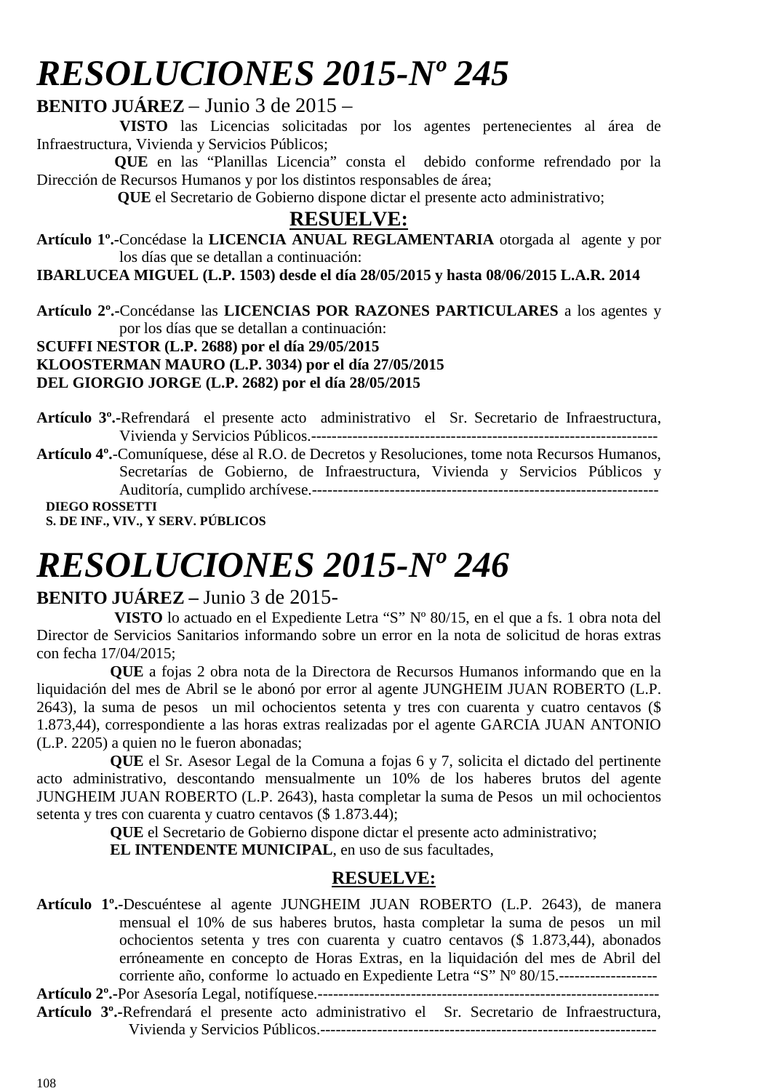# *RESOLUCIONES 2015-Nº 245*

### **BENITO JUÁREZ** – Junio 3 de 2015 –

 **VISTO** las Licencias solicitadas por los agentes pertenecientes al área de Infraestructura, Vivienda y Servicios Públicos;

 **QUE** en las "Planillas Licencia" consta el debido conforme refrendado por la Dirección de Recursos Humanos y por los distintos responsables de área;

 **QUE** el Secretario de Gobierno dispone dictar el presente acto administrativo;

### **RESUELVE:**

**Artículo 1º.-**Concédase la **LICENCIA ANUAL REGLAMENTARIA** otorgada al agente y por los días que se detallan a continuación:

**IBARLUCEA MIGUEL (L.P. 1503) desde el día 28/05/2015 y hasta 08/06/2015 L.A.R. 2014** 

**Artículo 2º.-**Concédanse las **LICENCIAS POR RAZONES PARTICULARES** a los agentes y por los días que se detallan a continuación:

#### **SCUFFI NESTOR (L.P. 2688) por el día 29/05/2015 KLOOSTERMAN MAURO (L.P. 3034) por el día 27/05/2015**

**DEL GIORGIO JORGE (L.P. 2682) por el día 28/05/2015** 

**Artículo 3º.-**Refrendará el presente acto administrativo el Sr. Secretario de Infraestructura, Vivienda y Servicios Públicos.------------------------------------------------------------------- **Artículo 4º.**-Comuníquese, dése al R.O. de Decretos y Resoluciones, tome nota Recursos Humanos, Secretarías de Gobierno, de Infraestructura, Vivienda y Servicios Públicos y Auditoría, cumplido archívese.------------------------------------------------------------------- **DIEGO ROSSETTI** 

**S. DE INF., VIV., Y SERV. PÚBLICOS** 

# *RESOLUCIONES 2015-Nº 246*

### **BENITO JUÁREZ –** Junio 3 de 2015-

 **VISTO** lo actuado en el Expediente Letra "S" Nº 80/15, en el que a fs. 1 obra nota del Director de Servicios Sanitarios informando sobre un error en la nota de solicitud de horas extras con fecha 17/04/2015;

**QUE** a fojas 2 obra nota de la Directora de Recursos Humanos informando que en la liquidación del mes de Abril se le abonó por error al agente JUNGHEIM JUAN ROBERTO (L.P. 2643), la suma de pesos un mil ochocientos setenta y tres con cuarenta y cuatro centavos (\$ 1.873,44), correspondiente a las horas extras realizadas por el agente GARCIA JUAN ANTONIO (L.P. 2205) a quien no le fueron abonadas;

 **QUE** el Sr. Asesor Legal de la Comuna a fojas 6 y 7, solicita el dictado del pertinente acto administrativo, descontando mensualmente un 10% de los haberes brutos del agente JUNGHEIM JUAN ROBERTO (L.P. 2643), hasta completar la suma de Pesos un mil ochocientos setenta y tres con cuarenta y cuatro centavos (\$ 1.873.44);

**QUE** el Secretario de Gobierno dispone dictar el presente acto administrativo;

**EL INTENDENTE MUNICIPAL**, en uso de sus facultades,

### **RESUELVE:**

**Artículo 1º.-**Descuéntese al agente JUNGHEIM JUAN ROBERTO (L.P. 2643), de manera mensual el 10% de sus haberes brutos, hasta completar la suma de pesos un mil ochocientos setenta y tres con cuarenta y cuatro centavos (\$ 1.873,44), abonados erróneamente en concepto de Horas Extras, en la liquidación del mes de Abril del corriente año, conforme lo actuado en Expediente Letra "S" Nº 80/15.-------------------

**Artículo 2º.-**Por Asesoría Legal, notifíquese.------------------------------------------------------------------

**Artículo 3º.-**Refrendará el presente acto administrativo el Sr. Secretario de Infraestructura, Vivienda y Servicios Públicos.-----------------------------------------------------------------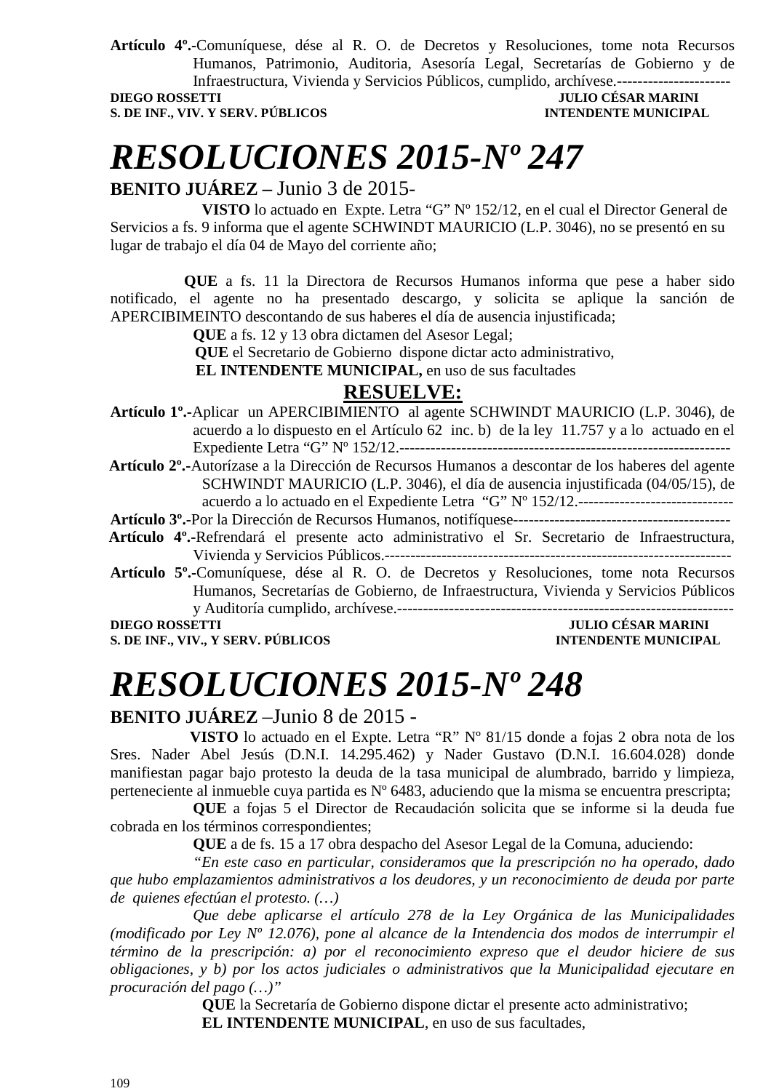**Artículo 4º.-**Comuníquese, dése al R. O. de Decretos y Resoluciones, tome nota Recursos Humanos, Patrimonio, Auditoria, Asesoría Legal, Secretarías de Gobierno y de Infraestructura, Vivienda y Servicios Públicos, cumplido, archívese.----------------------

**S. DE INF., VIV. Y SERV. PÚBLICOS INTENDENTE MUNICIPAL** 

### **JULIO CÉSAR MARINI**

# *RESOLUCIONES 2015-Nº 247*

**BENITO JUÁREZ –** Junio 3 de 2015-

**VISTO** lo actuado en Expte. Letra "G" Nº 152/12, en el cual el Director General de Servicios a fs. 9 informa que el agente SCHWINDT MAURICIO (L.P. 3046), no se presentó en su lugar de trabajo el día 04 de Mayo del corriente año;

 **QUE** a fs. 11 la Directora de Recursos Humanos informa que pese a haber sido notificado, el agente no ha presentado descargo, y solicita se aplique la sanción de APERCIBIMEINTO descontando de sus haberes el día de ausencia injustificada;

**QUE** a fs. 12 y 13 obra dictamen del Asesor Legal;

 **QUE** el Secretario de Gobierno dispone dictar acto administrativo,

 **EL INTENDENTE MUNICIPAL,** en uso de sus facultades

#### **RESUELVE:**

- **Artículo 1º.-**Aplicar un APERCIBIMIENTO al agente SCHWINDT MAURICIO (L.P. 3046), de acuerdo a lo dispuesto en el Artículo 62 inc. b) de la ley 11.757 y a lo actuado en el Expediente Letra "G" Nº 152/12.----------------------------------------------------------------
- **Artículo 2º.-**Autorízase a la Dirección de Recursos Humanos a descontar de los haberes del agente SCHWINDT MAURICIO (L.P. 3046), el día de ausencia injustificada (04/05/15), de acuerdo a lo actuado en el Expediente Letra "G" Nº 152/12.-----------------------------

**Artículo 3º.-**Por la Dirección de Recursos Humanos, notifíquese------------------------------------------

- **Artículo 4º.-**Refrendará el presente acto administrativo el Sr. Secretario de Infraestructura, Vivienda y Servicios Públicos.-------------------------------------------------------------------
- **Artículo 5º.-**Comuníquese, dése al R. O. de Decretos y Resoluciones, tome nota Recursos Humanos, Secretarías de Gobierno, de Infraestructura, Vivienda y Servicios Públicos y Auditoría cumplido, archívese.-----------------------------------------------------------------

**S. DE INF., VIV., Y SERV. PÚBLICOS INTENDENTE MUNICIPAL** 

### **DIEGO ROSSETTI JULIO CÉSAR MARINI**

# *RESOLUCIONES 2015-Nº 248*

### **BENITO JUÁREZ** –Junio 8 de 2015 -

 **VISTO** lo actuado en el Expte. Letra "R" Nº 81/15 donde a fojas 2 obra nota de los Sres. Nader Abel Jesús (D.N.I. 14.295.462) y Nader Gustavo (D.N.I. 16.604.028) donde manifiestan pagar bajo protesto la deuda de la tasa municipal de alumbrado, barrido y limpieza, perteneciente al inmueble cuya partida es Nº 6483, aduciendo que la misma se encuentra prescripta;

**QUE** a fojas 5 el Director de Recaudación solicita que se informe si la deuda fue cobrada en los términos correspondientes;

**QUE** a de fs. 15 a 17 obra despacho del Asesor Legal de la Comuna, aduciendo:

*"En este caso en particular, consideramos que la prescripción no ha operado, dado que hubo emplazamientos administrativos a los deudores, y un reconocimiento de deuda por parte de quienes efectúan el protesto. (…)* 

*Que debe aplicarse el artículo 278 de la Ley Orgánica de las Municipalidades (modificado por Ley Nº 12.076), pone al alcance de la Intendencia dos modos de interrumpir el término de la prescripción: a) por el reconocimiento expreso que el deudor hiciere de sus obligaciones, y b) por los actos judiciales o administrativos que la Municipalidad ejecutare en procuración del pago (…)"* 

> **QUE** la Secretaría de Gobierno dispone dictar el presente acto administrativo;  **EL INTENDENTE MUNICIPAL**, en uso de sus facultades,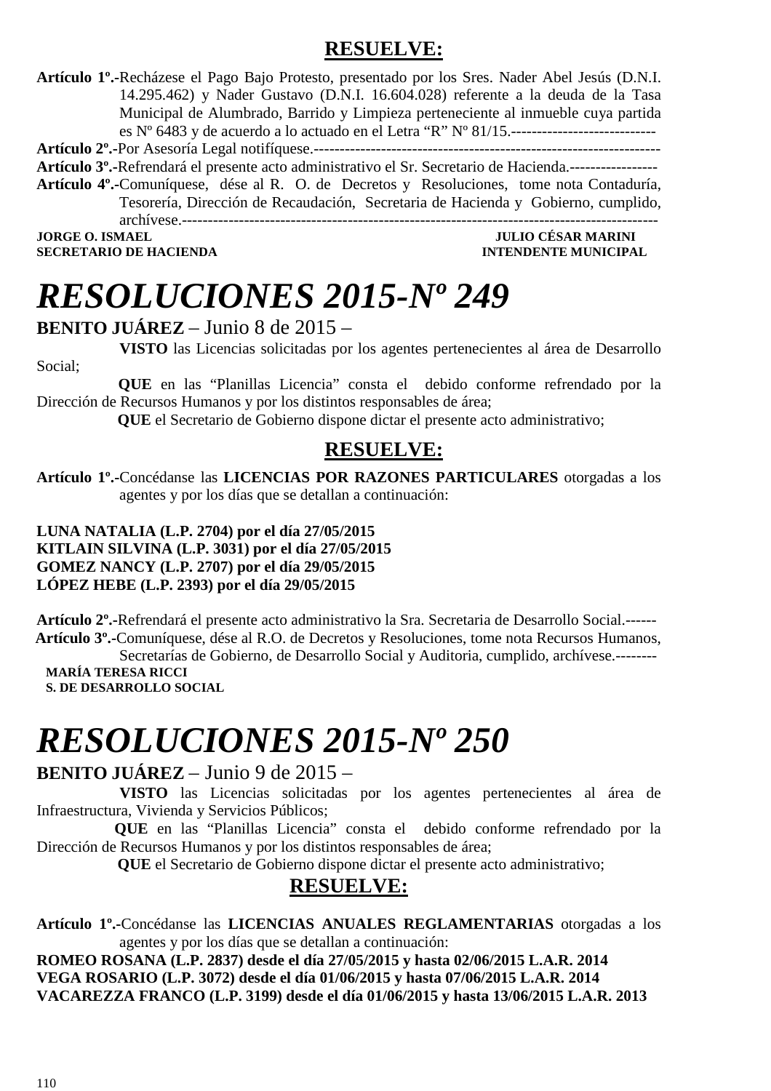### **RESUELVE:**

**Artículo 1º.-**Recházese el Pago Bajo Protesto, presentado por los Sres. Nader Abel Jesús (D.N.I. 14.295.462) y Nader Gustavo (D.N.I. 16.604.028) referente a la deuda de la Tasa Municipal de Alumbrado, Barrido y Limpieza perteneciente al inmueble cuya partida es Nº 6483 y de acuerdo a lo actuado en el Letra "R" Nº 81/15.----------------------------

**Artículo 2º.-**Por Asesoría Legal notifíquese.-------------------------------------------------------------------

**Artículo 3º.-**Refrendará el presente acto administrativo el Sr. Secretario de Hacienda.-----------------

**Artículo 4º.-**Comuníquese, dése al R. O. de Decretos y Resoluciones, tome nota Contaduría, Tesorería, Dirección de Recaudación, Secretaria de Hacienda y Gobierno, cumplido, archívese.--------------------------------------------------------------------------------------------

**SECRETARIO DE HACIENDA** 

Social;

### **JULIO CÉSAR MARINI<br>INTENDENTE MUNICIPAL**

# *RESOLUCIONES 2015-Nº 249*

#### **BENITO JUÁREZ** – Junio 8 de 2015 –

**VISTO** las Licencias solicitadas por los agentes pertenecientes al área de Desarrollo

 **QUE** en las "Planillas Licencia" consta el debido conforme refrendado por la Dirección de Recursos Humanos y por los distintos responsables de área;

 **QUE** el Secretario de Gobierno dispone dictar el presente acto administrativo;

### **RESUELVE:**

**Artículo 1º.-**Concédanse las **LICENCIAS POR RAZONES PARTICULARES** otorgadas a los agentes y por los días que se detallan a continuación:

#### **LUNA NATALIA (L.P. 2704) por el día 27/05/2015 KITLAIN SILVINA (L.P. 3031) por el día 27/05/2015 GOMEZ NANCY (L.P. 2707) por el día 29/05/2015 LÓPEZ HEBE (L.P. 2393) por el día 29/05/2015**

**Artículo 2º.-**Refrendará el presente acto administrativo la Sra. Secretaria de Desarrollo Social.------  **Artículo 3º.-**Comuníquese, dése al R.O. de Decretos y Resoluciones, tome nota Recursos Humanos,

Secretarías de Gobierno, de Desarrollo Social y Auditoria, cumplido, archívese.-------- **MARÍA TERESA RICCI S. DE DESARROLLO SOCIAL** 

# *RESOLUCIONES 2015-Nº 250*

### **BENITO JUÁREZ** – Junio 9 de 2015 –

 **VISTO** las Licencias solicitadas por los agentes pertenecientes al área de Infraestructura, Vivienda y Servicios Públicos;

 **QUE** en las "Planillas Licencia" consta el debido conforme refrendado por la Dirección de Recursos Humanos y por los distintos responsables de área;

 **QUE** el Secretario de Gobierno dispone dictar el presente acto administrativo;

### **RESUELVE:**

**Artículo 1º.-**Concédanse las **LICENCIAS ANUALES REGLAMENTARIAS** otorgadas a los agentes y por los días que se detallan a continuación:

**ROMEO ROSANA (L.P. 2837) desde el día 27/05/2015 y hasta 02/06/2015 L.A.R. 2014 VEGA ROSARIO (L.P. 3072) desde el día 01/06/2015 y hasta 07/06/2015 L.A.R. 2014 VACAREZZA FRANCO (L.P. 3199) desde el día 01/06/2015 y hasta 13/06/2015 L.A.R. 2013**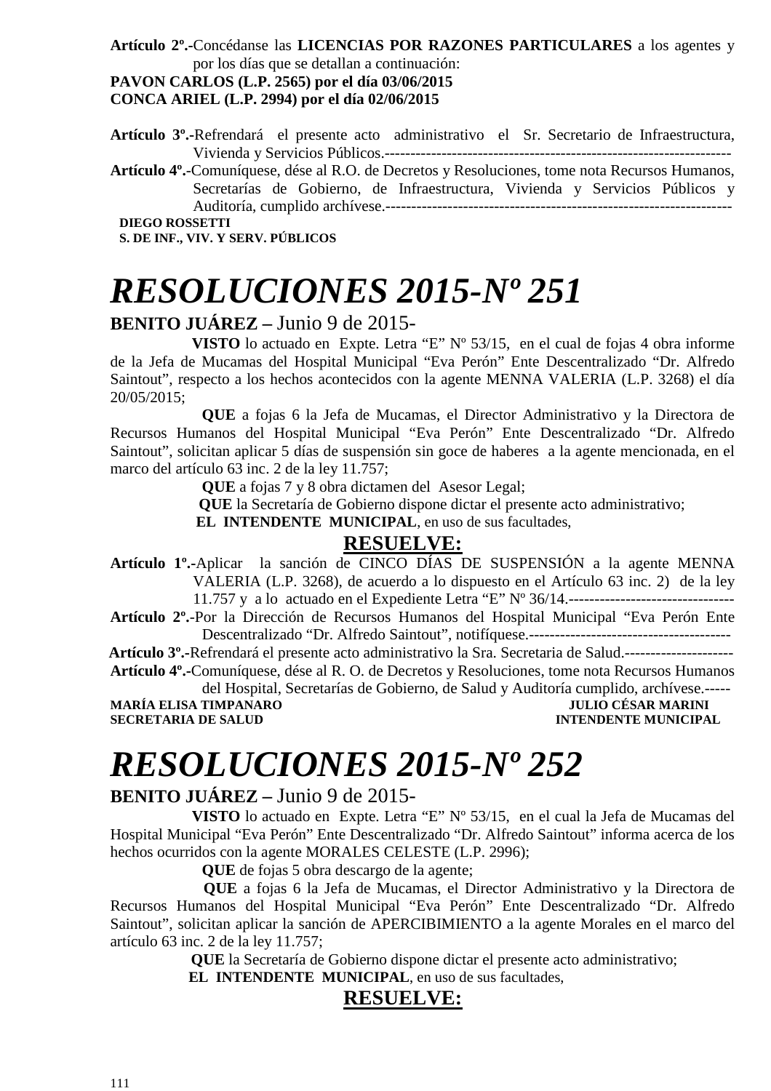#### **Artículo 2º.-**Concédanse las **LICENCIAS POR RAZONES PARTICULARES** a los agentes y por los días que se detallan a continuación:

### **PAVON CARLOS (L.P. 2565) por el día 03/06/2015**

**CONCA ARIEL (L.P. 2994) por el día 02/06/2015** 

**Artículo 3º.-**Refrendará el presente acto administrativo el Sr. Secretario de Infraestructura, Vivienda y Servicios Públicos.-------------------------------------------------------------------

**Artículo 4º.**-Comuníquese, dése al R.O. de Decretos y Resoluciones, tome nota Recursos Humanos, Secretarías de Gobierno, de Infraestructura, Vivienda y Servicios Públicos y Auditoría, cumplido archívese.-------------------------------------------------------------------

**S. DE INF., VIV. Y SERV. PÚBLICOS** 

# *RESOLUCIONES 2015-Nº 251*

#### **BENITO JUÁREZ –** Junio 9 de 2015-

 **VISTO** lo actuado en Expte. Letra "E" Nº 53/15, en el cual de fojas 4 obra informe de la Jefa de Mucamas del Hospital Municipal "Eva Perón" Ente Descentralizado "Dr. Alfredo Saintout", respecto a los hechos acontecidos con la agente MENNA VALERIA (L.P. 3268) el día 20/05/2015;

 **QUE** a fojas 6 la Jefa de Mucamas, el Director Administrativo y la Directora de Recursos Humanos del Hospital Municipal "Eva Perón" Ente Descentralizado "Dr. Alfredo Saintout", solicitan aplicar 5 días de suspensión sin goce de haberes a la agente mencionada, en el marco del artículo 63 inc. 2 de la ley 11.757;

 **QUE** a fojas 7 y 8 obra dictamen del Asesor Legal;

 **QUE** la Secretaría de Gobierno dispone dictar el presente acto administrativo;

 **EL INTENDENTE MUNICIPAL**, en uso de sus facultades,

#### **RESUELVE:**

**Artículo 1º.-**Aplicar la sanción de CINCO DÍAS DE SUSPENSIÓN a la agente MENNA VALERIA (L.P. 3268), de acuerdo a lo dispuesto en el Artículo 63 inc. 2) de la ley 11.757 y a lo actuado en el Expediente Letra "E" Nº 36/14.--------------------------------

**Artículo 2º.**-Por la Dirección de Recursos Humanos del Hospital Municipal "Eva Perón Ente Descentralizado "Dr. Alfredo Saintout", notifíquese.---------------------------------------

 **Artículo 3º.-**Refrendará el presente acto administrativo la Sra. Secretaria de Salud.--------------------- **Artículo 4º.-**Comuníquese, dése al R. O. de Decretos y Resoluciones, tome nota Recursos Humanos

del Hospital, Secretarías de Gobierno, de Salud y Auditoría cumplido, archívese.----- **MARÍA ELISA TIMPANARO JULIO CÉSAR MARINI SECRETARIA DE SALUD INTENDENTE MUNICIPAL** 

## *RESOLUCIONES 2015-Nº 252*

#### **BENITO JUÁREZ –** Junio 9 de 2015-

 **VISTO** lo actuado en Expte. Letra "E" Nº 53/15, en el cual la Jefa de Mucamas del Hospital Municipal "Eva Perón" Ente Descentralizado "Dr. Alfredo Saintout" informa acerca de los hechos ocurridos con la agente MORALES CELESTE (L.P. 2996);

**QUE** de fojas 5 obra descargo de la agente;

 **QUE** a fojas 6 la Jefa de Mucamas, el Director Administrativo y la Directora de Recursos Humanos del Hospital Municipal "Eva Perón" Ente Descentralizado "Dr. Alfredo Saintout", solicitan aplicar la sanción de APERCIBIMIENTO a la agente Morales en el marco del artículo 63 inc. 2 de la ley 11.757;

 **QUE** la Secretaría de Gobierno dispone dictar el presente acto administrativo;

 **EL INTENDENTE MUNICIPAL**, en uso de sus facultades,

#### **RESUELVE:**

**DIEGO ROSSETTI**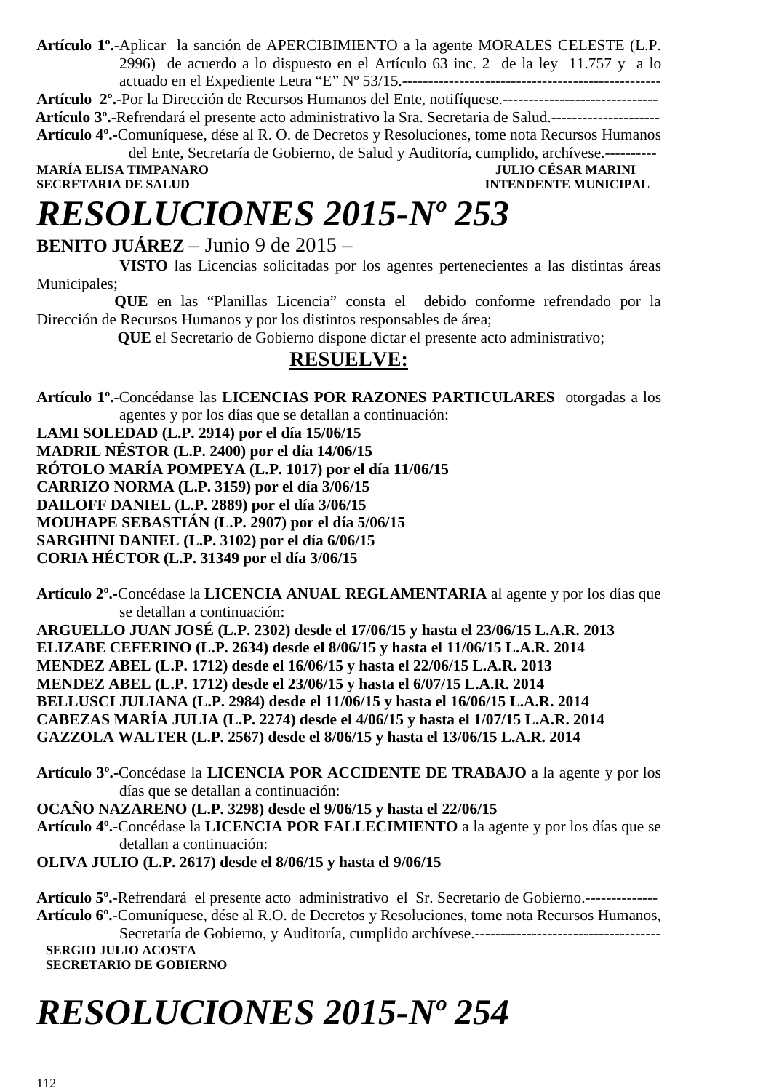**Artículo 1º.-**Aplicar la sanción de APERCIBIMIENTO a la agente MORALES CELESTE (L.P. 2996) de acuerdo a lo dispuesto en el Artículo 63 inc. 2 de la ley 11.757 y a lo actuado en el Expediente Letra "E" Nº 53/15.--------------------------------------------------

**Artículo 2º.**-Por la Dirección de Recursos Humanos del Ente, notifíquese.------------------------------

 **Artículo 3º.-**Refrendará el presente acto administrativo la Sra. Secretaria de Salud.--------------------- **Artículo 4º.-**Comuníquese, dése al R. O. de Decretos y Resoluciones, tome nota Recursos Humanos

del Ente, Secretaría de Gobierno, de Salud y Auditoría, cumplido, archívese.----------

**MARÍA ELISA TIMPANARO<br>SECRETARIA DE SALUD** 

**INTENDENTE MUNICIPAL** 

# *RESOLUCIONES 2015-Nº 253*

**BENITO JUÁREZ** – Junio 9 de 2015 –

 **VISTO** las Licencias solicitadas por los agentes pertenecientes a las distintas áreas Municipales;

 **QUE** en las "Planillas Licencia" consta el debido conforme refrendado por la Dirección de Recursos Humanos y por los distintos responsables de área;

 **QUE** el Secretario de Gobierno dispone dictar el presente acto administrativo;

### **RESUELVE:**

**Artículo 1º.-**Concédanse las **LICENCIAS POR RAZONES PARTICULARES** otorgadas a los agentes y por los días que se detallan a continuación:

**LAMI SOLEDAD (L.P. 2914) por el día 15/06/15 MADRIL NÉSTOR (L.P. 2400) por el día 14/06/15 RÓTOLO MARÍA POMPEYA (L.P. 1017) por el día 11/06/15 CARRIZO NORMA (L.P. 3159) por el día 3/06/15 DAILOFF DANIEL (L.P. 2889) por el día 3/06/15 MOUHAPE SEBASTIÁN (L.P. 2907) por el día 5/06/15** 

**SARGHINI DANIEL (L.P. 3102) por el día 6/06/15** 

**CORIA HÉCTOR (L.P. 31349 por el día 3/06/15** 

**Artículo 2º.-**Concédase la **LICENCIA ANUAL REGLAMENTARIA** al agente y por los días que se detallan a continuación:

**ARGUELLO JUAN JOSÉ (L.P. 2302) desde el 17/06/15 y hasta el 23/06/15 L.A.R. 2013 ELIZABE CEFERINO (L.P. 2634) desde el 8/06/15 y hasta el 11/06/15 L.A.R. 2014 MENDEZ ABEL (L.P. 1712) desde el 16/06/15 y hasta el 22/06/15 L.A.R. 2013 MENDEZ ABEL (L.P. 1712) desde el 23/06/15 y hasta el 6/07/15 L.A.R. 2014 BELLUSCI JULIANA (L.P. 2984) desde el 11/06/15 y hasta el 16/06/15 L.A.R. 2014 CABEZAS MARÍA JULIA (L.P. 2274) desde el 4/06/15 y hasta el 1/07/15 L.A.R. 2014 GAZZOLA WALTER (L.P. 2567) desde el 8/06/15 y hasta el 13/06/15 L.A.R. 2014** 

**Artículo 3º.-**Concédase la **LICENCIA POR ACCIDENTE DE TRABAJO** a la agente y por los días que se detallan a continuación:

**OCAÑO NAZARENO (L.P. 3298) desde el 9/06/15 y hasta el 22/06/15** 

**Artículo 4º.-**Concédase la **LICENCIA POR FALLECIMIENTO** a la agente y por los días que se detallan a continuación:

**OLIVA JULIO (L.P. 2617) desde el 8/06/15 y hasta el 9/06/15** 

**Artículo 5º.**-Refrendará el presente acto administrativo el Sr. Secretario de Gobierno.-------------- **Artículo 6º.**-Comuníquese, dése al R.O. de Decretos y Resoluciones, tome nota Recursos Humanos, Secretaría de Gobierno, y Auditoría, cumplido archívese.------------------------------------ **SERGIO JULIO ACOSTA SECRETARIO DE GOBIERNO** 

# *RESOLUCIONES 2015-Nº 254*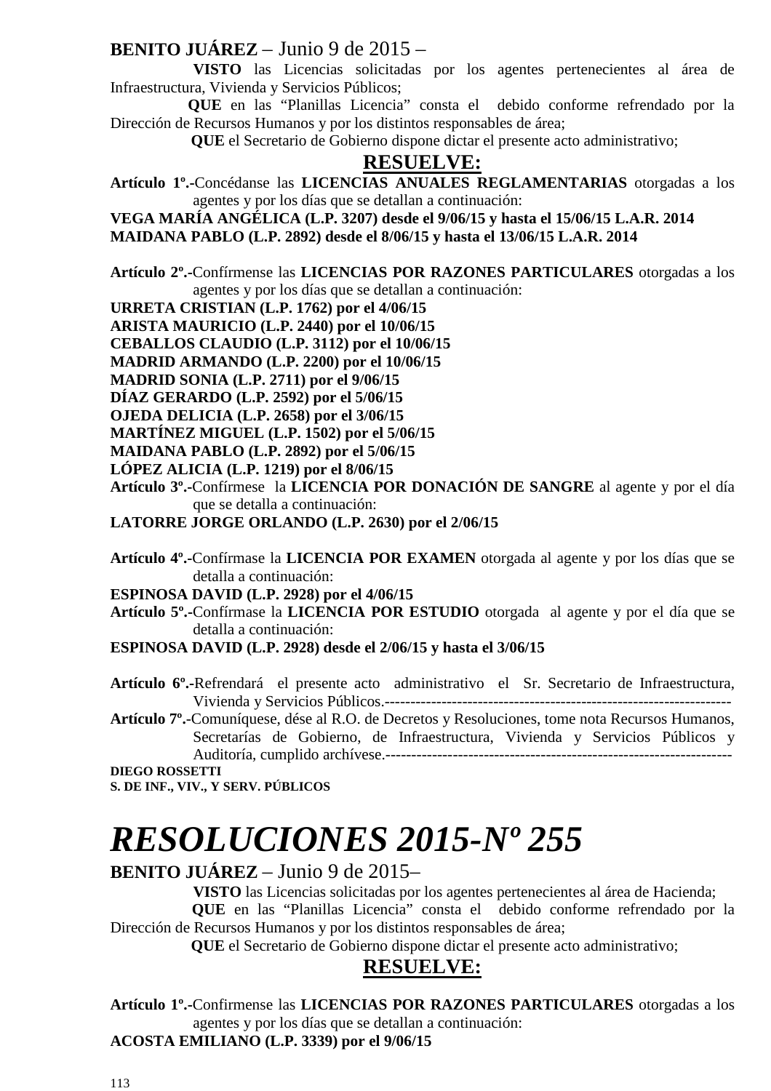### **BENITO JUÁREZ** – Junio 9 de 2015 –

 **VISTO** las Licencias solicitadas por los agentes pertenecientes al área de Infraestructura, Vivienda y Servicios Públicos;

 **QUE** en las "Planillas Licencia" consta el debido conforme refrendado por la Dirección de Recursos Humanos y por los distintos responsables de área;

 **QUE** el Secretario de Gobierno dispone dictar el presente acto administrativo;

#### **RESUELVE:**

**Artículo 1º.-**Concédanse las **LICENCIAS ANUALES REGLAMENTARIAS** otorgadas a los agentes y por los días que se detallan a continuación:

**VEGA MARÍA ANGÉLICA (L.P. 3207) desde el 9/06/15 y hasta el 15/06/15 L.A.R. 2014** 

**MAIDANA PABLO (L.P. 2892) desde el 8/06/15 y hasta el 13/06/15 L.A.R. 2014** 

**Artículo 2º.-**Confírmense las **LICENCIAS POR RAZONES PARTICULARES** otorgadas a los agentes y por los días que se detallan a continuación:

**URRETA CRISTIAN (L.P. 1762) por el 4/06/15** 

**ARISTA MAURICIO (L.P. 2440) por el 10/06/15** 

**CEBALLOS CLAUDIO (L.P. 3112) por el 10/06/15** 

**MADRID ARMANDO (L.P. 2200) por el 10/06/15** 

**MADRID SONIA (L.P. 2711) por el 9/06/15** 

**DÍAZ GERARDO (L.P. 2592) por el 5/06/15** 

**OJEDA DELICIA (L.P. 2658) por el 3/06/15** 

**MARTÍNEZ MIGUEL (L.P. 1502) por el 5/06/15** 

**MAIDANA PABLO (L.P. 2892) por el 5/06/15** 

**LÓPEZ ALICIA (L.P. 1219) por el 8/06/15** 

**Artículo 3º.-**Confírmese la **LICENCIA POR DONACIÓN DE SANGRE** al agente y por el día que se detalla a continuación:

**LATORRE JORGE ORLANDO (L.P. 2630) por el 2/06/15** 

**Artículo 4º.-**Confírmase la **LICENCIA POR EXAMEN** otorgada al agente y por los días que se detalla a continuación:

**ESPINOSA DAVID (L.P. 2928) por el 4/06/15** 

**Artículo 5º.-**Confírmase la **LICENCIA POR ESTUDIO** otorgadaal agente y por el día que se detalla a continuación:

- **ESPINOSA DAVID (L.P. 2928) desde el 2/06/15 y hasta el 3/06/15**
- **Artículo 6º.-**Refrendará el presente acto administrativo el Sr. Secretario de Infraestructura, Vivienda y Servicios Públicos.-------------------------------------------------------------------

**Artículo 7º.**-Comuníquese, dése al R.O. de Decretos y Resoluciones, tome nota Recursos Humanos, Secretarías de Gobierno, de Infraestructura, Vivienda y Servicios Públicos y Auditoría, cumplido archívese.-------------------------------------------------------------------

**DIEGO ROSSETTI S. DE INF., VIV., Y SERV. PÚBLICOS** 

# *RESOLUCIONES 2015-Nº 255*

**BENITO JUÁREZ** – Junio 9 de 2015–

**VISTO** las Licencias solicitadas por los agentes pertenecientes al área de Hacienda;

 **QUE** en las "Planillas Licencia" consta el debido conforme refrendado por la Dirección de Recursos Humanos y por los distintos responsables de área;

 **QUE** el Secretario de Gobierno dispone dictar el presente acto administrativo;

#### **RESUELVE:**

**Artículo 1º.-**Confirmense las **LICENCIAS POR RAZONES PARTICULARES** otorgadas a los agentes y por los días que se detallan a continuación:

**ACOSTA EMILIANO (L.P. 3339) por el 9/06/15**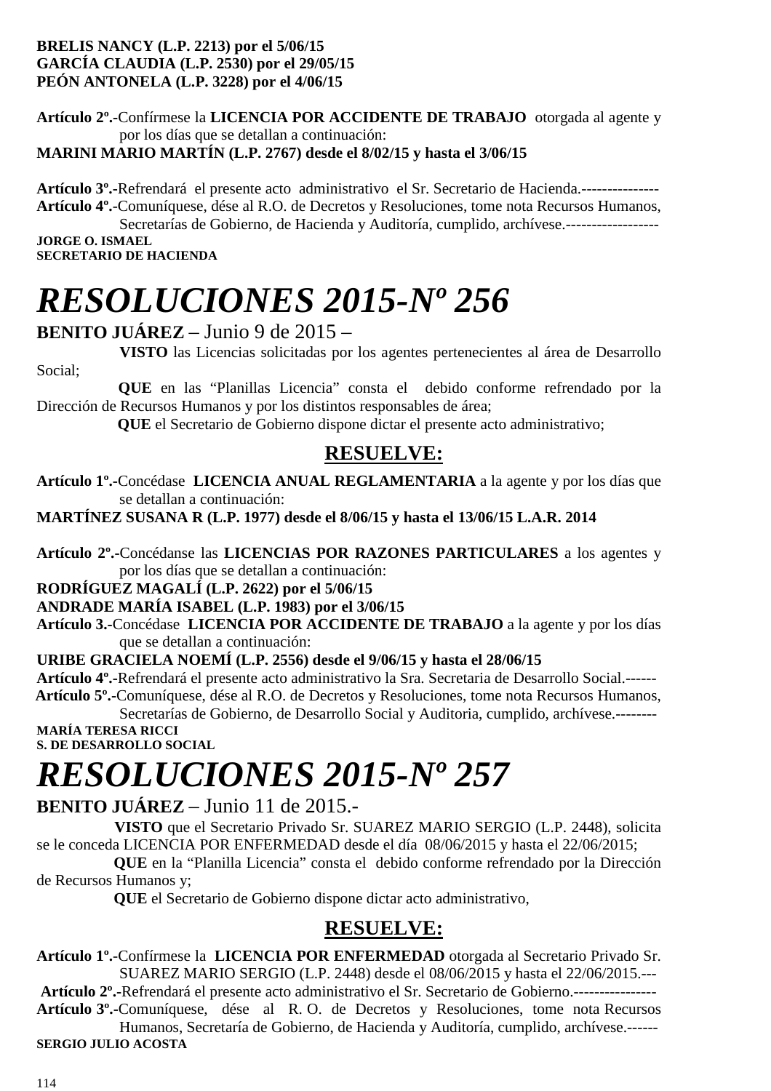#### **BRELIS NANCY (L.P. 2213) por el 5/06/15 GARCÍA CLAUDIA (L.P. 2530) por el 29/05/15 PEÓN ANTONELA (L.P. 3228) por el 4/06/15**

**Artículo 2º.-**Confírmese la **LICENCIA POR ACCIDENTE DE TRABAJO** otorgada al agente y por los días que se detallan a continuación: **MARINI MARIO MARTÍN (L.P. 2767) desde el 8/02/15 y hasta el 3/06/15** 

**Artículo 3º.-**Refrendará el presente acto administrativo el Sr. Secretario de Hacienda.--------------- **Artículo 4º.**-Comuníquese, dése al R.O. de Decretos y Resoluciones, tome nota Recursos Humanos,

Secretarías de Gobierno, de Hacienda y Auditoría, cumplido, archívese.------------------**JORGE O. ISMAEL SECRETARIO DE HACIENDA** 

# *RESOLUCIONES 2015-Nº 256*

### **BENITO JUÁREZ** – Junio 9 de 2015 –

 **VISTO** las Licencias solicitadas por los agentes pertenecientes al área de Desarrollo Social;

 **QUE** en las "Planillas Licencia" consta el debido conforme refrendado por la Dirección de Recursos Humanos y por los distintos responsables de área;

 **QUE** el Secretario de Gobierno dispone dictar el presente acto administrativo;

### **RESUELVE:**

**Artículo 1º.-**Concédase **LICENCIA ANUAL REGLAMENTARIA** a la agente y por los días que se detallan a continuación:

**MARTÍNEZ SUSANA R (L.P. 1977) desde el 8/06/15 y hasta el 13/06/15 L.A.R. 2014** 

**Artículo 2º.-**Concédanse las **LICENCIAS POR RAZONES PARTICULARES** a los agentes y por los días que se detallan a continuación:

**RODRÍGUEZ MAGALÍ (L.P. 2622) por el 5/06/15** 

**ANDRADE MARÍA ISABEL (L.P. 1983) por el 3/06/15** 

**Artículo 3.-**Concédase **LICENCIA POR ACCIDENTE DE TRABAJO** a la agente y por los días que se detallan a continuación:

#### **URIBE GRACIELA NOEMÍ (L.P. 2556) desde el 9/06/15 y hasta el 28/06/15**

**Artículo 4º.-**Refrendará el presente acto administrativo la Sra. Secretaria de Desarrollo Social.------  **Artículo 5º.-**Comuníquese, dése al R.O. de Decretos y Resoluciones, tome nota Recursos Humanos,

Secretarías de Gobierno, de Desarrollo Social y Auditoria, cumplido, archívese.-------- **MARÍA TERESA RICCI** 

**S. DE DESARROLLO SOCIAL** 

# *RESOLUCIONES 2015-Nº 257*

**BENITO JUÁREZ** – Junio 11 de 2015.-

 **VISTO** que el Secretario Privado Sr. SUAREZ MARIO SERGIO (L.P. 2448), solicita se le conceda LICENCIA POR ENFERMEDAD desde el día 08/06/2015 y hasta el 22/06/2015;

 **QUE** en la "Planilla Licencia" consta el debido conforme refrendado por la Dirección de Recursos Humanos y;

 **QUE** el Secretario de Gobierno dispone dictar acto administrativo,

### **RESUELVE:**

**Artículo 1º.**-Confírmese la **LICENCIA POR ENFERMEDAD** otorgada al Secretario Privado Sr. SUAREZ MARIO SERGIO (L.P. 2448) desde el 08/06/2015 y hasta el 22/06/2015.---

**Artículo 2º.-**Refrendará el presente acto administrativo el Sr. Secretario de Gobierno.---------------- **Artículo 3º.-**Comuníquese, dése al R. O. de Decretos y Resoluciones, tome nota Recursos Humanos, Secretaría de Gobierno, de Hacienda y Auditoría, cumplido, archívese.------

**SERGIO JULIO ACOSTA**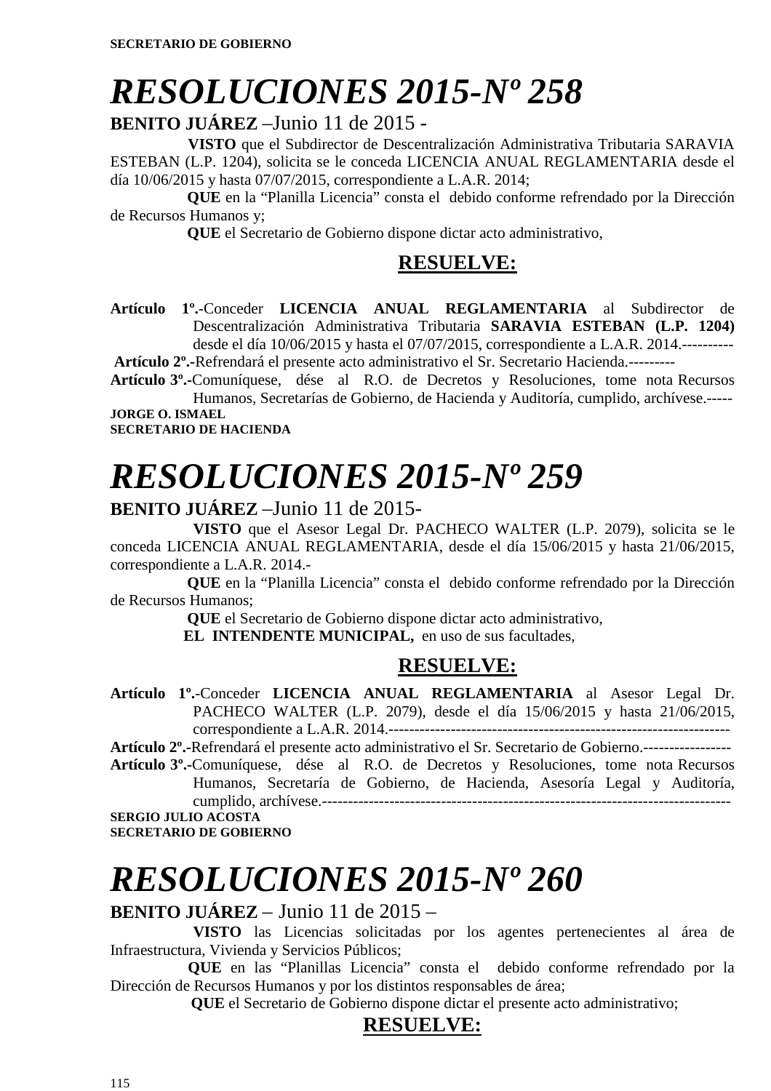# *RESOLUCIONES 2015-Nº 258*

**BENITO JUÁREZ** –Junio 11 de 2015 -

 **VISTO** que el Subdirector de Descentralización Administrativa Tributaria SARAVIA ESTEBAN (L.P. 1204), solicita se le conceda LICENCIA ANUAL REGLAMENTARIA desde el día 10/06/2015 y hasta 07/07/2015, correspondiente a L.A.R. 2014;

 **QUE** en la "Planilla Licencia" consta el debido conforme refrendado por la Dirección de Recursos Humanos y;

 **QUE** el Secretario de Gobierno dispone dictar acto administrativo,

### **RESUELVE:**

**Artículo 1º.**-Conceder **LICENCIA ANUAL REGLAMENTARIA** al Subdirector de Descentralización Administrativa Tributaria **SARAVIA ESTEBAN (L.P. 1204)** desde el día 10/06/2015 y hasta el 07/07/2015, correspondiente a L.A.R. 2014.----------

**Artículo 2º.-**Refrendará el presente acto administrativo el Sr. Secretario Hacienda.---------

**Artículo 3º.-**Comuníquese, dése al R.O. de Decretos y Resoluciones, tome nota Recursos Humanos, Secretarías de Gobierno, de Hacienda y Auditoría, cumplido, archívese.----- **JORGE O. ISMAEL** 

**SECRETARIO DE HACIENDA** 

# *RESOLUCIONES 2015-Nº 259*

#### **BENITO JUÁREZ** –Junio 11 de 2015-

 **VISTO** que el Asesor Legal Dr. PACHECO WALTER (L.P. 2079), solicita se le conceda LICENCIA ANUAL REGLAMENTARIA, desde el día 15/06/2015 y hasta 21/06/2015, correspondiente a L.A.R. 2014.-

 **QUE** en la "Planilla Licencia" consta el debido conforme refrendado por la Dirección de Recursos Humanos;

 **QUE** el Secretario de Gobierno dispone dictar acto administrativo,

**EL INTENDENTE MUNICIPAL,** en uso de sus facultades,

### **RESUELVE:**

**Artículo 1º.**-Conceder **LICENCIA ANUAL REGLAMENTARIA** al Asesor Legal Dr. PACHECO WALTER (L.P. 2079), desde el día 15/06/2015 y hasta 21/06/2015, correspondiente a L.A.R. 2014.------------------------------------------------------------------

**Artículo 2º.-**Refrendará el presente acto administrativo el Sr. Secretario de Gobierno.-----------------

**Artículo 3º.-**Comuníquese, dése al R.O. de Decretos y Resoluciones, tome nota Recursos Humanos, Secretaría de Gobierno, de Hacienda, Asesoría Legal y Auditoría, cumplido, archívese.------------------------------------------------------------------------------- **SERGIO JULIO ACOSTA** 

**SECRETARIO DE GOBIERNO**

# *RESOLUCIONES 2015-Nº 260*

#### **BENITO JUÁREZ** – Junio 11 de 2015 –

 **VISTO** las Licencias solicitadas por los agentes pertenecientes al área de Infraestructura, Vivienda y Servicios Públicos;

 **QUE** en las "Planillas Licencia" consta el debido conforme refrendado por la Dirección de Recursos Humanos y por los distintos responsables de área;

 **QUE** el Secretario de Gobierno dispone dictar el presente acto administrativo;

### **RESUELVE:**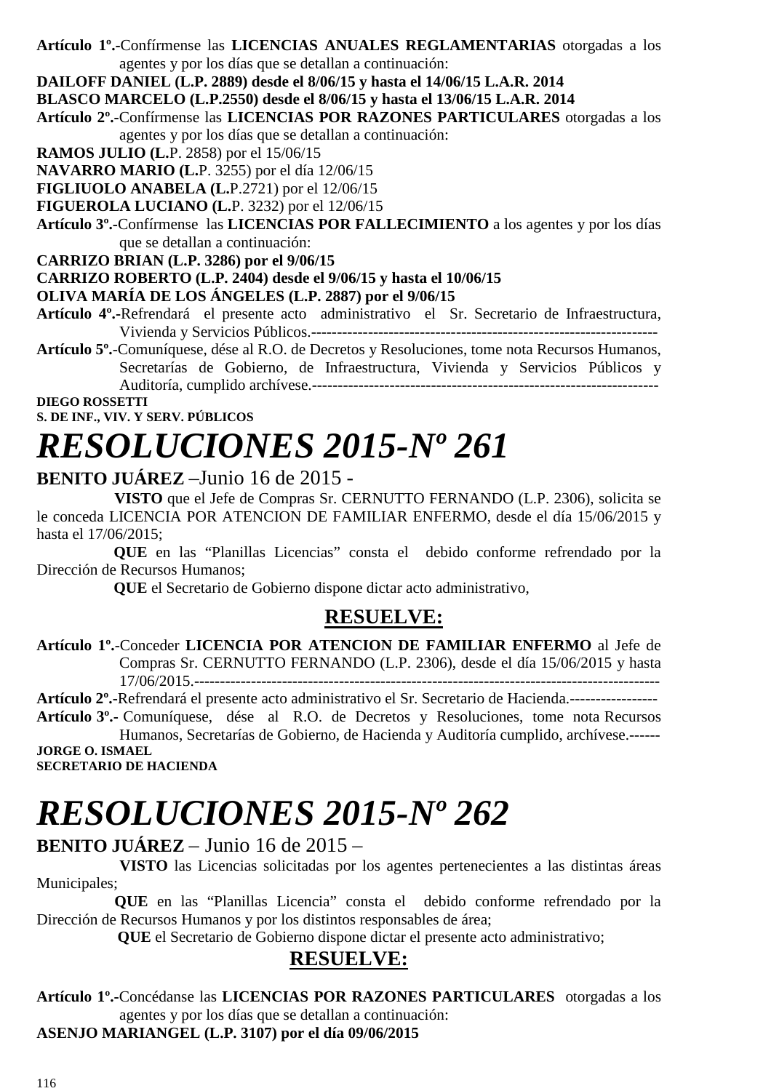**Artículo 1º.-**Confírmense las **LICENCIAS ANUALES REGLAMENTARIAS** otorgadas a los agentes y por los días que se detallan a continuación:

**DAILOFF DANIEL (L.P. 2889) desde el 8/06/15 y hasta el 14/06/15 L.A.R. 2014** 

**BLASCO MARCELO (L.P.2550) desde el 8/06/15 y hasta el 13/06/15 L.A.R. 2014** 

**Artículo 2º.-**Confírmense las **LICENCIAS POR RAZONES PARTICULARES** otorgadas a los agentes y por los días que se detallan a continuación:

**RAMOS JULIO (L.**P. 2858) por el 15/06/15

**NAVARRO MARIO (L.**P. 3255) por el día 12/06/15

**FIGLIUOLO ANABELA (L.**P.2721) por el 12/06/15

**FIGUEROLA LUCIANO (L.**P. 3232) por el 12/06/15

**Artículo 3º.-**Confírmense las **LICENCIAS POR FALLECIMIENTO** a los agentes y por los días que se detallan a continuación:

**CARRIZO BRIAN (L.P. 3286) por el 9/06/15** 

#### **CARRIZO ROBERTO (L.P. 2404) desde el 9/06/15 y hasta el 10/06/15**

**OLIVA MARÍA DE LOS ÁNGELES (L.P. 2887) por el 9/06/15** 

**Artículo 4º.-**Refrendará el presente acto administrativo el Sr. Secretario de Infraestructura, Vivienda y Servicios Públicos.-------------------------------------------------------------------

**Artículo 5º.**-Comuníquese, dése al R.O. de Decretos y Resoluciones, tome nota Recursos Humanos, Secretarías de Gobierno, de Infraestructura, Vivienda y Servicios Públicos y Auditoría, cumplido archívese.-------------------------------------------------------------------

**DIEGO ROSSETTI S. DE INF., VIV. Y SERV. PÚBLICOS** 

# *RESOLUCIONES 2015-Nº 261*

#### **BENITO JUÁREZ** –Junio 16 de 2015 -

 **VISTO** que el Jefe de Compras Sr. CERNUTTO FERNANDO (L.P. 2306), solicita se le conceda LICENCIA POR ATENCION DE FAMILIAR ENFERMO, desde el día 15/06/2015 y hasta el 17/06/2015;

 **QUE** en las "Planillas Licencias" consta el debido conforme refrendado por la Dirección de Recursos Humanos;

 **QUE** el Secretario de Gobierno dispone dictar acto administrativo,

#### **RESUELVE:**

**Artículo 1º.**-Conceder **LICENCIA POR ATENCION DE FAMILIAR ENFERMO** al Jefe de Compras Sr. CERNUTTO FERNANDO (L.P. 2306), desde el día 15/06/2015 y hasta 17/06/2015.------------------------------------------------------------------------------------------

**Artículo 2º.-**Refrendará el presente acto administrativo el Sr. Secretario de Hacienda.----------------- **Artículo 3º.-** Comuníquese, dése al R.O. de Decretos y Resoluciones, tome nota Recursos

Humanos, Secretarías de Gobierno, de Hacienda y Auditoría cumplido, archívese.------ **JORGE O. ISMAEL** 

**SECRETARIO DE HACIENDA** 

# *RESOLUCIONES 2015-Nº 262*

#### **BENITO JUÁREZ** – Junio 16 de 2015 –

 **VISTO** las Licencias solicitadas por los agentes pertenecientes a las distintas áreas Municipales;

 **QUE** en las "Planillas Licencia" consta el debido conforme refrendado por la Dirección de Recursos Humanos y por los distintos responsables de área;

 **QUE** el Secretario de Gobierno dispone dictar el presente acto administrativo;

#### **RESUELVE:**

**Artículo 1º.-**Concédanse las **LICENCIAS POR RAZONES PARTICULARES** otorgadas a los agentes y por los días que se detallan a continuación:

**ASENJO MARIANGEL (L.P. 3107) por el día 09/06/2015**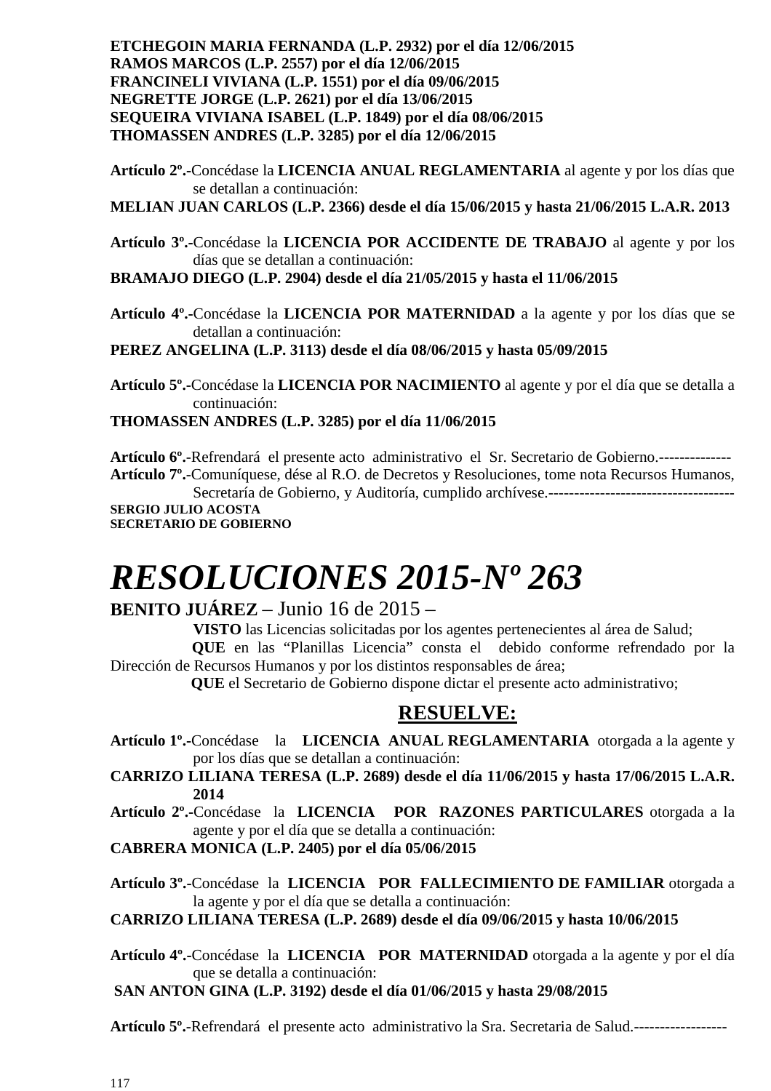**ETCHEGOIN MARIA FERNANDA (L.P. 2932) por el día 12/06/2015 RAMOS MARCOS (L.P. 2557) por el día 12/06/2015 FRANCINELI VIVIANA (L.P. 1551) por el día 09/06/2015 NEGRETTE JORGE (L.P. 2621) por el día 13/06/2015 SEQUEIRA VIVIANA ISABEL (L.P. 1849) por el día 08/06/2015 THOMASSEN ANDRES (L.P. 3285) por el día 12/06/2015** 

**Artículo 2º.-**Concédase la **LICENCIA ANUAL REGLAMENTARIA** al agente y por los días que se detallan a continuación:

**MELIAN JUAN CARLOS (L.P. 2366) desde el día 15/06/2015 y hasta 21/06/2015 L.A.R. 2013** 

**Artículo 3º.-**Concédase la **LICENCIA POR ACCIDENTE DE TRABAJO** al agente y por los días que se detallan a continuación:

**BRAMAJO DIEGO (L.P. 2904) desde el día 21/05/2015 y hasta el 11/06/2015** 

**Artículo 4º.-**Concédase la **LICENCIA POR MATERNIDAD** a la agente y por los días que se detallan a continuación:

**PEREZ ANGELINA (L.P. 3113) desde el día 08/06/2015 y hasta 05/09/2015** 

**Artículo 5º.-**Concédase la **LICENCIA POR NACIMIENTO** al agente y por el día que se detalla a continuación:

**THOMASSEN ANDRES (L.P. 3285) por el día 11/06/2015** 

**Artículo 6º.**-Refrendará el presente acto administrativo el Sr. Secretario de Gobierno.-------------- **Artículo 7º.**-Comuníquese, dése al R.O. de Decretos y Resoluciones, tome nota Recursos Humanos, Secretaría de Gobierno, y Auditoría, cumplido archívese.------------------------------------ **SERGIO JULIO ACOSTA** 

**SECRETARIO DE GOBIERNO** 

# *RESOLUCIONES 2015-Nº 263*

#### **BENITO JUÁREZ** – Junio 16 de 2015 –

 **VISTO** las Licencias solicitadas por los agentes pertenecientes al área de Salud; **QUE** en las "Planillas Licencia" consta el debido conforme refrendado por la Dirección de Recursos Humanos y por los distintos responsables de área;

 **QUE** el Secretario de Gobierno dispone dictar el presente acto administrativo;

#### **RESUELVE:**

- **Artículo 1º.-**Concédase la **LICENCIA ANUAL REGLAMENTARIA** otorgada a la agente y por los días que se detallan a continuación:
- **CARRIZO LILIANA TERESA (L.P. 2689) desde el día 11/06/2015 y hasta 17/06/2015 L.A.R. 2014**
- **Artículo 2º.-**Concédase la **LICENCIA POR RAZONES PARTICULARES** otorgada a la agente y por el día que se detalla a continuación:

**CABRERA MONICA (L.P. 2405) por el día 05/06/2015** 

**Artículo 3º.-**Concédase la **LICENCIA POR FALLECIMIENTO DE FAMILIAR** otorgada a la agente y por el día que se detalla a continuación:

**CARRIZO LILIANA TERESA (L.P. 2689) desde el día 09/06/2015 y hasta 10/06/2015** 

- **Artículo 4º.-**Concédase la **LICENCIA POR MATERNIDAD** otorgada a la agente y por el día que se detalla a continuación:
- **SAN ANTON GINA (L.P. 3192) desde el día 01/06/2015 y hasta 29/08/2015**

**Artículo 5º.**-Refrendará el presente acto administrativo la Sra. Secretaria de Salud.------------------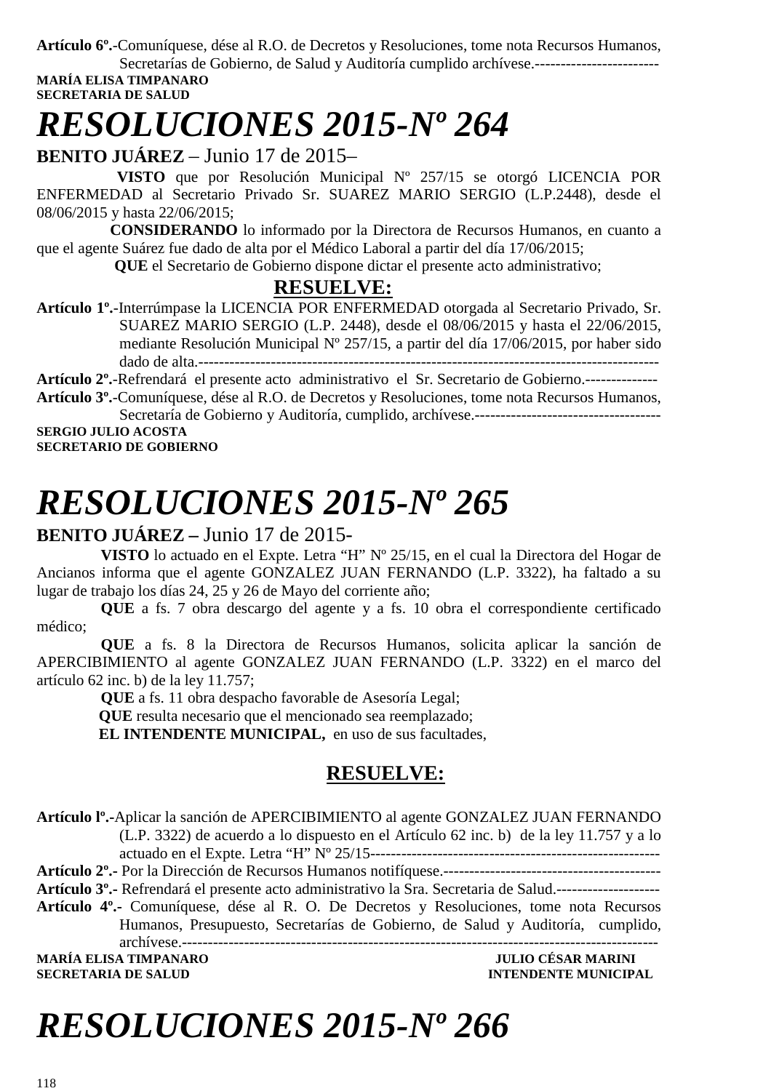**Artículo 6º.**-Comuníquese, dése al R.O. de Decretos y Resoluciones, tome nota Recursos Humanos,

Secretarías de Gobierno, de Salud y Auditoría cumplido archívese.------------------------ **MARÍA ELISA TIMPANARO** 

**SECRETARIA DE SALUD** 

# *RESOLUCIONES 2015-Nº 264*

**BENITO JUÁREZ** – Junio 17 de 2015–

 **VISTO** que por Resolución Municipal Nº 257/15 se otorgó LICENCIA POR ENFERMEDAD al Secretario Privado Sr. SUAREZ MARIO SERGIO (L.P.2448), desde el 08/06/2015 y hasta 22/06/2015;

 **CONSIDERANDO** lo informado por la Directora de Recursos Humanos, en cuanto a que el agente Suárez fue dado de alta por el Médico Laboral a partir del día 17/06/2015;

 **QUE** el Secretario de Gobierno dispone dictar el presente acto administrativo;

#### **RESUELVE:**

**Artículo 1º.**-Interrúmpase la LICENCIA POR ENFERMEDAD otorgada al Secretario Privado, Sr. SUAREZ MARIO SERGIO (L.P. 2448), desde el 08/06/2015 y hasta el 22/06/2015, mediante Resolución Municipal Nº 257/15, a partir del día 17/06/2015, por haber sido dado de alta.-----------------------------------------------------------------------------------------

**Artículo 2º.**-Refrendará el presente acto administrativo el Sr. Secretario de Gobierno.--------------

**Artículo 3º.**-Comuníquese, dése al R.O. de Decretos y Resoluciones, tome nota Recursos Humanos, Secretaría de Gobierno y Auditoría, cumplido, archívese.------------------------------------

**SERGIO JULIO ACOSTA SECRETARIO DE GOBIERNO** 

# *RESOLUCIONES 2015-Nº 265*

### **BENITO JUÁREZ –** Junio 17 de 2015-

**VISTO** lo actuado en el Expte. Letra "H" Nº 25/15, en el cual la Directora del Hogar de Ancianos informa que el agente GONZALEZ JUAN FERNANDO (L.P. 3322), ha faltado a su lugar de trabajo los días 24, 25 y 26 de Mayo del corriente año;

**QUE** a fs. 7 obra descargo del agente y a fs. 10 obra el correspondiente certificado médico;

**QUE** a fs. 8 la Directora de Recursos Humanos, solicita aplicar la sanción de APERCIBIMIENTO al agente GONZALEZ JUAN FERNANDO (L.P. 3322) en el marco del artículo 62 inc. b) de la ley 11.757;

**QUE** a fs. 11 obra despacho favorable de Asesoría Legal;  **QUE** resulta necesario que el mencionado sea reemplazado;

**EL INTENDENTE MUNICIPAL,** en uso de sus facultades,

### **RESUELVE:**

**Artículo lº.-**Aplicar la sanción de APERCIBIMIENTO al agente GONZALEZ JUAN FERNANDO (L.P. 3322) de acuerdo a lo dispuesto en el Artículo 62 inc. b) de la ley 11.757 y a lo actuado en el Expte. Letra "H" Nº 25/15-------------------------------------------------------- **Artículo 2º.-** Por la Dirección de Recursos Humanos notifíquese.------------------------------------------

**Artículo 3º.-** Refrendará el presente acto administrativo la Sra. Secretaria de Salud.--------------------

**Artículo 4º.-** Comuníquese, dése al R. O. De Decretos y Resoluciones, tome nota Recursos Humanos, Presupuesto, Secretarías de Gobierno, de Salud y Auditoría, cumplido,

archívese.--------------------------------------------------------------------------------------------

**MARÍA ELISA TIMPANARO SECRETARIA DE SALUD INTENDENTE MUNICIPAL** 

# *RESOLUCIONES 2015-Nº 266*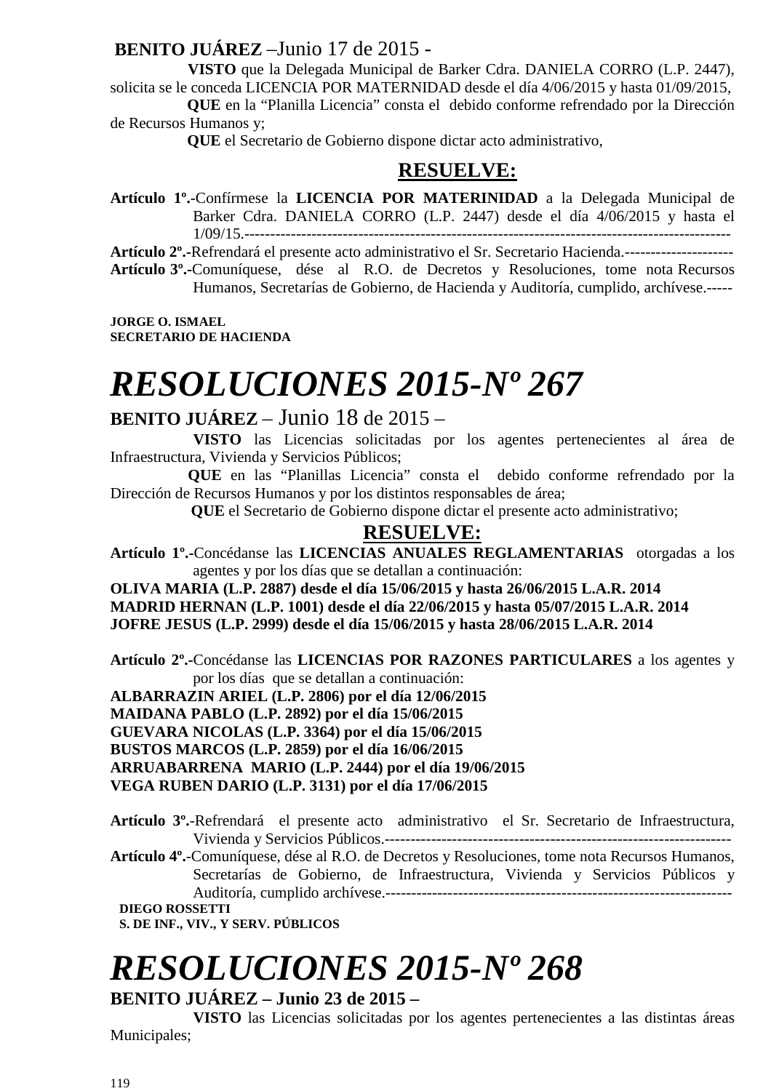### **BENITO JUÁREZ** –Junio 17 de 2015 -

 **VISTO** que la Delegada Municipal de Barker Cdra. DANIELA CORRO (L.P. 2447), solicita se le conceda LICENCIA POR MATERNIDAD desde el día 4/06/2015 y hasta 01/09/2015,  **QUE** en la "Planilla Licencia" consta el debido conforme refrendado por la Dirección

de Recursos Humanos y;

 **QUE** el Secretario de Gobierno dispone dictar acto administrativo,

### **RESUELVE:**

**Artículo 1º.**-Confírmese la **LICENCIA POR MATERINIDAD** a la Delegada Municipal de Barker Cdra. DANIELA CORRO (L.P. 2447) desde el día 4/06/2015 y hasta el 1/09/15.----------------------------------------------------------------------------------------------

**Artículo 2º.-**Refrendará el presente acto administrativo el Sr. Secretario Hacienda.--------------------- **Artículo 3º.-**Comuníquese, dése al R.O. de Decretos y Resoluciones, tome nota Recursos Humanos, Secretarías de Gobierno, de Hacienda y Auditoría, cumplido, archívese.-----

**JORGE O. ISMAEL SECRETARIO DE HACIENDA** 

# *RESOLUCIONES 2015-Nº 267*

### **BENITO JUÁREZ** – Junio 18 de 2015 –

 **VISTO** las Licencias solicitadas por los agentes pertenecientes al área de Infraestructura, Vivienda y Servicios Públicos;

 **QUE** en las "Planillas Licencia" consta el debido conforme refrendado por la Dirección de Recursos Humanos y por los distintos responsables de área;

 **QUE** el Secretario de Gobierno dispone dictar el presente acto administrativo;

#### **RESUELVE:**

**Artículo 1º.-**Concédanse las **LICENCIAS ANUALES REGLAMENTARIAS** otorgadas a los agentes y por los días que se detallan a continuación:

**OLIVA MARIA (L.P. 2887) desde el día 15/06/2015 y hasta 26/06/2015 L.A.R. 2014 MADRID HERNAN (L.P. 1001) desde el día 22/06/2015 y hasta 05/07/2015 L.A.R. 2014 JOFRE JESUS (L.P. 2999) desde el día 15/06/2015 y hasta 28/06/2015 L.A.R. 2014** 

**Artículo 2º.-**Concédanse las **LICENCIAS POR RAZONES PARTICULARES** a los agentes y por los días que se detallan a continuación:

**ALBARRAZIN ARIEL (L.P. 2806) por el día 12/06/2015** 

**MAIDANA PABLO (L.P. 2892) por el día 15/06/2015** 

**GUEVARA NICOLAS (L.P. 3364) por el día 15/06/2015** 

**BUSTOS MARCOS (L.P. 2859) por el día 16/06/2015** 

**ARRUABARRENA MARIO (L.P. 2444) por el día 19/06/2015** 

**VEGA RUBEN DARIO (L.P. 3131) por el día 17/06/2015** 

- **Artículo 3º.**-Refrendará el presente acto administrativo el Sr. Secretario de Infraestructura, Vivienda y Servicios Públicos.-------------------------------------------------------------------
- **Artículo 4º.**-Comuníquese, dése al R.O. de Decretos y Resoluciones, tome nota Recursos Humanos, Secretarías de Gobierno, de Infraestructura, Vivienda y Servicios Públicos y Auditoría, cumplido archívese.-------------------------------------------------------------------

**DIEGO ROSSETTI** 

**S. DE INF., VIV., Y SERV. PÚBLICOS** 

# *RESOLUCIONES 2015-Nº 268*

**BENITO JUÁREZ – Junio 23 de 2015 –** 

 **VISTO** las Licencias solicitadas por los agentes pertenecientes a las distintas áreas Municipales;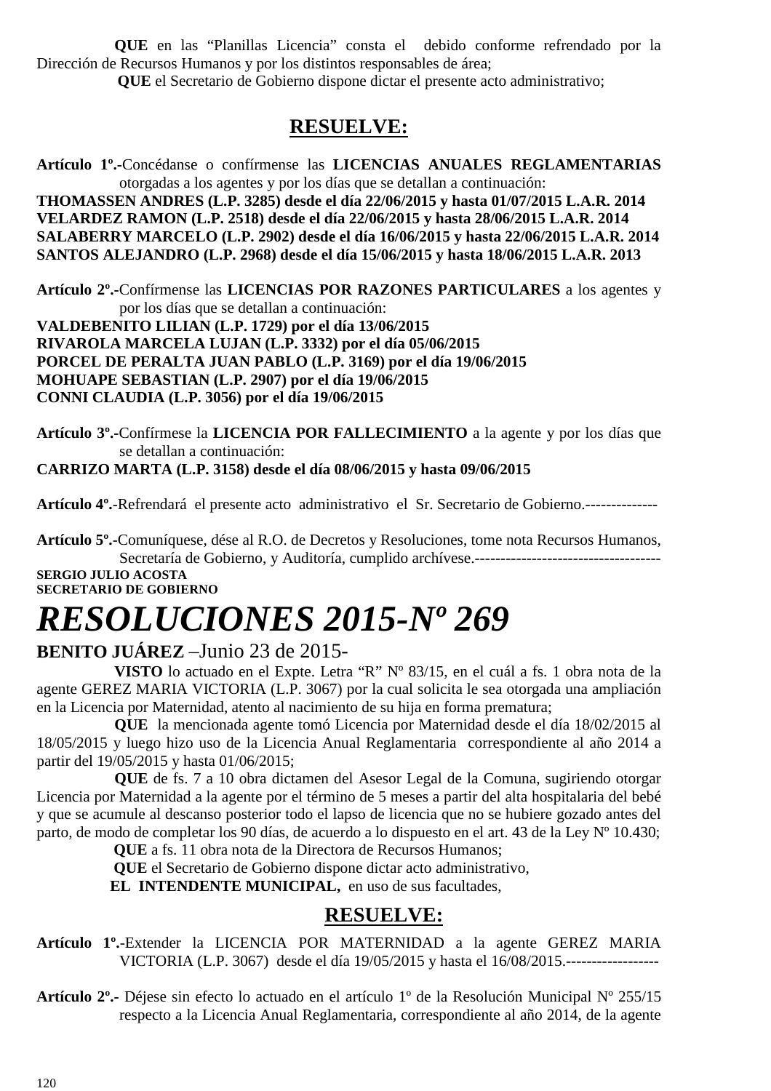**QUE** en las "Planillas Licencia" consta el debido conforme refrendado por la Dirección de Recursos Humanos y por los distintos responsables de área;

 **QUE** el Secretario de Gobierno dispone dictar el presente acto administrativo;

### **RESUELVE:**

**Artículo 1º.-**Concédanse o confírmense las **LICENCIAS ANUALES REGLAMENTARIAS**  otorgadas a los agentes y por los días que se detallan a continuación: **THOMASSEN ANDRES (L.P. 3285) desde el día 22/06/2015 y hasta 01/07/2015 L.A.R. 2014 VELARDEZ RAMON (L.P. 2518) desde el día 22/06/2015 y hasta 28/06/2015 L.A.R. 2014 SALABERRY MARCELO (L.P. 2902) desde el día 16/06/2015 y hasta 22/06/2015 L.A.R. 2014 SANTOS ALEJANDRO (L.P. 2968) desde el día 15/06/2015 y hasta 18/06/2015 L.A.R. 2013** 

**Artículo 2º.-**Confírmense las **LICENCIAS POR RAZONES PARTICULARES** a los agentes y por los días que se detallan a continuación:

**VALDEBENITO LILIAN (L.P. 1729) por el día 13/06/2015 RIVAROLA MARCELA LUJAN (L.P. 3332) por el día 05/06/2015 PORCEL DE PERALTA JUAN PABLO (L.P. 3169) por el día 19/06/2015 MOHUAPE SEBASTIAN (L.P. 2907) por el día 19/06/2015 CONNI CLAUDIA (L.P. 3056) por el día 19/06/2015** 

**Artículo 3º.-**Confírmese la **LICENCIA POR FALLECIMIENTO** a la agente y por los días que se detallan a continuación:

#### **CARRIZO MARTA (L.P. 3158) desde el día 08/06/2015 y hasta 09/06/2015**

**Artículo 4º.**-Refrendará el presente acto administrativo el Sr. Secretario de Gobierno.--------------

**Artículo 5º.**-Comuníquese, dése al R.O. de Decretos y Resoluciones, tome nota Recursos Humanos, Secretaría de Gobierno, y Auditoría, cumplido archívese.------------------------------------

**SERGIO JULIO ACOSTA SECRETARIO DE GOBIERNO** 

# *RESOLUCIONES 2015-Nº 269*

#### **BENITO JUÁREZ** –Junio 23 de 2015-

 **VISTO** lo actuado en el Expte. Letra "R" Nº 83/15, en el cuál a fs. 1 obra nota de la agente GEREZ MARIA VICTORIA (L.P. 3067) por la cual solicita le sea otorgada una ampliación en la Licencia por Maternidad, atento al nacimiento de su hija en forma prematura;

 **QUE** la mencionada agente tomó Licencia por Maternidad desde el día 18/02/2015 al 18/05/2015 y luego hizo uso de la Licencia Anual Reglamentaria correspondiente al año 2014 a partir del 19/05/2015 y hasta 01/06/2015;

 **QUE** de fs. 7 a 10 obra dictamen del Asesor Legal de la Comuna, sugiriendo otorgar Licencia por Maternidad a la agente por el término de 5 meses a partir del alta hospitalaria del bebé y que se acumule al descanso posterior todo el lapso de licencia que no se hubiere gozado antes del parto, de modo de completar los 90 días, de acuerdo a lo dispuesto en el art. 43 de la Ley Nº 10.430;

 **QUE** a fs. 11 obra nota de la Directora de Recursos Humanos;

 **QUE** el Secretario de Gobierno dispone dictar acto administrativo,

**EL INTENDENTE MUNICIPAL,** en uso de sus facultades,

### **RESUELVE:**

**Artículo 1º.**-Extender la LICENCIA POR MATERNIDAD a la agente GEREZ MARIA VICTORIA (L.P. 3067) desde el día 19/05/2015 y hasta el 16/08/2015.------------------

**Artículo 2º.-** Déjese sin efecto lo actuado en el artículo 1º de la Resolución Municipal Nº 255/15 respecto a la Licencia Anual Reglamentaria, correspondiente al año 2014, de la agente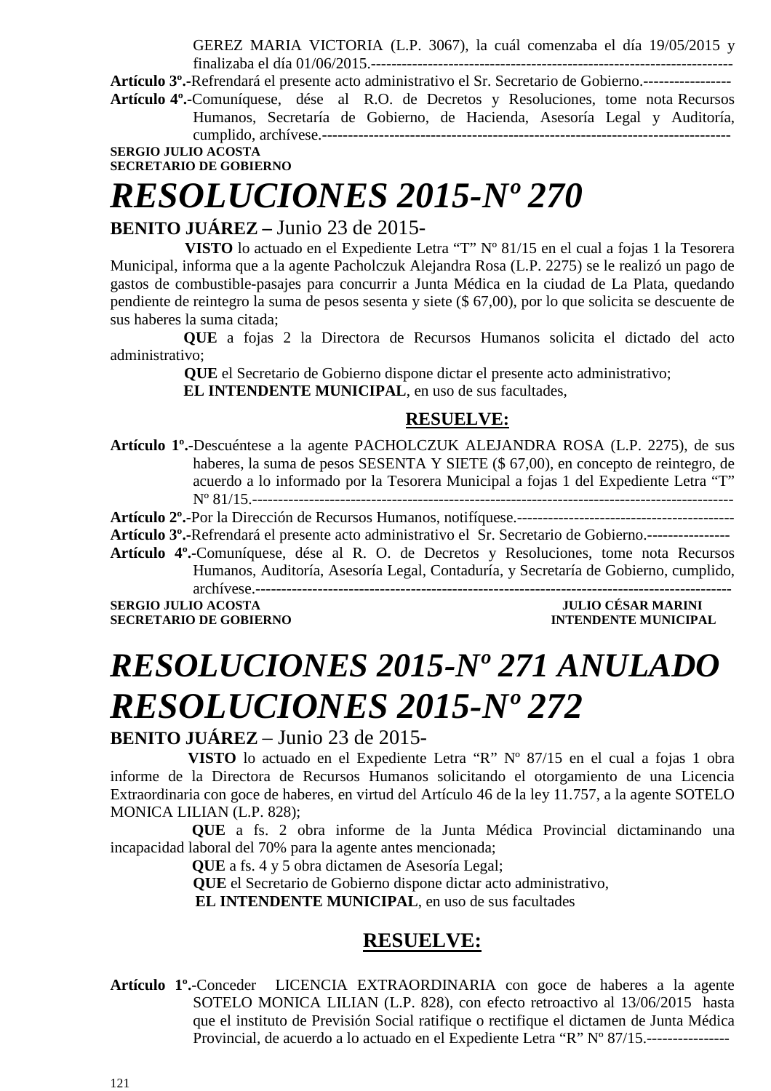GEREZ MARIA VICTORIA (L.P. 3067), la cuál comenzaba el día 19/05/2015 y

finalizaba el día 01/06/2015.---------------------------------------------------------------------- **Artículo 3º.-**Refrendará el presente acto administrativo el Sr. Secretario de Gobierno.----------------- **Artículo 4º.-**Comuníquese, dése al R.O. de Decretos y Resoluciones, tome nota Recursos Humanos, Secretaría de Gobierno, de Hacienda, Asesoría Legal y Auditoría, cumplido, archívese.-------------------------------------------------------------------------------

**SERGIO JULIO ACOSTA** 

#### **SECRETARIO DE GOBIERNO**

# *RESOLUCIONES 2015-Nº 270*

### **BENITO JUÁREZ –** Junio 23 de 2015-

 **VISTO** lo actuado en el Expediente Letra "T" Nº 81/15 en el cual a fojas 1 la Tesorera Municipal, informa que a la agente Pacholczuk Alejandra Rosa (L.P. 2275) se le realizó un pago de gastos de combustible-pasajes para concurrir a Junta Médica en la ciudad de La Plata, quedando pendiente de reintegro la suma de pesos sesenta y siete (\$ 67,00), por lo que solicita se descuente de sus haberes la suma citada;

 **QUE** a fojas 2 la Directora de Recursos Humanos solicita el dictado del acto administrativo;

> **QUE** el Secretario de Gobierno dispone dictar el presente acto administrativo; **EL INTENDENTE MUNICIPAL**, en uso de sus facultades,

#### **RESUELVE:**

**Artículo 1º.-**Descuéntese a la agente PACHOLCZUK ALEJANDRA ROSA (L.P. 2275), de sus haberes, la suma de pesos SESENTA Y SIETE (\$ 67,00), en concepto de reintegro, de acuerdo a lo informado por la Tesorera Municipal a fojas 1 del Expediente Letra "T" Nº 81/15.---------------------------------------------------------------------------------------------

**Artículo 2º.-**Por la Dirección de Recursos Humanos, notifíquese.------------------------------------------

**Artículo 3º.-**Refrendará el presente acto administrativo el Sr. Secretario de Gobierno.----------------

**Artículo 4º.-**Comuníquese, dése al R. O. de Decretos y Resoluciones, tome nota Recursos Humanos, Auditoría, Asesoría Legal, Contaduría, y Secretaría de Gobierno, cumplido, archívese.--------------------------------------------------------------------------------------------

**SERGIO JULIO ACOSTA DE CONVERTS DE CONVERTS DE CONVERTS DE CONVERTS DE CONVERTS DE CONVERTS DE CONVERTS DE CO<br>ACONTECTARIO DE GOBIERNO DE CONVERTS DE CONVERTS DE CONVERTS DE CONVERTS DE CONVERTS DE CONVERTS DE CONVERTS D SECRETARIO DE GOBIERNO** 

# *RESOLUCIONES 2015-Nº 271 ANULADO RESOLUCIONES 2015-Nº 272*

**BENITO JUÁREZ** – Junio 23 de 2015-

 **VISTO** lo actuado en el Expediente Letra "R" Nº 87/15 en el cual a fojas 1 obra informe de la Directora de Recursos Humanos solicitando el otorgamiento de una Licencia Extraordinaria con goce de haberes, en virtud del Artículo 46 de la ley 11.757, a la agente SOTELO MONICA LILIAN (L.P. 828);

 **QUE** a fs. 2 obra informe de la Junta Médica Provincial dictaminando una incapacidad laboral del 70% para la agente antes mencionada;

**QUE** a fs. 4 y 5 obra dictamen de Asesoría Legal;

**QUE** el Secretario de Gobierno dispone dictar acto administrativo,

 **EL INTENDENTE MUNICIPAL**, en uso de sus facultades

### **RESUELVE:**

**Artículo 1º.**-Conceder LICENCIA EXTRAORDINARIA con goce de haberes a la agente SOTELO MONICA LILIAN (L.P. 828), con efecto retroactivo al 13/06/2015 hasta que el instituto de Previsión Social ratifique o rectifique el dictamen de Junta Médica Provincial, de acuerdo a lo actuado en el Expediente Letra "R" Nº 87/15.----------------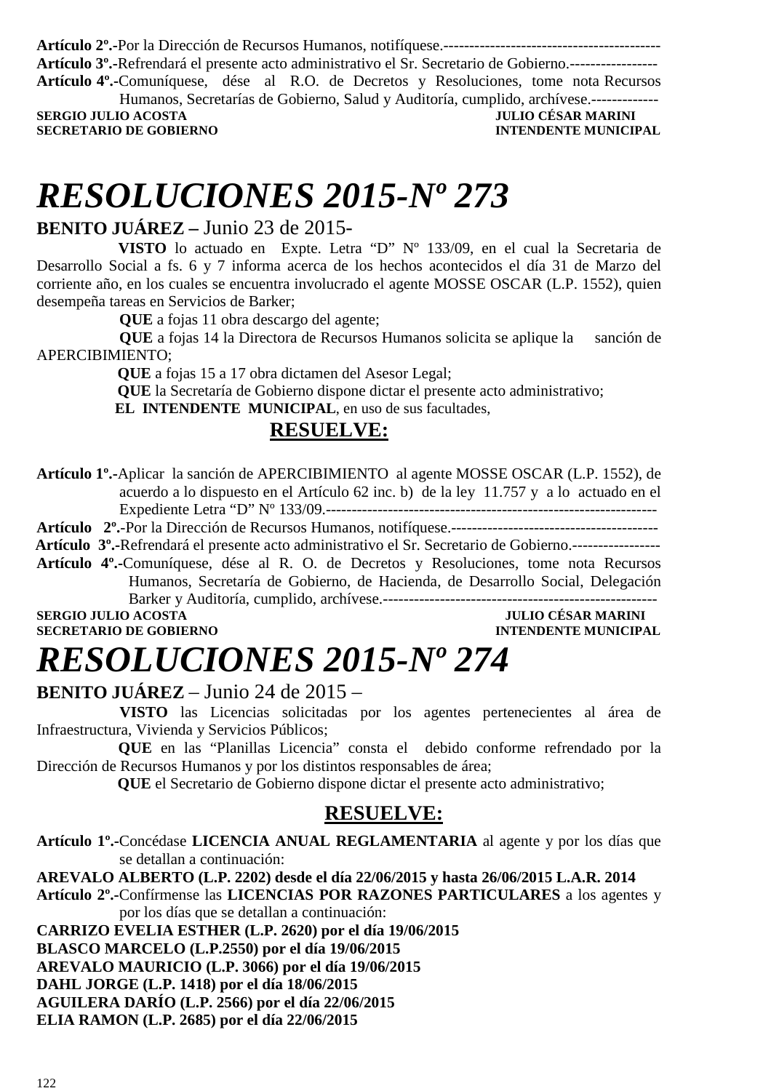**Artículo 2º.-**Por la Dirección de Recursos Humanos, notifíquese.------------------------------------------ **Artículo 3º.-**Refrendará el presente acto administrativo el Sr. Secretario de Gobierno.----------------- **Artículo 4º.-**Comuníquese, dése al R.O. de Decretos y Resoluciones, tome nota Recursos Humanos, Secretarías de Gobierno, Salud y Auditoría, cumplido, archívese.-------------

**SERGIO JULIO ACOSTA SECRETARIO DE GOBIERNO INTENDENTE MUNICIPAL** 

# *RESOLUCIONES 2015-Nº 273*

### **BENITO JUÁREZ –** Junio 23 de 2015-

 **VISTO** lo actuado en Expte. Letra "D" Nº 133/09, en el cual la Secretaria de Desarrollo Social a fs. 6 y 7 informa acerca de los hechos acontecidos el día 31 de Marzo del corriente año, en los cuales se encuentra involucrado el agente MOSSE OSCAR (L.P. 1552), quien desempeña tareas en Servicios de Barker;

**QUE** a fojas 11 obra descargo del agente;

**QUE** a fojas 14 la Directora de Recursos Humanos solicita se aplique la sanción de APERCIBIMIENTO;

 **QUE** a fojas 15 a 17 obra dictamen del Asesor Legal;

 **QUE** la Secretaría de Gobierno dispone dictar el presente acto administrativo;

 **EL INTENDENTE MUNICIPAL**, en uso de sus facultades,

### **RESUELVE:**

**Artículo 1º.-**Aplicar la sanción de APERCIBIMIENTO al agente MOSSE OSCAR (L.P. 1552), de acuerdo a lo dispuesto en el Artículo 62 inc. b) de la ley 11.757 y a lo actuado en el Expediente Letra "D" Nº 133/09.----------------------------------------------------------------

**Artículo 2º.**-Por la Dirección de Recursos Humanos, notifíquese.----------------------------------------

 **Artículo 3º.-**Refrendará el presente acto administrativo el Sr. Secretario de Gobierno.-----------------

**Artículo 4º.-**Comuníquese, dése al R. O. de Decretos y Resoluciones, tome nota Recursos Humanos, Secretaría de Gobierno, de Hacienda, de Desarrollo Social, Delegación Barker y Auditoría, cumplido, archívese.-----------------------------------------------------

**SERGIO JULIO ACOSTA JULIO CÉSAR MARINI** 

### **INTENDENTE MUNICIPAL**

# *RESOLUCIONES 2015-Nº 274*

#### **BENITO JUÁREZ** – Junio 24 de 2015 –

 **VISTO** las Licencias solicitadas por los agentes pertenecientes al área de Infraestructura, Vivienda y Servicios Públicos;

 **QUE** en las "Planillas Licencia" consta el debido conforme refrendado por la Dirección de Recursos Humanos y por los distintos responsables de área;

 **QUE** el Secretario de Gobierno dispone dictar el presente acto administrativo;

#### **RESUELVE:**

**Artículo 1º.-**Concédase **LICENCIA ANUAL REGLAMENTARIA** al agente y por los días que se detallan a continuación:

**AREVALO ALBERTO (L.P. 2202) desde el día 22/06/2015 y hasta 26/06/2015 L.A.R. 2014 Artículo 2º.-**Confírmense las **LICENCIAS POR RAZONES PARTICULARES** a los agentes y por los días que se detallan a continuación:

**CARRIZO EVELIA ESTHER (L.P. 2620) por el día 19/06/2015** 

**BLASCO MARCELO (L.P.2550) por el día 19/06/2015** 

**AREVALO MAURICIO (L.P. 3066) por el día 19/06/2015** 

**DAHL JORGE (L.P. 1418) por el día 18/06/2015** 

**AGUILERA DARÍO (L.P. 2566) por el día 22/06/2015** 

**ELIA RAMON (L.P. 2685) por el día 22/06/2015**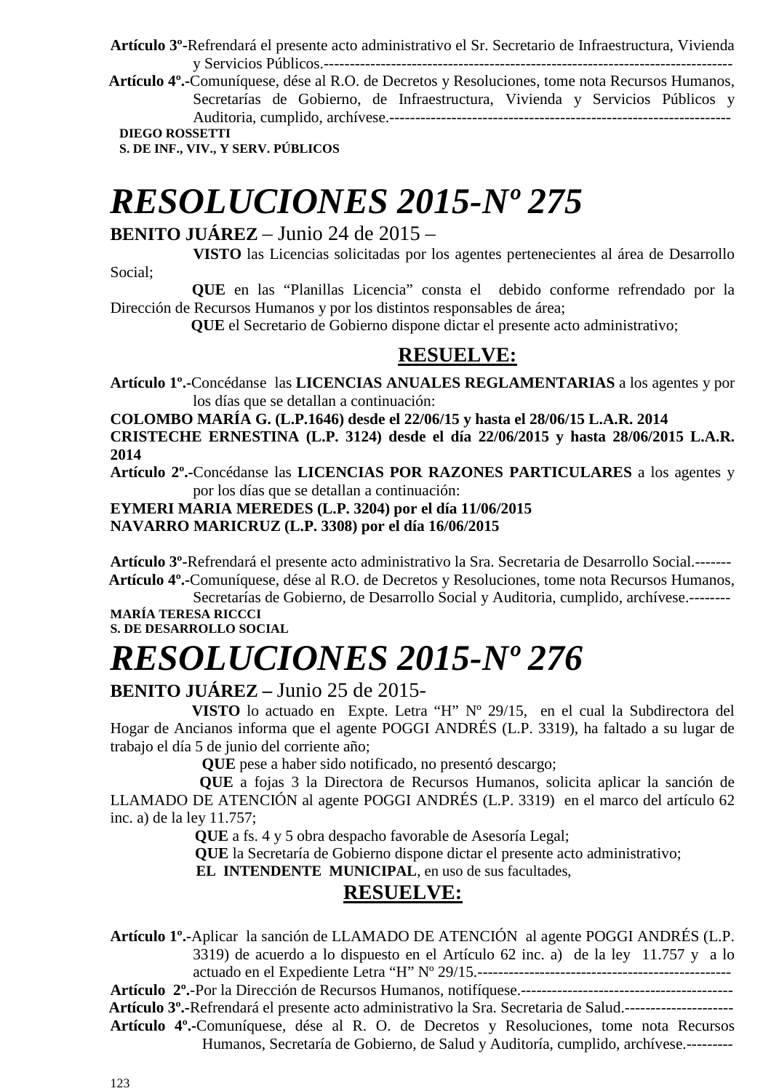**Artículo 3º-**Refrendará el presente acto administrativo el Sr. Secretario de Infraestructura, Vivienda y Servicios Públicos.-------------------------------------------------------------------------------

 **Artículo 4º.-**Comuníquese, dése al R.O. de Decretos y Resoluciones, tome nota Recursos Humanos, Secretarías de Gobierno, de Infraestructura, Vivienda y Servicios Públicos y Auditoria, cumplido, archívese.------------------------------------------------------------------

**DIEGO ROSSETTI** 

**S. DE INF., VIV., Y SERV. PÚBLICOS** 

# *RESOLUCIONES 2015-Nº 275*

### **BENITO JUÁREZ** – Junio 24 de 2015 –

 **VISTO** las Licencias solicitadas por los agentes pertenecientes al área de Desarrollo Social;

 **QUE** en las "Planillas Licencia" consta el debido conforme refrendado por la Dirección de Recursos Humanos y por los distintos responsables de área;

 **QUE** el Secretario de Gobierno dispone dictar el presente acto administrativo;

### **RESUELVE:**

**Artículo 1º.-**Concédanse las **LICENCIAS ANUALES REGLAMENTARIAS** a los agentes y por los días que se detallan a continuación:

**COLOMBO MARÍA G. (L.P.1646) desde el 22/06/15 y hasta el 28/06/15 L.A.R. 2014 CRISTECHE ERNESTINA (L.P. 3124) desde el día 22/06/2015 y hasta 28/06/2015 L.A.R. 2014** 

**Artículo 2º.-**Concédanse las **LICENCIAS POR RAZONES PARTICULARES** a los agentes y por los días que se detallan a continuación:

#### **EYMERI MARIA MEREDES (L.P. 3204) por el día 11/06/2015 NAVARRO MARICRUZ (L.P. 3308) por el día 16/06/2015**

**Artículo 3º-**Refrendará el presente acto administrativo la Sra. Secretaria de Desarrollo Social.-------  **Artículo 4º.-**Comuníquese, dése al R.O. de Decretos y Resoluciones, tome nota Recursos Humanos,

Secretarías de Gobierno, de Desarrollo Social y Auditoria, cumplido, archívese.-------- **MARÍA TERESA RICCCI** 

**S. DE DESARROLLO SOCIAL** 

# *RESOLUCIONES 2015-Nº 276*

#### **BENITO JUÁREZ –** Junio 25 de 2015-

 **VISTO** lo actuado en Expte. Letra "H" Nº 29/15, en el cual la Subdirectora del Hogar de Ancianos informa que el agente POGGI ANDRÉS (L.P. 3319), ha faltado a su lugar de trabajo el día 5 de junio del corriente año;

**QUE** pese a haber sido notificado, no presentó descargo;

 **QUE** a fojas 3 la Directora de Recursos Humanos, solicita aplicar la sanción de LLAMADO DE ATENCIÓN al agente POGGI ANDRÉS (L.P. 3319) en el marco del artículo 62 inc. a) de la ley 11.757;

**QUE** a fs. 4 y 5 obra despacho favorable de Asesoría Legal;

 **QUE** la Secretaría de Gobierno dispone dictar el presente acto administrativo;

 **EL INTENDENTE MUNICIPAL**, en uso de sus facultades,

### **RESUELVE:**

**Artículo 1º.-**Aplicar la sanción de LLAMADO DE ATENCIÓN al agente POGGI ANDRÉS (L.P. 3319) de acuerdo a lo dispuesto en el Artículo 62 inc. a) de la ley 11.757 y a lo actuado en el Expediente Letra "H" Nº 29/15.-------------------------------------------------

**Artículo 2º.**-Por la Dirección de Recursos Humanos, notifíquese.-----------------------------------------

 **Artículo 3º.-**Refrendará el presente acto administrativo la Sra. Secretaria de Salud.---------------------

**Artículo 4º.-**Comuníquese, dése al R. O. de Decretos y Resoluciones, tome nota Recursos Humanos, Secretaría de Gobierno, de Salud y Auditoría, cumplido, archívese.---------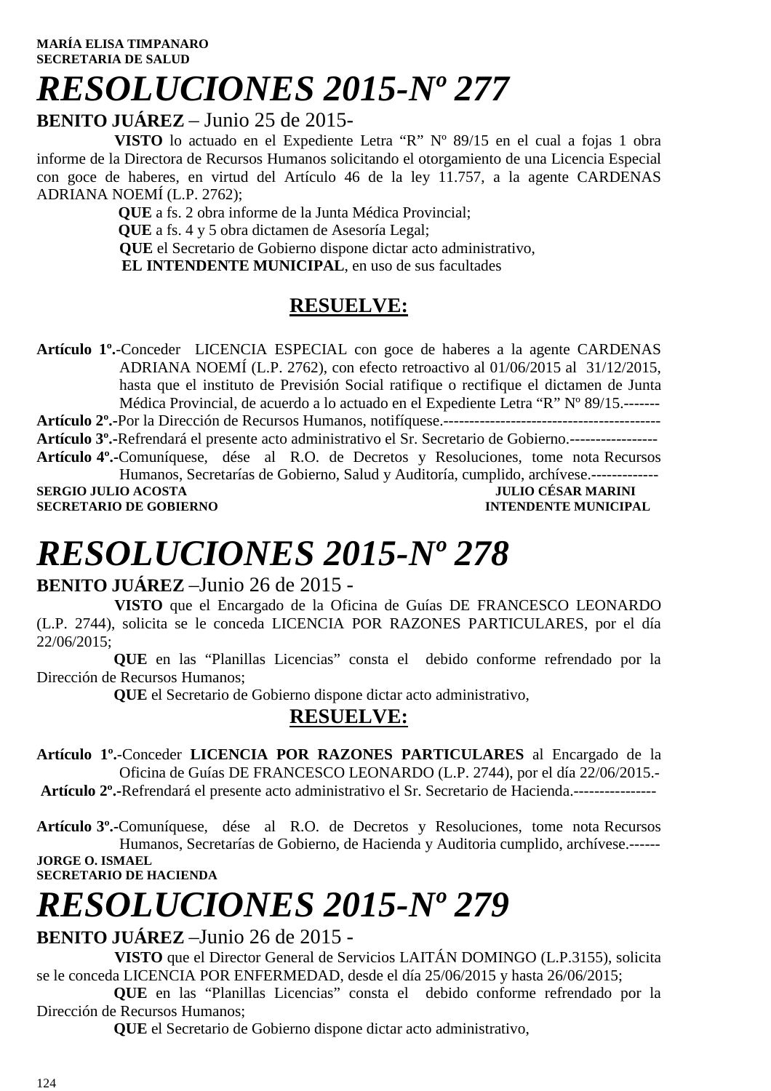#### **MARÍA ELISA TIMPANARO SECRETARIA DE SALUD**

# *RESOLUCIONES 2015-Nº 277*

#### **BENITO JUÁREZ** – Junio 25 de 2015-

 **VISTO** lo actuado en el Expediente Letra "R" Nº 89/15 en el cual a fojas 1 obra informe de la Directora de Recursos Humanos solicitando el otorgamiento de una Licencia Especial con goce de haberes, en virtud del Artículo 46 de la ley 11.757, a la agente CARDENAS ADRIANA NOEMÍ (L.P. 2762);

 **QUE** a fs. 2 obra informe de la Junta Médica Provincial; **QUE** a fs. 4 y 5 obra dictamen de Asesoría Legal; **QUE** el Secretario de Gobierno dispone dictar acto administrativo,  **EL INTENDENTE MUNICIPAL**, en uso de sus facultades

### **RESUELVE:**

**Artículo 1º.**-Conceder LICENCIA ESPECIAL con goce de haberes a la agente CARDENAS ADRIANA NOEMÍ (L.P. 2762), con efecto retroactivo al 01/06/2015 al 31/12/2015, hasta que el instituto de Previsión Social ratifique o rectifique el dictamen de Junta Médica Provincial, de acuerdo a lo actuado en el Expediente Letra "R" Nº 89/15.------- **Artículo 2º.-**Por la Dirección de Recursos Humanos, notifíquese.------------------------------------------ **Artículo 3º.-**Refrendará el presente acto administrativo el Sr. Secretario de Gobierno.----------------- **Artículo 4º.-**Comuníquese, dése al R.O. de Decretos y Resoluciones, tome nota Recursos Humanos, Secretarías de Gobierno, Salud y Auditoría, cumplido, archívese.-------------

**SERGIO JULIO ACOSTA DE CONFERNO DE CORTENO DE CORTENO DE CORTENO DE CORTENO DE CORTENO DE CORTENO DE CORTENO DE CORTENO DE CORTENO DE CORTENO DE CORTENO DE CORTENO DE CORTENO DE CORTENO DE CORTENO DE CORTENO DE CORTENO DE SECRETARIO DE GOBIERNO** 

# *RESOLUCIONES 2015-Nº 278*

#### **BENITO JUÁREZ** –Junio 26 de 2015 -

 **VISTO** que el Encargado de la Oficina de Guías DE FRANCESCO LEONARDO (L.P. 2744), solicita se le conceda LICENCIA POR RAZONES PARTICULARES, por el día 22/06/2015;

 **QUE** en las "Planillas Licencias" consta el debido conforme refrendado por la Dirección de Recursos Humanos;

 **QUE** el Secretario de Gobierno dispone dictar acto administrativo,

### **RESUELVE:**

**Artículo 1º.**-Conceder **LICENCIA POR RAZONES PARTICULARES** al Encargado de la Oficina de Guías DE FRANCESCO LEONARDO (L.P. 2744), por el día 22/06/2015.- **Artículo 2º.-**Refrendará el presente acto administrativo el Sr. Secretario de Hacienda.----------------

**Artículo 3º.-**Comuníquese, dése al R.O. de Decretos y Resoluciones, tome nota Recursos Humanos, Secretarías de Gobierno, de Hacienda y Auditoria cumplido, archívese.------ **JORGE O. ISMAEL SECRETARIO DE HACIENDA** 

# *RESOLUCIONES 2015-Nº 279*

**BENITO JUÁREZ** –Junio 26 de 2015 -

 **VISTO** que el Director General de Servicios LAITÁN DOMINGO (L.P.3155), solicita se le conceda LICENCIA POR ENFERMEDAD, desde el día 25/06/2015 y hasta 26/06/2015;

 **QUE** en las "Planillas Licencias" consta el debido conforme refrendado por la Dirección de Recursos Humanos;

 **QUE** el Secretario de Gobierno dispone dictar acto administrativo,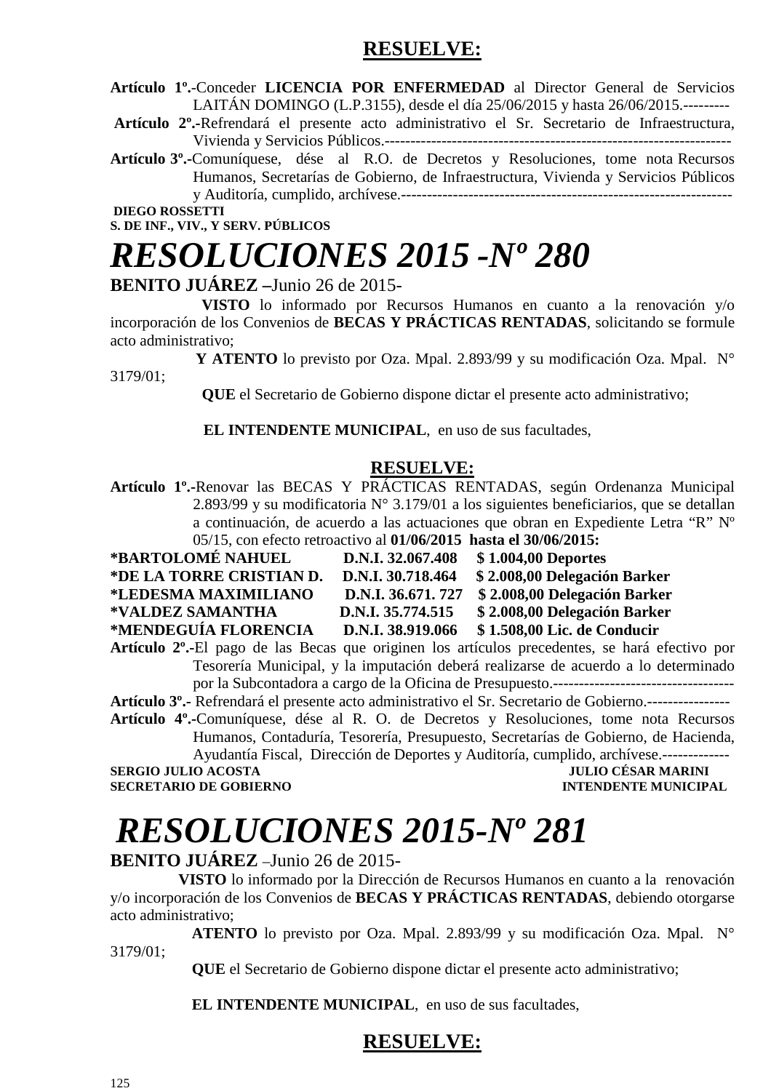### **RESUELVE:**

**Artículo 1º.**-Conceder **LICENCIA POR ENFERMEDAD** al Director General de Servicios LAITÁN DOMINGO (L.P.3155), desde el día 25/06/2015 y hasta 26/06/2015.---------

**Artículo 2º.-**Refrendará el presente acto administrativo el Sr. Secretario de Infraestructura, Vivienda y Servicios Públicos.-------------------------------------------------------------------

**Artículo 3º.-**Comuníquese, dése al R.O. de Decretos y Resoluciones, tome nota Recursos Humanos, Secretarías de Gobierno, de Infraestructura, Vivienda y Servicios Públicos y Auditoría, cumplido, archívese.----------------------------------------------------------------

 **DIEGO ROSSETTI S. DE INF., VIV., Y SERV. PÚBLICOS** 

# *RESOLUCIONES 2015 -Nº 280*

#### **BENITO JUÁREZ –**Junio 26 de 2015-

 **VISTO** lo informado por Recursos Humanos en cuanto a la renovación y/o incorporación de los Convenios de **BECAS Y PRÁCTICAS RENTADAS**, solicitando se formule acto administrativo;

 **Y ATENTO** lo previsto por Oza. Mpal. 2.893/99 y su modificación Oza. Mpal. N° 3179/01;

 **QUE** el Secretario de Gobierno dispone dictar el presente acto administrativo;

 **EL INTENDENTE MUNICIPAL**, en uso de sus facultades,

#### **RESUELVE:**

**Artículo 1º.-**Renovar las BECAS Y PRÁCTICAS RENTADAS, según Ordenanza Municipal 2.893/99 y su modificatoria N° 3.179/01 a los siguientes beneficiarios, que se detallan a continuación, de acuerdo a las actuaciones que obran en Expediente Letra "R" Nº 05/15, con efecto retroactivo al **01/06/2015 hasta el 30/06/2015:** 

| *BARTOLOMÉ NAHUEL        | D.N.I. 32.067.408 | \$1.004,00 Deportes          |
|--------------------------|-------------------|------------------------------|
| *DE LA TORRE CRISTIAN D. | D.N.I. 30.718.464 | \$2.008,00 Delegación Barker |
| *LEDESMA MAXIMILIANO     | D.N.I. 36.671.727 | \$2.008,00 Delegación Barker |
| *VALDEZ SAMANTHA         | D.N.I. 35.774.515 | \$2.008,00 Delegación Barker |
| *MENDEGUÍA FLORENCIA     | D.N.I. 38.919.066 | \$1.508,00 Lic. de Conducir  |
|                          |                   |                              |

**Artículo 2º.-**El pago de las Becas que originen los artículos precedentes, se hará efectivo por Tesorería Municipal, y la imputación deberá realizarse de acuerdo a lo determinado por la Subcontadora a cargo de la Oficina de Presupuesto.-----------------------------------

**Artículo 3º.-** Refrendará el presente acto administrativo el Sr. Secretario de Gobierno.---------------- **Artículo 4º.-**Comuníquese, dése al R. O. de Decretos y Resoluciones, tome nota Recursos

Humanos, Contaduría, Tesorería, Presupuesto, Secretarías de Gobierno, de Hacienda, Ayudantía Fiscal, Dirección de Deportes y Auditoría, cumplido, archívese.-------------

**SERGIO JULIO ACOSTA DE CONFERNO DE COBIERNO DE COBIERNO DE COBIERNO DE COBIERNO DE COBIERNO DE COBIERNO DE COBIERNO DE COBIERNO DE COBIERNO DE COBIERNO DE COBIERNO DE COBIERNO DE COBIERNO DE COBIERNO DE COBIERNO DE COBIER SECRETARIO DE GOBIERNO** 

# *RESOLUCIONES 2015-Nº 281*

#### **BENITO JUÁREZ** –Junio 26 de 2015-

 **VISTO** lo informado por la Dirección de Recursos Humanos en cuanto a la renovación y/o incorporación de los Convenios de **BECAS Y PRÁCTICAS RENTADAS**, debiendo otorgarse acto administrativo;

 **ATENTO** lo previsto por Oza. Mpal. 2.893/99 y su modificación Oza. Mpal. N° 3179/01;

 **QUE** el Secretario de Gobierno dispone dictar el presente acto administrativo;

 **EL INTENDENTE MUNICIPAL**, en uso de sus facultades,

### **RESUELVE:**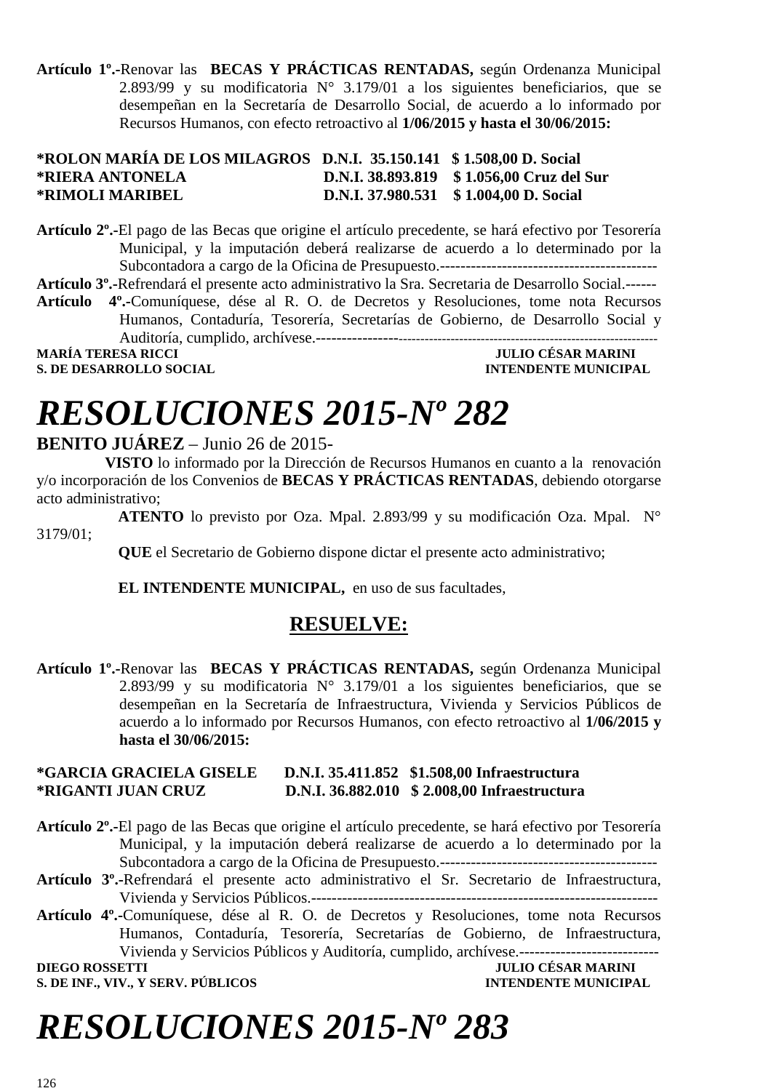**Artículo 1º.-**Renovar las **BECAS Y PRÁCTICAS RENTADAS,** según Ordenanza Municipal 2.893/99 y su modificatoria N° 3.179/01 a los siguientes beneficiarios, que se desempeñan en la Secretaría de Desarrollo Social, de acuerdo a lo informado por Recursos Humanos, con efecto retroactivo al **1/06/2015 y hasta el 30/06/2015:** 

#### **\*ROLON MARÍA DE LOS MILAGROS D.N.I. 35.150.141 \$ 1.508,00 D. Social \*RIERA ANTONELA D.N.I. 38.893.819 \$ 1.056,00 Cruz del Sur \*RIMOLI MARIBEL D.N.I. 37.980.531 \$ 1.004,00 D. Social**

**Artículo 2º.-**El pago de las Becas que origine el artículo precedente, se hará efectivo por Tesorería Municipal, y la imputación deberá realizarse de acuerdo a lo determinado por la Subcontadora a cargo de la Oficina de Presupuesto.------------------------------------------

**Artículo 3º.-**Refrendará el presente acto administrativo la Sra. Secretaria de Desarrollo Social.------

**Artículo 4º.-**Comuníquese, dése al R. O. de Decretos y Resoluciones, tome nota Recursos Humanos, Contaduría, Tesorería, Secretarías de Gobierno, de Desarrollo Social y Auditoría, cumplido, archívese.----------------------------------------------------------------------------

**MARÍA TERESA RICCI<br>S DE DESARROLLO SOCIAL** 

**INTENDENTE MUNICIPAL** 

# *RESOLUCIONES 2015-Nº 282*

#### **BENITO JUÁREZ** – Junio 26 de 2015-

 **VISTO** lo informado por la Dirección de Recursos Humanos en cuanto a la renovación y/o incorporación de los Convenios de **BECAS Y PRÁCTICAS RENTADAS**, debiendo otorgarse acto administrativo;

 **ATENTO** lo previsto por Oza. Mpal. 2.893/99 y su modificación Oza. Mpal. N° 3179/01;

 **QUE** el Secretario de Gobierno dispone dictar el presente acto administrativo;

 **EL INTENDENTE MUNICIPAL,** en uso de sus facultades,

### **RESUELVE:**

**Artículo 1º.-**Renovar las **BECAS Y PRÁCTICAS RENTADAS,** según Ordenanza Municipal 2.893/99 y su modificatoria  $N^{\circ}$  3.179/01 a los siguientes beneficiarios, que se desempeñan en la Secretaría de Infraestructura, Vivienda y Servicios Públicos de acuerdo a lo informado por Recursos Humanos, con efecto retroactivo al **1/06/2015 y hasta el 30/06/2015:** 

#### **\*GARCIA GRACIELA GISELE D.N.I. 35.411.852 \$1.508,00 Infraestructura \*RIGANTI JUAN CRUZ D.N.I. 36.882.010 \$ 2.008,00 Infraestructura**

- **Artículo 2º.-**El pago de las Becas que origine el artículo precedente, se hará efectivo por Tesorería Municipal, y la imputación deberá realizarse de acuerdo a lo determinado por la Subcontadora a cargo de la Oficina de Presupuesto.------------------------------------------
- **Artículo 3º.-**Refrendará el presente acto administrativo el Sr. Secretario de Infraestructura, Vivienda y Servicios Públicos.-------------------------------------------------------------------
- **Artículo 4º.-**Comuníquese, dése al R. O. de Decretos y Resoluciones, tome nota Recursos Humanos, Contaduría, Tesorería, Secretarías de Gobierno, de Infraestructura, Vivienda y Servicios Públicos y Auditoría, cumplido, archívese.---------------------------

**S. DE INF., VIV., Y SERV. PÚBLICOS INTENDENTE MUNICIPAL** 

### **DIEGO ROSSETTI JULIO CÉSAR MARINI**

# *RESOLUCIONES 2015-Nº 283*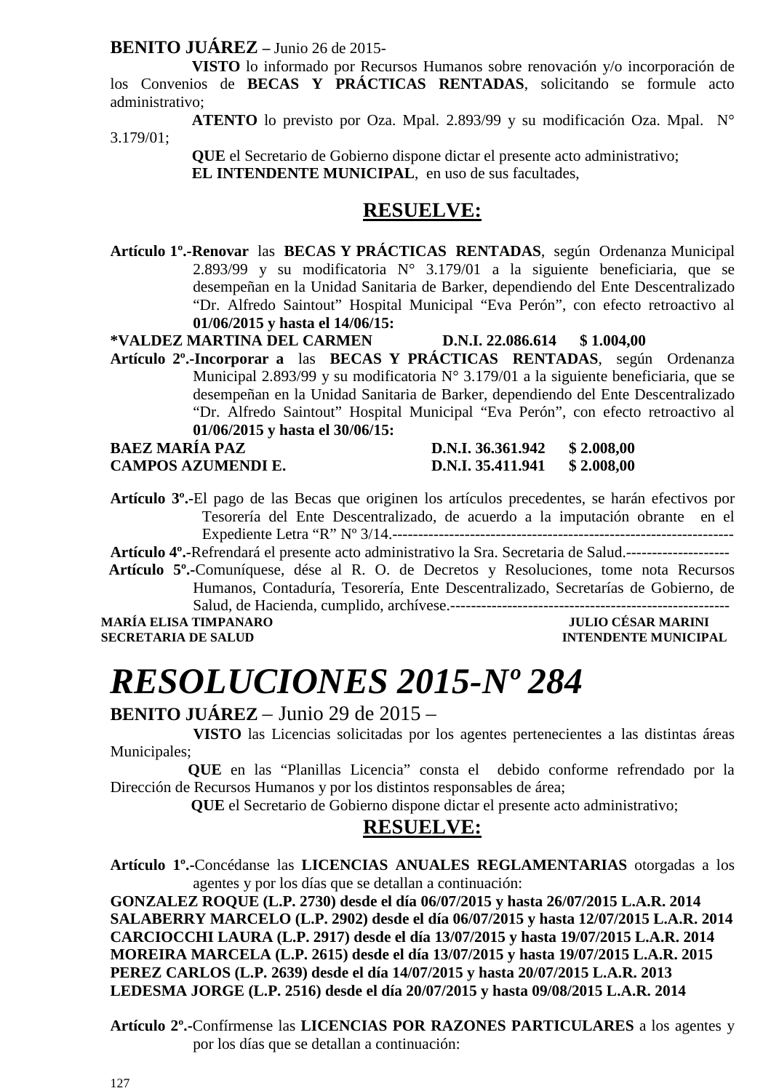#### **BENITO JUÁREZ –** Junio 26 de 2015-

 **VISTO** lo informado por Recursos Humanos sobre renovación y/o incorporación de los Convenios de **BECAS Y PRÁCTICAS RENTADAS**, solicitando se formule acto administrativo;

 **ATENTO** lo previsto por Oza. Mpal. 2.893/99 y su modificación Oza. Mpal. N° 3.179/01;

> **QUE** el Secretario de Gobierno dispone dictar el presente acto administrativo;  **EL INTENDENTE MUNICIPAL**, en uso de sus facultades,

#### **RESUELVE:**

**Artículo 1º.-Renovar** las **BECAS Y PRÁCTICAS RENTADAS**, según Ordenanza Municipal 2.893/99 y su modificatoria N° 3.179/01 a la siguiente beneficiaria, que se desempeñan en la Unidad Sanitaria de Barker, dependiendo del Ente Descentralizado "Dr. Alfredo Saintout" Hospital Municipal "Eva Perón", con efecto retroactivo al **01/06/2015 y hasta el 14/06/15:** 

**\*VALDEZ MARTINA DEL CARMEN D.N.I. 22.086.614 \$ 1.004,00** 

**Artículo 2º.-Incorporar a** las **BECAS Y PRÁCTICAS RENTADAS**, según Ordenanza Municipal 2.893/99 y su modificatoria N° 3.179/01 a la siguiente beneficiaria, que se desempeñan en la Unidad Sanitaria de Barker, dependiendo del Ente Descentralizado "Dr. Alfredo Saintout" Hospital Municipal "Eva Perón", con efecto retroactivo al **01/06/2015 y hasta el 30/06/15:** 

#### **BAEZ MARÍA PAZ D.N.I. 36.361.942 \$ 2.008.00 CAMPOS AZUMENDI E. D.N.I. 35.411.941 \$ 2.008,00**

**Artículo 3º.-**El pago de las Becas que originen los artículos precedentes, se harán efectivos por Tesorería del Ente Descentralizado, de acuerdo a la imputación obrante en el Expediente Letra "R" Nº 3/14.------------------------------------------------------------------

**Artículo 4º.-**Refrendará el presente acto administrativo la Sra. Secretaria de Salud.--------------------

 **Artículo 5º.-**Comuníquese, dése al R. O. de Decretos y Resoluciones, tome nota Recursos Humanos, Contaduría, Tesorería, Ente Descentralizado, Secretarías de Gobierno, de Salud, de Hacienda, cumplido, archívese.------------------------------------------------------

MARÍA ELISA TIMPANARO **de la contrata de la contrata de la contrata de la contrata de la contrata de la contrata de la contrata de la contrata de la contrata de la contrata de la contrata de la contrata de la contrata de l** 

### **INTENDENTE MUNICIPAL**

### *RESOLUCIONES 2015-Nº 284*

#### **BENITO JUÁREZ** – Junio 29 de 2015 –

 **VISTO** las Licencias solicitadas por los agentes pertenecientes a las distintas áreas Municipales;

 **QUE** en las "Planillas Licencia" consta el debido conforme refrendado por la Dirección de Recursos Humanos y por los distintos responsables de área;

 **QUE** el Secretario de Gobierno dispone dictar el presente acto administrativo;

#### **RESUELVE:**

**Artículo 1º.-**Concédanse las **LICENCIAS ANUALES REGLAMENTARIAS** otorgadas a los agentes y por los días que se detallan a continuación:

**GONZALEZ ROQUE (L.P. 2730) desde el día 06/07/2015 y hasta 26/07/2015 L.A.R. 2014 SALABERRY MARCELO (L.P. 2902) desde el día 06/07/2015 y hasta 12/07/2015 L.A.R. 2014 CARCIOCCHI LAURA (L.P. 2917) desde el día 13/07/2015 y hasta 19/07/2015 L.A.R. 2014 MOREIRA MARCELA (L.P. 2615) desde el día 13/07/2015 y hasta 19/07/2015 L.A.R. 2015 PEREZ CARLOS (L.P. 2639) desde el día 14/07/2015 y hasta 20/07/2015 L.A.R. 2013 LEDESMA JORGE (L.P. 2516) desde el día 20/07/2015 y hasta 09/08/2015 L.A.R. 2014** 

**Artículo 2º.-**Confírmense las **LICENCIAS POR RAZONES PARTICULARES** a los agentes y por los días que se detallan a continuación: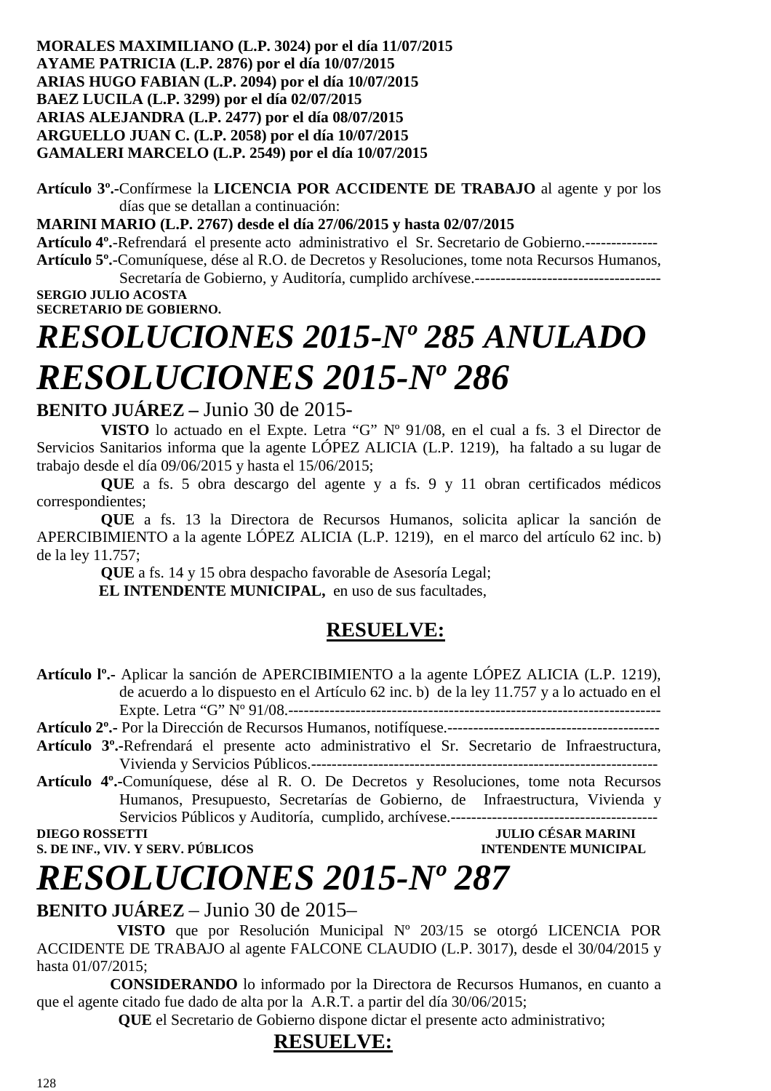#### **MORALES MAXIMILIANO (L.P. 3024) por el día 11/07/2015 AYAME PATRICIA (L.P. 2876) por el día 10/07/2015 ARIAS HUGO FABIAN (L.P. 2094) por el día 10/07/2015 BAEZ LUCILA (L.P. 3299) por el día 02/07/2015 ARIAS ALEJANDRA (L.P. 2477) por el día 08/07/2015 ARGUELLO JUAN C. (L.P. 2058) por el día 10/07/2015 GAMALERI MARCELO (L.P. 2549) por el día 10/07/2015**

**Artículo 3º.-**Confírmese la **LICENCIA POR ACCIDENTE DE TRABAJO** al agente y por los días que se detallan a continuación:

**MARINI MARIO (L.P. 2767) desde el día 27/06/2015 y hasta 02/07/2015** 

**Artículo 4º.**-Refrendará el presente acto administrativo el Sr. Secretario de Gobierno.-------------- **Artículo 5º.**-Comuníquese, dése al R.O. de Decretos y Resoluciones, tome nota Recursos Humanos,

Secretaría de Gobierno, y Auditoría, cumplido archívese.------------------------------------ **SERGIO JULIO ACOSTA** 

**SECRETARIO DE GOBIERNO.** 

# *RESOLUCIONES 2015-Nº 285 ANULADO RESOLUCIONES 2015-Nº 286*

#### **BENITO JUÁREZ –** Junio 30 de 2015-

**VISTO** lo actuado en el Expte. Letra "G" Nº 91/08, en el cual a fs. 3 el Director de Servicios Sanitarios informa que la agente LÓPEZ ALICIA (L.P. 1219), ha faltado a su lugar de trabajo desde el día 09/06/2015 y hasta el 15/06/2015;

**QUE** a fs. 5 obra descargo del agente y a fs. 9 y 11 obran certificados médicos correspondientes;

**QUE** a fs. 13 la Directora de Recursos Humanos, solicita aplicar la sanción de APERCIBIMIENTO a la agente LÓPEZ ALICIA (L.P. 1219), en el marco del artículo 62 inc. b) de la ley 11.757;

**QUE** a fs. 14 y 15 obra despacho favorable de Asesoría Legal; **EL INTENDENTE MUNICIPAL,** en uso de sus facultades,

### **RESUELVE:**

**Artículo lº.-** Aplicar la sanción de APERCIBIMIENTO a la agente LÓPEZ ALICIA (L.P. 1219), de acuerdo a lo dispuesto en el Artículo 62 inc. b) de la ley 11.757 y a lo actuado en el Expte. Letra "G" Nº 91/08.------------------------------------------------------------------------

**Artículo 2º.-** Por la Dirección de Recursos Humanos, notifíquese.-----------------------------------------

- **Artículo 3º.-**Refrendará el presente acto administrativo el Sr. Secretario de Infraestructura, Vivienda y Servicios Públicos.-------------------------------------------------------------------
- **Artículo 4º.-**Comuníquese, dése al R. O. De Decretos y Resoluciones, tome nota Recursos Humanos, Presupuesto, Secretarías de Gobierno, de Infraestructura, Vivienda y Servicios Públicos y Auditoría, cumplido, archívese.----------------------------------------

**S. DE INF., VIV. Y SERV. PÚBLICOS INTENDENTE MUNICIPAL** 

**DIEGO ROSSETTI JULIO CÉSAR MARINI** 

# *RESOLUCIONES 2015-Nº 287*

#### **BENITO JUÁREZ** – Junio 30 de 2015–

 **VISTO** que por Resolución Municipal Nº 203/15 se otorgó LICENCIA POR ACCIDENTE DE TRABAJO al agente FALCONE CLAUDIO (L.P. 3017), desde el 30/04/2015 y hasta 01/07/2015;

 **CONSIDERANDO** lo informado por la Directora de Recursos Humanos, en cuanto a que el agente citado fue dado de alta por la A.R.T. a partir del día 30/06/2015;

 **QUE** el Secretario de Gobierno dispone dictar el presente acto administrativo;

### **RESUELVE:**